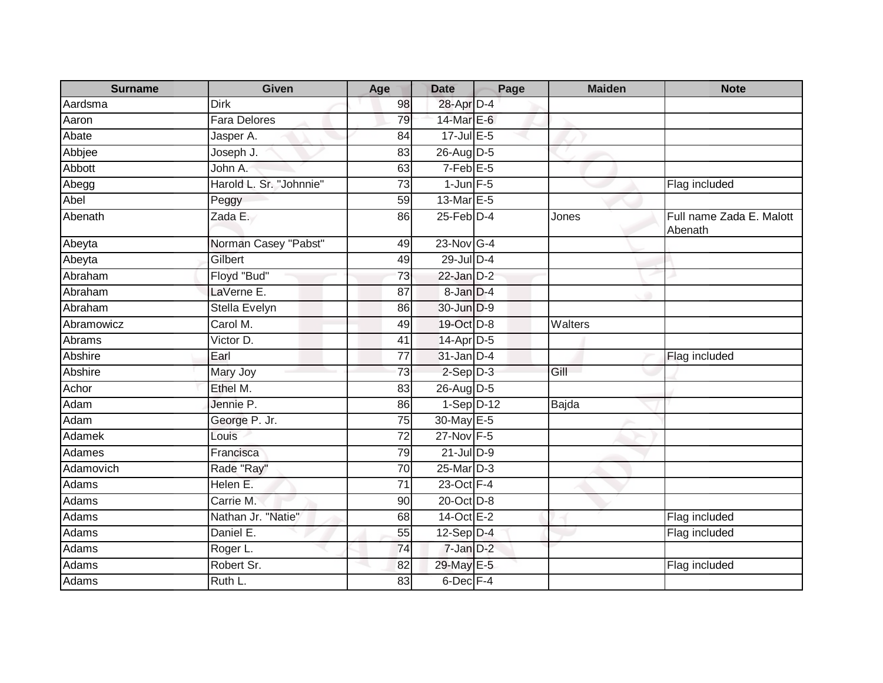| <b>Surname</b> | <b>Given</b>            | Age             | <b>Date</b>       | Page | <b>Maiden</b> | <b>Note</b>                         |
|----------------|-------------------------|-----------------|-------------------|------|---------------|-------------------------------------|
| Aardsma        | <b>Dirk</b>             | 98              | 28-Apr D-4        |      |               |                                     |
| Aaron          | <b>Fara Delores</b>     | 79              | 14-Mar E-6        |      |               |                                     |
| Abate          | Jasper A.               | 84              | 17-Jul E-5        |      |               |                                     |
| Abbjee         | Joseph J.               | 83              | 26-Aug D-5        |      |               |                                     |
| Abbott         | John A.                 | 63              | $7-Feb$ E-5       |      |               |                                     |
| Abegg          | Harold L. Sr. "Johnnie" | 73              | $1$ -Jun $F-5$    |      |               | Flag included                       |
| Abel           | Peggy                   | $\overline{59}$ | 13-Mar E-5        |      |               |                                     |
| Abenath        | Zada E.                 | 86              | $25$ -Feb $D-4$   |      | Jones         | Full name Zada E. Malott<br>Abenath |
| Abeyta         | Norman Casey "Pabst"    | 49              | $23$ -Nov G-4     |      |               |                                     |
| Abeyta         | Gilbert                 | 49              | 29-Jul D-4        |      |               |                                     |
| Abraham        | Floyd "Bud"             | 73              | $22$ -Jan $D-2$   |      |               |                                     |
| Abraham        | LaVerne E.              | $\overline{87}$ | 8-Jan D-4         |      |               |                                     |
| Abraham        | Stella Evelyn           | 86              | 30-Jun D-9        |      |               |                                     |
| Abramowicz     | Carol M.                | 49              | 19-Oct D-8        |      | Walters       |                                     |
| Abrams         | Victor D.               | 41              | 14-Apr D-5        |      |               |                                     |
| Abshire        | Earl                    | 77              | $31$ -Jan D-4     |      |               | Flag included                       |
| Abshire        | Mary Joy                | 73              | $2-Sep$ $D-3$     |      | Gill          |                                     |
| Achor          | Ethel M.                | 83              | $26$ -AugD-5      |      |               |                                     |
| Adam           | Jennie P.               | 86              | $1-Sep$ D-12      |      | Bajda         |                                     |
| Adam           | George P. Jr.           | 75              | 30-May E-5        |      |               |                                     |
| Adamek         | Louis                   | $\overline{72}$ | 27-Nov F-5        |      |               |                                     |
| Adames         | Francisca               | 79              | $21$ -Jul $D-9$   |      |               |                                     |
| Adamovich      | Rade "Ray"              | 70              | 25-Mar D-3        |      |               |                                     |
| Adams          | Helen E.                | $\overline{71}$ | $23$ -Oct F-4     |      |               |                                     |
| Adams          | Carrie M.               | 90              | 20-Oct D-8        |      |               |                                     |
| Adams          | Nathan Jr. "Natie"      | 68              | $14$ -Oct $E - 2$ |      |               | Flag included                       |
| Adams          | Daniel E.               | 55              | $12-Sep D-4$      |      |               | Flag included                       |
| Adams          | Roger L.                | 74              | 7-Jan D-2         |      |               |                                     |
| Adams          | Robert Sr.              | 82              | 29-May E-5        |      |               | Flag included                       |
| Adams          | Ruth L.                 | 83              | 6-Dec F-4         |      |               |                                     |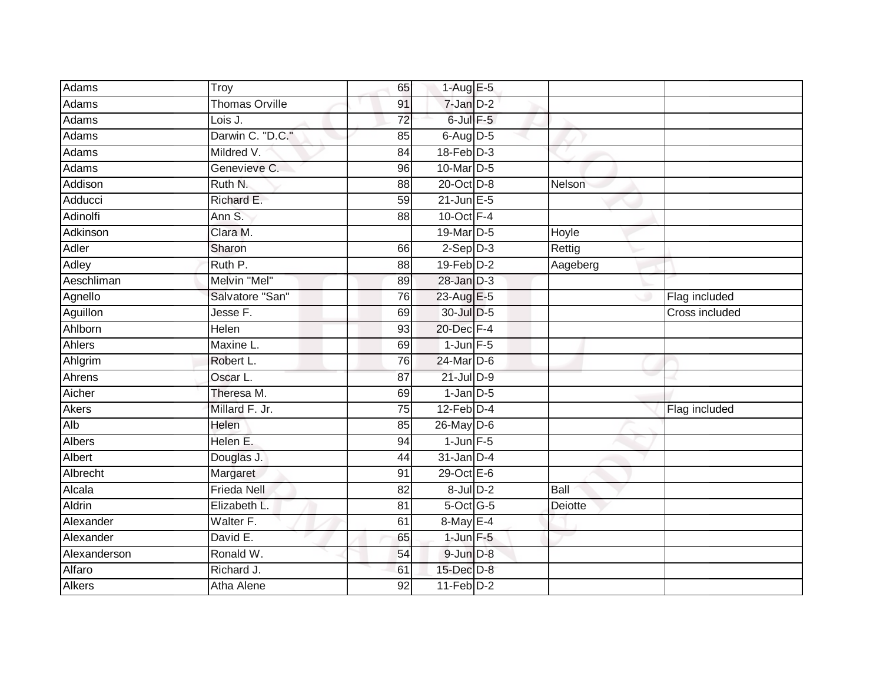| <b>Adams</b>  | Troy                  | 65              | $1-Aug$ E-5      |          |                       |
|---------------|-----------------------|-----------------|------------------|----------|-----------------------|
| Adams         | <b>Thomas Orville</b> | 91              | 7-Jan D-2        |          |                       |
| Adams         | Lois J.               | $\overline{72}$ | $6$ -Jul $F-5$   |          |                       |
| Adams         | Darwin C. "D.C."      | 85              | $6$ -Aug $D$ -5  |          |                       |
| Adams         | Mildred V.            | $\overline{84}$ | $18$ -Feb $D-3$  |          |                       |
| Adams         | Genevieve C.          | 96              | 10-Mar D-5       |          |                       |
| Addison       | Ruth N.               | 88              | 20-Oct D-8       | Nelson   |                       |
| Adducci       | Richard E.            | 59              | $21$ -Jun $E-5$  |          |                       |
| Adinolfi      | Ann S.                | 88              | 10-Oct $F-4$     |          |                       |
| Adkinson      | Clara M.              |                 | 19-Mar D-5       | Hoyle    |                       |
| Adler         | Sharon                | 66              | $2-Sep$ $D-3$    | Rettig   |                       |
| Adley         | Ruth P.               | $\overline{88}$ | $19$ -Feb $D-2$  | Aageberg |                       |
| Aeschliman    | Melvin "Mel"          | 89              | $28$ -Jan $D-3$  |          |                       |
| Agnello       | Salvatore "San"       | 76              | 23-Aug E-5       |          | Flag included         |
| Aguillon      | Jesse F.              | 69              | 30-Jul D-5       |          | <b>Cross included</b> |
| Ahlborn       | <b>Helen</b>          | $\overline{93}$ | 20-Dec F-4       |          |                       |
| Ahlers        | Maxine L.             | 69              | $1$ -Jun $F-5$   |          |                       |
| Ahlgrim       | Robert L.             | 76              | 24-Mar D-6       |          |                       |
| Ahrens        | Oscar L.              | 87              | $21$ -Jul $D-9$  |          |                       |
| Aicher        | Theresa M.            | 69              | $1$ -Jan $D-5$   |          |                       |
| <b>Akers</b>  | Millard F. Jr.        | 75              | $12$ -Feb $D-4$  |          | Flag included         |
| Alb           | Helen                 | 85              | 26-May D-6       |          |                       |
| Albers        | Helen E.              | 94              | $1$ -Jun $F - 5$ |          |                       |
| <b>Albert</b> | Douglas J.            | 44              | $31$ -Jan D-4    |          |                       |
| Albrecht      | Margaret              | 91              | $29$ -Oct $E-6$  |          |                       |
| Alcala        | <b>Frieda Nell</b>    | $\overline{82}$ | $8$ -Jul $D-2$   | Ball     |                       |
| Aldrin        | Elizabeth L.          | $\overline{81}$ | $5$ -Oct G-5     | Deiotte  |                       |
| Alexander     | Walter F.             | 61              | 8-May E-4        |          |                       |
| Alexander     | David E.              | 65              | $1$ -Jun $F-5$   |          |                       |
| Alexanderson  | Ronald W.             | 54              | $9$ -Jun $D-8$   |          |                       |
| Alfaro        | Richard J.            | 61              | $15$ -Dec $D-8$  |          |                       |
| <b>Alkers</b> | Atha Alene            | 92              | $11-Feb$ D-2     |          |                       |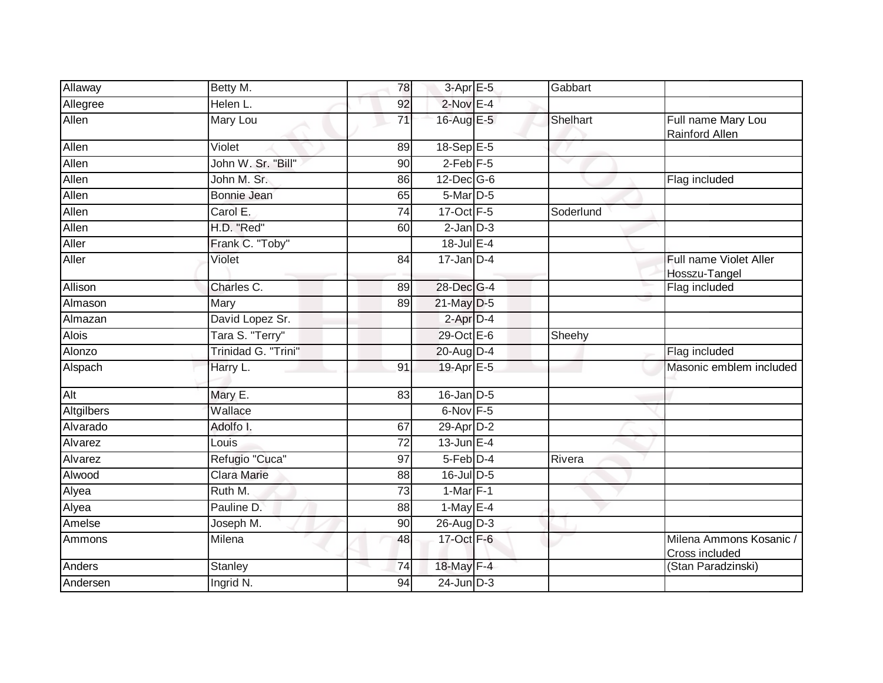| Allaway      | Betty M.            | 78              | 3-Apr E-5              | Gabbart   |                                           |
|--------------|---------------------|-----------------|------------------------|-----------|-------------------------------------------|
| Allegree     | Helen L.            | 92              | $2$ -Nov $E-4$         |           |                                           |
| Allen        | <b>Mary Lou</b>     | $\overline{71}$ | 16-Aug E-5             | Shelhart  | Full name Mary Lou<br>Rainford Allen      |
| Allen        | Violet              | 89              | $18 - \text{Sep}E - 5$ |           |                                           |
| Allen        | John W. Sr. "Bill"  | 90              | $2$ -Feb $F-5$         |           |                                           |
| Allen        | John M. Sr.         | 86              | 12-Dec G-6             |           | Flag included                             |
| Allen        | Bonnie Jean         | 65              | 5-Mar D-5              |           |                                           |
| Allen        | Carol E.            | $\overline{74}$ | 17-Oct F-5             | Soderlund |                                           |
| Allen        | H.D. "Red"          | 60              | $2$ -Jan $D-3$         |           |                                           |
| Aller        | Frank C. "Toby"     |                 | $18$ -Jul E-4          |           |                                           |
| Aller        | Violet              | 84              | $17 - Jan$ $D-4$       |           | Full name Violet Aller<br>Hosszu-Tangel   |
| Allison      | Charles C.          | 89              | 28-Dec G-4             |           | Flag included                             |
| Almason      | Mary                | 89              | 21-May D-5             |           |                                           |
| Almazan      | David Lopez Sr.     |                 | 2-Apr D-4              |           |                                           |
| <b>Alois</b> | Tara S. "Terry"     |                 | 29-Oct E-6             | Sheehy    |                                           |
| Alonzo       | Trinidad G. "Trini" |                 | 20-Aug D-4             |           | Flag included                             |
| Alspach      | Harry L.            | 91              | 19-Apr E-5             |           | Masonic emblem included                   |
| Alt          | Mary E.             | 83              | $16$ -Jan D-5          |           |                                           |
| Altgilbers   | Wallace             |                 | $6$ -Nov $F-5$         |           |                                           |
| Alvarado     | Adolfo I.           | 67              | 29-Apr D-2             |           |                                           |
| Alvarez      | Louis               | $\overline{72}$ | $13$ -Jun $E-4$        |           |                                           |
| Alvarez      | Refugio "Cuca"      | 97              | 5-Feb D-4              | Rivera    |                                           |
| Alwood       | <b>Clara Marie</b>  | 88              | $16$ -Jul D-5          |           |                                           |
| Alyea        | Ruth M.             | 73              | $1-Mar$ F-1            |           |                                           |
| Alyea        | Pauline D.          | 88              | 1-May $E-4$            |           |                                           |
| Amelse       | Joseph M.           | 90              | $26$ -AugD-3           |           |                                           |
| Ammons       | Milena              | 48              | 17-Oct F-6             |           | Milena Ammons Kosanic /<br>Cross included |
| Anders       | <b>Stanley</b>      | 74              | 18-May F-4             |           | (Stan Paradzinski)                        |
| Andersen     | Ingrid N.           | 94              | $24$ -Jun $D-3$        |           |                                           |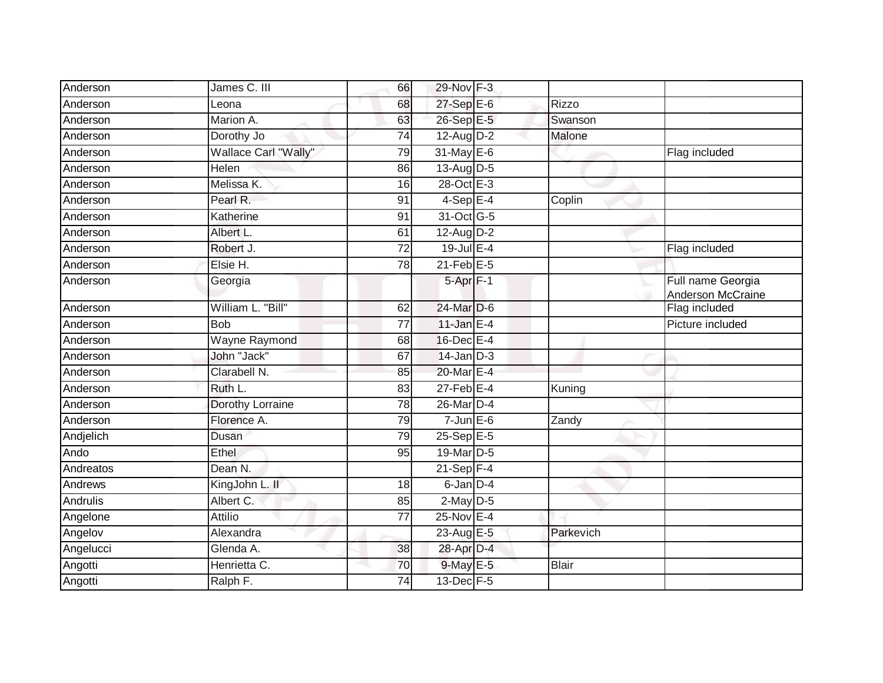| Anderson  | James C. III         | 66              | 29-Nov F-3             |              |                                        |
|-----------|----------------------|-----------------|------------------------|--------------|----------------------------------------|
| Anderson  | Leona                | 68              | 27-Sep E-6             | <b>Rizzo</b> |                                        |
| Anderson  | Marion A.            | 63              | 26-Sep E-5             | Swanson      |                                        |
| Anderson  | Dorothy Jo           | 74              | $12$ -AugD-2           | Malone       |                                        |
| Anderson  | Wallace Carl "Wally" | 79              | 31-May E-6             |              | Flag included                          |
| Anderson  | Helen                | 86              | $13-Au\overline{g}D-5$ |              |                                        |
| Anderson  | Melissa K.           | 16              | 28-Oct E-3             |              |                                        |
| Anderson  | Pearl R.             | 91              | $4-Sep$ E-4            | Coplin       |                                        |
| Anderson  | Katherine            | 91              | 31-Oct G-5             |              |                                        |
| Anderson  | Albert L.            | 61              | 12-Aug D-2             |              |                                        |
| Anderson  | Robert J.            | $\overline{72}$ | 19-Jul E-4             |              | Flag included                          |
| Anderson  | Elsie H.             | 78              | $21$ -Feb $E-5$        |              |                                        |
| Anderson  | Georgia              |                 | 5-Apr <sub>F-1</sub>   |              | Full name Georgia<br>Anderson McCraine |
| Anderson  | William L. "Bill"    | 62              | 24-Mar D-6             |              | Flag included                          |
| Anderson  | <b>Bob</b>           | $\overline{77}$ | 11-Jan $E-4$           |              | Picture included                       |
| Anderson  | Wayne Raymond        | 68              | 16-Dec E-4             |              |                                        |
| Anderson  | John "Jack"          | 67              | $14$ -Jan $D-3$        |              |                                        |
| Anderson  | Clarabell N.         | 85              | 20-Mar E-4             |              |                                        |
| Anderson  | Ruth L.              | 83              | $27$ -Feb $E-4$        | Kuning       |                                        |
| Anderson  | Dorothy Lorraine     | 78              | 26-Mar D-4             |              |                                        |
| Anderson  | Florence A.          | 79              | $7$ -Jun $E$ -6        | Zandy        |                                        |
| Andjelich | Dusan                | 79              | 25-Sep E-5             |              |                                        |
| Ando      | Ethel                | 95              | 19-Mar D-5             |              |                                        |
| Andreatos | Dean N.              |                 | $21-Sep$ F-4           |              |                                        |
| Andrews   | KingJohn L. II       | 18              | $6$ -Jan $D-4$         |              |                                        |
| Andrulis  | Albert C.            | 85              | $2$ -May $D-5$         |              |                                        |
| Angelone  | <b>Attilio</b>       | $\overline{77}$ | 25-Nov E-4             |              |                                        |
| Angelov   | Alexandra            |                 | 23-Aug E-5             | Parkevich    |                                        |
| Angelucci | Glenda A.            | 38              | 28-Apr D-4             |              |                                        |
| Angotti   | Henrietta C.         | 70              | $9$ -May $E-5$         | <b>Blair</b> |                                        |
| Angotti   | Ralph F.             | 74              | 13-Dec F-5             |              |                                        |
|           |                      |                 |                        |              |                                        |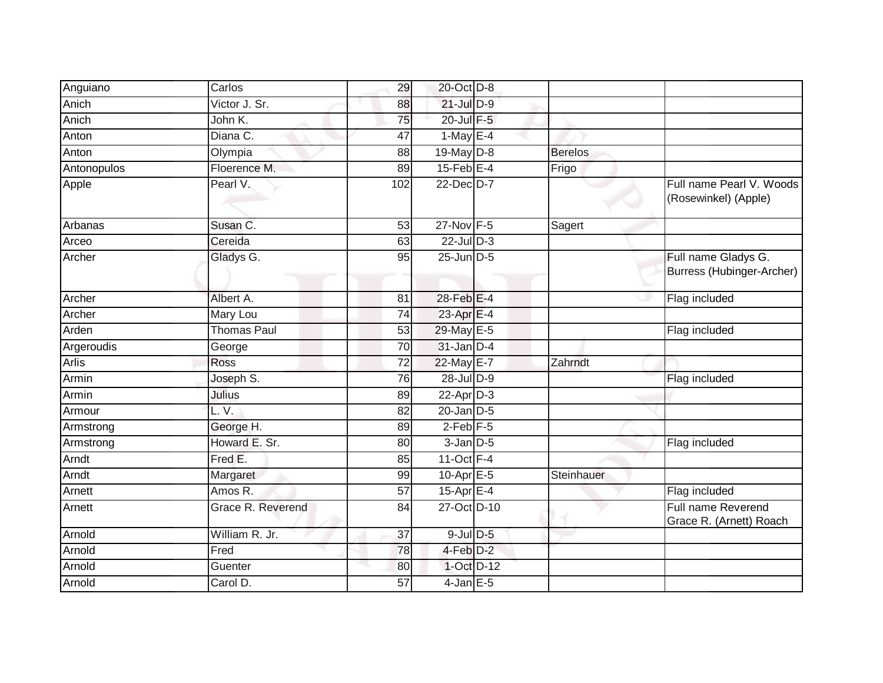| Anguiano     | Carlos             | 29  | 20-Oct D-8      |                |                                                  |
|--------------|--------------------|-----|-----------------|----------------|--------------------------------------------------|
| Anich        | Victor J. Sr.      | 88  | $21$ -Jul $D-9$ |                |                                                  |
| Anich        | John K.            | 75  | 20-Jul F-5      |                |                                                  |
| Anton        | Diana C.           | 47  | 1-May $E-4$     |                |                                                  |
| Anton        | Olympia            | 88  | 19-May D-8      | <b>Berelos</b> |                                                  |
| Antonopulos  | Floerence M.       | 89  | $15$ -Feb $E-4$ | Frigo          |                                                  |
| Apple        | Pearl V.           | 102 | 22-Dec D-7      |                | Full name Pearl V. Woods<br>(Rosewinkel) (Apple) |
| Arbanas      | Susan C.           | 53  | $27$ -Nov F-5   | Sagert         |                                                  |
| Arceo        | Cereida            | 63  | $22$ -Jul $D-3$ |                |                                                  |
| Archer       | Gladys G.          | 95  | 25-Jun D-5      |                | Full name Gladys G.<br>Burress (Hubinger-Archer) |
| Archer       | Albert A.          | 81  | 28-Feb E-4      |                | Flag included                                    |
| Archer       | Mary Lou           | 74  | 23-Apr E-4      |                |                                                  |
| Arden        | <b>Thomas Paul</b> | 53  | 29-May E-5      |                | Flag included                                    |
| Argeroudis   | George             | 70  | $31$ -Jan D-4   |                |                                                  |
| <b>Arlis</b> | Ross               | 72  | 22-May E-7      | Zahrndt        |                                                  |
| Armin        | Joseph S.          | 76  | $28$ -Jul $D-9$ |                | Flag included                                    |
| Armin        | <b>Julius</b>      | 89  | $22$ -Apr $D-3$ |                |                                                  |
| Armour       | L.V.               | 82  | $20$ -Jan $D-5$ |                |                                                  |
| Armstrong    | George H.          | 89  | $2$ -Feb $F-5$  |                |                                                  |
| Armstrong    | Howard E. Sr.      | 80  | $3$ -Jan $D-5$  |                | Flag included                                    |
| Arndt        | Fred E.            | 85  | $11-Oct$ F-4    |                |                                                  |
| Arndt        | Margaret           | 99  | 10-Apr E-5      | Steinhauer     |                                                  |
| Arnett       | Amos R.            | 57  | 15-Apr E-4      |                | Flag included                                    |
| Arnett       | Grace R. Reverend  | 84  | 27-Oct D-10     |                | Full name Reverend<br>Grace R. (Arnett) Roach    |
| Arnold       | William R. Jr.     | 37  | $9$ -Jul $D$ -5 |                |                                                  |
| Arnold       | Fred               | 78  | 4-Feb D-2       |                |                                                  |
| Arnold       | Guenter            | 80  | 1-Oct D-12      |                |                                                  |
| Arnold       | Carol D.           | 57  | $4$ -Jan E-5    |                |                                                  |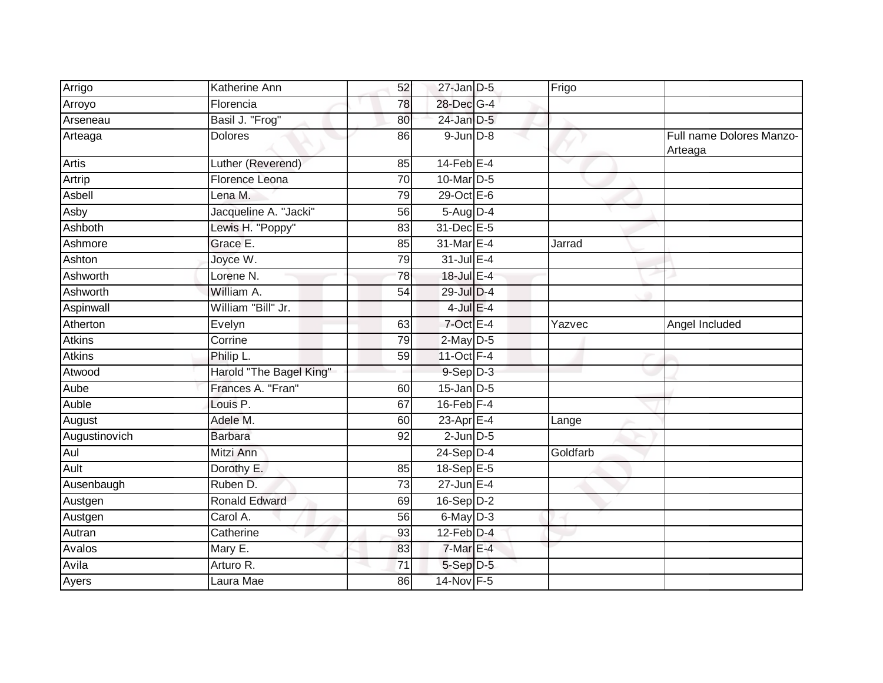| Arrigo        | <b>Katherine Ann</b>    | 52              | $27$ -Jan D-5     | Frigo    |                                     |
|---------------|-------------------------|-----------------|-------------------|----------|-------------------------------------|
| Arroyo        | Florencia               | 78              | 28-Dec G-4        |          |                                     |
| Arseneau      | Basil J. "Frog"         | 80              | 24-Jan D-5        |          |                                     |
| Arteaga       | <b>Dolores</b>          | 86              | $9$ -Jun $D-8$    |          | Full name Dolores Manzo-<br>Arteaga |
| Artis         | Luther (Reverend)       | 85              | $14$ -Feb $E$ -4  |          |                                     |
| Artrip        | Florence Leona          | $\overline{70}$ | 10-Mar D-5        |          |                                     |
| Asbell        | Lena M.                 | 79              | $29$ -Oct $E-6$   |          |                                     |
| Asby          | Jacqueline A. "Jacki"   | 56              | $5-Aug$ D-4       |          |                                     |
| Ashboth       | Lewis H. "Poppy"        | 83              | 31-Dec E-5        |          |                                     |
| Ashmore       | Grace E.                | 85              | 31-Mar E-4        | Jarrad   |                                     |
| Ashton        | Joyce W.                | 79              | 31-Jul E-4        |          |                                     |
| Ashworth      | Lorene <sub>N.</sub>    | 78              | 18-Jul E-4        |          |                                     |
| Ashworth      | William A.              | 54              | 29-Jul D-4        |          |                                     |
| Aspinwall     | William "Bill" Jr.      |                 | $4$ -Jul $E-4$    |          |                                     |
| Atherton      | Evelyn                  | 63              | 7-Oct E-4         | Yazvec   | Angel Included                      |
| <b>Atkins</b> | Corrine                 | 79              | 2-May D-5         |          |                                     |
| <b>Atkins</b> | Philip L.               | 59              | 11-Oct $F-4$      |          |                                     |
| Atwood        | Harold "The Bagel King" |                 | $9-$ Sep $D-3$    |          |                                     |
| Aube          | Frances A. "Fran"       | 60              | $15$ -Jan $ D-5 $ |          |                                     |
| Auble         | Louis P.                | 67              | $16$ -Feb $F-4$   |          |                                     |
| August        | Adele M.                | 60              | 23-Apr E-4        | Lange    |                                     |
| Augustinovich | <b>Barbara</b>          | 92              | $2$ -Jun $D-5$    |          |                                     |
| Aul           | Mitzi Ann               |                 | $24-Sep$ D-4      | Goldfarb |                                     |
| Ault          | Dorothy E.              | 85              | 18-Sep E-5        |          |                                     |
| Ausenbaugh    | Ruben D.                | $\overline{73}$ | $27$ -Jun $E-4$   |          |                                     |
| Austgen       | <b>Ronald Edward</b>    | 69              | $16-Sep$ D-2      |          |                                     |
| Austgen       | Carol A.                | $\overline{56}$ | 6-May D-3         |          |                                     |
| Autran        | Catherine               | 93              | $12$ -Feb $D-4$   |          |                                     |
| Avalos        | Mary E.                 | 83              | 7-Mar E-4         |          |                                     |
| Avila         | Arturo R.               | 71              | $5-Sep$ $D-5$     |          |                                     |
| Ayers         | Laura Mae               | 86              | 14-Nov F-5        |          |                                     |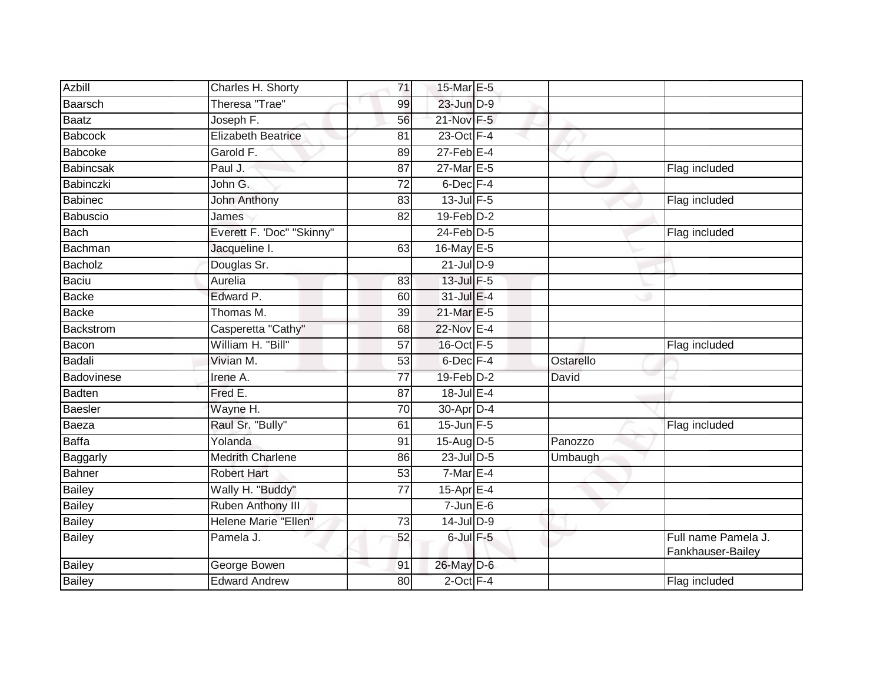| <b>Azbill</b>  | Charles H. Shorty           | 71              | 15-Mar E-5      |           |                                          |
|----------------|-----------------------------|-----------------|-----------------|-----------|------------------------------------------|
| Baarsch        | Theresa "Trae"              | 99              | 23-Jun D-9      |           |                                          |
| <b>Baatz</b>   | Joseph F.                   | 56              | 21-Nov F-5      |           |                                          |
| Babcock        | <b>Elizabeth Beatrice</b>   | 81              | 23-Oct F-4      |           |                                          |
| <b>Babcoke</b> | Garold F.                   | 89              | $27$ -Feb $E-4$ |           |                                          |
| Babincsak      | Paul J.                     | 87              | 27-Mar E-5      |           | Flag included                            |
| Babinczki      | John G.                     | 72              | $6$ -Dec $F-4$  |           |                                          |
| <b>Babinec</b> | <b>John Anthony</b>         | 83              | $13$ -Jul $F-5$ |           | Flag included                            |
| Babuscio       | James                       | 82              | 19-Feb D-2      |           |                                          |
| Bach           | Everett F. 'Doc" "Skinny"   |                 | $24$ -Feb $D-5$ |           | Flag included                            |
| Bachman        | Jacqueline I.               | 63              | 16-May E-5      |           |                                          |
| Bacholz        | Douglas Sr.                 |                 | $21$ -Jul $D-9$ |           |                                          |
| Baciu          | Aurelia                     | 83              | 13-Jul F-5      |           |                                          |
| Backe          | Edward P.                   | 60              | 31-Jul E-4      |           |                                          |
| Backe          | Thomas M.                   | 39              | 21-Mar E-5      |           |                                          |
| Backstrom      | Casperetta "Cathy"          | 68              | 22-Nov E-4      |           |                                          |
| Bacon          | William H. "Bill"           | $\overline{57}$ | 16-Oct F-5      |           | Flag included                            |
| Badali         | Vivian M.                   | 53              | $6$ -Dec $F-4$  | Ostarello |                                          |
| Badovinese     | Irene A.                    | 77              | $19$ -Feb $D-2$ | David     |                                          |
| Badten         | Fred E.                     | 87              | 18-Jul E-4      |           |                                          |
| Baesler        | Wayne H.                    | 70              | 30-Apr D-4      |           |                                          |
| Baeza          | Raul Sr. "Bully"            | 61              | $15$ -Jun $F-5$ |           | Flag included                            |
| <b>Baffa</b>   | Yolanda                     | 91              | 15-Aug D-5      | Panozzo   |                                          |
| Baggarly       | <b>Medrith Charlene</b>     | 86              | $23$ -Jul $D-5$ | Umbaugh   |                                          |
| <b>Bahner</b>  | <b>Robert Hart</b>          | 53              | $7-MarE-4$      |           |                                          |
| Bailey         | Wally H. "Buddy"            | 77              | $15$ -Apr $E-4$ |           |                                          |
| <b>Bailey</b>  | Ruben Anthony III           |                 | $7$ -Jun $E$ -6 |           |                                          |
| Bailey         | <b>Helene Marie "Ellen"</b> | 73              | $14$ -Jul $D-9$ |           |                                          |
| Bailey         | Pamela J.                   | 52              | $6$ -Jul $F-5$  |           | Full name Pamela J.<br>Fankhauser-Bailey |
| <b>Bailey</b>  | George Bowen                | 91              | 26-May D-6      |           |                                          |
| <b>Bailey</b>  | <b>Edward Andrew</b>        | 80              | $2$ -Oct $F-4$  |           | Flag included                            |
|                |                             |                 |                 |           |                                          |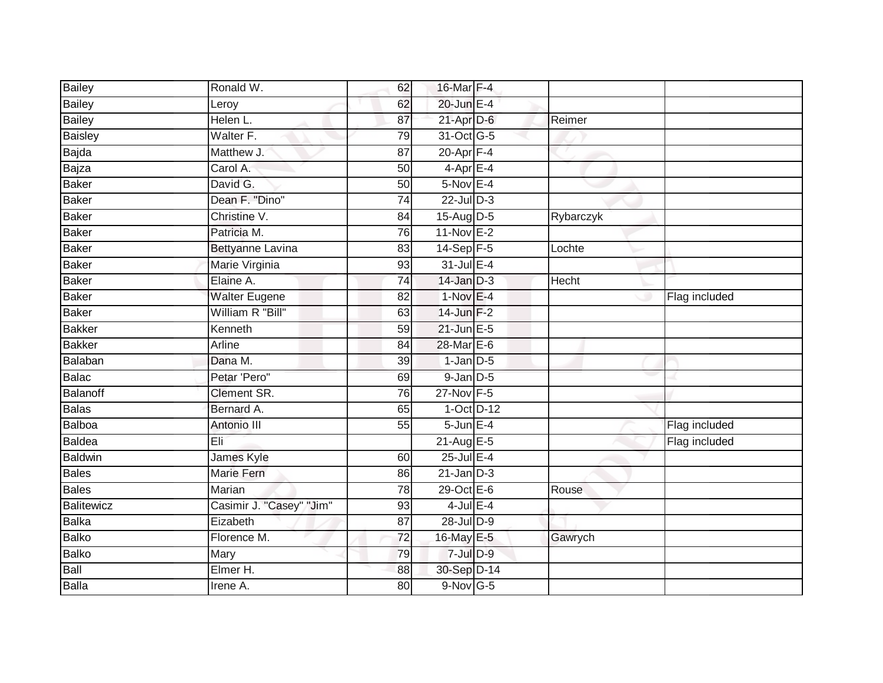| <b>Bailey</b>  | Ronald W.                | 62              | 16-Mar F-4      |           |               |
|----------------|--------------------------|-----------------|-----------------|-----------|---------------|
| <b>Bailey</b>  | Leroy                    | 62              | 20-Jun E-4      |           |               |
| <b>Bailey</b>  | Helen L.                 | 87              | $21$ -Apr $D-6$ | Reimer    |               |
| <b>Baisley</b> | Walter F.                | 79              | 31-Oct G-5      |           |               |
| Bajda          | Matthew J.               | $\overline{87}$ | $20 - Apr$ F-4  |           |               |
| Bajza          | Carol A.                 | 50              | $4$ -Apr $E-4$  |           |               |
| Baker          | David G.                 | 50              | $5-Nov$ E-4     |           |               |
| Baker          | Dean F. "Dino"           | 74              | $22$ -Jul $D-3$ |           |               |
| Baker          | Christine V.             | 84              | $15-Aug$ D-5    | Rybarczyk |               |
| Baker          | Patricia M.              | 76              | $11-Nov$ E-2    |           |               |
| Baker          | <b>Bettyanne Lavina</b>  | 83              | 14-Sep F-5      | Lochte    |               |
| Baker          | Marie Virginia           | 93              | $31$ -Jul E-4   |           |               |
| Baker          | Elaine A.                | 74              | $14$ -Jan $D-3$ | Hecht     |               |
| Baker          | <b>Walter Eugene</b>     | 82              | $1-NovE-4$      |           | Flag included |
| Baker          | William R "Bill"         | 63              | $14$ -Jun $F-2$ |           |               |
| <b>Bakker</b>  | Kenneth                  | 59              | $21$ -Jun $E-5$ |           |               |
| <b>Bakker</b>  | Arline                   | $\overline{84}$ | 28-Mar E-6      |           |               |
| Balaban        | Dana M.                  | 39              | $1$ -Jan $D-5$  |           |               |
| Balac          | Petar 'Pero"             | 69              | $9$ -Jan $D$ -5 |           |               |
| Balanoff       | <b>Clement SR.</b>       | 76              | 27-Nov F-5      |           |               |
| Balas          | Bernard A.               | 65              | $1-Oct$ D-12    |           |               |
| Balboa         | Antonio III              | 55              | $5$ -Jun $E-4$  |           | Flag included |
| Baldea         | Èli                      |                 | 21-Aug E-5      |           | Flag included |
| Baldwin        | James Kyle               | 60              | 25-Jul E-4      |           |               |
| <b>Bales</b>   | <b>Marie Fern</b>        | 86              | $21$ -Jan $D-3$ |           |               |
| Bales          | Marian                   | 78              | $29$ -Oct $E-6$ | Rouse     |               |
| Balitewicz     | Casimir J. "Casey" "Jim" | 93              | $4$ -Jul $E-4$  |           |               |
| Balka          | Eizabeth                 | 87              | 28-Jul D-9      |           |               |
| <b>Balko</b>   | Florence M.              | 72              | 16-May E-5      | Gawrych   |               |
| Balko          | Mary                     | 79              | $7$ -Jul $D-9$  |           |               |
| Ball           | Elmer H.                 | 88              | 30-Sep D-14     |           |               |
| Balla          | Irene A.                 | $\overline{80}$ | 9-Nov G-5       |           |               |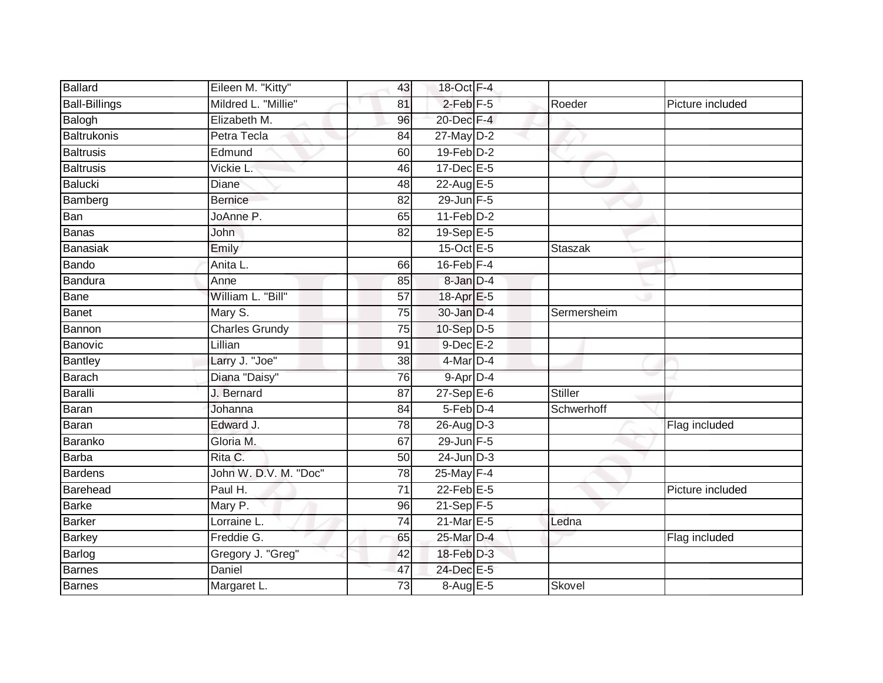| Ballard              | Eileen M. "Kitty"     | 43              | 18-Oct F-4       |                |                  |
|----------------------|-----------------------|-----------------|------------------|----------------|------------------|
| <b>Ball-Billings</b> | Mildred L. "Millie"   | 81              | $2$ -Feb $F-5$   | Roeder         | Picture included |
| <b>Balogh</b>        | Elizabeth M.          | 96              | 20-Dec F-4       |                |                  |
| Baltrukonis          | Petra Tecla           | 84              | 27-May D-2       |                |                  |
| <b>Baltrusis</b>     | Edmund                | 60              | $19$ -Feb $D-2$  |                |                  |
| <b>Baltrusis</b>     | Vickie L.             | 46              | 17-Dec E-5       |                |                  |
| Balucki              | Diane                 | 48              | $22$ -Aug E-5    |                |                  |
| Bamberg              | <b>Bernice</b>        | 82              | $29$ -Jun F-5    |                |                  |
| Ban                  | JoAnne P.             | 65              | $11-Feb$ D-2     |                |                  |
| Banas                | John                  | $\overline{82}$ | 19-Sep E-5       |                |                  |
| Banasiak             | Emily                 |                 | 15-Oct E-5       | <b>Staszak</b> |                  |
| Bando                | Anita L.              | 66              | $16$ -Feb $F-4$  |                |                  |
| Bandura              | Anne                  | 85              | 8-Jan D-4        |                |                  |
| Bane                 | William L. "Bill"     | 57              | 18-Apr E-5       |                |                  |
| <b>Banet</b>         | Mary S.               | $\overline{75}$ | 30-Jan D-4       | Sermersheim    |                  |
| Bannon               | <b>Charles Grundy</b> | 75              | 10-Sep D-5       |                |                  |
| Banovic              | Lillian               | $\overline{91}$ | $9$ -Dec $E-2$   |                |                  |
| Bantley              | Larry J. "Joe"        | 38              | 4-Mar D-4        |                |                  |
| <b>Barach</b>        | Diana "Daisy"         | 76              | 9-Apr D-4        |                |                  |
| Baralli              | J. Bernard            | $\overline{87}$ | $27 - SepE-6$    | Stiller        |                  |
| Baran                | Johanna               | 84              | 5-Feb D-4        | Schwerhoff     |                  |
| <b>Baran</b>         | Edward J.             | 78              | 26-Aug D-3       |                | Flag included    |
| Baranko              | Gloria M.             | 67              | $29$ -Jun F-5    |                |                  |
| Barba                | Rita C.               | 50              | $24$ -Jun $D-3$  |                |                  |
| Bardens              | John W. D.V. M. "Doc" | 78              | 25-May F-4       |                |                  |
| Barehead             | Paul H.               | $\overline{71}$ | $22$ -Feb $E$ -5 |                | Picture included |
| <b>Barke</b>         | Mary P.               | 96              | $21-Sep$ F-5     |                |                  |
| <b>Barker</b>        | Lorraine L.           | 74              | $21$ -Mar $E-5$  | Ledna          |                  |
| Barkey               | Freddie G.            | 65              | 25-Mar D-4       |                | Flag included    |
| Barlog               | Gregory J. "Greg"     | 42              | 18-Feb D-3       |                |                  |
| Barnes               | Daniel                | 47              | 24-Dec E-5       |                |                  |
| Barnes               | Margaret L.           | 73              | 8-Aug E-5        | Skovel         |                  |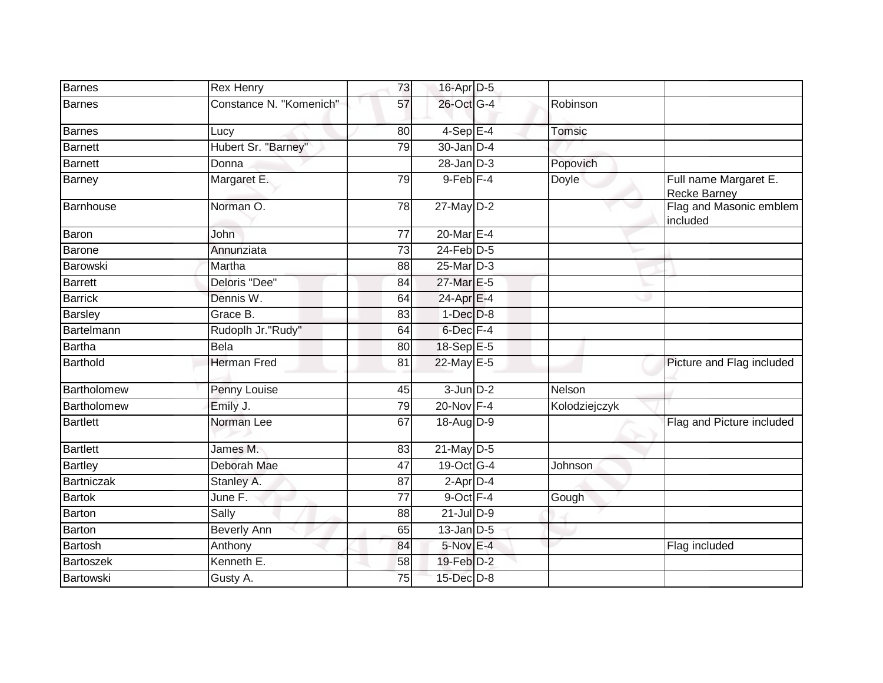| Barnes          | <b>Rex Henry</b>        | 73              | 16-Apr D-5       |               |                                       |
|-----------------|-------------------------|-----------------|------------------|---------------|---------------------------------------|
| Barnes          | Constance N. "Komenich" | 57              | 26-Oct G-4       | Robinson      |                                       |
| <b>Barnes</b>   | Lucy                    | 80              | $4-SepE-4$       | Tomsic        |                                       |
| Barnett         | Hubert Sr. "Barney"     | 79              | $30 - Jan$ $D-4$ |               |                                       |
| <b>Barnett</b>  | Donna                   |                 | $28 - Jan$ $D-3$ | Popovich      |                                       |
| Barney          | Margaret E.             | 79              | $9$ -Feb $F-4$   | <b>Doyle</b>  | Full name Margaret E.<br>Recke Barney |
| Barnhouse       | Norman O.               | 78              | 27-May D-2       |               | Flag and Masonic emblem<br>included   |
| Baron           | John                    | 77              | $20$ -Mar $E-4$  |               |                                       |
| Barone          | Annunziata              | $\overline{73}$ | $24$ -Feb $D-5$  |               |                                       |
| Barowski        | Martha                  | 88              | 25-Mar D-3       |               |                                       |
| <b>Barrett</b>  | Deloris "Dee"           | 84              | 27-Mar E-5       |               |                                       |
| <b>Barrick</b>  | Dennis W.               | 64              | 24-Apr E-4       |               |                                       |
| <b>Barsley</b>  | Grace B.                | 83              | $1-Dec$ $D-8$    |               |                                       |
| Bartelmann      | Rudoplh Jr."Rudy"       | 64              | 6-Dec F-4        |               |                                       |
| Bartha          | <b>Bela</b>             | 80              | 18-Sep E-5       |               |                                       |
| Barthold        | <b>Herman Fred</b>      | 81              | 22-May E-5       |               | Picture and Flag included             |
| Bartholomew     | Penny Louise            | 45              | $3$ -Jun $D-2$   | Nelson        |                                       |
| Bartholomew     | Emily J.                | 79              | $20$ -Nov $F-4$  | Kolodziejczyk |                                       |
| <b>Bartlett</b> | Norman Lee              | 67              | 18-Aug D-9       |               | Flag and Picture included             |
| <b>Bartlett</b> | James M.                | 83              | 21-May D-5       |               |                                       |
| <b>Bartley</b>  | Deborah Mae             | $\overline{47}$ | 19-Oct G-4       | Johnson       |                                       |
| Bartniczak      | Stanley A.              | 87              | $2$ -Apr $D-4$   |               |                                       |
| <b>Bartok</b>   | June F.                 | 77              | 9-Oct F-4        | Gough         |                                       |
| Barton          | Sally                   | 88              | $21$ -Jul $D-9$  |               |                                       |
| Barton          | Beverly Ann             | 65              | $13$ -Jan $D-5$  |               |                                       |
| <b>Bartosh</b>  | Anthony                 | 84              | $5-Nov$ E-4      |               | Flag included                         |
| Bartoszek       | Kenneth E.              | 58              | 19-Feb D-2       |               |                                       |
| Bartowski       | Gusty A.                | 75              | 15-Dec D-8       |               |                                       |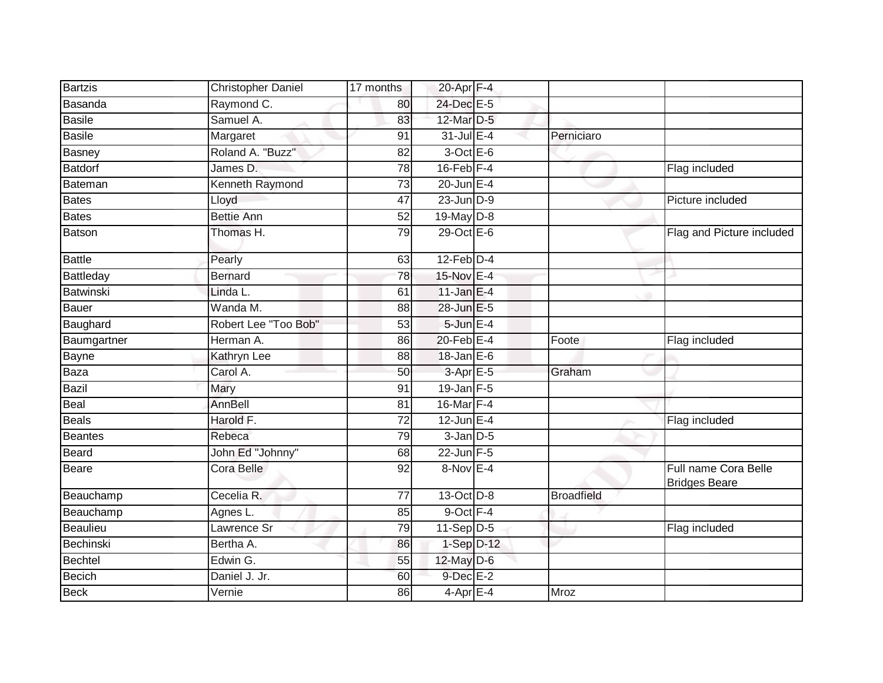| <b>Bartzis</b>   | <b>Christopher Daniel</b> | 17 months       | 20-Apr F-4       |                   |                                              |
|------------------|---------------------------|-----------------|------------------|-------------------|----------------------------------------------|
| Basanda          | Raymond C.                | 80              | 24-Dec E-5       |                   |                                              |
| <b>Basile</b>    | Samuel A.                 | 83              | 12-Mar D-5       |                   |                                              |
| <b>Basile</b>    | Margaret                  | 91              | $31$ -Jul $E-4$  | Perniciaro        |                                              |
| Basney           | Roland A. "Buzz"          | $\overline{82}$ | $3$ -Oct $E - 6$ |                   |                                              |
| <b>Batdorf</b>   | James D.                  | $\overline{78}$ | $16$ -Feb $F-4$  |                   | Flag included                                |
| Bateman          | Kenneth Raymond           | 73              | $20$ -Jun $E-4$  |                   |                                              |
| <b>Bates</b>     | Lloyd                     | 47              | $23$ -Jun $D-9$  |                   | Picture included                             |
| <b>Bates</b>     | <b>Bettie Ann</b>         | 52              | 19-May D-8       |                   |                                              |
| Batson           | Thomas H.                 | 79              | 29-Oct E-6       |                   | Flag and Picture included                    |
| <b>Battle</b>    | Pearly                    | 63              | $12$ -Feb $D-4$  |                   |                                              |
| Battleday        | <b>Bernard</b>            | 78              | 15-Nov E-4       |                   |                                              |
| <b>Batwinski</b> | Linda L.                  | 61              | $11$ -Jan E-4    |                   |                                              |
| <b>Bauer</b>     | Wanda M.                  | 88              | 28-Jun E-5       |                   |                                              |
| Baughard         | Robert Lee "Too Bob"      | 53              | 5-Jun E-4        |                   |                                              |
| Baumgartner      | Herman A.                 | 86              | 20-Feb E-4       | Foote             | Flag included                                |
| Bayne            | Kathryn Lee               | 88              | $18$ -Jan E-6    |                   |                                              |
| Baza             | Carol A.                  | 50              | $3-Apr \E 5$     | Graham            |                                              |
| <b>Bazil</b>     | Mary                      | 91              | 19-Jan F-5       |                   |                                              |
| Beal             | AnnBell                   | 81              | 16-Mar F-4       |                   |                                              |
| <b>Beals</b>     | Harold F.                 | $\overline{72}$ | $12$ -Jun $E-4$  |                   | Flag included                                |
| Beantes          | Rebeca                    | 79              | $3$ -Jan $D-5$   |                   |                                              |
| Beard            | John Ed "Johnny"          | 68              | $22$ -Jun F-5    |                   |                                              |
| <b>Beare</b>     | Cora Belle                | 92              | 8-Nov E-4        |                   | Full name Cora Belle<br><b>Bridges Beare</b> |
| Beauchamp        | Cecelia R.                | 77              | 13-Oct D-8       | <b>Broadfield</b> |                                              |
| Beauchamp        | Agnes L.                  | 85              | 9-Oct F-4        |                   |                                              |
| <b>Beaulieu</b>  | Lawrence Sr               | 79              | $11-Sep$ D-5     |                   | Flag included                                |
| Bechinski        | Bertha A.                 | 86              | $1-Sep$ $D-12$   |                   |                                              |
| Bechtel          | Edwin G.                  | 55              | 12-May D-6       |                   |                                              |
| <b>Becich</b>    | Daniel J. Jr.             | 60              | 9-Dec E-2        |                   |                                              |
| <b>Beck</b>      | Vernie                    | 86              | $4$ -Apr $E-4$   | Mroz              |                                              |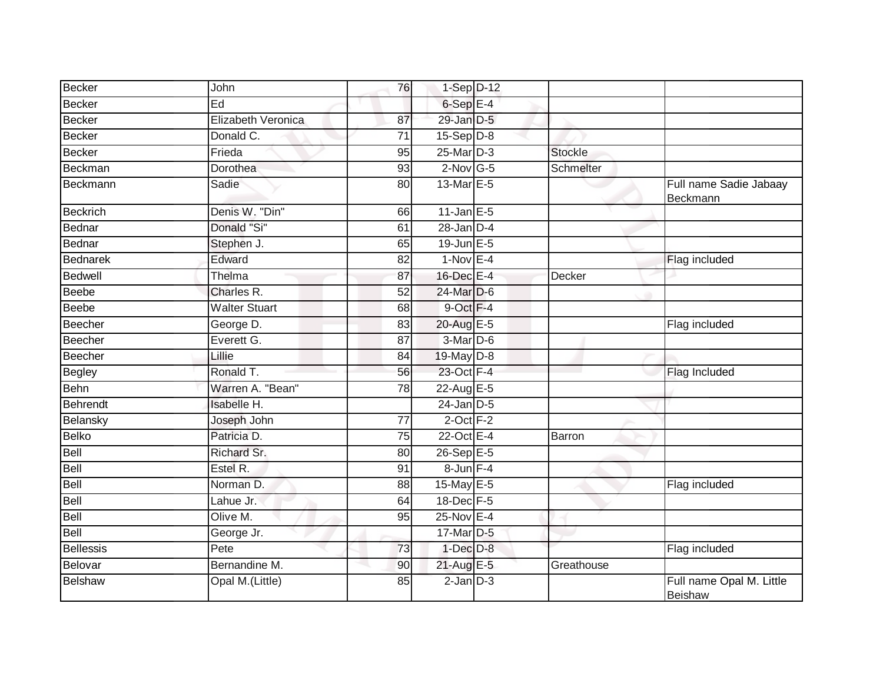| Becker           | John                 | 76              | $1-Sep$ D-12            |                |                                     |
|------------------|----------------------|-----------------|-------------------------|----------------|-------------------------------------|
| Becker           | Ed                   |                 | 6-Sep E-4               |                |                                     |
| <b>Becker</b>    | Elizabeth Veronica   | 87              | 29-Jan D-5              |                |                                     |
| <b>Becker</b>    | Donald C.            | 71              | $15-Sep D-8$            |                |                                     |
| <b>Becker</b>    | Frieda               | 95              | 25-Mar D-3              | <b>Stockle</b> |                                     |
| Beckman          | <b>Dorothea</b>      | 93              | $2$ -Nov G-5            | Schmelter      |                                     |
| Beckmann         | Sadie                | 80              | 13-Mar E-5              |                | Full name Sadie Jabaay<br>Beckmann  |
| <b>Beckrich</b>  | Denis W. "Din"       | 66              | $11$ -Jan E-5           |                |                                     |
| <b>Bednar</b>    | Donald "Si"          | 61              | $28$ -Jan $D-4$         |                |                                     |
| Bednar           | Stephen J.           | 65              | $19$ -Jun $E - 5$       |                |                                     |
| Bednarek         | Edward               | 82              | $1-Nov$ E-4             |                | Flag included                       |
| <b>Bedwell</b>   | Thelma               | 87              | 16-Dec E-4              | Decker         |                                     |
| <b>Beebe</b>     | Charles R.           | 52              | 24-Mar D-6              |                |                                     |
| <b>Beebe</b>     | <b>Walter Stuart</b> | 68              | 9-Oct F-4               |                |                                     |
| <b>Beecher</b>   | George D.            | 83              | 20-Aug E-5              |                | Flag included                       |
| <b>Beecher</b>   | Everett G.           | 87              | $3-Mar\overline{D} - 6$ |                |                                     |
| Beecher          | Lillie               | 84              | 19-May D-8              |                |                                     |
| Begley           | Ronald T.            | 56              | 23-Oct F-4              |                | Flag Included                       |
| Behn             | Warren A. "Bean"     | 78              | 22-Aug E-5              |                |                                     |
| <b>Behrendt</b>  | Isabelle H.          |                 | $24$ -Jan $D-5$         |                |                                     |
| Belansky         | Joseph John          | $\overline{77}$ | $2$ -Oct $F-2$          |                |                                     |
| Belko            | Patricia D.          | 75              | 22-Oct E-4              | Barron         |                                     |
| Bell             | Richard Sr.          | 80              | 26-Sep E-5              |                |                                     |
| Bell             | Estel R.             | 91              | $8$ -Jun $F-4$          |                |                                     |
| Bell             | Norman D.            | 88              | 15-May E-5              |                | Flag included                       |
| Bell             | Lahue Jr.            | 64              | 18-Dec F-5              |                |                                     |
| <b>Bell</b>      | Olive M.             | 95              | 25-Nov E-4              |                |                                     |
| Bell             | George Jr.           |                 | 17-Mar D-5              |                |                                     |
| <b>Bellessis</b> | Pete                 | 73              | $1-Dec$ $D-8$           |                | Flag included                       |
| Belovar          | Bernandine M.        | 90              | 21-Aug E-5              | Greathouse     |                                     |
| <b>Belshaw</b>   | Opal M.(Little)      | 85              | $2$ -Jan $D-3$          |                | Full name Opal M. Little<br>Beishaw |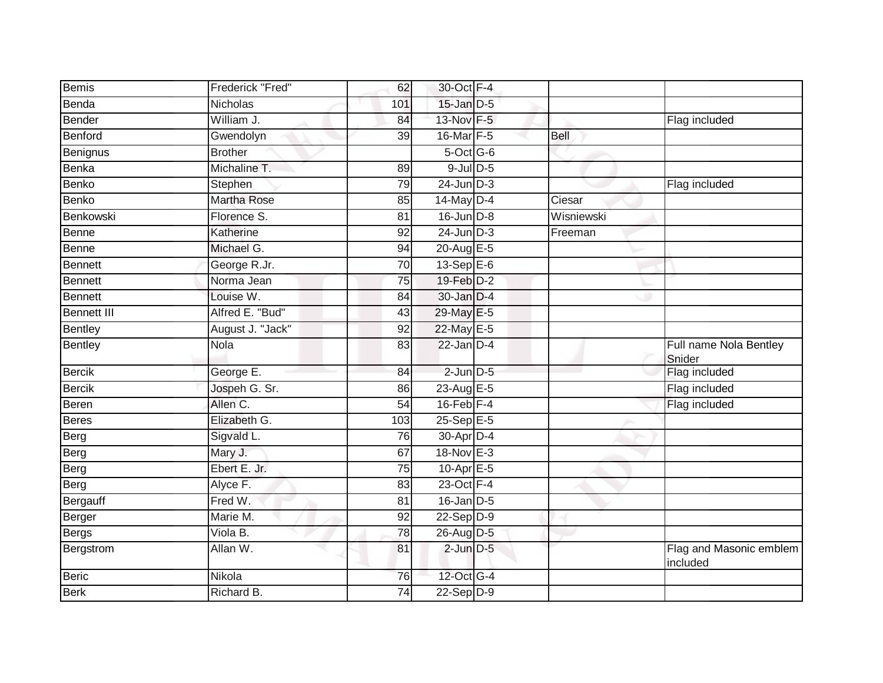| Frederick "Fred"   | 62              |  |                                                                                                                                                                                                                                                                                                                                                                                                                                                                                                            |                                     |
|--------------------|-----------------|--|------------------------------------------------------------------------------------------------------------------------------------------------------------------------------------------------------------------------------------------------------------------------------------------------------------------------------------------------------------------------------------------------------------------------------------------------------------------------------------------------------------|-------------------------------------|
| <b>Nicholas</b>    | 101             |  |                                                                                                                                                                                                                                                                                                                                                                                                                                                                                                            |                                     |
| William J.         | 84              |  |                                                                                                                                                                                                                                                                                                                                                                                                                                                                                                            | Flag included                       |
| Gwendolyn          | 39              |  | Bell                                                                                                                                                                                                                                                                                                                                                                                                                                                                                                       |                                     |
| <b>Brother</b>     |                 |  |                                                                                                                                                                                                                                                                                                                                                                                                                                                                                                            |                                     |
| Michaline T.       | 89              |  |                                                                                                                                                                                                                                                                                                                                                                                                                                                                                                            |                                     |
| Stephen            | 79              |  |                                                                                                                                                                                                                                                                                                                                                                                                                                                                                                            | Flag included                       |
| <b>Martha Rose</b> | 85              |  | Ciesar                                                                                                                                                                                                                                                                                                                                                                                                                                                                                                     |                                     |
| Florence S.        | 81              |  | Wisniewski                                                                                                                                                                                                                                                                                                                                                                                                                                                                                                 |                                     |
| Katherine          | 92              |  | Freeman                                                                                                                                                                                                                                                                                                                                                                                                                                                                                                    |                                     |
| Michael G.         | 94              |  |                                                                                                                                                                                                                                                                                                                                                                                                                                                                                                            |                                     |
| George R.Jr.       | 70              |  |                                                                                                                                                                                                                                                                                                                                                                                                                                                                                                            |                                     |
| Norma Jean         | $\overline{75}$ |  |                                                                                                                                                                                                                                                                                                                                                                                                                                                                                                            |                                     |
| Louise W.          | 84              |  |                                                                                                                                                                                                                                                                                                                                                                                                                                                                                                            |                                     |
| Alfred E. "Bud"    | 43              |  |                                                                                                                                                                                                                                                                                                                                                                                                                                                                                                            |                                     |
| August J. "Jack"   | 92              |  |                                                                                                                                                                                                                                                                                                                                                                                                                                                                                                            |                                     |
| <b>Nola</b>        | 83              |  |                                                                                                                                                                                                                                                                                                                                                                                                                                                                                                            | Full name Nola Bentley<br>Snider    |
| George E.          | 84              |  |                                                                                                                                                                                                                                                                                                                                                                                                                                                                                                            | Flag included                       |
| Jospeh G. Sr.      | 86              |  |                                                                                                                                                                                                                                                                                                                                                                                                                                                                                                            | Flag included                       |
| Allen C.           | 54              |  |                                                                                                                                                                                                                                                                                                                                                                                                                                                                                                            | Flag included                       |
| Elizabeth G.       | 103             |  |                                                                                                                                                                                                                                                                                                                                                                                                                                                                                                            |                                     |
| Sigvald L.         | 76              |  |                                                                                                                                                                                                                                                                                                                                                                                                                                                                                                            |                                     |
| Mary J.            | 67              |  |                                                                                                                                                                                                                                                                                                                                                                                                                                                                                                            |                                     |
| Ebert E. Jr.       | 75              |  |                                                                                                                                                                                                                                                                                                                                                                                                                                                                                                            |                                     |
| Alyce F.           | 83              |  |                                                                                                                                                                                                                                                                                                                                                                                                                                                                                                            |                                     |
| Fred W.            | 81              |  |                                                                                                                                                                                                                                                                                                                                                                                                                                                                                                            |                                     |
| Marie M.           | $\overline{92}$ |  |                                                                                                                                                                                                                                                                                                                                                                                                                                                                                                            |                                     |
| Viola B.           | 78              |  |                                                                                                                                                                                                                                                                                                                                                                                                                                                                                                            |                                     |
| Allan W.           | 81              |  |                                                                                                                                                                                                                                                                                                                                                                                                                                                                                                            | Flag and Masonic emblem<br>included |
| Nikola             | 76              |  |                                                                                                                                                                                                                                                                                                                                                                                                                                                                                                            |                                     |
| Richard B.         | 74              |  |                                                                                                                                                                                                                                                                                                                                                                                                                                                                                                            |                                     |
|                    |                 |  | 30-Oct F-4<br>15-Jan D-5<br>13-Nov F-5<br>16-Mar F-5<br>5-Oct G-6<br>$9$ -Jul $D$ -5<br>$24$ -Jun $D-3$<br>14-May D-4<br>$16$ -Jun $D-8$<br>$24$ -Jun $D-3$<br>20-Aug E-5<br>$13-Sep$ E-6<br>19-Feb D-2<br>$30$ -Jan $D-4$<br>29-May E-5<br>22-May E-5<br>$22$ -Jan $D-4$<br>$2$ -Jun $D-5$<br>23-Aug E-5<br>$16$ -Feb $F-4$<br>$25 - SepE-5$<br>30-Apr D-4<br>18-Nov E-3<br>10-Apr $E-5$<br>23-Oct F-4<br>$16$ -Jan $ D-5 $<br>$22-Sep D-9$<br>26-Aug D-5<br>$2$ -Jun $D-5$<br>12-Oct G-4<br>$22-Sep$ D-9 |                                     |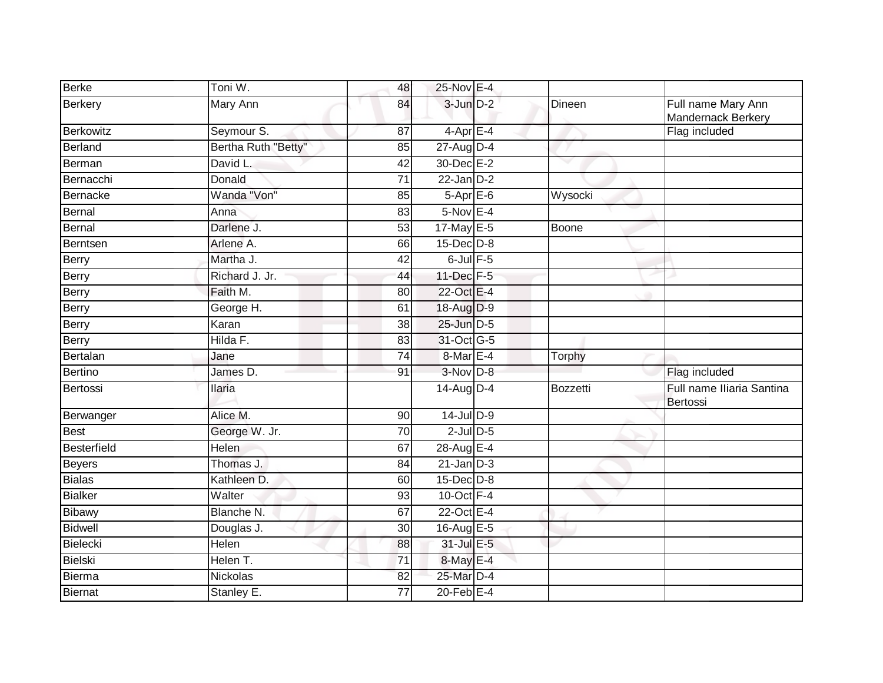| <b>Berke</b>       | Toni W.             | 48              | 25-Nov E-4      |                 |                                          |
|--------------------|---------------------|-----------------|-----------------|-----------------|------------------------------------------|
| Berkery            | Mary Ann            | 84              | $3$ -Jun $D-2$  | Dineen          | Full name Mary Ann<br>Mandernack Berkery |
| <b>Berkowitz</b>   | Seymour S.          | 87              | $4$ -Apr $E-4$  |                 | Flag included                            |
| Berland            | Bertha Ruth "Betty" | 85              | 27-Aug D-4      |                 |                                          |
| Berman             | David L.            | 42              | 30-Dec E-2      | w               |                                          |
| Bernacchi          | Donald              | $\overline{71}$ | $22$ -Jan $D-2$ |                 |                                          |
| <b>Bernacke</b>    | Wanda "Von"         | 85              | $5-Apr$ E-6     | Wysocki         |                                          |
| Bernal             | Anna                | 83              | $5-NovE-4$      |                 |                                          |
| Bernal             | Darlene J.          | $\overline{53}$ | 17-May E-5      | <b>Boone</b>    |                                          |
| Berntsen           | Arlene A.           | 66              | $15$ -Dec $D-8$ |                 |                                          |
| <b>Berry</b>       | Martha J.           | 42              | $6$ -Jul $F-5$  |                 |                                          |
| Berry              | Richard J. Jr.      | 44              | 11-Dec F-5      |                 |                                          |
| Berry              | Faith M.            | 80              | 22-Oct E-4      |                 |                                          |
| <b>Berry</b>       | George H.           | 61              | 18-Aug D-9      |                 |                                          |
| <b>Berry</b>       | Karan               | 38              | 25-Jun D-5      |                 |                                          |
| Berry              | Hilda F.            | 83              | 31-Oct G-5      |                 |                                          |
| Bertalan           | Jane                | 74              | 8-Mar E-4       | Torphy          |                                          |
| Bertino            | James D.            | 91              | 3-Nov D-8       |                 | Flag included                            |
| Bertossi           | <b>Ilaria</b>       |                 | $14$ -Aug D-4   | <b>Bozzetti</b> | Full name Iliaria Santina<br>Bertossi    |
| Berwanger          | Alice M.            | 90              | $14$ -Jul $D-9$ |                 |                                          |
| <b>Best</b>        | George W. Jr.       | 70              | $2$ -Jul $D$ -5 |                 |                                          |
| <b>Besterfield</b> | Helen               | 67              | 28-Aug E-4      |                 |                                          |
| <b>Beyers</b>      | Thomas J.           | 84              | $21$ -Jan $D-3$ |                 |                                          |
| <b>Bialas</b>      | Kathleen D.         | 60              | $15$ -Dec $D-8$ |                 |                                          |
| <b>Bialker</b>     | Walter              | 93              | 10-Oct $F-4$    |                 |                                          |
| Bibawy             | Blanche N.          | 67              | 22-Oct E-4      |                 |                                          |
| <b>Bidwell</b>     | Douglas J.          | 30              | 16-Aug E-5      |                 |                                          |
| <b>Bielecki</b>    | Helen               | 88              | 31-Jul E-5      |                 |                                          |
| <b>Bielski</b>     | Helen T.            | $\overline{71}$ | 8-May E-4       |                 |                                          |
| Bierma             | <b>Nickolas</b>     | 82              | 25-Mar D-4      |                 |                                          |
| <b>Biernat</b>     | Stanley E.          | 77              | $20$ -Feb $E-4$ |                 |                                          |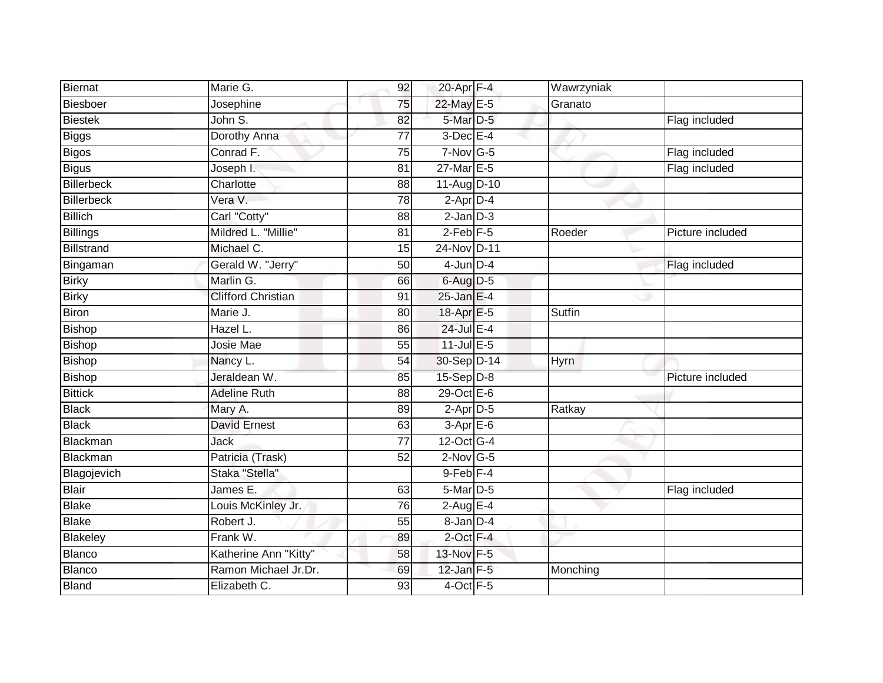| <b>Biernat</b>    | Marie G.                  | 92              | 20-Apr F-4            | Wawrzyniak  |                  |
|-------------------|---------------------------|-----------------|-----------------------|-------------|------------------|
| Biesboer          | Josephine                 | 75              | 22-May E-5            | Granato     |                  |
| <b>Biestek</b>    | John S.                   | 82              | 5-Mar D-5             |             | Flag included    |
| <b>Biggs</b>      | Dorothy Anna              | 77              | $3$ -Dec $E-4$        |             |                  |
| <b>Bigos</b>      | Conrad F.                 | 75              | $7-Nov$ G-5           |             | Flag included    |
| <b>Bigus</b>      | Joseph I.                 | 81              | 27-Mar E-5            |             | Flag included    |
| <b>Billerbeck</b> | Charlotte                 | 88              | 11-Aug D-10           |             |                  |
| Billerbeck        | Vera V.                   | 78              | $2-Apr\overline{D-4}$ |             |                  |
| <b>Billich</b>    | Carl "Cotty"              | 88              | $2$ -Jan $D-3$        |             |                  |
| <b>Billings</b>   | Mildred L. "Millie"       | $\overline{81}$ | $2-Feb$ F-5           | Roeder      | Picture included |
| Billstrand        | Michael C.                | 15              | 24-Nov D-11           |             |                  |
| Bingaman          | Gerald W. "Jerry"         | 50              | $4$ -Jun $D-4$        |             | Flag included    |
| <b>Birky</b>      | Marlin G.                 | 66              | 6-Aug D-5             |             |                  |
| <b>Birky</b>      | <b>Clifford Christian</b> | 91              | $25$ -Jan E-4         |             |                  |
| <b>Biron</b>      | Marie J.                  | 80              | 18-Apr E-5            | Sutfin      |                  |
| Bishop            | Hazel L.                  | 86              | 24-Jul E-4            |             |                  |
| Bishop            | Josie Mae                 | 55              | $11$ -Jul E-5         |             |                  |
| Bishop            | Nancy L.                  | 54              | 30-Sep D-14           | <b>Hyrn</b> |                  |
| <b>Bishop</b>     | Jeraldean W.              | 85              | 15-Sep D-8            |             | Picture included |
| <b>Bittick</b>    | <b>Adeline Ruth</b>       | 88              | 29-Oct E-6            |             |                  |
| <b>Black</b>      | Mary A.                   | 89              | $2$ -Apr $D-5$        | Ratkay      |                  |
| <b>Black</b>      | <b>David Ernest</b>       | 63              | $3-AprE-6$            |             |                  |
| Blackman          | Jack                      | $\overline{77}$ | 12-Oct G-4            |             |                  |
| Blackman          | Patricia (Trask)          | 52              | $2$ -Nov G-5          |             |                  |
| Blagojevich       | Staka "Stella"            |                 | $9$ -Feb $F-4$        |             |                  |
| Blair             | James $E$ .               | 63              | 5-Mar D-5             |             | Flag included    |
| <b>Blake</b>      | Louis McKinley Jr.        | 76              | $2$ -Aug E-4          |             |                  |
| <b>Blake</b>      | Robert J.                 | 55              | 8-Jan D-4             |             |                  |
| Blakeley          | Frank W.                  | 89              | $2$ -Oct $F-4$        |             |                  |
| Blanco            | Katherine Ann "Kitty"     | 58              | 13-Nov F-5            |             |                  |
| Blanco            | Ramon Michael Jr.Dr.      | 69              | 12-Jan F-5            | Monching    |                  |
| <b>Bland</b>      | Elizabeth C.              | 93              | 4-Oct F-5             |             |                  |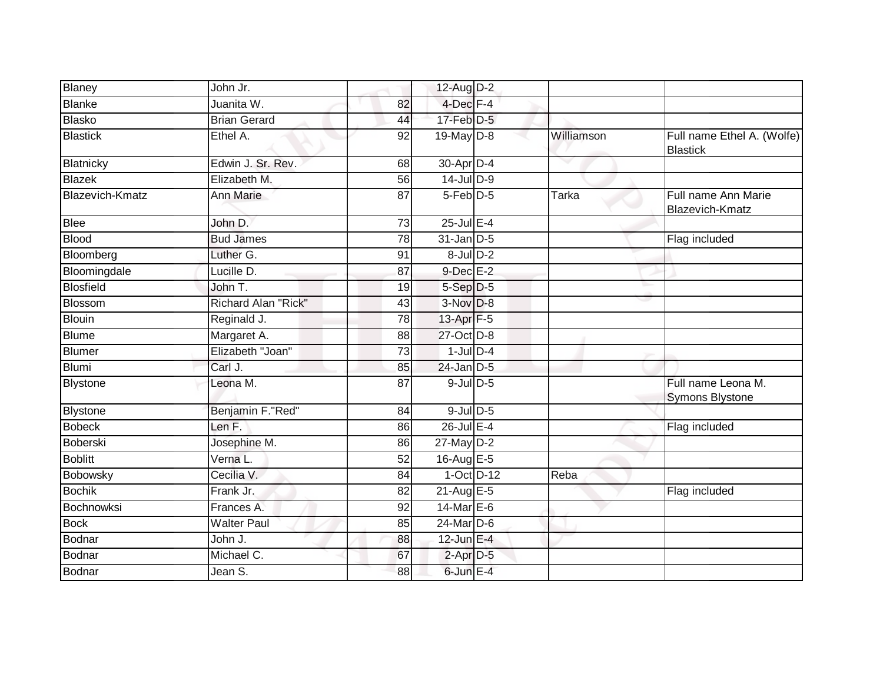| Blaney                 | John Jr.            |    | 12-Aug D-2            |              |                                               |
|------------------------|---------------------|----|-----------------------|--------------|-----------------------------------------------|
| <b>Blanke</b>          | Juanita W.          | 82 | 4-Dec F-4             |              |                                               |
| <b>Blasko</b>          | <b>Brian Gerard</b> | 44 | $17$ -Feb $D-5$       |              |                                               |
| <b>Blastick</b>        | Ethel A.            | 92 | $19$ -May D-8         | Williamson   | Full name Ethel A. (Wolfe)<br><b>Blastick</b> |
| Blatnicky              | Edwin J. Sr. Rev.   | 68 | 30-Apr D-4            |              |                                               |
| Blazek                 | Elizabeth M.        | 56 | 14-Jul D-9            |              |                                               |
| <b>Blazevich-Kmatz</b> | Ann Marie           | 87 | 5-Feb D-5             | <b>Tarka</b> | Full name Ann Marie<br>Blazevich-Kmatz        |
| <b>Blee</b>            | John D.             | 73 | $25$ -Jul $E-4$       |              |                                               |
| <b>Blood</b>           | <b>Bud James</b>    | 78 | $31$ -Jan D-5         |              | Flag included                                 |
| Bloomberg              | Luther G.           | 91 | $8$ -Jul $D-2$        |              |                                               |
| Bloomingdale           | Lucille D.          | 87 | $9$ -Dec $E-2$        |              |                                               |
| <b>Blosfield</b>       | John T.             | 19 | $5-Sep$ D-5           |              |                                               |
| Blossom                | Richard Alan "Rick" | 43 | $3-Nov$ $D-8$         |              |                                               |
| <b>Blouin</b>          | Reginald J.         | 78 | 13-Apr <sub>F-5</sub> |              |                                               |
| Blume                  | Margaret A.         | 88 | 27-Oct D-8            |              |                                               |
| <b>Blumer</b>          | Elizabeth "Joan"    | 73 | $1$ -Jul $D-4$        |              |                                               |
| <b>Blumi</b>           | Carl J.             | 85 | $24$ -Jan $D-5$       |              |                                               |
| Blystone               | Leona M.            | 87 | $9$ -Jul $D$ -5       |              | Full name Leona M.<br>Symons Blystone         |
| Blystone               | Benjamin F."Red"    | 84 | $9$ -Jul $D$ -5       |              |                                               |
| <b>Bobeck</b>          | Len F.              | 86 | 26-Jul E-4            |              | Flag included                                 |
| Boberski               | Josephine M.        | 86 | $27$ -May D-2         |              |                                               |
| <b>Boblitt</b>         | Verna L.            | 52 | 16-Aug E-5            |              |                                               |
| Bobowsky               | Cecilia V.          | 84 | $1-Oct$ D-12          | Reba         |                                               |
| <b>Bochik</b>          | Frank Jr.           | 82 | $21$ -Aug E-5         |              | Flag included                                 |
| Bochnowksi             | Frances A.          | 92 | 14-Mar E-6            |              |                                               |
| <b>Bock</b>            | <b>Walter Paul</b>  | 85 | $24$ -Mar $D-6$       |              |                                               |
| Bodnar                 | John J.             | 88 | $12$ -Jun $E-4$       |              |                                               |
| Bodnar                 | Michael C.          | 67 | $2$ -Apr $D-5$        |              |                                               |
| <b>Bodnar</b>          | Jean S.             | 88 | 6-Jun E-4             |              |                                               |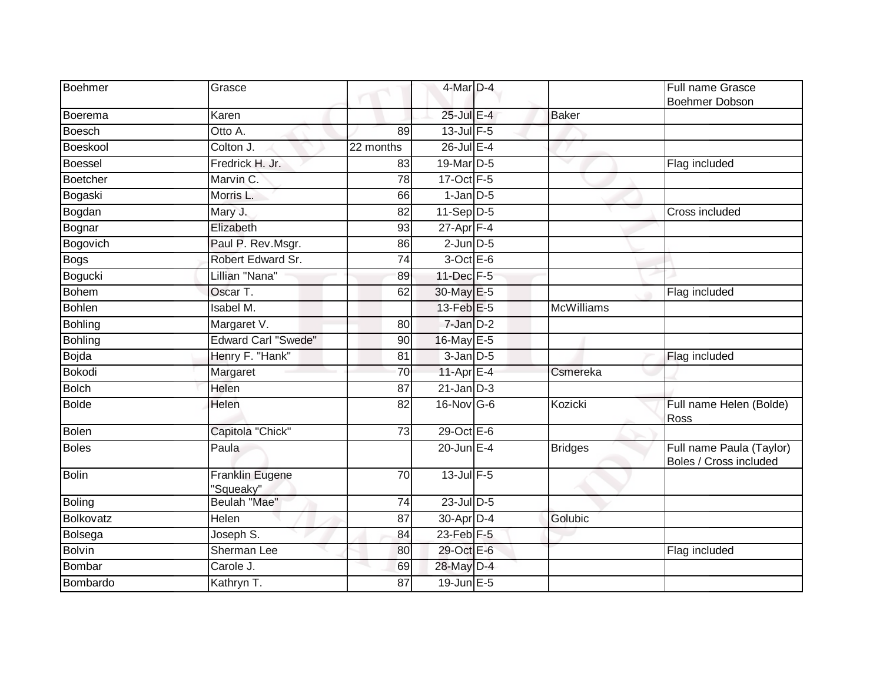| Boehmer        | Grasce                              |                 | 4-Mar D-4             |                | Full name Grasce                                   |
|----------------|-------------------------------------|-----------------|-----------------------|----------------|----------------------------------------------------|
|                |                                     |                 |                       |                | <b>Boehmer Dobson</b>                              |
| Boerema        | Karen                               |                 | 25-Jul E-4            | <b>Baker</b>   |                                                    |
| <b>Boesch</b>  | Otto A.                             | 89              | $13$ -Jul $F-5$       |                |                                                    |
| Boeskool       | Colton J.                           | 22 months       | 26-Jul E-4            |                |                                                    |
| <b>Boessel</b> | Fredrick H. Jr.                     | 83              | 19-Mar <sub>D-5</sub> |                | Flag included                                      |
| Boetcher       | Marvin C.                           | 78              | 17-Oct F-5            |                |                                                    |
| Bogaski        | Morris L.                           | 66              | $1$ -Jan $D-5$        |                |                                                    |
| Bogdan         | Mary J.                             | 82              | $11-Sep$ D-5          |                | Cross included                                     |
| Bognar         | Elizabeth                           | 93              | $27 - Apr$ F-4        |                |                                                    |
| Bogovich       | Paul P. Rev.Msgr.                   | 86              | $2$ -Jun $D-5$        |                |                                                    |
| <b>Bogs</b>    | Robert Edward Sr.                   | 74              | $3$ -Oct $E$ -6       |                |                                                    |
| Bogucki        | Lillian "Nana"                      | 89              | 11-Dec F-5            |                |                                                    |
| <b>Bohem</b>   | Oscar T.                            | 62              | 30-May E-5            |                | Flag included                                      |
| <b>Bohlen</b>  | Isabel M.                           |                 | 13-Feb E-5            | McWilliams     |                                                    |
| <b>Bohling</b> | Margaret V.                         | 80              | 7-Jan D-2             |                |                                                    |
| <b>Bohling</b> | <b>Edward Carl "Swede"</b>          | 90              | 16-May E-5            |                |                                                    |
| Bojda          | Henry F. "Hank"                     | 81              | $3$ -Jan $D-5$        |                | Flag included                                      |
| <b>Bokodi</b>  | Margaret                            | 70              | 11-Apr $E-4$          | Csmereka       |                                                    |
| <b>Bolch</b>   | Helen                               | 87              | $21$ -Jan $D-3$       |                |                                                    |
| <b>Bolde</b>   | Helen                               | 82              | 16-Nov G-6            | Kozicki        | Full name Helen (Bolde)<br>Ross                    |
| Bolen          | Capitola "Chick"                    | 73              | 29-Oct E-6            |                |                                                    |
| <b>Boles</b>   | Paula                               |                 | $20$ -Jun $E-4$       | <b>Bridges</b> | Full name Paula (Taylor)<br>Boles / Cross included |
| Bolin          | <b>Franklin Eugene</b><br>"Squeaky" | $\overline{70}$ | 13-Jul F-5            |                |                                                    |
| <b>Boling</b>  | Beulah "Mae"                        | 74              | 23-Jul D-5            |                |                                                    |
| Bolkovatz      | Helen                               | 87              | 30-Apr D-4            | Golubic        |                                                    |
| Bolsega        | Joseph S.                           | 84              | $23$ -Feb $F-5$       |                |                                                    |
| <b>Bolvin</b>  | Sherman Lee                         | 80              | 29-Oct E-6            |                | Flag included                                      |
| Bombar         | Carole J.                           | 69              | 28-May D-4            |                |                                                    |
| Bombardo       | Kathryn T.                          | 87              | $19$ -Jun $E - 5$     |                |                                                    |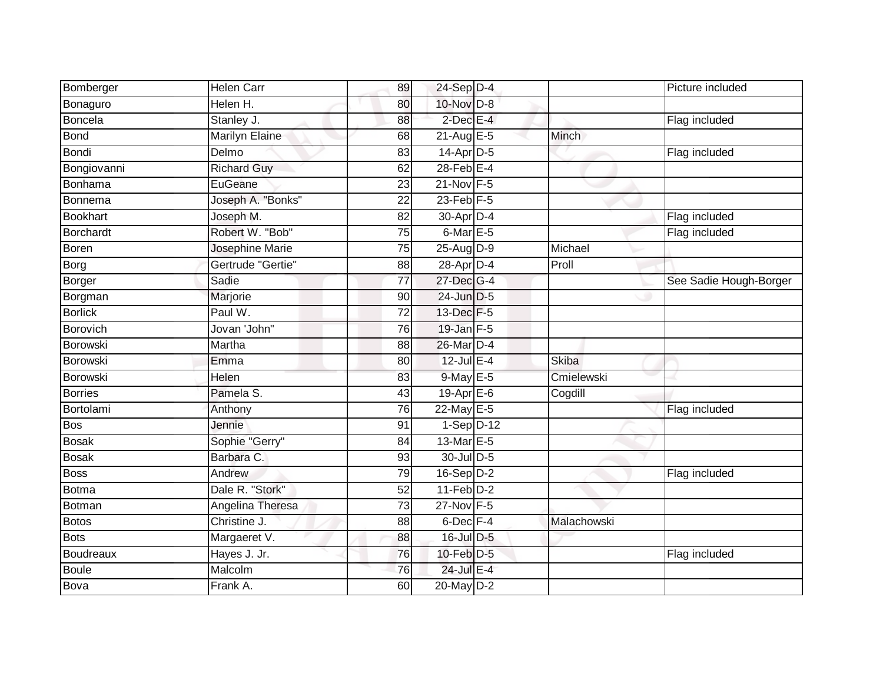| Bomberger        | <b>Helen Carr</b>  | 89              | 24-Sep D-4              |              | Picture included       |
|------------------|--------------------|-----------------|-------------------------|--------------|------------------------|
| Bonaguro         | Helen H.           | 80              | 10-Nov D-8              |              |                        |
| Boncela          | Stanley J.         | 88              | $2$ -Dec $E-4$          |              | Flag included          |
| <b>Bond</b>      | Marilyn Elaine     | 68              | $21$ -Aug $E-5$         | <b>Minch</b> |                        |
| <b>Bondi</b>     | Delmo              | 83              | $14$ -Apr $D-5$         |              | Flag included          |
| Bongiovanni      | <b>Richard Guy</b> | 62              | $28$ -Feb $E-4$         |              |                        |
| Bonhama          | EuGeane            | 23              | $21-Nov$ F-5            |              |                        |
| Bonnema          | Joseph A. "Bonks"  | 22              | $23$ -Feb $F-5$         |              |                        |
| <b>Bookhart</b>  | Joseph M.          | 82              | 30-Apr D-4              |              | Flag included          |
| <b>Borchardt</b> | Robert W. "Bob"    | 75              | $6$ -Mar $E - 5$        |              | Flag included          |
| <b>Boren</b>     | Josephine Marie    | 75              | $25$ -AugD-9            | Michael      |                        |
| Borg             | Gertrude "Gertie"  | 88              | 28-Apr D-4              | Proll        |                        |
| <b>Borger</b>    | Sadie              | 77              | 27-Dec G-4              |              | See Sadie Hough-Borger |
| Borgman          | Marjorie           | 90              | 24-Jun D-5              |              |                        |
| <b>Borlick</b>   | Paul W.            | $\overline{72}$ | 13-Dec F-5              |              |                        |
| <b>Borovich</b>  | Jovan 'John"       | 76              | 19-Jan F-5              |              |                        |
| <b>Borowski</b>  | Martha             | 88              | 26-Mar D-4              |              |                        |
| Borowski         | Emma               | 80              | $12$ -Jul E-4           | <b>Skiba</b> |                        |
| Borowski         | Helen              | 83              | $9$ -May $E$ -5         | Cmielewski   |                        |
| <b>Borries</b>   | Pamela S.          | 43              | 19-Apr E-6              | Cogdill      |                        |
| Bortolami        | Anthony            | 76              | 22-May E-5              |              | Flag included          |
| <b>Bos</b>       | Jennie             | 91              | $1-\overline{Sep}$ D-12 |              |                        |
| <b>Bosak</b>     | Sophie "Gerry"     | 84              | 13-Mar $E-5$            |              |                        |
| <b>Bosak</b>     | Barbara C.         | 93              | $30$ -JulD-5            |              |                        |
| <b>Boss</b>      | Andrew             | 79              | $16-Sep D-2$            |              | Flag included          |
| <b>Botma</b>     | Dale R. "Stork"    | 52              | $11-Feb$ D-2            |              |                        |
| Botman           | Angelina Theresa   | $\overline{73}$ | 27-Nov F-5              |              |                        |
| <b>Botos</b>     | Christine J.       | 88              | $6$ -Dec $F-4$          | Malachowski  |                        |
| <b>Bots</b>      | Margaeret V.       | 88              | $16$ -Jul $D-5$         |              |                        |
| <b>Boudreaux</b> | Hayes J. Jr.       | 76              | 10-Feb D-5              |              | Flag included          |
| <b>Boule</b>     | Malcolm            | 76              | 24-Jul E-4              |              |                        |
| Bova             | Frank A.           | 60              | $20$ -May $D-2$         |              |                        |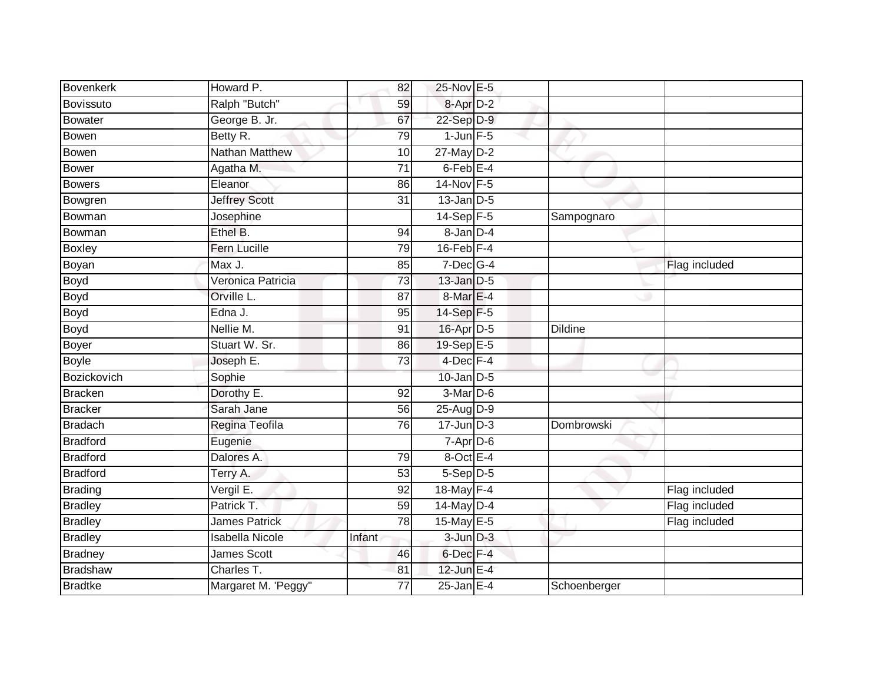| Bovenkerk       | Howard P.              | 82              | 25-Nov E-5               |                |               |
|-----------------|------------------------|-----------------|--------------------------|----------------|---------------|
| Bovissuto       | Ralph "Butch"          | 59              | 8-Apr D-2                |                |               |
| Bowater         | George B. Jr.          | 67              | 22-Sep D-9               |                |               |
| <b>Bowen</b>    | Betty R.               | 79              | $1$ -Jun $F-5$           |                |               |
| Bowen           | Nathan Matthew         | 10              | $27$ -May $D-2$          |                |               |
| <b>Bower</b>    | Agatha M.              | $\overline{71}$ | 6-Feb <sup>E-4</sup>     |                |               |
| Bowers          | Eleanor                | 86              | $14-Nov$ F-5             |                |               |
| Bowgren         | <b>Jeffrey Scott</b>   | 31              | $13$ -Jan D-5            |                |               |
| Bowman          | Josephine              |                 | 14-Sep F-5               | Sampognaro     |               |
| Bowman          | Ethel B.               | 94              | $8 - Jan \overline{D-4}$ |                |               |
| <b>Boxley</b>   | Fern Lucille           | 79              | $16$ -Feb $F-4$          |                |               |
| Boyan           | Max J.                 | 85              | $7$ -Dec $G-4$           |                | Flag included |
| Boyd            | Veronica Patricia      | 73              | $13$ -Jan $D-5$          |                |               |
| Boyd            | Orville L.             | 87              | 8-Mar E-4                |                |               |
| <b>Boyd</b>     | Edna J.                | $\overline{95}$ | 14-Sep F-5               |                |               |
| Boyd            | Nellie M.              | 91              | 16-Apr D-5               | <b>Dildine</b> |               |
| Boyer           | Stuart W. Sr.          | 86              | 19-Sep E-5               |                |               |
| Boyle           | Joseph E.              | 73              | 4-Dec F-4                |                |               |
| Bozickovich     | Sophie                 |                 | $10$ -Jan $D-5$          |                |               |
| <b>Bracken</b>  | Dorothy E.             | $\overline{92}$ | 3-Mar D-6                |                |               |
| <b>Bracker</b>  | Sarah Jane             | 56              | $25$ -AugD-9             |                |               |
| <b>Bradach</b>  | Regina Teofila         | 76              | $17 - Jun$ $D-3$         | Dombrowski     |               |
| <b>Bradford</b> | Eugenie                |                 | $7$ -Apr $D-6$           |                |               |
| <b>Bradford</b> | Dalores A.             | 79              | $8$ -Oct E-4             |                |               |
| Bradford        | Terry A.               | 53              | $5-Sep$ D-5              |                |               |
| Brading         | Vergil E.              | 92              | 18-May F-4               |                | Flag included |
| <b>Bradley</b>  | Patrick T.             | 59              | 14-May D-4               |                | Flag included |
| <b>Bradley</b>  | <b>James Patrick</b>   | 78              | 15-May E-5               |                | Flag included |
| <b>Bradley</b>  | <b>Isabella Nicole</b> | Infant          | $3$ -Jun $D-3$           |                |               |
| Bradney         | <b>James Scott</b>     | 46              | 6-Dec F-4                |                |               |
| Bradshaw        | Charles T.             | 81              | 12-Jun E-4               |                |               |
| <b>Bradtke</b>  | Margaret M. 'Peggy"    | $\overline{77}$ | $25$ -Jan $E-4$          | Schoenberger   |               |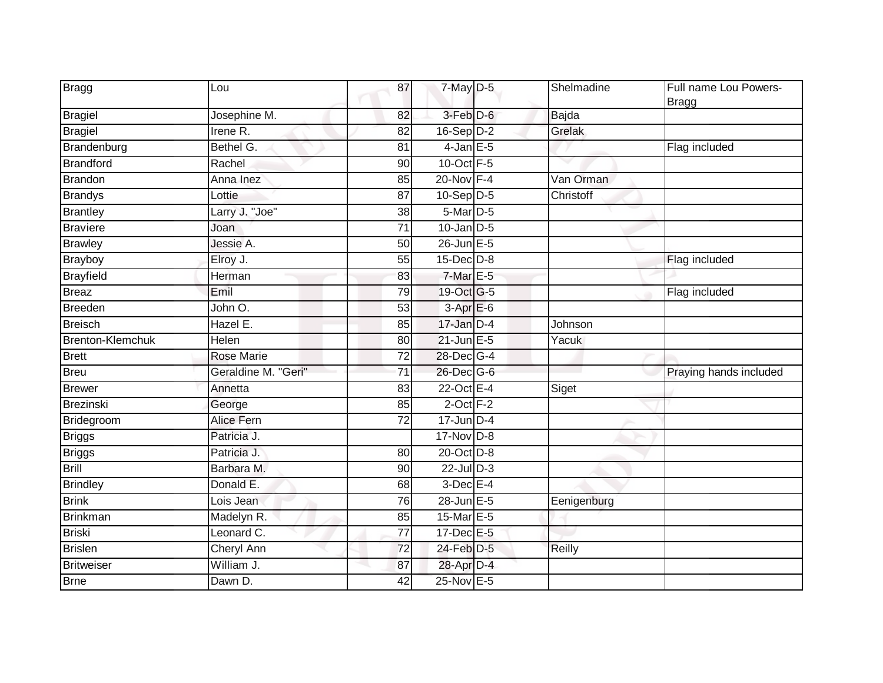| <b>Bragg</b>     | Lou                 | 87              | 7-May D-5        | Shelmadine  | Full name Lou Powers-<br><b>Bragg</b> |
|------------------|---------------------|-----------------|------------------|-------------|---------------------------------------|
| Bragiel          | Josephine M.        | 82              | 3-Feb D-6        | Bajda       |                                       |
| <b>Bragiel</b>   | Irene R.            | 82              | $16-Sep$ D-2     | Grelak      |                                       |
| Brandenburg      | Bethel G.           | 81              | $4$ -Jan $E$ -5  |             | Flag included                         |
| Brandford        | Rachel              | 90              | 10-Oct F-5       |             |                                       |
| <b>Brandon</b>   | Anna Inez           | 85              | 20-Nov F-4       | Van Orman   |                                       |
| <b>Brandys</b>   | Lottie              | 87              | $10-Sep$ D-5     | Christoff   |                                       |
| <b>Brantley</b>  | Larry J. "Joe"      | $\overline{38}$ | 5-Mar D-5        |             |                                       |
| <b>Braviere</b>  | Joan                | 71              | $10 - Jan$ $D-5$ |             |                                       |
| <b>Brawley</b>   | Jessie A.           | 50              | 26-Jun E-5       |             |                                       |
| <b>Brayboy</b>   | Elroy J.            | 55              | 15-Dec D-8       |             | Flag included                         |
| <b>Brayfield</b> | Herman              | 83              | $7-MarE-5$       |             |                                       |
| Breaz            | Emil                | 79              | 19-Oct G-5       |             | Flag included                         |
| Breeden          | John O.             | 53              | $3-AprE-6$       |             |                                       |
| <b>Breisch</b>   | Hazel E.            | 85              | 17-Jan D-4       | Johnson     |                                       |
| Brenton-Klemchuk | Helen               | 80              | $21$ -Jun $E-5$  | Yacuk       |                                       |
| <b>Brett</b>     | <b>Rose Marie</b>   | 72              | 28-Dec G-4       |             |                                       |
| Breu             | Geraldine M. "Geri" | $\overline{71}$ | 26-Dec G-6       |             | Praying hands included                |
| <b>Brewer</b>    | Annetta             | 83              | 22-Oct E-4       | Siget       |                                       |
| Brezinski        | George              | 85              | $2$ -Oct $F-2$   |             |                                       |
| Bridegroom       | Alice Fern          | 72              | $17 - Jun$ D-4   |             |                                       |
| <b>Briggs</b>    | Patricia J.         |                 | $17$ -Nov $D-8$  |             |                                       |
| <b>Briggs</b>    | Patricia J.         | 80              | 20-Oct D-8       |             |                                       |
| <b>Brill</b>     | Barbara M.          | 90              | $22$ -Jul $D-3$  |             |                                       |
| <b>Brindley</b>  | Donald E.           | $\overline{68}$ | $3$ -Dec $E-4$   |             |                                       |
| <b>Brink</b>     | Lois Jean           | 76              | 28-Jun E-5       | Eenigenburg |                                       |
| Brinkman         | Madelyn R.          | 85              | 15-Mar E-5       |             |                                       |
| Briski           | Leonard C.          | 77              | 17-Dec E-5       |             |                                       |
| <b>Brislen</b>   | Cheryl Ann          | 72              | 24-Feb D-5       | Reilly      |                                       |
| Britweiser       | William J.          | 87              | 28-Apr D-4       |             |                                       |
| <b>Brne</b>      | Dawn D.             | 42              | 25-Nov E-5       |             |                                       |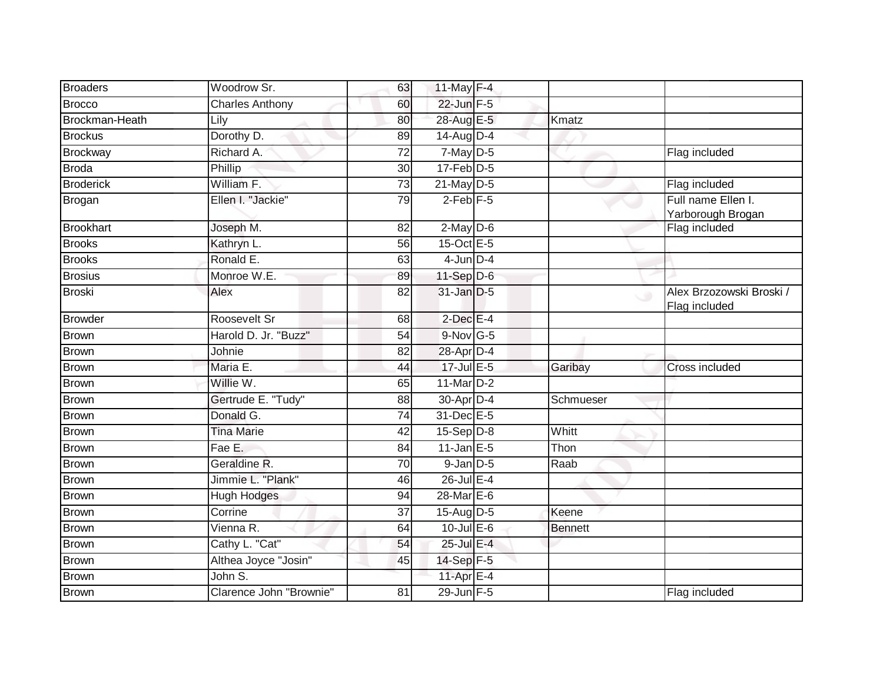| <b>Brocco</b><br>22-Jun F-5<br><b>Charles Anthony</b><br>60<br>28-Aug E-5<br>Brockman-Heath<br>Kmatz<br>80<br>Lily<br>Dorothy D.<br>$14$ -Aug $D-4$<br><b>Brockus</b><br>89<br>Richard A.<br>$7$ -May $D-5$<br>Brockway<br>72<br>Flag included<br>$17$ -Feb $D-5$<br><b>Broda</b><br>Phillip<br>30<br>William F.<br>$21$ -May $D-5$<br>Flag included<br><b>Broderick</b><br>73<br>$2$ -Feb $F-5$<br>Full name Ellen I.<br>Ellen I. "Jackie"<br>79<br><b>Brogan</b><br>Yarborough Brogan<br><b>Brookhart</b><br>Joseph M.<br>82<br>$2$ -May $D-6$<br>Flag included<br>15-Oct E-5<br><b>Brooks</b><br>Kathryn L.<br>56<br>Ronald E.<br>$4$ -Jun $D-4$<br><b>Brooks</b><br>63<br>Monroe W.E.<br>$11-Sep$ D-6<br><b>Brosius</b><br>89<br><b>Broski</b><br>31-Jan D-5<br>Alex<br>82<br>C.<br>Flag included<br><b>Browder</b><br>Roosevelt Sr<br>$2$ -Dec $E-4$<br>68<br>Harold D. Jr. "Buzz"<br>$9-Nov$ G-5<br><b>Brown</b><br>54<br><b>Brown</b><br>28-Apr D-4<br>Johnie<br>82<br>$17$ -Jul $E-5$<br>Maria E.<br><b>Brown</b><br>44<br>Garibay<br>Cross included<br>11-Mar $D-2$<br><b>Brown</b><br>Willie W.<br>65<br>Gertrude E. "Tudy"<br>30-Apr D-4<br><b>Brown</b><br>88<br>Schmueser<br>Donald G.<br>31-Dec E-5<br><b>Brown</b><br>74<br><b>Brown</b><br>$15-Sep$ D-8<br>Whitt<br><b>Tina Marie</b><br>42<br>Fae E.<br>$11$ -Jan E-5<br>Thon<br><b>Brown</b><br>84<br><b>Brown</b><br>Geraldine R.<br>$9$ -Jan $D$ -5<br>Raab<br>70<br>Jimmie L. "Plank"<br>$26$ -Jul $E-4$<br><b>Brown</b><br>46<br>$28$ -Mar $E-6$<br><b>Brown</b><br><b>Hugh Hodges</b><br>94<br><b>Brown</b><br>Corrine<br>15-Aug $D-5$<br>37<br>Keene<br><b>Brown</b><br>$10$ -Jul $E$ -6<br>Vienna R.<br>64<br><b>Bennett</b><br>Cathy L. "Cat"<br>25-Jul E-4<br><b>Brown</b><br>54<br>Althea Joyce "Josin"<br>14-Sep F-5<br><b>Brown</b><br>45<br>John $\overline{S}$ .<br><b>Brown</b><br>11-Apr E-4<br>29-Jun F-5<br><b>Brown</b><br>Clarence John "Brownie"<br>81<br>Flag included | <b>Broaders</b> | Woodrow Sr. | 63 | 11-May F-4 |  |                          |
|----------------------------------------------------------------------------------------------------------------------------------------------------------------------------------------------------------------------------------------------------------------------------------------------------------------------------------------------------------------------------------------------------------------------------------------------------------------------------------------------------------------------------------------------------------------------------------------------------------------------------------------------------------------------------------------------------------------------------------------------------------------------------------------------------------------------------------------------------------------------------------------------------------------------------------------------------------------------------------------------------------------------------------------------------------------------------------------------------------------------------------------------------------------------------------------------------------------------------------------------------------------------------------------------------------------------------------------------------------------------------------------------------------------------------------------------------------------------------------------------------------------------------------------------------------------------------------------------------------------------------------------------------------------------------------------------------------------------------------------------------------------------------------------------------------------------------------------------------------------------------------------------------------------------------------------------------------------|-----------------|-------------|----|------------|--|--------------------------|
|                                                                                                                                                                                                                                                                                                                                                                                                                                                                                                                                                                                                                                                                                                                                                                                                                                                                                                                                                                                                                                                                                                                                                                                                                                                                                                                                                                                                                                                                                                                                                                                                                                                                                                                                                                                                                                                                                                                                                                |                 |             |    |            |  |                          |
|                                                                                                                                                                                                                                                                                                                                                                                                                                                                                                                                                                                                                                                                                                                                                                                                                                                                                                                                                                                                                                                                                                                                                                                                                                                                                                                                                                                                                                                                                                                                                                                                                                                                                                                                                                                                                                                                                                                                                                |                 |             |    |            |  |                          |
|                                                                                                                                                                                                                                                                                                                                                                                                                                                                                                                                                                                                                                                                                                                                                                                                                                                                                                                                                                                                                                                                                                                                                                                                                                                                                                                                                                                                                                                                                                                                                                                                                                                                                                                                                                                                                                                                                                                                                                |                 |             |    |            |  |                          |
|                                                                                                                                                                                                                                                                                                                                                                                                                                                                                                                                                                                                                                                                                                                                                                                                                                                                                                                                                                                                                                                                                                                                                                                                                                                                                                                                                                                                                                                                                                                                                                                                                                                                                                                                                                                                                                                                                                                                                                |                 |             |    |            |  |                          |
|                                                                                                                                                                                                                                                                                                                                                                                                                                                                                                                                                                                                                                                                                                                                                                                                                                                                                                                                                                                                                                                                                                                                                                                                                                                                                                                                                                                                                                                                                                                                                                                                                                                                                                                                                                                                                                                                                                                                                                |                 |             |    |            |  |                          |
|                                                                                                                                                                                                                                                                                                                                                                                                                                                                                                                                                                                                                                                                                                                                                                                                                                                                                                                                                                                                                                                                                                                                                                                                                                                                                                                                                                                                                                                                                                                                                                                                                                                                                                                                                                                                                                                                                                                                                                |                 |             |    |            |  |                          |
|                                                                                                                                                                                                                                                                                                                                                                                                                                                                                                                                                                                                                                                                                                                                                                                                                                                                                                                                                                                                                                                                                                                                                                                                                                                                                                                                                                                                                                                                                                                                                                                                                                                                                                                                                                                                                                                                                                                                                                |                 |             |    |            |  |                          |
|                                                                                                                                                                                                                                                                                                                                                                                                                                                                                                                                                                                                                                                                                                                                                                                                                                                                                                                                                                                                                                                                                                                                                                                                                                                                                                                                                                                                                                                                                                                                                                                                                                                                                                                                                                                                                                                                                                                                                                |                 |             |    |            |  |                          |
|                                                                                                                                                                                                                                                                                                                                                                                                                                                                                                                                                                                                                                                                                                                                                                                                                                                                                                                                                                                                                                                                                                                                                                                                                                                                                                                                                                                                                                                                                                                                                                                                                                                                                                                                                                                                                                                                                                                                                                |                 |             |    |            |  |                          |
|                                                                                                                                                                                                                                                                                                                                                                                                                                                                                                                                                                                                                                                                                                                                                                                                                                                                                                                                                                                                                                                                                                                                                                                                                                                                                                                                                                                                                                                                                                                                                                                                                                                                                                                                                                                                                                                                                                                                                                |                 |             |    |            |  |                          |
|                                                                                                                                                                                                                                                                                                                                                                                                                                                                                                                                                                                                                                                                                                                                                                                                                                                                                                                                                                                                                                                                                                                                                                                                                                                                                                                                                                                                                                                                                                                                                                                                                                                                                                                                                                                                                                                                                                                                                                |                 |             |    |            |  |                          |
|                                                                                                                                                                                                                                                                                                                                                                                                                                                                                                                                                                                                                                                                                                                                                                                                                                                                                                                                                                                                                                                                                                                                                                                                                                                                                                                                                                                                                                                                                                                                                                                                                                                                                                                                                                                                                                                                                                                                                                |                 |             |    |            |  | Alex Brzozowski Broski / |
|                                                                                                                                                                                                                                                                                                                                                                                                                                                                                                                                                                                                                                                                                                                                                                                                                                                                                                                                                                                                                                                                                                                                                                                                                                                                                                                                                                                                                                                                                                                                                                                                                                                                                                                                                                                                                                                                                                                                                                |                 |             |    |            |  |                          |
|                                                                                                                                                                                                                                                                                                                                                                                                                                                                                                                                                                                                                                                                                                                                                                                                                                                                                                                                                                                                                                                                                                                                                                                                                                                                                                                                                                                                                                                                                                                                                                                                                                                                                                                                                                                                                                                                                                                                                                |                 |             |    |            |  |                          |
|                                                                                                                                                                                                                                                                                                                                                                                                                                                                                                                                                                                                                                                                                                                                                                                                                                                                                                                                                                                                                                                                                                                                                                                                                                                                                                                                                                                                                                                                                                                                                                                                                                                                                                                                                                                                                                                                                                                                                                |                 |             |    |            |  |                          |
|                                                                                                                                                                                                                                                                                                                                                                                                                                                                                                                                                                                                                                                                                                                                                                                                                                                                                                                                                                                                                                                                                                                                                                                                                                                                                                                                                                                                                                                                                                                                                                                                                                                                                                                                                                                                                                                                                                                                                                |                 |             |    |            |  |                          |
|                                                                                                                                                                                                                                                                                                                                                                                                                                                                                                                                                                                                                                                                                                                                                                                                                                                                                                                                                                                                                                                                                                                                                                                                                                                                                                                                                                                                                                                                                                                                                                                                                                                                                                                                                                                                                                                                                                                                                                |                 |             |    |            |  |                          |
|                                                                                                                                                                                                                                                                                                                                                                                                                                                                                                                                                                                                                                                                                                                                                                                                                                                                                                                                                                                                                                                                                                                                                                                                                                                                                                                                                                                                                                                                                                                                                                                                                                                                                                                                                                                                                                                                                                                                                                |                 |             |    |            |  |                          |
|                                                                                                                                                                                                                                                                                                                                                                                                                                                                                                                                                                                                                                                                                                                                                                                                                                                                                                                                                                                                                                                                                                                                                                                                                                                                                                                                                                                                                                                                                                                                                                                                                                                                                                                                                                                                                                                                                                                                                                |                 |             |    |            |  |                          |
|                                                                                                                                                                                                                                                                                                                                                                                                                                                                                                                                                                                                                                                                                                                                                                                                                                                                                                                                                                                                                                                                                                                                                                                                                                                                                                                                                                                                                                                                                                                                                                                                                                                                                                                                                                                                                                                                                                                                                                |                 |             |    |            |  |                          |
|                                                                                                                                                                                                                                                                                                                                                                                                                                                                                                                                                                                                                                                                                                                                                                                                                                                                                                                                                                                                                                                                                                                                                                                                                                                                                                                                                                                                                                                                                                                                                                                                                                                                                                                                                                                                                                                                                                                                                                |                 |             |    |            |  |                          |
|                                                                                                                                                                                                                                                                                                                                                                                                                                                                                                                                                                                                                                                                                                                                                                                                                                                                                                                                                                                                                                                                                                                                                                                                                                                                                                                                                                                                                                                                                                                                                                                                                                                                                                                                                                                                                                                                                                                                                                |                 |             |    |            |  |                          |
|                                                                                                                                                                                                                                                                                                                                                                                                                                                                                                                                                                                                                                                                                                                                                                                                                                                                                                                                                                                                                                                                                                                                                                                                                                                                                                                                                                                                                                                                                                                                                                                                                                                                                                                                                                                                                                                                                                                                                                |                 |             |    |            |  |                          |
|                                                                                                                                                                                                                                                                                                                                                                                                                                                                                                                                                                                                                                                                                                                                                                                                                                                                                                                                                                                                                                                                                                                                                                                                                                                                                                                                                                                                                                                                                                                                                                                                                                                                                                                                                                                                                                                                                                                                                                |                 |             |    |            |  |                          |
|                                                                                                                                                                                                                                                                                                                                                                                                                                                                                                                                                                                                                                                                                                                                                                                                                                                                                                                                                                                                                                                                                                                                                                                                                                                                                                                                                                                                                                                                                                                                                                                                                                                                                                                                                                                                                                                                                                                                                                |                 |             |    |            |  |                          |
|                                                                                                                                                                                                                                                                                                                                                                                                                                                                                                                                                                                                                                                                                                                                                                                                                                                                                                                                                                                                                                                                                                                                                                                                                                                                                                                                                                                                                                                                                                                                                                                                                                                                                                                                                                                                                                                                                                                                                                |                 |             |    |            |  |                          |
|                                                                                                                                                                                                                                                                                                                                                                                                                                                                                                                                                                                                                                                                                                                                                                                                                                                                                                                                                                                                                                                                                                                                                                                                                                                                                                                                                                                                                                                                                                                                                                                                                                                                                                                                                                                                                                                                                                                                                                |                 |             |    |            |  |                          |
|                                                                                                                                                                                                                                                                                                                                                                                                                                                                                                                                                                                                                                                                                                                                                                                                                                                                                                                                                                                                                                                                                                                                                                                                                                                                                                                                                                                                                                                                                                                                                                                                                                                                                                                                                                                                                                                                                                                                                                |                 |             |    |            |  |                          |
|                                                                                                                                                                                                                                                                                                                                                                                                                                                                                                                                                                                                                                                                                                                                                                                                                                                                                                                                                                                                                                                                                                                                                                                                                                                                                                                                                                                                                                                                                                                                                                                                                                                                                                                                                                                                                                                                                                                                                                |                 |             |    |            |  |                          |
|                                                                                                                                                                                                                                                                                                                                                                                                                                                                                                                                                                                                                                                                                                                                                                                                                                                                                                                                                                                                                                                                                                                                                                                                                                                                                                                                                                                                                                                                                                                                                                                                                                                                                                                                                                                                                                                                                                                                                                |                 |             |    |            |  |                          |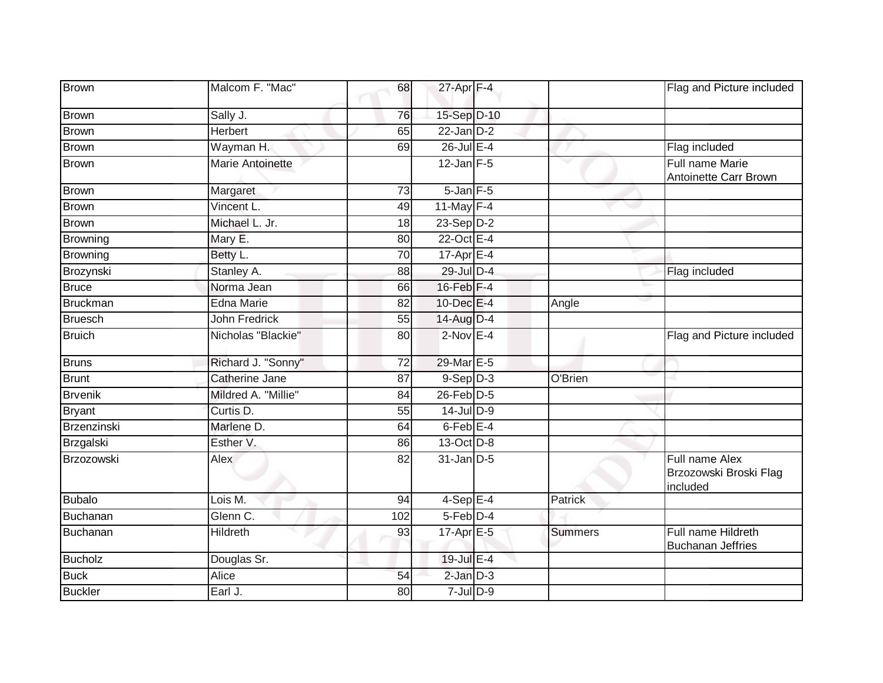| <b>Brown</b>    | Malcom F. "Mac"       | 68              | 27-Apr F-4           |                | Flag and Picture included                            |
|-----------------|-----------------------|-----------------|----------------------|----------------|------------------------------------------------------|
| <b>Brown</b>    | Sally J.              | 76              | 15-Sep D-10          |                |                                                      |
| <b>Brown</b>    | <b>Herbert</b>        | 65              | $22$ -Jan $D-2$      |                |                                                      |
| <b>Brown</b>    | Wayman H.             | 69              | 26-Jul E-4           |                | Flag included                                        |
| <b>Brown</b>    | Marie Antoinette      |                 | $12$ -Jan F-5        | v              | Full name Marie<br>Antoinette Carr Brown             |
| <b>Brown</b>    | Margaret              | $\overline{73}$ | $5 - Jan$ $F - 5$    |                |                                                      |
| Brown           | Vincent L.            | 49              | 11-May $F-4$         |                |                                                      |
| Brown           | Michael L. Jr.        | 18              | $23-Sep D-2$         |                |                                                      |
| <b>Browning</b> | Mary E.               | 80              | 22-Oct E-4           |                |                                                      |
| <b>Browning</b> | Betty L.              | 70              | $17-AprE-4$          |                |                                                      |
| Brozynski       | Stanley A.            | 88              | 29-Jul D-4           |                | Flag included                                        |
| <b>Bruce</b>    | Norma Jean            | 66              | $16$ -Feb $F-4$      |                |                                                      |
| <b>Bruckman</b> | <b>Edna Marie</b>     | 82              | 10-Dec E-4           | Angle          |                                                      |
| <b>Bruesch</b>  | <b>John Fredrick</b>  | 55              | 14-Aug D-4           |                |                                                      |
| <b>Bruich</b>   | Nicholas "Blackie"    | 80              | $2-Nov$ E-4          |                | Flag and Picture included                            |
| <b>Bruns</b>    | Richard J. "Sonny"    | 72              | 29-Mar E-5           |                |                                                      |
| <b>Brunt</b>    | <b>Catherine Jane</b> | 87              | $9-Sep$ $D-3$        | O'Brien        |                                                      |
| <b>Brvenik</b>  | Mildred A. "Millie"   | 84              | $26$ -Feb $D-5$      |                |                                                      |
| <b>Bryant</b>   | Curtis D.             | 55              | $14$ -Jul D-9        |                |                                                      |
| Brzenzinski     | Marlene D.            | 64              | 6-Feb <sup>E-4</sup> |                |                                                      |
| Brzgalski       | Esther V.             | 86              | 13-Oct D-8           |                |                                                      |
| Brzozowski      | Alex                  | 82              | $31$ -Jan $D-5$      |                | Full name Alex<br>Brzozowski Broski Flag<br>included |
| <b>Bubalo</b>   | Lois M.               | 94              | $4-SepE-4$           | <b>Patrick</b> |                                                      |
| Buchanan        | Glenn C.              | 102             | $5$ -Feb $D-4$       |                |                                                      |
| Buchanan        | Hildreth              | 93              | 17-Apr E-5           | <b>Summers</b> | Full name Hildreth<br><b>Buchanan Jeffries</b>       |
| <b>Bucholz</b>  | Douglas Sr.           |                 | 19-Jul E-4           |                |                                                      |
| <b>Buck</b>     | <b>Alice</b>          | 54              | $2$ -Jan $D-3$       |                |                                                      |
| <b>Buckler</b>  | Earl J.               | 80              | $7$ -Jul $D-9$       |                |                                                      |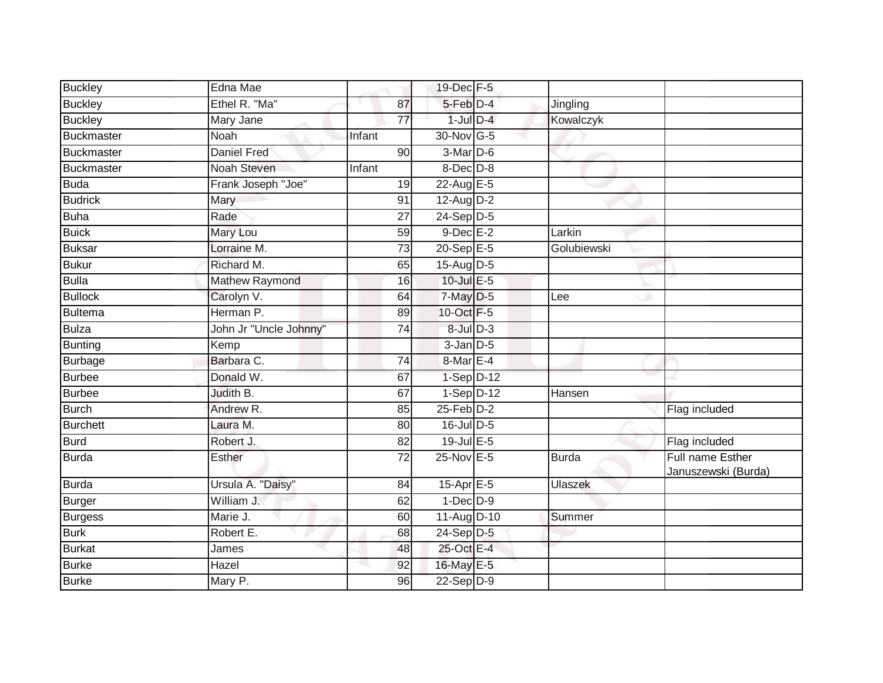| <b>Buckley</b>  | Edna Mae               |                 | 19-Dec F-5      |              |                                         |
|-----------------|------------------------|-----------------|-----------------|--------------|-----------------------------------------|
| <b>Buckley</b>  | Ethel R. "Ma"          | 87              | 5-Feb D-4       | Jingling     |                                         |
| <b>Buckley</b>  | Mary Jane              | $\overline{77}$ | $1$ -Jul $D-4$  | Kowalczyk    |                                         |
| Buckmaster      | Noah                   | Infant          | 30-Nov G-5      |              |                                         |
| Buckmaster      | <b>Daniel Fred</b>     | 90              | $3-MarD-6$      |              |                                         |
| Buckmaster      | Noah Steven            | Infant          | $8$ -Dec $D$ -8 |              |                                         |
| <b>Buda</b>     | Frank Joseph "Joe"     | 19              | 22-Aug $E-5$    |              |                                         |
| <b>Budrick</b>  | Mary                   | 91              | $12$ -Aug D-2   |              |                                         |
| <b>Buha</b>     | Rade                   | 27              | $24-SepD-5$     |              |                                         |
| <b>Buick</b>    | Mary Lou               | 59              | $9$ -Dec $E-2$  | Larkin       |                                         |
| <b>Buksar</b>   | Lorraine M.            | $\overline{73}$ | 20-Sep E-5      | Golubiewski  |                                         |
| Bukur           | Richard M.             | 65              | 15-Aug $D-5$    |              |                                         |
| Bulla           | Mathew Raymond         | 16              | 10-Jul E-5      |              |                                         |
| <b>Bullock</b>  | Carolyn V.             | 64              | 7-May D-5       | Lee          |                                         |
| Bultema         | Herman P.              | 89              | 10-Oct F-5      |              |                                         |
| <b>Bulza</b>    | John Jr "Uncle Johnny" | 74              | $8$ -Jul $D-3$  |              |                                         |
| Bunting         | Kemp                   |                 | $3$ -Jan $D$ -5 |              |                                         |
| <b>Burbage</b>  | Barbara C.             | 74              | $8$ -Mar $E-4$  |              |                                         |
| <b>Burbee</b>   | Donald W.              | 67              | $1-Sep$ D-12    |              |                                         |
| <b>Burbee</b>   | Judith B.              | 67              | $1-Sep$ D-12    | Hansen       |                                         |
| <b>Burch</b>    | Andrew R.              | 85              | $25$ -Feb $D-2$ |              | Flag included                           |
| <b>Burchett</b> | Laura M.               | 80              | $16$ -Jul D-5   |              |                                         |
| <b>Burd</b>     | Robert J.              | 82              | $19$ -Jul E-5   |              | Flag included                           |
| <b>Burda</b>    | Esther                 | $\overline{72}$ | 25-Nov E-5      | <b>Burda</b> | Full name Esther<br>Januszewski (Burda) |
| <b>Burda</b>    | Ursula A. "Daisy"      | 84              | 15-Apr E-5      | Ulaszek      |                                         |
| Burger          | William J.             | 62              | $1-Dec$ $D-9$   |              |                                         |
| <b>Burgess</b>  | Marie J.               | 60              | 11-Aug D-10     | Summer       |                                         |
| <b>Burk</b>     | Robert E.              | 68              | $24-Sep$ D-5    |              |                                         |
| Burkat          | James                  | 48              | 25-Oct E-4      |              |                                         |
| Burke           | Hazel                  | 92              | 16-May E-5      |              |                                         |
| <b>Burke</b>    | Mary P.                | 96              | $22-Sep$ D-9    |              |                                         |
|                 |                        |                 |                 |              |                                         |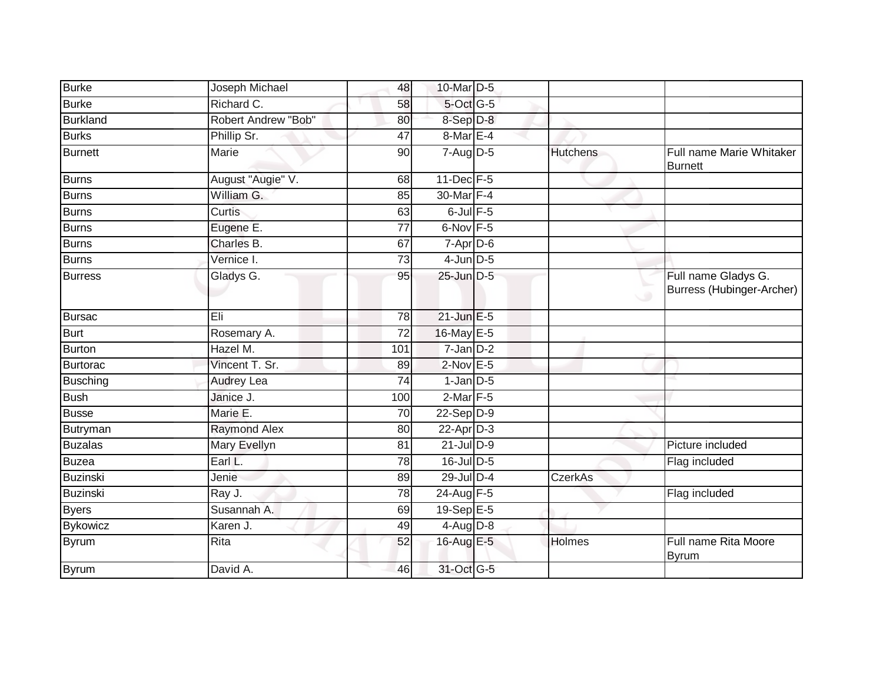| Burke           | Joseph Michael      | 48              | 10-Mar D-5       |                 |                                                  |
|-----------------|---------------------|-----------------|------------------|-----------------|--------------------------------------------------|
| <b>Burke</b>    | Richard C.          | 58              | 5-Oct G-5        |                 |                                                  |
| <b>Burkland</b> | Robert Andrew "Bob" | 80              | 8-Sep D-8        |                 |                                                  |
| <b>Burks</b>    | Phillip Sr.         | 47              | $8$ -Mar $E - 4$ |                 |                                                  |
| <b>Burnett</b>  | <b>Marie</b>        | 90              | $7 - Aug$ $D-5$  | <b>Hutchens</b> | Full name Marie Whitaker<br><b>Burnett</b>       |
| <b>Burns</b>    | August "Augie" V.   | 68              | 11-Dec F-5       |                 |                                                  |
| <b>Burns</b>    | William G.          | 85              | 30-Mar F-4       |                 |                                                  |
| <b>Burns</b>    | Curtis              | 63              | $6$ -Jul $F-5$   |                 |                                                  |
| Burns           | Eugene E.           | 77              | $6$ -Nov $F-5$   |                 |                                                  |
| <b>Burns</b>    | Charles B.          | 67              | $7 - Apr$ $D-6$  |                 |                                                  |
| <b>Burns</b>    | Vernice I.          | 73              | $4$ -Jun $D-5$   |                 |                                                  |
| <b>Burress</b>  | Gladys G.           | 95              | 25-Jun D-5       |                 | Full name Gladys G.<br>Burress (Hubinger-Archer) |
| <b>Bursac</b>   | Eli                 | 78              | $21$ -Jun $E-5$  |                 |                                                  |
| <b>Burt</b>     | Rosemary A.         | $\overline{72}$ | 16-May E-5       |                 |                                                  |
| <b>Burton</b>   | Hazel M.            | 101             | $7$ -Jan $D-2$   |                 |                                                  |
| Burtorac        | Vincent T. Sr.      | 89              | $2$ -Nov $E - 5$ |                 |                                                  |
| <b>Busching</b> | Audrey Lea          | 74              | $1-Jan$ D-5      |                 |                                                  |
| <b>Bush</b>     | Janice J.           | 100             | $2$ -Mar $F-5$   |                 |                                                  |
| <b>Busse</b>    | Marie E.            | 70              | $22-Sep$ D-9     |                 |                                                  |
| Butryman        | <b>Raymond Alex</b> | 80              | 22-Apr D-3       |                 |                                                  |
| <b>Buzalas</b>  | Mary Evellyn        | $\overline{81}$ | $21$ -Jul $D-9$  |                 | Picture included                                 |
| <b>Buzea</b>    | Earl L.             | 78              | 16-Jul D-5       |                 | Flag included                                    |
| Buzinski        | Jenie               | 89              | 29-Jul D-4       | <b>CzerkAs</b>  |                                                  |
| Buzinski        | Ray J.              | 78              | 24-Aug F-5       |                 | Flag included                                    |
| <b>Byers</b>    | Susannah A.         | 69              | 19-Sep E-5       |                 |                                                  |
| <b>Bykowicz</b> | Karen J.            | 49              | $4$ -Aug $D-8$   |                 |                                                  |
| Byrum           | Rita                | 52              | 16-Aug E-5       | <b>Holmes</b>   | Full name Rita Moore<br>Byrum                    |
| <b>Byrum</b>    | David A.            | 46              | 31-Oct G-5       |                 |                                                  |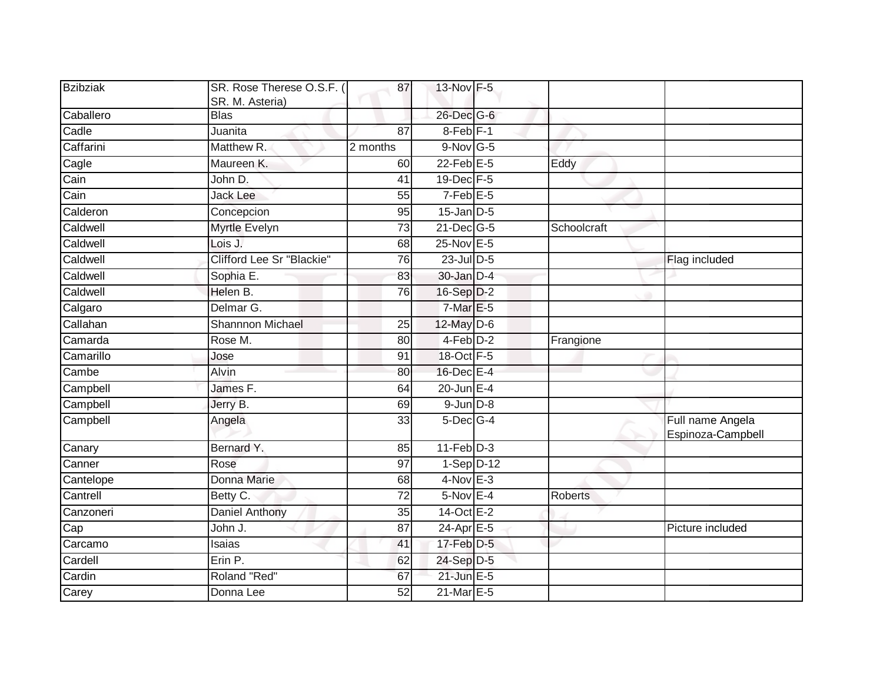| Bzibziak  | SR. Rose Therese O.S.F. (<br>SR. M. Asteria) | 87              | 13-Nov F-5            |                |                                       |
|-----------|----------------------------------------------|-----------------|-----------------------|----------------|---------------------------------------|
| Caballero | <b>Blas</b>                                  |                 | 26-Dec G-6            |                |                                       |
| Cadle     | Juanita                                      | $\overline{87}$ | 8-Feb <sup>IF-1</sup> |                |                                       |
| Caffarini | Matthew R.                                   | 2 months        | $9-Nov$ G-5           |                |                                       |
| Cagle     | Maureen K.                                   | 60              | $22$ -Feb $E-5$       | Eddy           |                                       |
| Cain      | John D.                                      | 41              | 19-Dec F-5            |                |                                       |
| Cain      | <b>Jack Lee</b>                              | 55              | $7-Feb$ E-5           |                |                                       |
| Calderon  | Concepcion                                   | 95              | $15$ -Jan $D-5$       |                |                                       |
| Caldwell  | Myrtle Evelyn                                | 73              | $21$ -Dec $G-5$       | Schoolcraft    |                                       |
| Caldwell  | Lois J.                                      | 68              | 25-Nov E-5            |                |                                       |
| Caldwell  | Clifford Lee Sr "Blackie"                    | 76              | 23-Jul D-5            |                | Flag included                         |
| Caldwell  | Sophia E.                                    | 83              | 30-Jan D-4            |                |                                       |
| Caldwell  | Helen B.                                     | 76              | 16-Sep D-2            |                |                                       |
| Calgaro   | Delmar G.                                    |                 | $7-MarE-5$            |                |                                       |
| Callahan  | <b>Shannnon Michael</b>                      | $\overline{25}$ | 12-May D-6            |                |                                       |
| Camarda   | Rose M.                                      | 80              | 4-Feb D-2             | Frangione      |                                       |
| Camarillo | Jose                                         | 91              | 18-Oct F-5            |                |                                       |
| Cambe     | Alvin                                        | 80              | 16-Dec E-4            |                |                                       |
| Campbell  | James F.                                     | 64              | $20$ -Jun $E-4$       |                |                                       |
| Campbell  | Jerry B.                                     | 69              | $9$ -Jun $D-8$        |                |                                       |
| Campbell  | Angela                                       | 33              | $5$ -Dec $G-4$        |                | Full name Angela<br>Espinoza-Campbell |
| Canary    | Bernard Y.                                   | 85              | $11-Feb$ D-3          |                |                                       |
| Canner    | Rose                                         | 97              | $1-Sep$ D-12          |                |                                       |
| Cantelope | Donna Marie                                  | 68              | $4$ -Nov E-3          |                |                                       |
| Cantrell  | Betty C.                                     | $\overline{72}$ | $5-Nov$ E-4           | <b>Roberts</b> |                                       |
| Canzoneri | Daniel Anthony                               | 35              | 14-Oct E-2            |                |                                       |
| Cap       | John J.                                      | 87              | $24-Apr \nE-5$        |                | Picture included                      |
| Carcamo   | Isaias                                       | 41              | 17-Feb D-5            |                |                                       |
| Cardell   | Erin P.                                      | 62              | 24-Sep D-5            |                |                                       |
| Cardin    | Roland "Red"                                 | 67              | $21$ -Jun $E-5$       |                |                                       |
| Carey     | Donna Lee                                    | 52              | 21-Mar E-5            |                |                                       |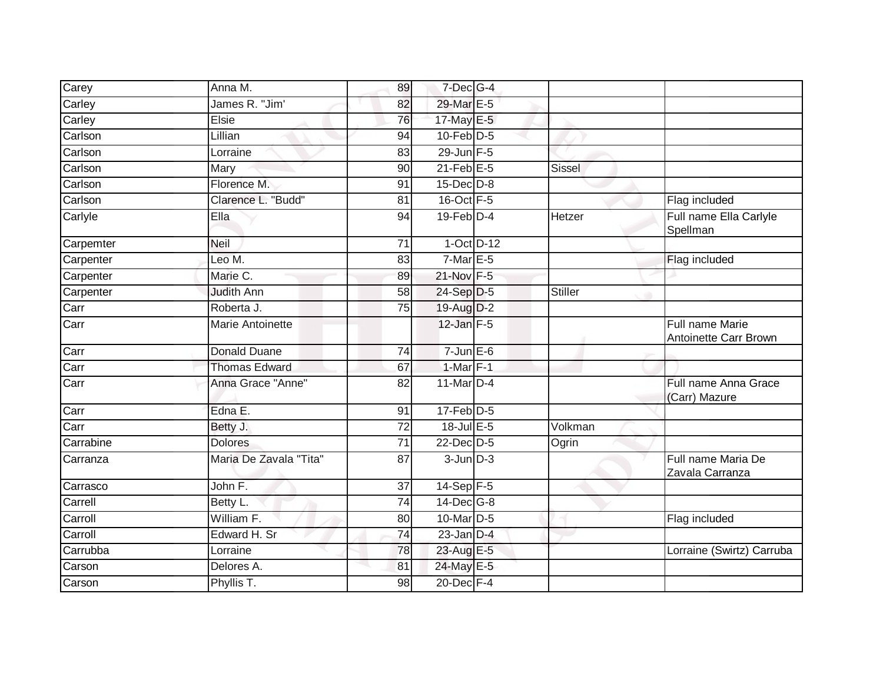| Carey     | Anna M.                 | 89              | $7$ -Dec $G-4$    |               |                                          |
|-----------|-------------------------|-----------------|-------------------|---------------|------------------------------------------|
| Carley    | James R. "Jim'          | 82              | 29-Mar E-5        |               |                                          |
| Carley    | Elsie                   | 76              | 17-May E-5        |               |                                          |
| Carlson   | Lillian                 | 94              | $10$ -Feb $D-5$   |               |                                          |
| Carlson   | Lorraine                | 83              | $29$ -Jun F-5     |               |                                          |
| Carlson   | Mary                    | 90              | $21$ -Feb $E-5$   | <b>Sissel</b> |                                          |
| Carlson   | Florence M.             | 91              | $15$ -Dec $D$ -8  |               |                                          |
| Carlson   | Clarence L. "Budd"      | 81              | 16-Oct F-5        |               | Flag included                            |
| Carlyle   | Ella                    | 94              | $19$ -Feb $D-4$   | <b>Hetzer</b> | Full name Ella Carlyle<br>Spellman       |
| Carpemter | Neil                    | 71              | $1-Oct$ $D-12$    |               |                                          |
| Carpenter | Leo M.                  | 83              | $7$ -Mar $E-5$    |               | Flag included                            |
| Carpenter | Marie C.                | 89              | $21$ -Nov $F - 5$ |               |                                          |
| Carpenter | <b>Judith Ann</b>       | 58              | 24-Sep D-5        | Stiller       |                                          |
| Carr      | Roberta J.              | 75              | $19$ -Aug $D-2$   |               |                                          |
| Carr      | <b>Marie Antoinette</b> |                 | $12$ -Jan $F-5$   |               | Full name Marie<br>Antoinette Carr Brown |
| Carr      | <b>Donald Duane</b>     | 74              | $7 - Jun$ $E-6$   |               |                                          |
| Carr      | <b>Thomas Edward</b>    | 67              | $1$ -Mar $F-1$    |               |                                          |
| Carr      | Anna Grace "Anne"       | 82              | 11-Mar D-4        |               | Full name Anna Grace<br>(Carr) Mazure    |
| Carr      | Edna E.                 | 91              | $17$ -Feb $D-5$   |               |                                          |
| Carr      | Betty J.                | $\overline{72}$ | $18$ -Jul $E$ -5  | Volkman       |                                          |
| Carrabine | <b>Dolores</b>          | 71              | 22-Dec D-5        | Ogrin         |                                          |
| Carranza  | Maria De Zavala "Tita"  | 87              | $3$ -Jun $D-3$    |               | Full name Maria De<br>Zavala Carranza    |
| Carrasco  | John F.                 | 37              | $14-Sep$ F-5      |               |                                          |
| Carrell   | Betty L.                | 74              | $14$ -Dec $G-8$   |               |                                          |
| Carroll   | William F.              | 80              | $10$ -Mar $ D-5 $ |               | Flag included                            |
| Carroll   | Edward H. Sr            | 74              | $23$ -Jan $D-4$   |               |                                          |
| Carrubba  | Lorraine                | 78              | 23-Aug E-5        |               | Lorraine (Swirtz) Carruba                |
| Carson    | Delores A.              | 81              | 24-May E-5        |               |                                          |
| Carson    | Phyllis T.              | 98              | 20-Dec F-4        |               |                                          |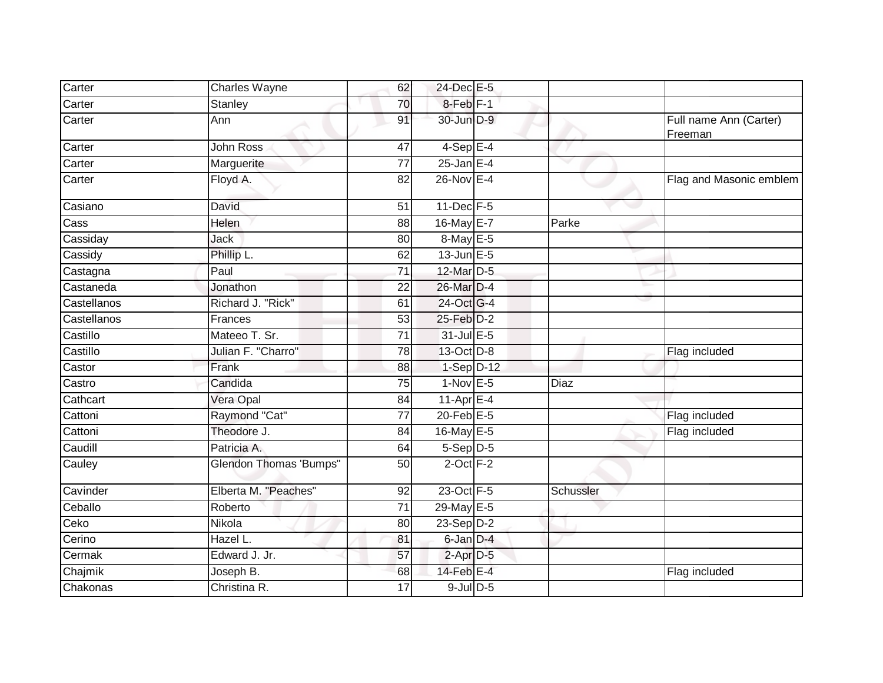| Carter      | Charles Wayne                 | 62              | 24-Dec E-5           |           |                                   |
|-------------|-------------------------------|-----------------|----------------------|-----------|-----------------------------------|
| Carter      | Stanley                       | 70              | 8-Feb <sup>F-1</sup> |           |                                   |
| Carter      | Ann                           | 91              | 30-Jun D-9           |           | Full name Ann (Carter)<br>Freeman |
| Carter      | John Ross                     | 47              | $4-SepE-4$           |           |                                   |
| Carter      | Marguerite                    | 77              | $25$ -Jan E-4        |           |                                   |
| Carter      | Floyd A.                      | 82              | 26-Nov E-4           |           | Flag and Masonic emblem           |
| Casiano     | David                         | 51              | $11$ -Dec $F-5$      |           |                                   |
| Cass        | Helen                         | 88              | 16-May E-7           | Parke     |                                   |
| Cassiday    | Jack                          | 80              | 8-May E-5            |           |                                   |
| Cassidy     | Phillip L.                    | 62              | $13$ -Jun $E - 5$    |           |                                   |
| Castagna    | Paul                          | 71              | 12-Mar D-5           |           |                                   |
| Castaneda   | Jonathon                      | 22              | 26-Mar D-4           |           |                                   |
| Castellanos | Richard J. "Rick"             | 61              | 24-Oct G-4           |           |                                   |
| Castellanos | Frances                       | 53              | 25-Feb D-2           |           |                                   |
| Castillo    | Mateeo T. Sr.                 | 71              | 31-Jul E-5           |           |                                   |
| Castillo    | Julian F. "Charro"            | 78              | 13-Oct D-8           |           | Flag included                     |
| Castor      | Frank                         | 88              | $1-Sep$ D-12         |           |                                   |
| Castro      | Candida                       | 75              | $1-Nov$ E-5          | Diaz      |                                   |
| Cathcart    | Vera Opal                     | 84              | 11-Apr $E-4$         |           |                                   |
| Cattoni     | Raymond "Cat"                 | $\overline{77}$ | $20$ -Feb $E-5$      |           | Flag included                     |
| Cattoni     | Theodore J.                   | 84              | $16$ -May $E$ -5     |           | Flag included                     |
| Caudill     | Patricia A.                   | 64              | $5-Sep$ D-5          |           |                                   |
| Cauley      | <b>Glendon Thomas 'Bumps"</b> | 50              | $2$ -Oct $F-2$       |           |                                   |
| Cavinder    | Elberta M. "Peaches"          | 92              | 23-Oct F-5           | Schussler |                                   |
| Ceballo     | Roberto                       | 71              | 29-May E-5           |           |                                   |
| Ceko        | Nikola                        | 80              | $23-Sep D-2$         |           |                                   |
| Cerino      | Hazel L.                      | 81              | $6$ -Jan $D-4$       |           |                                   |
| Cermak      | Edward J. Jr.                 | 57              | $2$ -Apr $D-5$       |           |                                   |
| Chajmik     | Joseph B.                     | 68              | $14$ -Feb $E-4$      |           | Flag included                     |
| Chakonas    | Christina R.                  | $\overline{17}$ | $9$ -Jul $D$ -5      |           |                                   |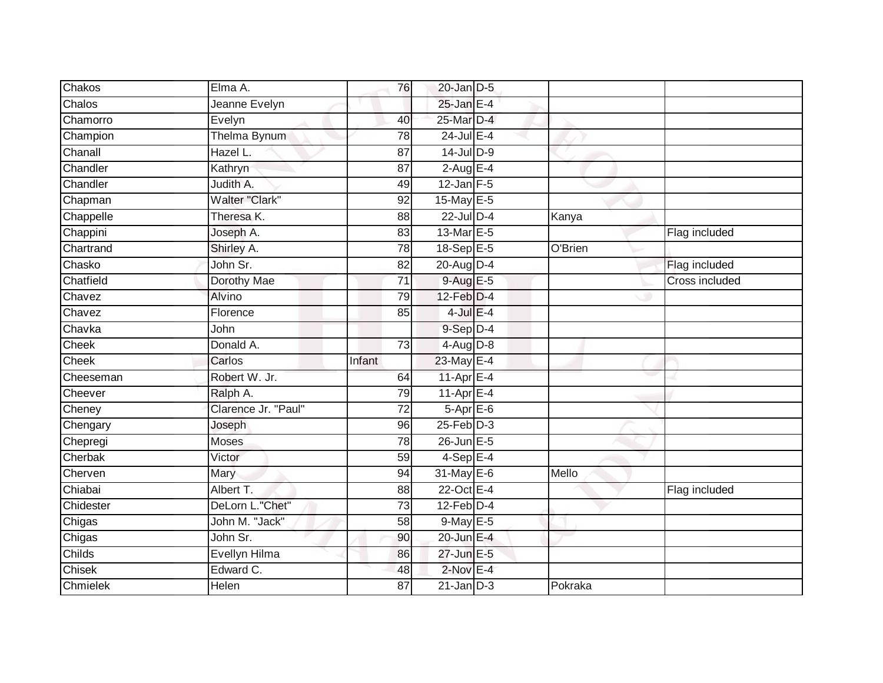| Chakos    | Elma A.             | 76              | $20$ -Jan $D-5$   |         |                |
|-----------|---------------------|-----------------|-------------------|---------|----------------|
| Chalos    | Jeanne Evelyn       |                 | 25-Jan E-4        |         |                |
| Chamorro  | Evelyn              | 40              | 25-Mar D-4        |         |                |
| Champion  | <b>Thelma Bynum</b> | 78              | 24-Jul E-4        |         |                |
| Chanall   | Hazel L.            | 87              | $14$ -Jul D-9     |         |                |
| Chandler  | Kathryn             | 87              | $2$ -Aug E-4      |         |                |
| Chandler  | Judith A.           | 49              | $12$ -Jan $F-5$   |         |                |
| Chapman   | Walter "Clark"      | 92              | 15-May E-5        |         |                |
| Chappelle | Theresa K.          | 88              | $22$ -Jul $D-4$   | Kanya   |                |
| Chappini  | Joseph A.           | 83              | 13-Mar E-5        |         | Flag included  |
| Chartrand | Shirley A.          | 78              | $18-Sep$ $E-5$    | O'Brien |                |
| Chasko    | John Sr.            | $\overline{82}$ | $20$ -Aug $D-4$   |         | Flag included  |
| Chatfield | Dorothy Mae         | 71              | $9-AugE-5$        |         | Cross included |
| Chavez    | Alvino              | 79              | $12$ -Feb $D-4$   |         |                |
| Chavez    | Florence            | 85              | $4$ -Jul $E-4$    |         |                |
| Chavka    | John                |                 | 9-Sep D-4         |         |                |
| Cheek     | Donald A.           | 73              | $4-Aug$ $D-8$     |         |                |
| Cheek     | Carlos              | Infant          | 23-May E-4        |         |                |
| Cheeseman | Robert W. Jr.       | 64              | $11$ -Apr $E-4$   |         |                |
| Cheever   | Ralph A.            | 79              | $11-AprE-4$       |         |                |
| Cheney    | Clarence Jr. "Paul" | 72              | $5-AprE-6$        |         |                |
| Chengary  | Joseph              | 96              | $25$ -Feb $D-3$   |         |                |
| Chepregi  | <b>Moses</b>        | 78              | $26$ -Jun $E - 5$ |         |                |
| Cherbak   | Victor              | 59              | $4-SepE-4$        |         |                |
| Cherven   | Mary                | 94              | 31-May E-6        | Mello   |                |
| Chiabai   | Albert T.           | 88              | 22-Oct E-4        |         | Flag included  |
| Chidester | DeLorn L."Chet"     | 73              | $12$ -Feb $D-4$   |         |                |
| Chigas    | John M. "Jack"      | 58              | 9-May E-5         |         |                |
| Chigas    | John Sr.            | 90              | 20-Jun E-4        |         |                |
| Childs    | Evellyn Hilma       | 86              | 27-Jun E-5        |         |                |
| Chisek    | Edward C.           | 48              | $2$ -Nov E-4      |         |                |
| Chmielek  | Helen               | 87              | $21$ -Jan $D-3$   | Pokraka |                |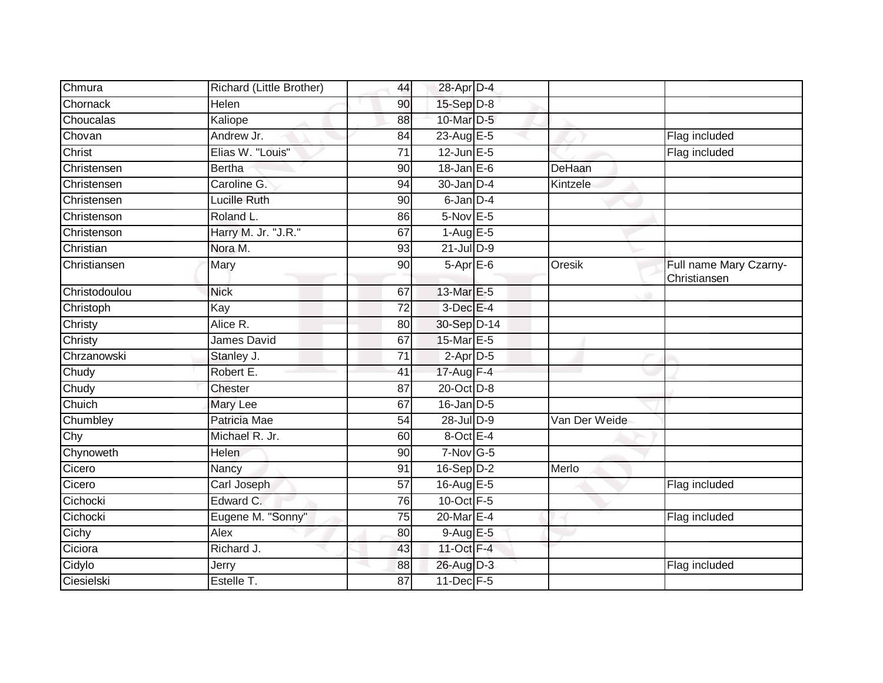| Chmura        | Richard (Little Brother) | 44              | 28-Apr D-4            |               |                                        |
|---------------|--------------------------|-----------------|-----------------------|---------------|----------------------------------------|
| Chornack      | Helen                    | 90              | $15-Sep$ $D-8$        |               |                                        |
| Choucalas     | Kaliope                  | 88              | 10-Mar D-5            |               |                                        |
| Chovan        | Andrew Jr.               | 84              | 23-Aug $E-5$          |               | Flag included                          |
| Christ        | Elias W. "Louis"         | $\overline{71}$ | $12$ -Jun $E-5$       |               | Flag included                          |
| Christensen   | <b>Bertha</b>            | 90              | $18$ -Jan E-6         | DeHaan        |                                        |
| Christensen   | Caroline G.              | 94              | $30$ -Jan $D-4$       | Kintzele      |                                        |
| Christensen   | Lucille Ruth             | 90              | 6-Jan D-4             |               |                                        |
| Christenson   | Roland L.                | 86              | $5-Nov$ E-5           |               |                                        |
| Christenson   | Harry M. Jr. "J.R."      | 67              | $1-AugE-5$            |               |                                        |
| Christian     | Nora M.                  | 93              | $21$ -Jul $D-9$       |               |                                        |
| Christiansen  | Mary                     | 90              | 5-Apr E-6             | Oresik        | Full name Mary Czarny-<br>Christiansen |
| Christodoulou | <b>Nick</b>              | 67              | 13-Mar E-5            |               |                                        |
| Christoph     | Kay                      | 72              | $3$ -Dec $E-4$        |               |                                        |
| Christy       | Alice R.                 | 80              | 30-Sep D-14           |               |                                        |
| Christy       | James David              | 67              | 15-Mar E-5            |               |                                        |
| Chrzanowski   | Stanley J.               | $\overline{71}$ | $2-Apr\overline{D-5}$ |               |                                        |
| Chudy         | Robert E.                | 41              | 17-Aug F-4            |               |                                        |
| Chudy         | Chester                  | 87              | 20-Oct D-8            |               |                                        |
| Chuich        | Mary Lee                 | 67              | $16$ -Jan $D-5$       |               |                                        |
| Chumbley      | Patricia Mae             | 54              | 28-Jul D-9            | Van Der Weide |                                        |
| Chy           | Michael R. Jr.           | 60              | $8$ -Oct $E - 4$      |               |                                        |
| Chynoweth     | <b>Helen</b>             | 90              | $7-Nov$ G-5           |               |                                        |
| Cicero        | Nancy                    | 91              | 16-Sep D-2            | Merlo         |                                        |
| Cicero        | Carl Joseph              | $\overline{57}$ | 16-Aug E-5            |               | Flag included                          |
| Cichocki      | Edward C.                | 76              | 10-Oct F-5            |               |                                        |
| Cichocki      | Eugene M. "Sonny"        | 75              | 20-Mar E-4            |               | Flag included                          |
| Cichy         | Alex                     | 80              | 9-Aug E-5             |               |                                        |
| Ciciora       | Richard J.               | 43              | 11-Oct F-4            |               |                                        |
| Cidylo        | Jerry                    | 88              | 26-Aug D-3            |               | Flag included                          |
| Ciesielski    | Estelle T.               | 87              | 11-Dec F-5            |               |                                        |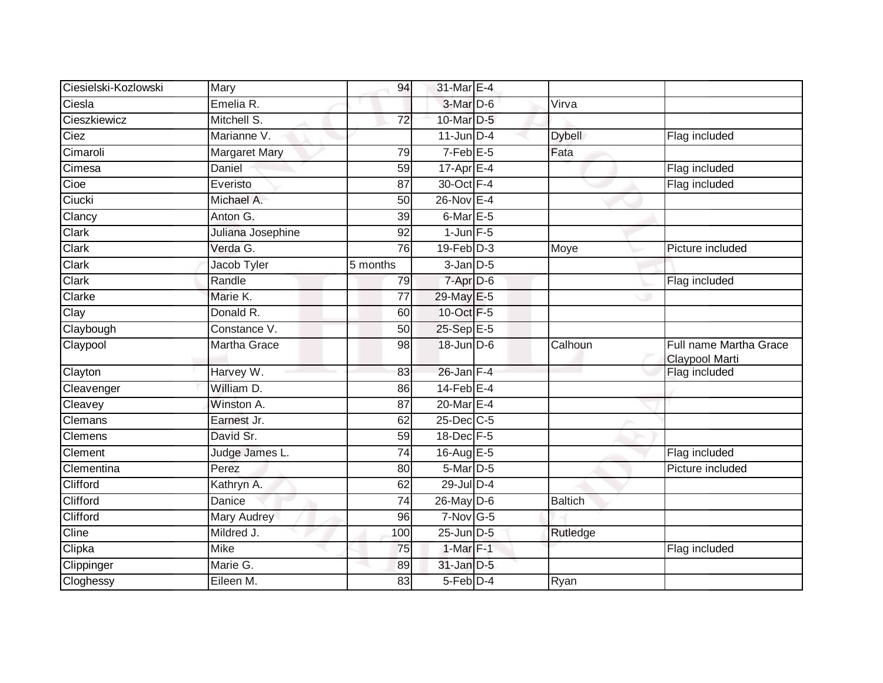| Ciesielski-Kozlowski | Mary                 | 94              | 31-Mar E-4                |                |                                          |
|----------------------|----------------------|-----------------|---------------------------|----------------|------------------------------------------|
| Ciesla               | Emelia R.            |                 | 3-Mar D-6                 | Virva          |                                          |
| Cieszkiewicz         | Mitchell S.          | $\overline{72}$ | 10-Mar D-5                |                |                                          |
| Ciez                 | Marianne V.          |                 | $11$ -Jun $D-4$           | <b>Dybell</b>  | Flag included                            |
| Cimaroli             | <b>Margaret Mary</b> | 79              | $7-FebE-5$                | Fata           |                                          |
| Cimesa               | Daniel               | 59              | $17 - \overline{Apr}$ E-4 |                | Flag included                            |
| Cioe                 | Everisto             | 87              | 30-Oct F-4                |                | Flag included                            |
| Ciucki               | Michael A.           | 50              | 26-Nov E-4                |                |                                          |
| Clancy               | Anton G.             | 39              | $6$ -Mar $E - 5$          |                |                                          |
| Clark                | Juliana Josephine    | 92              | $1$ -Jun $F-5$            |                |                                          |
| Clark                | Verda G.             | 76              | $19$ -Feb $D-3$           | Moye           | Picture included                         |
| Clark                | Jacob Tyler          | 5 months        | $3$ -Jan $D-5$            |                |                                          |
| Clark                | Randle               | 79              | 7-Apr D-6                 |                | Flag included                            |
| Clarke               | Marie K.             | 77              | 29-May E-5                |                |                                          |
| Clay                 | Donald R.            | 60              | 10-Oct F-5                |                |                                          |
| Claybough            | Constance V.         | 50              | 25-Sep E-5                |                |                                          |
| Claypool             | <b>Martha Grace</b>  | 98              | 18-Jun D-6                | Calhoun        | Full name Martha Grace<br>Claypool Marti |
| Clayton              | Harvey W.            | 83              | $26$ -Jan $F-4$           |                | Flag included                            |
| Cleavenger           | William D.           | 86              | $14$ -Feb $E-4$           |                |                                          |
| Cleavey              | Winston A.           | 87              | $20$ -Mar $E-4$           |                |                                          |
| Clemans              | Earnest Jr.          | 62              | 25-Dec C-5                |                |                                          |
| Clemens              | David Sr.            | 59              | 18-Dec F-5                |                |                                          |
| Clement              | Judge James L.       | 74              | 16-Aug $E-5$              |                | Flag included                            |
| Clementina           | Perez                | 80              | 5-Mar D-5                 |                | Picture included                         |
| Clifford             | Kathryn A.           | 62              | $29$ -Jul $D-4$           |                |                                          |
| Clifford             | Danice               | 74              | $26$ -May D-6             | <b>Baltich</b> |                                          |
| Clifford             | <b>Mary Audrey</b>   | 96              | $7-Nov$ G-5               |                |                                          |
| Cline                | Mildred J.           | 100             | $25$ -Jun $D-5$           | Rutledge       |                                          |
| Clipka               | <b>Mike</b>          | 75              | $1-Mar$ F-1               |                | Flag included                            |
| Clippinger           | Marie G.             | 89              | $31$ -Jan $D-5$           |                |                                          |
| Cloghessy            | Eileen M.            | 83              | 5-Feb D-4                 | Ryan           |                                          |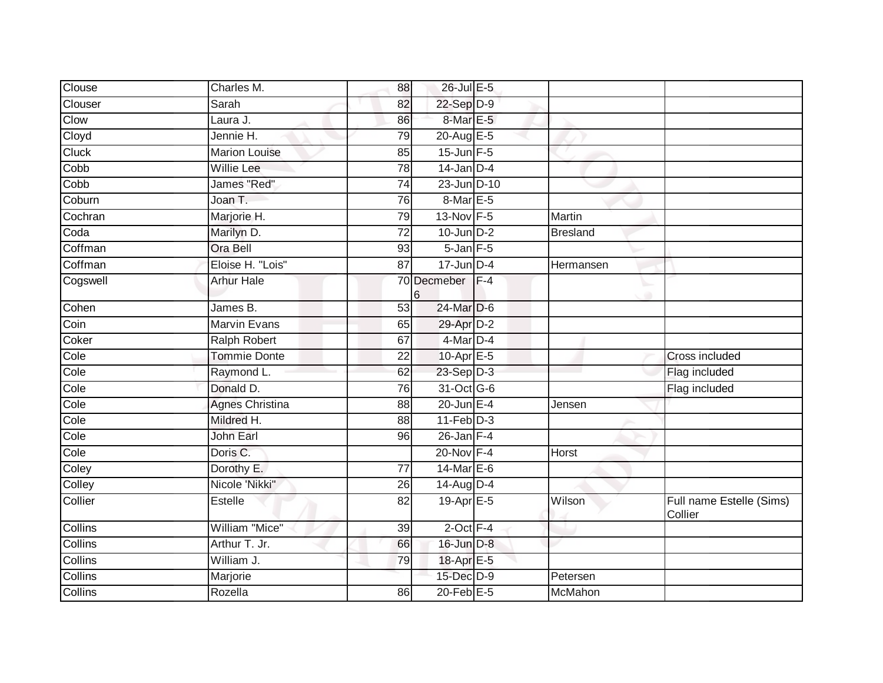| Clouse         | Charles M.              | 88              | 26-Jul E-5       |       |                 |                                     |
|----------------|-------------------------|-----------------|------------------|-------|-----------------|-------------------------------------|
| Clouser        | Sarah                   | 82              | 22-Sep D-9       |       |                 |                                     |
| Clow           | Laura J.                | 86              | 8-Mar E-5        |       |                 |                                     |
| Cloyd          | Jennie $\overline{H}$ . | 79              | 20-Aug E-5       |       |                 |                                     |
| <b>Cluck</b>   | <b>Marion Louise</b>    | 85              | $15$ -Jun F-5    |       |                 |                                     |
| Cobb           | <b>Willie Lee</b>       | $\overline{78}$ | $14$ -Jan D-4    |       |                 |                                     |
| Cobb           | James "Red"             | 74              | 23-Jun D-10      |       |                 |                                     |
| Coburn         | Joan T.                 | 76              | 8-Mar E-5        |       |                 |                                     |
| Cochran        | Marjorie H.             | 79              | 13-Nov F-5       |       | Martin          |                                     |
| Coda           | Marilyn D.              | $\overline{72}$ | $10$ -Jun $D-2$  |       | <b>Bresland</b> |                                     |
| Coffman        | Ora Bell                | 93              | $5$ -Jan $F$ -5  |       |                 |                                     |
| Coffman        | Eloise H. "Lois"        | 87              | $17$ -Jun $D-4$  |       | Hermansen       |                                     |
| Cogswell       | <b>Arhur Hale</b>       | 6               | 70 Decmeber      | $F-4$ |                 |                                     |
| Cohen          | James B.                | $\overline{53}$ | 24-Mar D-6       |       |                 |                                     |
| Coin           | <b>Marvin Evans</b>     | 65              | 29-Apr D-2       |       |                 |                                     |
| Coker          | <b>Ralph Robert</b>     | 67              | 4-Mar D-4        |       |                 |                                     |
| Cole           | <b>Tommie Donte</b>     | 22              | 10-Apr $E-5$     |       |                 | Cross included                      |
| Cole           | Raymond L.              | 62              | 23-Sep D-3       |       |                 | Flag included                       |
| Cole           | Donald D.               | $\overline{76}$ | 31-Oct G-6       |       |                 | Flag included                       |
| Cole           | <b>Agnes Christina</b>  | 88              | $20$ -Jun $E-4$  |       | Jensen          |                                     |
| Cole           | Mildred H.              | 88              | $11-Feb$ D-3     |       |                 |                                     |
| Cole           | <b>John Earl</b>        | 96              | $26 - Jan$ $F-4$ |       |                 |                                     |
| Cole           | Doris C.                |                 | 20-Nov F-4       |       | Horst           |                                     |
| Coley          | Dorothy E.              | $\overline{77}$ | 14-Mar $E-6$     |       |                 |                                     |
| Colley         | Nicole 'Nikki"          | 26              | 14-Aug D-4       |       |                 |                                     |
| Collier        | Estelle                 | 82              | 19-Apr E-5       |       | Wilson          | Full name Estelle (Sims)<br>Collier |
| <b>Collins</b> | William "Mice"          | 39              | $2$ -Oct $F-4$   |       |                 |                                     |
| Collins        | Arthur T. Jr.           | 66              | 16-Jun D-8       |       |                 |                                     |
| Collins        | William J.              | 79              | 18-Apr E-5       |       |                 |                                     |
| Collins        | Marjorie                |                 | 15-Dec D-9       |       | Petersen        |                                     |
| Collins        | Rozella                 | 86              | $20$ -Feb $E-5$  |       | McMahon         |                                     |
|                |                         |                 |                  |       |                 |                                     |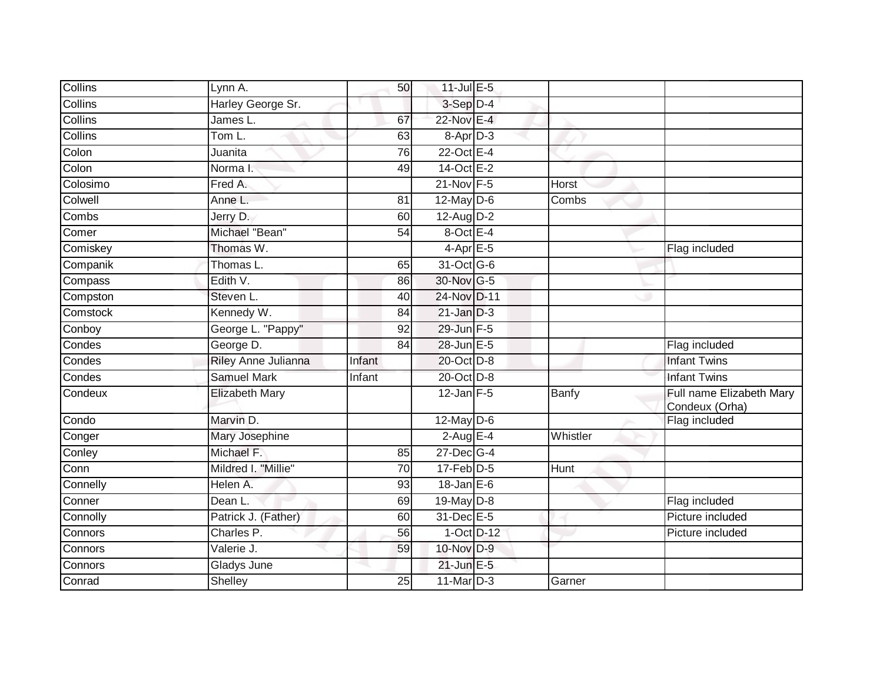| Collins  | Lynn A.                          | 50              | 11-Jul E-5           |              |                                            |
|----------|----------------------------------|-----------------|----------------------|--------------|--------------------------------------------|
| Collins  | Harley George Sr.                |                 | $3-Sep$ D-4          |              |                                            |
| Collins  | James L.                         | 67              | 22-Nov E-4           |              |                                            |
| Collins  | Tom L.                           | 63              | 8-Apr <sub>D-3</sub> |              |                                            |
| Colon    | Juanita                          | $\overline{76}$ | $22$ -Oct E-4        |              |                                            |
| Colon    | Norma I.                         | 49              | 14-Oct E-2           |              |                                            |
| Colosimo | Fred A.                          |                 | 21-Nov F-5           | Horst        |                                            |
| Colwell  | Anne L.                          | 81              | 12-May D-6           | Combs        |                                            |
| Combs    | Jerry D.                         | 60              | $12$ -Aug $D-2$      |              |                                            |
| Comer    | Michael "Bean"                   | $\overline{54}$ | 8-Oct E-4            |              |                                            |
| Comiskey | Thomas $\overline{\mathsf{W}}$ . |                 | $4-AprE-5$           |              | Flag included                              |
| Companik | Thomas L.                        | 65              | 31-Oct G-6           |              |                                            |
| Compass  | Edith V.                         | 86              | 30-Nov G-5           |              |                                            |
| Compston | Steven L.                        | 40              | 24-Nov D-11          |              |                                            |
| Comstock | Kennedy W.                       | 84              | $21$ -Jan $D-3$      |              |                                            |
| Conboy   | George L. "Pappy"                | 92              | 29-Jun F-5           |              |                                            |
| Condes   | George D.                        | 84              | 28-Jun E-5           |              | Flag included                              |
| Condes   | Riley Anne Julianna              | Infant          | 20-Oct D-8           |              | <b>Infant Twins</b>                        |
| Condes   | <b>Samuel Mark</b>               | Infant          | 20-Oct D-8           |              | <b>Infant Twins</b>                        |
| Condeux  | <b>Elizabeth Mary</b>            |                 | $12$ -Jan $F-5$      | <b>Banfy</b> | Full name Elizabeth Mary<br>Condeux (Orha) |
| Condo    | Marvin D.                        |                 | 12-May D-6           |              | Flag included                              |
| Conger   | Mary Josephine                   |                 | $2$ -Aug E-4         | Whistler     |                                            |
| Conley   | Michael F.                       | 85              | 27-Dec G-4           |              |                                            |
| Conn     | Mildred I. "Millie"              | 70              | $17$ -Feb $D-5$      | Hunt         |                                            |
| Connelly | Helen A.                         | 93              | $18 - Jan$ $E-6$     |              |                                            |
| Conner   | Dean L.                          | 69              | 19-May D-8           |              | Flag included                              |
| Connolly | Patrick J. (Father)              | 60              | 31-Dec E-5           |              | Picture included                           |
| Connors  | Charles P.                       | 56              | 1-Oct D-12           |              | Picture included                           |
| Connors  | Valerie J.                       | 59              | 10-Nov D-9           |              |                                            |
| Connors  | Gladys June                      |                 | $21$ -Jun $E-5$      |              |                                            |
| Conrad   | Shelley                          | 25              | 11-Mar D-3           | Garner       |                                            |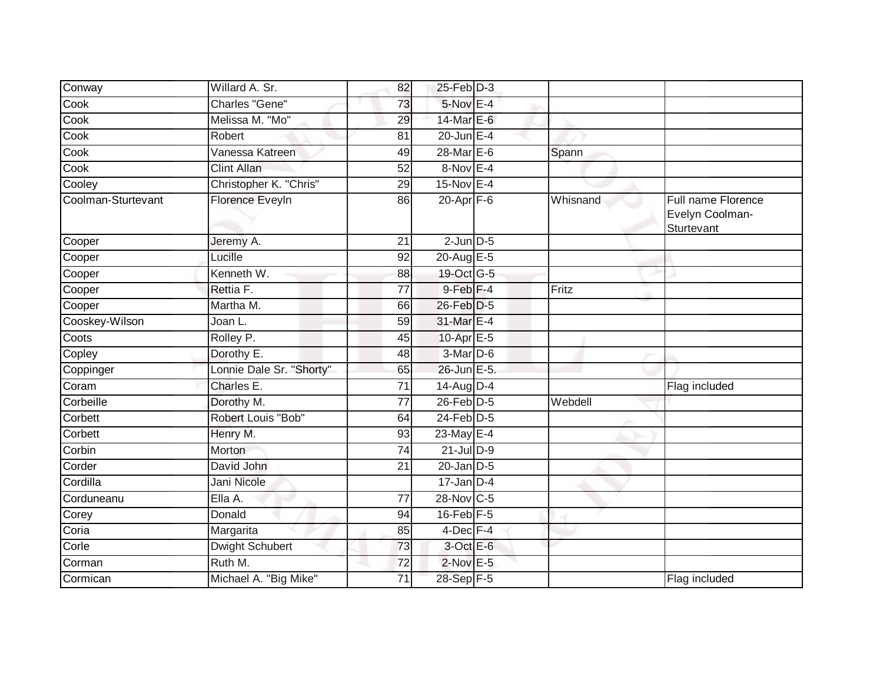| Conway             | Willard A. Sr.           | 82 | $25$ -Feb $D-3$       |          |                                                     |
|--------------------|--------------------------|----|-----------------------|----------|-----------------------------------------------------|
| Cook               | Charles "Gene"           | 73 | $5-Nov$ E-4           |          |                                                     |
| Cook               | Melissa M. "Mo"          | 29 | 14-Mar E-6            |          |                                                     |
| Cook               | Robert                   | 81 | 20-Jun $E-4$          |          |                                                     |
| Cook               | Vanessa Katreen          | 49 | 28-Mar E-6            | Spann    |                                                     |
| Cook               | <b>Clint Allan</b>       | 52 | $8-Nov$ E-4           |          |                                                     |
| Cooley             | Christopher K. "Chris"   | 29 | $15$ -Nov $E-4$       |          |                                                     |
| Coolman-Sturtevant | Florence EveyIn          | 86 | $20 - Apr$ F-6        | Whisnand | Full name Florence<br>Evelyn Coolman-<br>Sturtevant |
| Cooper             | Jeremy A.                | 21 | $2$ -Jun $D-5$        |          |                                                     |
| Cooper             | Lucille                  | 92 | 20-Aug E-5            |          |                                                     |
| Cooper             | Kenneth W.               | 88 | 19-Oct G-5            |          |                                                     |
| Cooper             | Rettia F.                | 77 | $9$ -Feb $F-4$        | Fritz    |                                                     |
| Cooper             | Martha M.                | 66 | 26-Feb D-5            |          |                                                     |
| Cooskey-Wilson     | Joan L.                  | 59 | 31-Mar E-4            |          |                                                     |
| Coots              | Rolley P.                | 45 | 10-Apr <sub>E-5</sub> |          |                                                     |
| Copley             | Dorothy E.               | 48 | $3-Mar$ D-6           |          |                                                     |
| Coppinger          | Lonnie Dale Sr. "Shorty" | 65 | 26-Jun E-5.           |          |                                                     |
| Coram              | Charles E.               | 71 | 14-Aug D-4            |          | Flag included                                       |
| Corbeille          | Dorothy M.               | 77 | $26$ -Feb $D-5$       | Webdell  |                                                     |
| Corbett            | Robert Louis "Bob"       | 64 | $24$ -Feb $D-5$       |          |                                                     |
| Corbett            | Henry M.                 | 93 | 23-May E-4            |          |                                                     |
| Corbin             | Morton                   | 74 | $21$ -Jul D-9         |          |                                                     |
| Corder             | David John               | 21 | $20$ -Jan $D-5$       |          |                                                     |
| Cordilla           | Jani Nicole              |    | $17$ -Jan D-4         |          |                                                     |
| Corduneanu         | Ella A.                  | 77 | 28-Nov C-5            |          |                                                     |
| Corey              | Donald                   | 94 | $16$ -Feb $F-5$       |          |                                                     |
| Coria              | Margarita                | 85 | $4$ -Dec $F-4$        |          |                                                     |
| Corle              | <b>Dwight Schubert</b>   | 73 | 3-Oct E-6             |          |                                                     |
| Corman             | Ruth M.                  | 72 | $2$ -Nov $E - 5$      |          |                                                     |
| Cormican           | Michael A. "Big Mike"    | 71 | 28-Sep F-5            |          | Flag included                                       |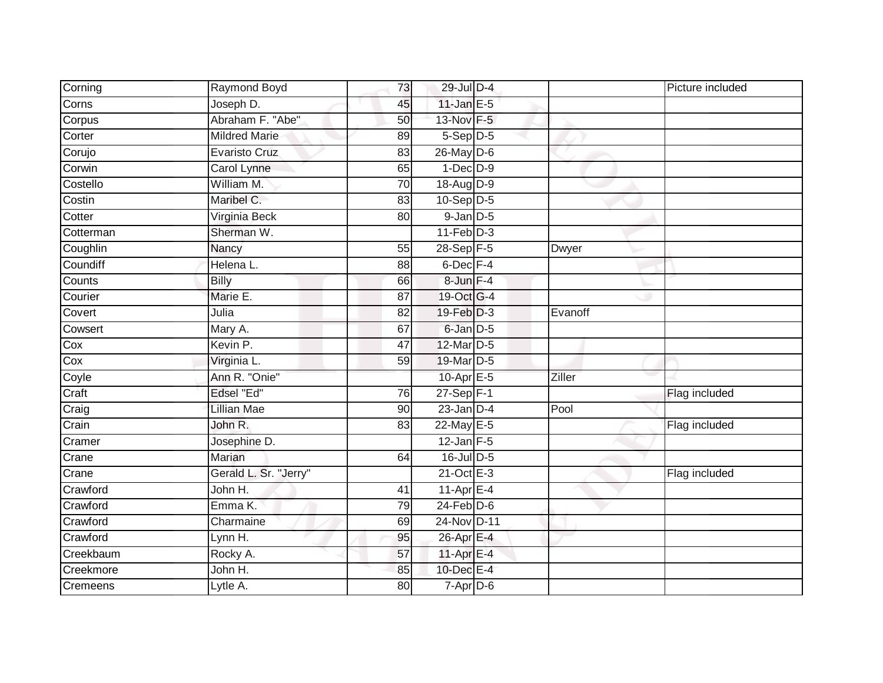| Corning   | Raymond Boyd          | 73 | 29-Jul D-4            |         | Picture included |
|-----------|-----------------------|----|-----------------------|---------|------------------|
| Corns     | Joseph D.             | 45 | 11-Jan $E-5$          |         |                  |
| Corpus    | Abraham F. "Abe"      | 50 | 13-Nov F-5            |         |                  |
| Corter    | <b>Mildred Marie</b>  | 89 | $5-Sep\overline{D-5}$ |         |                  |
| Corujo    | Evaristo Cruz         | 83 | 26-May D-6            |         |                  |
| Corwin    | Carol Lynne           | 65 | $1-Dec$ $D-9$         |         |                  |
| Costello  | William M.            | 70 | 18-Aug D-9            |         |                  |
| Costin    | Maribel C.            | 83 | $10-Sep$ D-5          |         |                  |
| Cotter    | Virginia Beck         | 80 | $9$ -Jan $D$ -5       |         |                  |
| Cotterman | Sherman W.            |    | $11-Feb$ D-3          |         |                  |
| Coughlin  | Nancy                 | 55 | $28-Sep$ F-5          | Dwyer   |                  |
| Coundiff  | Helena L.             | 88 | 6-Dec F-4             |         |                  |
| Counts    | <b>Billy</b>          | 66 | 8-Jun F-4             |         |                  |
| Courier   | Marie E.              | 87 | 19-Oct G-4            |         |                  |
| Covert    | Julia                 | 82 | 19-Feb D-3            | Evanoff |                  |
| Cowsert   | Mary A.               | 67 | 6-Jan D-5             |         |                  |
| Cox       | Kevin P.              | 47 | 12-Mar D-5            |         |                  |
| Cox       | Virginia L.           | 59 | 19-Mar D-5            |         |                  |
| Coyle     | Ann R. "Onie"         |    | 10-Apr E-5            | Ziller  |                  |
| Craft     | Edsel "Ed"            | 76 | $27$ -Sep $F-1$       |         | Flag included    |
| Craig     | <b>Lillian Mae</b>    | 90 | $23$ -Jan $D-4$       | Pool    |                  |
| Crain     | John R.               | 83 | 22-May E-5            |         | Flag included    |
| Cramer    | Josephine D.          |    | $12$ -Jan $F-5$       |         |                  |
| Crane     | Marian                | 64 | 16-Jul D-5            |         |                  |
| Crane     | Gerald L. Sr. "Jerry" |    | $21$ -Oct $E-3$       |         | Flag included    |
| Crawford  | John H.               | 41 | $11-AprE-4$           |         |                  |
| Crawford  | Emma K.               | 79 | $24$ -Feb $D-6$       |         |                  |
| Crawford  | Charmaine             | 69 | 24-Nov D-11           |         |                  |
| Crawford  | Lynn H.               | 95 | 26-Apr E-4            |         |                  |
| Creekbaum | Rocky A.              | 57 | 11-Apr E-4            |         |                  |
| Creekmore | John H.               | 85 | 10-Dec E-4            |         |                  |
| Cremeens  | Lytle A.              | 80 | $7 - Apr$ $D-6$       |         |                  |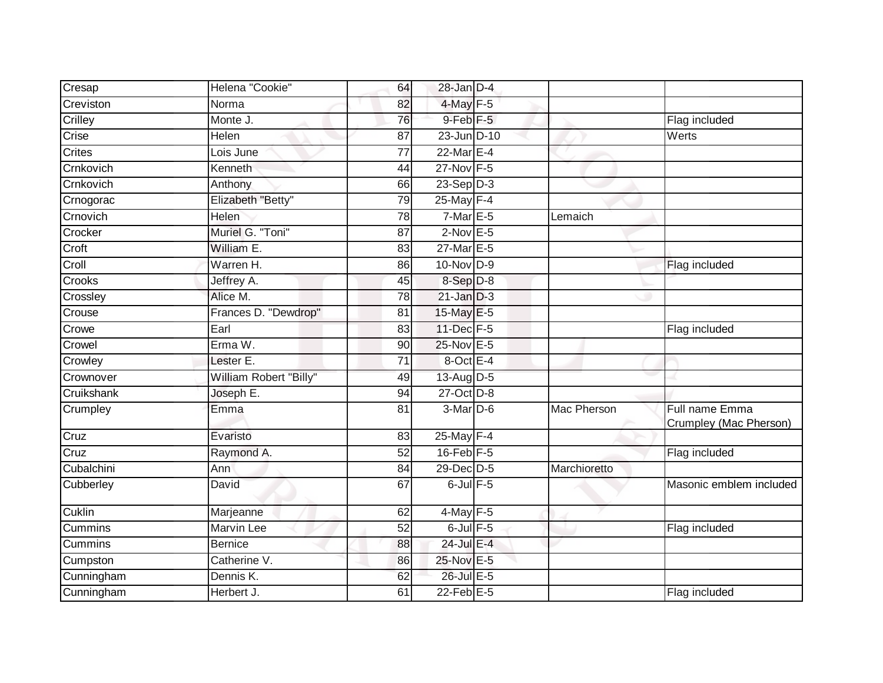| Cresap     | Helena "Cookie"        | 64              | $28$ -Jan $D-4$         |              |                                          |
|------------|------------------------|-----------------|-------------------------|--------------|------------------------------------------|
| Creviston  | Norma                  | 82              | 4-May F-5               |              |                                          |
| Crilley    | Monte J.               | 76              | $9$ -Feb $F-5$          |              | Flag included                            |
| Crise      | Helen                  | 87              | 23-Jun D-10             |              | Werts                                    |
| Crites     | Lois June              | $\overline{77}$ | $22$ -Mar $E-4$         |              |                                          |
| Crnkovich  | Kenneth                | 44              | 27-Nov F-5              |              |                                          |
| Crnkovich  | Anthony                | 66              | $23-Sep D-3$            |              |                                          |
| Crnogorac  | Elizabeth "Betty"      | 79              | 25-May F-4              |              |                                          |
| Crnovich   | <b>Helen</b>           | 78              | $7-MarE-5$              | Lemaich      |                                          |
| Crocker    | Muriel G. "Toni"       | 87              | $2$ -Nov $E - 5$        |              |                                          |
| Croft      | William E.             | 83              | 27-Mar E-5              |              |                                          |
| Croll      | Warren H.              | 86              | $10$ -Nov D-9           |              | Flag included                            |
| Crooks     | Jeffrey A.             | 45              | 8-Sep D-8               |              |                                          |
| Crossley   | Alice M.               | 78              | $21$ -Jan $D-3$         |              |                                          |
| Crouse     | Frances D. "Dewdrop"   | 81              | 15-May E-5              |              |                                          |
| Crowe      | Earl                   | 83              | 11-Dec F-5              |              | Flag included                            |
| Crowel     | Erma W.                | 90              | 25-Nov E-5              |              |                                          |
| Crowley    | Lester E.              | 71              | 8-Oct E-4               |              |                                          |
| Crownover  | William Robert "Billy" | 49              | 13-Aug D-5              |              |                                          |
| Cruikshank | Joseph E.              | $\overline{94}$ | 27-Oct D-8              |              |                                          |
| Crumpley   | Emma                   | 81              | $3-Mar$ D-6             | Mac Pherson  | Full name Emma<br>Crumpley (Mac Pherson) |
| Cruz       | Evaristo               | 83              | $25$ -May $\boxed{F-4}$ |              |                                          |
| Cruz       | Raymond A.             | 52              | $16$ -Feb $F-5$         |              | Flag included                            |
| Cubalchini | Ann                    | 84              | 29-Dec D-5              | Marchioretto |                                          |
| Cubberley  | David                  | 67              | $6$ -Jul $F-5$          |              | Masonic emblem included                  |
| Cuklin     | Marjeanne              | 62              | $4$ -May $F-5$          |              |                                          |
| Cummins    | Marvin Lee             | 52              | $6$ -Jul $F$ -5         |              | Flag included                            |
| Cummins    | <b>Bernice</b>         | 88              | 24-Jul E-4              |              |                                          |
| Cumpston   | Catherine V.           | 86              | 25-Nov E-5              |              |                                          |
| Cunningham | Dennis K.              | 62              | 26-Jul E-5              |              |                                          |
| Cunningham | Herbert J.             | 61              | $22$ -Feb $E-5$         |              | Flag included                            |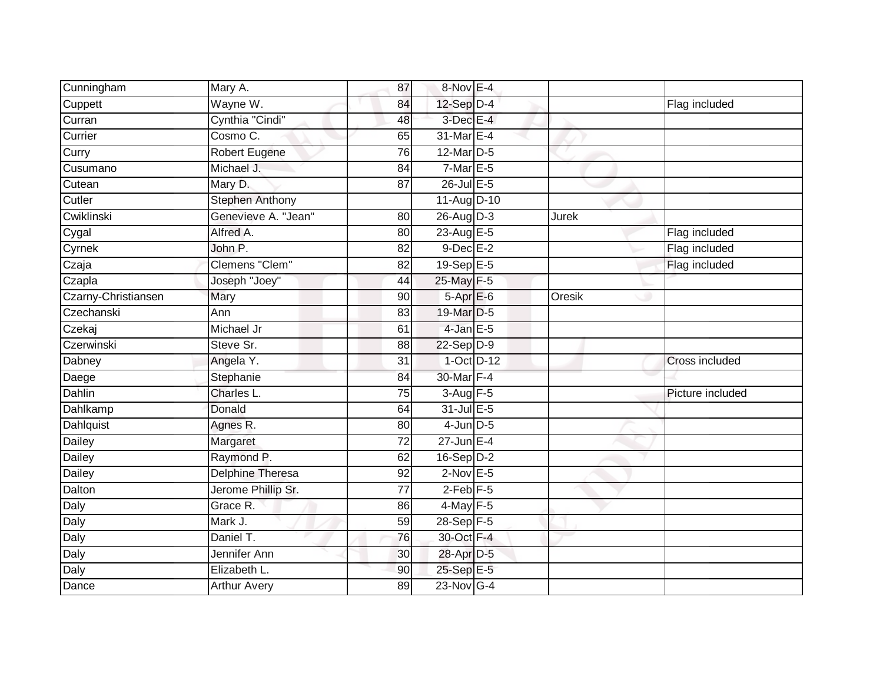| Cunningham          | Mary A.                | 87              | 8-Nov E-4        |        |                  |
|---------------------|------------------------|-----------------|------------------|--------|------------------|
| Cuppett             | Wayne W.               | 84              | $12$ -Sep $D-4$  |        | Flag included    |
| Curran              | Cynthia "Cindi"        | 48              | $3$ -Dec $E-4$   |        |                  |
| Currier             | Cosmo C.               | 65              | 31-Mar E-4       |        |                  |
| Curry               | <b>Robert Eugene</b>   | $\overline{76}$ | 12-Mar D-5       |        |                  |
| Cusumano            | Michael J.             | 84              | $7-MarE-5$       |        |                  |
| Cutean              | Mary D.                | 87              | $26$ -Jul E-5    |        |                  |
| Cutler              | <b>Stephen Anthony</b> |                 | 11-Aug D-10      |        |                  |
| Cwiklinski          | Genevieve A. "Jean"    | 80              | 26-Aug D-3       | Jurek  |                  |
| Cygal               | Alfred A.              | 80              | 23-Aug E-5       |        | Flag included    |
| Cyrnek              | John P.                | 82              | $9$ -Dec $E-2$   |        | Flag included    |
| Czaja               | Clemens "Clem"         | 82              | $19-Sep$ E-5     |        | Flag included    |
| Czapla              | Joseph "Joey"          | 44              | 25-May F-5       |        |                  |
| Czarny-Christiansen | Mary                   | 90              | 5-Apr E-6        | Oresik |                  |
| Czechanski          | Ann                    | 83              | 19-Mar D-5       |        |                  |
| Czekaj              | Michael Jr             | 61              | $4$ -Jan $E$ -5  |        |                  |
| Czerwinski          | Steve Sr.              | 88              | $22-Sep$ D-9     |        |                  |
| Dabney              | Angela Y.              | 31              | $1-Oct$ D-12     |        | Cross included   |
| Daege               | Stephanie              | 84              | 30-Mar F-4       |        |                  |
| <b>Dahlin</b>       | Charles L.             | 75              | $3-Aug$ F-5      |        | Picture included |
| Dahlkamp            | Donald                 | 64              | 31-Jul E-5       |        |                  |
| Dahlquist           | Agnes R.               | 80              | $4$ -Jun $D-5$   |        |                  |
| Dailey              | Margaret               | 72              | $27$ -Jun $E-4$  |        |                  |
| Dailey              | Raymond P.             | 62              | $16-Sep$ D-2     |        |                  |
| Dailey              | Delphine Theresa       | 92              | $2$ -Nov $E - 5$ |        |                  |
| Dalton              | Jerome Phillip Sr.     | 77              | $2$ -Feb $F-5$   |        |                  |
| Daly                | Grace R.               | 86              | $4$ -May $F-5$   |        |                  |
| Daly                | Mark J.                | 59              | 28-Sep F-5       |        |                  |
| Daly                | Daniel T.              | 76              | 30-Oct F-4       |        |                  |
| Daly                | Jennifer Ann           | 30              | 28-Apr D-5       |        |                  |
| Daly                | Elizabeth L.           | 90              | 25-Sep E-5       |        |                  |
| Dance               | <b>Arthur Avery</b>    | 89              | 23-Nov G-4       |        |                  |
|                     |                        |                 |                  |        |                  |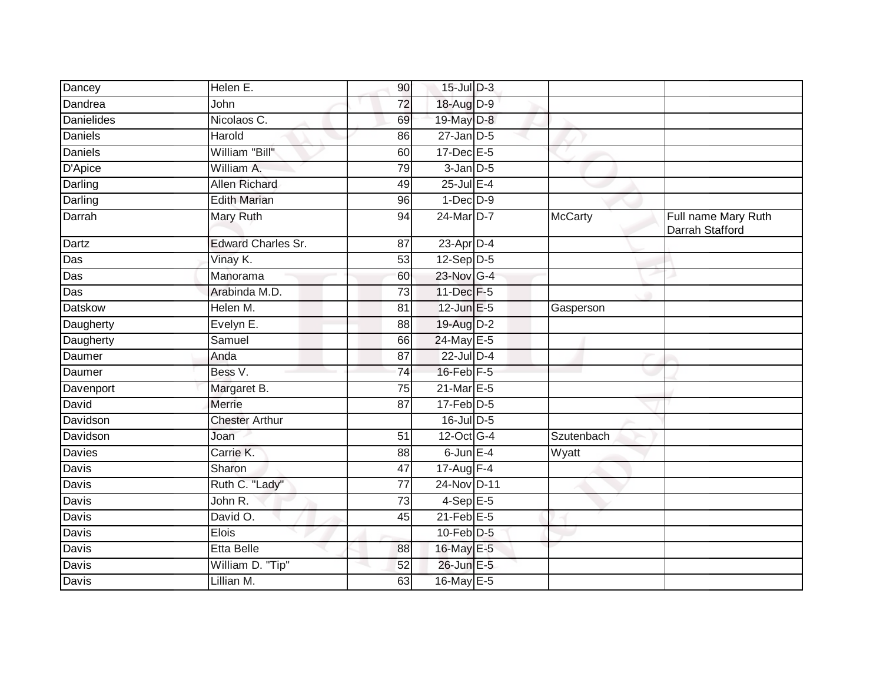| Dancey            | Helen E.                  | 90              | $15$ -Jul $D-3$   |                |                                        |
|-------------------|---------------------------|-----------------|-------------------|----------------|----------------------------------------|
| Dandrea           | John                      | 72              | 18-Aug D-9        |                |                                        |
| <b>Danielides</b> | Nicolaos C.               | 69              | 19-May D-8        |                |                                        |
| Daniels           | Harold                    | 86              | $27$ -Jan $D-5$   |                |                                        |
| <b>Daniels</b>    | William "Bill"            | 60              | $17$ -Dec $E - 5$ |                |                                        |
| D'Apice           | William A.                | 79              | $3$ -Jan $D-5$    |                |                                        |
| Darling           | <b>Allen Richard</b>      | 49              | 25-Jul E-4        |                |                                        |
| Darling           | <b>Edith Marian</b>       | 96              | $1-Dec$ $D-9$     |                |                                        |
| Darrah            | Mary Ruth                 | 94              | 24-Mar D-7        | <b>McCarty</b> | Full name Mary Ruth<br>Darrah Stafford |
| Dartz             | <b>Edward Charles Sr.</b> | 87              | $23$ -Apr $D-4$   |                |                                        |
| Das               | Vinay K.                  | 53              | $12-Sep$ D-5      |                |                                        |
| Das               | Manorama                  | 60              | 23-Nov G-4        |                |                                        |
| Das               | Arabinda M.D.             | 73              | 11-Dec F-5        |                |                                        |
| <b>Datskow</b>    | Helen M.                  | 81              | 12-Jun E-5        | Gasperson      |                                        |
| Daugherty         | Evelyn E.                 | 88              | 19-Aug D-2        |                |                                        |
| Daugherty         | Samuel                    | 66              | 24-May E-5        |                |                                        |
| Daumer            | Anda                      | 87              | $22$ -Jul $D-4$   |                |                                        |
| Daumer            | Bess V.                   | 74              | $16$ -Feb $F-5$   |                |                                        |
| Davenport         | Margaret B.               | 75              | 21-Mar E-5        |                |                                        |
| David             | Merrie                    | $\overline{87}$ | $17$ -Feb $D-5$   |                |                                        |
| Davidson          | <b>Chester Arthur</b>     |                 | 16-Jul D-5        |                |                                        |
| Davidson          | Joan                      | 51              | 12-Oct G-4        | Szutenbach     |                                        |
| Davies            | Carrie K.                 | 88              | $6$ -Jun $E-4$    | Wyatt          |                                        |
| Davis             | Sharon                    | 47              | $17-Aug$ F-4      |                |                                        |
| <b>Davis</b>      | Ruth C. "Lady"            | $\overline{77}$ | 24-Nov D-11       |                |                                        |
| Davis             | John R.                   | 73              | $4-Sep$ E-5       |                |                                        |
| Davis             | David O.                  | 45              | $21$ -Feb $E-5$   |                |                                        |
| Davis             | Elois                     |                 | $10$ -Feb $D-5$   |                |                                        |
| Davis             | <b>Etta Belle</b>         | 88              | 16-May E-5        |                |                                        |
| Davis             | William D. "Tip"          | 52              | 26-Jun E-5        |                |                                        |
| Davis             | Lillian M.                | 63              | 16-May E-5        |                |                                        |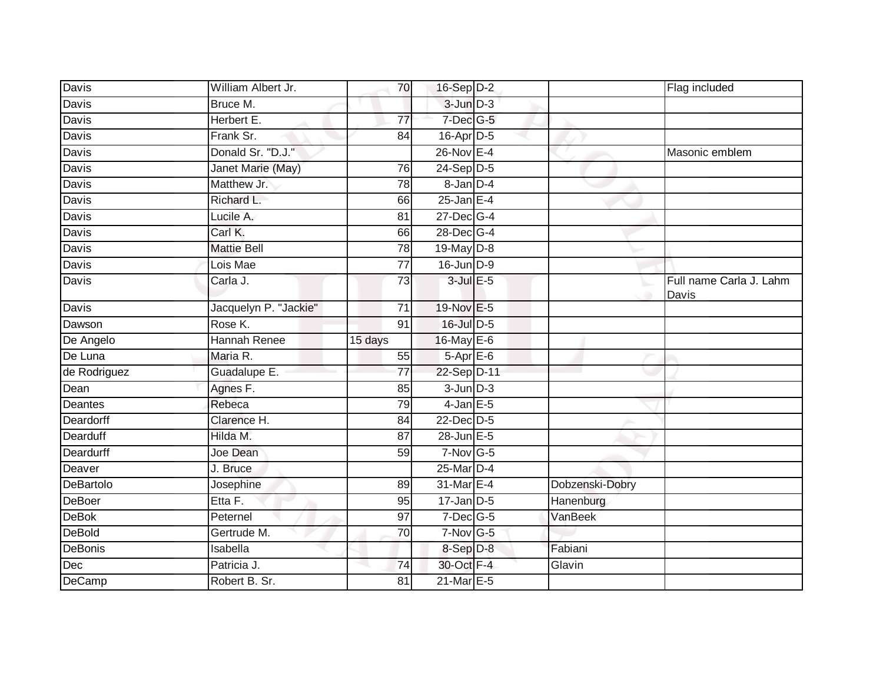| Davis          | William Albert Jr.    | 70              | $16-Sep$ D-2     |                 | Flag included                    |
|----------------|-----------------------|-----------------|------------------|-----------------|----------------------------------|
| Davis          | Bruce M.              |                 | $3$ -Jun $D-3$   |                 |                                  |
| Davis          | Herbert E.            | $\overline{77}$ | 7-Dec G-5        |                 |                                  |
| Davis          | Frank Sr.             | 84              | $16$ -Apr $D-5$  |                 |                                  |
| Davis          | Donald Sr. "D.J."     |                 | $26$ -Nov $E-4$  |                 | Masonic emblem                   |
| Davis          | Janet Marie (May)     | 76              | $24-Sep$ D-5     |                 |                                  |
| Davis          | Matthew Jr.           | 78              | $8$ -Jan $D-4$   |                 |                                  |
| Davis          | Richard L.            | 66              | $25$ -Jan E-4    |                 |                                  |
| <b>Davis</b>   | Lucile A.             | 81              | $27 - Dec$ G-4   |                 |                                  |
| <b>Davis</b>   | Carl K.               | 66              | 28-Dec G-4       |                 |                                  |
| Davis          | <b>Mattie Bell</b>    | 78              | 19-May D-8       |                 |                                  |
| Davis          | Lois Mae              | 77              | $16$ -Jun $D-9$  |                 |                                  |
| Davis          | Carla J.              | 73              | $3$ -Jul $E$ -5  |                 | Full name Carla J. Lahm<br>Davis |
| Davis          | Jacquelyn P. "Jackie" | 71              | 19-Nov E-5       |                 |                                  |
| Dawson         | Rose K.               | $\overline{91}$ | 16-Jul D-5       |                 |                                  |
| De Angelo      | Hannah Renee          | 15 days         | 16-May E-6       |                 |                                  |
| De Luna        | Maria R.              | 55              | $5-AprE-6$       |                 |                                  |
| de Rodriguez   | Guadalupe E.          | 77              | 22-Sep D-11      |                 |                                  |
| Dean           | Agnes F.              | 85              | $3$ -Jun $D-3$   |                 |                                  |
| <b>Deantes</b> | Rebeca                | 79              | $4$ -Jan $E$ -5  |                 |                                  |
| Deardorff      | Clarence H.           | 84              | 22-Dec D-5       |                 |                                  |
| Dearduff       | Hilda M.              | $\overline{87}$ | 28-Jun E-5       |                 |                                  |
| Deardurff      | Joe Dean              | 59              | $7-Nov$ G-5      |                 |                                  |
| Deaver         | J. Bruce              |                 | 25-Mar D-4       |                 |                                  |
| DeBartolo      | Josephine             | 89              | 31-Mar E-4       | Dobzenski-Dobry |                                  |
| <b>DeBoer</b>  | Etta F.               | 95              | $17 - Jan$ $D-5$ | Hanenburg       |                                  |
| <b>DeBok</b>   | Peternel              | $\overline{97}$ | $7$ -Dec $G$ -5  | VanBeek         |                                  |
| <b>DeBold</b>  | Gertrude M.           | 70              | $7-Nov$ G-5      |                 |                                  |
| DeBonis        | Isabella              |                 | 8-Sep D-8        | Fabiani         |                                  |
| Dec            | Patricia J.           | 74              | 30-Oct F-4       | Glavin          |                                  |
| DeCamp         | Robert B. Sr.         | 81              | 21-Mar E-5       |                 |                                  |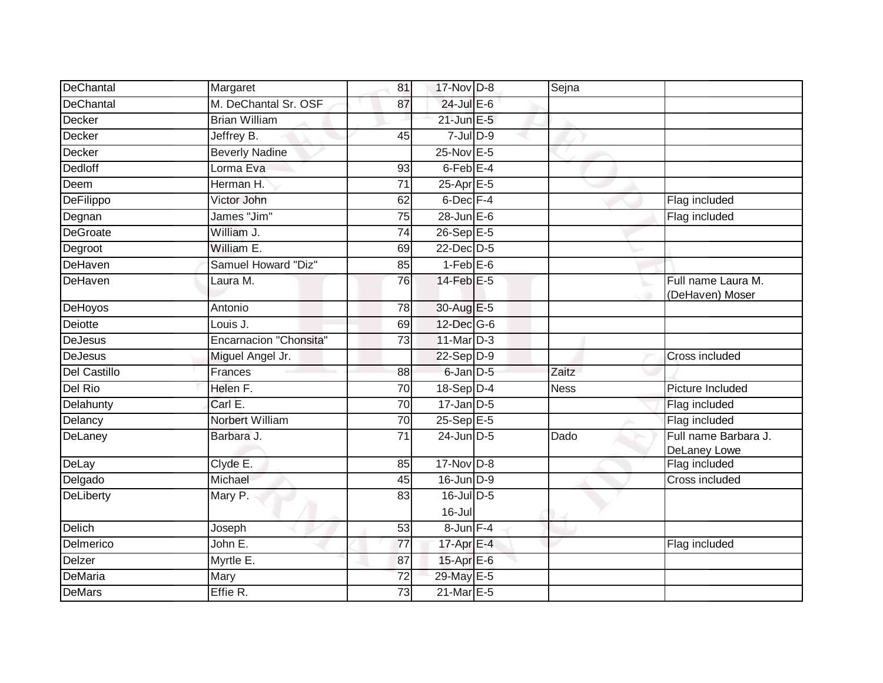| DeChantal       | Margaret                      | 81              | 17-Nov D-8      | Sejna       |                                       |
|-----------------|-------------------------------|-----------------|-----------------|-------------|---------------------------------------|
| DeChantal       | M. DeChantal Sr. OSF          | 87              | $24$ -Jul E-6   |             |                                       |
| Decker          | <b>Brian William</b>          |                 | $21$ -Jun $E-5$ |             |                                       |
| Decker          | Jeffrey B.                    | 45              | $7$ -Jul $D-9$  |             |                                       |
| Decker          | <b>Beverly Nadine</b>         |                 | $25$ -Nov $E-5$ |             |                                       |
| Dedloff         | Lorma Eva                     | 93              | $6$ -Feb $E-4$  |             |                                       |
| Deem            | Herman H.                     | 71              | 25-Apr E-5      |             |                                       |
| DeFilippo       | Victor John                   | 62              | $6$ -Dec $F-4$  |             | Flag included                         |
| Degnan          | James "Jim"                   | 75              | 28-Jun E-6      |             | Flag included                         |
| <b>DeGroate</b> | William J.                    | $\overline{74}$ | $26-Sep$ E-5    |             |                                       |
| Degroot         | William E.                    | 69              | $22$ -Dec $D-5$ |             |                                       |
| DeHaven         | Samuel Howard "Diz"           | 85              | $1-FebE-6$      |             |                                       |
| DeHaven         | Laura M.                      | 76              | $14$ -Feb $E-5$ |             | Full name Laura M.<br>(DeHaven) Moser |
| DeHoyos         | Antonio                       | 78              | 30-Aug E-5      |             |                                       |
| Deiotte         | Louis J.                      | 69              | 12-Dec G-6      |             |                                       |
| <b>DeJesus</b>  | <b>Encarnacion "Chonsita"</b> | 73              | 11-Mar D-3      |             |                                       |
| <b>DeJesus</b>  | Miguel Angel Jr.              |                 | 22-Sep D-9      |             | Cross included                        |
| Del Castillo    | Frances                       | 88              | $6$ -Jan $D-5$  | Zaitz       |                                       |
| Del Rio         | Helen F.                      | 70              | $18-Sep$ D-4    | <b>Ness</b> | Picture Included                      |
| Delahunty       | Carl E.                       | 70              | $17$ -Jan D-5   |             | Flag included                         |
| Delancy         | Norbert William               | 70              | 25-Sep E-5      |             | Flag included                         |
| DeLaney         | Barbara J.                    | 71              | 24-Jun D-5      | Dado        | Full name Barbara J.<br>DeLaney Lowe  |
| DeLay           | Clyde E.                      | 85              | $17-Nov$ D-8    |             | Flag included                         |
| Delgado         | Michael                       | 45              | $16$ -Jun $D-9$ |             | Cross included                        |
| DeLiberty       | Mary P.                       | 83              | $16$ -Jul D-5   |             |                                       |
|                 |                               |                 | $16$ -Jul       |             |                                       |
| Delich          | Joseph                        | 53              | 8-Jun F-4       |             |                                       |
| Delmerico       | John E.                       | 77              | 17-Apr $E-4$    |             | Flag included                         |
| <b>Delzer</b>   | Myrtle E.                     | 87              | 15-Apr E-6      |             |                                       |
| <b>DeMaria</b>  | Mary                          | $\overline{72}$ | 29-May E-5      |             |                                       |
| <b>DeMars</b>   | Effie R.                      | 73              | 21-Mar E-5      |             |                                       |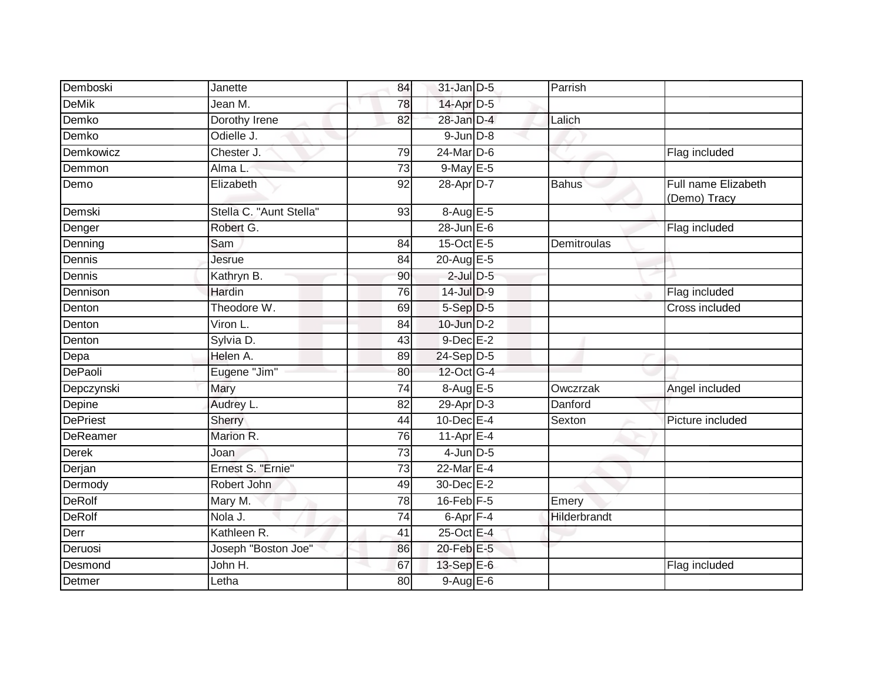| Demboski        | Janette                 | 84              | $31$ -Jan D-5   | Parrish      |                                     |
|-----------------|-------------------------|-----------------|-----------------|--------------|-------------------------------------|
| <b>DeMik</b>    | Jean M.                 | 78              | 14-Apr D-5      |              |                                     |
| Demko           | Dorothy Irene           | 82              | 28-Jan D-4      | Lalich       |                                     |
| Demko           | Odielle J.              |                 | $9$ -Jun $D-8$  |              |                                     |
| Demkowicz       | Chester J.              | 79              | $24$ -Mar $D-6$ |              | Flag included                       |
| Demmon          | Alma L.                 | $\overline{73}$ | 9-May E-5       |              |                                     |
| Demo            | Elizabeth               | 92              | 28-Apr D-7      | <b>Bahus</b> | Full name Elizabeth<br>(Demo) Tracy |
| Demski          | Stella C. "Aunt Stella" | 93              | 8-Aug E-5       |              |                                     |
| Denger          | Robert G.               |                 | $28$ -Jun $E-6$ |              | Flag included                       |
| Denning         | Sam                     | 84              | 15-Oct E-5      | Demitroulas  |                                     |
| Dennis          | Jesrue                  | 84              | 20-Aug E-5      |              |                                     |
| Dennis          | Kathryn B.              | 90              | $2$ -Jul $D$ -5 |              |                                     |
| Dennison        | Hardin                  | $\overline{76}$ | 14-Jul D-9      |              | Flag included                       |
| Denton          | Theodore W.             | 69              | $5-Sep$ D-5     |              | Cross included                      |
| Denton          | Viron L.                | 84              | 10-Jun D-2      |              |                                     |
| Denton          | Sylvia D.               | 43              | $9$ -Dec $E-2$  |              |                                     |
| Depa            | Helen A.                | 89              | 24-Sep D-5      |              |                                     |
| DePaoli         | Eugene "Jim"            | 80              | 12-Oct G-4      |              |                                     |
| Depczynski      | Mary                    | 74              | $8-AugE-5$      | Owczrzak     | Angel included                      |
| Depine          | Audrey L.               | 82              | $29$ -Apr $D-3$ | Danford      |                                     |
| <b>DePriest</b> | Sherry                  | 44              | $10$ -Dec $E-4$ | Sexton       | Picture included                    |
| DeReamer        | Marion R.               | 76              | 11-Apr $E-4$    |              |                                     |
| <b>Derek</b>    | Joan                    | 73              | $4$ -Jun $D-5$  |              |                                     |
| Derjan          | Ernest S. "Ernie"       | 73              | 22-Mar E-4      |              |                                     |
| Dermody         | Robert John             | 49              | 30-Dec E-2      |              |                                     |
| <b>DeRolf</b>   | Mary M.                 | 78              | $16$ -Feb $F-5$ | Emery        |                                     |
| <b>DeRolf</b>   | Nola J.                 | 74              | 6-Apr F-4       | Hilderbrandt |                                     |
| Derr            | Kathleen R.             | 41              | 25-Oct E-4      |              |                                     |
| Deruosi         | Joseph "Boston Joe"     | 86              | 20-Feb E-5      |              |                                     |
| Desmond         | John H.                 | 67              | 13-Sep E-6      |              | Flag included                       |
| Detmer          | Letha                   | 80              | 9-Aug E-6       |              |                                     |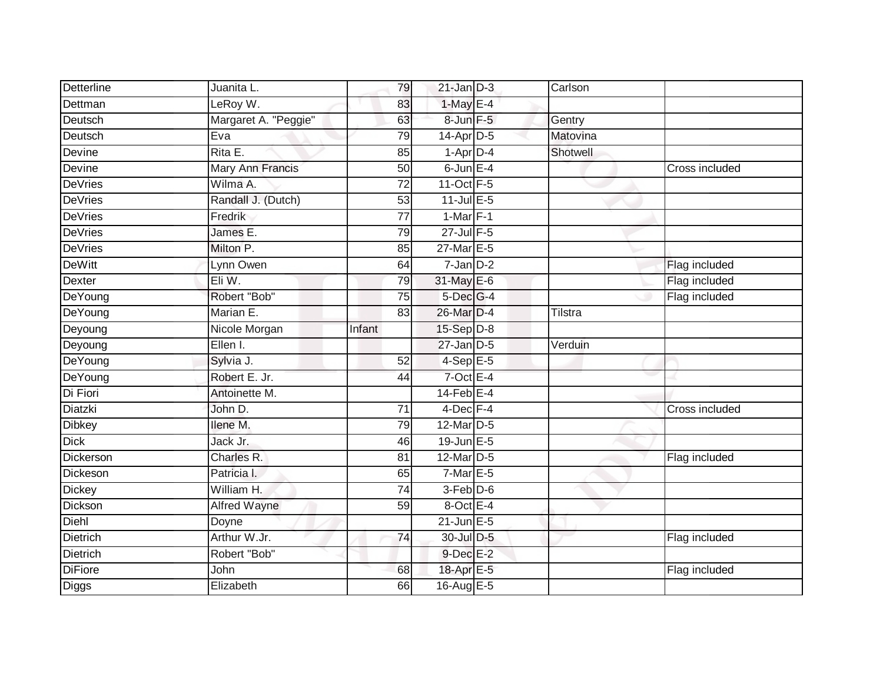| <b>Detterline</b> | Juanita L.           | 79              | $21$ -Jan $D-3$   | Carlson  |                |
|-------------------|----------------------|-----------------|-------------------|----------|----------------|
| Dettman           | LeRoy W.             | 83              | $1-May E-4$       |          |                |
| Deutsch           | Margaret A. "Peggie" | 63              | 8-Jun F-5         | Gentry   |                |
| Deutsch           | Eva                  | 79              | $14$ -Apr $D-5$   | Matovina |                |
| Devine            | Rita E.              | 85              | $1-Apr$ D-4       | Shotwell |                |
| Devine            | Mary Ann Francis     | 50              | $6$ -Jun $E-4$    |          | Cross included |
| <b>DeVries</b>    | Wilma A.             | $\overline{72}$ | 11-Oct F-5        |          |                |
| <b>DeVries</b>    | Randall J. (Dutch)   | 53              | $11$ -Jul E-5     |          |                |
| <b>DeVries</b>    | Fredrik              | 77              | $1-Mar$ F-1       |          |                |
| <b>DeVries</b>    | James E.             | 79              | $27$ -Jul $F-5$   |          |                |
| <b>DeVries</b>    | Milton P.            | 85              | 27-Mar E-5        |          |                |
| <b>DeWitt</b>     | Lynn Owen            | 64              | $7$ -Jan $D-2$    |          | Flag included  |
| Dexter            | Eli W.               | 79              | 31-May E-6        |          | Flag included  |
| DeYoung           | Robert "Bob"         | 75              | 5-Dec G-4         |          | Flag included  |
| DeYoung           | Marian E.            | 83              | 26-Mar D-4        | Tilstra  |                |
| Deyoung           | Nicole Morgan        | Infant          | 15-Sep D-8        |          |                |
| Deyoung           | Ellen I.             |                 | $27$ -Jan $D-5$   | Verduin  |                |
| DeYoung           | Sylvia J.            | 52              | $4-SepE-5$        |          |                |
| DeYoung           | Robert E. Jr.        | 44              | $7$ -Oct $E-4$    |          |                |
| Di Fiori          | Antoinette M.        |                 | $14$ -Feb $E - 4$ |          |                |
| Diatzki           | John D.              | 71              | 4-Dec F-4         |          | Cross included |
| <b>Dibkey</b>     | Ilene M.             | 79              | 12-Mar D-5        |          |                |
| <b>Dick</b>       | Jack Jr.             | 46              | $19$ -Jun $E - 5$ |          |                |
| Dickerson         | Charles R.           | 81              | 12-Mar D-5        |          | Flag included  |
| Dickeson          | Patricia I.          | 65              | $7-MarE-5$        |          |                |
| <b>Dickey</b>     | William H.           | 74              | $3-Feb$ $D-6$     |          |                |
| Dickson           | <b>Alfred Wayne</b>  | 59              | 8-Oct E-4         |          |                |
| Diehl             | Doyne                |                 | $21$ -Jun $E-5$   |          |                |
| Dietrich          | Arthur W.Jr.         | 74              | 30-Jul D-5        |          | Flag included  |
| <b>Dietrich</b>   | Robert "Bob"         |                 | $9$ -Dec $E-2$    |          |                |
| <b>DiFiore</b>    | John                 | 68              | 18-Apr E-5        |          | Flag included  |
| Diggs             | Elizabeth            | 66              | 16-Aug E-5        |          |                |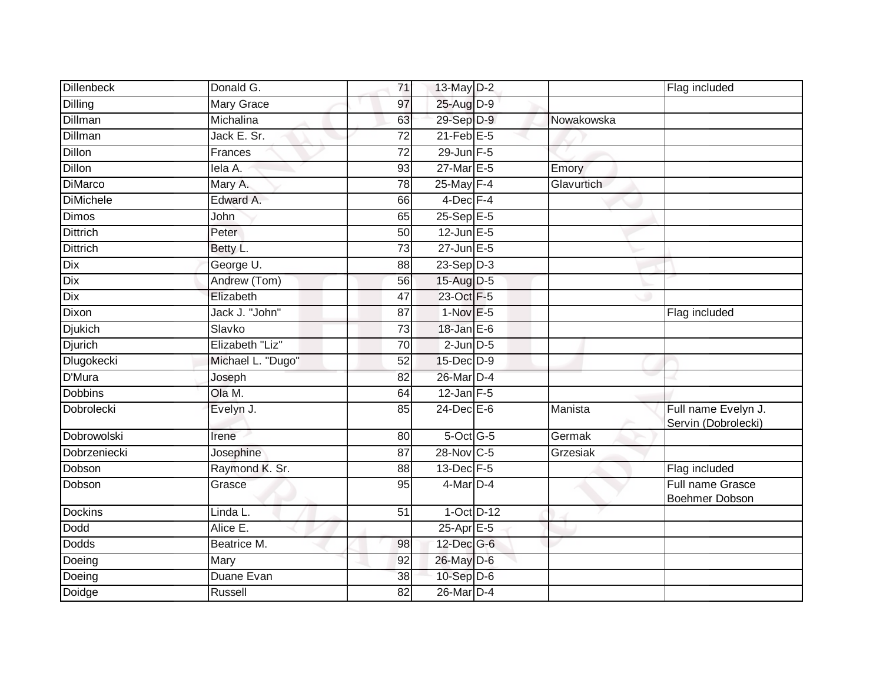| <b>Dillenbeck</b> | Donald G.         | 71              | 13-May D-2        |            | Flag included                              |
|-------------------|-------------------|-----------------|-------------------|------------|--------------------------------------------|
| <b>Dilling</b>    | <b>Mary Grace</b> | 97              | 25-Aug D-9        |            |                                            |
| <b>Dillman</b>    | Michalina         | 63              | 29-Sep D-9        | Nowakowska |                                            |
| <b>Dillman</b>    | Jack E. Sr.       | 72              | $21$ -Feb $E$ -5  |            |                                            |
| <b>Dillon</b>     | Frances           | $\overline{72}$ | $29$ -Jun F-5     |            |                                            |
| Dillon            | lela A.           | 93              | 27-Mar E-5        | Emory      |                                            |
| <b>DiMarco</b>    | Mary A.           | 78              | 25-May F-4        | Glavurtich |                                            |
| <b>DiMichele</b>  | Edward A.         | 66              | 4-Dec F-4         |            |                                            |
| Dimos             | John              | 65              | $25-SepE-5$       |            |                                            |
| <b>Dittrich</b>   | Peter             | 50              | $12$ -Jun $E - 5$ |            |                                            |
| <b>Dittrich</b>   | Betty L.          | 73              | 27-Jun E-5        |            |                                            |
| Dix               | George U.         | 88              | $23-Sep D-3$      |            |                                            |
| Dix               | Andrew (Tom)      | 56              | 15-Aug D-5        |            |                                            |
| Dix               | Elizabeth         | 47              | 23-Oct F-5        |            |                                            |
| <b>Dixon</b>      | Jack J. "John"    | $\overline{87}$ | $1-Nov$ E-5       |            | Flag included                              |
| <b>Djukich</b>    | Slavko            | 73              | 18-Jan E-6        |            |                                            |
| <b>Djurich</b>    | Elizabeth "Liz"   | 70              | $2$ -Jun $D-5$    |            |                                            |
| Dlugokecki        | Michael L. "Dugo" | 52              | 15-Dec D-9        |            |                                            |
| D'Mura            | Joseph            | 82              | 26-Mar D-4        |            |                                            |
| <b>Dobbins</b>    | Ola M.            | 64              | $12$ -Jan F-5     |            |                                            |
| Dobrolecki        | Evelyn J.         | 85              | 24-Dec E-6        | Manista    | Full name Evelyn J.<br>Servin (Dobrolecki) |
| Dobrowolski       | Irene             | 80              | 5-Oct G-5         | Germak     |                                            |
| Dobrzeniecki      | Josephine         | 87              | 28-Nov C-5        | Grzesiak   |                                            |
| Dobson            | Raymond K. Sr.    | 88              | 13-Dec F-5        |            | Flag included                              |
| Dobson            | Grasce            | 95              | 4-Mar D-4         |            | Full name Grasce<br>Boehmer Dobson         |
| <b>Dockins</b>    | Linda L.          | 51              | $1-Oct$ D-12      |            |                                            |
| Dodd              | Alice E.          |                 | 25-Apr E-5        |            |                                            |
| <b>Dodds</b>      | Beatrice M.       | 98              | 12-Dec G-6        |            |                                            |
| Doeing            | Mary              | 92              | 26-May D-6        |            |                                            |
| Doeing            | Duane Evan        | 38              | $10-Sep$ D-6      |            |                                            |
| Doidge            | Russell           | 82              | 26-Mar D-4        |            |                                            |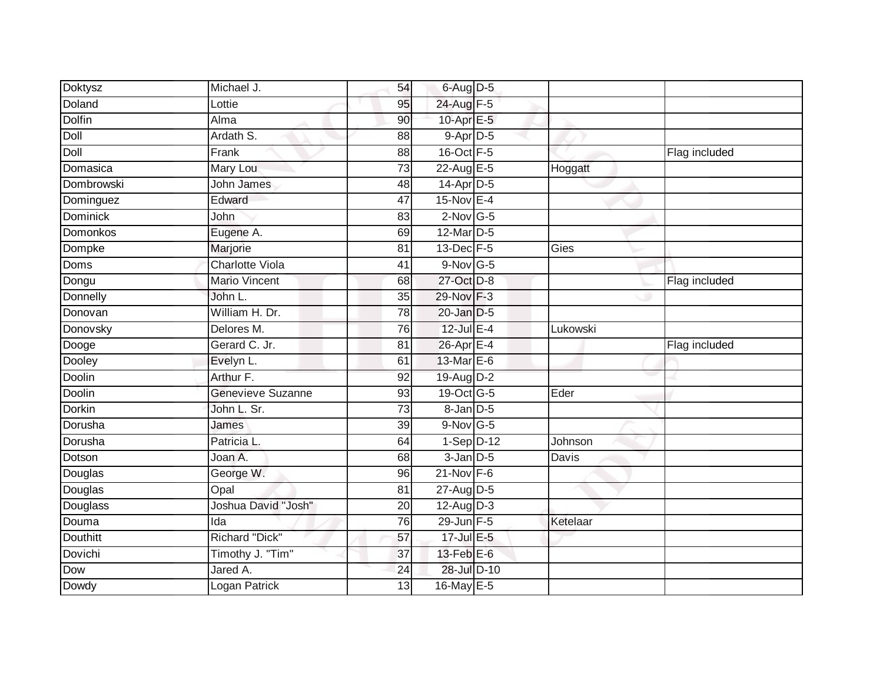| <b>Doktysz</b>    | Michael J.                | 54              | $6$ -Aug $D$ -5           |          |               |
|-------------------|---------------------------|-----------------|---------------------------|----------|---------------|
| Doland            | Lottie                    | 95              | 24-Aug F-5                |          |               |
| <b>Dolfin</b>     | Alma                      | 90              | 10-Apr E-5                |          |               |
| Doll              | Ardath S.                 | 88              | 9-Apr D-5                 |          |               |
| Doll              | Frank                     | $\overline{88}$ | 16-Oct F-5                |          | Flag included |
| Domasica          | Mary Lou                  | 73              | $22$ -Aug E-5             | Hoggatt  |               |
| Dombrowski        | John James                | 48              | 14-Apr D-5                |          |               |
| Dominguez         | Edward                    | 47              | $15-Nov$ E-4              |          |               |
| Dominick          | John                      | 83              | $2$ -Nov G-5              |          |               |
| Domonkos          | Eugene A.                 | 69              | 12-Mar D-5                |          |               |
| Dompke            | Marjorie                  | 81              | 13-Dec F-5                | Gies     |               |
| Doms              | <b>Charlotte Viola</b>    | 41              | $9-Nov$ G-5               |          |               |
| Dongu             | Mario Vincent             | 68              | 27-Oct D-8                |          | Flag included |
| Donnelly          | John L.                   | 35              | 29-Nov F-3                |          |               |
| Donovan           | William H. Dr.            | 78              | $20$ -Jan $D-5$           |          |               |
| Donovsky          | Delores M.                | 76              | $12$ -Jul $E-4$           | Lukowski |               |
| Dooge             | Gerard C. Jr.             | 81              | 26-Apr <sub>E-4</sub>     |          | Flag included |
| Dooley            | Evelyn L.                 | 61              | 13-Mar E-6                |          |               |
| Doolin            | Arthur F.                 | 92              | 19-Aug D-2                |          |               |
| <b>Doolin</b>     | <b>Genevieve Suzanne</b>  | 93              | 19-Oct G-5                | Eder     |               |
| <b>Dorkin</b>     | John L. Sr.               | 73              | $8$ -Jan $D$ -5           |          |               |
| Dorusha           | James                     | $\overline{39}$ | $9-Nov$ G-5               |          |               |
| Dorusha           | Patricia L.               | 64              | $1-Sep$ D-12              | Johnson  |               |
| Dotson            | Joan A.                   | 68              | $3$ -Jan $D$ -5           | Davis    |               |
| Douglas           | George W.                 | 96              | $21 - Nov F - 6$          |          |               |
| Douglas           | Opal                      | 81              | 27-Aug D-5                |          |               |
|                   |                           |                 |                           |          |               |
|                   | Joshua David "Josh"       | $\overline{20}$ | 12-Aug D-3                |          |               |
| Douglass<br>Douma | Ida                       | 76              | 29-Jun F-5                | Ketelaar |               |
| <b>Douthitt</b>   | Richard "Dick"            | 57              | 17-Jul E-5                |          |               |
| Dovichi           | Timothy J. "Tim"          | 37              | $13$ -Feb $E$ -6          |          |               |
| Dow<br>Dowdy      | Jared A.<br>Logan Patrick | 24              | 28-Jul D-10<br>16-May E-5 |          |               |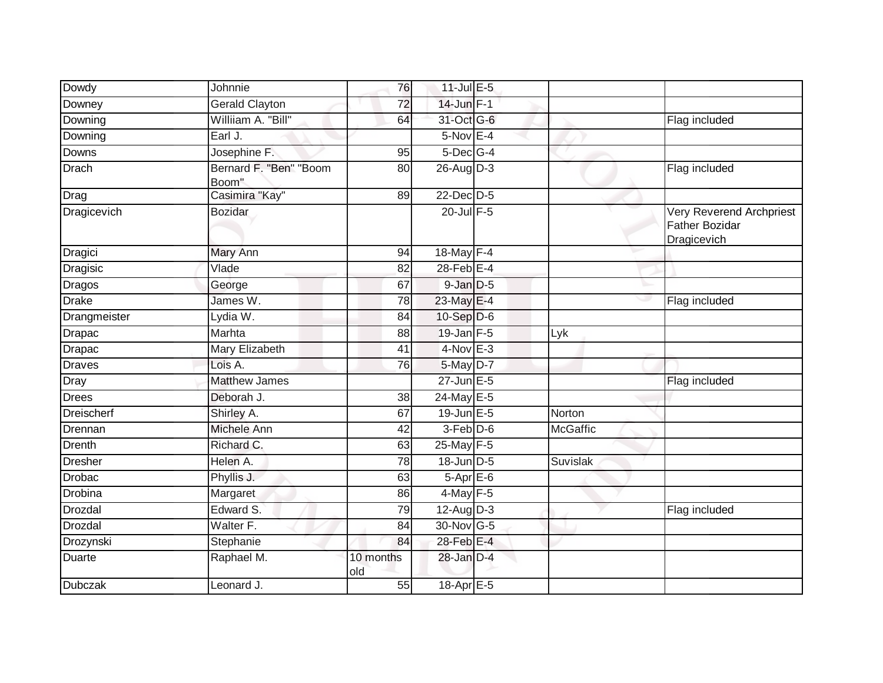| Dowdy              | Johnnie                         | 76               | 11-Jul E-5             |                 |                                                                  |
|--------------------|---------------------------------|------------------|------------------------|-----------------|------------------------------------------------------------------|
| Downey             | <b>Gerald Clayton</b>           | $\overline{72}$  | $14$ -Jun $F-1$        |                 |                                                                  |
| Downing            | Williiam A. "Bill"              | 64               | 31-Oct G-6             |                 | Flag included                                                    |
| Downing            | Earl J.                         |                  | $5-Nov$ E-4            |                 |                                                                  |
| Downs              | Josephine F.                    | 95               | $5$ -Dec $G-4$         |                 |                                                                  |
| Drach              | Bernard F. "Ben" "Boom<br>Boom" | 80               | 26-Aug D-3             |                 | Flag included                                                    |
| Drag               | Casimira "Kay"                  | 89               | $22$ -Dec $D-5$        |                 |                                                                  |
| <b>Dragicevich</b> | <b>Bozidar</b>                  |                  | $20$ -Jul $F-5$        |                 | Very Reverend Archpriest<br><b>Father Bozidar</b><br>Dragicevich |
| Dragici            | Mary Ann                        | 94               | 18-May F-4             |                 |                                                                  |
| Dragisic           | Vlade                           | 82               | 28-Feb <sup>E-4</sup>  |                 |                                                                  |
| <b>Dragos</b>      | George                          | 67               | $9$ -Jan $D$ -5        |                 | ⊾                                                                |
| <b>Drake</b>       | James W.                        | 78               | 23-May E-4             |                 | Flag included                                                    |
| Drangmeister       | Lydia W.                        | 84               | 10-Sep D-6             |                 |                                                                  |
| <b>Drapac</b>      | Marhta                          | 88               | 19-Jan F-5             | Lyk             |                                                                  |
| Drapac             | Mary Elizabeth                  | 41               | $4-Nov$ E-3            |                 |                                                                  |
| <b>Draves</b>      | Lois A.                         | 76               | 5-May D-7              |                 |                                                                  |
| Dray               | <b>Matthew James</b>            |                  | $27$ -Jun $E - 5$      |                 | Flag included                                                    |
| <b>Drees</b>       | Deborah J.                      | 38               | $24$ -May E-5          |                 |                                                                  |
| <b>Dreischerf</b>  | Shirley A.                      | 67               | $19$ -Jun $E - 5$      | Norton          |                                                                  |
| Drennan            | Michele Ann                     | 42               | $3-Feb$ $D-6$          | <b>McGaffic</b> |                                                                  |
| <b>Drenth</b>      | Richard C.                      | 63               | 25-May F-5             |                 |                                                                  |
| <b>Dresher</b>     | Helen A.                        | 78               | 18-Jun D-5             | Suvislak        |                                                                  |
| <b>Drobac</b>      | Phyllis J.                      | 63               | $5-$ Apr $E-6$         |                 |                                                                  |
| Drobina            | Margaret                        | 86               | $4$ -May $F-5$         |                 |                                                                  |
| Drozdal            | Edward S.                       | 79               | $12-Aug\overline{D-3}$ |                 | Flag included                                                    |
| <b>Drozdal</b>     | Walter F.                       | 84               | 30-Nov G-5             |                 |                                                                  |
| Drozynski          | Stephanie                       | 84               | 28-Feb E-4             |                 |                                                                  |
| Duarte             | Raphael M.                      | 10 months<br>old | 28-Jan D-4             |                 |                                                                  |
| <b>Dubczak</b>     | Leonard J.                      | 55               | $18-AprE-5$            |                 |                                                                  |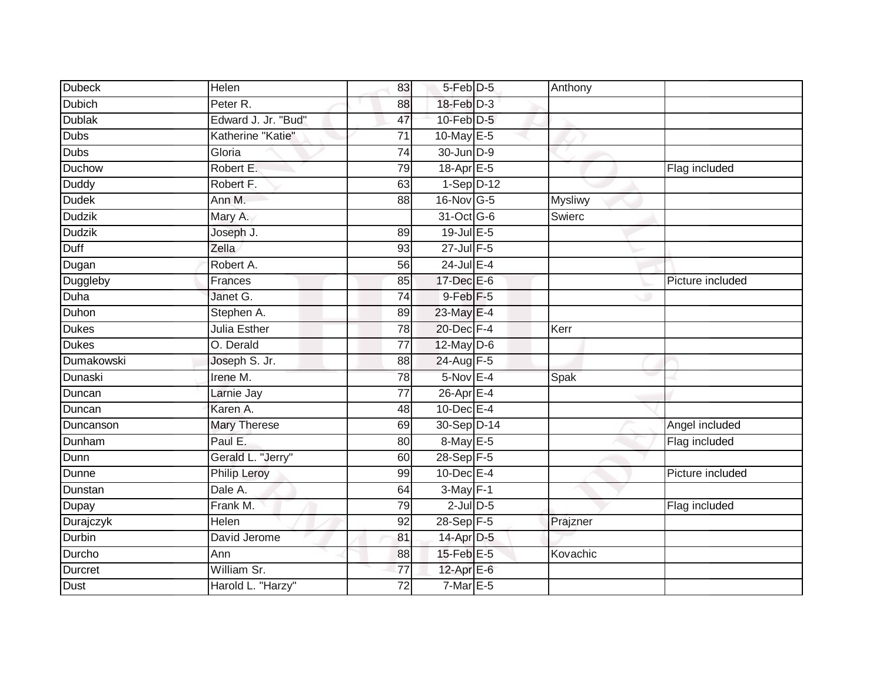| <b>Dubeck</b> | Helen               | 83              | $5$ -Feb $D-5$   | Anthony        |                  |
|---------------|---------------------|-----------------|------------------|----------------|------------------|
| <b>Dubich</b> | Peter R.            | 88              | $18$ -Feb $D-3$  |                |                  |
| <b>Dublak</b> | Edward J. Jr. "Bud" | 47              | $10$ -Feb $D-5$  |                |                  |
| <b>Dubs</b>   | Katherine "Katie"   | 71              | 10-May $E-5$     |                |                  |
| Dubs          | Gloria              | $\overline{74}$ | 30-Jun D-9       |                |                  |
| Duchow        | Robert E.           | 79              | 18-Apr E-5       |                | Flag included    |
| <b>Duddy</b>  | Robert F.           | 63              | $1-Sep$ D-12     |                |                  |
| <b>Dudek</b>  | Ann M.              | 88              | 16-Nov G-5       | <b>Mysliwy</b> |                  |
| <b>Dudzik</b> | Mary A.             |                 | 31-Oct G-6       | Swierc         |                  |
| <b>Dudzik</b> | Joseph J.           | 89              | $19$ -Jul $E$ -5 |                |                  |
| Duff          | Zella               | 93              | $27$ -Jul $F-5$  |                |                  |
| Dugan         | Robert A.           | 56              | $24$ -Jul E-4    |                |                  |
| Duggleby      | Frances             | 85              | $17 - Dec$ E-6   |                | Picture included |
| Duha          | Janet G.            | 74              | $9$ -Feb $F-5$   |                |                  |
| Duhon         | Stephen A.          | 89              | 23-May E-4       |                |                  |
| <b>Dukes</b>  | Julia Esther        | 78              | 20-Dec F-4       | Kerr           |                  |
| <b>Dukes</b>  | O. Derald           | $\overline{77}$ | $12$ -May $D-6$  |                |                  |
| Dumakowski    | Joseph S. Jr.       | 88              | 24-Aug F-5       |                |                  |
| Dunaski       | Irene M.            | 78              | $5-Nov$ E-4      | Spak           |                  |
| Duncan        | Larnie Jay          | 77              | 26-Apr E-4       |                |                  |
| Duncan        | Karen A.            | 48              | $10$ -Dec $E-4$  |                |                  |
| Duncanson     | <b>Mary Therese</b> | 69              | 30-Sep D-14      |                | Angel included   |
| Dunham        | Paul E.             | 80              | 8-May E-5        |                | Flag included    |
| Dunn          | Gerald L. "Jerry"   | 60              | 28-Sep F-5       |                |                  |
| Dunne         | <b>Philip Leroy</b> | 99              | $10$ -Dec $E-4$  |                | Picture included |
| Dunstan       | Dale A.             | 64              | $3-May$ F-1      |                |                  |
| Dupay         | Frank M.            | 79              | $2$ -Jul $D$ -5  |                | Flag included    |
| Durajczyk     | Helen               | 92              | 28-Sep F-5       | Prajzner       |                  |
| Durbin        | David Jerome        | 81              | 14-Apr D-5       |                |                  |
| Durcho        | Ann                 | 88              | 15-Feb E-5       | Kovachic       |                  |
| Durcret       | William Sr.         | $\overline{77}$ | 12-Apr $E-6$     |                |                  |
| <b>Dust</b>   | Harold L. "Harzy"   | $\overline{72}$ | $7-MarE-5$       |                |                  |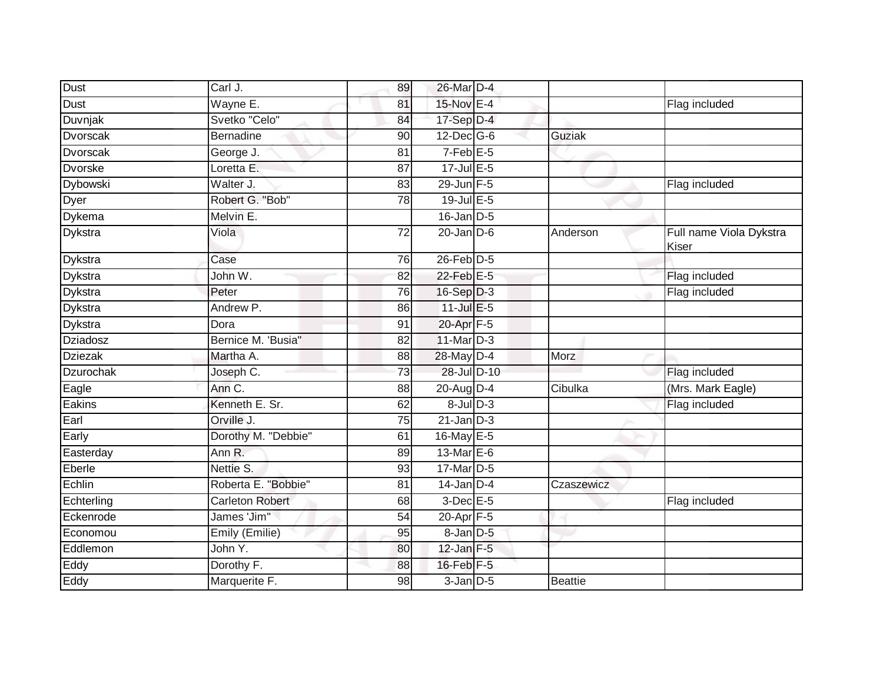| <b>Dust</b>      | Carl J.                | 89              | 26-Mar D-4        |                |                                  |
|------------------|------------------------|-----------------|-------------------|----------------|----------------------------------|
| Dust             | Wayne E.               | 81              | 15-Nov E-4        |                | Flag included                    |
| Duvnjak          | Svetko "Celo"          | 84              | 17-Sep D-4        |                |                                  |
| Dvorscak         | <b>Bernadine</b>       | 90              | $12$ -Dec $ G-6 $ | Guziak         |                                  |
| Dvorscak         | George J.              | 81              | $7-FebE-5$        |                |                                  |
| <b>Dvorske</b>   | Loretta E.             | $\overline{87}$ | $17$ -Jul $E-5$   |                |                                  |
| Dybowski         | Walter J.              | 83              | 29-Jun F-5        |                | Flag included                    |
| Dyer             | Robert G. "Bob"        | 78              | $19$ -Jul $E$ -5  |                |                                  |
| Dykema           | Melvin E.              |                 | $16$ -Jan $D-5$   |                |                                  |
| Dykstra          | Viola                  | $\overline{72}$ | $20$ -Jan $D-6$   | Anderson       | Full name Viola Dykstra<br>Kiser |
| <b>Dykstra</b>   | Case                   | 76              | $26$ -Feb $D-5$   |                |                                  |
| Dykstra          | John W.                | $\overline{82}$ | $22$ -Feb $E-5$   |                | Flag included                    |
| <b>Dykstra</b>   | Peter                  | $\overline{76}$ | $16-Sep$ D-3      |                | Flag included                    |
| Dykstra          | Andrew P.              | 86              | $11$ -Jul E-5     |                |                                  |
| Dykstra          | Dora                   | 91              | 20-Apr F-5        |                |                                  |
| <b>Dziadosz</b>  | Bernice M. 'Busia"     | 82              | $11$ -Mar $D-3$   |                |                                  |
| <b>Dziezak</b>   | Martha A.              | 88              | 28-May D-4        | Morz           |                                  |
| <b>Dzurochak</b> | Joseph C.              | 73              | 28-Jul D-10       |                | Flag included                    |
| Eagle            | Ann C.                 | 88              | 20-Aug D-4        | Cibulka        | (Mrs. Mark Eagle)                |
| Eakins           | Kenneth E. Sr.         | 62              | $8$ -Jul $D-3$    |                | Flag included                    |
| Earl             | Orville J.             | 75              | $21$ -Jan $D-3$   |                |                                  |
| Early            | Dorothy M. "Debbie"    | 61              | 16-May E-5        |                |                                  |
| Easterday        | Ann R.                 | 89              | 13-Mar $E-6$      |                |                                  |
| Eberle           | Nettie S.              | 93              | 17-Mar D-5        |                |                                  |
| Echlin           | Roberta E. "Bobbie"    | 81              | $14$ -Jan $D-4$   | Czaszewicz     |                                  |
| Echterling       | <b>Carleton Robert</b> | 68              | $3$ -Dec E-5      |                | Flag included                    |
| Eckenrode        | James 'Jim"            | 54              | 20-Apr F-5        |                |                                  |
| Economou         | Emily (Emilie)         | 95              | $8$ -Jan $D$ -5   |                |                                  |
| Eddlemon         | John Y.                | 80              | $12$ -Jan $F-5$   |                |                                  |
| Eddy             | Dorothy F.             | 88              | $16$ -Feb $F-5$   |                |                                  |
| Eddy             | Marquerite F.          | 98              | $3$ -Jan $D$ -5   | <b>Beattie</b> |                                  |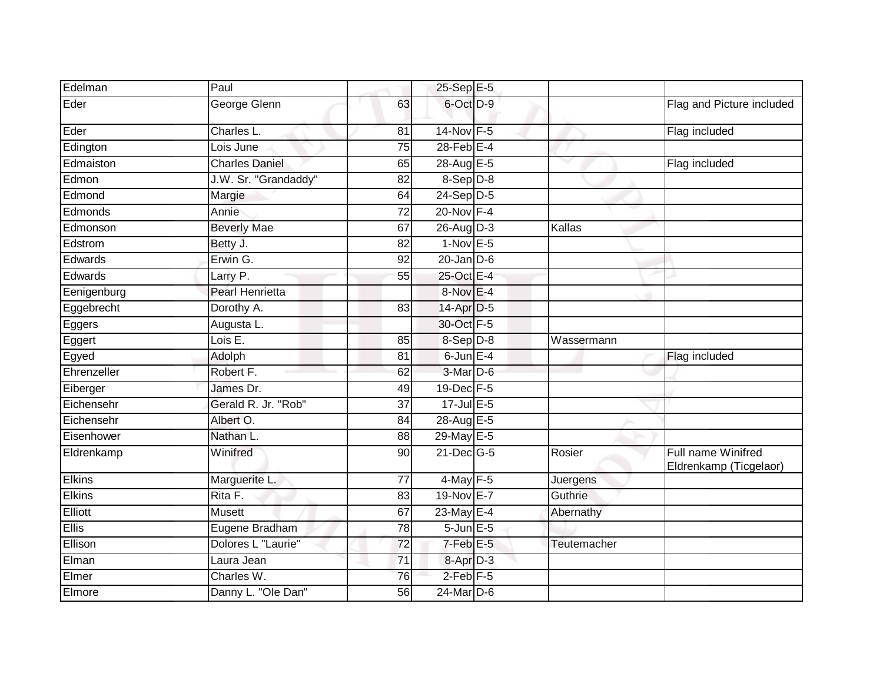| Edelman       | Paul                   |                 | 25-Sep E-5       |                       |                                              |
|---------------|------------------------|-----------------|------------------|-----------------------|----------------------------------------------|
| Eder          | George Glenn           | 63              | 6-Oct D-9        |                       | Flag and Picture included                    |
| Eder          | <b>Charles L</b>       | 81              | 14-Nov F-5       |                       | Flag included                                |
| Edington      | Lois June              | 75              | 28-Feb E-4       |                       |                                              |
| Edmaiston     | <b>Charles Daniel</b>  | 65              | 28-Aug E-5       | $\tilde{\phantom{a}}$ | Flag included                                |
| Edmon         | J.W. Sr. "Grandaddy"   | 82              | $8-Sep$ D-8      |                       |                                              |
| Edmond        | Margie                 | 64              | 24-Sep D-5       |                       |                                              |
| Edmonds       | Annie                  | $\overline{72}$ | 20-Nov F-4       |                       |                                              |
| Edmonson      | <b>Beverly Mae</b>     | 67              | $26$ -AugD-3     | Kallas                |                                              |
| Edstrom       | Betty J.               | 82              | $1-Nov$ E-5      |                       |                                              |
| Edwards       | Erwin G.               | 92              | $20$ -Jan $D-6$  |                       |                                              |
| Edwards       | Larry P.               | 55              | 25-Oct E-4       |                       |                                              |
| Eenigenburg   | <b>Pearl Henrietta</b> |                 | 8-Nov E-4        |                       |                                              |
| Eggebrecht    | Dorothy A.             | 83              | 14-Apr D-5       |                       |                                              |
| Eggers        | Augusta L.             |                 | 30-Oct F-5       |                       |                                              |
| Eggert        | Lois E.                | 85              | $8-Sep$ D-8      | Wassermann            |                                              |
| Egyed         | Adolph                 | 81              | $6$ -Jun $E-4$   |                       | Flag included                                |
| Ehrenzeller   | Robert F.              | 62              | 3-Mar D-6        |                       |                                              |
| Eiberger      | James Dr.              | 49              | 19-Dec F-5       |                       |                                              |
| Eichensehr    | Gerald R. Jr. "Rob"    | $\overline{37}$ | $17$ -Jul $E-5$  |                       |                                              |
| Eichensehr    | Albert O.              | 84              | 28-Aug E-5       |                       |                                              |
| Eisenhower    | Nathan L.              | 88              | 29-May E-5       |                       |                                              |
| Eldrenkamp    | Winifred               | 90              | $21$ -Dec $G-5$  | Rosier                | Full name Winifred<br>Eldrenkamp (Ticgelaor) |
| <b>Elkins</b> | Marguerite L.          | 77              | $4$ -May $F-5$   | Juergens              |                                              |
| Elkins        | RitaF.                 | 83              | 19-Nov E-7       | Guthrie               |                                              |
| Elliott       | Musett                 | 67              | 23-May E-4       | Abernathy             |                                              |
| <b>Ellis</b>  | Eugene Bradham         | 78              | 5-Jun E-5        |                       |                                              |
| Ellison       | Dolores L "Laurie"     | 72              | $7$ -Feb $E$ -5  | Teutemacher           |                                              |
| Elman         | Laura Jean             | 71              | 8-Apr D-3        |                       |                                              |
| Elmer         | Charles W.             | 76              | $2$ -Feb $F - 5$ |                       |                                              |
| Elmore        | Danny L. "Ole Dan"     | 56              | $24$ -Mar $D-6$  |                       |                                              |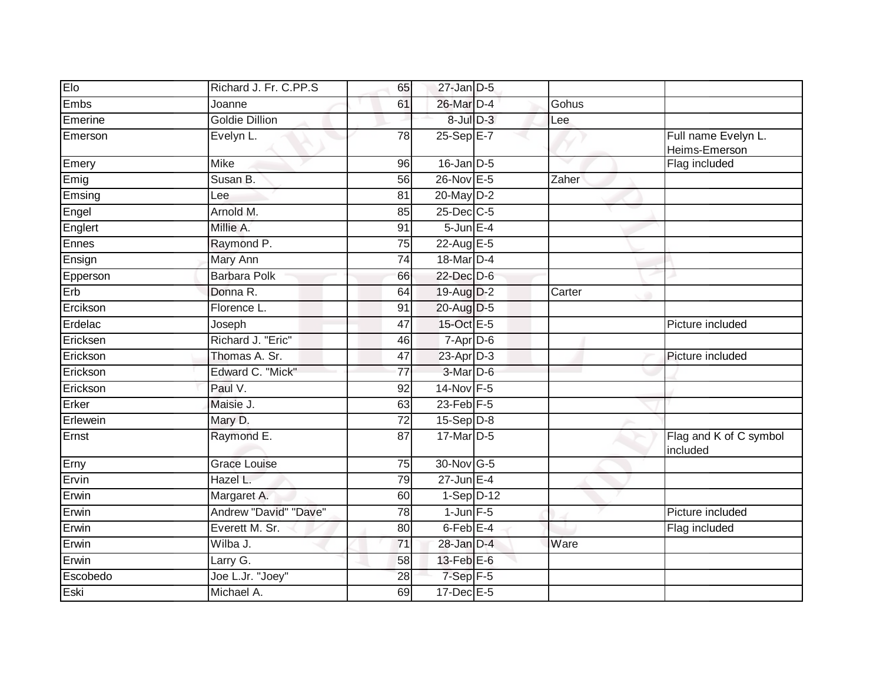| Elo      | Richard J. Fr. C.PP.S | 65              | $27$ -Jan $D-5$      |        |                                      |
|----------|-----------------------|-----------------|----------------------|--------|--------------------------------------|
| Embs     | Joanne                | 61              | 26-Mar D-4           | Gohus  |                                      |
| Emerine  | <b>Goldie Dillion</b> |                 | 8-Jul D-3            | Lee    |                                      |
| Emerson  | Evelyn L.             | 78              | $25-Sep$ $E-7$       |        | Full name Evelyn L.<br>Heims-Emerson |
| Emery    | Mike                  | 96              | $16$ -Jan $D-5$      |        | Flag included                        |
| Emig     | Susan B.              | $\overline{56}$ | 26-Nov E-5           | Zaher  |                                      |
| Emsing   | Lee                   | 81              | 20-May D-2           |        |                                      |
| Engel    | Arnold M.             | 85              | 25-Dec C-5           |        |                                      |
| Englert  | Millie A.             | 91              | $5$ -Jun $E-4$       |        |                                      |
| Ennes    | Raymond P.            | 75              | 22-Aug E-5           |        |                                      |
| Ensign   | Mary Ann              | 74              | 18-Mar D-4           |        |                                      |
| Epperson | <b>Barbara Polk</b>   | 66              | 22-Dec D-6           |        |                                      |
| Erb      | Donna R.              | 64              | 19-Aug D-2           | Carter |                                      |
| Ercikson | Florence L.           | 91              | 20-Aug D-5           |        |                                      |
| Erdelac  | Joseph                | 47              | 15-Oct E-5           |        | Picture included                     |
| Ericksen | Richard J. "Eric"     | 46              | 7-Apr D-6            |        |                                      |
| Erickson | Thomas A. Sr.         | 47              | 23-Apr D-3           |        | Picture included                     |
| Erickson | Edward C. "Mick"      | 77              | 3-Mar D-6            |        |                                      |
| Erickson | Paul V.               | 92              | 14-Nov F-5           |        |                                      |
| Erker    | Maisie J.             | 63              | $23$ -Feb $F-5$      |        |                                      |
| Erlewein | Mary D.               | 72              | $15-Sep$ D-8         |        |                                      |
| Ernst    | Raymond E.            | 87              | 17-Mar D-5           |        | Flag and K of C symbol<br>included   |
| Erny     | <b>Grace Louise</b>   | 75              | 30-Nov G-5           |        |                                      |
| Ervin    | Hazel L.              | 79              | $27$ -Jun E-4        |        |                                      |
| Erwin    | Margaret A.           | 60              | $1-Sep$ D-12         |        |                                      |
| Erwin    | Andrew "David" "Dave" | 78              | $1$ -Jun $F-5$       |        | Picture included                     |
| Erwin    | Everett M. Sr.        | 80              | 6-Feb <sup>E-4</sup> |        | Flag included                        |
| Erwin    | Wilba J.              | 71              | 28-Jan D-4           | Ware   |                                      |
| Erwin    | Larry G.              | 58              | $13$ -Feb $E$ -6     |        |                                      |
| Escobedo | Joe L.Jr. "Joey"      | $\overline{28}$ | 7-Sep F-5            |        |                                      |
| Eski     | Michael A.            | 69              | $17$ -Dec $E$ -5     |        |                                      |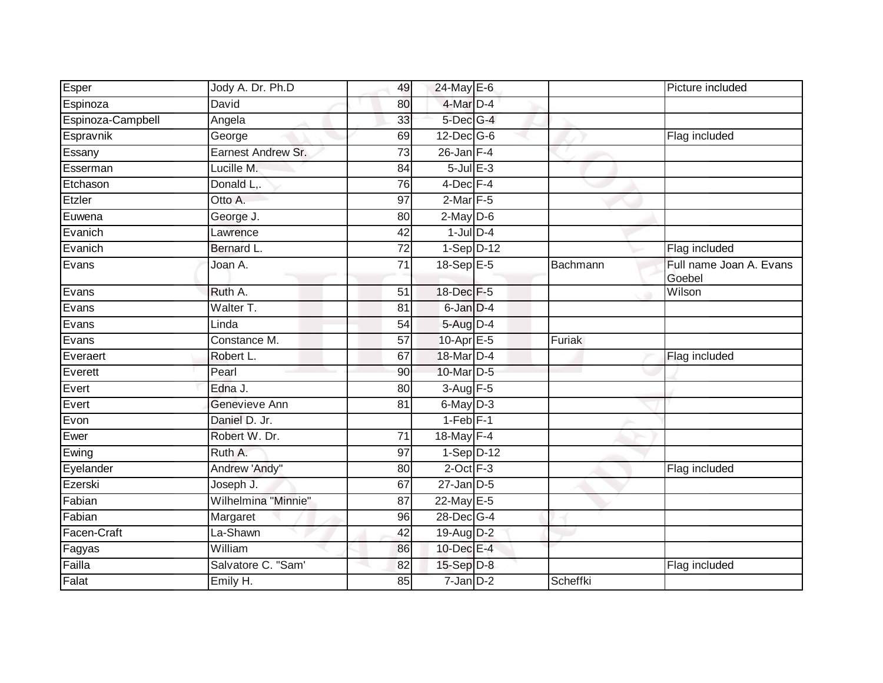| Esper             | Jody A. Dr. Ph.D    | 49              | 24-May E-6        |          | Picture included                  |
|-------------------|---------------------|-----------------|-------------------|----------|-----------------------------------|
| Espinoza          | David               | 80              | 4-Mar D-4         |          |                                   |
| Espinoza-Campbell | Angela              | 33              | 5-Dec G-4         |          |                                   |
| Espravnik         | George              | 69              | $12$ -Dec $ G-6$  |          | Flag included                     |
| Essany            | Earnest Andrew Sr.  | $\overline{73}$ | $26$ -Jan F-4     |          |                                   |
| Esserman          | Lucille M.          | 84              | $5 -$ Jul $E - 3$ |          |                                   |
| Etchason          | Donald L,.          | 76              | $4$ -Dec $F-4$    |          |                                   |
| Etzler            | Otto A.             | 97              | $2$ -Mar $F-5$    |          |                                   |
| Euwena            | George J.           | 80              | $2$ -May $D-6$    |          |                                   |
| Evanich           | Lawrence            | 42              | $1$ -Jul $D-4$    |          |                                   |
| Evanich           | Bernard L.          | 72              | $1-Sep$ D-12      |          | Flag included                     |
| Evans             | Joan A.             | 71              | 18-Sep E-5        | Bachmann | Full name Joan A. Evans<br>Goebel |
| Evans             | Ruth A.             | 51              | 18-Dec F-5        |          | Wilson                            |
| Evans             | Walter T.           | 81              | $6$ -Jan $D-4$    |          |                                   |
| Evans             | Linda               | 54              | $5-Aug$ $D-4$     |          |                                   |
| Evans             | Constance M.        | 57              | 10-Apr E-5        | Furiak   |                                   |
| Everaert          | Robert L.           | 67              | 18-Mar D-4        |          | Flag included                     |
| Everett           | Pearl               | 90              | 10-Mar D-5        |          |                                   |
| Evert             | Edna J.             | 80              | $3-Aug$ F-5       |          |                                   |
| Evert             | Genevieve Ann       | 81              | $6$ -May $D-3$    |          |                                   |
| Evon              | Daniel D. Jr.       |                 | $1-Feb$ $F-1$     |          |                                   |
| Ewer              | Robert W. Dr.       | 71              | 18-May F-4        |          |                                   |
| Ewing             | Ruth A.             | $\overline{97}$ | $1-Sep$ D-12      |          |                                   |
| Eyelander         | Andrew 'Andy"       | 80              | $2$ -Oct $F-3$    |          | Flag included                     |
| Ezerski           | Joseph J.           | 67              | $27$ -Jan $D-5$   |          |                                   |
| Fabian            | Wilhelmina "Minnie" | 87              | 22-May E-5        |          |                                   |
| Fabian            | Margaret            | 96              | 28-Dec G-4        |          |                                   |
| Facen-Craft       | La-Shawn            | 42              | $19$ -Aug $D-2$   |          |                                   |
| Fagyas            | William             | 86              | 10-Dec E-4        |          |                                   |
| Failla            | Salvatore C. "Sam'  | 82              | $15-Sep$ D-8      |          | Flag included                     |
| Falat             | Emily H.            | 85              | $7 - Jan$ $D-2$   | Scheffki |                                   |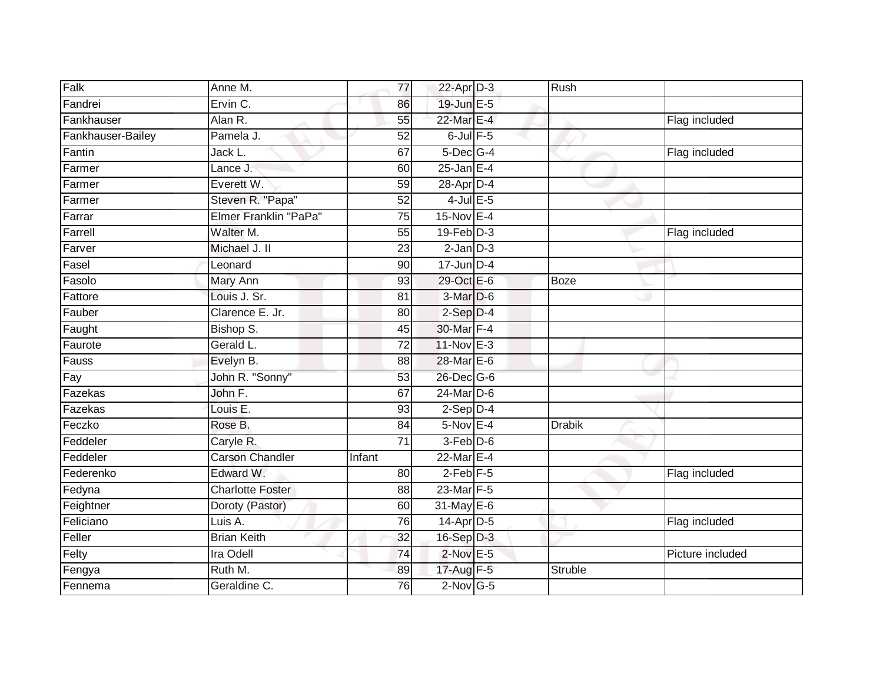| Falk              | Anne M.                 | 77              | 22-Apr D-3       | Rush          |                  |
|-------------------|-------------------------|-----------------|------------------|---------------|------------------|
| Fandrei           | Ervin C.                | 86              | 19-Jun E-5       |               |                  |
| Fankhauser        | Alan R.                 | 55              | 22-Mar E-4       |               | Flag included    |
| Fankhauser-Bailey | Pamela J.               | 52              | $6$ -Jul $F-5$   |               |                  |
| Fantin            | Jack L.                 | 67              | $5$ -Dec $G-4$   |               | Flag included    |
| Farmer            | Lance J.                | 60              | $25$ -Jan E-4    |               |                  |
| Farmer            | Everett W.              | 59              | 28-Apr D-4       |               |                  |
| Farmer            | Steven R. "Papa"        | 52              | $4$ -Jul $E$ -5  |               |                  |
| Farrar            | Elmer Franklin "PaPa"   | 75              | 15-Nov E-4       |               |                  |
| Farrell           | Walter M.               | $\overline{55}$ | $19$ -Feb $D-3$  |               | Flag included    |
| Farver            | Michael J. II           | 23              | $2$ -Jan $D-3$   |               |                  |
| Fasel             | Leonard                 | 90              | $17$ -Jun $D-4$  |               |                  |
| Fasolo            | Mary Ann                | 93              | 29-Oct E-6       | <b>Boze</b>   |                  |
| Fattore           | Louis J. Sr.            | 81              | 3-Mar D-6        |               |                  |
| Fauber            | Clarence E. Jr.         | $\overline{80}$ | $2-Sep$ $D-4$    |               |                  |
| Faught            | Bishop S.               | 45              | 30-Mar F-4       |               |                  |
| Faurote           | Gerald L.               | 72              | 11-Nov E-3       |               |                  |
| Fauss             | Evelyn B.               | 88              | 28-Mar E-6       |               |                  |
| Fay               | John R. "Sonny"         | 53              | 26-Dec G-6       |               |                  |
| Fazekas           | John F.                 | 67              | $24$ -Mar $D-6$  |               |                  |
| Fazekas           | Louis E.                | 93              | $2-Sep$ D-4      |               |                  |
| Feczko            | Rose B.                 | $\overline{84}$ | $5-Nov$ E-4      | <b>Drabik</b> |                  |
| Feddeler          | Caryle R.               | 71              | $3-Feb$ $D-6$    |               |                  |
| Feddeler          | <b>Carson Chandler</b>  | <b>Infant</b>   | 22-Mar E-4       |               |                  |
| Federenko         | Edward W.               | 80              | $2$ -Feb $ F-5 $ |               | Flag included    |
| Fedyna            | <b>Charlotte Foster</b> | 88              | 23-Mar F-5       |               |                  |
| Feightner         | Doroty (Pastor)         | 60              | 31-May E-6       |               |                  |
| Feliciano         | Luis A.                 | 76              | $14$ -Apr $D-5$  |               | Flag included    |
| Feller            | <b>Brian Keith</b>      | 32              | $16-Sep$ D-3     |               |                  |
| Felty             | Ira Odell               | 74              | $2$ -Nov $E - 5$ |               | Picture included |
| Fengya            | Ruth M.                 | 89              | 17-Aug F-5       | Struble       |                  |
| Fennema           | Geraldine C.            | 76              | $2$ -Nov G-5     |               |                  |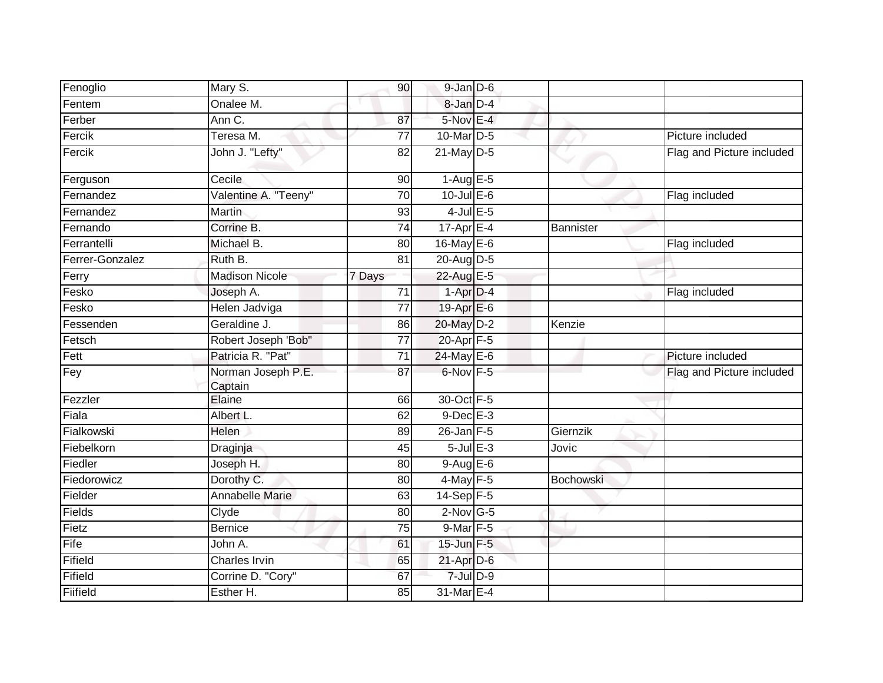| Fenoglio        | Mary S.                       | 90              | $9$ -Jan $D$ -6   |           |                           |
|-----------------|-------------------------------|-----------------|-------------------|-----------|---------------------------|
| Fentem          | Onalee M.                     |                 | 8-Jan D-4         |           |                           |
| Ferber          | Ann C.                        | 87              | $5-Nov$ E-4       |           |                           |
| Fercik          | Teresa M.                     | 77              | 10-Mar D-5        |           | Picture included          |
| Fercik          | John J. "Lefty"               | 82              | $21$ -May $D-5$   |           | Flag and Picture included |
| Ferguson        | Cecile                        | 90              | $1-AugE-5$        |           |                           |
| Fernandez       | Valentine A. "Teeny"          | 70              | $10$ -Jul E-6     |           | Flag included             |
| Fernandez       | <b>Martin</b>                 | 93              | $4$ -Jul $E$ -5   |           |                           |
| Fernando        | Corrine B.                    | 74              | 17-Apr E-4        | Bannister |                           |
| Ferrantelli     | Michael B.                    | 80              | 16-May E-6        |           | Flag included             |
| Ferrer-Gonzalez | Ruth B.                       | 81              | 20-Aug D-5        |           |                           |
| Ferry           | <b>Madison Nicole</b>         | 7 Days          | 22-Aug E-5        |           |                           |
| Fesko           | Joseph A.                     | 71              | $1-Apr$ D-4       |           | Flag included             |
| Fesko           | Helen Jadviga                 | $\overline{77}$ | 19-Apr E-6        |           |                           |
| Fessenden       | Geraldine J.                  | 86              | 20-May D-2        | Kenzie    |                           |
| Fetsch          | Robert Joseph 'Bob"           | 77              | 20-Apr F-5        |           |                           |
| Fett            | Patricia R. "Pat"             | 71              | 24-May E-6        |           | Picture included          |
| Fey             | Norman Joseph P.E.<br>Captain | 87              | 6-Nov F-5         |           | Flag and Picture included |
| Fezzler         | Elaine                        | 66              | 30-Oct F-5        |           |                           |
| Fiala           | Albert L.                     | 62              | $9$ -Dec $E-3$    |           |                           |
| Fialkowski      | Helen                         | 89              | $26$ -Jan $F-5$   | Giernzik  |                           |
| Fiebelkorn      | Draginja                      | 45              | $5$ -Jul $E$ -3   | Jovic     |                           |
| Fiedler         | Joseph H.                     | 80              | $9-AugE-6$        |           |                           |
| Fiedorowicz     | Dorothy C.                    | 80              | $4$ -May $F-5$    | Bochowski |                           |
| Fielder         | Annabelle Marie               | 63              | 14-Sep F-5        |           |                           |
| Fields          | Clyde                         | 80              | $2$ -Nov G-5      |           |                           |
| Fietz           | <b>Bernice</b>                | 75              | 9-Mar F-5         |           |                           |
| Fife            | John A.                       | 61              | $15$ -Jun $F - 5$ |           |                           |
| Fifield         | Charles Irvin                 | 65              | 21-Apr D-6        |           |                           |
| Fifield         | Corrine D. "Cory"             | 67              | $7 -$ Jul $D - 9$ |           |                           |
| Fiifield        | Esther H.                     | 85              | 31-Mar E-4        |           |                           |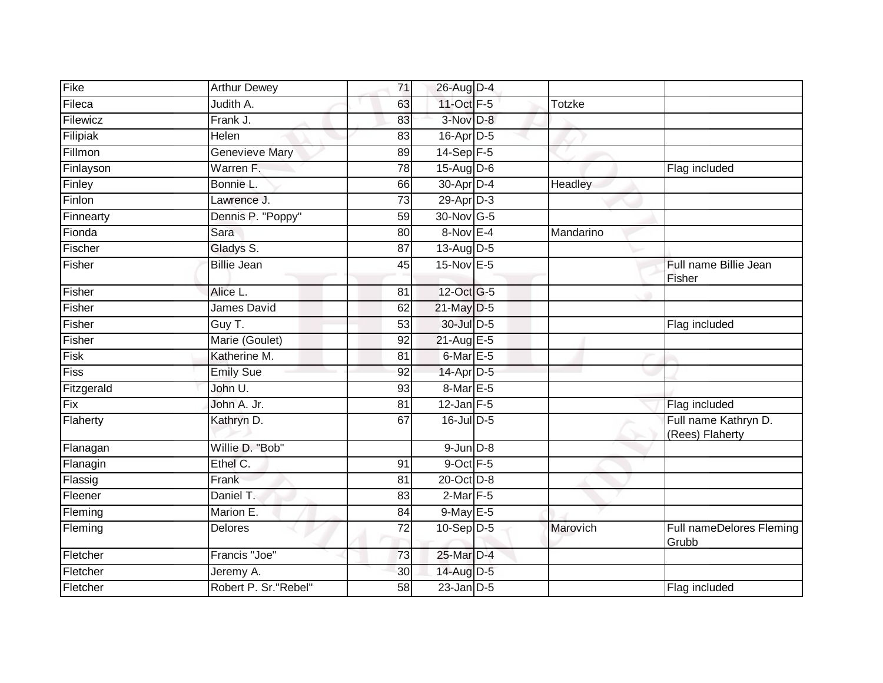| Fike       | <b>Arthur Dewey</b>   | 71              | 26-Aug D-4       |               |                                         |
|------------|-----------------------|-----------------|------------------|---------------|-----------------------------------------|
| Fileca     | Judith A.             | 63              | 11-Oct F-5       | <b>Totzke</b> |                                         |
| Filewicz   | Frank J.              | 83              | $3-Nov$ $D-8$    |               |                                         |
| Filipiak   | Helen                 | 83              | $16$ -Apr $D-5$  |               |                                         |
| Fillmon    | <b>Genevieve Mary</b> | 89              | $14-Sep$ F-5     |               |                                         |
| Finlayson  | Warren F.             | 78              | 15-Aug D-6       |               | Flag included                           |
| Finley     | Bonnie L.             | 66              | 30-Apr D-4       | Headley       |                                         |
| Finlon     | Lawrence J.           | 73              | $29$ -Apr $D-3$  |               |                                         |
| Finnearty  | Dennis P. "Poppy"     | 59              | 30-Nov G-5       |               |                                         |
| Fionda     | Sara                  | 80              | $8-Nov$ E-4      | Mandarino     |                                         |
| Fischer    | Gladys S.             | 87              | $13$ -Aug $D-5$  |               |                                         |
| Fisher     | <b>Billie Jean</b>    | 45              | 15-Nov E-5       |               | Full name Billie Jean<br>Fisher         |
| Fisher     | Alice L.              | 81              | 12-Oct G-5       |               |                                         |
| Fisher     | James David           | 62              | 21-May D-5       |               |                                         |
| Fisher     | Guy T.                | 53              | 30-Jul D-5       |               | Flag included                           |
| Fisher     | Marie (Goulet)        | 92              | 21-Aug E-5       |               |                                         |
| Fisk       | Katherine M.          | 81              | $6$ -Mar $E - 5$ |               |                                         |
| Fiss       | <b>Emily Sue</b>      | 92              | 14-Apr D-5       |               |                                         |
| Fitzgerald | John U.               | 93              | 8-Mar E-5        |               |                                         |
| Fix        | John A. Jr.           | $\overline{81}$ | $12$ -Jan $F-5$  |               | Flag included                           |
| Flaherty   | Kathryn D.            | 67              | $16$ -Jul D-5    |               | Full name Kathryn D.<br>(Rees) Flaherty |
| Flanagan   | Willie D. "Bob"       |                 | $9$ -Jun $D-8$   |               |                                         |
| Flanagin   | Ethel C.              | 91              | 9-Oct F-5        |               |                                         |
| Flassig    | Frank                 | 81              | 20-Oct D-8       |               |                                         |
| Fleener    | Daniel T.             | $\overline{83}$ | $2$ -Mar $F-5$   |               |                                         |
| Fleming    | Marion E.             | 84              | $9$ -May $E - 5$ |               |                                         |
| Fleming    | <b>Delores</b>        | 72              | $10-Sep D-5$     | Marovich      | Full nameDelores Fleming<br>Grubb       |
| Fletcher   | Francis "Joe"         | 73              | 25-Mar D-4       |               |                                         |
| Fletcher   | Jeremy A.             | 30              | 14-Aug D-5       |               |                                         |
| Fletcher   | Robert P. Sr. "Rebel" | $\overline{58}$ | $23$ -Jan $D-5$  |               | Flag included                           |
|            |                       |                 |                  |               |                                         |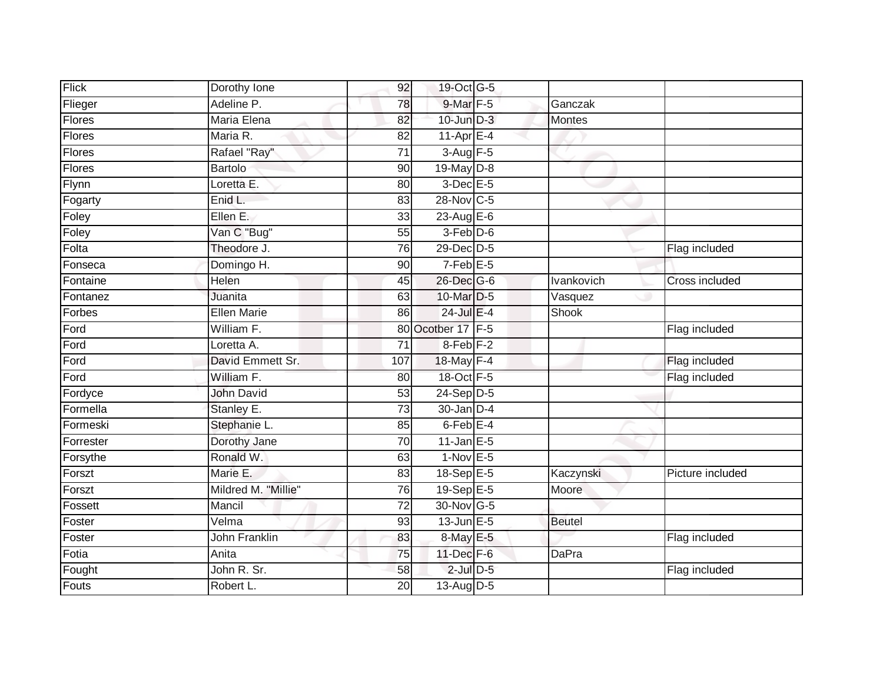| Flick     | Dorothy Ione        | 92              | 19-Oct G-5        |               |                  |
|-----------|---------------------|-----------------|-------------------|---------------|------------------|
| Flieger   | Adeline P.          | 78              | $9$ -Mar $F - 5$  | Ganczak       |                  |
| Flores    | Maria Elena         | 82              | $10$ -Jun $D-3$   | <b>Montes</b> |                  |
| Flores    | Maria R.            | 82              | 11-Apr $E-4$      |               |                  |
| Flores    | Rafael "Ray"        | $\overline{71}$ | 3-Aug F-5         |               |                  |
| Flores    | <b>Bartolo</b>      | 90              | 19-May D-8        |               |                  |
| Flynn     | Loretta E.          | 80              | $3-Dec$ $E-5$     |               |                  |
| Fogarty   | Enid L.             | 83              | 28-Nov C-5        |               |                  |
| Foley     | Ellen E.            | 33              | 23-Aug E-6        |               |                  |
| Foley     | Van C "Bug"         | 55              | $3-Feb$ D-6       |               |                  |
| Folta     | Theodore J.         | 76              | 29-Dec D-5        |               | Flag included    |
| Fonseca   | Domingo H.          | 90              | $7-Feb$ E-5       |               |                  |
| Fontaine  | Helen               | 45              | 26-Dec G-6        | Ivankovich    | Cross included   |
| Fontanez  | Juanita             | 63              | 10-Mar D-5        | Vasquez       |                  |
| Forbes    | <b>Ellen Marie</b>  | 86              | 24-Jul E-4        | Shook         |                  |
| Ford      | William F.          | 80              | Ocotber 17 F-5    |               | Flag included    |
| Ford      | Loretta A.          | $\overline{71}$ | $8$ -Feb $F-2$    |               |                  |
| Ford      | David Emmett Sr.    | 107             | 18-May F-4        |               | Flag included    |
| Ford      | William F.          | 80              | 18-Oct F-5        |               | Flag included    |
| Fordyce   | <b>John David</b>   | $\overline{53}$ | $24-Sep$ D-5      |               |                  |
| Formella  | Stanley E.          | $\overline{73}$ | $30 - Jan$ $D-4$  |               |                  |
| Formeski  | Stephanie L.        | 85              | $6$ -Feb $E-4$    |               |                  |
| Forrester | Dorothy Jane        | 70              | $11$ -Jan E-5     |               |                  |
| Forsythe  | Ronald W.           | 63              | $1-Nov$ E-5       |               |                  |
| Forszt    | Marie E.            | 83              | 18-Sep $E-5$      | Kaczynski     | Picture included |
| Forszt    | Mildred M. "Millie" | 76              | 19-Sep E-5        | Moore         |                  |
| Fossett   | Mancil              | $\overline{72}$ | 30-Nov G-5        |               |                  |
| Foster    | Velma               | 93              | $13$ -Jun $E - 5$ | <b>Beutel</b> |                  |
| Foster    | John Franklin       | 83              | 8-May E-5         |               | Flag included    |
| Fotia     | Anita               | 75              | 11-Dec F-6        | DaPra         |                  |
| Fought    | John R. Sr.         | 58              | $2$ -Jul $D$ -5   |               | Flag included    |
| Fouts     | Robert L.           | $\overline{20}$ | 13-Aug D-5        |               |                  |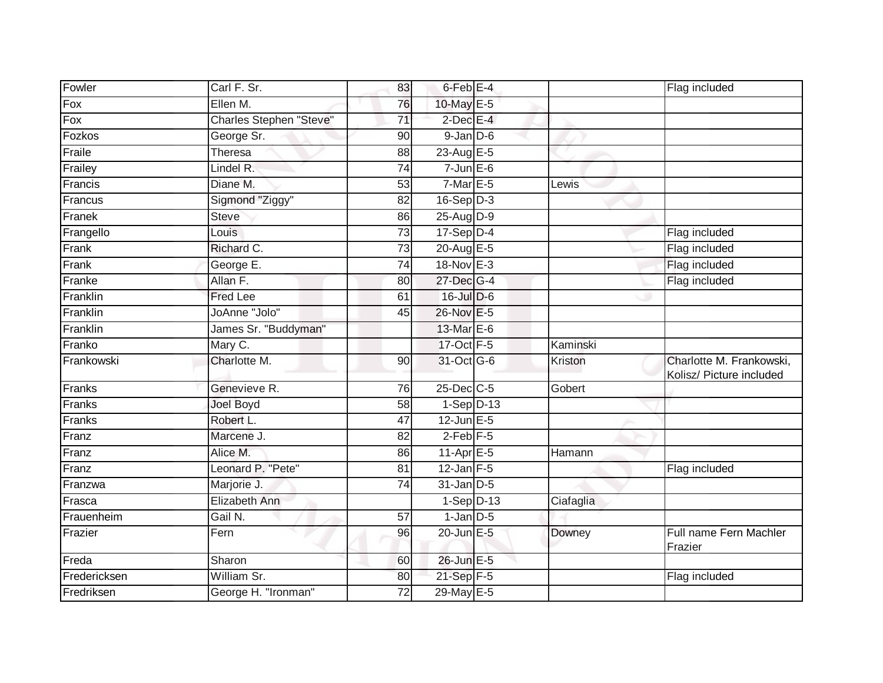| Fowler       | Carl F. Sr.                    | 83              | 6-Feb <sup>E-4</sup> |           | Flag included                                        |
|--------------|--------------------------------|-----------------|----------------------|-----------|------------------------------------------------------|
| Fox          | Ellen M.                       | 76              | 10-May E-5           |           |                                                      |
| Fox          | <b>Charles Stephen "Steve"</b> | $\overline{71}$ | $2$ -Dec $E-4$       |           |                                                      |
| Fozkos       | George Sr.                     | 90              | $9$ -Jan $D$ -6      |           |                                                      |
| Fraile       | Theresa                        | $\overline{88}$ | 23-Aug E-5           |           |                                                      |
| Frailey      | Lindel R.                      | 74              | $7$ -Jun $E$ -6      |           |                                                      |
| Francis      | Diane M.                       | 53              | $7$ -Mar $E - 5$     | Lewis     |                                                      |
| Francus      | Sigmond "Ziggy"                | 82              | $16-Sep D-3$         |           |                                                      |
| Franek       | <b>Steve</b>                   | 86              | $25-Aug$ D-9         |           |                                                      |
| Frangello    | Louis                          | $\overline{73}$ | $17-Sep$ D-4         |           | Flag included                                        |
| Frank        | Richard C.                     | 73              | 20-Aug E-5           |           | Flag included                                        |
| Frank        | George E.                      | $\overline{74}$ | 18-Nov E-3           |           | Flag included                                        |
| Franke       | Allan F.                       | 80              | 27-Dec G-4           |           | Flag included                                        |
| Franklin     | Fred Lee                       | 61              | $16$ -Jul $D-6$      |           |                                                      |
| Franklin     | <b>JoAnne "Jolo"</b>           | 45              | 26-Nov E-5           |           |                                                      |
| Franklin     | James Sr. "Buddyman"           |                 | 13-Mar E-6           |           |                                                      |
| Franko       | Mary C.                        |                 | 17-Oct F-5           | Kaminski  |                                                      |
| Frankowski   | Charlotte M.                   | 90              | 31-Oct G-6           | Kriston   | Charlotte M. Frankowski,<br>Kolisz/ Picture included |
| Franks       | Genevieve R.                   | 76              | 25-Dec C-5           | Gobert    |                                                      |
| Franks       | <b>Joel Boyd</b>               | 58              | $1-Sep$ D-13         |           |                                                      |
| Franks       | Robert L.                      | 47              | $12$ -Jun $E - 5$    |           |                                                      |
| Franz        | Marcene J.                     | 82              | $2$ -Feb $F-5$       |           |                                                      |
| Franz        | Alice M.                       | 86              | $11-AprEE-5$         | Hamann    |                                                      |
| Franz        | Leonard P. "Pete"              | 81              | $12$ -Jan F-5        |           | Flag included                                        |
| Franzwa      | Marjorie J.                    | 74              | $31$ -Jan $D-5$      |           |                                                      |
| Frasca       | Elizabeth Ann                  |                 | $1-Sep D-13$         | Ciafaglia |                                                      |
| Frauenheim   | Gail N.                        | $\overline{57}$ | $1$ -Jan $D-5$       |           |                                                      |
| Frazier      | Fern                           | 96              | 20-Jun E-5           | Downey    | Full name Fern Machler<br>Frazier                    |
| Freda        | Sharon                         | 60              | 26-Jun E-5           |           |                                                      |
| Fredericksen | William Sr.                    | 80              | 21-Sep F-5           |           | Flag included                                        |
| Fredriksen   | George H. "Ironman"            | 72              | 29-May E-5           |           |                                                      |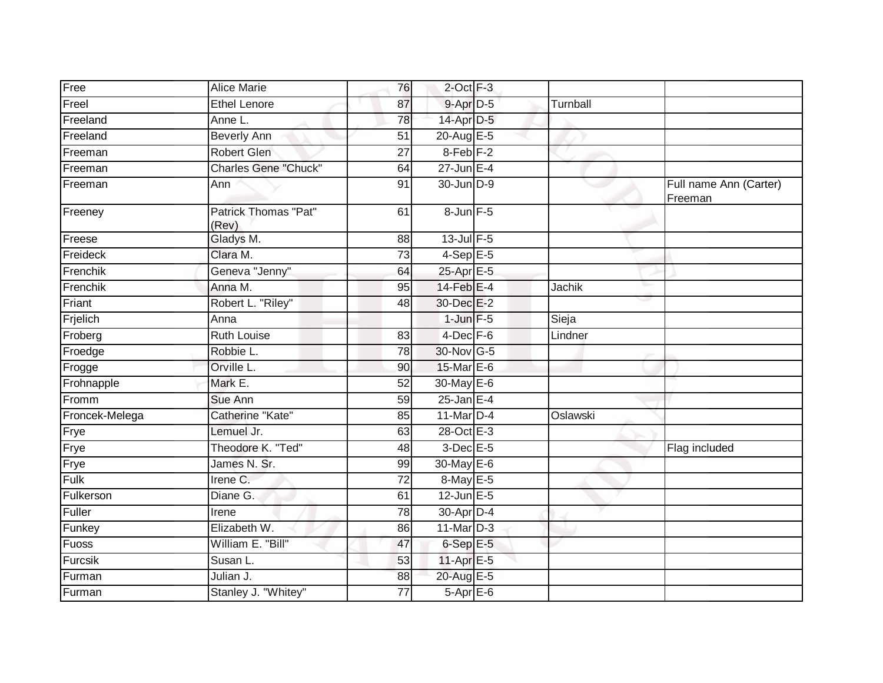| <b>Alice Marie</b>          | 76                                          |                |                                                                                                                                                                                                                                                                                                                                                                                                                                                                                         |                                   |
|-----------------------------|---------------------------------------------|----------------|-----------------------------------------------------------------------------------------------------------------------------------------------------------------------------------------------------------------------------------------------------------------------------------------------------------------------------------------------------------------------------------------------------------------------------------------------------------------------------------------|-----------------------------------|
|                             |                                             |                |                                                                                                                                                                                                                                                                                                                                                                                                                                                                                         |                                   |
| Anne L.                     |                                             |                |                                                                                                                                                                                                                                                                                                                                                                                                                                                                                         |                                   |
|                             |                                             |                |                                                                                                                                                                                                                                                                                                                                                                                                                                                                                         |                                   |
| <b>Robert Glen</b>          | 27                                          |                |                                                                                                                                                                                                                                                                                                                                                                                                                                                                                         |                                   |
| <b>Charles Gene "Chuck"</b> | 64                                          |                |                                                                                                                                                                                                                                                                                                                                                                                                                                                                                         |                                   |
| Ann                         | 91                                          |                |                                                                                                                                                                                                                                                                                                                                                                                                                                                                                         | Full name Ann (Carter)<br>Freeman |
| Patrick Thomas "Pat"        | 61                                          |                |                                                                                                                                                                                                                                                                                                                                                                                                                                                                                         |                                   |
| Gladys M.                   | 88                                          |                |                                                                                                                                                                                                                                                                                                                                                                                                                                                                                         |                                   |
| Clara M.                    | 73                                          |                |                                                                                                                                                                                                                                                                                                                                                                                                                                                                                         |                                   |
| Geneva "Jenny"              | 64                                          |                |                                                                                                                                                                                                                                                                                                                                                                                                                                                                                         |                                   |
| Anna M.                     | 95                                          |                | <b>Jachik</b>                                                                                                                                                                                                                                                                                                                                                                                                                                                                           |                                   |
| Robert L. "Riley"           | 48                                          |                |                                                                                                                                                                                                                                                                                                                                                                                                                                                                                         |                                   |
| Anna                        |                                             |                | Sieja                                                                                                                                                                                                                                                                                                                                                                                                                                                                                   |                                   |
| <b>Ruth Louise</b>          | 83                                          |                | Lindner                                                                                                                                                                                                                                                                                                                                                                                                                                                                                 |                                   |
| Robbie L.                   | 78                                          |                |                                                                                                                                                                                                                                                                                                                                                                                                                                                                                         |                                   |
| Orville L.                  | 90                                          |                |                                                                                                                                                                                                                                                                                                                                                                                                                                                                                         |                                   |
| Mark E.                     | $\overline{52}$                             |                |                                                                                                                                                                                                                                                                                                                                                                                                                                                                                         |                                   |
| Sue Ann                     | 59                                          |                |                                                                                                                                                                                                                                                                                                                                                                                                                                                                                         |                                   |
| Catherine "Kate"            | 85                                          |                | Oslawski                                                                                                                                                                                                                                                                                                                                                                                                                                                                                |                                   |
| Lemuel Jr.                  | 63                                          |                |                                                                                                                                                                                                                                                                                                                                                                                                                                                                                         |                                   |
| Theodore K. "Ted"           | 48                                          |                |                                                                                                                                                                                                                                                                                                                                                                                                                                                                                         | Flag included                     |
| James N. Sr.                | 99                                          |                |                                                                                                                                                                                                                                                                                                                                                                                                                                                                                         |                                   |
| Irene <sub>C.</sub>         | $\overline{72}$                             |                |                                                                                                                                                                                                                                                                                                                                                                                                                                                                                         |                                   |
| Diane G.                    | 61                                          |                |                                                                                                                                                                                                                                                                                                                                                                                                                                                                                         |                                   |
| Irene                       | 78                                          |                |                                                                                                                                                                                                                                                                                                                                                                                                                                                                                         |                                   |
| Elizabeth W.                | 86                                          |                |                                                                                                                                                                                                                                                                                                                                                                                                                                                                                         |                                   |
| William E. "Bill"           | 47                                          |                |                                                                                                                                                                                                                                                                                                                                                                                                                                                                                         |                                   |
| Susan L.                    | 53                                          |                |                                                                                                                                                                                                                                                                                                                                                                                                                                                                                         |                                   |
| Julian J.                   | 88                                          |                |                                                                                                                                                                                                                                                                                                                                                                                                                                                                                         |                                   |
| Stanley J. "Whitey"         | 77                                          |                |                                                                                                                                                                                                                                                                                                                                                                                                                                                                                         |                                   |
|                             | <b>Ethel Lenore</b><br>Beverly Ann<br>(Rev) | 87<br>78<br>51 | $2$ -Oct $F-3$<br>9-Apr D-5<br>14-Apr D-5<br>20-Aug E-5<br>8-Feb <sub>F-2</sub><br>$27$ -Jun $E-4$<br>30-Jun D-9<br>8-Jun F-5<br>$13$ -Jul $F-5$<br>$4-Sep$ E-5<br>25-Apr E-5<br>14-Feb E-4<br>30-Dec E-2<br>$1$ -Jun $F-5$<br>4-Dec F-6<br>30-Nov G-5<br>15-Mar E-6<br>30-May E-6<br>$25$ -Jan E-4<br>11-Mar D-4<br>28-Oct E-3<br>$3$ -Dec E-5<br>30-May E-6<br>8-May E-5<br>$12$ -Jun $E - 5$<br>30-Apr D-4<br>$11$ -Mar $D-3$<br>$6-SepE-5$<br>11-Apr E-5<br>20-Aug E-5<br>5-Apr E-6 | Turnball                          |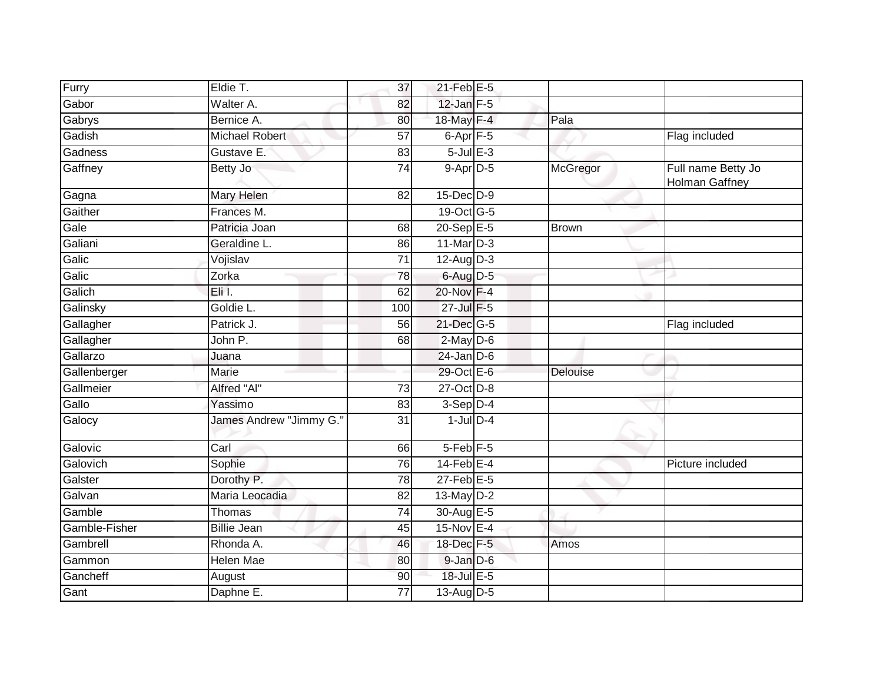| Furry         | Eldie T.                | $\overline{37}$ | $21$ -Feb $E-5$      |              |                                      |
|---------------|-------------------------|-----------------|----------------------|--------------|--------------------------------------|
| Gabor         | Walter A.               | 82              | $12$ -Jan $F-5$      |              |                                      |
| Gabrys        | Bernice A.              | 80              | 18-May F-4           | Pala         |                                      |
| Gadish        | Michael Robert          | 57              | $6$ -Apr $F - 5$     |              | Flag included                        |
| Gadness       | Gustave E.              | 83              | $5$ -Jul $E-3$       |              |                                      |
| Gaffney       | Betty Jo                | $\overline{74}$ | $9-$ Apr $D-5$       | McGregor     | Full name Betty Jo<br>Holman Gaffney |
| Gagna         | Mary Helen              | 82              | 15-Dec D-9           |              |                                      |
| Gaither       | Frances M.              |                 | 19-Oct G-5           |              |                                      |
| Gale          | Patricia Joan           | 68              | $20 - SepE-5$        | <b>Brown</b> |                                      |
| Galiani       | Geraldine L.            | 86              | $11$ -Mar $D-3$      |              |                                      |
| Galic         | Vojislav                | 71              | $12$ -Aug $D-3$      |              |                                      |
| Galic         | Zorka                   | 78              | $6$ -Aug $D-5$       |              |                                      |
| Galich        | Eli I.                  | 62              | 20-Nov F-4           |              |                                      |
| Galinsky      | Goldie L.               | 100             | 27-Jul F-5           |              |                                      |
| Gallagher     | Patrick J.              | 56              | 21-Dec G-5           |              | Flag included                        |
| Gallagher     | John P.                 | 68              | $2$ -May $D-6$       |              |                                      |
| Gallarzo      | Juana                   |                 | $24$ -Jan $D-6$      |              |                                      |
| Gallenberger  | Marie                   |                 | 29-Oct E-6           | Delouise     |                                      |
| Gallmeier     | Alfred "Al"             | 73              | 27-Oct D-8           |              |                                      |
| Gallo         | Yassimo                 | 83              | $3-Sep$ D-4          |              |                                      |
| Galocy        | James Andrew "Jimmy G." | 31              | $1$ -Jul $D-4$       |              |                                      |
| Galovic       | Carl                    | 66              | 5-Feb <sup>F-5</sup> |              |                                      |
| Galovich      | Sophie                  | 76              | $14$ -Feb $E-4$      |              | Picture included                     |
| Galster       | Dorothy P.              | 78              | $27$ -Feb $E-5$      |              |                                      |
| Galvan        | Maria Leocadia          | 82              | $13$ -May $D-2$      |              |                                      |
| Gamble        | Thomas                  | 74              | 30-Aug E-5           |              |                                      |
| Gamble-Fisher | <b>Billie Jean</b>      | 45              | 15-Nov E-4           |              |                                      |
| Gambrell      | Rhonda A.               | 46              | 18-Dec F-5           | Amos         |                                      |
| Gammon        | <b>Helen Mae</b>        | 80              | $9$ -Jan $D$ -6      |              |                                      |
| Gancheff      | August                  | 90              | 18-Jul E-5           |              |                                      |
| Gant          | Daphne E.               | 77              | 13-Aug $D-5$         |              |                                      |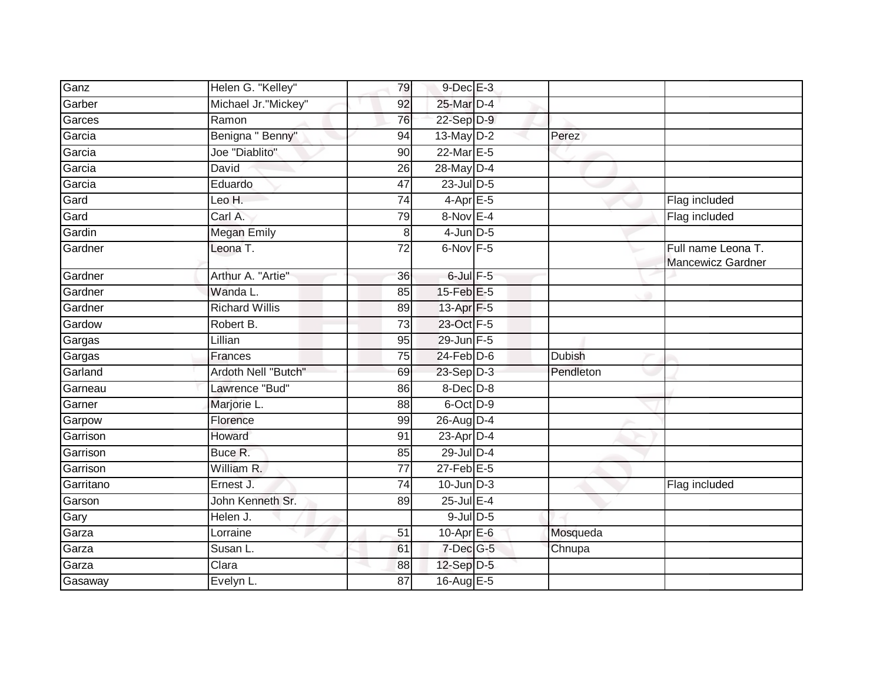| Ganz      | Helen G. "Kelley"     | 79              | $9$ -Dec $E-3$   |               |                                         |
|-----------|-----------------------|-----------------|------------------|---------------|-----------------------------------------|
| Garber    | Michael Jr."Mickey"   | 92              | 25-Mar D-4       |               |                                         |
| Garces    | Ramon                 | 76              | 22-Sep D-9       |               |                                         |
| Garcia    | Benigna " Benny"      | 94              | 13-May $D-2$     | Perez         |                                         |
| Garcia    | Joe "Diablito"        | 90              | 22-Mar E-5       |               |                                         |
| Garcia    | David                 | 26              | 28-May D-4       |               |                                         |
| Garcia    | Eduardo               | 47              | $23$ -Jul $D-5$  |               |                                         |
| Gard      | Leo H.                | 74              | $4$ -Apr $E$ -5  |               | Flag included                           |
| Gard      | Carl A.               | 79              | 8-Nov E-4        |               | Flag included                           |
| Gardin    | <b>Megan Emily</b>    | 8               | $4$ -Jun $D-5$   |               |                                         |
| Gardner   | Leona T.              | $\overline{72}$ | 6-Nov F-5        |               | Full name Leona T.<br>Mancewicz Gardner |
| Gardner   | Arthur A. "Artie"     | 36              | $6$ -Jul $F-5$   |               |                                         |
| Gardner   | Wanda L.              | 85              | 15-Feb E-5       |               |                                         |
| Gardner   | <b>Richard Willis</b> | 89              | 13-Apr F-5       |               |                                         |
| Gardow    | Robert B.             | $\overline{73}$ | 23-Oct F-5       |               |                                         |
| Gargas    | Lillian               | 95              | 29-Jun F-5       |               |                                         |
| Gargas    | Frances               | 75              | $24$ -Feb $D-6$  | <b>Dubish</b> |                                         |
| Garland   | Ardoth Nell "Butch"   | 69              | 23-Sep D-3       | Pendleton     |                                         |
| Garneau   | Lawrence "Bud"        | 86              | $8$ -Dec $D-8$   |               |                                         |
| Garner    | Marjorie L.           | 88              | 6-Oct D-9        |               |                                         |
| Garpow    | Florence              | 99              | 26-Aug D-4       |               |                                         |
| Garrison  | Howard                | 91              | 23-Apr D-4       |               |                                         |
| Garrison  | Buce R.               | 85              | $29$ -Jul $D-4$  |               |                                         |
| Garrison  | William R.            | 77              | $27$ -Feb $E-5$  |               |                                         |
| Garritano | Ernest J.             | $\overline{74}$ | $10$ -Jun $D-3$  |               | Flag included                           |
| Garson    | John Kenneth Sr.      | 89              | $25$ -Jul $E-4$  |               |                                         |
| Gary      | Helen J.              |                 | $9$ -Jul $D$ -5  |               |                                         |
| Garza     | Lorraine              | 51              | $10$ -Apr $E$ -6 | Mosqueda      |                                         |
| Garza     | Susan L.              | 61              | 7-Dec G-5        | Chnupa        |                                         |
| Garza     | Clara                 | 88              | $12$ -Sep $D-5$  |               |                                         |
| Gasaway   | Evelyn L.             | 87              | 16-Aug E-5       |               |                                         |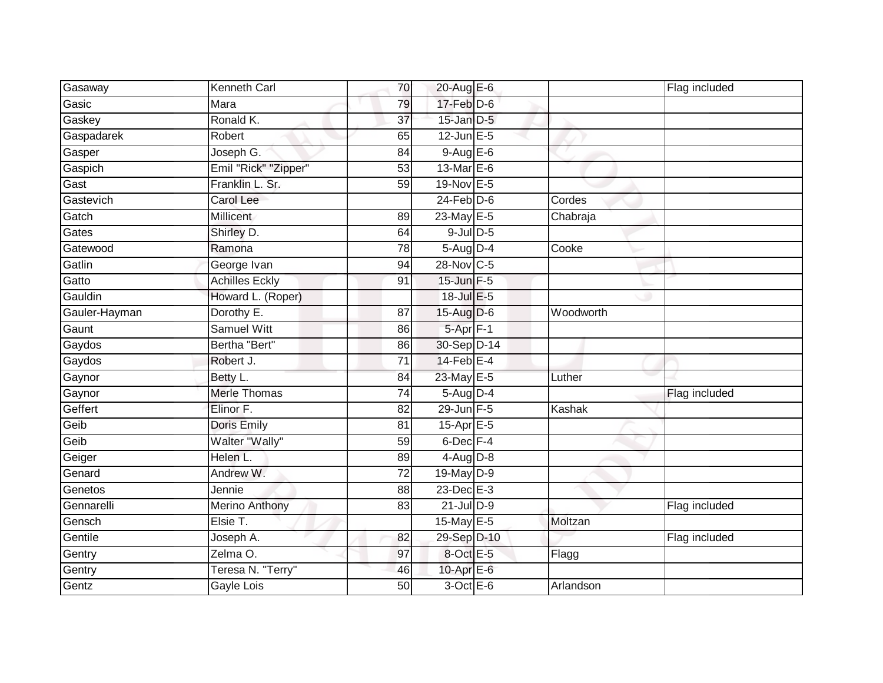| Gasaway       | Kenneth Carl          | 70              | 20-Aug E-6        |           | Flag included |
|---------------|-----------------------|-----------------|-------------------|-----------|---------------|
| Gasic         | Mara                  | 79              | $17$ -Feb $D-6$   |           |               |
| Gaskey        | Ronald K.             | $\overline{37}$ | $15$ -Jan $D-5$   |           |               |
| Gaspadarek    | Robert                | 65              | $12$ -Jun $E - 5$ |           |               |
| Gasper        | Joseph G.             | 84              | $9-AugE-6$        |           |               |
| Gaspich       | Emil "Rick" "Zipper"  | 53              | $13-MarE-6$       |           |               |
| Gast          | Franklin L. Sr.       | 59              | 19-Nov E-5        |           |               |
| Gastevich     | Carol Lee             |                 | $24$ -Feb $D-6$   | Cordes    |               |
| Gatch         | Millicent             | 89              | 23-May E-5        | Chabraja  |               |
| Gates         | Shirley D.            | 64              | $9$ -Jul $D$ -5   |           |               |
| Gatewood      | Ramona                | 78              | $5-Aug$ D-4       | Cooke     |               |
| Gatlin        | George Ivan           | 94              | 28-Nov C-5        |           |               |
| Gatto         | <b>Achilles Eckly</b> | 91              | 15-Jun F-5        |           |               |
| Gauldin       | Howard L. (Roper)     |                 | 18-Jul E-5        |           |               |
| Gauler-Hayman | Dorothy E.            | $\overline{87}$ | 15-Aug D-6        | Woodworth |               |
| Gaunt         | <b>Samuel Witt</b>    | 86              | 5-Apr F-1         |           |               |
| Gaydos        | Bertha "Bert"         | 86              | 30-Sep D-14       |           |               |
| Gaydos        | Robert J.             | $\overline{71}$ | $14$ -Feb $E - 4$ |           |               |
| Gaynor        | Betty L.              | 84              | 23-May E-5        | Luther    |               |
| Gaynor        | <b>Merle Thomas</b>   | 74              | $5-Aug$ D-4       |           | Flag included |
| Geffert       | Elinor F.             | 82              | 29-Jun F-5        | Kashak    |               |
| Geib          | Doris Emily           | 81              | $15$ -Apr $E$ -5  |           |               |
| Geib          | Walter "Wally"        | 59              | $6$ -Dec $F-4$    |           |               |
| Geiger        | Helen L.              | 89              | $4$ -Aug D-8      |           |               |
| Genard        | Andrew W.             | 72              | 19-May D-9        |           |               |
| Genetos       | Jennie                | 88              | 23-Dec E-3        |           |               |
| Gennarelli    | <b>Merino Anthony</b> | 83              | $21$ -Jul $D-9$   |           | Flag included |
| Gensch        | Elsie T.              |                 | 15-May E-5        | Moltzan   |               |
| Gentile       | Joseph A.             | 82              | 29-Sep D-10       |           | Flag included |
| Gentry        | Zelma O.              | 97              | 8-Oct E-5         | Flagg     |               |
| Gentry        | Teresa N. "Terry"     | 46              | 10-Apr E-6        |           |               |
| Gentz         | Gayle Lois            | $\overline{50}$ | $3$ -Oct $E$ -6   | Arlandson |               |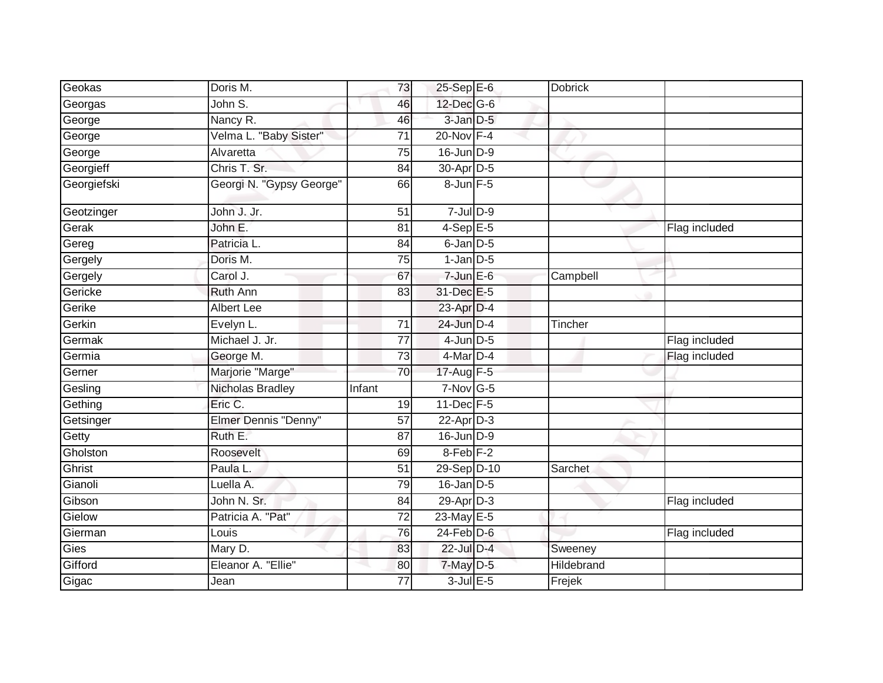| Geokas      | Doris M.                 | 73              | 25-Sep E-6             | <b>Dobrick</b> |               |
|-------------|--------------------------|-----------------|------------------------|----------------|---------------|
| Georgas     | John S.                  | 46              | 12-Dec G-6             |                |               |
| George      | Nancy R.                 | 46              | 3-Jan D-5              |                |               |
| George      | Velma L. "Baby Sister"   | 71              | $20$ -Nov $F-4$        |                |               |
| George      | Alvaretta                | 75              | 16-Jun D-9             |                |               |
| Georgieff   | Chris T. Sr.             | 84              | 30-Apr <sub>D-5</sub>  |                |               |
| Georgiefski | Georgi N. "Gypsy George" | 66              | 8-Jun F-5              |                |               |
| Geotzinger  | John J. Jr.              | 51              | $7 -$ Jul $D - 9$      |                |               |
| Gerak       | John E.                  | 81              | $4-SepE-5$             |                | Flag included |
| Gereg       | Patricia L.              | 84              | $6$ -Jan $D-5$         |                |               |
| Gergely     | Doris M.                 | 75              | $1$ -Jan $D-5$         |                |               |
| Gergely     | Carol J.                 | 67              | $7$ -Jun $E$ -6        | Campbell       |               |
| Gericke     | <b>Ruth Ann</b>          | 83              | 31-Dec E-5             |                |               |
| Gerike      | <b>Albert Lee</b>        |                 | 23-Apr D-4             |                |               |
| Gerkin      | Evelyn L.                | $\overline{71}$ | 24-Jun D-4             | Tincher        |               |
| Germak      | Michael J. Jr.           | 77              | $4$ -Jun $D-5$         |                | Flag included |
| Germia      | George M.                | 73              | $4$ -Mar $D-4$         |                | Flag included |
| Gerner      | Marjorie "Marge"         | 70              | 17-Aug F-5             |                |               |
| Gesling     | Nicholas Bradley         | Infant          | $7-Nov$ G-5            |                |               |
| Gething     | Eric C.                  | 19              | 11-Dec F-5             |                |               |
| Getsinger   | Elmer Dennis "Denny"     | 57              | $22-Apr\overline{D-3}$ |                |               |
| Getty       | Ruth E.                  | 87              | $16$ -Jun $D-9$        |                |               |
| Gholston    | Roosevelt                | 69              | $8$ -Feb $F-2$         |                |               |
| Ghrist      | Paula L.                 | 51              | 29-Sep D-10            | Sarchet        |               |
| Gianoli     | Luella A.                | 79              | $16$ -Jan $D-5$        |                |               |
| Gibson      | John N. Sr.              | 84              | 29-Apr D-3             |                | Flag included |
| Gielow      | Patricia A. "Pat"        | 72              | 23-May E-5             |                |               |
| Gierman     | Louis                    | $\overline{76}$ | $24$ -Feb $D-6$        |                | Flag included |
| Gies        | Mary D.                  | 83              | 22-Jul D-4             | Sweeney        |               |
| Gifford     | Eleanor A. "Ellie"       | 80              | $7$ -May $D-5$         | Hildebrand     |               |
| Gigac       | Jean                     | 77              | $3$ -Jul $E$ -5        | Frejek         |               |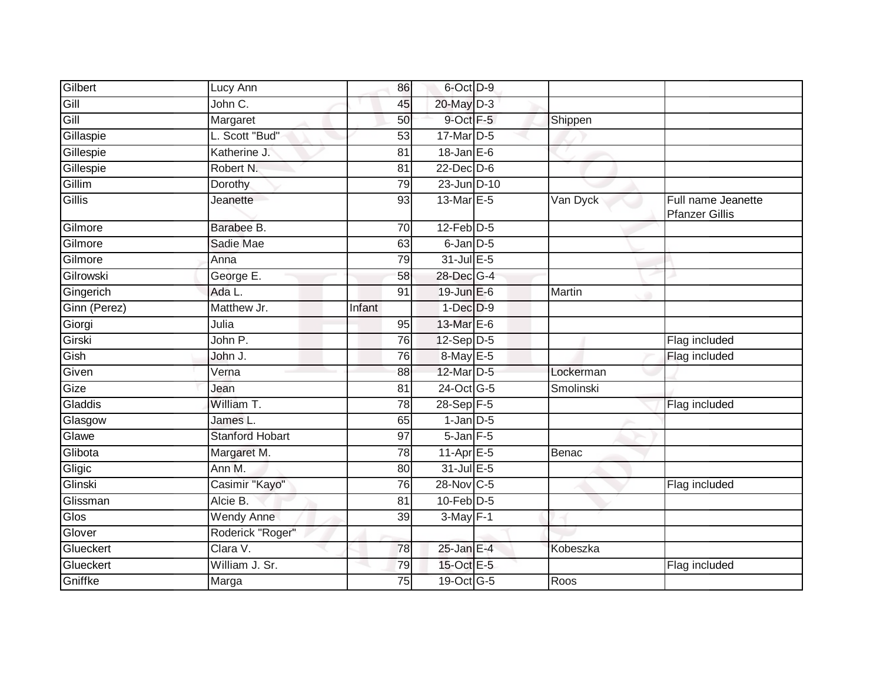| Gilbert      | Lucy Ann               | 86              | 6-Oct D-9        |              |                                             |
|--------------|------------------------|-----------------|------------------|--------------|---------------------------------------------|
| Gill         | John C.                | 45              | 20-May D-3       |              |                                             |
| Gill         | Margaret               | 50              | 9-Oct F-5        | Shippen      |                                             |
| Gillaspie    | L. Scott "Bud"         | 53              | 17-Mar D-5       |              |                                             |
| Gillespie    | Katherine J.           | $\overline{81}$ | $18$ -Jan $E$ -6 |              |                                             |
| Gillespie    | Robert N.              | 81              | $22$ -Dec $D-6$  |              |                                             |
| Gillim       | Dorothy                | 79              | 23-Jun D-10      |              |                                             |
| Gillis       | Jeanette               | 93              | 13-Mar E-5       | Van Dyck     | Full name Jeanette<br><b>Pfanzer Gillis</b> |
| Gilmore      | Barabee B.             | 70              | $12$ -Feb $D-5$  |              |                                             |
| Gilmore      | Sadie Mae              | 63              | 6-Jan D-5        |              |                                             |
| Gilmore      | Anna                   | 79              | 31-Jul E-5       |              |                                             |
| Gilrowski    | George E.              | 58              | 28-Dec G-4       |              |                                             |
| Gingerich    | Ada L.                 | 91              | 19-Jun E-6       | Martin       |                                             |
| Ginn (Perez) | Matthew Jr.            | Infant          | $1$ -Dec $D-9$   |              |                                             |
| Giorgi       | Julia                  | 95              | 13-Mar E-6       |              |                                             |
| Girski       | John P.                | 76              | 12-Sep D-5       |              | Flag included                               |
| Gish         | John J.                | 76              | 8-May E-5        |              | Flag included                               |
| Given        | Verna                  | 88              | 12-Mar D-5       | Lockerman    |                                             |
| Gize         | Jean                   | 81              | 24-Oct G-5       | Smolinski    |                                             |
| Gladdis      | William T.             | 78              | $28-Sep$ F-5     |              | Flag included                               |
| Glasgow      | James L.               | 65              | $1$ -Jan $D-5$   |              |                                             |
| Glawe        | <b>Stanford Hobart</b> | 97              | $5 - Jan$ $F-5$  |              |                                             |
| Glibota      | Margaret M.            | 78              | 11-Apr E-5       | <b>Benac</b> |                                             |
| Gligic       | Ann M.                 | 80              | $31$ -Jul $E-5$  |              |                                             |
| Glinski      | Casimir "Kayo"         | 76              | 28-Nov C-5       |              | Flag included                               |
| Glissman     | Alcie B.               | 81              | $10$ -Feb $D-5$  |              |                                             |
| Glos         | Wendy Anne             | $\overline{39}$ | $3-May$ F-1      |              |                                             |
| Glover       | Roderick "Roger"       |                 |                  |              |                                             |
| Glueckert    | Clara V.               | 78              | $25$ -Jan E-4    | Kobeszka     |                                             |
| Glueckert    | William J. Sr.         | 79              | 15-Oct E-5       |              | Flag included                               |
| Gniffke      | Marga                  | 75              | 19-Oct G-5       | Roos         |                                             |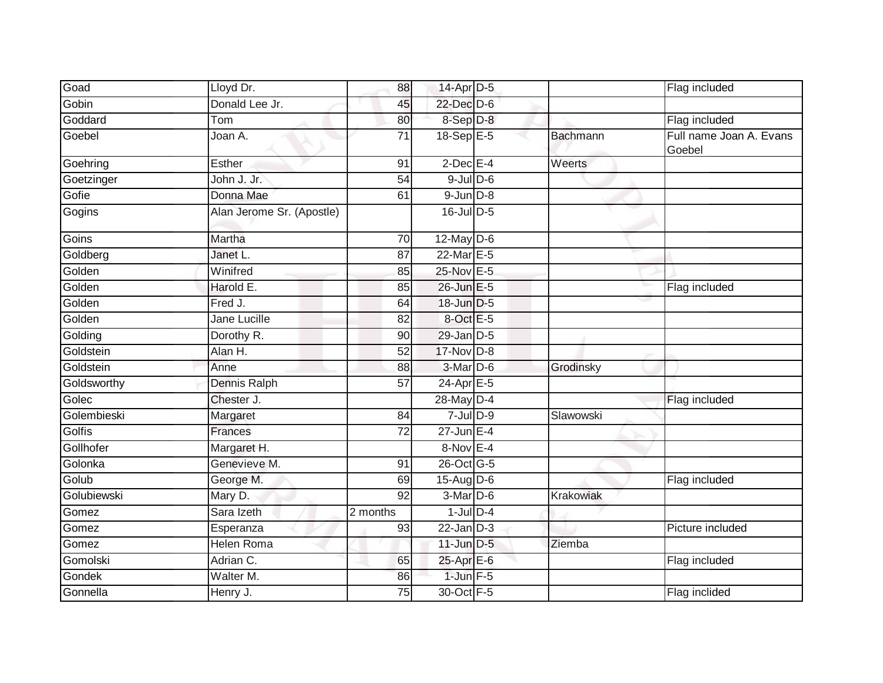| Goad        | Lloyd Dr.                 | 88              | 14-Apr D-5              |                 | Flag included                     |
|-------------|---------------------------|-----------------|-------------------------|-----------------|-----------------------------------|
| Gobin       | Donald Lee Jr.            | 45              | 22-Dec D-6              |                 |                                   |
| Goddard     | Tom                       | 80              | 8-Sep D-8               |                 | Flag included                     |
| Goebel      | Joan A.                   | 71              | 18-Sep $E-5$            | <b>Bachmann</b> | Full name Joan A. Evans<br>Goebel |
| Goehring    | <b>Esther</b>             | 91              | $2$ -Dec $E-4$          | Weerts          |                                   |
| Goetzinger  | John J. Jr.               | 54              | $9$ -Jul $D$ -6         |                 |                                   |
| Gofie       | Donna Mae                 | 61              | $9$ -Jun $D-8$          |                 |                                   |
| Gogins      | Alan Jerome Sr. (Apostle) |                 | $16$ -Jul $D-5$         |                 |                                   |
| Goins       | Martha                    | $\overline{70}$ | 12-May D-6              |                 |                                   |
| Goldberg    | Janet L.                  | 87              | 22-Mar E-5              |                 |                                   |
| Golden      | Winifred                  | 85              | 25-Nov E-5              |                 |                                   |
| Golden      | Harold E.                 | 85              | 26-Jun E-5              |                 | Flag included                     |
| Golden      | Fred J.                   | 64              | 18-Jun D-5              |                 |                                   |
| Golden      | Jane Lucille              | 82              | 8-Oct E-5               |                 |                                   |
| Golding     | Dorothy R.                | 90              | $29$ -Jan $D-5$         |                 |                                   |
| Goldstein   | Alan H.                   | 52              | 17-Nov D-8              |                 |                                   |
| Goldstein   | Anne                      | 88              | $3-Mar$ D-6             | Grodinsky       |                                   |
| Goldsworthy | <b>Dennis Ralph</b>       | $\overline{57}$ | $24-Apr \n\mathsf{E-5}$ |                 |                                   |
| Golec       | Chester J.                |                 | 28-May D-4              |                 | Flag included                     |
| Golembieski | Margaret                  | 84              | $7 -$ Jul $D - 9$       | Slawowski       |                                   |
| Golfis      | Frances                   | 72              | $27$ -Jun $E-4$         |                 |                                   |
| Gollhofer   | Margaret H.               |                 | $8-Nov$ E-4             |                 |                                   |
| Golonka     | Genevieve M.              | 91              | 26-Oct G-5              |                 |                                   |
| Golub       | George M.                 | 69              | $15$ -AugD-6            |                 | Flag included                     |
| Golubiewski | Mary D.                   | $\overline{92}$ | $3-Mar$ D-6             | Krakowiak       |                                   |
| Gomez       | Sara Izeth                | 2 months        | $1$ -Jul $D-4$          |                 |                                   |
| Gomez       | Esperanza                 | 93              | $22$ -Jan $D-3$         |                 | Picture included                  |
| Gomez       | Helen Roma                |                 | $11$ -Jun $D-5$         | Ziemba          |                                   |
| Gomolski    | Adrian C.                 | 65              | 25-Apr E-6              |                 | Flag included                     |
| Gondek      | Walter M.                 | 86              | $1$ -Jun $F-5$          |                 |                                   |
| Gonnella    | Henry J.                  | 75              | 30-Oct F-5              |                 | Flag inclided                     |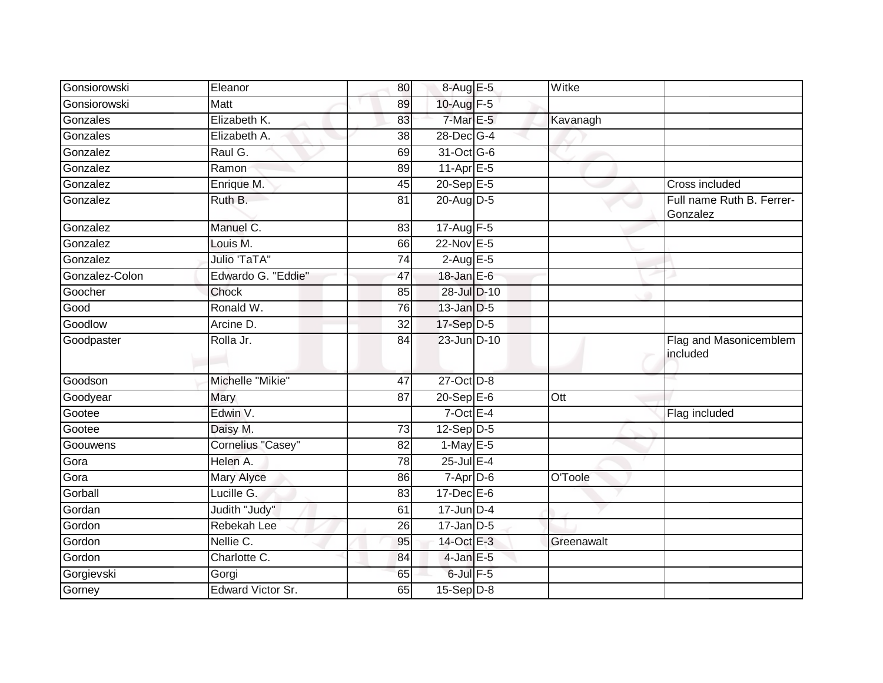| Gonsiorowski   | Eleanor             | 80              | 8-Aug E-5              | Witke      |                                       |
|----------------|---------------------|-----------------|------------------------|------------|---------------------------------------|
| Gonsiorowski   | <b>Matt</b>         | 89              | 10-Aug F-5             |            |                                       |
| Gonzales       | Elizabeth K.        | 83              | $7-MarE-5$             | Kavanagh   |                                       |
| Gonzales       | Elizabeth A.        | 38              | 28-Dec G-4             |            |                                       |
| Gonzalez       | Raul G.             | 69              | 31-Oct G-6             |            |                                       |
| Gonzalez       | Ramon               | 89              | 11-Apr <sub>E-5</sub>  |            |                                       |
| Gonzalez       | Enrique M.          | 45              | $20 - \text{Sep}E - 5$ |            | Cross included                        |
| Gonzalez       | Ruth B.             | 81              | $20$ -AugD-5           |            | Full name Ruth B. Ferrer-<br>Gonzalez |
| Gonzalez       | Manuel C.           | 83              | 17-Aug $F-5$           |            |                                       |
| Gonzalez       | Louis M.            | 66              | 22-Nov E-5             |            |                                       |
| Gonzalez       | <b>Julio 'TaTA"</b> | 74              | $2$ -Aug E-5           |            |                                       |
| Gonzalez-Colon | Edwardo G. "Eddie"  | 47              | $18 - Jan$ $E-6$       |            |                                       |
| Goocher        | Chock               | 85              | 28-Jul D-10            |            |                                       |
| Good           | Ronald W.           | 76              | 13-Jan D-5             |            |                                       |
| Goodlow        | Arcine D.           | 32              | 17-Sep D-5             |            |                                       |
| Goodpaster     | Rolla Jr.           | 84              | 23-Jun D-10            |            | Flag and Masonicemblem<br>included    |
| Goodson        | Michelle "Mikie"    | 47              | 27-Oct D-8             |            |                                       |
| Goodyear       | Mary                | 87              | $20 - SepE-6$          | Ott        |                                       |
| Gootee         | Edwin V.            |                 | $7$ -Oct E-4           |            | Flag included                         |
| Gootee         | Daisy M.            | 73              | $12-Sep D-5$           |            |                                       |
| Goouwens       | Cornelius "Casey"   | 82              | $1$ -May E-5           |            |                                       |
| Gora           | Helen A.            | 78              | $25$ -Jul $E-4$        |            |                                       |
| Gora           | Mary Alyce          | 86              | $7-Apr\overline{D-6}$  | O'Toole    |                                       |
| Gorball        | Lucille G.          | 83              | $17 - Dec$ E-6         |            |                                       |
| Gordan         | Judith "Judy"       | 61              | $17$ -Jun $D-4$        |            |                                       |
| Gordon         | Rebekah Lee         | $\overline{26}$ | $17$ -Jan D-5          |            |                                       |
| Gordon         | Nellie C.           | 95              | 14-Oct E-3             | Greenawalt |                                       |
| Gordon         | Charlotte C.        | 84              | $4$ -Jan E-5           |            |                                       |
| Gorgievski     | Gorgi               | 65              | 6-Jul F-5              |            |                                       |
| Gorney         | Edward Victor Sr.   | 65              | $15-Sep$ D-8           |            |                                       |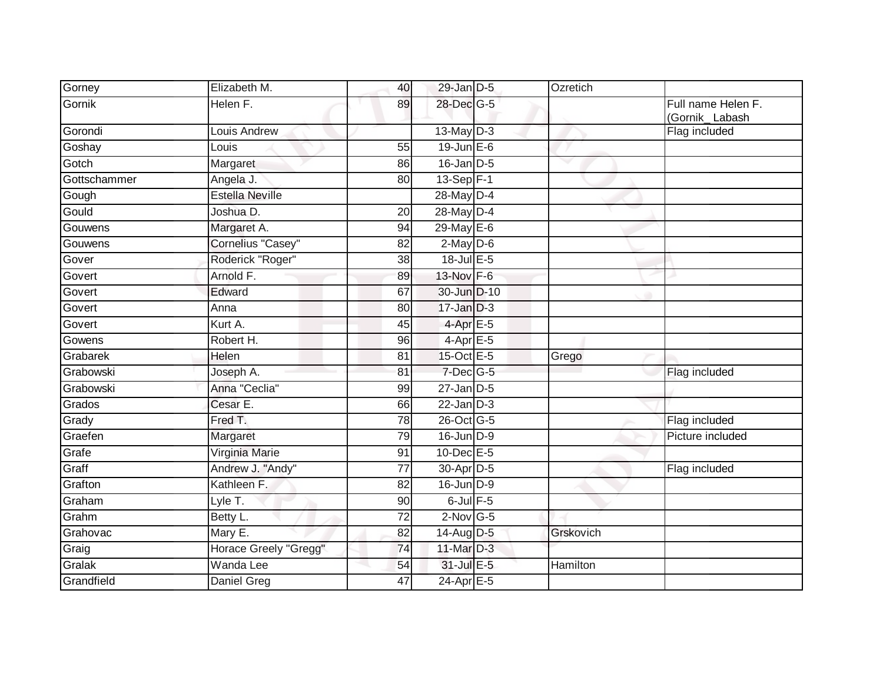| Gorney       | Elizabeth M.           | 40              | 29-Jan D-5        | Ozretich  |                                      |
|--------------|------------------------|-----------------|-------------------|-----------|--------------------------------------|
| Gornik       | Helen F.               | 89              | 28-Dec G-5        |           | Full name Helen F.<br>(Gornik_Labash |
| Gorondi      | <b>Louis Andrew</b>    |                 | $13$ -May $D-3$   |           | Flag included                        |
| Goshay       | Louis                  | 55              | $19$ -Jun $E - 6$ |           |                                      |
| Gotch        | Margaret               | 86              | $16$ -Jan $D-5$   |           |                                      |
| Gottschammer | Angela J.              | 80              | 13-Sep F-1        |           |                                      |
| Gough        | <b>Estella Neville</b> |                 | 28-May D-4        |           |                                      |
| Gould        | Joshua D.              | $\overline{20}$ | 28-May D-4        |           |                                      |
| Gouwens      | Margaret A.            | 94              | $29$ -May E-6     |           |                                      |
| Gouwens      | Cornelius "Casey"      | 82              | $2$ -May $D$ -6   |           |                                      |
| Gover        | Roderick "Roger"       | 38              | $18$ -Jul $E$ -5  |           |                                      |
| Govert       | Arnold F.              | 89              | 13-Nov F-6        |           |                                      |
| Govert       | Edward                 | 67              | 30-Jun D-10       |           |                                      |
| Govert       | Anna                   | 80              | $17 - Jan$ $D-3$  |           |                                      |
| Govert       | Kurt A.                | 45              | $4$ -Apr $E - 5$  |           |                                      |
| Gowens       | Robert H.              | 96              | 4-Apr E-5         |           |                                      |
| Grabarek     | Helen                  | 81              | 15-Oct E-5        | Grego     |                                      |
| Grabowski    | Joseph A.              | 81              | 7-Dec G-5         |           | Flag included                        |
| Grabowski    | Anna "Ceclia"          | 99              | $27$ -Jan $D-5$   |           |                                      |
| Grados       | Cesar E.               | 66              | $22$ -Jan $D-3$   |           |                                      |
| Grady        | Fred T.                | 78              | 26-Oct G-5        |           | Flag included                        |
| Graefen      | Margaret               | 79              | 16-Jun D-9        |           | Picture included                     |
| Grafe        | Virginia Marie         | 91              | 10-Dec E-5        |           |                                      |
| Graff        | Andrew J. "Andy"       | 77              | 30-Apr D-5        |           | Flag included                        |
| Grafton      | Kathleen F.            | $\overline{82}$ | 16-Jun D-9        |           |                                      |
| Graham       | Lyle T.                | 90              | $6$ -Jul $F$ -5   |           |                                      |
| Grahm        | Betty L.               | 72              | $2$ -Nov G-5      |           |                                      |
| Grahovac     | Mary E.                | 82              | $14$ -Aug D-5     | Grskovich |                                      |
| Graig        | Horace Greely "Gregg"  | 74              | 11-Mar D-3        |           |                                      |
| Gralak       | Wanda Lee              | 54              | 31-Jul E-5        | Hamilton  |                                      |
| Grandfield   | Daniel Greg            | 47              | 24-Apr E-5        |           |                                      |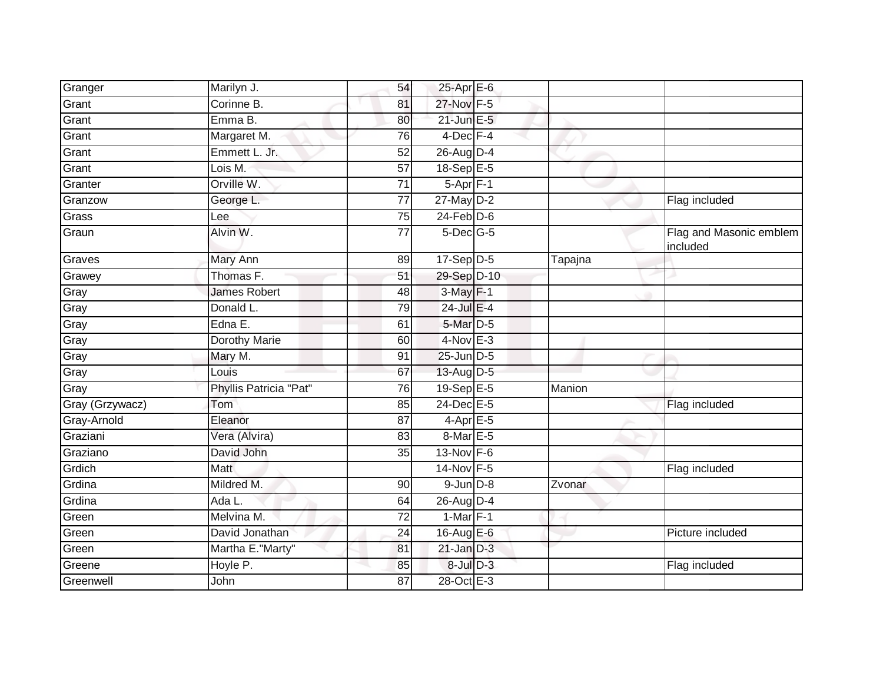| Granger         | Marilyn J.             | 54              | 25-Apr E-6             |         |                                     |
|-----------------|------------------------|-----------------|------------------------|---------|-------------------------------------|
| Grant           | Corinne B.             | 81              | 27-Nov F-5             |         |                                     |
| Grant           | Emma B.                | 80              | $21$ -Jun E-5          |         |                                     |
| Grant           | Margaret M.            | 76              | 4-Dec F-4              |         |                                     |
| Grant           | Emmett L. Jr.          | 52              | 26-Aug D-4             |         |                                     |
| Grant           | Lois M.                | 57              | 18-Sep E-5             |         |                                     |
| Granter         | Orville W.             | 71              | $5-Apr$ F-1            |         |                                     |
| Granzow         | George L.              | 77              | 27-May D-2             |         | Flag included                       |
| Grass           | Lee                    | 75              | $24$ -Feb $D-6$        |         |                                     |
| Graun           | Alvin W.               | $\overline{77}$ | $5$ -Dec $G$ -5        |         | Flag and Masonic emblem<br>included |
| Graves          | Mary Ann               | 89              | $17-Sep\overline{D-5}$ | Tapajna |                                     |
| Grawey          | Thomas F.              | 51              | 29-Sep D-10            |         |                                     |
| Gray            | <b>James Robert</b>    | 48              | $3-May$ $F-1$          |         |                                     |
| Gray            | Donald L.              | 79              | 24-Jul E-4             |         |                                     |
| Gray            | Edna E.                | 61              | 5-Mar D-5              |         |                                     |
| Gray            | Dorothy Marie          | 60              | $4$ -Nov $E-3$         |         |                                     |
| Gray            | Mary M.                | 91              | 25-Jun D-5             |         |                                     |
| Gray            | Louis                  | 67              | 13-Aug D-5             |         |                                     |
| Gray            | Phyllis Patricia "Pat" | 76              | 19-Sep E-5             | Manion  |                                     |
| Gray (Grzywacz) | Tom                    | 85              | 24-Dec E-5             |         | Flag included                       |
| Gray-Arnold     | Eleanor                | 87              | $4$ -Apr $E$ -5        |         |                                     |
| Graziani        | Vera (Alvira)          | 83              | 8-Mar E-5              |         |                                     |
| Graziano        | David John             | 35              | 13-Nov F-6             |         |                                     |
| Grdich          | Matt                   |                 | 14-Nov F-5             |         | Flag included                       |
| Grdina          | Mildred M.             | 90              | $9$ -Jun $D-8$         | Zvonar  |                                     |
| Grdina          | Ada L.                 | 64              | 26-Aug D-4             |         |                                     |
| Green           | Melvina M.             | $\overline{72}$ | $1-Mar$ F-1            |         |                                     |
| Green           | David Jonathan         | 24              | 16-Aug E-6             |         | Picture included                    |
| Green           | Martha E."Marty"       | 81              | $21$ -Jan $D-3$        |         |                                     |
| Greene          | Hoyle P.               | 85              | 8-Jul D-3              |         | Flag included                       |
| Greenwell       | John                   | 87              | 28-Oct E-3             |         |                                     |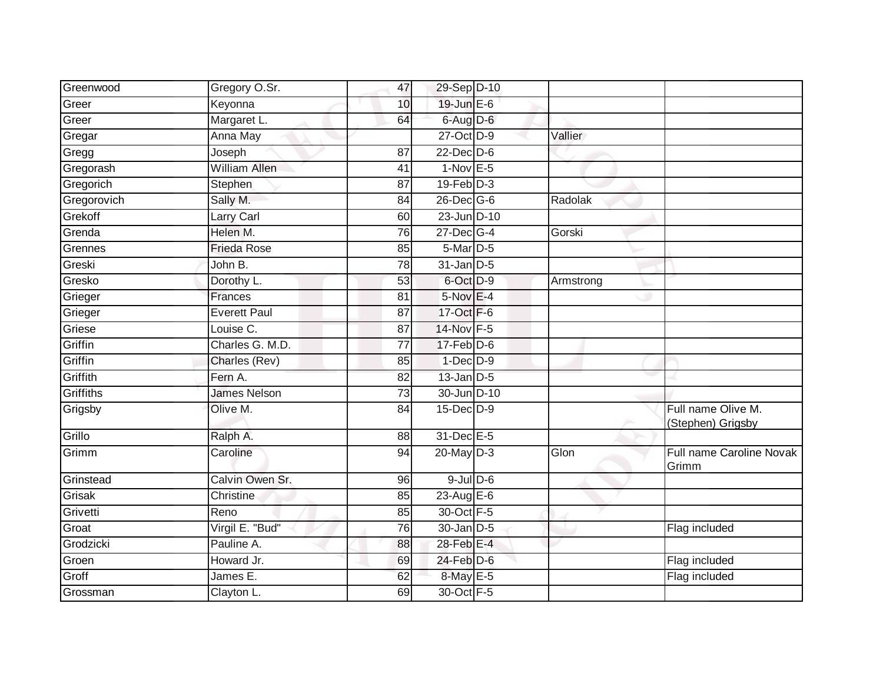| Greer<br>19-Jun E-6<br>Keyonna<br>10<br>Greer<br>Margaret L.<br>6-Aug D-6<br>64 |                                         |
|---------------------------------------------------------------------------------|-----------------------------------------|
|                                                                                 |                                         |
|                                                                                 |                                         |
| Gregar<br>27-Oct D-9<br>Anna May<br>Vallier                                     |                                         |
| Gregg<br>$22$ -Dec $D-6$<br>Joseph<br>$\overline{87}$                           |                                         |
| Gregorash<br><b>William Allen</b><br>$1-Nov$ E-5<br>41                          |                                         |
| $19$ -Feb $D-3$<br>Gregorich<br>Stephen<br>87                                   |                                         |
| Gregorovich<br>26-Dec G-6<br>Sally M.<br>84<br>Radolak                          |                                         |
| Grekoff<br>23-Jun D-10<br>Larry Carl<br>60                                      |                                         |
| Grenda<br>Helen M.<br>27-Dec G-4<br>Gorski<br>76                                |                                         |
| Grennes<br><b>Frieda Rose</b><br>85<br>$5$ -Mar $D-5$                           |                                         |
| Greski<br>$31$ -Jan $D-5$<br>John B.<br>78                                      |                                         |
| Gresko<br>53<br>6-Oct D-9<br>Dorothy L.<br>Armstrong                            |                                         |
| Grieger<br>5-Nov E-4<br>Frances<br>81                                           |                                         |
| Grieger<br><b>Everett Paul</b><br>17-Oct F-6<br>87                              |                                         |
| Griese<br>14-Nov F-5<br>Louise C.<br>87                                         |                                         |
| Griffin<br>Charles G. M.D.<br>$17-Feb$ D-6<br>77                                |                                         |
| Griffin<br>$1-Dec$ $D-9$<br>85<br>Charles (Rev)                                 |                                         |
| Griffith<br>$13$ -Jan $D-5$<br>Fern A.<br>82                                    |                                         |
| Griffiths<br><b>James Nelson</b><br>30-Jun D-10<br>$\overline{73}$              |                                         |
| 15-Dec D-9<br>Grigsby<br>Olive M.<br>84                                         | Full name Olive M.<br>(Stephen) Grigsby |
| Grillo<br>31-Dec E-5<br>Ralph A.<br>88                                          |                                         |
| Grimm<br>Caroline<br>$20$ -May D-3<br>Glon<br>94                                | Full name Caroline Novak<br>Grimm       |
| Calvin Owen Sr.<br>$9$ -Jul $D$ -6<br>Grinstead<br>96                           |                                         |
| Grisak<br>$23$ -Aug E-6<br>Christine<br>85                                      |                                         |
| Grivetti<br>30-Oct F-5<br>Reno<br>85                                            |                                         |
| Groat<br>Virgil E. "Bud"<br>$\overline{76}$<br>30-Jan D-5                       | Flag included                           |
| Grodzicki<br>Pauline A.<br>28-Feb E-4<br>88                                     |                                         |
| Groen<br>Howard Jr.<br>$24$ -Feb $D-6$<br>69                                    | Flag included                           |
| Groff<br>8-May E-5<br>James E.<br>62                                            | Flag included                           |
| Grossman<br>30-Oct F-5<br>Clayton L.<br>69                                      |                                         |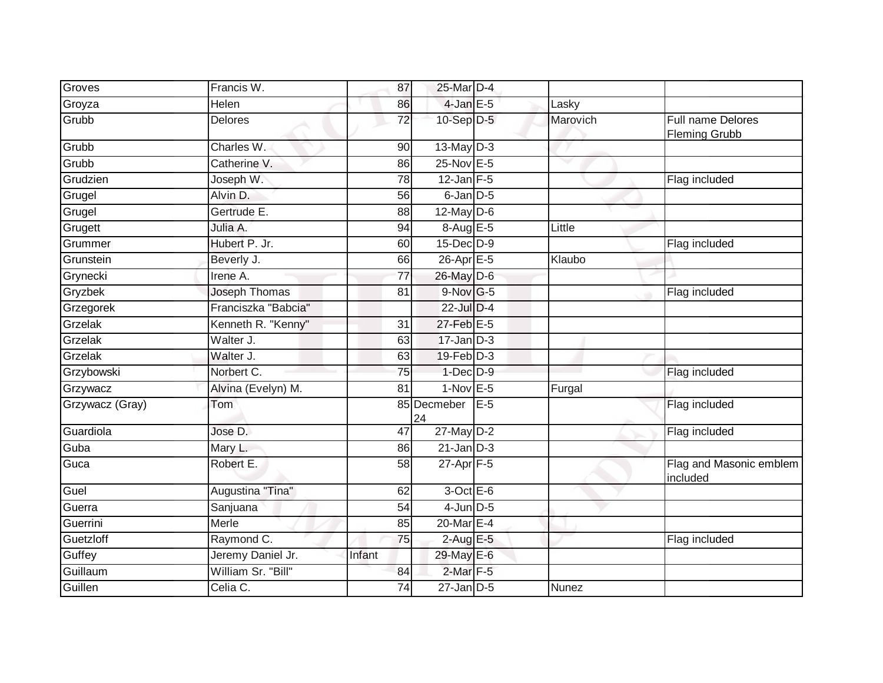| Groves          | Francis W.           | 87              | 25-Mar D-4           |       |          |                                                  |
|-----------------|----------------------|-----------------|----------------------|-------|----------|--------------------------------------------------|
| Groyza          | Helen                | 86              | $4$ -Jan E-5         |       | Lasky    |                                                  |
| Grubb           | Delores              | 72              | 10-Sep D-5           |       | Marovich | <b>Full name Delores</b><br><b>Fleming Grubb</b> |
| Grubb           | Charles W.           | 90              | $13$ -May $D-3$      |       |          |                                                  |
| Grubb           | Catherine V.         | 86              | $25$ -Nov $E - 5$    |       | $\sim$   |                                                  |
| Grudzien        | Joseph W.            | 78              | $12$ -Jan F-5        |       |          | Flag included                                    |
| Grugel          | Alvin D.             | 56              | $6$ -Jan $D$ -5      |       |          |                                                  |
| Grugel          | Gertrude E.          | 88              | $12$ -May $D-6$      |       |          |                                                  |
| Grugett         | Julia A.             | 94              | 8-Aug E-5            |       | Little   |                                                  |
| Grummer         | Hubert P. Jr.        | 60              | $15$ -Dec $D-9$      |       |          | Flag included                                    |
| Grunstein       | Beverly J.           | 66              | $26$ -Apr $E - 5$    |       | Klaubo   |                                                  |
| Grynecki        | Irene A.             | 77              | 26-May D-6           |       |          |                                                  |
| Gryzbek         | <b>Joseph Thomas</b> | $\overline{81}$ | $9-Nov$ G-5          |       |          | Flag included                                    |
| Grzegorek       | Franciszka "Babcia"  |                 | 22-Jul D-4           |       |          |                                                  |
| Grzelak         | Kenneth R. "Kenny"   | 31              | 27-Feb E-5           |       |          |                                                  |
| Grzelak         | Walter J.            | 63              | $17 - Jan$ $D-3$     |       |          |                                                  |
| Grzelak         | Walter J.            | 63              | 19-Feb D-3           |       |          |                                                  |
| Grzybowski      | Norbert C.           | 75              | $1-Dec$ $D-9$        |       |          | Flag included                                    |
| Grzywacz        | Alvina (Evelyn) M.   | 81              | $1-Nov$ E-5          |       | Furgal   |                                                  |
| Grzywacz (Gray) | Tom                  |                 | 85 Decmeber<br>24    | $E-5$ |          | Flag included                                    |
| Guardiola       | Jose D.              | 47              | $27$ -May $D-2$      |       |          | Flag included                                    |
| Guba            | Mary L.              | 86              | $21$ -Jan $D-3$      |       |          |                                                  |
| Guca            | Robert E.            | 58              | $27 - Apr$ F-5       |       |          | Flag and Masonic emblem<br>included              |
| Guel            | Augustina "Tina"     | 62              | $3$ -Oct E-6         |       |          |                                                  |
| Guerra          | Sanjuana             | 54              | $4$ -Jun $D-5$       |       |          |                                                  |
| Guerrini        | Merle                | 85              | 20-Mar E-4           |       |          |                                                  |
| Guetzloff       | Raymond C.           | 75              | $2$ -Aug $E-5$       |       |          | Flag included                                    |
| Guffey          | Jeremy Daniel Jr.    | Infant          | 29-May E-6           |       |          |                                                  |
| Guillaum        | William Sr. "Bill"   | 84              | 2-Mar <sub>F-5</sub> |       |          |                                                  |
| Guillen         | Celia C.             | $\overline{74}$ | $27$ -Jan $D-5$      |       | Nunez    |                                                  |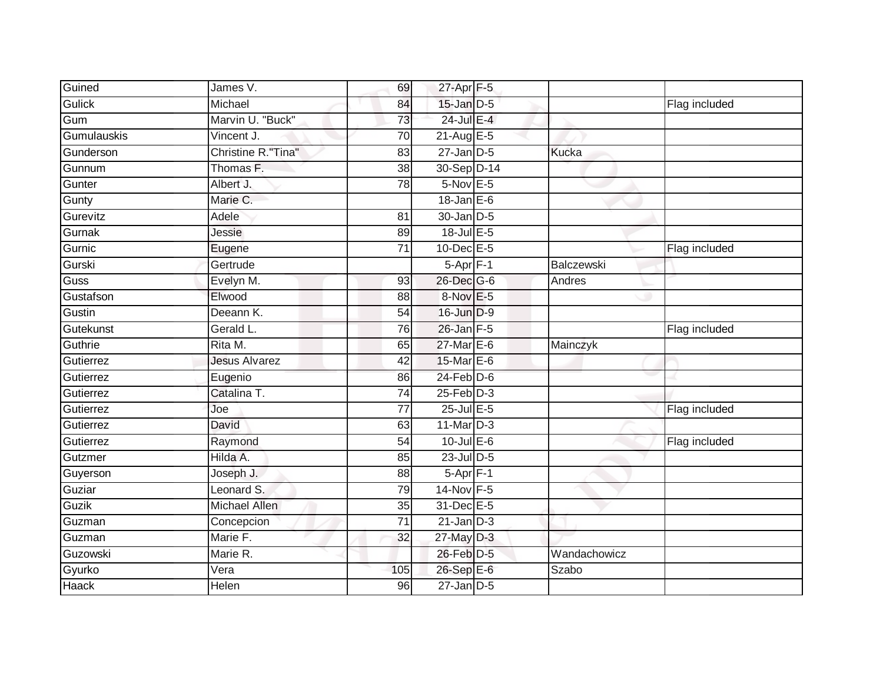| Guined        | James V.             | 69              | 27-Apr F-5       |              |               |
|---------------|----------------------|-----------------|------------------|--------------|---------------|
| <b>Gulick</b> | Michael              | 84              | 15-Jan D-5       |              | Flag included |
| Gum           | Marvin U. "Buck"     | 73              | 24-Jul E-4       |              |               |
| Gumulauskis   | Vincent J.           | 70              | $21-AugE-5$      |              |               |
| Gunderson     | Christine R."Tina"   | $\overline{83}$ | $27 - Jan$ $D-5$ | <b>Kucka</b> |               |
| Gunnum        | Thomas F.            | 38              | 30-Sep D-14      |              |               |
| Gunter        | Albert J.            | 78              | $5-Nov$ E-5      |              |               |
| Gunty         | Marie C.             |                 | $18$ -Jan $E-6$  |              |               |
| Gurevitz      | Adele                | 81              | 30-Jan D-5       |              |               |
| Gurnak        | Jessie               | 89              | 18-Jul E-5       |              |               |
| Gurnic        | Eugene               | 71              | 10-Dec E-5       |              | Flag included |
| Gurski        | Gertrude             |                 | $5-Apr$ F-1      | Balczewski   |               |
| Guss          | Evelyn M.            | 93              | 26-Dec G-6       | Andres       |               |
| Gustafson     | Elwood               | 88              | 8-Nov E-5        |              |               |
| Gustin        | Deeann K.            | 54              | 16-Jun D-9       |              |               |
| Gutekunst     | Gerald L.            | 76              | 26-Jan F-5       |              | Flag included |
| Guthrie       | Rita M.              | 65              | 27-Mar E-6       | Mainczyk     |               |
| Gutierrez     | <b>Jesus Alvarez</b> | 42              | 15-Mar E-6       |              |               |
| Gutierrez     | Eugenio              | 86              | $24$ -Feb $D-6$  |              |               |
| Gutierrez     | Catalina T.          | 74              | $25$ -Feb $D-3$  |              |               |
| Gutierrez     | Joe                  | 77              | $25$ -Jul $E$ -5 |              | Flag included |
| Gutierrez     | David                | 63              | $11$ -Mar $D-3$  |              |               |
| Gutierrez     | Raymond              | 54              | $10$ -Jul E-6    |              | Flag included |
| Gutzmer       | Hilda A.             | 85              | 23-Jul D-5       |              |               |
| Guyerson      | Joseph J.            | 88              | 5-Apr F-1        |              |               |
| Guziar        | Leonard S.           | 79              | 14-Nov F-5       |              |               |
| Guzik         | <b>Michael Allen</b> | 35              | 31-Dec E-5       |              |               |
| Guzman        | Concepcion           | 71              | $21$ -Jan $D-3$  |              |               |
| Guzman        | Marie F.             | 32              | $27$ -May $D-3$  |              |               |
| Guzowski      | Marie R.             |                 | 26-Feb D-5       | Wandachowicz |               |
| Gyurko        | Vera                 | 105             | 26-Sep E-6       | Szabo        |               |
| <b>Haack</b>  | Helen                | 96              | $27$ -Jan $D-5$  |              |               |
|               |                      |                 |                  |              |               |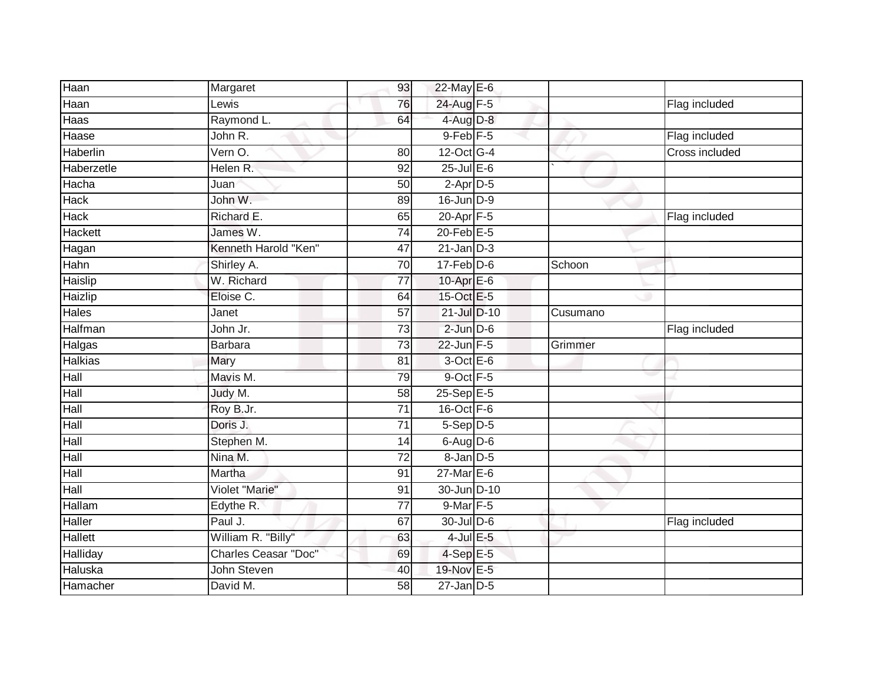| Haan                       | Margaret                    | 93              | 22-May E-6           |          |                       |
|----------------------------|-----------------------------|-----------------|----------------------|----------|-----------------------|
| Haan                       | Lewis                       | 76              | 24-Aug F-5           |          | Flag included         |
| Haas                       | Raymond L.                  | 64              | 4-Aug D-8            |          |                       |
| Haase                      | John R.                     |                 | 9-Feb <sup>F-5</sup> |          | Flag included         |
| Haberlin                   | Vern O.                     | $\overline{80}$ | 12-Oct G-4           |          | <b>Cross included</b> |
| Haberzetle                 | Helen R.                    | 92              | $25$ -Jul $E$ -6     |          |                       |
| Hacha                      | Juan                        | 50              | $2-Apr$ D-5          |          |                       |
| Hack                       | John W.                     | 89              | 16-Jun D-9           |          |                       |
| Hack                       | Richard E.                  | 65              | 20-Apr F-5           |          | Flag included         |
| Hackett                    | James W.                    | $\overline{74}$ | $20$ -Feb $E-5$      |          |                       |
| Hagan                      | Kenneth Harold "Ken"        | 47              | $21$ -Jan $D-3$      |          |                       |
| Hahn                       | Shirley A.                  | $\overline{70}$ | $17$ -Feb $D-6$      | Schoon   |                       |
| Haislip                    | W. Richard                  | 77              | 10-Apr $E-6$         |          |                       |
| Haizlip                    | Eloise C.                   | 64              | 15-Oct E-5           |          |                       |
| Hales                      | Janet                       | $\overline{57}$ | 21-Jul D-10          | Cusumano |                       |
| Halfman                    | John Jr.                    | 73              | $2$ -Jun $D-6$       |          | Flag included         |
| Halgas                     | Barbara                     | $\overline{73}$ | $22$ -Jun $F-5$      | Grimmer  |                       |
| <b>Halkias</b>             | Mary                        | 81              | $3$ -Oct $E-6$       |          |                       |
| Hall                       | Mavis M.                    | 79              | 9-Oct F-5            |          |                       |
| $\overline{\mathsf{Hall}}$ | Judy M.                     | 58              | $25-Sep$ E-5         |          |                       |
| Hall                       | Roy B.Jr.                   | 71              | 16-Oct F-6           |          |                       |
| Hall                       | Doris J.                    | $\overline{71}$ | $5-Sep$ D-5          |          |                       |
| Hall                       | Stephen M.                  | 14              | $6$ -Aug $D$ -6      |          |                       |
| Hall                       | Nina M.                     | $\overline{72}$ | $8$ -Jan $D$ -5      |          |                       |
| Hall                       | Martha                      | 91              | $27$ -Mar $E-6$      |          |                       |
| Hall                       | Violet "Marie"              | 91              | 30-Jun D-10          |          |                       |
| Hallam                     | Edythe R.                   | 77              | 9-Mar F-5            |          |                       |
| Haller                     | Paul J.                     | 67              | $30$ -Jul $D-6$      |          | Flag included         |
| Hallett                    | William R. "Billy"          | 63              | $4$ -Jul $E$ -5      |          |                       |
| Halliday                   | <b>Charles Ceasar "Doc"</b> | 69              | $4-SepE-5$           |          |                       |
| Haluska                    | John Steven                 | 40              | 19-Nov E-5           |          |                       |
| Hamacher                   | David M.                    | $\overline{58}$ | $27$ -Jan $D-5$      |          |                       |
|                            |                             |                 |                      |          |                       |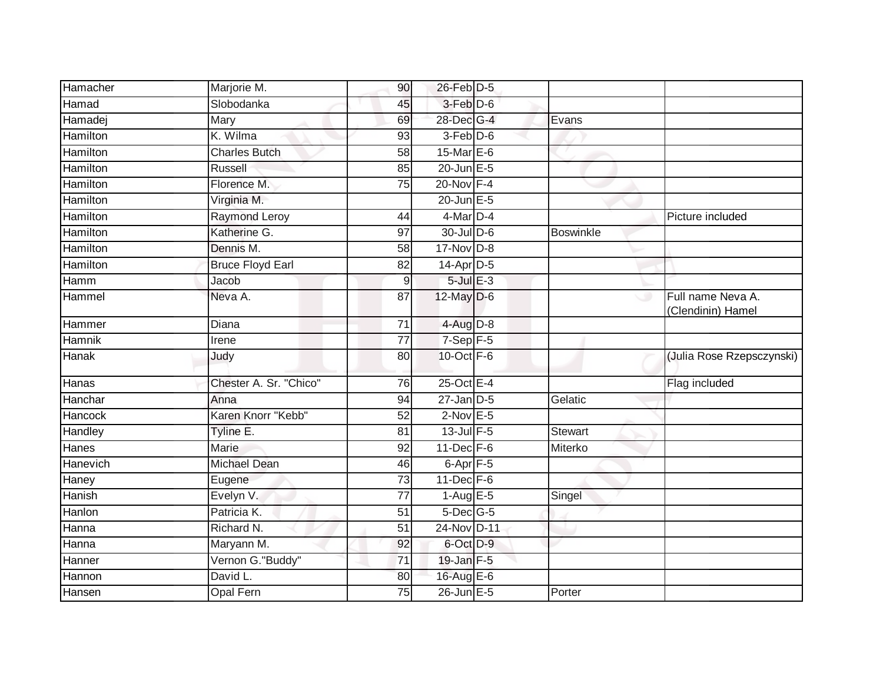| Hamacher        | Marjorie M.             | 90              | 26-Feb D-5        |                  |                                        |
|-----------------|-------------------------|-----------------|-------------------|------------------|----------------------------------------|
| Hamad           | Slobodanka              | 45              | 3-Feb D-6         |                  |                                        |
| Hamadej         | Mary                    | 69              | 28-Dec G-4        | Evans            |                                        |
| Hamilton        | K. Wilma                | 93              | 3-Feb D-6         |                  |                                        |
| Hamilton        | <b>Charles Butch</b>    | $\overline{58}$ | 15-Mar $E-6$      |                  |                                        |
| Hamilton        | Russell                 | 85              | $20$ -Jun $E - 5$ |                  |                                        |
| Hamilton        | Florence M.             | 75              | $20$ -Nov $F-4$   |                  |                                        |
| Hamilton        | Virginia M.             |                 | $20$ -Jun $E - 5$ |                  |                                        |
| Hamilton        | <b>Raymond Leroy</b>    | 44              | 4-Mar D-4         |                  | Picture included                       |
| Hamilton        | Katherine G.            | 97              | 30-Jul D-6        | <b>Boswinkle</b> |                                        |
| Hamilton        | Dennis M.               | $\overline{58}$ | $17-Nov$ D-8      |                  |                                        |
| <b>Hamilton</b> | <b>Bruce Floyd Earl</b> | 82              | $14$ -Apr $D-5$   |                  |                                        |
| Hamm            | Jacob                   | 9               | $5 -$ Jul $E - 3$ |                  |                                        |
| Hammel          | Neva A.                 | $\overline{87}$ | $12$ -May $D-6$   |                  | Full name Neva A.<br>(Clendinin) Hamel |
| Hammer          | Diana                   | $\overline{71}$ | $4$ -Aug $D-8$    |                  |                                        |
| Hamnik          | Irene                   | $\overline{77}$ | $7-$ Sep $F-5$    |                  |                                        |
| <b>Hanak</b>    | Judy                    | 80              | 10-Oct $F-6$      |                  | (Julia Rose Rzepsczynski)              |
| Hanas           | Chester A. Sr. "Chico"  | 76              | 25-Oct E-4        |                  | Flag included                          |
| Hanchar         | Anna                    | 94              | $27$ -Jan $D-5$   | Gelatic          |                                        |
| Hancock         | Karen Knorr "Kebb"      | 52              | $2$ -Nov $E-5$    |                  |                                        |
| Handley         | Tyline E.               | 81              | $13$ -Jul $F-5$   | Stewart          |                                        |
| Hanes           | <b>Marie</b>            | 92              | 11-Dec F-6        | Miterko          |                                        |
| Hanevich        | Michael Dean            | 46              | $6$ -Apr $F - 5$  |                  |                                        |
| Haney           | Eugene                  | 73              | $11$ -Dec $F-6$   |                  |                                        |
| Hanish          | Evelyn V.               | 77              | $1-AugE-5$        | Singel           |                                        |
| Hanlon          | Patricia K.             | 51              | $5$ -Dec $G$ -5   |                  |                                        |
| Hanna           | Richard N.              | 51              | 24-Nov D-11       |                  |                                        |
| Hanna           | Maryann M.              | 92              | 6-Oct D-9         |                  |                                        |
| Hanner          | Vernon G."Buddy"        | 71              | $19$ -Jan $F-5$   |                  |                                        |
| Hannon          | David L.                | 80              | 16-Aug E-6        |                  |                                        |
| Hansen          | <b>Opal Fern</b>        | 75              | 26-Jun E-5        | Porter           |                                        |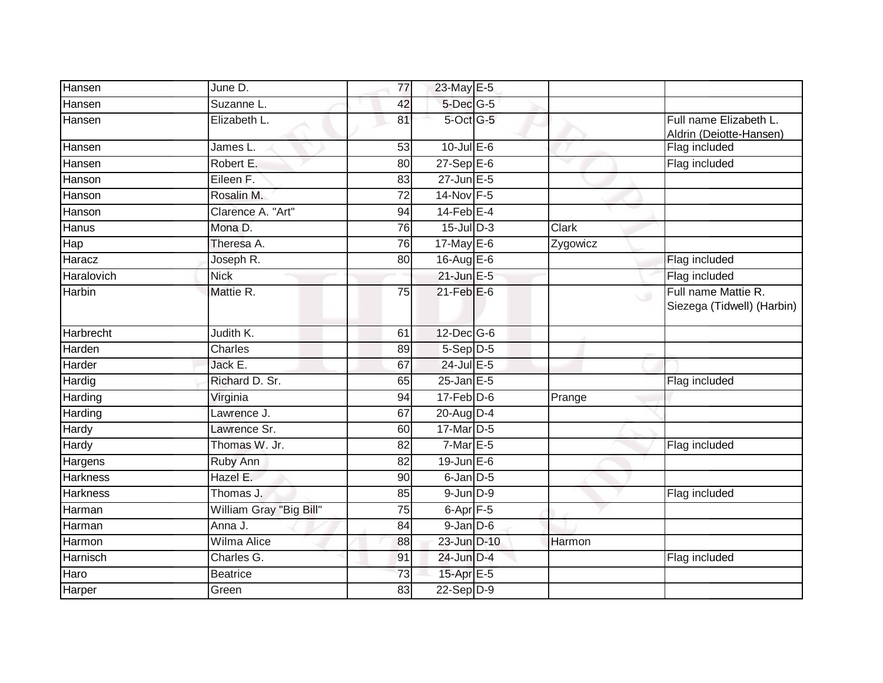| Hansen           | June D.                 | 77              | 23-May E-5        |          |                                                   |
|------------------|-------------------------|-----------------|-------------------|----------|---------------------------------------------------|
| Hansen           | Suzanne L.              | 42              | $5$ -Dec $G$ -5   |          |                                                   |
| Hansen           | Elizabeth L.            | 81              | 5-Oct G-5         |          | Full name Elizabeth L.<br>Aldrin (Deiotte-Hansen) |
| Hansen           | James L.                | 53              | $10$ -Jul $E-6$   |          | Flag included                                     |
| Hansen           | Robert E.               | 80              | $27-$ Sep $E-6$   |          | Flag included                                     |
| Hanson           | Eileen F.               | 83              | $27$ -Jun $E - 5$ |          |                                                   |
| Hanson           | Rosalin M.              | $\overline{72}$ | 14-Nov F-5        |          |                                                   |
| Hanson           | Clarence A. "Art"       | 94              | 14-Feb E-4        |          |                                                   |
| Hanus            | Mona D.                 | 76              | $15$ -Jul $D-3$   | Clark    |                                                   |
| Hap              | Theresa A.              | 76              | $17$ -May E-6     | Zygowicz |                                                   |
| Haracz           | Joseph R.               | 80              | 16-Aug E-6        |          | Flag included                                     |
| Haralovich       | <b>Nick</b>             |                 | $21$ -Jun $E - 5$ |          | Flag included                                     |
| Harbin           | Mattie R.               | $\overline{75}$ | $21$ -Feb $E$ -6  |          | Full name Mattie R.<br>Siezega (Tidwell) (Harbin) |
| <b>Harbrecht</b> | Judith K.               | 61              | 12-Dec G-6        |          |                                                   |
| Harden           | Charles                 | 89              | $5-Sep$ $D-5$     |          |                                                   |
| Harder           | Jack E.                 | 67              | $24$ -Jul E-5     |          |                                                   |
| Hardig           | Richard D. Sr.          | 65              | $25$ -Jan $E$ -5  |          | Flag included                                     |
| Harding          | Virginia                | 94              | $17$ -Feb $D-6$   | Prange   |                                                   |
| Harding          | Lawrence J.             | 67              | 20-Aug D-4        |          |                                                   |
| Hardy            | Lawrence Sr.            | 60              | 17-Mar D-5        |          |                                                   |
| Hardy            | Thomas W. Jr.           | 82              | $7-MarE-5$        |          | Flag included                                     |
| Hargens          | Ruby Ann                | 82              | $19$ -Jun $E - 6$ |          |                                                   |
| <b>Harkness</b>  | Hazel E.                | 90              | $6$ -Jan $D-5$    |          |                                                   |
| <b>Harkness</b>  | Thomas J.               | 85              | $9$ -Jun $D-9$    |          | Flag included                                     |
| Harman           | William Gray "Big Bill" | 75              | $6 - Apr$ $F-5$   |          |                                                   |
| Harman           | Anna J.                 | $\overline{84}$ | $9$ -Jan $D$ -6   |          |                                                   |
| Harmon           | Wilma Alice             | 88              | 23-Jun D-10       | Harmon   |                                                   |
| Harnisch         | Charles G.              | 91              | 24-Jun D-4        |          | Flag included                                     |
| Haro             | <b>Beatrice</b>         | 73              | 15-Apr E-5        |          |                                                   |
| Harper           | Green                   | 83              | $22-Sep$ D-9      |          |                                                   |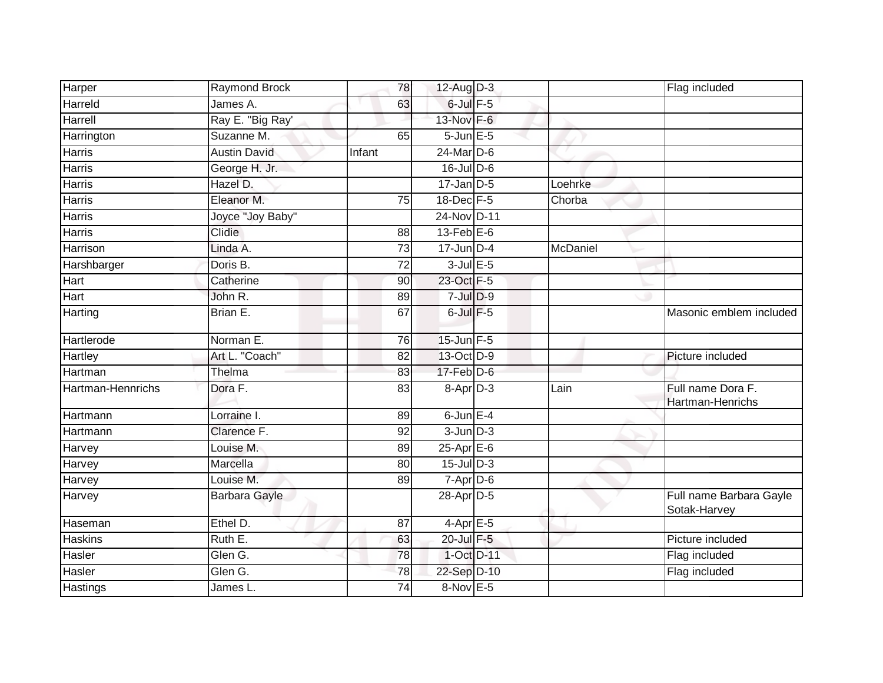| Harper            | <b>Raymond Brock</b> | 78              | $12$ -Aug D-3        |          | Flag included                           |
|-------------------|----------------------|-----------------|----------------------|----------|-----------------------------------------|
| Harreld           | James A.             | 63              | $6$ -Jul $F-5$       |          |                                         |
| Harrell           | Ray E. "Big Ray'     |                 | 13-Nov F-6           |          |                                         |
| Harrington        | Suzanne M.           | 65              | $5$ -Jun $E$ -5      |          |                                         |
| Harris            | <b>Austin David</b>  | Infant          | $24$ -Mar $D-6$      |          |                                         |
| <b>Harris</b>     | George H. Jr.        |                 | $16$ -Jul D-6        |          |                                         |
| Harris            | Hazel D.             |                 | $17$ -Jan $D-5$      | Loehrke  |                                         |
| Harris            | Eleanor M.           | 75              | $18$ -Dec $F-5$      | Chorba   |                                         |
| Harris            | Joyce "Joy Baby"     |                 | 24-Nov D-11          |          |                                         |
| <b>Harris</b>     | Clidie               | $\overline{88}$ | $13$ -Feb $E$ -6     |          |                                         |
| Harrison          | Linda A.             | 73              | $17$ -Jun $D-4$      | McDaniel |                                         |
| Harshbarger       | Doris B.             | 72              | $3$ -Jul $E$ -5      |          |                                         |
| Hart              | Catherine            | 90              | 23-Oct F-5           |          |                                         |
| Hart              | John R.              | 89              | $7$ -Jul $D-9$       |          |                                         |
| Harting           | Brian E.             | 67              | $6$ -Jul $F-5$       |          | Masonic emblem included                 |
| Hartlerode        | Norman E.            | 76              | $15$ -Jun $F - 5$    |          |                                         |
| Hartley           | Art L. "Coach"       | 82              | 13-Oct D-9           |          | Picture included                        |
| Hartman           | Thelma               | 83              | $17$ -Feb $D-6$      |          |                                         |
| Hartman-Hennrichs | Dora F.              | 83              | 8-Apr <sub>D-3</sub> | Lain     | Full name Dora F.<br>Hartman-Henrichs   |
| Hartmann          | Lorraine I.          | 89              | $6$ -Jun $E-4$       |          |                                         |
| Hartmann          | Clarence F.          | 92              | $3$ -Jun $D-3$       |          |                                         |
| Harvey            | Louise M.            | 89              | $25-Apr \tE-6$       |          |                                         |
| Harvey            | Marcella             | 80              | 15-Jul D-3           |          |                                         |
| Harvey            | Louise M.            | 89              | 7-Apr D-6            |          |                                         |
| Harvey            | Barbara Gayle        |                 | 28-Apr D-5           |          | Full name Barbara Gayle<br>Sotak-Harvey |
| Haseman           | Ethel D.             | 87              | $4-AprE-5$           |          |                                         |
| <b>Haskins</b>    | Ruth E.              | 63              | 20-Jul F-5           |          | Picture included                        |
| Hasler            | Glen G.              | 78              | 1-Oct D-11           |          | Flag included                           |
| Hasler            | Glen G.              | 78              | 22-Sep D-10          |          | Flag included                           |
| <b>Hastings</b>   | James L.             | $\overline{74}$ | 8-Nov E-5            |          |                                         |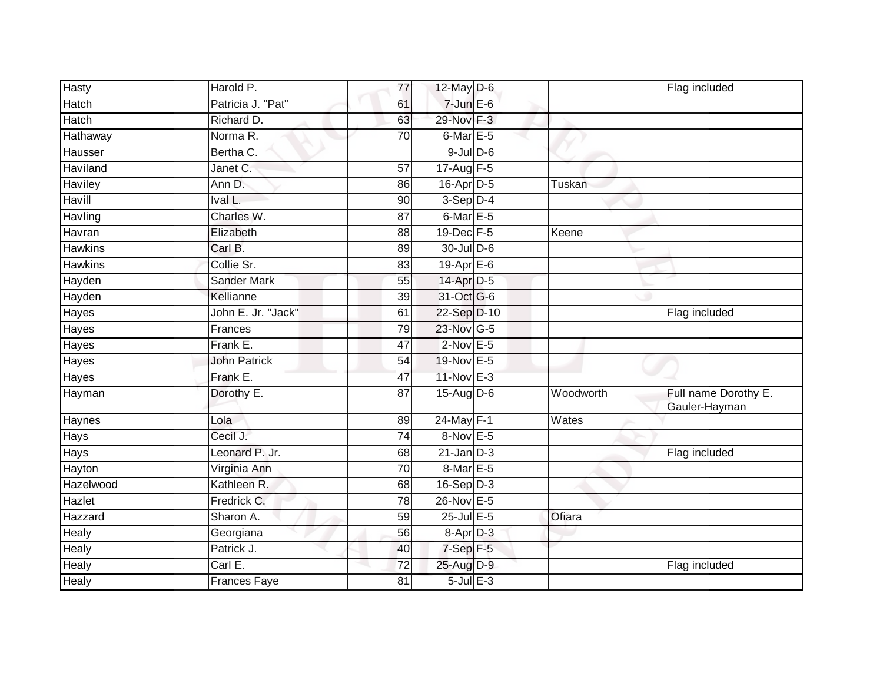| Hasty          | Harold P.           | 77              | 12-May D-6       |           | Flag included                         |
|----------------|---------------------|-----------------|------------------|-----------|---------------------------------------|
| Hatch          | Patricia J. "Pat"   | 61              | $7$ -Jun $E$ -6  |           |                                       |
| Hatch          | Richard D.          | 63              | 29-Nov F-3       |           |                                       |
| Hathaway       | Norma R.            | 70              | 6-Mar E-5        |           |                                       |
| Hausser        | Bertha C.           |                 | $9$ -Jul $D$ -6  |           |                                       |
| Haviland       | Janet C.            | 57              | $17-Aug$ F-5     |           |                                       |
| Haviley        | Ann D.              | 86              | $16$ -Apr $D-5$  | Tuskan    |                                       |
| Havill         | Ival L.             | 90              | $3-Sep$ $D-4$    |           |                                       |
| Havling        | Charles W.          | $\overline{87}$ | 6-Mar E-5        |           |                                       |
| Havran         | Elizabeth           | 88              | 19-Dec F-5       | Keene     |                                       |
| <b>Hawkins</b> | Carl B.             | 89              | 30-Jul D-6       |           |                                       |
| <b>Hawkins</b> | Collie Sr.          | 83              | 19-Apr $E-6$     |           |                                       |
| Hayden         | Sander Mark         | 55              | 14-Apr D-5       |           |                                       |
| Hayden         | Kellianne           | 39              | 31-Oct G-6       |           |                                       |
| Hayes          | John E. Jr. "Jack"  | 61              | 22-Sep D-10      |           | Flag included                         |
| Hayes          | Frances             | 79              | 23-Nov G-5       |           |                                       |
| Hayes          | Frank E.            | 47              | $2$ -Nov $E - 5$ |           |                                       |
| Hayes          | <b>John Patrick</b> | 54              | 19-Nov E-5       |           |                                       |
| Hayes          | Frank E.            | 47              | 11-Nov E-3       |           |                                       |
| Hayman         | Dorothy E.          | 87              | 15-Aug D-6       | Woodworth | Full name Dorothy E.<br>Gauler-Hayman |
| Haynes         | Lola                | 89              | 24-May F-1       | Wates     |                                       |
| Hays           | Cecil J.            | $\overline{74}$ | 8-Nov E-5        |           |                                       |
| Hays           | Leonard P. Jr.      | 68              | $21$ -Jan $D-3$  |           | Flag included                         |
| Hayton         | Virginia Ann        | 70              | 8-Mar E-5        |           |                                       |
| Hazelwood      | Kathleen R.         | 68              | $16-Sep D-3$     |           |                                       |
| Hazlet         | Fredrick C.         | 78              | 26-Nov E-5       |           |                                       |
| Hazzard        | Sharon A.           | 59              | 25-Jul E-5       | Ofiara    |                                       |
| Healy          | Georgiana           | 56              | 8-Apr D-3        |           |                                       |
| Healy          | Patrick J.          | 40              | $7-Sep$ $F-5$    |           |                                       |
| Healy          | Carl E.             | 72              | 25-Aug D-9       |           | Flag included                         |
| Healy          | <b>Frances Faye</b> | 81              | $5$ -Jul $E$ -3  |           |                                       |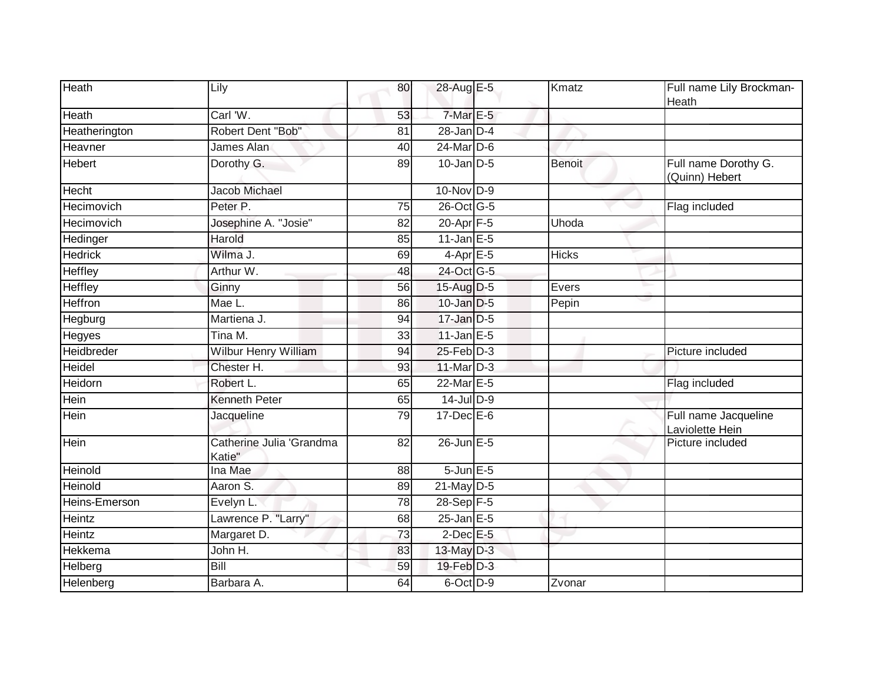| Heath             | Lily                               | 80              | 28-Aug E-5        | Kmatz         | Full name Lily Brockman-<br>Heath       |
|-------------------|------------------------------------|-----------------|-------------------|---------------|-----------------------------------------|
| Heath             | Carl 'W.                           | 53              | $7$ -Mar $E - 5$  |               |                                         |
| Heatherington     | Robert Dent "Bob"                  | $\overline{81}$ | $28$ -Jan $D-4$   |               |                                         |
| Heavner           | James Alan                         | 40              | $24$ -Mar $D-6$   |               |                                         |
| Hebert            | Dorothy G.                         | 89              | $10$ -Jan D-5     | <b>Benoit</b> | Full name Dorothy G.<br>(Quinn) Hebert  |
| <b>Hecht</b>      | Jacob Michael                      |                 | $10-Nov$ D-9      |               |                                         |
| Hecimovich        | Peter P.                           | 75              | 26-Oct G-5        |               | Flag included                           |
| <b>Hecimovich</b> | Josephine A. "Josie"               | $\overline{82}$ | $20$ -Apr $F-5$   | Uhoda         |                                         |
| Hedinger          | Harold                             | 85              | $11$ -Jan $E-5$   |               |                                         |
| <b>Hedrick</b>    | Wilma J.                           | 69              | $4$ -Apr $E$ -5   | <b>Hicks</b>  |                                         |
| Heffley           | Arthur W.                          | 48              | 24-Oct G-5        |               |                                         |
| <b>Heffley</b>    | Ginny                              | 56              | 15-Aug D-5        | Evers         |                                         |
| <b>Heffron</b>    | Mae L.                             | 86              | 10-Jan D-5        | Pepin         |                                         |
| Hegburg           | Martiena J.                        | 94              | 17-Jan D-5        |               |                                         |
| Hegyes            | Tina M.                            | 33              | $11$ -Jan $E-5$   |               |                                         |
| Heidbreder        | Wilbur Henry William               | 94              | $25$ -Feb $D-3$   |               | Picture included                        |
| Heidel            | Chester H.                         | 93              | 11-Mar D-3        |               |                                         |
| Heidorn           | Robert L.                          | 65              | 22-Mar E-5        |               | Flag included                           |
| Hein              | <b>Kenneth Peter</b>               | 65              | $14$ -Jul D-9     |               |                                         |
| Hein              | Jacqueline                         | 79              | $17 - Dec$ E-6    |               | Full name Jacqueline<br>Laviolette Hein |
| <b>Hein</b>       | Catherine Julia 'Grandma<br>Katie" | 82              | $26$ -Jun $E - 5$ |               | Picture included                        |
| Heinold           | Ina Mae                            | 88              | $5$ -Jun $E$ -5   |               |                                         |
| Heinold           | Aaron S.                           | 89              | 21-May D-5        |               |                                         |
| Heins-Emerson     | Evelyn L.                          | 78              | 28-Sep F-5        |               |                                         |
| Heintz            | Lawrence P. "Larry"                | 68              | $25$ -Jan $E$ -5  |               |                                         |
| Heintz            | Margaret D.                        | 73              | $2$ -Dec $E$ -5   |               |                                         |
| Hekkema           | John H.                            | 83              | 13-May D-3        |               |                                         |
| Helberg           | <b>Bill</b>                        | 59              | 19-Feb D-3        |               |                                         |
| Helenberg         | Barbara A.                         | 64              | 6-Oct D-9         | Zvonar        |                                         |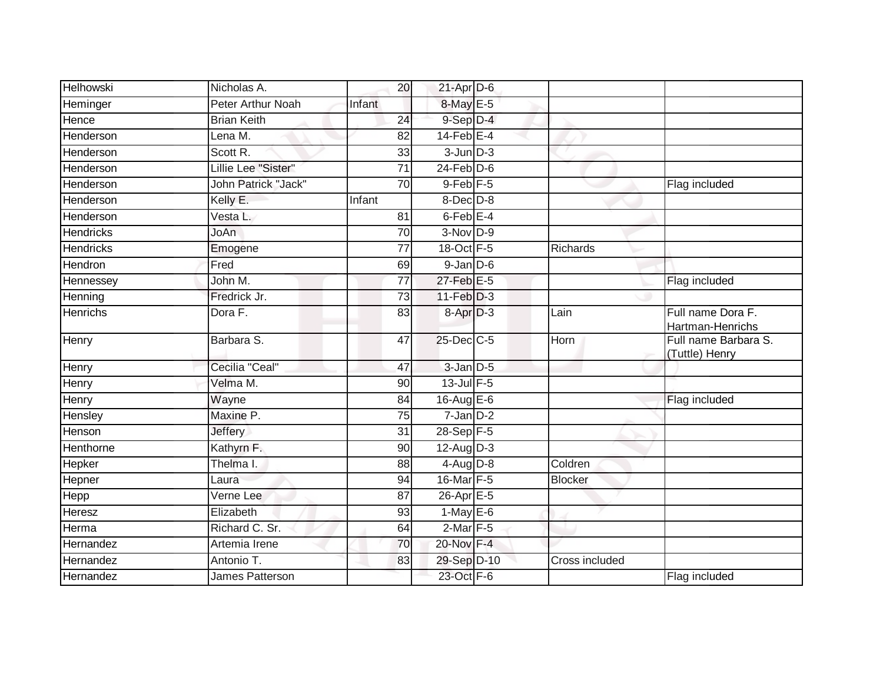| <b>Helhowski</b> | Nicholas A.                | 20              | $21$ -Apr $D-6$      |                |                                        |
|------------------|----------------------------|-----------------|----------------------|----------------|----------------------------------------|
| Heminger         | Peter Arthur Noah          | Infant          | 8-May E-5            |                |                                        |
| Hence            | <b>Brian Keith</b>         | $\overline{24}$ | 9-Sep D-4            |                |                                        |
| Henderson        | Lena M.                    | 82              | $14$ -Feb $E-4$      |                |                                        |
| Henderson        | Scott R.                   | 33              | $3$ -Jun $D-3$       |                |                                        |
| Henderson        | Lillie Lee "Sister"        | 71              | $24$ -Feb $D-6$      |                |                                        |
| Henderson        | <b>John Patrick "Jack"</b> | 70              | $9$ -Feb $F - 5$     |                | Flag included                          |
| Henderson        | Kelly E.                   | Infant          | $8$ -Dec $D-8$       |                |                                        |
| Henderson        | Vesta L.                   | 81              | $6$ -Feb $E-4$       |                |                                        |
| <b>Hendricks</b> | JoAn                       | 70              | $3-Nov$ D-9          |                |                                        |
| <b>Hendricks</b> | Emogene                    | 77              | 18-Oct F-5           | Richards       |                                        |
| Hendron          | Fred                       | 69              | $9$ -Jan $D$ -6      |                |                                        |
| Hennessey        | John M.                    | $\overline{77}$ | $27$ -Feb $E-5$      |                | Flag included                          |
| Henning          | Fredrick Jr.               | 73              | $11-Feb$ $D-3$       |                |                                        |
| <b>Henrichs</b>  | Dora F.                    | 83              | 8-Apr <sub>D-3</sub> | Lain           | Full name Dora F.<br>Hartman-Henrichs  |
| Henry            | Barbara S.                 | 47              | 25-Dec C-5           | Horn           | Full name Barbara S.<br>(Tuttle) Henry |
| Henry            | Cecilia "Ceal"             | 47              | $3$ -Jan $D$ -5      |                |                                        |
| Henry            | Velma M.                   | 90              | $13$ -Jul $F-5$      |                |                                        |
| Henry            | Wayne                      | 84              | $16$ -Aug $E$ -6     |                | Flag included                          |
| Hensley          | Maxine P.                  | 75              | $7$ -Jan $D-2$       |                |                                        |
| Henson           | <b>Jeffery</b>             | 31              | 28-Sep F-5           |                |                                        |
| Henthorne        | Kathyrn F.                 | 90              | $12$ -AugD-3         |                |                                        |
| Hepker           | Thelma I.                  | 88              | $4-Aug$ $D-8$        | Coldren        |                                        |
| Hepner           | Laura                      | 94              | 16-Mar F-5           | <b>Blocker</b> |                                        |
| <b>Hepp</b>      | Verne Lee                  | 87              | $26$ -Apr $E-5$      |                |                                        |
| Heresz           | Elizabeth                  | 93              | $1-MayE-6$           |                |                                        |
| Herma            | Richard C. Sr.             | 64              | $2$ -Mar $F - 5$     |                |                                        |
| Hernandez        | Artemia Irene              | 70              | 20-Nov F-4           |                |                                        |
| Hernandez        | Antonio T.                 | 83              | 29-Sep D-10          | Cross included |                                        |
| Hernandez        | James Patterson            |                 | 23-Oct F-6           |                | Flag included                          |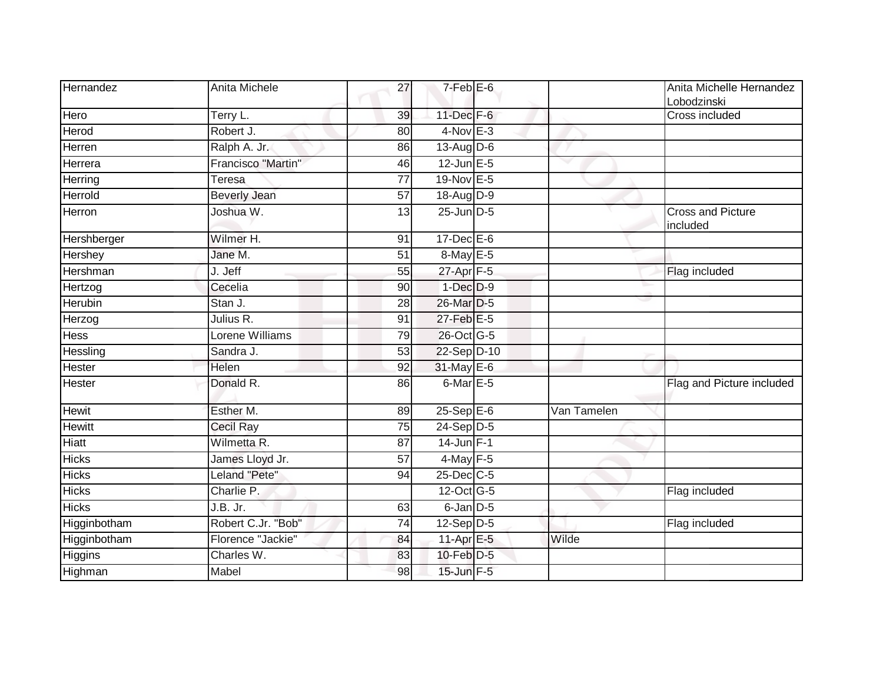| Hernandez     | Anita Michele       | 27 | $7-FebE-6$        |             | Anita Michelle Hernandez<br>Lobodzinski |
|---------------|---------------------|----|-------------------|-------------|-----------------------------------------|
| Hero          | Terry L.            | 39 | $11$ -Dec $F-6$   |             | Cross included                          |
| Herod         | Robert J.           | 80 | $4$ -Nov $E-3$    |             |                                         |
| Herren        | Ralph A. Jr.        | 86 | 13-Aug $D-6$      |             |                                         |
| Herrera       | Francisco "Martin"  | 46 | $12$ -Jun $E - 5$ | w           |                                         |
| Herring       | Teresa              | 77 | 19-Nov E-5        |             |                                         |
| Herrold       | <b>Beverly Jean</b> | 57 | $18$ -AugD-9      |             |                                         |
| Herron        | Joshua W.           | 13 | $25$ -Jun $D-5$   |             | <b>Cross and Picture</b><br>included    |
| Hershberger   | Wilmer H.           | 91 | $17 - Dec$ E-6    |             |                                         |
| Hershey       | Jane M.             | 51 | $8$ -May $E - 5$  |             |                                         |
| Hershman      | J. Jeff             | 55 | $27$ -Apr $F-5$   |             | Flag included                           |
| Hertzog       | Cecelia             | 90 | $1-Dec$ $D-9$     |             |                                         |
| Herubin       | Stan J.             | 28 | 26-Mar D-5        |             |                                         |
| Herzog        | Julius R.           | 91 | 27-Feb E-5        |             |                                         |
| Hess          | Lorene Williams     | 79 | 26-Oct G-5        |             |                                         |
| Hessling      | Sandra J.           | 53 | 22-Sep D-10       |             |                                         |
| Hester        | Helen               | 92 | 31-May E-6        |             |                                         |
| <b>Hester</b> | Donald R.           | 86 | 6-Mar E-5         |             | Flag and Picture included               |
| Hewit         | Esther M.           | 89 | $25-$ Sep $E-6$   | Van Tamelen |                                         |
| <b>Hewitt</b> | Cecil Ray           | 75 | 24-Sep D-5        |             |                                         |
| Hiatt         | Wilmetta R.         | 87 | $14$ -Jun $F-1$   |             |                                         |
| <b>Hicks</b>  | James Lloyd Jr.     | 57 | $4$ -May F-5      |             |                                         |
| <b>Hicks</b>  | Leland "Pete"       | 94 | $25$ -Dec $C$ -5  |             |                                         |
| <b>Hicks</b>  | Charlie P.          |    | 12-Oct G-5        |             | Flag included                           |
| <b>Hicks</b>  | J.B. Jr.            | 63 | 6-Jan D-5         |             |                                         |
| Higginbotham  | Robert C.Jr. "Bob"  | 74 | $12-Sep D-5$      |             | Flag included                           |
| Higginbotham  | Florence "Jackie"   | 84 | 11-Apr E-5        | Wilde       |                                         |
| Higgins       | Charles W.          | 83 | 10-Feb D-5        |             |                                         |
| Highman       | Mabel               | 98 | 15-Jun F-5        |             |                                         |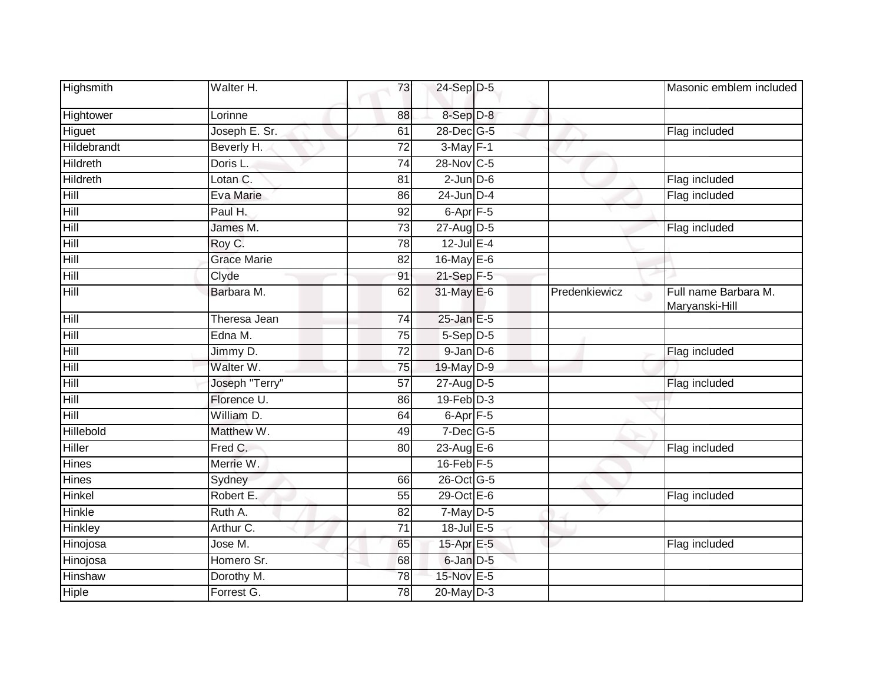| Highsmith     | Walter H.          | 73              | 24-Sep D-5           |               | Masonic emblem included                |
|---------------|--------------------|-----------------|----------------------|---------------|----------------------------------------|
| Hightower     | Lorinne            | 88              | 8-Sep D-8            |               |                                        |
| Higuet        | Joseph E. Sr.      | 61              | 28-Dec G-5           |               | Flag included                          |
| Hildebrandt   | Beverly H.         | 72              | $3-May$ F-1          |               |                                        |
| Hildreth      | Doris L.           | 74              | 28-Nov C-5           |               |                                        |
| Hildreth      | Lotan C.           | 81              | $2$ -Jun $D-6$       |               | Flag included                          |
| Hill          | Eva Marie          | 86              | $24$ -Jun $D-4$      |               | Flag included                          |
| Hill          | Paul H.            | $\overline{92}$ | $6 - Apr$ $F - 5$    |               |                                        |
| Hill          | James M.           | 73              | 27-Aug D-5           |               | Flag included                          |
| Hill          | Roy C.             | 78              | $12$ -Jul E-4        |               |                                        |
| Hill          | <b>Grace Marie</b> | 82              | 16-May E-6           |               |                                        |
| Hill          | Clyde              | 91              | 21-Sep F-5           |               |                                        |
| Hill          | Barbara M.         | 62              | 31-May E-6           | Predenkiewicz | Full name Barbara M.<br>Maryanski-Hill |
| Hill          | Theresa Jean       | 74              | $25$ -Jan $E-5$      |               |                                        |
| Hill          | Edna M.            | 75              | 5-Sep D-5            |               |                                        |
| Hill          | Jimmy D.           | $\overline{72}$ | $9$ -Jan $D$ -6      |               | Flag included                          |
| Hill          | Walter W.          | 75              | 19-May D-9           |               |                                        |
| Hill          | Joseph "Terry"     | 57              | 27-Aug D-5           |               | Flag included                          |
| Hill          | Florence U.        | 86              | $19$ -Feb $D-3$      |               |                                        |
| Hill          | William D.         | 64              | 6-Apr <sub>F-5</sub> |               |                                        |
| Hillebold     | Matthew W.         | 49              | $7$ -Dec $ G$ -5     |               |                                        |
| Hiller        | Fred C.            | 80              | 23-Aug E-6           |               | Flag included                          |
| Hines         | Merrie W.          |                 | 16-Feb F-5           |               |                                        |
| Hines         | Sydney             | 66              | 26-Oct G-5           |               |                                        |
| <b>Hinkel</b> | Robert E.          | 55              | $29$ -Oct $E - 6$    |               | Flag included                          |
| Hinkle        | Ruth A.            | 82              | 7-May D-5            |               |                                        |
| Hinkley       | Arthur C.          | $\overline{71}$ | 18-Jul E-5           |               |                                        |
| Hinojosa      | Jose M.            | 65              | 15-Apr E-5           |               | Flag included                          |
| Hinojosa      | Homero Sr.         | 68              | 6-Jan D-5            |               |                                        |
| Hinshaw       | Dorothy M.         | 78              | 15-Nov E-5           |               |                                        |
| Hiple         | Forrest G.         | 78              | 20-May D-3           |               |                                        |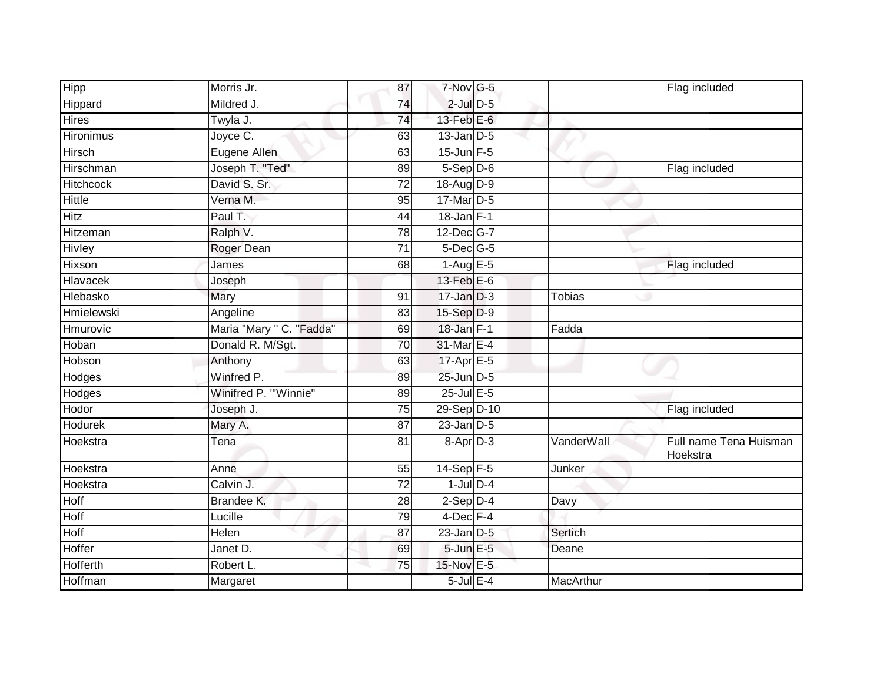| Hipp              | Morris Jr.               | 87              | $7-Nov$ G-5      |            | Flag included                      |
|-------------------|--------------------------|-----------------|------------------|------------|------------------------------------|
| Hippard           | Mildred J.               | 74              | $2$ -Jul $D$ -5  |            |                                    |
| <b>Hires</b>      | Twyla J.                 | $\overline{74}$ | $13$ -Feb $E$ -6 |            |                                    |
| <b>Hironimus</b>  | Joyce C.                 | 63              | $13$ -Jan $D-5$  |            |                                    |
| Hirsch            | Eugene Allen             | 63              | $15$ -Jun $F-5$  |            |                                    |
| Hirschman         | Joseph T. "Ted"          | 89              | $5-Sep D-6$      |            | Flag included                      |
| <b>Hitchcock</b>  | David S. Sr.             | $\overline{72}$ | $18$ -Aug $D-9$  |            |                                    |
| Hittle            | Verna M.                 | 95              | 17-Mar D-5       |            |                                    |
| <b>Hitz</b>       | Paul T.                  | 44              | $18$ -Jan F-1    |            |                                    |
| Hitzeman          | Ralph V.                 | 78              | 12-Dec G-7       |            |                                    |
| Hivley            | Roger Dean               | 71              | $5$ -Dec $ G-5 $ |            |                                    |
| Hixson            | James                    | 68              | $1-Aug$ E-5      |            | Flag included                      |
| Hlavacek          | Joseph                   |                 | $13$ -Feb $E$ -6 |            |                                    |
| Hlebasko          | Mary                     | 91              | $17 - Jan$ $D-3$ | Tobias     |                                    |
| <b>Hmielewski</b> | Angeline                 | 83              | 15-Sep D-9       |            |                                    |
| Hmurovic          | Maria "Mary " C. "Fadda" | 69              | $18$ -Jan $F-1$  | Fadda      |                                    |
| Hoban             | Donald R. M/Sgt.         | $\overline{70}$ | 31-Mar E-4       |            |                                    |
| Hobson            | Anthony                  | 63              | 17-Apr E-5       |            |                                    |
| Hodges            | Winfred P.               | 89              | 25-Jun D-5       |            |                                    |
| Hodges            | Winifred P. "Winnie"     | 89              | $25$ -Jul $E$ -5 |            |                                    |
| Hodor             | Joseph J.                | 75              | 29-Sep D-10      |            | Flag included                      |
| <b>Hodurek</b>    | Mary A.                  | $\overline{87}$ | $23$ -Jan $D-5$  |            |                                    |
| Hoekstra          | Tena                     | 81              | 8-Apr D-3        | VanderWall | Full name Tena Huisman<br>Hoekstra |
| Hoekstra          | Anne                     | 55              | $14-Sep$ F-5     | Junker     |                                    |
| Hoekstra          | Calvin J.                | $\overline{72}$ | $1$ -Jul $D-4$   |            |                                    |
| Hoff              | Brandee K.               | 28              | $2-Sep$ $D-4$    | Davy       |                                    |
| Hoff              | Lucille                  | 79              | $4$ -Dec $F-4$   |            |                                    |
| Hoff              | Helen                    | 87              | $23$ -Jan $D-5$  | Sertich    |                                    |
| Hoffer            | Janet D.                 | 69              | 5-Jun E-5        | Deane      |                                    |
| <b>Hofferth</b>   | Robert L.                | 75              | 15-Nov E-5       |            |                                    |
| Hoffman           | Margaret                 |                 | $5$ -Jul $E-4$   | MacArthur  |                                    |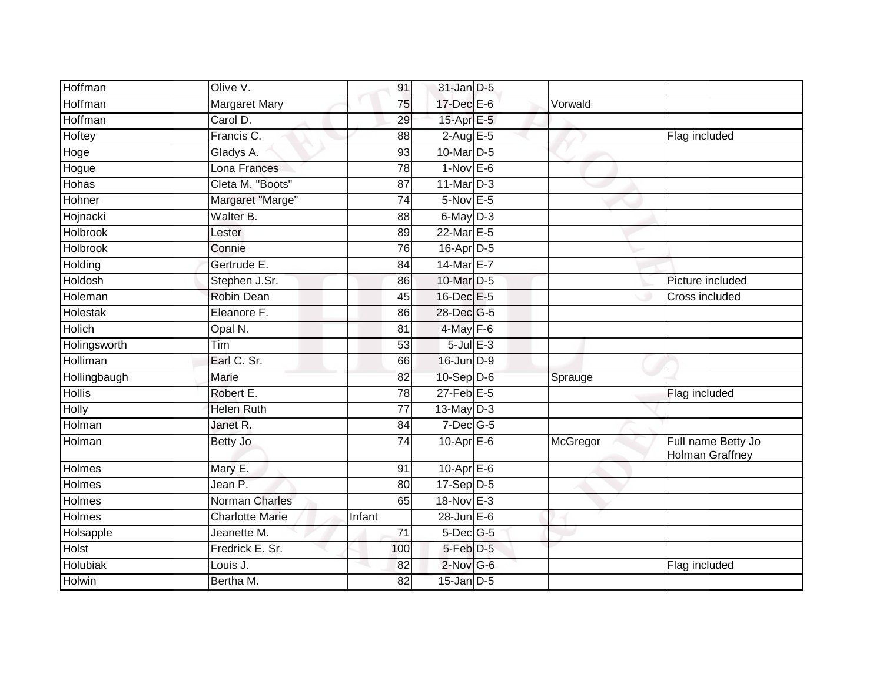| Hoffman         | Olive V.               | 91              | $31$ -Jan $D-5$      |          |                                       |
|-----------------|------------------------|-----------------|----------------------|----------|---------------------------------------|
| Hoffman         | <b>Margaret Mary</b>   | 75              | 17-Dec E-6           | Vorwald  |                                       |
| Hoffman         | Carol D.               | 29              | 15-Apr E-5           |          |                                       |
| Hoftey          | Francis C.             | 88              | $2$ -Aug $E - 5$     |          | Flag included                         |
| Hoge            | Gladys A.              | 93              | 10-Mar D-5           |          |                                       |
| Hogue           | Lona Frances           | 78              | $1-Nov$ E-6          |          |                                       |
| Hohas           | Cleta M. "Boots"       | 87              | $11$ -Mar $D-3$      |          |                                       |
| Hohner          | Margaret "Marge"       | 74              | 5-Nov E-5            |          |                                       |
| Hojnacki        | Walter B.              | 88              | $6$ -May $D-3$       |          |                                       |
| <b>Holbrook</b> | Lester                 | 89              | 22-Mar E-5           |          |                                       |
| Holbrook        | Connie                 | 76              | $16$ -Apr $D-5$      |          |                                       |
| Holding         | Gertrude E.            | 84              | 14-Mar E-7           |          |                                       |
| Holdosh         | Stephen J.Sr.          | 86              | 10-Mar D-5           |          | Picture included                      |
| Holeman         | <b>Robin Dean</b>      | 45              | 16-Dec E-5           |          | Cross included                        |
| Holestak        | Eleanore F.            | 86              | 28-Dec G-5           |          |                                       |
| <b>Holich</b>   | Opal N.                | 81              | $4$ -May $F-6$       |          |                                       |
| Holingsworth    | Tim                    | 53              | $5$ -Jul $E$ -3      |          |                                       |
| Holliman        | Earl C. Sr.            | 66              | 16-Jun D-9           |          |                                       |
| Hollingbaugh    | Marie                  | 82              | $10-Sep$ D-6         | Sprauge  |                                       |
| <b>Hollis</b>   | Robert E.              | 78              | $27$ -Feb $E-5$      |          | Flag included                         |
| Holly           | <b>Helen Ruth</b>      | $\overline{77}$ | $13$ -May D-3        |          |                                       |
| Holman          | Janet R.               | $\overline{84}$ | $7$ -Dec $G-5$       |          |                                       |
| Holman          | Betty Jo               | 74              | $10$ -Apr $E$ -6     | McGregor | Full name Betty Jo<br>Holman Graffney |
| Holmes          | Mary E.                | 91              | $10-Apr \boxed{E-6}$ |          |                                       |
| Holmes          | Jean P.                | 80              | $17-Sep$ D-5         |          |                                       |
| Holmes          | <b>Norman Charles</b>  | 65              | 18-Nov E-3           |          |                                       |
| Holmes          | <b>Charlotte Marie</b> | Infant          | $28$ -Jun $E-6$      |          |                                       |
| Holsapple       | Jeanette M.            | 71              | $5$ -Dec $G$ -5      |          |                                       |
| Holst           | Fredrick E. Sr.        | 100             | 5-Feb D-5            |          |                                       |
| <b>Holubiak</b> | Louis J.               | 82              | $2$ -Nov G-6         |          | Flag included                         |
| Holwin          | Bertha M.              | 82              | $15$ -Jan $D-5$      |          |                                       |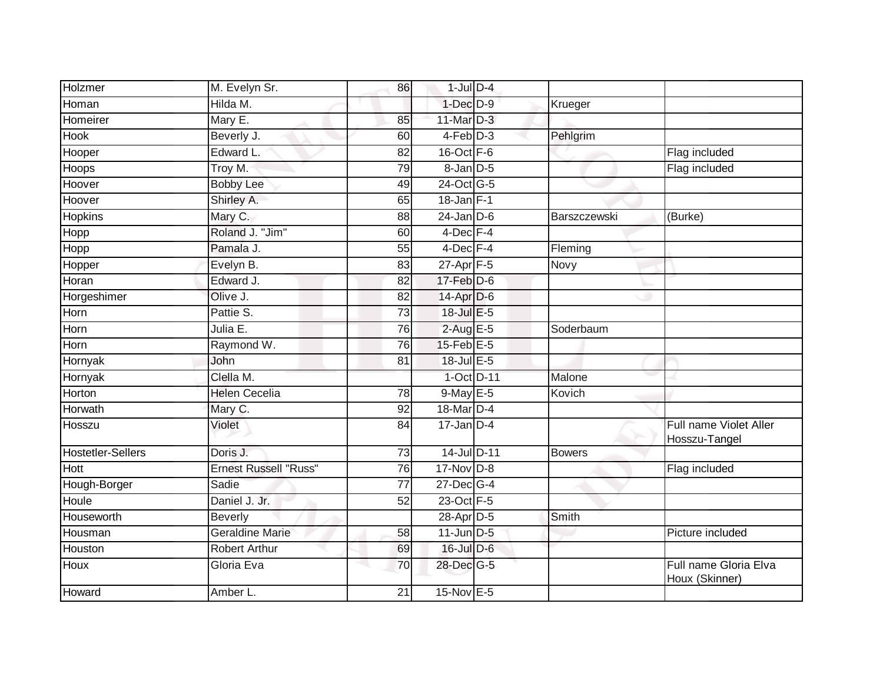| Holzmer                  | M. Evelyn Sr.          | 86              | $1$ -Jul $D-4$        |               |                                         |
|--------------------------|------------------------|-----------------|-----------------------|---------------|-----------------------------------------|
| Homan                    | Hilda M.               |                 | $1$ -Dec $D-9$        | Krueger       |                                         |
| Homeirer                 | Mary E.                | 85              | 11-Mar $D-3$          |               |                                         |
| Hook                     | Beverly J.             | 60              | $4-Feb$ D-3           | Pehlgrim      |                                         |
| Hooper                   | Edward L.              | 82              | 16-Oct F-6            |               | Flag included                           |
| Hoops                    | Troy M.                | 79              | 8-Jan D-5             |               | Flag included                           |
| Hoover                   | <b>Bobby Lee</b>       | 49              | 24-Oct G-5            |               |                                         |
| Hoover                   | Shirley A.             | 65              | $18$ -Jan $F-1$       |               |                                         |
| <b>Hopkins</b>           | Mary C.                | 88              | $24$ -Jan D-6         | Barszczewski  | (Burke)                                 |
| Hopp                     | Roland J. "Jim"        | 60              | $4$ -Dec $F-4$        |               |                                         |
| Hopp                     | Pamala J.              | 55              | $4$ -Dec $F-4$        | Fleming       |                                         |
| Hopper                   | Evelyn B.              | 83              | 27-Apr F-5            | Novy          |                                         |
| Horan                    | Edward J.              | 82              | 17-Feb D-6            |               |                                         |
| Horgeshimer              | Olive J.               | 82              | 14-Apr D-6            |               |                                         |
| Horn                     | Pattie S.              | 73              | 18-Jul E-5            |               |                                         |
| Horn                     | Julia E.               | 76              | $2$ -Aug E-5          | Soderbaum     |                                         |
| Horn                     | Raymond W.             | 76              | $15$ -Feb $E$ -5      |               |                                         |
| Hornyak                  | John                   | 81              | 18-Jul E-5            |               |                                         |
| Hornyak                  | Clella M.              |                 | 1-Oct D-11            | Malone        |                                         |
| Horton                   | <b>Helen Cecelia</b>   | 78              | $9$ -May $E-5$        | Kovich        |                                         |
| Horwath                  | Mary C.                | 92              | 18-Mar <sub>D-4</sub> |               |                                         |
| Hosszu                   | Violet                 | 84              | $17$ -Jan D-4         |               | Full name Violet Aller<br>Hosszu-Tangel |
| <b>Hostetler-Sellers</b> | Doris J.               | 73              | 14-Jul D-11           | <b>Bowers</b> |                                         |
| <b>Hott</b>              | Ernest Russell "Russ"  | 76              | $17$ -Nov $D-8$       |               | Flag included                           |
| Hough-Borger             | Sadie                  | 77              | 27-Dec G-4            |               |                                         |
| Houle                    | Daniel J. Jr.          | 52              | 23-Oct F-5            |               |                                         |
| Houseworth               | Beverly                |                 | 28-Apr D-5            | Smith         |                                         |
| Housman                  | <b>Geraldine Marie</b> | $\overline{58}$ | $11$ -Jun D-5         |               | Picture included                        |
| Houston                  | <b>Robert Arthur</b>   | 69              | $16$ -Jul $D-6$       |               |                                         |
| Houx                     | Gloria Eva             | 70              | 28-Dec G-5            |               | Full name Gloria Elva<br>Houx (Skinner) |
| Howard                   | Amber L.               | 21              | 15-Nov E-5            |               |                                         |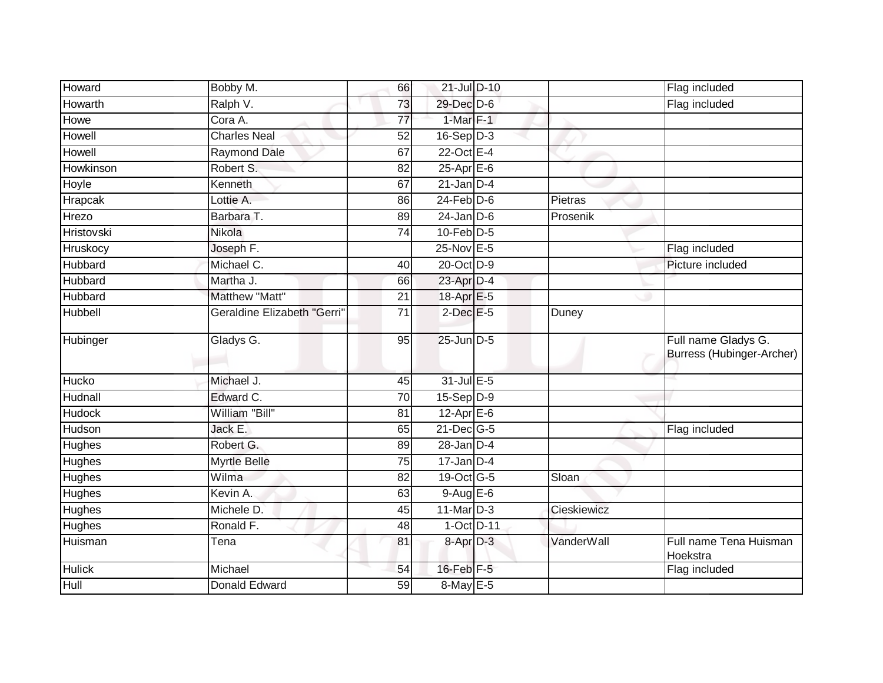| Howard            | Bobby M.                    | 66              | 21-Jul D-10      |             | Flag included                                    |
|-------------------|-----------------------------|-----------------|------------------|-------------|--------------------------------------------------|
| Howarth           | Ralph V.                    | 73              | 29-Dec D-6       |             | Flag included                                    |
| Howe              | Cora A.                     | 77              | $1-Mar$ $F-1$    |             |                                                  |
| Howell            | <b>Charles Neal</b>         | 52              | $16-Sep D-3$     |             |                                                  |
| Howell            | <b>Raymond Dale</b>         | 67              | 22-Oct E-4       |             |                                                  |
| Howkinson         | Robert S.                   | 82              | 25-Apr E-6       |             |                                                  |
| Hoyle             | Kenneth                     | 67              | $21$ -Jan D-4    |             |                                                  |
| Hrapcak           | Lottie A.                   | 86              | $24$ -Feb $D-6$  | Pietras     |                                                  |
| Hrezo             | Barbara T.                  | 89              | $24$ -Jan $D-6$  | Prosenik    |                                                  |
| <b>Hristovski</b> | Nikola                      | $\overline{74}$ | $10$ -Feb $D-5$  |             |                                                  |
| Hruskocy          | Joseph F.                   |                 | 25-Nov E-5       |             | Flag included                                    |
| Hubbard           | Michael C.                  | 40              | 20-Oct D-9       |             | Picture included                                 |
| Hubbard           | Martha J.                   | 66              | $23$ -Apr $D-4$  |             |                                                  |
| Hubbard           | Matthew "Matt"              | $\overline{21}$ | 18-Apr E-5       |             |                                                  |
| Hubbell           | Geraldine Elizabeth "Gerri" | 71              | $2$ -Dec $E - 5$ | Duney       |                                                  |
| Hubinger          | Gladys G.                   | 95              | $25$ -Jun $D-5$  |             | Full name Gladys G.<br>Burress (Hubinger-Archer) |
| Hucko             | Michael J.                  | 45              | 31-Jul E-5       |             |                                                  |
| Hudnall           | Edward C.                   | 70              | $15-Sep D-9$     |             |                                                  |
| <b>Hudock</b>     | William "Bill"              | 81              | $12$ -Apr $E$ -6 |             |                                                  |
| Hudson            | Jack E.                     | 65              | $21$ -Dec $G-5$  |             | Flag included                                    |
| Hughes            | Robert G.                   | 89              | $28 - Jan$ $D-4$ |             |                                                  |
| Hughes            | <b>Myrtle Belle</b>         | 75              | $17$ -Jan D-4    |             |                                                  |
| <b>Hughes</b>     | Wilma                       | 82              | 19-Oct G-5       | Sloan       |                                                  |
| Hughes            | Kevin A.                    | 63              | $9-AugE-6$       |             |                                                  |
| Hughes            | Michele D.                  | 45              | 11-Mar D-3       | Cieskiewicz |                                                  |
| <b>Hughes</b>     | Ronald F.                   | 48              | 1-Oct D-11       |             |                                                  |
| Huisman           | Tena                        | 81              | 8-Apr D-3        | VanderWall  | Full name Tena Huisman<br>Hoekstra               |
| <b>Hulick</b>     | Michael                     | 54              | $16$ -Feb $F-5$  |             | Flag included                                    |
| Hull              | Donald Edward               | 59              | 8-May E-5        |             |                                                  |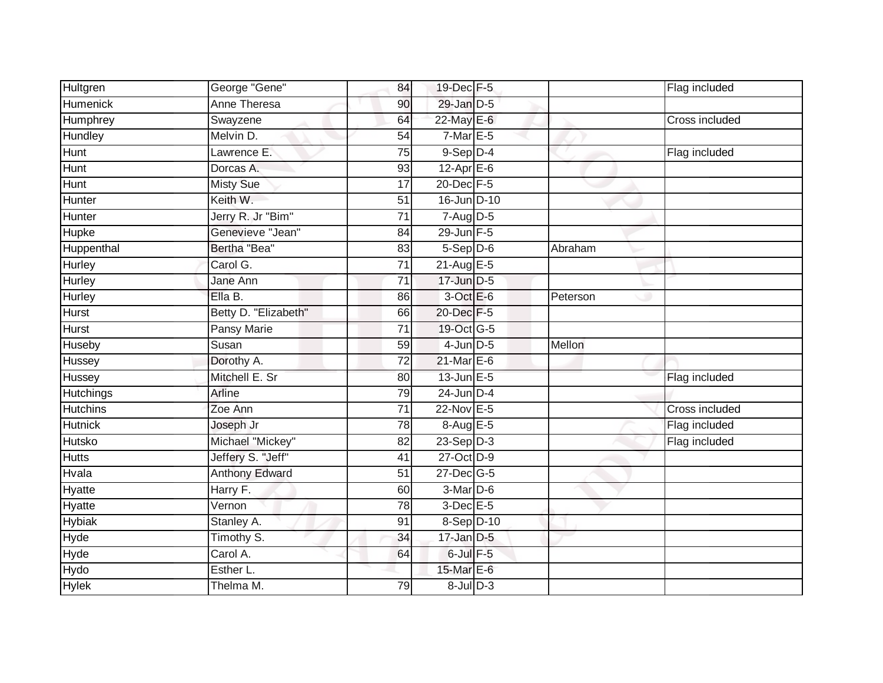| Hultgren        | George "Gene"        | 84              | 19-Dec F-5        |          | Flag included         |
|-----------------|----------------------|-----------------|-------------------|----------|-----------------------|
| <b>Humenick</b> | <b>Anne Theresa</b>  | 90              | 29-Jan D-5        |          |                       |
| Humphrey        | Swayzene             | 64              | 22-May E-6        |          | <b>Cross included</b> |
| Hundley         | Melvin D.            | 54              | $7$ -Mar $E - 5$  |          |                       |
| <b>Hunt</b>     | Lawrence E.          | $\overline{75}$ | $9-$ Sep $D-4$    |          | Flag included         |
| Hunt            | Dorcas A.            | 93              | 12-Apr E-6        |          |                       |
| Hunt            | <b>Misty Sue</b>     | 17              | 20-Dec F-5        |          |                       |
| Hunter          | Keith W.             | 51              | 16-Jun D-10       |          |                       |
| Hunter          | Jerry R. Jr "Bim"    | 71              | $7-Aug$ $D-5$     |          |                       |
| Hupke           | Genevieve "Jean"     | 84              | 29-Jun F-5        |          |                       |
| Huppenthal      | Bertha "Bea"         | 83              | $5-Sep$ D-6       | Abraham  |                       |
| Hurley          | Carol G.             | 71              | $21$ -Aug $E-5$   |          |                       |
| Hurley          | Jane Ann             | 71              | $17$ -Jun $D-5$   |          |                       |
| <b>Hurley</b>   | Ella B.              | 86              | $3$ -Oct $E$ -6   | Peterson |                       |
| <b>Hurst</b>    | Betty D. "Elizabeth" | 66              | 20-Dec F-5        |          |                       |
| <b>Hurst</b>    | Pansy Marie          | 71              | 19-Oct G-5        |          |                       |
| Huseby          | Susan                | 59              | $4$ -Jun $D-5$    | Mellon   |                       |
| Hussey          | Dorothy A.           | 72              | 21-Mar E-6        |          |                       |
| Hussey          | Mitchell E. Sr       | 80              | $13$ -Jun $E-5$   |          | Flag included         |
| Hutchings       | Arline               | 79              | $24$ -Jun $D-4$   |          |                       |
| <b>Hutchins</b> | Zoe Ann              | $\overline{71}$ | 22-Nov E-5        |          | Cross included        |
| <b>Hutnick</b>  | Joseph Jr            | 78              | 8-Aug E-5         |          | Flag included         |
| Hutsko          | Michael "Mickey"     | 82              | $23-Sep D-3$      |          | Flag included         |
| <b>Hutts</b>    | Jeffery S. "Jeff"    | 41              | 27-Oct D-9        |          |                       |
| Hvala           | Anthony Edward       | 51              | $27$ -Dec $ G-5 $ |          |                       |
| Hyatte          | Harry F.             | 60              | 3-Mar D-6         |          |                       |
| <b>Hyatte</b>   | Vernon               | 78              | $3$ -Dec $E$ -5   |          |                       |
| <b>Hybiak</b>   | Stanley A.           | 91              | 8-Sep D-10        |          |                       |
| Hyde            | Timothy S.           | 34              | $17$ -Jan $D-5$   |          |                       |
| Hyde            | Carol A.             | 64              | $6$ -Jul $F-5$    |          |                       |
| Hydo            | Esther L.            |                 | 15-Mar E-6        |          |                       |
| <b>Hylek</b>    | Thelma M.            | 79              | $8$ -Jul $D-3$    |          |                       |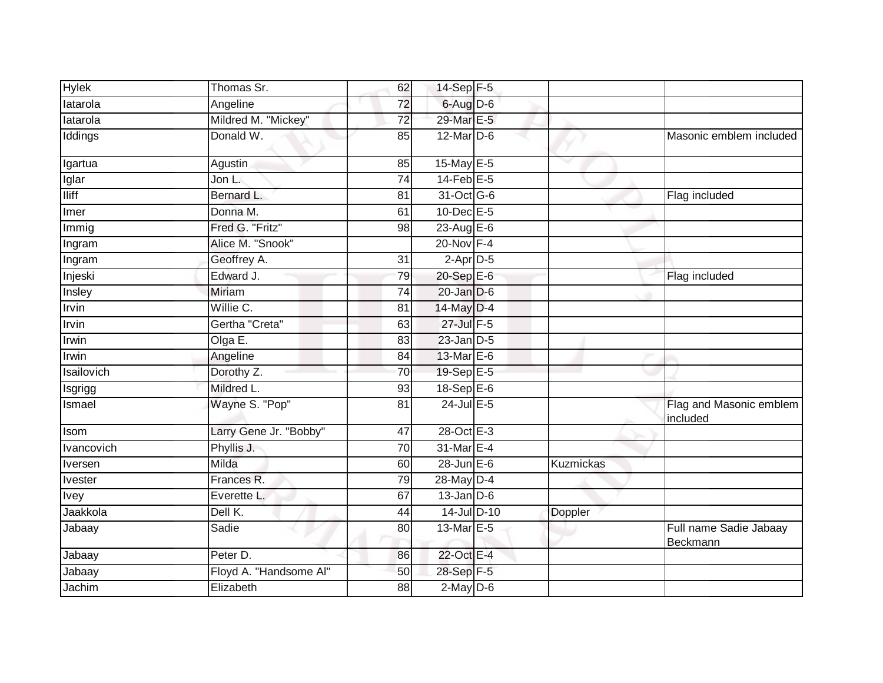| 6-Aug D-6<br>latarola<br>Angeline<br>72<br>Mildred M. "Mickey"<br>29-Mar E-5<br>latarola<br>$\overline{72}$<br>Iddings<br>Donald W.<br>$12$ -Mar $D-6$<br>85<br>Masonic emblem included<br>15-May E-5<br><b>Agustin</b><br>85<br>Igartua<br>Iglar<br>$14$ -Feb $E-5$<br>Jon L.<br>74<br><b>Iliff</b><br>31-Oct G-6<br>Bernard L.<br>81<br>Flag included<br>10-Dec E-5<br>Donna M.<br>61<br>Imer<br>Fred G. "Fritz"<br>23-Aug E-6<br>Immig<br>98<br>Alice M. "Snook"<br>20-Nov F-4<br>Ingram<br>$2$ -Apr $D-5$<br>Geoffrey A.<br>31<br>Ingram<br>Edward J.<br>$20-SepE-6$<br>Injeski<br>79<br>Flag included<br><b>Miriam</b><br>$20$ -Jan $D-6$<br>Insley<br>$\overline{74}$<br>Irvin<br>Willie C.<br>14-May D-4<br>81<br>27-Jul F-5<br>Irvin<br>Gertha "Creta"<br>63<br>Olga $E$ .<br>$23$ -Jan $D-5$<br>Irwin<br>83<br>13-Mar E-6<br><b>Irwin</b><br>Angeline<br>84<br>19-Sep E-5<br>Isailovich<br>70<br>Dorothy Z. |  |
|----------------------------------------------------------------------------------------------------------------------------------------------------------------------------------------------------------------------------------------------------------------------------------------------------------------------------------------------------------------------------------------------------------------------------------------------------------------------------------------------------------------------------------------------------------------------------------------------------------------------------------------------------------------------------------------------------------------------------------------------------------------------------------------------------------------------------------------------------------------------------------------------------------------------|--|
|                                                                                                                                                                                                                                                                                                                                                                                                                                                                                                                                                                                                                                                                                                                                                                                                                                                                                                                      |  |
|                                                                                                                                                                                                                                                                                                                                                                                                                                                                                                                                                                                                                                                                                                                                                                                                                                                                                                                      |  |
|                                                                                                                                                                                                                                                                                                                                                                                                                                                                                                                                                                                                                                                                                                                                                                                                                                                                                                                      |  |
|                                                                                                                                                                                                                                                                                                                                                                                                                                                                                                                                                                                                                                                                                                                                                                                                                                                                                                                      |  |
|                                                                                                                                                                                                                                                                                                                                                                                                                                                                                                                                                                                                                                                                                                                                                                                                                                                                                                                      |  |
|                                                                                                                                                                                                                                                                                                                                                                                                                                                                                                                                                                                                                                                                                                                                                                                                                                                                                                                      |  |
|                                                                                                                                                                                                                                                                                                                                                                                                                                                                                                                                                                                                                                                                                                                                                                                                                                                                                                                      |  |
|                                                                                                                                                                                                                                                                                                                                                                                                                                                                                                                                                                                                                                                                                                                                                                                                                                                                                                                      |  |
|                                                                                                                                                                                                                                                                                                                                                                                                                                                                                                                                                                                                                                                                                                                                                                                                                                                                                                                      |  |
|                                                                                                                                                                                                                                                                                                                                                                                                                                                                                                                                                                                                                                                                                                                                                                                                                                                                                                                      |  |
|                                                                                                                                                                                                                                                                                                                                                                                                                                                                                                                                                                                                                                                                                                                                                                                                                                                                                                                      |  |
|                                                                                                                                                                                                                                                                                                                                                                                                                                                                                                                                                                                                                                                                                                                                                                                                                                                                                                                      |  |
|                                                                                                                                                                                                                                                                                                                                                                                                                                                                                                                                                                                                                                                                                                                                                                                                                                                                                                                      |  |
|                                                                                                                                                                                                                                                                                                                                                                                                                                                                                                                                                                                                                                                                                                                                                                                                                                                                                                                      |  |
|                                                                                                                                                                                                                                                                                                                                                                                                                                                                                                                                                                                                                                                                                                                                                                                                                                                                                                                      |  |
|                                                                                                                                                                                                                                                                                                                                                                                                                                                                                                                                                                                                                                                                                                                                                                                                                                                                                                                      |  |
|                                                                                                                                                                                                                                                                                                                                                                                                                                                                                                                                                                                                                                                                                                                                                                                                                                                                                                                      |  |
| Mildred L.<br>$18-Sep$ E-6<br>93<br>Isgrigg                                                                                                                                                                                                                                                                                                                                                                                                                                                                                                                                                                                                                                                                                                                                                                                                                                                                          |  |
| 24-Jul E-5<br>Wayne S. "Pop"<br>Flag and Masonic emblem<br>Ismael<br>81<br>included                                                                                                                                                                                                                                                                                                                                                                                                                                                                                                                                                                                                                                                                                                                                                                                                                                  |  |
| 28-Oct E-3<br>Larry Gene Jr. "Bobby"<br>47<br>Isom                                                                                                                                                                                                                                                                                                                                                                                                                                                                                                                                                                                                                                                                                                                                                                                                                                                                   |  |
| 31-Mar E-4<br>Phyllis J.<br>70<br>Ivancovich                                                                                                                                                                                                                                                                                                                                                                                                                                                                                                                                                                                                                                                                                                                                                                                                                                                                         |  |
| $28$ -Jun $E-6$<br>Milda<br><b>Kuzmickas</b><br>Iversen<br>60                                                                                                                                                                                                                                                                                                                                                                                                                                                                                                                                                                                                                                                                                                                                                                                                                                                        |  |
| 28-May D-4<br>Frances R.<br>79<br><b>Ivester</b>                                                                                                                                                                                                                                                                                                                                                                                                                                                                                                                                                                                                                                                                                                                                                                                                                                                                     |  |
| 67<br>$13$ -Jan $D-6$<br>Everette L.<br>Ivey                                                                                                                                                                                                                                                                                                                                                                                                                                                                                                                                                                                                                                                                                                                                                                                                                                                                         |  |
| Jaakkola<br>Dell K.<br>14-Jul D-10<br>44<br>Doppler                                                                                                                                                                                                                                                                                                                                                                                                                                                                                                                                                                                                                                                                                                                                                                                                                                                                  |  |
| Sadie<br>13-Mar E-5<br>Full name Sadie Jabaay<br>80<br>Jabaay<br>Beckmann                                                                                                                                                                                                                                                                                                                                                                                                                                                                                                                                                                                                                                                                                                                                                                                                                                            |  |
| 22-Oct E-4<br>Peter D.<br>Jabaay<br>86                                                                                                                                                                                                                                                                                                                                                                                                                                                                                                                                                                                                                                                                                                                                                                                                                                                                               |  |
| $28 - \text{Sep}$ F-5<br>Floyd A. "Handsome Al"<br>Jabaay<br>50                                                                                                                                                                                                                                                                                                                                                                                                                                                                                                                                                                                                                                                                                                                                                                                                                                                      |  |
| Jachim<br>$2$ -May $D-6$<br>Elizabeth<br>88                                                                                                                                                                                                                                                                                                                                                                                                                                                                                                                                                                                                                                                                                                                                                                                                                                                                          |  |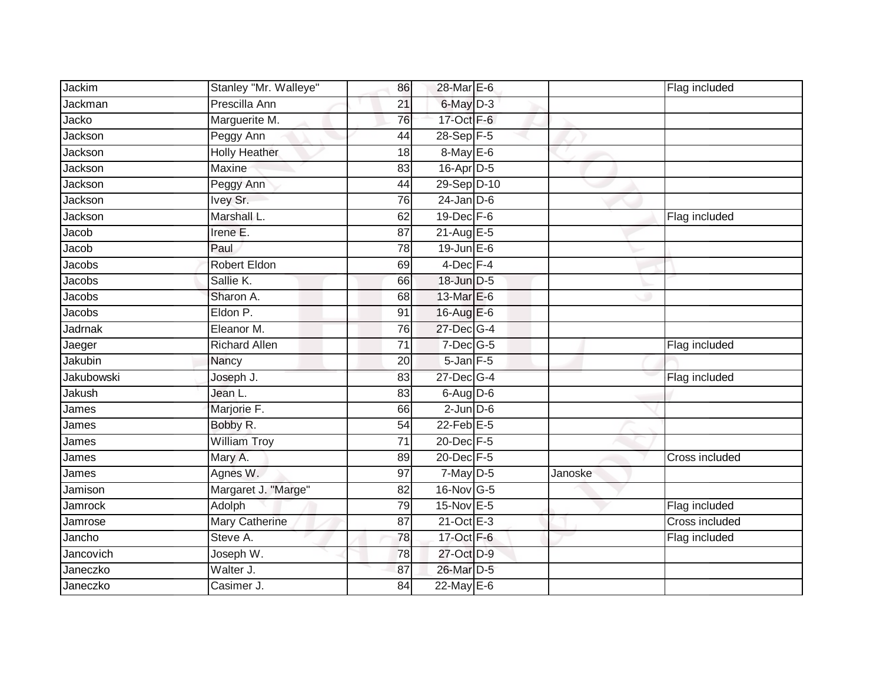| Jackim     | Stanley "Mr. Walleye" | 86              | 28-Mar E-6        |         | Flag included  |
|------------|-----------------------|-----------------|-------------------|---------|----------------|
| Jackman    | Prescilla Ann         | 21              | 6-May D-3         |         |                |
| Jacko      | Marguerite M.         | 76              | 17-Oct F-6        |         |                |
| Jackson    | Peggy Ann             | 44              | $28-Sep$ F-5      |         |                |
| Jackson    | <b>Holly Heather</b>  | 18              | 8-May E-6         |         |                |
| Jackson    | Maxine                | 83              | 16-Apr D-5        |         |                |
| Jackson    | Peggy Ann             | 44              | 29-Sep D-10       |         |                |
| Jackson    | Ivey Sr.              | 76              | $24$ -Jan $D-6$   |         |                |
| Jackson    | Marshall L.           | 62              | $19$ -Dec $F - 6$ |         | Flag included  |
| Jacob      | Irene E.              | 87              | $21-AugE-5$       |         |                |
| Jacob      | Paul                  | 78              | $19$ -Jun $E$ -6  |         |                |
| Jacobs     | Robert Eldon          | 69              | 4-Dec F-4         |         |                |
| Jacobs     | Sallie K.             | 66              | 18-Jun D-5        |         |                |
| Jacobs     | Sharon A.             | 68              | 13-Mar E-6        |         |                |
| Jacobs     | Eldon P.              | 91              | 16-Aug E-6        |         |                |
| Jadrnak    | Eleanor M.            | 76              | 27-Dec G-4        |         |                |
| Jaeger     | <b>Richard Allen</b>  | $\overline{71}$ | $7$ -Dec $G$ -5   |         | Flag included  |
| Jakubin    | Nancy                 | 20              | $5$ -Jan $F - 5$  |         |                |
| Jakubowski | Joseph J.             | 83              | 27-Dec G-4        |         | Flag included  |
| Jakush     | Jean L.               | 83              | $6-AugD-6$        |         |                |
| James      | Marjorie F.           | 66              | $2$ -Jun $D-6$    |         |                |
| James      | Bobby R.              | 54              | $22$ -Feb $E-5$   |         |                |
| James      | <b>William Troy</b>   | $\overline{71}$ | 20-Dec F-5        |         |                |
| James      | Mary A.               | 89              | 20-Dec F-5        |         | Cross included |
| James      | Agnes W.              | 97              | $7$ -May $D-5$    | Janoske |                |
| Jamison    | Margaret J. "Marge"   | 82              | 16-Nov G-5        |         |                |
| Jamrock    | Adolph                | 79              | 15-Nov E-5        |         | Flag included  |
| Jamrose    | <b>Mary Catherine</b> | 87              | $21$ -Oct $E-3$   |         | Cross included |
| Jancho     | Steve A.              | 78              | 17-Oct F-6        |         | Flag included  |
| Jancovich  | Joseph W.             | 78              | 27-Oct D-9        |         |                |
| Janeczko   | Walter J.             | 87              | 26-Mar D-5        |         |                |
| Janeczko   | Casimer J.            | 84              | 22-May E-6        |         |                |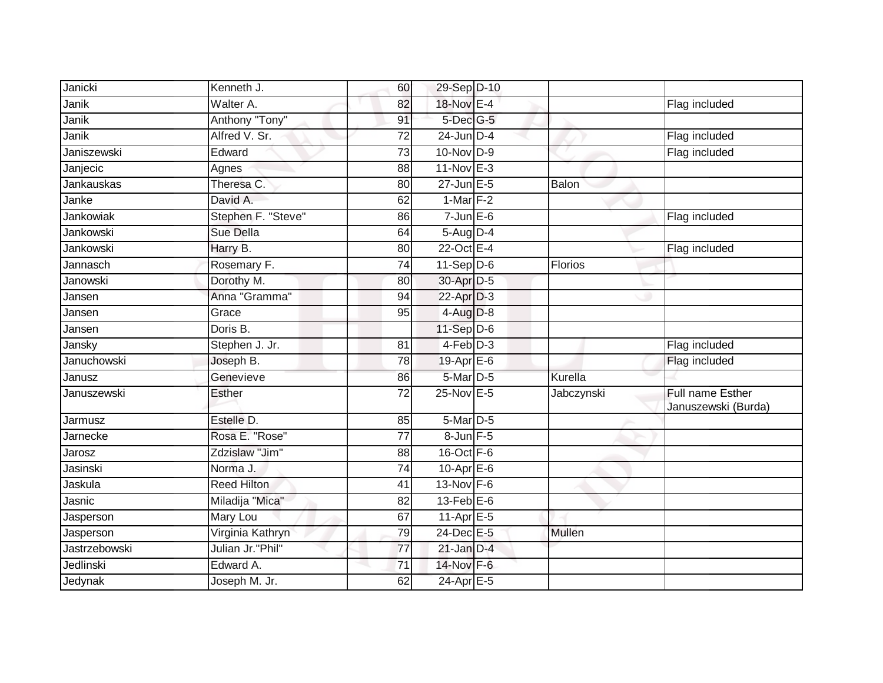| Janicki       | Kenneth J.         | 60              | 29-Sep D-10       |            |                                                |
|---------------|--------------------|-----------------|-------------------|------------|------------------------------------------------|
| Janik         | Walter A.          | 82              | 18-Nov E-4        |            | Flag included                                  |
| Janik         | Anthony "Tony"     | 91              | $5$ -Dec $G$ -5   |            |                                                |
| Janik         | Alfred V. Sr.      | 72              | $24$ -Jun $D-4$   |            | Flag included                                  |
| Janiszewski   | Edward             | $\overline{73}$ | 10-Nov D-9        |            | Flag included                                  |
| Janjecic      | Agnes              | 88              | 11-Nov E-3        |            |                                                |
| Jankauskas    | Theresa C.         | 80              | $27$ -Jun $E-5$   | Balon      |                                                |
| Janke         | David A.           | 62              | 1-Mar $F-2$       |            |                                                |
| Jankowiak     | Stephen F. "Steve" | 86              | $7$ -Jun $E$ -6   |            | Flag included                                  |
| Jankowski     | Sue Della          | 64              | 5-Aug D-4         |            |                                                |
| Jankowski     | Harry B.           | 80              | 22-Oct E-4        |            | Flag included                                  |
| Jannasch      | Rosemary F.        | 74              | $11-Sep D-6$      | Florios    |                                                |
| Janowski      | Dorothy M.         | 80              | 30-Apr D-5        |            |                                                |
| Jansen        | Anna "Gramma"      | 94              | 22-Apr D-3        |            |                                                |
| Jansen        | Grace              | 95              | 4-Aug D-8         |            |                                                |
| Jansen        | Doris B.           |                 | 11-Sep D-6        |            |                                                |
| Jansky        | Stephen J. Jr.     | $\overline{81}$ | $4-Feb$ D-3       |            | Flag included                                  |
| Januchowski   | Joseph B.          | 78              | 19-Apr E-6        |            | Flag included                                  |
| Janusz        | Genevieve          | 86              | 5-Mar D-5         | Kurella    |                                                |
| Januszewski   | <b>Esther</b>      | $\overline{72}$ | 25-Nov E-5        | Jabczynski | <b>Full name Esther</b><br>Januszewski (Burda) |
| Jarmusz       | Estelle D.         | 85              | 5-Mar D-5         |            |                                                |
| Jarnecke      | Rosa E. "Rose"     | 77              | $8$ -Jun $F - 5$  |            |                                                |
| Jarosz        | Zdzislaw "Jim"     | 88              | $16$ -Oct $F - 6$ |            |                                                |
| Jasinski      | Norma J.           | 74              | $10-Apr$ $E-6$    |            |                                                |
| Jaskula       | <b>Reed Hilton</b> | 41              | 13-Nov F-6        |            |                                                |
| Jasnic        | Miladija "Mica"    | 82              | $13$ -Feb $E$ -6  |            |                                                |
| Jasperson     | Mary Lou           | 67              | $11-AprE-5$       |            |                                                |
| Jasperson     | Virginia Kathryn   | 79              | 24-Dec E-5        | Mullen     |                                                |
| Jastrzebowski | Julian Jr."Phil"   | $\overline{77}$ | $21$ -Jan D-4     |            |                                                |
| Jedlinski     | Edward A.          | 71              | 14-Nov F-6        |            |                                                |
| Jedynak       | Joseph M. Jr.      | 62              | 24-Apr E-5        |            |                                                |
|               |                    |                 |                   |            |                                                |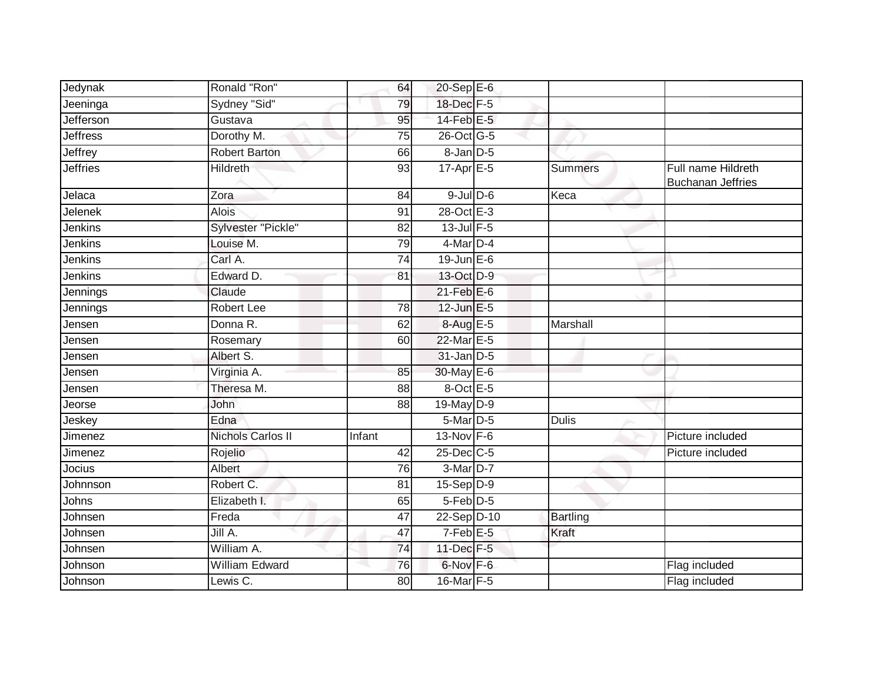| Jedynak         | Ronald "Ron"             | 64              | $20 - Sep$ E-6             |                 |                                                |
|-----------------|--------------------------|-----------------|----------------------------|-----------------|------------------------------------------------|
| Jeeninga        | Sydney "Sid"             | 79              | 18-Dec F-5                 |                 |                                                |
| Jefferson       | Gustava                  | 95              | $14$ -Feb $E-5$            |                 |                                                |
| <b>Jeffress</b> | Dorothy M.               | 75              | 26-Oct G-5                 |                 |                                                |
| Jeffrey         | <b>Robert Barton</b>     | 66              | $8 - Jan$ $D-5$            |                 |                                                |
| <b>Jeffries</b> | <b>Hildreth</b>          | 93              | $17-Apr \nightharpoonup 5$ | <b>Summers</b>  | Full name Hildreth<br><b>Buchanan Jeffries</b> |
| Jelaca          | Zora                     | 84              | $9$ -Jul $D$ -6            | Keca            |                                                |
| Jelenek         | <b>Alois</b>             | 91              | 28-Oct E-3                 |                 |                                                |
| <b>Jenkins</b>  | Sylvester "Pickle"       | 82              | $13$ -Jul $F-5$            |                 |                                                |
| Jenkins         | Louise M.                | 79              | 4-Mar D-4                  |                 |                                                |
| Jenkins         | Carl A.                  | $\overline{74}$ | $19$ -Jun $E - 6$          |                 |                                                |
| Jenkins         | Edward D.                | 81              | 13-Oct D-9                 |                 |                                                |
| Jennings        | Claude                   |                 | $21$ -Feb $E$ -6           |                 |                                                |
| Jennings        | Robert Lee               | 78              | 12-Jun E-5                 |                 |                                                |
| Jensen          | Donna R.                 | 62              | 8-Aug E-5                  | Marshall        |                                                |
| Jensen          | Rosemary                 | 60              | 22-Mar E-5                 |                 |                                                |
| Jensen          | Albert S.                |                 | $31$ -Jan D-5              |                 |                                                |
| Jensen          | Virginia A.              | 85              | 30-May E-6                 |                 |                                                |
| Jensen          | Theresa M.               | 88              | 8-Oct E-5                  |                 |                                                |
| Jeorse          | John                     | 88              | 19-May D-9                 |                 |                                                |
| Jeskey          | Edna                     |                 | 5-Mar D-5                  | <b>Dulis</b>    |                                                |
| Jimenez         | <b>Nichols Carlos II</b> | Infant          | 13-Nov $F-6$               |                 | Picture included                               |
| Jimenez         | Rojelio                  | 42              | 25-Dec C-5                 |                 | Picture included                               |
| Jocius          | Albert                   | 76              | $3-Mar$ D-7                |                 |                                                |
| Johnnson        | Robert C.                | 81              | $15-Sep D-9$               |                 |                                                |
| Johns           | Elizabeth I.             | 65              | $5$ -Feb $D-5$             |                 |                                                |
| Johnsen         | Freda                    | 47              | 22-Sep D-10                | <b>Bartling</b> |                                                |
| Johnsen         | Jill A.                  | 47              | 7-Feb <sup>E-5</sup>       | Kraft           |                                                |
| Johnsen         | William A.               | 74              | 11-Dec F-5                 |                 |                                                |
| Johnson         | <b>William Edward</b>    | 76              | 6-Nov F-6                  |                 | Flag included                                  |
| Johnson         | Lewis C.                 | 80              | 16-Mar F-5                 |                 | Flag included                                  |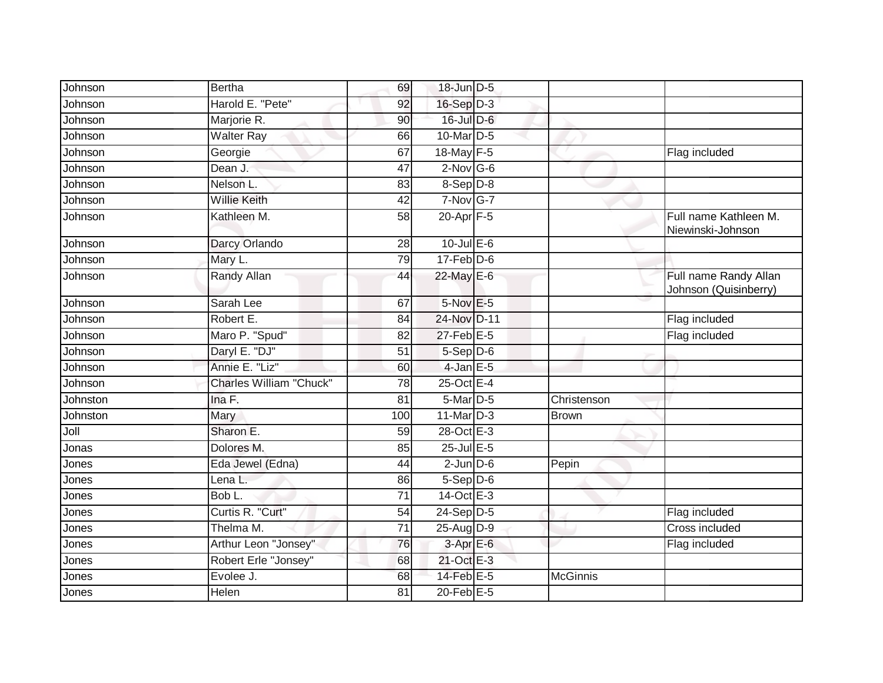| Johnson  | <b>Bertha</b>                  | 69              | 18-Jun D-5       |                 |                                                |
|----------|--------------------------------|-----------------|------------------|-----------------|------------------------------------------------|
| Johnson  | Harold E. "Pete"               | 92              | $16-Sep$ D-3     |                 |                                                |
| Johnson  | Marjorie R.                    | 90              | $16$ -Jul $D-6$  |                 |                                                |
| Johnson  | <b>Walter Ray</b>              | 66              | 10-Mar D-5       |                 |                                                |
| Johnson  | Georgie                        | 67              | 18-May F-5       |                 | Flag included                                  |
| Johnson  | Dean J.                        | 47              | $2$ -Nov G-6     |                 |                                                |
| Johnson  | Nelson L.                      | 83              | $8-$ Sep $D-8$   |                 |                                                |
| Johnson  | <b>Willie Keith</b>            | 42              | 7-Nov G-7        |                 |                                                |
| Johnson  | Kathleen M.                    | 58              | $20$ -Apr $F-5$  |                 | Full name Kathleen M.<br>Niewinski-Johnson     |
| Johnson  | Darcy Orlando                  | 28              | $10$ -Jul E-6    |                 |                                                |
| Johnson  | Mary L.                        | 79              | $17-Feb$ D-6     |                 |                                                |
| Johnson  | Randy Allan                    | 44              | 22-May E-6       |                 | Full name Randy Allan<br>Johnson (Quisinberry) |
| Johnson  | Sarah Lee                      | 67              | 5-Nov E-5        |                 |                                                |
| Johnson  | Robert E.                      | 84              | 24-Nov D-11      |                 | Flag included                                  |
| Johnson  | Maro P. "Spud"                 | 82              | 27-Feb E-5       |                 | Flag included                                  |
| Johnson  | Daryl E. "DJ"                  | 51              | 5-Sep D-6        |                 |                                                |
| Johnson  | Annie E. "Liz"                 | 60              | $4$ -Jan $E$ -5  |                 |                                                |
| Johnson  | <b>Charles William "Chuck"</b> | $\overline{78}$ | 25-Oct E-4       |                 |                                                |
| Johnston | Ina F.                         | 81              | 5-Mar D-5        | Christenson     |                                                |
| Johnston | Mary                           | 100             | $11$ -Mar $D-3$  | <b>Brown</b>    |                                                |
| Joll     | Sharon E.                      | 59              | 28-Oct E-3       |                 |                                                |
| Jonas    | Dolores M.                     | 85              | $25$ -Jul $E$ -5 |                 |                                                |
| Jones    | Eda Jewel (Edna)               | 44              | $2$ -Jun $D-6$   | Pepin           |                                                |
| Jones    | Lena L.                        | 86              | $5-$ Sep $D-6$   |                 |                                                |
| Jones    | Bob L.                         | $\overline{71}$ | 14-Oct E-3       |                 |                                                |
| Jones    | Curtis R. "Curt"               | 54              | 24-Sep D-5       |                 | Flag included                                  |
| Jones    | Thelma M.                      | $\overline{71}$ | 25-Aug D-9       |                 | Cross included                                 |
| Jones    | Arthur Leon "Jonsey"           | 76              | $3-AprE-6$       |                 | Flag included                                  |
| Jones    | Robert Erle "Jonsey"           | 68              | 21-Oct E-3       |                 |                                                |
| Jones    | Evolee J.                      | 68              | 14-Feb E-5       | <b>McGinnis</b> |                                                |
| Jones    | Helen                          | 81              | 20-Feb E-5       |                 |                                                |
|          |                                |                 |                  |                 |                                                |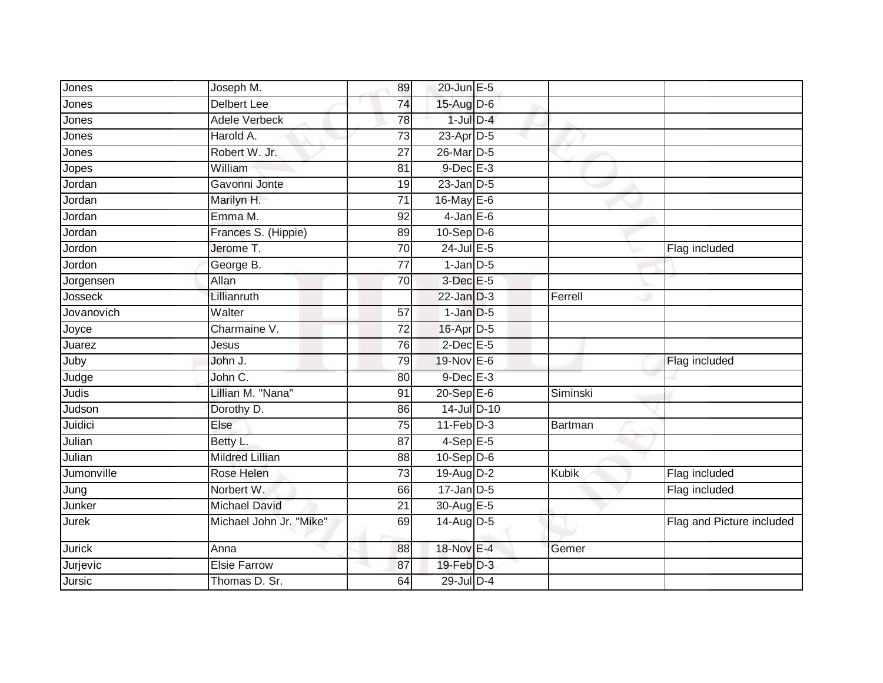| Jones      | Joseph M.               | 89              | 20-Jun E-5       |          |                           |
|------------|-------------------------|-----------------|------------------|----------|---------------------------|
| Jones      | <b>Delbert Lee</b>      | 74              | 15-Aug D-6       |          |                           |
| Jones      | <b>Adele Verbeck</b>    | 78              | $1$ -Jul $D-4$   |          |                           |
| Jones      | Harold A.               | 73              | $23$ -Apr $D-5$  |          |                           |
| Jones      | Robert W. Jr.           | $\overline{27}$ | 26-Mar D-5       |          |                           |
| Jopes      | William                 | 81              | $9$ -Dec $E-3$   |          |                           |
| Jordan     | Gavonni Jonte           | 19              | $23$ -Jan $D-5$  |          |                           |
| Jordan     | Marilyn H.              | 71              | 16-May E-6       |          |                           |
| Jordan     | Emma M.                 | 92              | $4$ -Jan $E$ -6  |          |                           |
| Jordan     | Frances S. (Hippie)     | 89              | $10-Sep$ D-6     |          |                           |
| Jordon     | Jerome T.               | 70              | $24$ -Jul E-5    |          | Flag included             |
| Jordon     | George B.               | 77              | $1$ -Jan $D-5$   |          |                           |
| Jorgensen  | Allan                   | 70              | $3$ -Dec $E - 5$ |          |                           |
| Josseck    | Lillianruth             |                 | $22$ -Jan $D-3$  | Ferrell  |                           |
| Jovanovich | Walter                  | 57              | $1$ -Jan $D-5$   |          |                           |
| Joyce      | Charmaine V.            | 72              | 16-Apr D-5       |          |                           |
| Juarez     | Jesus                   | 76              | $2$ -Dec $E$ -5  |          |                           |
| Juby       | John J.                 | 79              | 19-Nov E-6       |          | Flag included             |
| Judge      | John C.                 | 80              | $9$ -Dec $E-3$   |          |                           |
| Judis      | Lillian M. "Nana"       | 91              | $20 - Sep$ E-6   | Siminski |                           |
| Judson     | Dorothy D.              | 86              | 14-Jul D-10      |          |                           |
| Juidici    | Else                    | $\overline{75}$ | $11-Feb$ D-3     | Bartman  |                           |
| Julian     | Betty L.                | 87              | $4-SepE-5$       |          |                           |
| Julian     | <b>Mildred Lillian</b>  | 88              | $10-Sep$ D-6     |          |                           |
| Jumonville | Rose Helen              | $\overline{73}$ | 19-Aug D-2       | Kubik    | Flag included             |
| Jung       | Norbert W.              | 66              | $17$ -Jan $D-5$  |          | Flag included             |
| Junker     | <b>Michael David</b>    | $\overline{21}$ | 30-Aug E-5       |          |                           |
| Jurek      | Michael John Jr. "Mike" | 69              | 14-Aug D-5       |          | Flag and Picture included |
| Jurick     | Anna                    | 88              | 18-Nov E-4       | Gemer    |                           |
| Jurjevic   | <b>Elsie Farrow</b>     | 87              | $19$ -Feb $D-3$  |          |                           |
| Jursic     | Thomas D. Sr.           | 64              | 29-Jul D-4       |          |                           |
|            |                         |                 |                  |          |                           |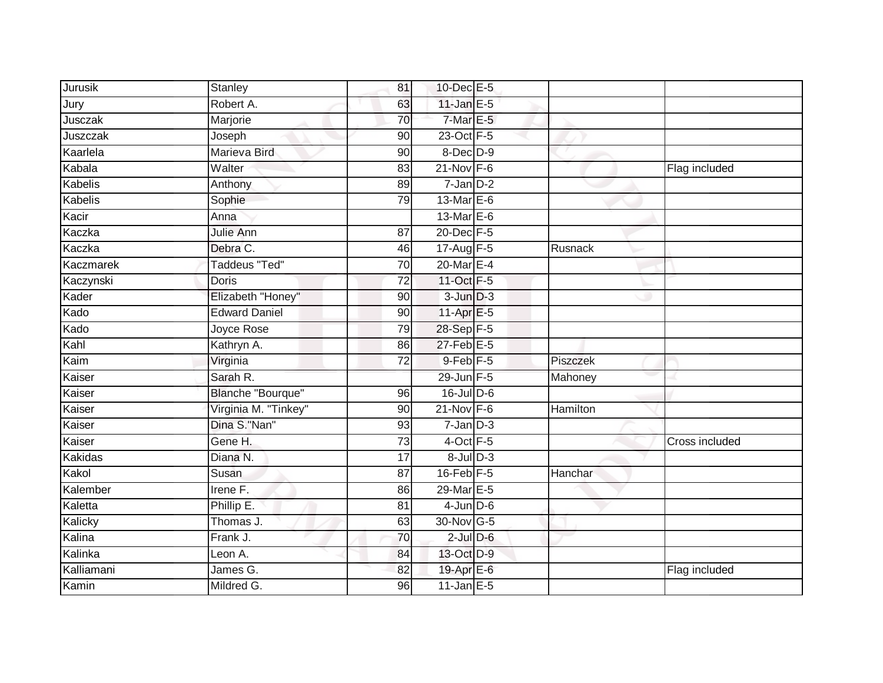| Jurusik    | Stanley                  | 81              | 10-Dec E-5       |          |                |
|------------|--------------------------|-----------------|------------------|----------|----------------|
| Jury       | Robert A.                | 63              | 11-Jan $E-5$     |          |                |
| Jusczak    | Marjorie                 | 70              | $7-Mar E-5$      |          |                |
| Juszczak   | Joseph                   | 90              | 23-Oct F-5       |          |                |
| Kaarlela   | Marieva Bird             | $\overline{90}$ | $8$ -Dec $D-9$   |          |                |
| Kabala     | Walter                   | 83              | $21$ -Nov F-6    |          | Flag included  |
| Kabelis    | Anthony                  | 89              | $7$ -Jan $D-2$   |          |                |
| Kabelis    | Sophie                   | 79              | 13-Mar E-6       |          |                |
| Kacir      | Anna                     |                 | 13-Mar $E-6$     |          |                |
| Kaczka     | Julie Ann                | $\overline{87}$ | 20-Dec F-5       |          |                |
|            | Debra C.                 |                 |                  |          |                |
| Kaczka     | <b>Taddeus "Ted"</b>     | 46              | 17-Aug F-5       | Rusnack  |                |
| Kaczmarek  |                          | 70              | 20-Mar E-4       |          |                |
| Kaczynski  | <b>Doris</b>             | $\overline{72}$ | $11-Oct$ F-5     |          |                |
| Kader      | Elizabeth "Honey"        | 90              | $3$ -Jun $D-3$   |          |                |
| Kado       | <b>Edward Daniel</b>     | 90              | 11-Apr $E-5$     |          |                |
| Kado       | Joyce Rose               | 79              | 28-Sep F-5       |          |                |
| Kahl       | Kathryn A.               | 86              | $27$ -Feb $E-5$  |          |                |
| Kaim       | Virginia                 | 72              | $9$ -Feb $F-5$   | Piszczek |                |
| Kaiser     | Sarah R.                 |                 | 29-Jun F-5       | Mahoney  |                |
| Kaiser     | <b>Blanche "Bourque"</b> | 96              | 16-Jul D-6       |          |                |
| Kaiser     | Virginia M. "Tinkey"     | 90              | $21-Nov$ F-6     | Hamilton |                |
| Kaiser     | Dina S."Nan"             | 93              | $7$ -Jan $D-3$   |          |                |
| Kaiser     | Gene H.                  | 73              | $4$ -Oct $F - 5$ |          | Cross included |
| Kakidas    | Diana N.                 | 17              | $8$ -Jul $D-3$   |          |                |
| Kakol      | Susan                    | 87              | $16$ -Feb $F-5$  | Hanchar  |                |
| Kalember   | Irene F.                 | 86              | 29-Mar E-5       |          |                |
| Kaletta    | Phillip E.               | $\overline{81}$ | $4$ -Jun $D-6$   |          |                |
| Kalicky    | Thomas J.                | 63              | 30-Nov G-5       |          |                |
| Kalina     | Frank J.                 | 70              | $2$ -Jul $D-6$   |          |                |
| Kalinka    | Leon A.                  | 84              | 13-Oct D-9       |          |                |
| Kalliamani | James G.                 | 82              | 19-Apr E-6       |          | Flag included  |
| Kamin      | Mildred G.               | 96              | $11$ -Jan E-5    |          |                |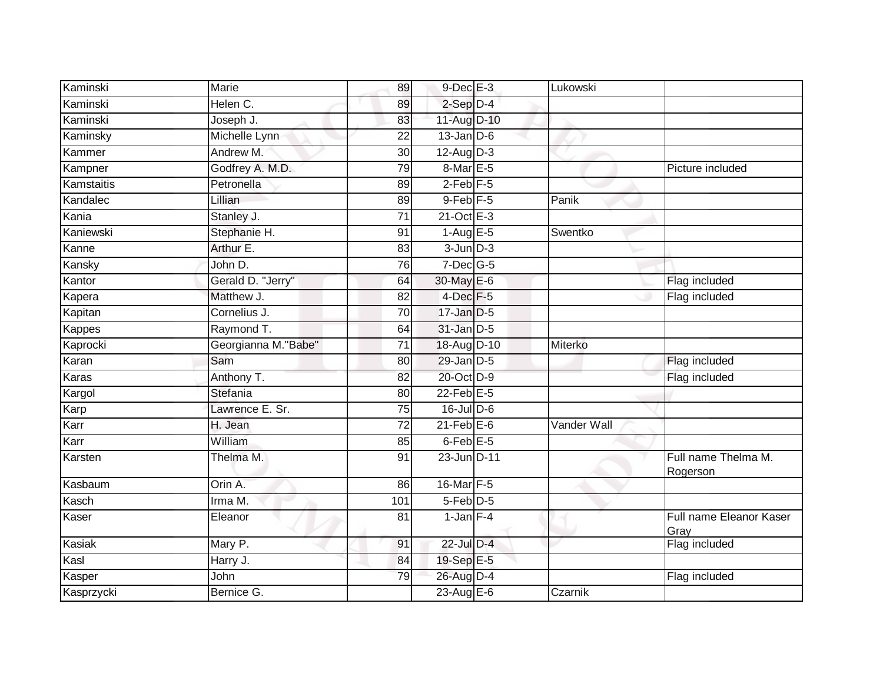| Kaminski   | Marie                | 89              | $9$ -Dec $E-3$                            | Lukowski    |                                 |
|------------|----------------------|-----------------|-------------------------------------------|-------------|---------------------------------|
| Kaminski   | Helen C.             | 89              | $2-Sep$ D-4                               |             |                                 |
| Kaminski   | Joseph J.            | 83              | 11-Aug D-10                               |             |                                 |
| Kaminsky   | Michelle Lynn        | 22              | $13$ -Jan D-6                             |             |                                 |
| Kammer     | Andrew M.            | $\overline{30}$ | $12$ -Aug $D-3$                           |             |                                 |
| Kampner    | Godfrey A. M.D.      | 79              | 8-Mar E-5                                 |             | Picture included                |
| Kamstaitis | Petronella           | 89              | $2-Feb$ $F-5$                             |             |                                 |
| Kandalec   | Lillian              | 89              | $9$ -Feb $F-5$                            | Panik       |                                 |
| Kania      | Stanley J.           | 71              | $21$ -Oct $E-3$                           |             |                                 |
| Kaniewski  | Stephanie H.         | 91              | $1 - \text{Aug} \, \overline{\text{E-5}}$ | Swentko     |                                 |
| Kanne      | Arthur E.            | 83              | $3$ -Jun $D-3$                            |             |                                 |
| Kansky     | John D.              | 76              | $7$ -Dec $G$ -5                           |             |                                 |
| Kantor     | Gerald D. "Jerry"    | 64              | 30-May E-6                                |             | Flag included                   |
| Kapera     | Matthew J.           | 82              | $4$ -Dec $F-5$                            |             | Flag included                   |
| Kapitan    | Cornelius J.         | $\overline{70}$ | $17$ -Jan $D-5$                           |             |                                 |
| Kappes     | Raymond T.           | 64              | 31-Jan D-5                                |             |                                 |
| Kaprocki   | Georgianna M. "Babe" | 71              | 18-Aug D-10                               | Miterko     |                                 |
| Karan      | Sam                  | 80              | $29$ -Jan $D-5$                           |             | Flag included                   |
| Karas      | Anthony T.           | 82              | 20-Oct D-9                                |             | Flag included                   |
| Kargol     | Stefania             | 80              | $22$ -Feb $E-5$                           |             |                                 |
| Karp       | Lawrence E. Sr.      | 75              | $16$ -JulD-6                              |             |                                 |
| Karr       | H. Jean              | 72              | $21$ -Feb $E$ -6                          | Vander Wall |                                 |
| Karr       | William              | 85              | $6$ -Feb $E$ -5                           |             |                                 |
| Karsten    | Thelma M.            | 91              | 23-Jun D-11                               |             | Full name Thelma M.<br>Rogerson |
| Kasbaum    | Orin A.              | 86              | 16-Mar F-5                                |             |                                 |
| Kasch      | Irma M.              | 101             | $5-Feb$ D-5                               |             |                                 |
| Kaser      | Eleanor              | $\overline{81}$ | $1$ -Jan $F-4$                            |             | Full name Eleanor Kaser<br>Gray |
| Kasiak     | Mary P.              | 91              | 22-Jul D-4                                |             | Flag included                   |
| Kasl       | Harry J.             | 84              | 19-Sep E-5                                |             |                                 |
| Kasper     | John                 | 79              | 26-Aug D-4                                |             | Flag included                   |
| Kasprzycki | Bernice G.           |                 | 23-Aug E-6                                | Czarnik     |                                 |
|            |                      |                 |                                           |             |                                 |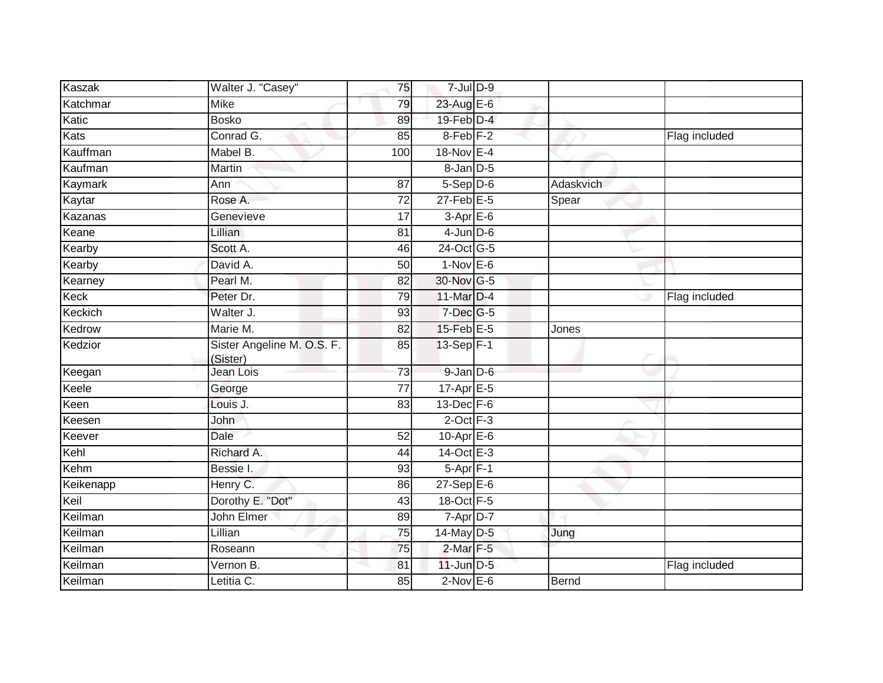| <b>Kaszak</b> | Walter J. "Casey"                      | 75              | $7 -$ Jul $D - 9$    |           |               |
|---------------|----------------------------------------|-----------------|----------------------|-----------|---------------|
| Katchmar      | <b>Mike</b>                            | 79              | 23-Aug E-6           |           |               |
| Katic         | <b>Bosko</b>                           | 89              | 19-Feb D-4           |           |               |
| Kats          | Conrad G.                              | 85              | 8-Feb <sub>F-2</sub> |           | Flag included |
| Kauffman      | Mabel B.                               | 100             | 18-Nov E-4           |           |               |
| Kaufman       | Martin                                 |                 | 8-Jan D-5            |           |               |
| Kaymark       | Ann                                    | 87              | $5-Sep$ $D-6$        | Adaskvich |               |
| Kaytar        | Rose A.                                | $\overline{72}$ | $27$ -Feb $E-5$      | Spear     |               |
| Kazanas       | Genevieve                              | 17              | $3-AprE-6$           |           |               |
| Keane         | <b>Lillian</b>                         | 81              | $4$ -Jun $D-6$       |           |               |
| Kearby        | Scott A.                               | 46              | 24-Oct G-5           |           |               |
| Kearby        | David A.                               | 50              | $1-Nov$ E-6          |           |               |
| Kearney       | Pearl M.                               | 82              | 30-Nov G-5           |           |               |
| Keck          | Peter Dr.                              | 79              | 11-Mar D-4           |           | Flag included |
| Keckich       | Walter J.                              | 93              | $7$ -Dec $G$ -5      |           |               |
| Kedrow        | Marie M.                               | 82              | $15$ -Feb $E$ -5     | Jones     |               |
| Kedzior       | Sister Angeline M. O.S. F.<br>(Sister) | $\overline{85}$ | 13-Sep F-1           |           |               |
| Keegan        | Jean Lois                              | 73              | 9-Jan D-6            |           |               |
| Keele         | George                                 | $\overline{77}$ | $17$ -Apr $E - 5$    |           |               |
| Keen          | Louis J.                               | 83              | $13$ -Dec $F-6$      |           |               |
| Keesen        | John                                   |                 | $2$ -Oct $F-3$       |           |               |
| Keever        | Dale                                   | 52              | $10$ -Apr $E$ -6     |           |               |
| Kehl          | Richard A.                             | 44              | $14-Oct$ E-3         |           |               |
| Kehm          | Bessie I.                              | 93              | $5-Apr$ F-1          |           |               |
| Keikenapp     | Henry C.                               | 86              | $27-SepE-6$          |           |               |
| Keil          | Dorothy E. "Dot"                       | 43              | 18-Oct F-5           |           |               |
| Keilman       | John Elmer                             | 89              | 7-Apr D-7            |           |               |
| Keilman       | Lillian                                | $\overline{75}$ | 14-May D-5           | Jung      |               |
| Keilman       | Roseann                                | 75              | $2$ -Mar $F-5$       |           |               |
| Keilman       | Vernon B.                              | 81              | $11$ -Jun $D-5$      |           | Flag included |
| Keilman       | Letitia C.                             | 85              | $2$ -Nov $E-6$       | Bernd     |               |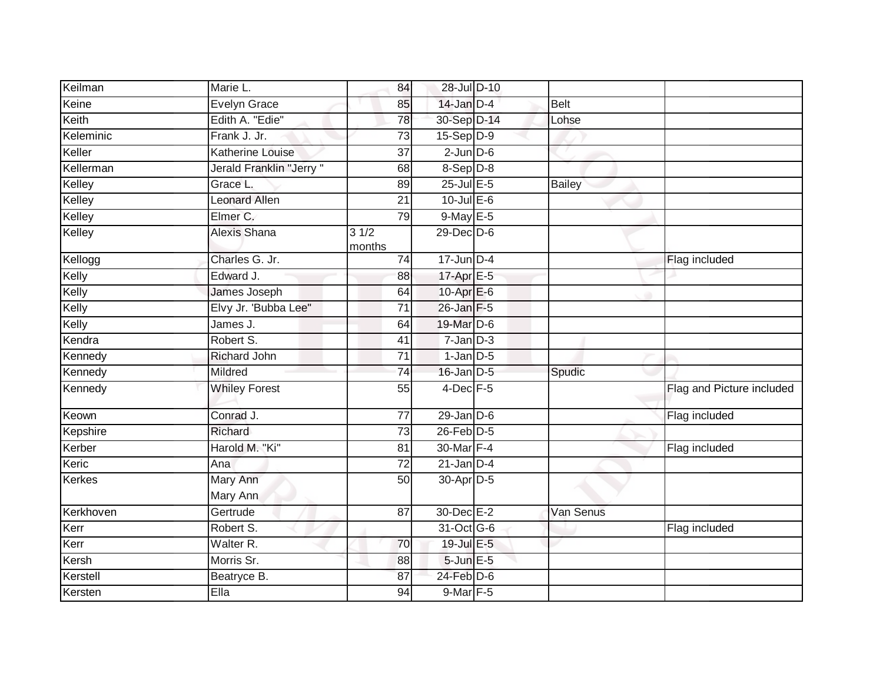| Keilman       | Marie L.                | 84              | 28-Jul D-10           |             |                           |
|---------------|-------------------------|-----------------|-----------------------|-------------|---------------------------|
| Keine         | <b>Evelyn Grace</b>     | 85              | $14$ -Jan $D-4$       | <b>Belt</b> |                           |
| Keith         | Edith A. "Edie"         | 78              | 30-Sep D-14           | Lohse       |                           |
| Keleminic     | Frank J. Jr.            | 73              | $15-Sep D-9$          |             |                           |
| Keller        | <b>Katherine Louise</b> | $\overline{37}$ | $2$ -Jun $D-6$        |             |                           |
| Kellerman     | Jerald Franklin "Jerry" | 68              | $8-$ Sep $D-8$        |             |                           |
| Kelley        | Grace L.                | 89              | $25$ -Jul E-5         | Bailey      |                           |
| Kelley        | Leonard Allen           | $\overline{21}$ | $10$ -Jul E-6         |             |                           |
| Kelley        | Elmer C.                | 79              | 9-May E-5             |             |                           |
| Kelley        | Alexis Shana            | 31/2<br>months  | 29-Dec D-6            |             |                           |
| Kellogg       | Charles G. Jr.          | 74              | $17$ -Jun D-4         |             | Flag included             |
| Kelly         | Edward J.               | 88              | 17-Apr $E-5$          |             |                           |
| Kelly         | James Joseph            | 64              | 10-Apr $E-6$          |             |                           |
| Kelly         | Elvy Jr. 'Bubba Lee"    | $\overline{71}$ | 26-Jan F-5            |             |                           |
| Kelly         | James J.                | 64              | 19-Mar D-6            |             |                           |
| Kendra        | Robert S.               | 41              | $7$ -Jan $ D-3 $      |             |                           |
| Kennedy       | <b>Richard John</b>     | 71              | $1$ -Jan $D-5$        |             |                           |
| Kennedy       | Mildred                 | 74              | $16$ -Jan $D-5$       | Spudic      |                           |
| Kennedy       | <b>Whiley Forest</b>    | 55              | $4$ -Dec $F-5$        |             | Flag and Picture included |
| Keown         | Conrad J.               | 77              | $29$ -Jan $D-6$       |             | Flag included             |
| Kepshire      | Richard                 | $\overline{73}$ | 26-Feb D-5            |             |                           |
| Kerber        | Harold M. "Ki"          | 81              | 30-Mar F-4            |             | Flag included             |
| Keric         | Ana                     | 72              | $21$ -Jan $D-4$       |             |                           |
| <b>Kerkes</b> | Mary Ann<br>Mary Ann    | 50              | 30-Apr <sub>D-5</sub> |             |                           |
| Kerkhoven     | Gertrude                | 87              | 30-Dec E-2            | Van Senus   |                           |
| Kerr          | Robert S.               |                 | 31-Oct G-6            |             | Flag included             |
| Kerr          | Walter R.               | 70              | 19-Jul E-5            |             |                           |
| Kersh         | Morris Sr.              | 88              | 5-Jun E-5             |             |                           |
| Kerstell      | Beatryce B.             | 87              | 24-Feb D-6            |             |                           |
| Kersten       | Ella                    | 94              | 9-Mar F-5             |             |                           |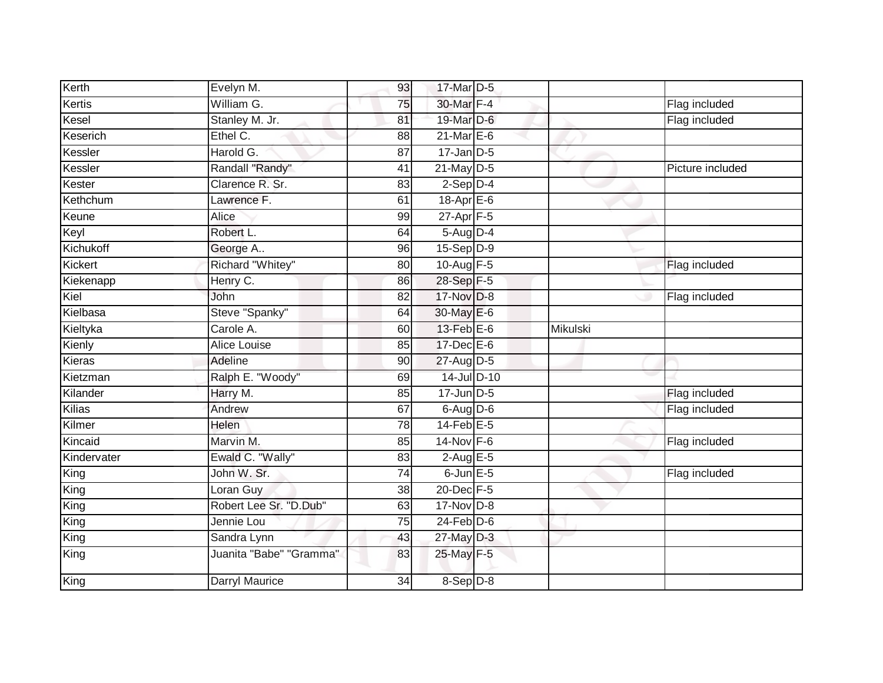| Kerth       | Evelyn M.               | 93              | 17-Mar D-5       |                 |                  |
|-------------|-------------------------|-----------------|------------------|-----------------|------------------|
| Kertis      | William G.              | 75              | 30-Mar F-4       |                 | Flag included    |
| Kesel       | Stanley M. Jr.          | 81              | 19-Mar D-6       |                 | Flag included    |
| Keserich    | Ethel C.                | 88              | $21$ -Mar $E-6$  |                 |                  |
| Kessler     | Harold G.               | $\overline{87}$ | $17$ -Jan D-5    |                 |                  |
| Kessler     | Randall "Randy"         | 41              | $21$ -May $D-5$  |                 | Picture included |
| Kester      | Clarence R. Sr.         | 83              | $2-Sep$ D-4      |                 |                  |
| Kethchum    | Lawrence F.             | 61              | 18-Apr E-6       |                 |                  |
| Keune       | Alice                   | 99              | $27 - Apr$ F-5   |                 |                  |
| Keyl        | Robert L.               | 64              | 5-Aug D-4        |                 |                  |
| Kichukoff   | George A                | 96              | $15-Sep$ D-9     |                 |                  |
| Kickert     | Richard "Whitey"        | 80              | 10-Aug $F-5$     |                 | Flag included    |
| Kiekenapp   | Henry C.                | 86              | 28-Sep F-5       |                 |                  |
| Kiel        | John                    | 82              | 17-Nov D-8       |                 | Flag included    |
| Kielbasa    | Steve "Spanky"          | 64              | 30-May E-6       |                 |                  |
| Kieltyka    | Carole A.               | 60              | $13$ -Feb $E$ -6 | <b>Mikulski</b> |                  |
| Kienly      | Alice Louise            | 85              | 17-Dec E-6       |                 |                  |
| Kieras      | Adeline                 | 90              | 27-Aug D-5       |                 |                  |
| Kietzman    | Ralph E. "Woody"        | 69              | 14-Jul D-10      |                 |                  |
| Kilander    | Harry M.                | 85              | $17$ -Jun $D-5$  |                 | Flag included    |
| Kilias      | Andrew                  | 67              | $6$ -Aug $D$ -6  |                 | Flag included    |
| Kilmer      | Helen                   | $\overline{78}$ | $14$ -Feb $E-5$  |                 |                  |
| Kincaid     | Marvin M.               | 85              | $14$ -Nov $F-6$  |                 | Flag included    |
| Kindervater | Ewald C. "Wally"        | 83              | $2$ -Aug $E - 5$ |                 |                  |
| King        | John W. Sr.             | 74              | $6$ -Jun $E$ -5  |                 | Flag included    |
| King        | Loran Guy               | 38              | 20-Dec F-5       |                 |                  |
| King        | Robert Lee Sr. "D.Dub"  | 63              | $17$ -Nov $D-8$  |                 |                  |
| King        | Jennie Lou              | 75              | $24$ -Feb $D-6$  |                 |                  |
| King        | Sandra Lynn             | 43              | 27-May D-3       |                 |                  |
| King        | Juanita "Babe" "Gramma" | 83              | 25-May F-5       |                 |                  |
| King        | Darryl Maurice          | 34              | 8-Sep D-8        |                 |                  |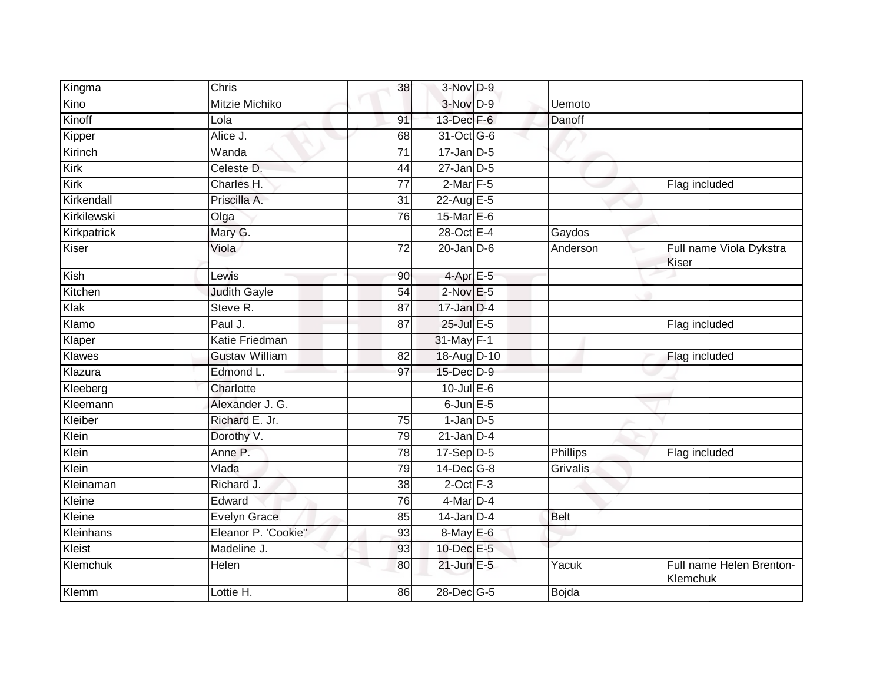| Kingma      | Chris                 | 38              | 3-Nov D-9        |                 |                                      |
|-------------|-----------------------|-----------------|------------------|-----------------|--------------------------------------|
| Kino        | <b>Mitzie Michiko</b> |                 | 3-Nov D-9        | Uemoto          |                                      |
| Kinoff      | Lola                  | 91              | 13-Dec F-6       | Danoff          |                                      |
| Kipper      | Alice J.              | 68              | 31-Oct G-6       |                 |                                      |
| Kirinch     | Wanda                 | $\overline{71}$ | $17$ -Jan D-5    |                 |                                      |
| Kirk        | Celeste D.            | 44              | $27$ -Jan D-5    |                 |                                      |
| Kirk        | Charles H.            | 77              | $2$ -Mar $F-5$   |                 | Flag included                        |
| Kirkendall  | Priscilla A.          | 31              | 22-Aug E-5       |                 |                                      |
| Kirkilewski | Olga                  | 76              | 15-Mar E-6       |                 |                                      |
| Kirkpatrick | Mary G.               |                 | 28-Oct E-4       | Gaydos          |                                      |
| Kiser       | Viola                 | 72              | $20$ -Jan $D-6$  | Anderson        | Full name Viola Dykstra<br>Kiser     |
| Kish        | Lewis                 | 90              | $4$ -Apr $E - 5$ |                 |                                      |
| Kitchen     | <b>Judith Gayle</b>   | $\overline{54}$ | $2$ -Nov $E - 5$ |                 |                                      |
| Klak        | Steve R.              | 87              | $17$ -Jan D-4    |                 |                                      |
| Klamo       | Paul J.               | $\overline{87}$ | 25-Jul E-5       |                 | Flag included                        |
| Klaper      | Katie Friedman        |                 | 31-May F-1       |                 |                                      |
| Klawes      | <b>Gustav William</b> | $\overline{82}$ | 18-Aug D-10      |                 | Flag included                        |
| Klazura     | Edmond L.             | 97              | 15-Dec D-9       |                 |                                      |
| Kleeberg    | Charlotte             |                 | $10$ -Jul E-6    |                 |                                      |
| Kleemann    | Alexander J. G.       |                 | $6$ -Jun $E$ -5  |                 |                                      |
| Kleiber     | Richard E. Jr.        | 75              | $1$ -Jan $D-5$   |                 |                                      |
| Klein       | Dorothy V.            | 79              | $21$ -Jan D-4    |                 |                                      |
| Klein       | Anne P.               | 78              | $17-Sep$ D-5     | Phillips        | Flag included                        |
| Klein       | Vlada                 | 79              | 14-Dec G-8       | <b>Grivalis</b> |                                      |
| Kleinaman   | Richard J.            | $\overline{38}$ | $2$ -Oct $F-3$   |                 |                                      |
| Kleine      | Edward                | 76              | $4$ -Mar $D-4$   |                 |                                      |
| Kleine      | <b>Evelyn Grace</b>   | 85              | $14$ -Jan D-4    | <b>Belt</b>     |                                      |
| Kleinhans   | Eleanor P. 'Cookie"   | 93              | 8-May E-6        |                 |                                      |
| Kleist      | Madeline J.           | 93              | 10-Dec E-5       |                 |                                      |
| Klemchuk    | Helen                 | 80              | $21$ -Jun $E-5$  | Yacuk           | Full name Helen Brenton-<br>Klemchuk |
| Klemm       | Lottie H.             | 86              | 28-Dec G-5       | Bojda           |                                      |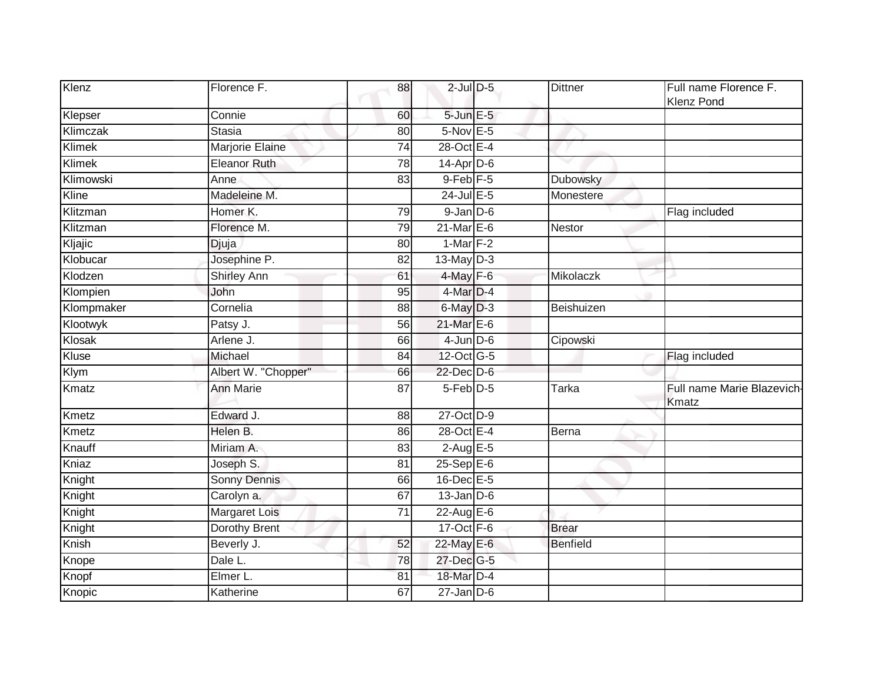| Klenz         | Florence F.          | 88              | $2$ -Jul $D$ -5  | <b>Dittner</b>  | Full name Florence F.<br><b>Klenz Pond</b> |
|---------------|----------------------|-----------------|------------------|-----------------|--------------------------------------------|
| Klepser       | Connie               | 60              | $5$ -Jun $E$ -5  |                 |                                            |
| Klimczak      | Stasia               | 80              | 5-Nov E-5        |                 |                                            |
| Klimek        | Marjorie Elaine      | 74              | 28-Oct E-4       |                 |                                            |
| <b>Klimek</b> | <b>Eleanor Ruth</b>  | 78              | 14-Apr D-6       |                 |                                            |
| Klimowski     | Anne                 | 83              | $9$ -Feb $F-5$   | Dubowsky        |                                            |
| Kline         | Madeleine M.         |                 | $24$ -Jul E-5    | Monestere       |                                            |
| Klitzman      | Homer K.             | 79              | $9$ -Jan $D$ -6  |                 | Flag included                              |
| Klitzman      | Florence M.          | 79              | $21$ -Mar $E-6$  | Nestor          |                                            |
| Kljajic       | Djuja                | 80              | $1-Mar$ F-2      |                 |                                            |
| Klobucar      | Josephine P.         | 82              | $13$ -May $D-3$  |                 |                                            |
| Klodzen       | <b>Shirley Ann</b>   | 61              | $4$ -May $F-6$   | Mikolaczk       |                                            |
| Klompien      | John                 | 95              | $4$ -Mar $D-4$   |                 |                                            |
| Klompmaker    | Cornelia             | 88              | 6-May D-3        | Beishuizen      |                                            |
| Klootwyk      | Patsy J.             | 56              | 21-Mar E-6       |                 |                                            |
| Klosak        | Arlene J.            | 66              | $4$ -Jun $D-6$   | Cipowski        |                                            |
| Kluse         | Michael              | 84              | 12-Oct G-5       |                 | Flag included                              |
| <b>Klym</b>   | Albert W. "Chopper"  | 66              | 22-Dec D-6       |                 |                                            |
| Kmatz         | <b>Ann Marie</b>     | 87              | 5-Feb D-5        | <b>Tarka</b>    | Full name Marie Blazevich-<br>Kmatz        |
| Kmetz         | Edward J.            | $\overline{88}$ | 27-Oct D-9       |                 |                                            |
| Kmetz         | Helen B.             | 86              | 28-Oct E-4       | Berna           |                                            |
| Knauff        | Miriam A.            | 83              | $2-AugE-5$       |                 |                                            |
| Kniaz         | Joseph S.            | 81              | $25-Sep$ $E-6$   |                 |                                            |
| Knight        | Sonny Dennis         | 66              | 16-Dec E-5       |                 |                                            |
| Knight        | Carolyn a.           | 67              | $13$ -Jan $D-6$  |                 |                                            |
| Knight        | <b>Margaret Lois</b> | 71              | 22-Aug E-6       |                 |                                            |
| Knight        | Dorothy Brent        |                 | 17-Oct F-6       | <b>Brear</b>    |                                            |
| Knish         | Beverly J.           | 52              | 22-May E-6       | <b>Benfield</b> |                                            |
| Knope         | Dale L.              | 78              | 27-Dec G-5       |                 |                                            |
| Knopf         | Elmer L.             | 81              | 18-Mar D-4       |                 |                                            |
| Knopic        | Katherine            | 67              | $27 - Jan$ $D-6$ |                 |                                            |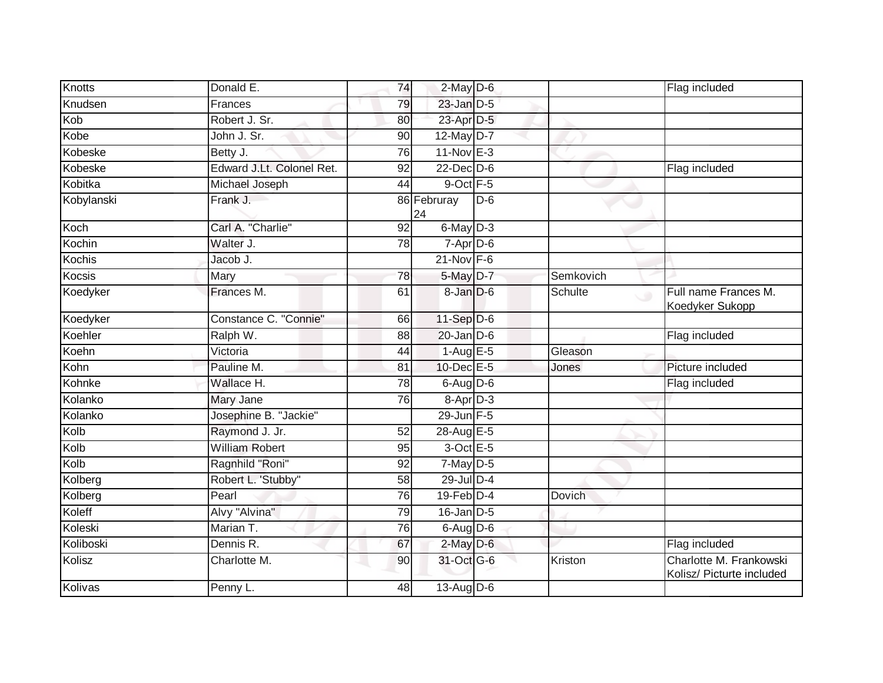| Knotts     | Donald E.                 | 74              | $2$ -May $D$ -6       |       |                | Flag included                                        |
|------------|---------------------------|-----------------|-----------------------|-------|----------------|------------------------------------------------------|
| Knudsen    | Frances                   | 79              | $23$ -Jan $D-5$       |       |                |                                                      |
| Kob        | Robert J. Sr.             | 80              | 23-Apr D-5            |       |                |                                                      |
| Kobe       | John J. Sr.               | 90              | 12-May D-7            |       |                |                                                      |
| Kobeske    | Betty J.                  | 76              | $11-Nov$ E-3          |       |                |                                                      |
| Kobeske    | Edward J.Lt. Colonel Ret. | $\overline{92}$ | $22$ -Dec $D-6$       |       |                | Flag included                                        |
| Kobitka    | Michael Joseph            | 44              | 9-Oct F-5             |       |                |                                                      |
| Kobylanski | Frank J.                  |                 | 86 Februray<br>24     | $D-6$ |                |                                                      |
| Koch       | Carl A. "Charlie"         | $\overline{92}$ | 6-May D-3             |       |                |                                                      |
| Kochin     | Walter J.                 | 78              | $7-Apr\overline{D-6}$ |       |                |                                                      |
| Kochis     | Jacob J.                  |                 | $21$ -Nov $F-6$       |       |                |                                                      |
| Kocsis     | Mary                      | 78              | 5-May D-7             |       | Semkovich      |                                                      |
| Koedyker   | Frances M.                | 61              | $8 - Jan$ $D-6$       |       | <b>Schulte</b> | Full name Frances M.<br>$\circ$<br>Koedyker Sukopp   |
| Koedyker   | Constance C. "Connie"     | 66              | 11-Sep D-6            |       |                |                                                      |
| Koehler    | Ralph W.                  | 88              | $20$ -Jan $D-6$       |       |                | Flag included                                        |
| Koehn      | Victoria                  | 44              | $1-AugE-5$            |       | Gleason        |                                                      |
| Kohn       | Pauline M.                | 81              | $10$ -Dec $E - 5$     |       | Jones          | Picture included                                     |
| Kohnke     | Wallace H.                | 78              | $6$ -Aug $D$ -6       |       |                | Flag included                                        |
| Kolanko    | Mary Jane                 | 76              | $8-$ Apr $D-3$        |       |                |                                                      |
| Kolanko    | Josephine B. "Jackie"     |                 | 29-Jun F-5            |       |                |                                                      |
| Kolb       | Raymond J. Jr.            | 52              | 28-Aug E-5            |       |                |                                                      |
| Kolb       | <b>William Robert</b>     | 95              | $3$ -Oct $E-5$        |       |                |                                                      |
| Kolb       | Ragnhild "Roni"           | 92              | $7-May$ D-5           |       |                |                                                      |
| Kolberg    | Robert L. 'Stubby"        | 58              | 29-Jul D-4            |       |                |                                                      |
| Kolberg    | Pearl                     | 76              | $19$ -Feb $D-4$       |       | <b>Dovich</b>  |                                                      |
| Koleff     | Alvy "Alvina"             | 79              | $16$ -Jan $D-5$       |       |                |                                                      |
| Koleski    | Marian T.                 | 76              | $6$ -Aug $D-6$        |       |                |                                                      |
| Koliboski  | Dennis R.                 | 67              | $2$ -May $D$ -6       |       |                | Flag included                                        |
| Kolisz     | Charlotte M.              | 90              | 31-Oct G-6            |       | Kriston        | Charlotte M. Frankowski<br>Kolisz/ Picturte included |
| Kolivas    | Penny L.                  | 48              | 13-Aug D-6            |       |                |                                                      |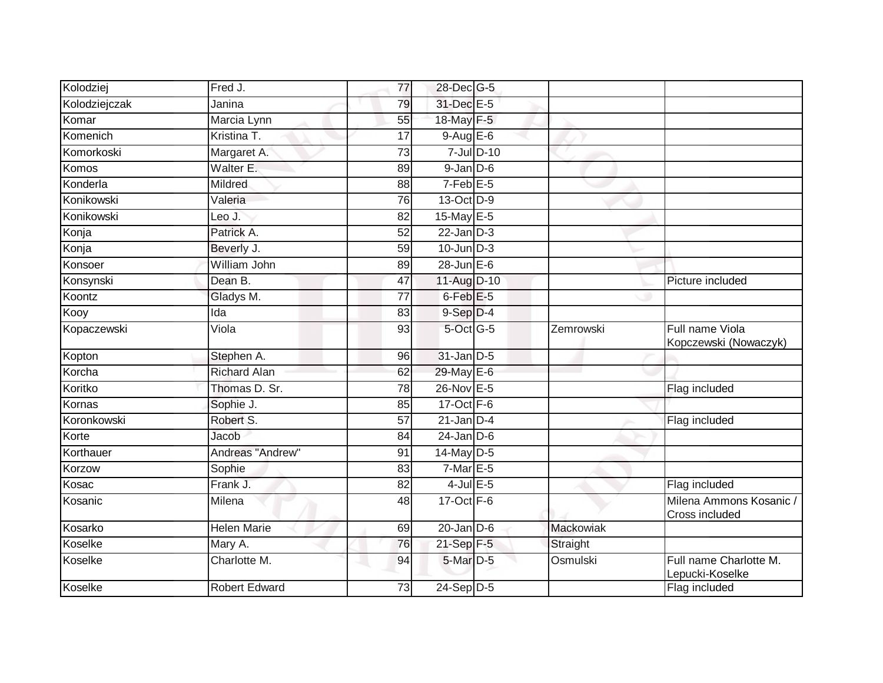| Kolodziej     | Fred J.              | 77              | 28-Dec G-5      |           |                                           |
|---------------|----------------------|-----------------|-----------------|-----------|-------------------------------------------|
| Kolodziejczak | Janina               | 79              | 31-Dec E-5      |           |                                           |
| Komar         | Marcia Lynn          | 55              | 18-May F-5      |           |                                           |
| Komenich      | Kristina T.          | 17              | $9-AugE-6$      |           |                                           |
| Komorkoski    | Margaret A.          | $\overline{73}$ | 7-Jul D-10      |           |                                           |
| Komos         | Walter E.            | 89              | $9$ -Jan $D$ -6 |           |                                           |
| Konderla      | Mildred              | 88              | $7-Feb$ $E-5$   |           |                                           |
| Konikowski    | Valeria              | 76              | 13-Oct D-9      |           |                                           |
| Konikowski    | Leo J.               | 82              | 15-May E-5      |           |                                           |
| Konja         | Patrick A.           | 52              | $22$ -Jan $D-3$ |           |                                           |
| Konja         | Beverly J.           | 59              | $10$ -Jun $D-3$ |           |                                           |
| Konsoer       | William John         | 89              | $28$ -Jun $E-6$ |           |                                           |
| Konsynski     | Dean B.              | 47              | 11-Aug D-10     |           | Picture included                          |
| Koontz        | Gladys M.            | 77              | $6$ -Feb $E$ -5 |           |                                           |
| Kooy          | Ida                  | 83              | 9-Sep D-4       |           |                                           |
| Kopaczewski   | Viola                | 93              | 5-Oct G-5       | Zemrowski | Full name Viola<br>Kopczewski (Nowaczyk)  |
| Kopton        | Stephen A.           | 96              | 31-Jan D-5      |           |                                           |
| Korcha        | <b>Richard Alan</b>  | 62              | 29-May E-6      |           |                                           |
| Koritko       | Thomas D. Sr.        | 78              | 26-Nov E-5      |           | Flag included                             |
| Kornas        | Sophie J.            | 85              | $17-Oct$ F-6    |           |                                           |
| Koronkowski   | Robert S.            | 57              | $21$ -Jan $D-4$ |           | Flag included                             |
| Korte         | Jacob                | 84              | $24$ -Jan D-6   |           |                                           |
| Korthauer     | Andreas "Andrew"     | 91              | $14$ -May D-5   |           |                                           |
| Korzow        | Sophie               | 83              | $7$ -Mar $E-5$  |           |                                           |
| Kosac         | Frank J.             | $\overline{82}$ | $4$ -Jul $E$ -5 |           | Flag included                             |
| Kosanic       | Milena               | 48              | $17-Oct$ F-6    |           | Milena Ammons Kosanic /<br>Cross included |
| Kosarko       | <b>Helen Marie</b>   | 69              | $20$ -Jan $D-6$ | Mackowiak |                                           |
| Koselke       | Mary A.              | 76              | 21-Sep F-5      | Straight  |                                           |
| Koselke       | Charlotte M.         | 94              | 5-Mar D-5       | Osmulski  | Full name Charlotte M.<br>Lepucki-Koselke |
| Koselke       | <b>Robert Edward</b> | 73              | $24$ -Sep D-5   |           | Flag included                             |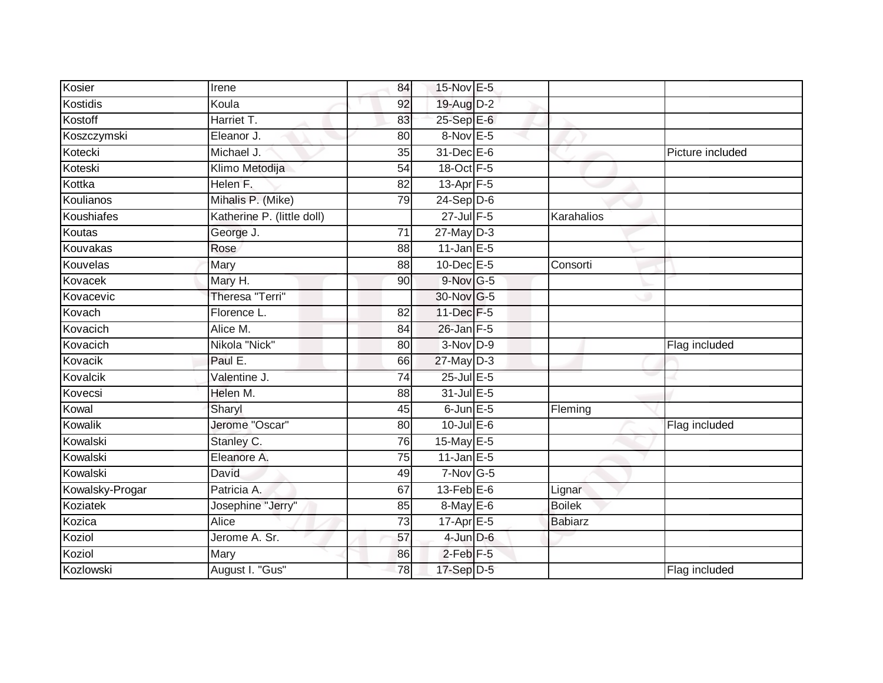| Kosier          | Irene                      | 84              | 15-Nov E-5       |                |                  |
|-----------------|----------------------------|-----------------|------------------|----------------|------------------|
| Kostidis        | Koula                      | 92              | 19-Aug D-2       |                |                  |
| Kostoff         | Harriet T.                 | 83              | 25-Sep E-6       |                |                  |
| Koszczymski     | Eleanor J.                 | 80              | 8-Nov E-5        |                |                  |
| Kotecki         | Michael J.                 | 35              | 31-Dec E-6       |                | Picture included |
| Koteski         | Klimo Metodija             | 54              | 18-Oct F-5       |                |                  |
| Kottka          | Helen F.                   | 82              | $13$ -Apr $F-5$  |                |                  |
| Koulianos       | Mihalis P. (Mike)          | 79              | $24-Sep D-6$     |                |                  |
| Koushiafes      | Katherine P. (little doll) |                 | 27-Jul F-5       | Karahalios     |                  |
| Koutas          | George J.                  | $\overline{71}$ | 27-May D-3       |                |                  |
| Kouvakas        | Rose                       | 88              | $11$ -Jan E-5    |                |                  |
| Kouvelas        | Mary                       | 88              | 10-Dec E-5       | Consorti       |                  |
| Kovacek         | Mary H.                    | 90              | $9$ -Nov G-5     |                |                  |
| Kovacevic       | Theresa "Terri"            |                 | 30-Nov G-5       |                |                  |
| Kovach          | Florence L.                | 82              | 11-Dec F-5       |                |                  |
| Kovacich        | Alice M.                   | 84              | $26$ -Jan $F-5$  |                |                  |
| Kovacich        | Nikola "Nick"              | 80              | 3-Nov D-9        |                | Flag included    |
| Kovacik         | Paul E.                    | 66              | $27$ -May D-3    |                |                  |
| Kovalcik        | Valentine J.               | $\overline{74}$ | 25-Jul E-5       |                |                  |
| Kovecsi         | Helen M.                   | 88              | 31-Jul E-5       |                |                  |
| Kowal           | Sharyl                     | 45              | $6$ -Jun $E$ -5  | Fleming        |                  |
| Kowalik         | Jerome "Oscar"             | 80              | $10$ -Jul $E-6$  |                | Flag included    |
| Kowalski        | Stanley C.                 | 76              | 15-May E-5       |                |                  |
| Kowalski        | Eleanore A.                | 75              | $11$ -Jan $E-5$  |                |                  |
| Kowalski        | David                      | 49              | $7-Nov$ G-5      |                |                  |
| Kowalsky-Progar | Patricia A.                | 67              | $13$ -Feb $E$ -6 | Lignar         |                  |
| Koziatek        | Josephine "Jerry"          | 85              | 8-May E-6        | <b>Boilek</b>  |                  |
| Kozica          | Alice                      | 73              | $17$ -Apr $E-5$  | <b>Babiarz</b> |                  |
| Koziol          | Jerome A. Sr.              | 57              | $4$ -Jun $D-6$   |                |                  |
| Koziol          | Mary                       | 86              | $2$ -Feb $F-5$   |                |                  |
| Kozlowski       | August I. "Gus"            | 78              | 17-Sep D-5       |                | Flag included    |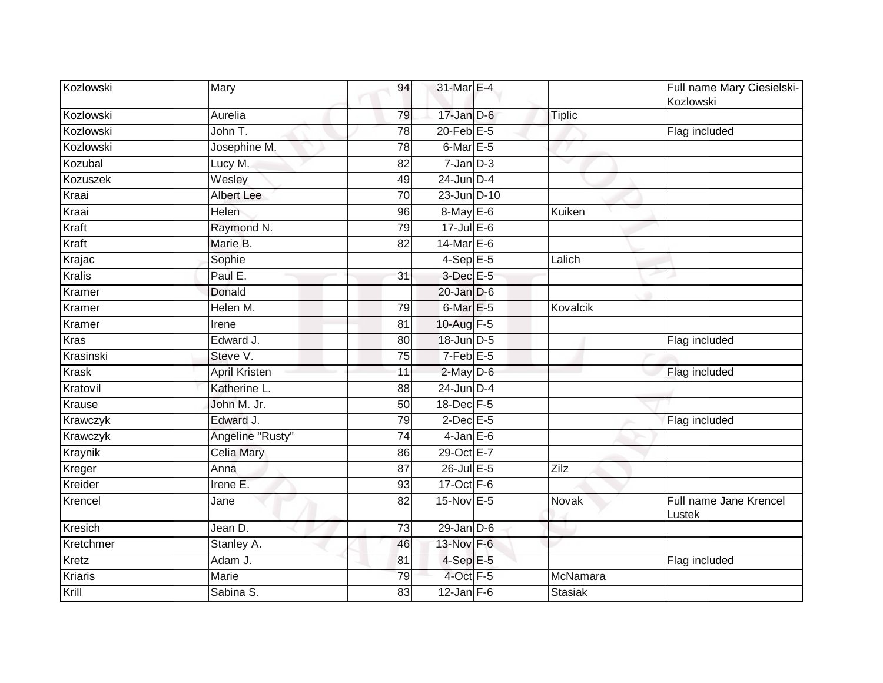| Kozlowski     | Mary                 | 94              | 31-Mar E-4           |                | Full name Mary Ciesielski-<br>Kozlowski |
|---------------|----------------------|-----------------|----------------------|----------------|-----------------------------------------|
| Kozlowski     | Aurelia              | 79              | $17 - Jan$ $D-6$     | <b>Tiplic</b>  |                                         |
| Kozlowski     | John T.              | 78              | $20$ -Feb $E-5$      |                | Flag included                           |
| Kozlowski     | Josephine M.         | 78              | 6-Mar E-5            |                |                                         |
| Kozubal       | Lucy M.              | 82              | $7 - Jan$ $D-3$      |                |                                         |
| Kozuszek      | Wesley               | 49              | $24$ -Jun $D-4$      |                |                                         |
| Kraai         | <b>Albert Lee</b>    | $\overline{70}$ | 23-Jun D-10          |                |                                         |
| Kraai         | Helen                | 96              | 8-May E-6            | Kuiken         |                                         |
| Kraft         | Raymond N.           | 79              | 17-Jul E-6           |                |                                         |
| Kraft         | Marie B.             | 82              | 14-Mar $E-6$         |                |                                         |
| Krajac        | Sophie               |                 | $4-Sep$ E-5          | Lalich         |                                         |
| <b>Kralis</b> | Paul E.              | 31              | 3-Dec E-5            |                |                                         |
| Kramer        | Donald               |                 | $20$ -Jan $D-6$      |                |                                         |
| Kramer        | Helen M.             | 79              | 6-Mar <sub>E-5</sub> | Kovalcik       |                                         |
| Kramer        | Irene                | 81              | 10-Aug F-5           |                |                                         |
| <b>Kras</b>   | Edward J.            | 80              | 18-Jun D-5           |                | Flag included                           |
| Krasinski     | Steve V.             | 75              | $7-Feb$ E-5          |                |                                         |
| <b>Krask</b>  | <b>April Kristen</b> | 11              | $2$ -May $D$ -6      |                | Flag included                           |
| Kratovil      | Katherine L.         | 88              | 24-Jun D-4           |                |                                         |
| <b>Krause</b> | John M. Jr.          | $\overline{50}$ | 18-Dec F-5           |                |                                         |
| Krawczyk      | Edward J.            | 79              | $2$ -Dec $E$ -5      |                | Flag included                           |
| Krawczyk      | Angeline "Rusty"     | $\overline{74}$ | $4$ -Jan $E$ -6      |                |                                         |
| Kraynik       | Celia Mary           | 86              | 29-Oct E-7           |                |                                         |
| Kreger        | Anna                 | 87              | $26$ -Jul $E$ -5     | Zilz           |                                         |
| Kreider       | Irene E.             | 93              | 17-Oct F-6           |                |                                         |
| Krencel       | Jane                 | 82              | $15$ -Nov $E - 5$    | Novak          | Full name Jane Krencel<br>Lustek        |
| Kresich       | Jean D.              | $\overline{73}$ | $29$ -Jan $D-6$      |                |                                         |
| Kretchmer     | Stanley A.           | 46              | 13-Nov F-6           |                |                                         |
| Kretz         | Adam J.              | 81              | $4-SepE-5$           |                | Flag included                           |
| Kriaris       | Marie                | 79              | $4$ -Oct $F-5$       | McNamara       |                                         |
| Krill         | Sabina S.            | 83              | $12$ -Jan F-6        | <b>Stasiak</b> |                                         |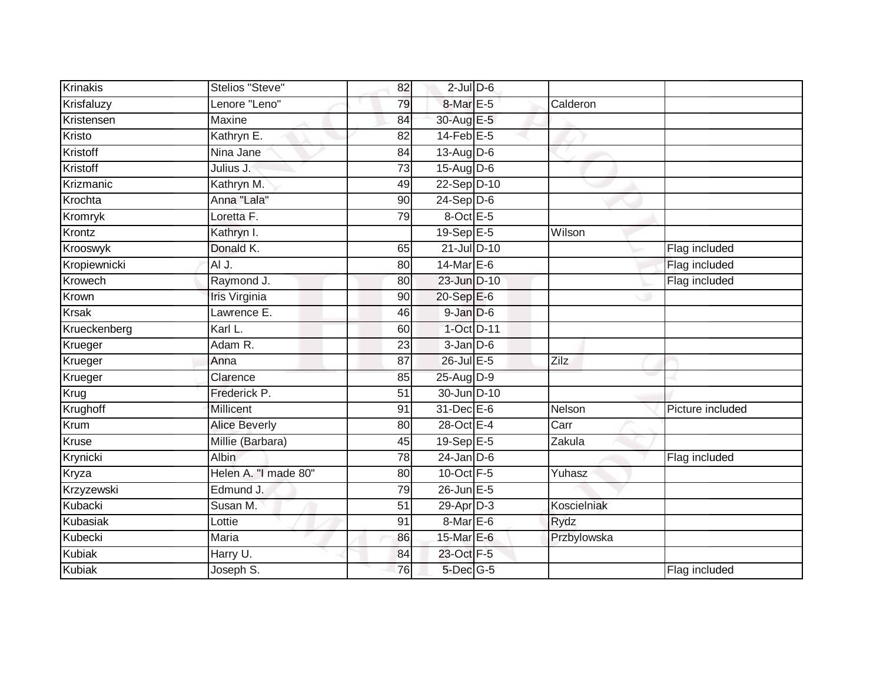| Krinakis      | Stelios "Steve"         | 82              | $2$ -Jul $D$ -6 |             |                  |
|---------------|-------------------------|-----------------|-----------------|-------------|------------------|
| Krisfaluzy    | Lenore "Leno"           | 79              | 8-Mar E-5       | Calderon    |                  |
| Kristensen    | Maxine                  | 84              | 30-Aug E-5      |             |                  |
| Kristo        | Kathryn E.              | 82              | $14$ -Feb $E-5$ |             |                  |
| Kristoff      | Nina Jane               | 84              | 13-Aug D-6      |             |                  |
| Kristoff      | Julius J.               | $\overline{73}$ | $15$ -Aug D-6   |             |                  |
| Krizmanic     | Kathryn M.              | 49              | 22-Sep D-10     |             |                  |
| Krochta       | Anna "Lala"             | 90              | $24-Sep D-6$    |             |                  |
| Kromryk       | Loretta F.              | 79              | 8-Oct E-5       |             |                  |
| Krontz        | Kathryn I.              |                 | 19-Sep E-5      | Wilson      |                  |
| Krooswyk      | Donald K.               | 65              | 21-Jul D-10     |             | Flag included    |
| Kropiewnicki  | AI J.                   | 80              | 14-Mar $E-6$    |             | Flag included    |
| Krowech       | Raymond J.              | 80              | 23-Jun D-10     |             | Flag included    |
| Krown         | Iris Virginia           | 90              | 20-Sep E-6      |             |                  |
| <b>Krsak</b>  | Lawrence E.             | 46              | 9-Jan D-6       |             |                  |
| Krueckenberg  | Karl L.                 | 60              | 1-Oct D-11      |             |                  |
| Krueger       | Adam R.                 | $\overline{23}$ | $3$ -Jan $D-6$  |             |                  |
| Krueger       | Anna                    | $\overline{87}$ | 26-Jul E-5      | Zilz        |                  |
| Krueger       | Clarence                | 85              | 25-Aug D-9      |             |                  |
| Krug          | Frederick P.            | 51              | 30-Jun D-10     |             |                  |
| Krughoff      | Millicent               | 91              | 31-Dec E-6      | Nelson      | Picture included |
| Krum          | <b>Alice Beverly</b>    | 80              | 28-Oct E-4      | Carr        |                  |
| Kruse         | Millie (Barbara)        | 45              | 19-Sep $E-5$    | Zakula      |                  |
| Krynicki      | <b>Albin</b>            | 78              | $24$ -Jan $D-6$ |             | Flag included    |
| Kryza         | Helen A. "I made 80"    | 80              | $10$ -Oct $F-5$ | Yuhasz      |                  |
| Krzyzewski    | Edmund J.               | 79              | $26$ -Jun $E-5$ |             |                  |
| Kubacki       | Susan M.                | 51              | 29-Apr D-3      | Koscielniak |                  |
| Kubasiak      | Lottie                  | 91              | 8-Mar E-6       | Rydz        |                  |
| Kubecki       | Maria                   | 86              | 15-Mar E-6      | Przbylowska |                  |
| <b>Kubiak</b> | Harry U.                | 84              | 23-Oct F-5      |             |                  |
| Kubiak        | Joseph $\overline{S}$ . | 76              | 5-Dec G-5       |             | Flag included    |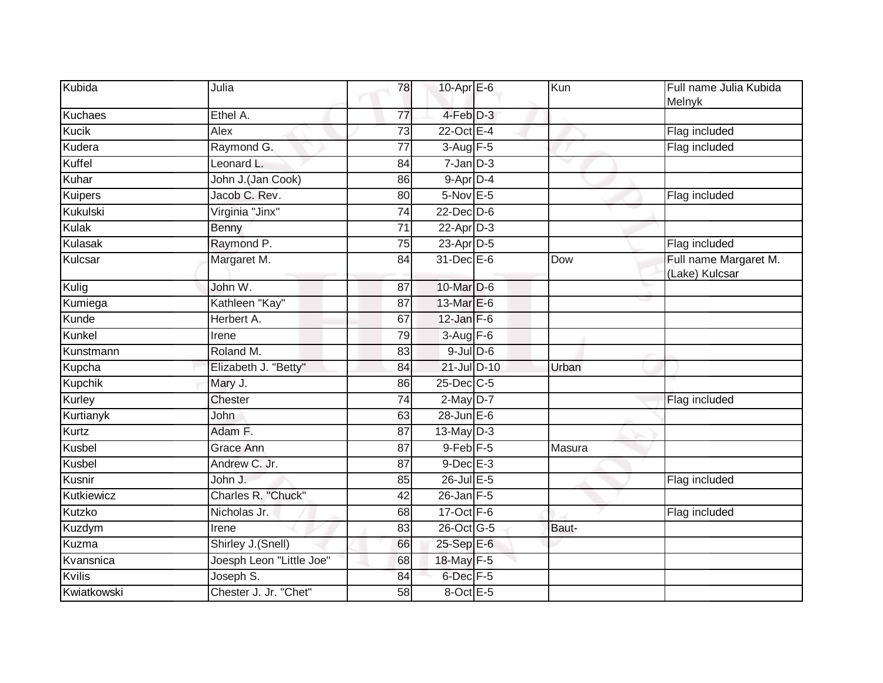| Kubida         | Julia                    | 78              | 10-Apr E-6           | Kun    | Full name Julia Kubida<br>Melnyk        |
|----------------|--------------------------|-----------------|----------------------|--------|-----------------------------------------|
| <b>Kuchaes</b> | Ethel A.                 | $\overline{77}$ | $4$ -Feb $D-3$       |        |                                         |
| <b>Kucik</b>   | Alex                     | $\overline{73}$ | 22-Oct E-4           |        | Flag included                           |
| Kudera         | Raymond G.               | 77              | $3-Aug$ F-5          |        | Flag included                           |
| Kuffel         | Leonard L.               | 84              | $7$ -Jan $D-3$       |        |                                         |
| Kuhar          | John J.(Jan Cook)        | 86              | 9-Apr D-4            |        |                                         |
| Kuipers        | Jacob C. Rev.            | 80              | 5-Nov E-5            |        | Flag included                           |
| Kukulski       | Virginia "Jinx"          | $\overline{74}$ | $22$ -Dec $D-6$      |        |                                         |
| Kulak          | Benny                    | 71              | $22$ -Apr $D-3$      |        |                                         |
| Kulasak        | Raymond P.               | 75              | 23-Apr D-5           |        | Flag included                           |
| Kulcsar        | Margaret M.              | 84              | 31-Dec E-6           | Dow    | Full name Margaret M.<br>(Lake) Kulcsar |
| Kulig          | John W.                  | 87              | $10$ -Mar $D-6$      |        |                                         |
| Kumiega        | Kathleen "Kay"           | 87              | 13-Mar E-6           |        |                                         |
| Kunde          | Herbert A.               | 67              | $12$ -Jan $F-6$      |        |                                         |
| Kunkel         | Irene                    | 79              | $3-Aug$ F-6          |        |                                         |
| Kunstmann      | Roland M.                | 83              | $9$ -Jul $D$ -6      |        |                                         |
| Kupcha         | Elizabeth J. "Betty"     | 84              | 21-Jul D-10          | Urban  |                                         |
| <b>Kupchik</b> | Mary J.                  | 86              | 25-Dec C-5           |        |                                         |
| Kurley         | Chester                  | 74              | $2$ -May $D-7$       |        | Flag included                           |
| Kurtianyk      | John                     | 63              | $28$ -Jun $E-6$      |        |                                         |
| Kurtz          | Adam F.                  | 87              | 13-May $D-3$         |        |                                         |
| Kusbel         | Grace Ann                | 87              | $9$ -Feb $F-5$       | Masura |                                         |
| Kusbel         | Andrew C. Jr.            | 87              | $9$ -Dec $E - 3$     |        |                                         |
| Kusnir         | John J.                  | 85              | $26$ -Jul $E-5$      |        | Flag included                           |
| Kutkiewicz     | Charles R. "Chuck"       | $\overline{42}$ | $26$ -Jan $F-5$      |        |                                         |
| Kutzko         | Nicholas Jr.             | 68              | $17-Oct$ F-6         |        | Flag included                           |
| Kuzdym         | Irene                    | 83              | 26-Oct G-5           | Baut-  |                                         |
| Kuzma          | Shirley J.(Snell)        | 66              | 25-Sep E-6           |        |                                         |
| Kvansnica      | Joesph Leon "Little Joe" | 68              | 18-May F-5           |        |                                         |
| <b>Kvilis</b>  | Joseph S.                | 84              | 6-Dec <sub>F-5</sub> |        |                                         |
| Kwiatkowski    | Chester J. Jr. "Chet"    | 58              | $8$ -Oct E-5         |        |                                         |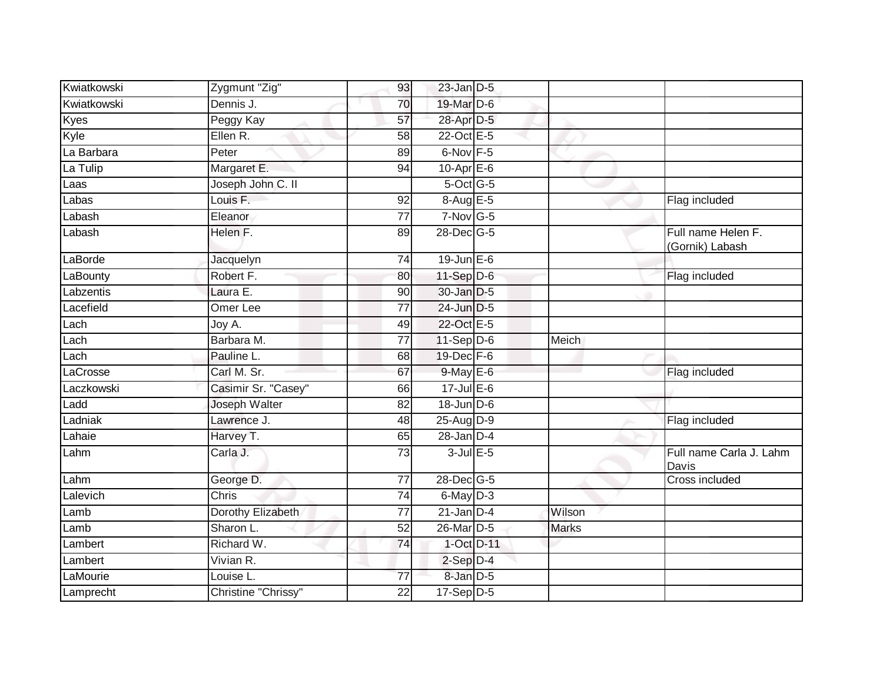| Kwiatkowski       | Zygmunt "Zig"        | 93              | $23$ -Jan $D-5$   |              |                                       |
|-------------------|----------------------|-----------------|-------------------|--------------|---------------------------------------|
| Kwiatkowski       | Dennis J.            | 70              | 19-Mar D-6        |              |                                       |
| Kyes              | Peggy Kay            | 57              | 28-Apr D-5        |              |                                       |
| Kyle              | Ellen R.             | 58              | 22-Oct E-5        |              |                                       |
| La Barbara        | Peter                | 89              | 6-Nov F-5         |              |                                       |
| La Tulip          | Margaret E.          | 94              | 10-Apr $E-6$      |              |                                       |
| Laas              | Joseph John C. II    |                 | 5-Oct G-5         |              |                                       |
| Labas             | Louis F.             | 92              | 8-Aug E-5         |              | Flag included                         |
| Labash            | Eleanor              | 77              | $7-Nov$ G-5       |              |                                       |
| Labash            | Helen F.             | 89              | 28-Dec G-5        |              | Full name Helen F.<br>(Gornik) Labash |
| LaBorde           | Jacquelyn            | 74              | $19$ -Jun $E - 6$ |              |                                       |
| LaBounty          | Robert F.            | 80              | 11-Sep $D-6$      |              | Flag included                         |
| Labzentis         | Laura E.             | 90              | 30-Jan D-5        |              |                                       |
| Lacefield         | Omer Lee             | 77              | 24-Jun D-5        |              |                                       |
| Lach              | Joy A.               | 49              | 22-Oct E-5        |              |                                       |
| Lach              | Barbara M.           | 77              | $11-Sep D-6$      | Meich        |                                       |
| $\mathsf{Lach}^-$ | Pauline L.           | 68              | 19-Dec F-6        |              |                                       |
| LaCrosse          | Carl M. Sr.          | 67              | 9-May E-6         |              | Flag included                         |
| Laczkowski        | Casimir Sr. "Casey"  | 66              | $17$ -Jul $E$ -6  |              |                                       |
| Ladd              | <b>Joseph Walter</b> | $\overline{82}$ | 18-Jun D-6        |              |                                       |
| Ladniak           | Lawrence J.          | 48              | 25-Aug D-9        |              | Flag included                         |
| Lahaie            | Harvey T.            | 65              | $28$ -Jan $D-4$   |              |                                       |
| Lahm              | Carla J.             | 73              | $3$ -Jul $E$ -5   |              | Full name Carla J. Lahm<br>Davis      |
| Lahm              | George D.            | 77              | 28-Dec G-5        |              | <b>Cross included</b>                 |
| Lalevich          | Chris                | 74              | 6-May D-3         |              |                                       |
| Lamb              | Dorothy Elizabeth    | 77              | $21$ -Jan D-4     | Wilson       |                                       |
| Lamb              | Sharon L.            | 52              | 26-Mar D-5        | <b>Marks</b> |                                       |
| Lambert           | Richard W.           | 74              | $1-Oct$ $D-11$    |              |                                       |
| Lambert           | Vivian R.            |                 | $2-Sep$ $D-4$     |              |                                       |
| LaMourie          | Louise L.            | $\overline{77}$ | 8-Jan D-5         |              |                                       |
| Lamprecht         | Christine "Chrissy"  | 22              | $17-Sep D-5$      |              |                                       |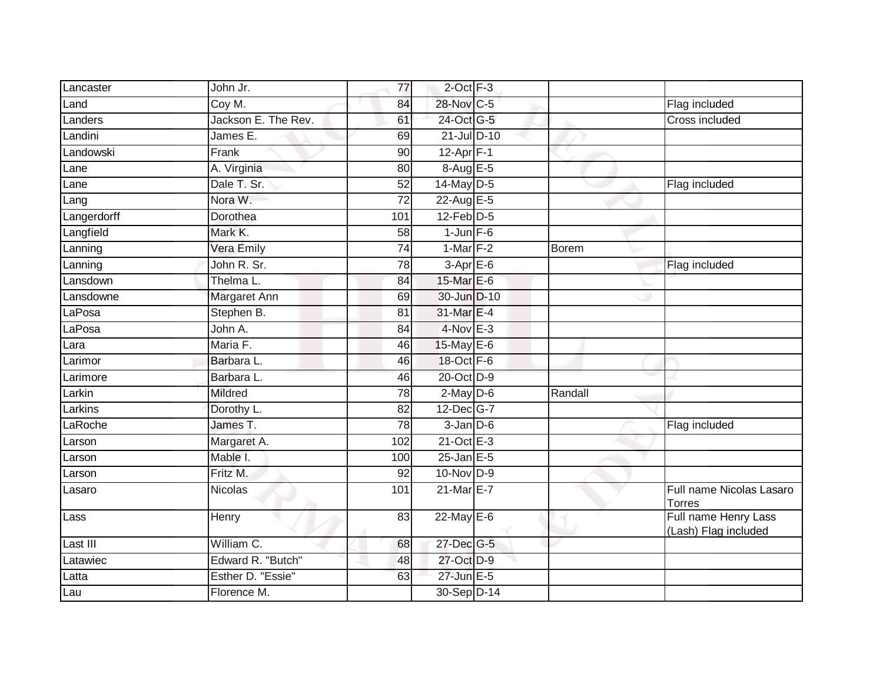| Lancaster   | John Jr.            | 77              | $2$ -Oct $F-3$  |         |                                              |
|-------------|---------------------|-----------------|-----------------|---------|----------------------------------------------|
| Land        | Coy M.              | 84              | 28-Nov C-5      |         | Flag included                                |
| Landers     | Jackson E. The Rev. | 61              | 24-Oct G-5      |         | Cross included                               |
| Landini     | James E.            | 69              | 21-Jul D-10     |         |                                              |
| Landowski   | Frank               | $\overline{90}$ | $12-Apr$ F-1    |         |                                              |
| Lane        | A. Virginia         | 80              | 8-Aug E-5       |         |                                              |
| Lane        | Dale T. Sr.         | 52              | 14-May D-5      |         | Flag included                                |
| Lang        | Nora W.             | $\overline{72}$ | 22-Aug E-5      |         |                                              |
| Langerdorff | Dorothea            | 101             | $12$ -Feb $D-5$ |         |                                              |
| Langfield   | Mark K.             | $\overline{58}$ | $1$ -Jun $F-6$  |         |                                              |
| Lanning     | Vera Emily          | $\overline{74}$ | 1-Mar $F-2$     | Borem   |                                              |
| Lanning     | John R. Sr.         | 78              | $3-Apr$ E-6     |         | Flag included                                |
| Lansdown    | Thelma L.           | 84              | 15-Mar E-6      |         |                                              |
| Lansdowne   | Margaret Ann        | 69              | 30-Jun D-10     |         |                                              |
| LaPosa      | Stephen B.          | 81              | 31-Mar E-4      |         |                                              |
| LaPosa      | John A.             | 84              | $4$ -Nov $E-3$  |         |                                              |
| Lara        | Maria F.            | 46              | 15-May E-6      |         |                                              |
| Larimor     | Barbara L.          | 46              | 18-Oct F-6      |         |                                              |
| Larimore    | Barbara L.          | 46              | 20-Oct D-9      |         |                                              |
| Larkin      | <b>Mildred</b>      | 78              | $2$ -May $D-6$  | Randall |                                              |
| Larkins     | Dorothy L.          | 82              | 12-Dec G-7      |         |                                              |
| LaRoche     | James T.            | 78              | $3$ -Jan $D$ -6 |         | Flag included                                |
| Larson      | Margaret A.         | 102             | 21-Oct E-3      |         |                                              |
| Larson      | Mable I.            | 100             | $25$ -Jan E-5   |         |                                              |
| Larson      | Fritz M.            | 92              | $10$ -Nov D-9   |         |                                              |
| Lasaro      | <b>Nicolas</b>      | 101             | 21-Mar E-7      |         | Full name Nicolas Lasaro<br><b>Torres</b>    |
| Lass        | Henry               | 83              | $22$ -May E-6   |         | Full name Henry Lass<br>(Lash) Flag included |
| Last III    | William C.          | 68              | 27-Dec G-5      |         |                                              |
| Latawiec    | Edward R. "Butch"   | 48              | 27-Oct D-9      |         |                                              |
| Latta       | Esther D. "Essie"   | 63              | 27-Jun E-5      |         |                                              |
| Lau         | Florence M.         |                 | 30-Sep D-14     |         |                                              |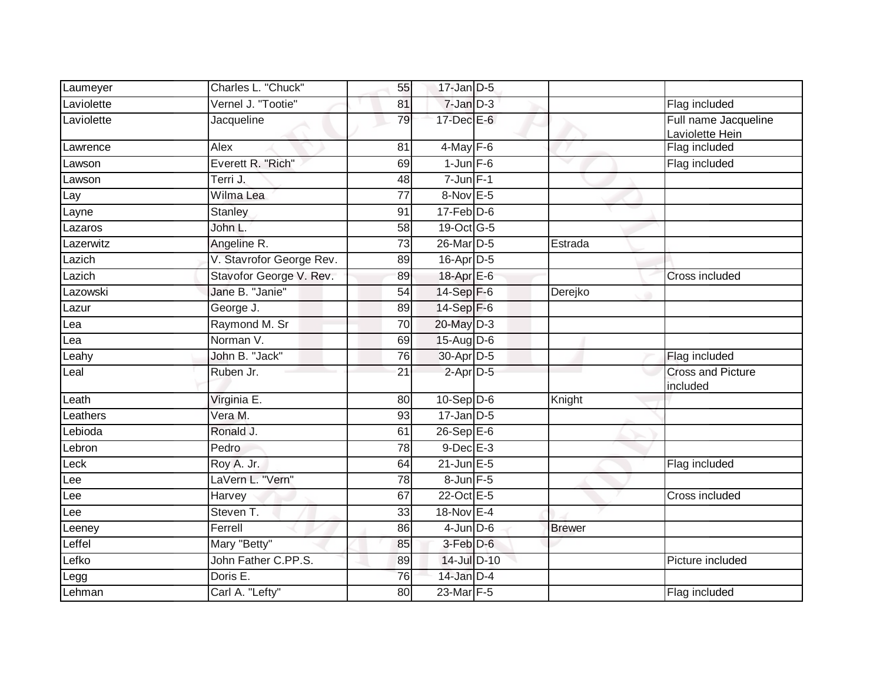| Laumeyer   | Charles L. "Chuck"       | 55              | $17$ -Jan D-5           |               |                                      |
|------------|--------------------------|-----------------|-------------------------|---------------|--------------------------------------|
| Laviolette | Vernel J. "Tootie"       | 81              | $7 - Jan$ $D-3$         |               | Flag included                        |
| Laviolette | Jacqueline               | 79              | 17-Dec E-6              |               | Full name Jacqueline                 |
|            |                          |                 |                         |               | Laviolette Hein                      |
| Lawrence   | Alex                     | 81              | $4$ -May $F-6$          |               | Flag included                        |
| Lawson     | Everett R. "Rich"        | 69              | $1$ -Jun $F-6$          |               | Flag included                        |
| Lawson     | Terri J.                 | 48              | $7$ -Jun $F-1$          |               |                                      |
| Lay        | Wilma Lea                | 77              | 8-Nov E-5               |               |                                      |
| Layne      | Stanley                  | 91              | $17 - Feb$ $D-6$        |               |                                      |
| Lazaros    | John L.                  | 58              | 19-Oct G-5              |               |                                      |
| Lazerwitz  | Angeline R.              | 73              | 26-Mar D-5              | Estrada       |                                      |
| Lazich     | V. Stavrofor George Rev. | 89              | 16-Apr D-5              |               |                                      |
| Lazich     | Stavofor George V. Rev.  | 89              | 18-Apr E-6              |               | Cross included                       |
| Lazowski   | Jane B. "Janie"          | $\overline{54}$ | 14-Sep F-6              | Derejko       |                                      |
| Lazur      | George J.                | 89              | $14-Sep$ F-6            |               |                                      |
| Lea        | Raymond M. Sr            | 70              | 20-May D-3              |               |                                      |
| Lea        | Norman V.                | 69              | $15$ -AugD-6            |               |                                      |
| Leahy      | John B. "Jack"           | 76              | 30-Apr D-5              |               | Flag included                        |
| Leal       | Ruben Jr.                | 21              | $2$ -Apr $D-5$          |               | <b>Cross and Picture</b><br>included |
| Leath      | Virginia E.              | 80              | $10-Sep$ D-6            | Knight        |                                      |
| _eathers   | Vera M.                  | 93              | $17$ -Jan D-5           |               |                                      |
| Lebioda    | Ronald J.                | 61              | $26-Sep \overline{E-6}$ |               |                                      |
| Lebron     | Pedro                    | $\overline{78}$ | $9$ -Dec $E-3$          |               |                                      |
| Leck       | Roy A. Jr.               | 64              | $21$ -Jun $E-5$         |               | Flag included                        |
| Lee        | LaVern L. "Vern"         | 78              | 8-Jun F-5               |               |                                      |
| Lee        | Harvey                   | 67              | 22-Oct E-5              |               | Cross included                       |
| Lee        | Steven T.                | 33              | 18-Nov E-4              |               |                                      |
| Leeney     | Ferrell                  | 86              | $4$ -Jun $D-6$          | <b>Brewer</b> |                                      |
| Leffel     | Mary "Betty"             | 85              | 3-Feb D-6               |               |                                      |
| Lefko      | John Father C.PP.S.      | 89              | 14-Jul D-10             |               | Picture included                     |
| Legg       | Doris E.                 | 76              | 14-Jan D-4              |               |                                      |
| Lehman     | Carl A. "Lefty"          | 80              | 23-Mar F-5              |               | Flag included                        |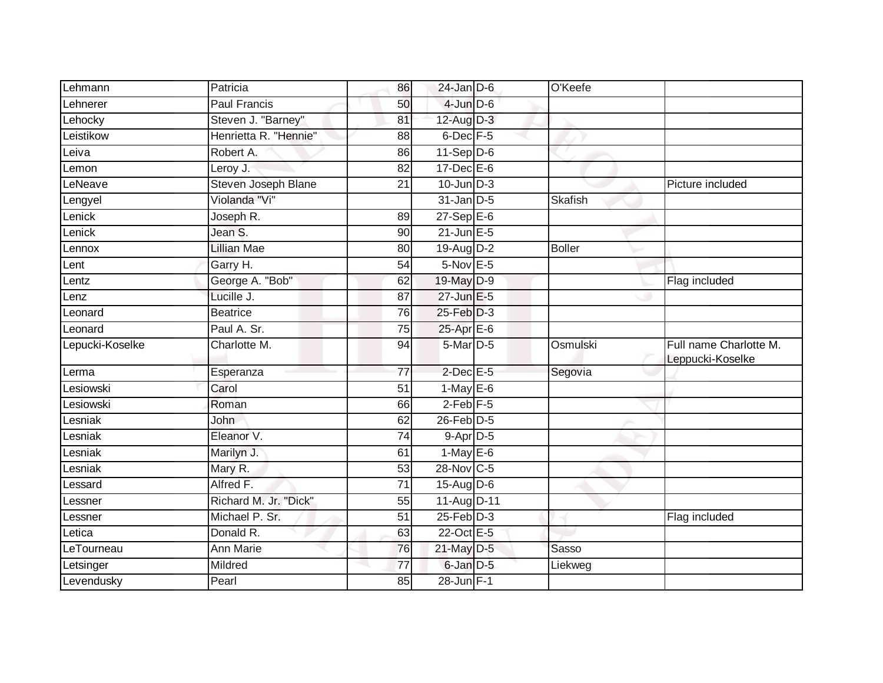| Lehmann         | Patricia              | 86              | $24$ -Jan D-6    | O'Keefe       |                                            |
|-----------------|-----------------------|-----------------|------------------|---------------|--------------------------------------------|
| Lehnerer        | <b>Paul Francis</b>   | 50              | $4$ -Jun $D$ -6  |               |                                            |
| Lehocky         | Steven J. "Barney"    | 81              | $12$ -Aug D-3    |               |                                            |
| Leistikow       | Henrietta R. "Hennie" | 88              | 6-Dec F-5        |               |                                            |
| eiva.           | Robert A.             | 86              | $11-Sep$ D-6     |               |                                            |
| _emon           | Leroy J.              | 82              | $17 - Dec$ E-6   |               |                                            |
| _eNeave         | Steven Joseph Blane   | 21              | $10$ -Jun $D-3$  |               | Picture included                           |
| Lengyel         | Violanda "Vi"         |                 | $31$ -Jan D-5    | Skafish       |                                            |
| Lenick          | Joseph R.             | 89              | $27-SepE-6$      |               |                                            |
| enick           | Jean S.               | 90              | $21$ -Jun $E-5$  |               |                                            |
| Lennox          | <b>Lillian Mae</b>    | 80              | 19-Aug D-2       | <b>Boller</b> |                                            |
| _ent            | Garry H.              | 54              | $5-Nov$ E-5      |               |                                            |
| _entz           | George A. "Bob"       | 62              | 19-May D-9       |               | Flag included                              |
| Lenz            | Lucille J.            | 87              | 27-Jun E-5       |               |                                            |
| _eonard         | <b>Beatrice</b>       | $\overline{76}$ | $25$ -Feb $D-3$  |               |                                            |
| Leonard         | Paul A. Sr.           | 75              | $25$ -Apr $E$ -6 |               |                                            |
| Lepucki-Koselke | Charlotte M.          | 94              | 5-Mar D-5        | Osmulski      | Full name Charlotte M.<br>Leppucki-Koselke |
| Lerma           | Esperanza             | $\overline{77}$ | $2$ -Dec $E$ -5  | Segovia       |                                            |
| esiowski        | Carol                 | 51              | $1-May$ E-6      |               |                                            |
| Lesiowski       | Roman                 | 66              | $2$ -Feb $F-5$   |               |                                            |
| _esniak         |                       |                 |                  |               |                                            |
|                 | John                  | 62              | $26$ -Feb $D-5$  |               |                                            |
| _esniak         | Eleanor V.            | $\overline{74}$ | $9-Apr$ D-5      |               |                                            |
| esniak          | Marilyn J.            | 61              | $1-May$ E-6      |               |                                            |
| _esniak         | Mary R.               | 53              | 28-Nov C-5       |               |                                            |
| _essard         | Alfred F.             | $\overline{71}$ | 15-Aug D-6       |               |                                            |
| _essner         | Richard M. Jr. "Dick" | 55              | 11-Aug D-11      |               |                                            |
| _essner         | Michael P. Sr.        | 51              | $25$ -Feb $D-3$  |               | Flag included                              |
| _etica          | Donald R.             | 63              | 22-Oct E-5       |               |                                            |
| LeTourneau      | <b>Ann Marie</b>      | 76              | 21-May D-5       | Sasso         |                                            |
| Letsinger       | Mildred               | 77              | 6-Jan D-5        | Liekweg       |                                            |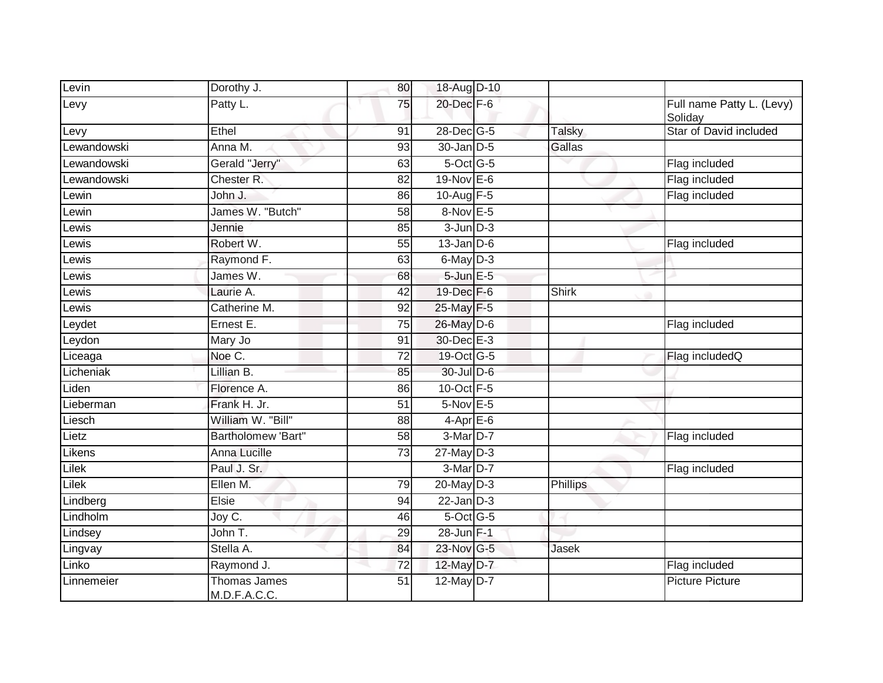| Levin       | Dorothy J.                   | 80              | 18-Aug D-10     |               |                                      |
|-------------|------------------------------|-----------------|-----------------|---------------|--------------------------------------|
| Levy        | Patty L.                     | 75              | 20-Dec F-6      |               | Full name Patty L. (Levy)<br>Soliday |
| Levy        | Ethel                        | 91              | 28-Dec G-5      | <b>Talsky</b> | Star of David included               |
| Lewandowski | Anna M.                      | 93              | 30-Jan D-5      | Gallas        |                                      |
| Lewandowski | Gerald "Jerry"               | 63              | 5-Oct G-5       |               | Flag included                        |
| Lewandowski | Chester R.                   | 82              | $19-Nov$ E-6    |               | Flag included                        |
| Lewin       | John J.                      | 86              | 10-Aug F-5      |               | Flag included                        |
| _ewin       | James W. "Butch"             | 58              | 8-Nov E-5       |               |                                      |
| _ewis       | Jennie                       | 85              | $3$ -Jun $D-3$  |               |                                      |
| _ewis       | Robert W.                    | 55              | $13$ -Jan $D-6$ |               | Flag included                        |
| _ewis       | Raymond F.                   | 63              | 6-May D-3       |               |                                      |
| _ewis       | James W.                     | 68              | $5$ -Jun $E$ -5 |               |                                      |
| _ewis       | Laurie A.                    | $\overline{42}$ | 19-Dec F-6      | <b>Shirk</b>  |                                      |
| Lewis       | Catherine M.                 | 92              | 25-May F-5      |               |                                      |
| _eydet      | Ernest E.                    | 75              | 26-May D-6      |               | Flag included                        |
| Leydon      | Mary Jo                      | 91              | 30-Dec E-3      |               |                                      |
| Liceaga     | Noe C.                       | 72              | 19-Oct G-5      |               | Flag includedQ                       |
| Licheniak   | Lillian B.                   | 85              | 30-Jul D-6      |               |                                      |
| Liden       | Florence A.                  | 86              | 10-Oct F-5      |               |                                      |
| Lieberman   | Frank H. Jr.                 | $\overline{51}$ | 5-Nov E-5       |               |                                      |
| Liesch      | William W. "Bill"            | 88              | $4-Apr$ E-6     |               |                                      |
| Lietz       | Bartholomew 'Bart"           | 58              | 3-Mar D-7       |               | Flag included                        |
| Likens      | Anna Lucille                 | 73              | $27$ -May $D-3$ |               |                                      |
| Lilek       | Paul J. Sr.                  |                 | 3-Mar D-7       |               | Flag included                        |
| Lilek       | Ellen M.                     | 79              | $20$ -May $D-3$ | Phillips      |                                      |
| Lindberg    | Elsie                        | 94              | $22$ -Jan $D-3$ |               |                                      |
| Lindholm    | Joy C.                       | 46              | $5$ -Oct $G$ -5 |               |                                      |
| Lindsey     | John T.                      | 29              | 28-Jun F-1      |               |                                      |
| Lingvay     | Stella A.                    | 84              | 23-Nov G-5      | Jasek         |                                      |
| Linko       | Raymond J.                   | $\overline{72}$ | 12-May D-7      |               | Flag included                        |
| Linnemeier  | Thomas James<br>M.D.F.A.C.C. | 51              | 12-May D-7      |               | <b>Picture Picture</b>               |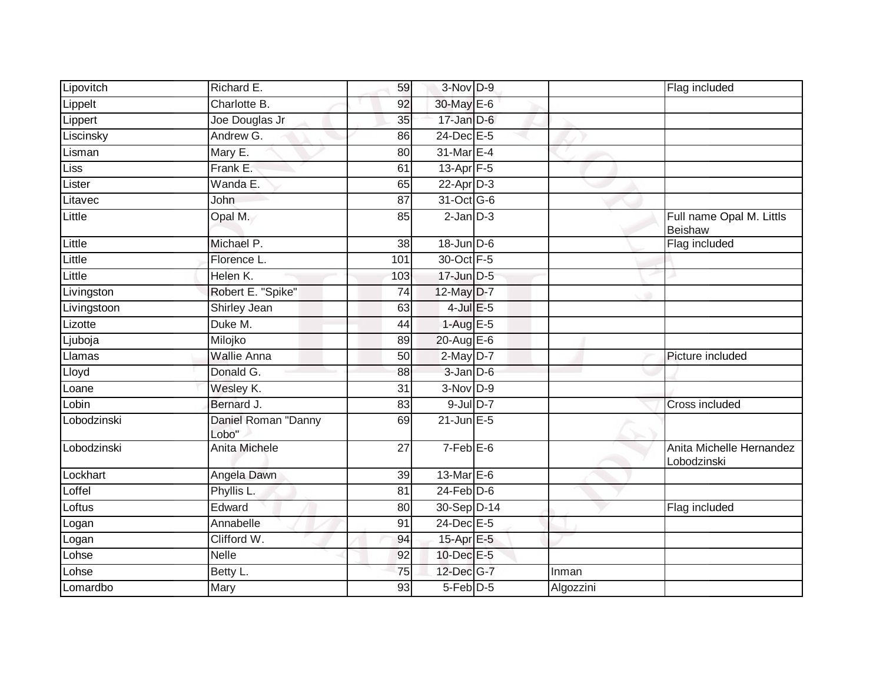| Lipovitch   | Richard E.                   | 59              | 3-Nov D-9        |           | Flag included                           |
|-------------|------------------------------|-----------------|------------------|-----------|-----------------------------------------|
| Lippelt     | Charlotte B.                 | 92              | 30-May E-6       |           |                                         |
| Lippert     | Joe Douglas Jr               | 35              | $17 - Jan$ $D-6$ |           |                                         |
| Liscinsky   | Andrew G.                    | 86              | $24$ -Dec $E-5$  |           |                                         |
| Lisman      | Mary E.                      | 80              | 31-Mar E-4       |           |                                         |
| Liss        | Frank E.                     | 61              | 13-Apr F-5       |           |                                         |
| Lister      | Wanda E.                     | 65              | $22$ -Apr $D-3$  |           |                                         |
| Litavec     | John                         | 87              | 31-Oct G-6       |           |                                         |
| Little      | Opal M.                      | 85              | $2$ -Jan $D-3$   |           | Full name Opal M. Littls<br>Beishaw     |
| Little      | Michael P.                   | 38              | 18-Jun D-6       |           | Flag included                           |
| Little      | Florence L.                  | 101             | 30-Oct F-5       |           |                                         |
| Little      | Helen K.                     | 103             | 17-Jun D-5       |           |                                         |
| Livingston  | Robert E. "Spike"            | $\overline{74}$ | 12-May D-7       |           |                                         |
| Livingstoon | Shirley Jean                 | 63              | $4$ -Jul $E$ -5  |           |                                         |
| Lizotte     | Duke M.                      | 44              | $1-AugE-5$       |           |                                         |
| Ljuboja     | Milojko                      | 89              | $20$ -Aug E-6    |           |                                         |
| Llamas      | <b>Wallie Anna</b>           | 50              | $2$ -May $D-7$   |           | Picture included                        |
| Lloyd       | Donald G.                    | 88              | $3 - Jan$ $D-6$  |           |                                         |
| Loane       | Wesley K.                    | $\overline{31}$ | 3-Nov D-9        |           |                                         |
| Lobin       | Bernard J.                   | 83              | $9$ -Jul $D-7$   |           | Cross included                          |
| Lobodzinski | Daniel Roman "Danny<br>Lobo" | 69              | $21$ -Jun $E-5$  |           |                                         |
| Lobodzinski | Anita Michele                | 27              | $7-Feb$ E-6      |           | Anita Michelle Hernandez<br>Lobodzinski |
| Lockhart    | Angela Dawn                  | $\overline{39}$ | 13-Mar E-6       |           |                                         |
| Loffel      | Phyllis L.                   | 81              | $24$ -Feb $D-6$  |           |                                         |
| _oftus      | Edward                       | 80              | 30-Sep D-14      |           | Flag included                           |
| Logan       | Annabelle                    | 91              | $24$ -Dec $E-5$  |           |                                         |
| Logan       | Clifford W.                  | 94              | 15-Apr E-5       |           |                                         |
| Lohse       | <b>Nelle</b>                 | 92              | 10-Dec E-5       |           |                                         |
| _ohse       | Betty L.                     | 75              | 12-Dec G-7       | Inman     |                                         |
| Lomardbo    | Mary                         | 93              | 5-Feb D-5        | Algozzini |                                         |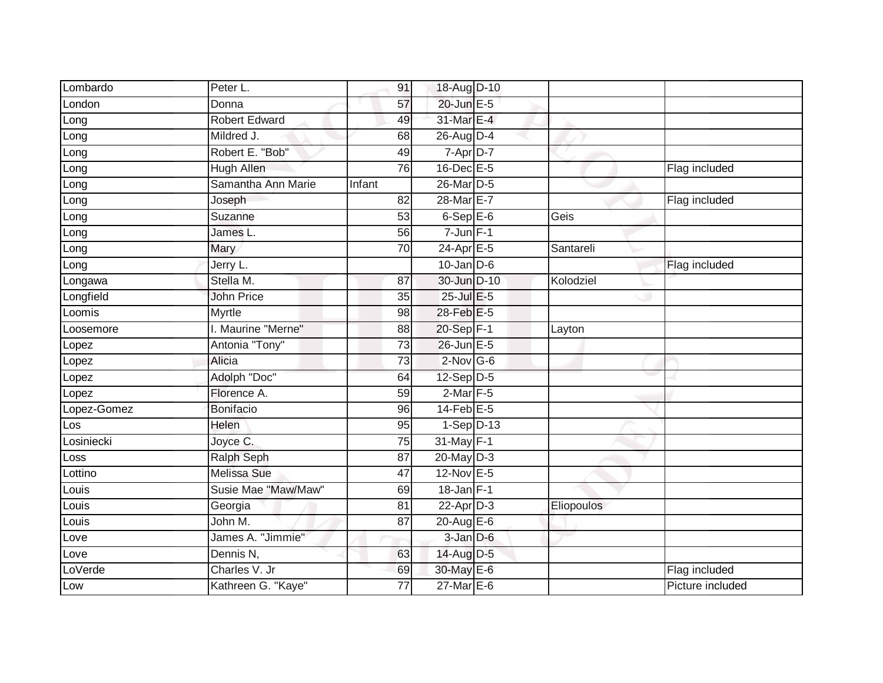| Lombardo    | Peter L.             | 91              | 18-Aug D-10                |                   |                  |
|-------------|----------------------|-----------------|----------------------------|-------------------|------------------|
| London      | Donna                | 57              | 20-Jun E-5                 |                   |                  |
| Long        | <b>Robert Edward</b> | 49              | 31-Mar E-4                 |                   |                  |
| Long        | Mildred J.           | 68              | 26-Aug D-4                 |                   |                  |
| Long        | Robert E. "Bob"      | 49              | 7-Apr D-7                  |                   |                  |
| Long        | <b>Hugh Allen</b>    | 76              | 16-Dec E-5                 |                   | Flag included    |
| Long        | Samantha Ann Marie   | Infant          | 26-Mar D-5                 |                   |                  |
| Long        | Joseph               | 82              | 28-Mar <sub>E-7</sub>      |                   | Flag included    |
| Long        | Suzanne              | 53              | $6-$ Sep $E-6$             | Geis              |                  |
| Long        | James L.             | 56              | $7 - Jun$ $F-1$            |                   |                  |
| Long        | Mary                 | 70              | $24-Apr \nightharpoonup 5$ | Santareli         |                  |
| Long        | Jerry L.             |                 | $10$ -Jan $D-6$            |                   | Flag included    |
| Longawa     | Stella M.            | 87              | 30-Jun D-10                | Kolodziel         |                  |
| Longfield   | <b>John Price</b>    | 35              | 25-Jul E-5                 |                   |                  |
| Loomis      | Myrtle               | 98              | 28-Feb E-5                 |                   |                  |
| _oosemore   | I. Maurine "Merne"   | 88              | 20-Sep F-1                 | Layton            |                  |
| Lopez       | Antonia "Tony"       | $\overline{73}$ | 26-Jun E-5                 |                   |                  |
| Lopez       | Alicia               | 73              | $2$ -Nov G-6               |                   |                  |
| Lopez       | Adolph "Doc"         | 64              | 12-Sep D-5                 |                   |                  |
| Lopez       | Florence A.          | $\overline{59}$ | $2$ -Mar $F-5$             |                   |                  |
| Lopez-Gomez | <b>Bonifacio</b>     | 96              | $14$ -Feb $E-5$            |                   |                  |
| Los         | <b>Helen</b>         | 95              | $1-Sep$ D-13               |                   |                  |
| Losiniecki  | Joyce C.             | 75              | 31-May F-1                 |                   |                  |
| Loss        | <b>Ralph Seph</b>    | 87              | $20$ -May $D-3$            |                   |                  |
| Lottino     | <b>Melissa Sue</b>   | $\overline{47}$ | 12-Nov E-5                 |                   |                  |
| Louis       | Susie Mae "Maw/Maw"  | 69              | $18$ -Jan $F-1$            |                   |                  |
| Louis       | Georgia              | 81              | $22$ -Apr $D-3$            | <b>Eliopoulos</b> |                  |
| Louis       | John M.              | $\overline{87}$ | 20-Aug E-6                 |                   |                  |
| Love        | James A. "Jimmie"    |                 | 3-Jan D-6                  |                   |                  |
| Love        | Dennis N,            | 63              | 14-Aug D-5                 |                   |                  |
| LoVerde     | Charles V. Jr        | 69              | 30-May E-6                 |                   | Flag included    |
| Low         | Kathreen G. "Kaye"   | $\overline{77}$ | $27$ -Mar $E$ -6           |                   | Picture included |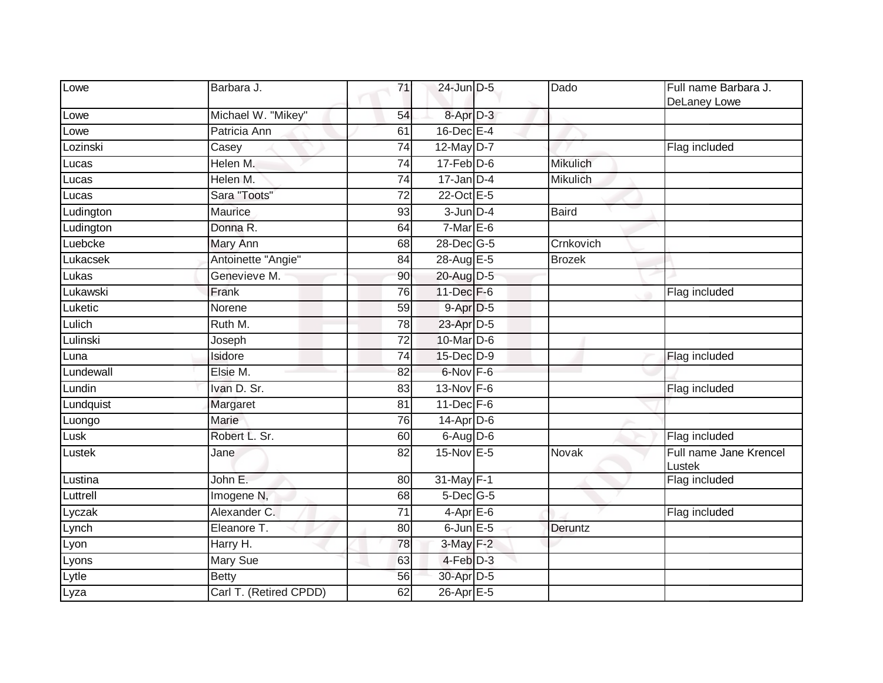| Lowe      | Barbara J.             | 71              | 24-Jun D-5                | Dado            | Full name Barbara J.<br>DeLaney Lowe |
|-----------|------------------------|-----------------|---------------------------|-----------------|--------------------------------------|
| Lowe      | Michael W. "Mikey"     | 54              | 8-Apr D-3                 |                 |                                      |
| Lowe      | Patricia Ann           | 61              | $16$ -Dec $E-4$           |                 |                                      |
| Lozinski  | Casey                  | 74              | 12-May D-7                |                 | Flag included                        |
| Lucas     | Helen M.               | 74              | $17 - Feb$ $D-6$          | <b>Mikulich</b> |                                      |
| Lucas     | Helen M.               | 74              | $17$ -Jan D-4             | <b>Mikulich</b> |                                      |
| Lucas     | Sara "Toots"           | $\overline{72}$ | 22-Oct E-5                |                 |                                      |
| Ludington | Maurice                | 93              | $3$ -Jun $D-4$            | <b>Baird</b>    |                                      |
| Ludington | Donna R.               | 64              | $7-Mar \nightharpoonup 6$ |                 |                                      |
| Luebcke   | <b>Mary Ann</b>        | 68              | 28-Dec G-5                | Crnkovich       |                                      |
| Lukacsek  | Antoinette "Angie"     | 84              | 28-Aug E-5                | <b>Brozek</b>   |                                      |
| Lukas     | Genevieve M.           | 90              | 20-Aug D-5                |                 |                                      |
| Lukawski  | Frank                  | $\overline{76}$ | 11-Dec F-6                |                 | Flag included                        |
| Luketic   | Norene                 | 59              | 9-Apr D-5                 |                 |                                      |
| Lulich    | Ruth M.                | 78              | 23-Apr D-5                |                 |                                      |
| Lulinski  | Joseph                 | 72              | $10$ -Mar $D-6$           |                 |                                      |
| Luna      | Isidore                | 74              | 15-Dec D-9                |                 | Flag included                        |
| Lundewall | Elsie M.               | 82              | 6-Nov F-6                 |                 |                                      |
| Lundin    | Ivan D. Sr.            | 83              | 13-Nov F-6                |                 | Flag included                        |
| Lundquist | Margaret               | $\overline{81}$ | $11$ -Dec $F-6$           |                 |                                      |
| Luongo    | <b>Marie</b>           | 76              | 14-Apr D-6                |                 |                                      |
| Lusk      | Robert L. Sr.          | 60              | 6-Aug D-6                 |                 | Flag included                        |
| Lustek    | Jane                   | 82              | 15-Nov E-5                | Novak           | Full name Jane Krencel<br>Lustek     |
| Lustina   | John E.                | 80              | $31$ -May F-1             |                 | Flag included                        |
| Luttrell  | Imogene <sub>N</sub>   | 68              | $5$ -Dec $G$ -5           |                 |                                      |
| Lyczak    | Alexander C.           | 71              | $4-AprE-6$                |                 | Flag included                        |
| Lynch     | Eleanore T.            | 80              | $6$ -Jun $E$ -5           | Deruntz         |                                      |
| Lyon      | Harry H.               | 78              | $3-May$ F-2               |                 |                                      |
| Lyons     | Mary Sue               | 63              | 4-Feb D-3                 |                 |                                      |
| Lytle     | <b>Betty</b>           | 56              | 30-Apr D-5                |                 |                                      |
| Lyza      | Carl T. (Retired CPDD) | 62              | 26-Apr E-5                |                 |                                      |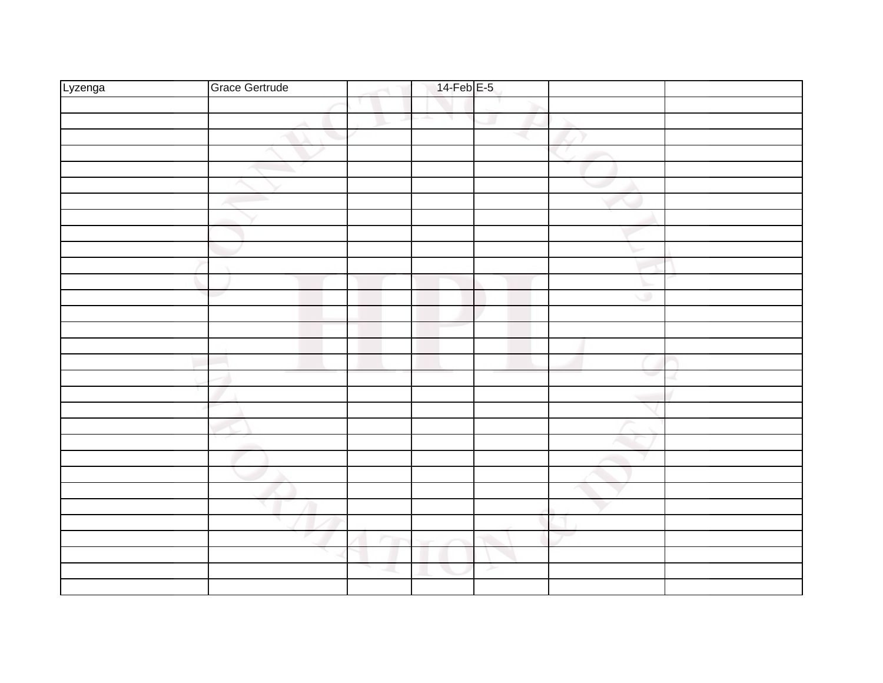| Lyzenga | <b>Grace Gertrude</b> | $14$ -Feb $E$ -5 |   |   |  |
|---------|-----------------------|------------------|---|---|--|
|         |                       |                  |   |   |  |
|         |                       | ч                |   |   |  |
|         |                       |                  |   |   |  |
|         |                       |                  |   |   |  |
|         |                       |                  |   |   |  |
|         |                       |                  |   |   |  |
|         |                       |                  |   |   |  |
|         |                       |                  |   |   |  |
|         |                       |                  |   |   |  |
|         |                       |                  |   |   |  |
|         |                       |                  |   |   |  |
|         |                       |                  |   |   |  |
|         |                       |                  |   | ۰ |  |
|         |                       |                  |   |   |  |
|         |                       |                  |   |   |  |
|         |                       |                  |   |   |  |
|         |                       |                  |   |   |  |
|         |                       |                  |   |   |  |
|         |                       |                  |   |   |  |
|         |                       |                  |   |   |  |
|         |                       |                  |   |   |  |
|         |                       |                  |   |   |  |
|         |                       |                  |   |   |  |
|         |                       |                  |   |   |  |
|         |                       |                  |   |   |  |
|         |                       |                  |   |   |  |
|         |                       |                  |   |   |  |
|         |                       |                  |   |   |  |
|         |                       |                  |   |   |  |
|         |                       |                  | ≻ |   |  |
|         |                       |                  |   |   |  |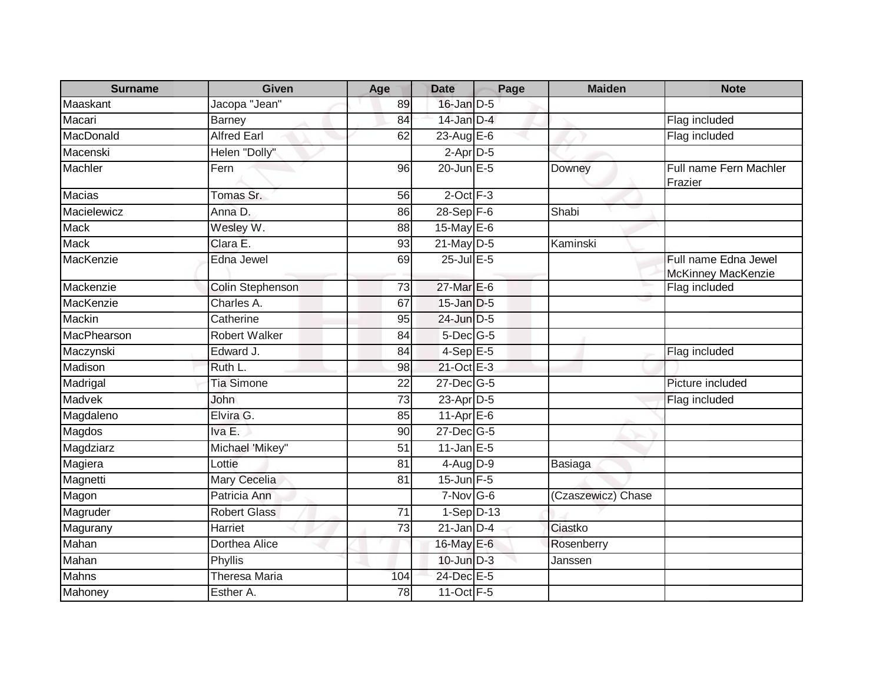| <b>Surname</b> | <b>Given</b>            | Age | <b>Date</b>      | Page | <b>Maiden</b>      | <b>Note</b>                                |
|----------------|-------------------------|-----|------------------|------|--------------------|--------------------------------------------|
| Maaskant       | Jacopa "Jean"           | 89  | $16$ -Jan $D-5$  |      |                    |                                            |
| Macari         | <b>Barney</b>           | 84  | $14$ -Jan $D-4$  |      |                    | Flag included                              |
| MacDonald      | <b>Alfred Earl</b>      | 62  | 23-Aug E-6       |      |                    | Flag included                              |
| Macenski       | Helen "Dolly"           |     | $2$ -Apr $D-5$   |      |                    |                                            |
| Machler        | Fern                    | 96  | 20-Jun E-5       |      | Downey             | Full name Fern Machler<br>Frazier          |
| <b>Macias</b>  | Tomas Sr.               | 56  | $2$ -Oct $F-3$   |      |                    |                                            |
| Macielewicz    | Anna D.                 | 86  | $28-Sep$ F-6     |      | Shabi              |                                            |
| <b>Mack</b>    | Wesley W.               | 88  | 15-May E-6       |      |                    |                                            |
| <b>Mack</b>    | Clara E.                | 93  | $21$ -May $D-5$  |      | Kaminski           |                                            |
| MacKenzie      | Edna Jewel              | 69  | $25$ -Jul $E$ -5 |      |                    | Full name Edna Jewel<br>McKinney MacKenzie |
| Mackenzie      | <b>Colin Stephenson</b> | 73  | 27-Mar E-6       |      |                    | Flag included                              |
| MacKenzie      | Charles A.              | 67  | 15-Jan D-5       |      |                    |                                            |
| Mackin         | Catherine               | 95  | 24-Jun D-5       |      |                    |                                            |
| MacPhearson    | <b>Robert Walker</b>    | 84  | $5$ -Dec $G$ -5  |      |                    |                                            |
| Maczynski      | Edward J.               | 84  | $4-$ Sep $E-5$   |      |                    | Flag included                              |
| Madison        | Ruth L.                 | 98  | 21-Oct E-3       |      |                    |                                            |
| Madrigal       | <b>Tia Simone</b>       | 22  | $27 - Dec$ G-5   |      |                    | Picture included                           |
| Madvek         | John                    | 73  | $23$ -Apr $D-5$  |      |                    | Flag included                              |
| Magdaleno      | Elvira G.               | 85  | $11$ -Apr $E$ -6 |      |                    |                                            |
| Magdos         | Iva E.                  | 90  | $27$ -Dec $G-5$  |      |                    |                                            |
| Magdziarz      | Michael 'Mikey"         | 51  | $11$ -Jan $E-5$  |      |                    |                                            |
| Magiera        | Lottie                  | 81  | $4$ -Aug $D-9$   |      | Basiaga            |                                            |
| Magnetti       | Mary Cecelia            | 81  | $15$ -Jun $F-5$  |      |                    |                                            |
| Magon          | Patricia Ann            |     | 7-Nov G-6        |      | (Czaszewicz) Chase |                                            |
| Magruder       | <b>Robert Glass</b>     | 71  | $1-Sep$ D-13     |      |                    |                                            |
| Magurany       | Harriet                 | 73  | $21$ -Jan $D-4$  |      | Ciastko            |                                            |
| Mahan          | <b>Dorthea Alice</b>    |     | 16-May E-6       |      | Rosenberry         |                                            |
| Mahan          | Phyllis                 |     | $10$ -Jun $D-3$  |      | Janssen            |                                            |
| Mahns          | <b>Theresa Maria</b>    | 104 | 24-Dec E-5       |      |                    |                                            |
| Mahoney        | Esther A.               | 78  | 11-Oct F-5       |      |                    |                                            |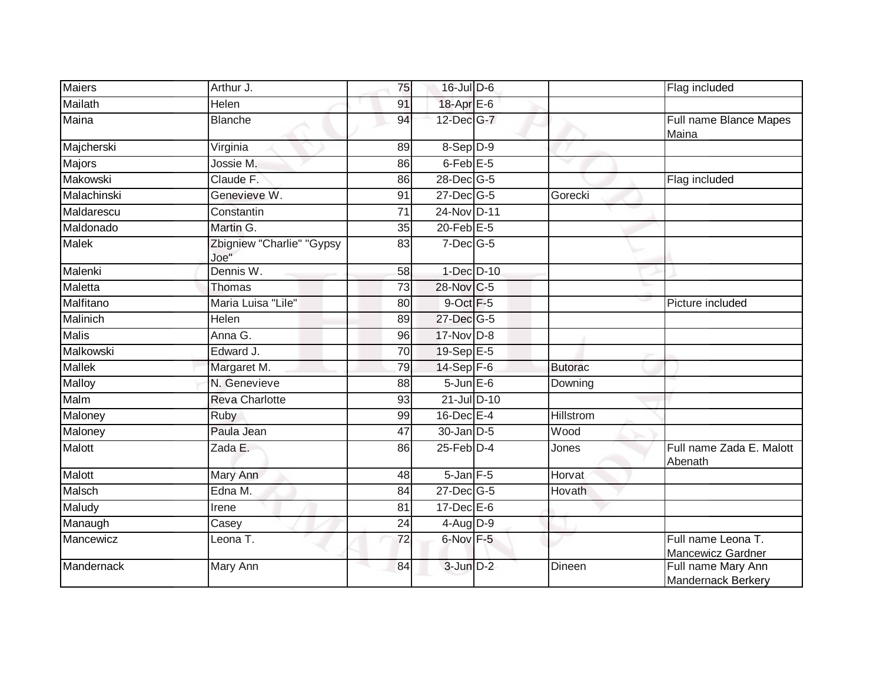| <b>Maiers</b> | Arthur J.                         | 75              | $16$ -Jul D-6        |                  | Flag included                            |
|---------------|-----------------------------------|-----------------|----------------------|------------------|------------------------------------------|
| Mailath       | Helen                             | 91              | 18-Apr E-6           |                  |                                          |
| Maina         | <b>Blanche</b>                    | 94              | 12-Dec G-7           |                  | Full name Blance Mapes<br>Maina          |
| Majcherski    | Virginia                          | 89              | 8-Sep D-9            |                  |                                          |
| Majors        | Jossie M.                         | 86              | 6-Feb <sup>E-5</sup> |                  |                                          |
| Makowski      | Claude F.                         | 86              | 28-Dec G-5           |                  | Flag included                            |
| Malachinski   | Genevieve W.                      | 91              | 27-Dec G-5           | Gorecki          |                                          |
| Maldarescu    | Constantin                        | $\overline{71}$ | 24-Nov D-11          |                  |                                          |
| Maldonado     | Martin G.                         | 35              | $20$ -Feb $E-5$      |                  |                                          |
| <b>Malek</b>  | Zbigniew "Charlie" "Gypsy<br>Joe" | 83              | $7$ -Dec $G$ -5      |                  |                                          |
| Malenki       | Dennis W.                         | 58              | 1-Dec D-10           |                  |                                          |
| Maletta       | Thomas                            | 73              | 28-Nov C-5           |                  |                                          |
| Malfitano     | Maria Luisa "Lile"                | 80              | 9-Oct F-5            |                  | Picture included                         |
| Malinich      | Helen                             | 89              | 27-Dec G-5           |                  |                                          |
| <b>Malis</b>  | Anna G.                           | 96              | 17-Nov D-8           |                  |                                          |
| Malkowski     | Edward J.                         | 70              | 19-Sep E-5           |                  |                                          |
| <b>Mallek</b> | Margaret M.                       | 79              | $14-Sep$ F-6         | <b>Butorac</b>   |                                          |
| Malloy        | N. Genevieve                      | 88              | $5 - Jun$ $E-6$      | Downing          |                                          |
| Malm          | <b>Reva Charlotte</b>             | 93              | 21-Jul D-10          |                  |                                          |
| Maloney       | <b>Ruby</b>                       | 99              | $16$ -Dec $E-4$      | <b>Hillstrom</b> |                                          |
| Maloney       | Paula Jean                        | 47              | $30 - Jan$ $D-5$     | Wood             |                                          |
| Malott        | Zada E.                           | 86              | $25$ -Feb $D-4$      | Jones            | Full name Zada E. Malott<br>Abenath      |
| <b>Malott</b> | Mary Ann                          | 48              | $5 - Jan$ $F - 5$    | Horvat           |                                          |
| Malsch        | Edna M.                           | 84              | 27-Dec G-5           | Hovath           |                                          |
| Maludy        | Irene                             | 81              | $17 - Dec$ E-6       |                  |                                          |
| Manaugh       | Casey                             | 24              | $4$ -Aug $D-9$       |                  |                                          |
| Mancewicz     | Leona T.                          | 72              | 6-Nov F-5            |                  | Full name Leona T.<br>Mancewicz Gardner  |
| Mandernack    | <b>Mary Ann</b>                   | 84              | 3-Jun D-2            | <b>Dineen</b>    | Full name Mary Ann<br>Mandernack Berkery |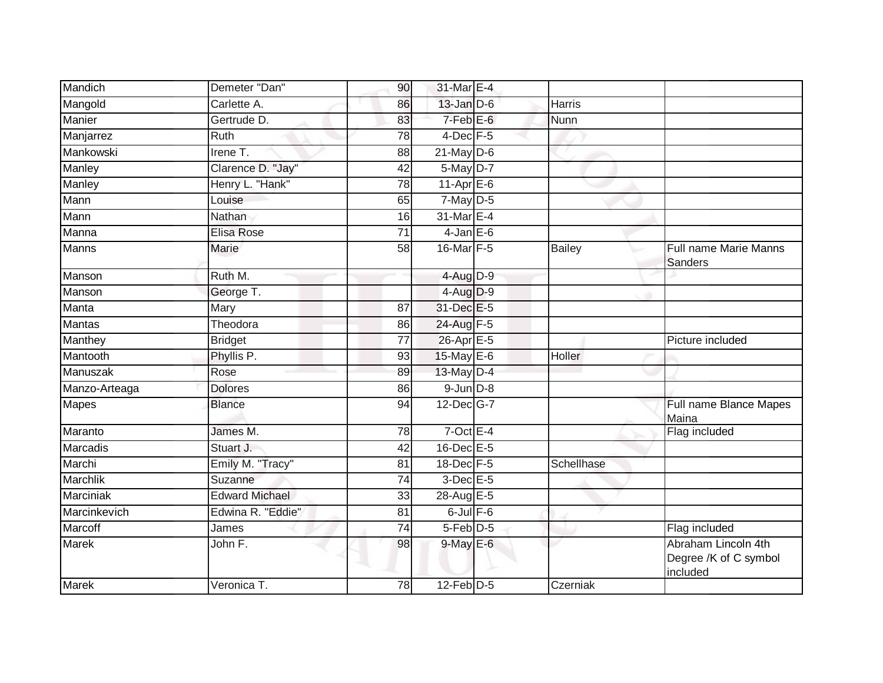| Mandich          | Demeter "Dan"          | 90              | 31-Mar E-4            |               |                                                          |
|------------------|------------------------|-----------------|-----------------------|---------------|----------------------------------------------------------|
| Mangold          | Carlette A.            | 86              | 13-Jan D-6            | <b>Harris</b> |                                                          |
| Manier           | Gertrude D.            | 83              | $7-FebE-6$            | Nunn          |                                                          |
| Manjarrez        | Ruth                   | 78              | $4$ -Dec $F-5$        |               |                                                          |
| Mankowski        | Irene $\overline{T}$ . | 88              | $21$ -May $D-6$       |               |                                                          |
| Manley           | Clarence D. "Jay"      | 42              | 5-May D-7             |               |                                                          |
| Manley           | Henry L. "Hank"        | 78              | $11-AprE-6$           |               |                                                          |
| Mann             | Louise                 | 65              | $7$ -May $D-5$        |               |                                                          |
| Mann             | Nathan                 | 16              | 31-Mar E-4            |               |                                                          |
| Manna            | Elisa Rose             | $\overline{71}$ | $4$ -Jan $E$ -6       |               |                                                          |
| <b>Manns</b>     | Marie                  | 58              | 16-Mar F-5            | <b>Bailey</b> | Full name Marie Manns<br>Sanders                         |
| Manson           | Ruth M.                |                 | 4-Aug D-9             |               |                                                          |
| Manson           | George T.              |                 | 4-Aug D-9             |               |                                                          |
| Manta            | Mary                   | 87              | 31-Dec E-5            |               |                                                          |
| Mantas           | Theodora               | 86              | 24-Aug F-5            |               |                                                          |
| Manthey          | <b>Bridget</b>         | 77              | 26-Apr <sub>E-5</sub> |               | Picture included                                         |
| Mantooth         | Phyllis P.             | 93              | 15-May $E-6$          | Holler        |                                                          |
| Manuszak         | Rose                   | 89              | 13-May D-4            |               |                                                          |
| Manzo-Arteaga    | <b>Dolores</b>         | 86              | $9$ -Jun $D-8$        |               |                                                          |
| Mapes            | <b>Blance</b>          | 94              | 12-Dec G-7            |               | Full name Blance Mapes<br>Maina                          |
| Maranto          | James M.               | 78              | $7$ -Oct E-4          |               | Flag included                                            |
| Marcadis         | Stuart J.              | 42              | 16-Dec E-5            |               |                                                          |
| Marchi           | Emily M. "Tracy"       | 81              | 18-Dec F-5            | Schellhase    |                                                          |
| <b>Marchlik</b>  | Suzanne                | 74              | $3$ -Dec E-5          |               |                                                          |
| <b>Marciniak</b> | <b>Edward Michael</b>  | 33              | 28-Aug E-5            |               |                                                          |
| Marcinkevich     | Edwina R. "Eddie"      | 81              | $6$ -Jul $F$ -6       |               |                                                          |
| Marcoff          | James                  | 74              | 5-Feb D-5             |               | Flag included                                            |
| Marek            | John F.                | 98              | $9$ -May $E$ -6       |               | Abraham Lincoln 4th<br>Degree /K of C symbol<br>included |
| Marek            | Veronica T.            | 78              | $12$ -Feb $D-5$       | Czerniak      |                                                          |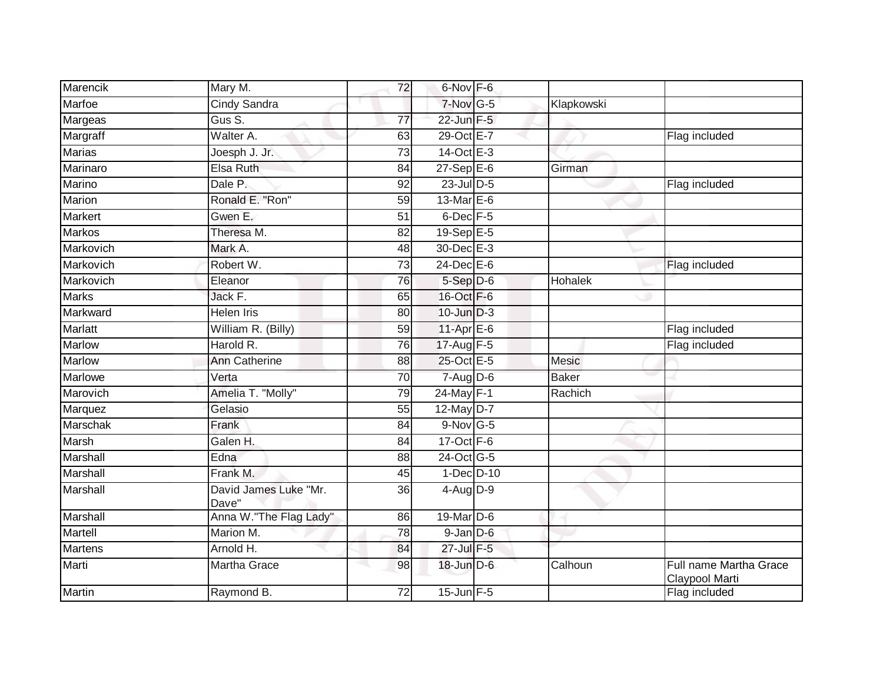| Marencik        | Mary M.                        | 72              | 6-Nov F-6                  |            |                                          |
|-----------------|--------------------------------|-----------------|----------------------------|------------|------------------------------------------|
| Marfoe          | <b>Cindy Sandra</b>            |                 | $7-Nov$ G-5                | Klapkowski |                                          |
| Margeas         | Gus S.                         | $\overline{77}$ | 22-Jun F-5                 |            |                                          |
| Margraff        | Walter A.                      | 63              | 29-Oct E-7                 |            | Flag included                            |
| <b>Marias</b>   | Joesph J. Jr.                  | $\overline{73}$ | 14-Oct E-3                 |            |                                          |
| Marinaro        | Elsa Ruth                      | 84              | $27-$ Sep $E-6$            | Girman     |                                          |
| Marino          | Dale P.                        | 92              | 23-Jul D-5                 |            | Flag included                            |
| Marion          | Ronald E. "Ron"                | 59              | 13-Mar $E-6$               |            |                                          |
| Markert         | Gwen E.                        | 51              | 6-Dec F-5                  |            |                                          |
| <b>Markos</b>   | Theresa M.                     | 82              | $19-Sep$ E-5               |            |                                          |
| Markovich       | Mark A.                        | 48              | 30-Dec E-3                 |            |                                          |
| Markovich       | Robert W.                      | 73              | 24-Dec E-6                 |            | Flag included                            |
| Markovich       | Eleanor                        | 76              | $5-Sep$ D-6                | Hohalek    |                                          |
| <b>Marks</b>    | Jack F.                        | 65              | 16-Oct F-6                 |            |                                          |
| Markward        | <b>Helen Iris</b>              | 80              | $10$ -Jun $D-3$            |            |                                          |
| <b>Marlatt</b>  | William R. (Billy)             | 59              | $11-Apr \nightharpoonup 6$ |            | Flag included                            |
| <b>Marlow</b>   | Harold R.                      | 76              | 17-Aug F-5                 |            | Flag included                            |
| <b>Marlow</b>   | <b>Ann Catherine</b>           | 88              | 25-Oct E-5                 | Mesic      |                                          |
| Marlowe         | Verta                          | 70              | $7 - Aug$ $D-6$            | Baker      |                                          |
| Marovich        | Amelia T. "Molly"              | 79              | $24$ -May F-1              | Rachich    |                                          |
| Marquez         | Gelasio                        | 55              | 12-May $D-7$               |            |                                          |
| <b>Marschak</b> | Frank                          | $\overline{84}$ | $9-Nov$ G-5                |            |                                          |
| Marsh           | Galen H.                       | 84              | 17-Oct F-6                 |            |                                          |
| Marshall        | Edna                           | 88              | 24-Oct G-5                 |            |                                          |
| Marshall        | Frank M.                       | 45              | $1-Dec$ $D-10$             |            |                                          |
| Marshall        | David James Luke "Mr.<br>Dave" | 36              | $4$ -Aug $D-9$             |            |                                          |
| Marshall        | Anna W."The Flag Lady"         | 86              | 19-Mar D-6                 |            |                                          |
| Martell         | Marion M.                      | 78              | $9$ -Jan $D$ -6            |            |                                          |
| <b>Martens</b>  | Arnold H.                      | 84              | 27-Jul F-5                 |            |                                          |
| Marti           | Martha Grace                   | 98              | 18-Jun D-6                 | Calhoun    | Full name Martha Grace<br>Claypool Marti |
| <b>Martin</b>   | Raymond B.                     | 72              | 15-Jun F-5                 |            | Flag included                            |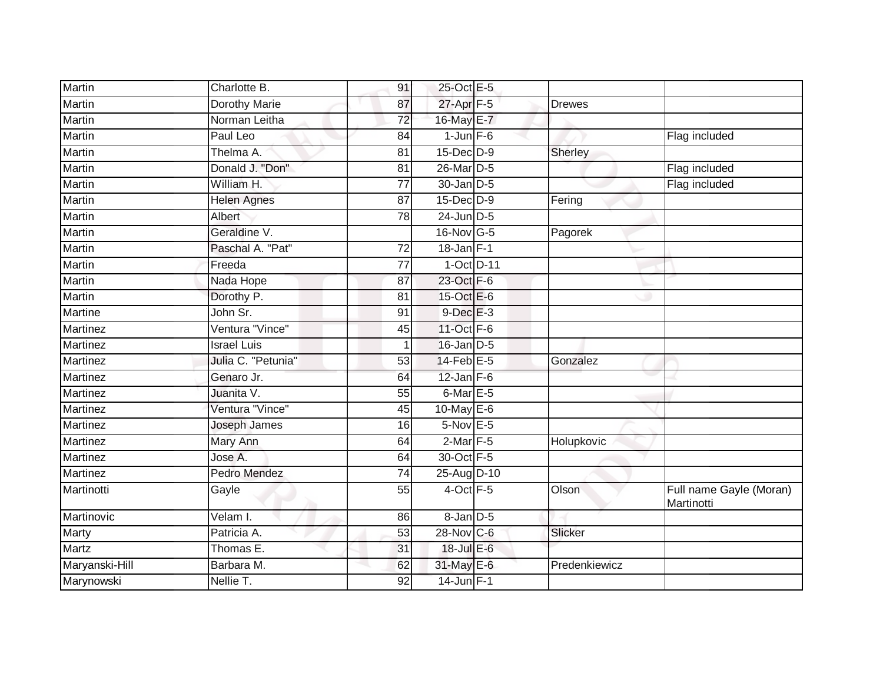| <b>Martin</b>   | Charlotte B.         | 91              | 25-Oct E-5            |               |                                       |
|-----------------|----------------------|-----------------|-----------------------|---------------|---------------------------------------|
| <b>Martin</b>   | <b>Dorothy Marie</b> | 87              | 27-Apr <sub>F-5</sub> | <b>Drewes</b> |                                       |
| <b>Martin</b>   | Norman Leitha        | $\overline{72}$ | 16-May E-7            |               |                                       |
| Martin          | Paul Leo             | 84              | $1$ -Jun $F-6$        |               | Flag included                         |
| Martin          | Thelma A.            | 81              | 15-Dec D-9            | Sherley       |                                       |
| Martin          | Donald J. "Don"      | 81              | 26-Mar <sub>D-5</sub> |               | Flag included                         |
| Martin          | William H.           | $\overline{77}$ | 30-Jan D-5            |               | Flag included                         |
| Martin          | <b>Helen Agnes</b>   | 87              | 15-Dec D-9            | Fering        |                                       |
| <b>Martin</b>   | Albert               | 78              | 24-Jun D-5            |               |                                       |
| Martin          | Geraldine V.         |                 | 16-Nov G-5            | Pagorek       |                                       |
| Martin          | Paschal A. "Pat"     | 72              | $18$ -Jan $F-1$       |               |                                       |
| <b>Martin</b>   | Freeda               | $\overline{77}$ | 1-Oct D-11            |               |                                       |
| Martin          | Nada Hope            | 87              | 23-Oct F-6            |               |                                       |
| Martin          | Dorothy P.           | 81              | 15-Oct E-6            |               |                                       |
| Martine         | John Sr.             | 91              | $9$ -Dec $E-3$        |               |                                       |
| Martinez        | Ventura "Vince"      | 45              | 11-Oct F-6            |               |                                       |
| Martinez        | <b>Israel Luis</b>   |                 | 16-Jan D-5            |               |                                       |
| <b>Martinez</b> | Julia C. "Petunia"   | 53              | 14-Feb E-5            | Gonzalez      |                                       |
| <b>Martinez</b> | Genaro Jr.           | 64              | $12$ -Jan $F-6$       |               |                                       |
| Martinez        | Juanita V.           | 55              | $6$ -Mar $E$ -5       |               |                                       |
| Martinez        | Ventura "Vince"      | 45              | 10-May E-6            |               |                                       |
| <b>Martinez</b> | Joseph James         | 16              | 5-Nov E-5             |               |                                       |
| <b>Martinez</b> | Mary Ann             | 64              | $2$ -Mar $F-5$        | Holupkovic    |                                       |
| Martinez        | Jose A.              | 64              | 30-Oct F-5            |               |                                       |
| <b>Martinez</b> | <b>Pedro Mendez</b>  | $\overline{74}$ | 25-Aug D-10           |               |                                       |
| Martinotti      | Gayle                | 55              | $4$ -Oct $F-5$        | Olson         | Full name Gayle (Moran)<br>Martinotti |
| Martinovic      | Velam I.             | 86              | $8 - Jan$ $D-5$       |               |                                       |
| Marty           | Patricia A.          | 53              | 28-Nov C-6            | Slicker       |                                       |
| <b>Martz</b>    | Thomas E.            | 31              | 18-Jul E-6            |               |                                       |
| Maryanski-Hill  | Barbara M.           | 62              | 31-May E-6            | Predenkiewicz |                                       |
| Marynowski      | Nellie T.            | 92              | $14$ -Jun $F-1$       |               |                                       |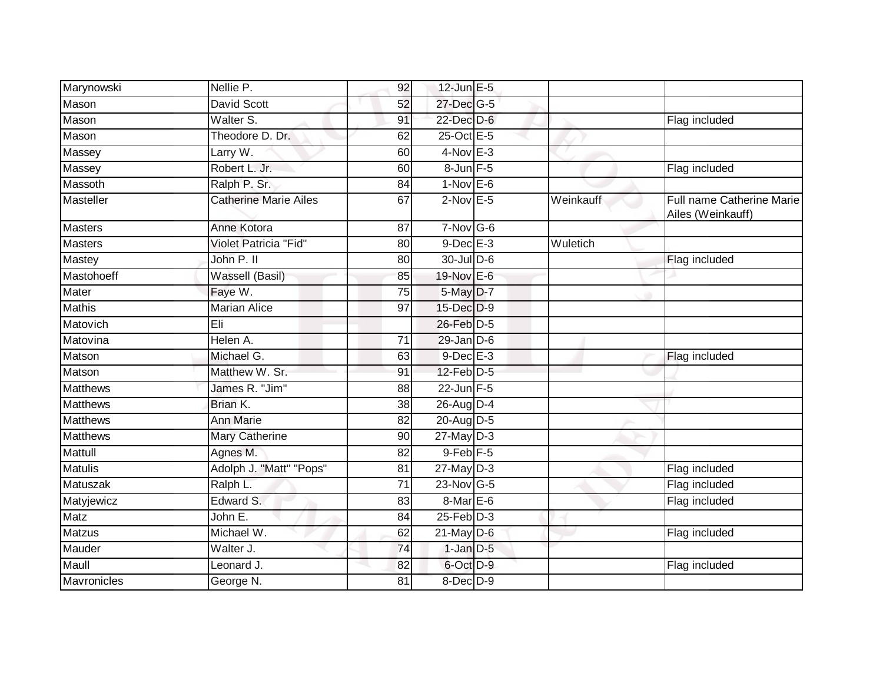| Marynowski      | Nellie P.                    | 92              | $12$ -Jun $E - 5$    |           |                                                |
|-----------------|------------------------------|-----------------|----------------------|-----------|------------------------------------------------|
| Mason           | <b>David Scott</b>           | 52              | 27-Dec G-5           |           |                                                |
| Mason           | Walter S.                    | 91              | 22-Dec D-6           |           | Flag included                                  |
| Mason           | Theodore D. Dr.              | 62              | 25-Oct E-5           |           |                                                |
| Massey          | Larry W.                     | 60              | $4-Nov$ E-3          |           |                                                |
| Massey          | Robert L. Jr.                | 60              | 8-Jun F-5            |           | Flag included                                  |
| Massoth         | Ralph P. Sr.                 | 84              | $1-Nov$ E-6          |           |                                                |
| Masteller       | <b>Catherine Marie Ailes</b> | 67              | $2$ -Nov $E - 5$     | Weinkauff | Full name Catherine Marie<br>Ailes (Weinkauff) |
| <b>Masters</b>  | Anne Kotora                  | 87              | $7-Nov$ G-6          |           |                                                |
| Masters         | Violet Patricia "Fid"        | 80              | $9$ -Dec $E-3$       | Wuletich  |                                                |
| Mastey          | John P. II                   | 80              | $30$ -Jul $D-6$      |           | Flag included                                  |
| Mastohoeff      | Wassell (Basil)              | 85              | 19-Nov E-6           |           |                                                |
| Mater           | Faye W.                      | 75              | $5$ -May $D-7$       |           |                                                |
| <b>Mathis</b>   | <b>Marian Alice</b>          | 97              | 15-Dec D-9           |           |                                                |
| Matovich        | Eli                          |                 | 26-Feb D-5           |           |                                                |
| Matovina        | Helen A.                     | 71              | $29$ -Jan $D$ -6     |           |                                                |
| Matson          | Michael G.                   | 63              | $9$ -Dec $E - 3$     |           | Flag included                                  |
| Matson          | Matthew W. Sr.               | 91              | $12$ -Feb $D-5$      |           |                                                |
| <b>Matthews</b> | James R. "Jim"               | 88              | 22-Jun F-5           |           |                                                |
| <b>Matthews</b> | Brian K.                     | 38              | $26$ -Aug D-4        |           |                                                |
| <b>Matthews</b> | <b>Ann Marie</b>             | 82              | 20-Aug D-5           |           |                                                |
| <b>Matthews</b> | Mary Catherine               | 90              | $27$ -May D-3        |           |                                                |
| Mattull         | Agnes M.                     | 82              | 9-Feb <sup>F-5</sup> |           |                                                |
| <b>Matulis</b>  | Adolph J. "Matt" "Pops"      | 81              | $27$ -May $D-3$      |           | Flag included                                  |
| Matuszak        | Ralph L.                     | $\overline{71}$ | 23-Nov G-5           |           | Flag included                                  |
| Matyjewicz      | Edward S.                    | 83              | 8-Mar E-6            |           | Flag included                                  |
| <b>Matz</b>     | John E.                      | 84              | $25$ -Feb $D-3$      |           |                                                |
| <b>Matzus</b>   | Michael W.                   | 62              | $21$ -May D-6        |           | Flag included                                  |
| Mauder          | Walter J.                    | 74              | $1$ -Jan $D-5$       |           |                                                |
| Maull           | Leonard J.                   | 82              | 6-Oct D-9            |           | Flag included                                  |
| Mavronicles     | George N.                    | 81              | 8-Dec D-9            |           |                                                |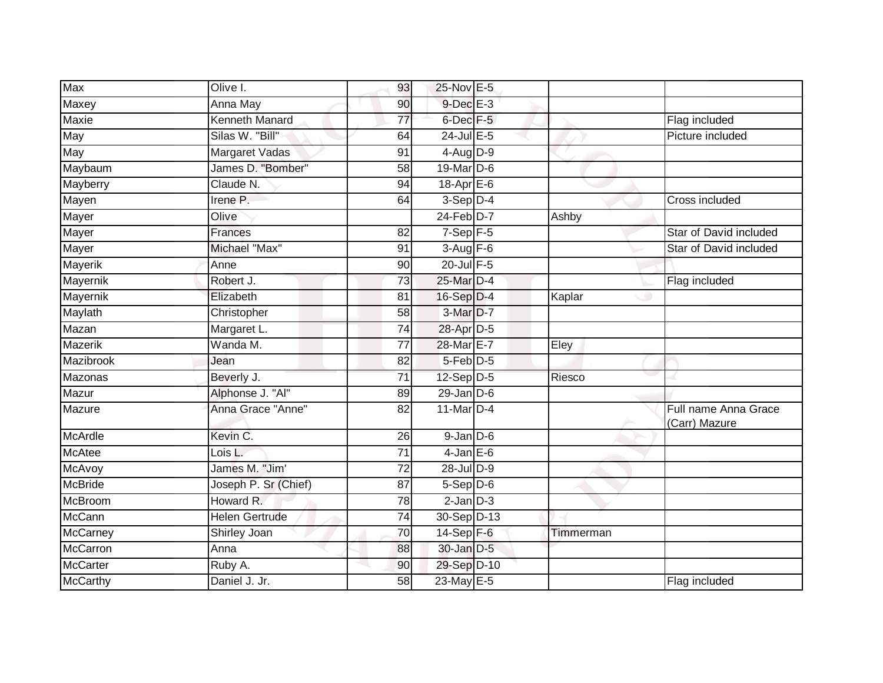| <b>Max</b>      | Olive I.              | 93              | 25-Nov E-5      |           |                                       |
|-----------------|-----------------------|-----------------|-----------------|-----------|---------------------------------------|
| Maxey           | Anna May              | 90              | $9$ -Dec $E-3$  |           |                                       |
| Maxie           | <b>Kenneth Manard</b> | 77              | 6-Dec F-5       |           | Flag included                         |
| May             | Silas W. "Bill"       | 64              | $24$ -Jul E-5   |           | Picture included                      |
| May             | <b>Margaret Vadas</b> | 91              | $4-AugD-9$      |           |                                       |
| Maybaum         | James D. "Bomber"     | 58              | 19-Mar D-6      |           |                                       |
| Mayberry        | Claude N.             | 94              | 18-Apr E-6      |           |                                       |
| Mayen           | Irene P.              | 64              | $3-$ Sep $D-4$  |           | Cross included                        |
| Mayer           | Olive                 |                 | $24$ -Feb $D-7$ | Ashby     |                                       |
| Mayer           | Frances               | 82              | $7-Sep$ F-5     |           | Star of David included                |
| Mayer           | Michael "Max"         | 91              | $3-Aug$ F-6     |           | Star of David included                |
| Mayerik         | Anne                  | 90              | 20-Jul F-5      |           |                                       |
| Mayernik        | Robert J.             | 73              | 25-Mar D-4      |           | Flag included                         |
| Mayernik        | Elizabeth             | 81              | 16-Sep D-4      | Kaplar    |                                       |
| Maylath         | Christopher           | 58              | 3-Mar D-7       |           |                                       |
| Mazan           | Margaret L.           | $\overline{74}$ | 28-Apr D-5      |           |                                       |
| <b>Mazerik</b>  | Wanda M.              | $\overline{77}$ | 28-Mar E-7      | Eley      |                                       |
| Mazibrook       | Jean                  | 82              | $5-Feb$ D-5     |           |                                       |
| Mazonas         | Beverly J.            | 71              | $12$ -Sep $D-5$ | Riesco    |                                       |
| Mazur           | Alphonse J. "Al"      | 89              | $29$ -Jan $D-6$ |           |                                       |
| Mazure          | Anna Grace "Anne"     | 82              | 11-Mar D-4      |           | Full name Anna Grace<br>(Carr) Mazure |
| McArdle         | Kevin C.              | 26              | $9$ -Jan $D$ -6 |           |                                       |
| <b>McAtee</b>   | Lois L.               | $\overline{71}$ | $4$ -Jan E-6    |           |                                       |
| McAvoy          | James M. "Jim'        | 72              | 28-Jul D-9      |           |                                       |
| <b>McBride</b>  | Joseph P. Sr (Chief)  | $\overline{87}$ | $5-Sep$ D-6     |           |                                       |
| McBroom         | Howard R.             | 78              | $2$ -Jan $D-3$  |           |                                       |
| McCann          | <b>Helen Gertrude</b> | 74              | 30-Sep D-13     |           |                                       |
| <b>McCarney</b> | Shirley Joan          | $\overline{70}$ | 14-Sep F-6      | Timmerman |                                       |
| <b>McCarron</b> | Anna                  | 88              | 30-Jan D-5      |           |                                       |
| <b>McCarter</b> | Ruby A.               | 90              | 29-Sep D-10     |           |                                       |
| <b>McCarthy</b> | Daniel J. Jr.         | 58              | 23-May E-5      |           | Flag included                         |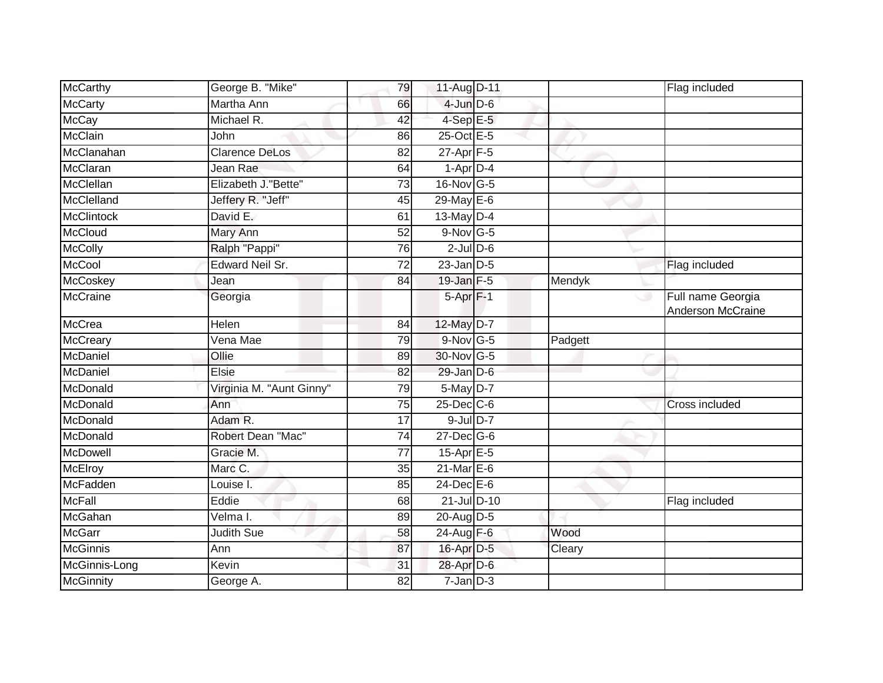| McCarthy          | George B. "Mike"         | 79              | 11-Aug D-11      |         | Flag included                                 |
|-------------------|--------------------------|-----------------|------------------|---------|-----------------------------------------------|
| <b>McCarty</b>    | Martha Ann               | 66              | $4$ -Jun $D$ -6  |         |                                               |
| <b>McCay</b>      | Michael R.               | 42              | $4-SepE-5$       |         |                                               |
| <b>McClain</b>    | John                     | 86              | 25-Oct E-5       |         |                                               |
| McClanahan        | <b>Clarence DeLos</b>    | 82              | $27$ -Apr $F-5$  |         |                                               |
| McClaran          | Jean Rae                 | 64              | $1-Apr$ D-4      |         |                                               |
| McClellan         | Elizabeth J. "Bette"     | 73              | $16$ -Nov G-5    |         |                                               |
| McClelland        | Jeffery R. "Jeff"        | 45              | $29$ -May E-6    |         |                                               |
| <b>McClintock</b> | David E.                 | 61              | 13-May D-4       |         |                                               |
| <b>McCloud</b>    | Mary Ann                 | 52              | $9-Nov$ G-5      |         |                                               |
| <b>McColly</b>    | Ralph "Pappi"            | 76              | $2$ -Jul $D$ -6  |         |                                               |
| McCool            | <b>Edward Neil Sr.</b>   | 72              | $23$ -Jan $D-5$  |         | Flag included                                 |
| McCoskey          | Jean                     | 84              | $19$ -Jan $F-5$  | Mendyk  |                                               |
| McCraine          | Georgia                  |                 | $5-Apr$ F-1      |         | Full name Georgia<br>ە ب<br>Anderson McCraine |
| <b>McCrea</b>     | Helen                    | 84              | 12-May D-7       |         |                                               |
| McCreary          | Vena Mae                 | 79              | $9-Nov$ G-5      | Padgett |                                               |
| McDaniel          | Ollie                    | 89              | 30-Nov G-5       |         |                                               |
| McDaniel          | Elsie                    | 82              | $29$ -Jan $D-6$  |         |                                               |
| McDonald          | Virginia M. "Aunt Ginny" | 79              | $5$ -May $D-7$   |         |                                               |
| McDonald          | Ann                      | $\overline{75}$ | $25$ -Dec $C$ -6 |         | Cross included                                |
| McDonald          | Adam R.                  | 17              | $9$ -Jul $D-7$   |         |                                               |
| McDonald          | Robert Dean "Mac"        | $\overline{74}$ | $27$ -Dec $G$ -6 |         |                                               |
| <b>McDowell</b>   | Gracie M.                | 77              | $15$ -Apr $E$ -5 |         |                                               |
| <b>McElroy</b>    | Marc C.                  | 35              | 21-Mar E-6       |         |                                               |
| McFadden          | Louise I.                | 85              | $24$ -Dec $E-6$  |         |                                               |
| <b>McFall</b>     | Eddie                    | 68              | 21-Jul D-10      |         | Flag included                                 |
| McGahan           | Velma I.                 | 89              | 20-Aug D-5       |         |                                               |
| <b>McGarr</b>     | Judith Sue               | 58              | 24-Aug F-6       | Wood    |                                               |
| <b>McGinnis</b>   | Ann                      | 87              | 16-Apr D-5       | Cleary  |                                               |
| McGinnis-Long     | Kevin                    | 31              | 28-Apr D-6       |         |                                               |
| <b>McGinnity</b>  | George A.                | 82              | $7$ -Jan $D-3$   |         |                                               |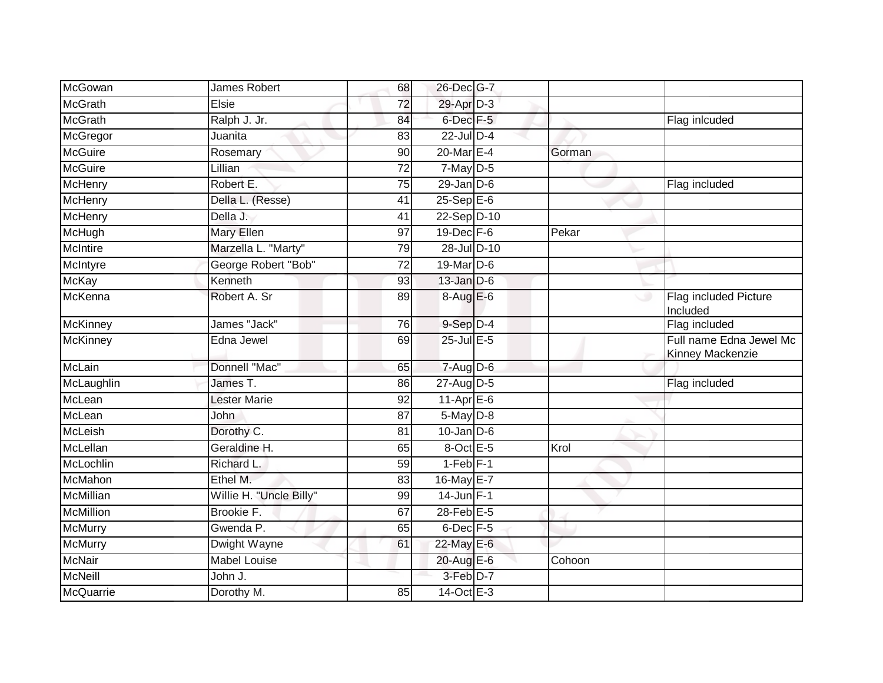| James Robert            | 68              |  |                                                                                                                                                                                                                                                                                                                                                                                                                                                                                                                          |                                             |
|-------------------------|-----------------|--|--------------------------------------------------------------------------------------------------------------------------------------------------------------------------------------------------------------------------------------------------------------------------------------------------------------------------------------------------------------------------------------------------------------------------------------------------------------------------------------------------------------------------|---------------------------------------------|
| Elsie                   | 72              |  |                                                                                                                                                                                                                                                                                                                                                                                                                                                                                                                          |                                             |
| Ralph J. Jr.            | 84              |  |                                                                                                                                                                                                                                                                                                                                                                                                                                                                                                                          | Flag inlcuded                               |
| Juanita                 | 83              |  |                                                                                                                                                                                                                                                                                                                                                                                                                                                                                                                          |                                             |
| Rosemary                | 90              |  | Gorman                                                                                                                                                                                                                                                                                                                                                                                                                                                                                                                   |                                             |
| Lillian                 | 72              |  |                                                                                                                                                                                                                                                                                                                                                                                                                                                                                                                          |                                             |
| Robert E.               | 75              |  |                                                                                                                                                                                                                                                                                                                                                                                                                                                                                                                          | Flag included                               |
| Della L. (Resse)        | 41              |  |                                                                                                                                                                                                                                                                                                                                                                                                                                                                                                                          |                                             |
| Della J.                | 41              |  |                                                                                                                                                                                                                                                                                                                                                                                                                                                                                                                          |                                             |
| Mary Ellen              | 97              |  | Pekar                                                                                                                                                                                                                                                                                                                                                                                                                                                                                                                    |                                             |
| Marzella L. "Marty"     | 79              |  |                                                                                                                                                                                                                                                                                                                                                                                                                                                                                                                          |                                             |
| George Robert "Bob"     | 72              |  |                                                                                                                                                                                                                                                                                                                                                                                                                                                                                                                          |                                             |
| Kenneth                 | 93              |  |                                                                                                                                                                                                                                                                                                                                                                                                                                                                                                                          |                                             |
| Robert A. Sr            | 89              |  |                                                                                                                                                                                                                                                                                                                                                                                                                                                                                                                          | Flag included Picture<br>Included           |
| James "Jack"            | 76              |  |                                                                                                                                                                                                                                                                                                                                                                                                                                                                                                                          | Flag included                               |
| Edna Jewel              | 69              |  |                                                                                                                                                                                                                                                                                                                                                                                                                                                                                                                          | Full name Edna Jewel Mc<br>Kinney Mackenzie |
| Donnell "Mac"           | 65              |  |                                                                                                                                                                                                                                                                                                                                                                                                                                                                                                                          |                                             |
| James T.                | 86              |  |                                                                                                                                                                                                                                                                                                                                                                                                                                                                                                                          | Flag included                               |
| <b>Lester Marie</b>     | 92              |  |                                                                                                                                                                                                                                                                                                                                                                                                                                                                                                                          |                                             |
| John                    | $\overline{87}$ |  |                                                                                                                                                                                                                                                                                                                                                                                                                                                                                                                          |                                             |
| Dorothy C.              | 81              |  |                                                                                                                                                                                                                                                                                                                                                                                                                                                                                                                          |                                             |
| Geraldine H.            | 65              |  | Krol                                                                                                                                                                                                                                                                                                                                                                                                                                                                                                                     |                                             |
| Richard L.              | 59              |  |                                                                                                                                                                                                                                                                                                                                                                                                                                                                                                                          |                                             |
| Ethel M.                | 83              |  |                                                                                                                                                                                                                                                                                                                                                                                                                                                                                                                          |                                             |
| Willie H. "Uncle Billy" | 99              |  |                                                                                                                                                                                                                                                                                                                                                                                                                                                                                                                          |                                             |
| Brookie F.              | 67              |  |                                                                                                                                                                                                                                                                                                                                                                                                                                                                                                                          |                                             |
| Gwenda P.               | 65              |  |                                                                                                                                                                                                                                                                                                                                                                                                                                                                                                                          |                                             |
| Dwight Wayne            | 61              |  |                                                                                                                                                                                                                                                                                                                                                                                                                                                                                                                          |                                             |
| Mabel Louise            |                 |  | Cohoon                                                                                                                                                                                                                                                                                                                                                                                                                                                                                                                   |                                             |
| John J.                 |                 |  |                                                                                                                                                                                                                                                                                                                                                                                                                                                                                                                          |                                             |
| Dorothy M.              | 85              |  |                                                                                                                                                                                                                                                                                                                                                                                                                                                                                                                          |                                             |
|                         |                 |  | 26-Dec G-7<br>29-Apr D-3<br>$6$ -Dec $F-5$<br>$22$ -Jul $D-4$<br>$20$ -Mar $E-4$<br>$7$ -May $D-5$<br>$29$ -Jan $D$ -6<br>$25-Sep$ E-6<br>22-Sep D-10<br>19-Dec F-6<br>28-Jul D-10<br>19-Mar D-6<br>$13$ -Jan $D-6$<br>$8-AugE-6$<br>9-Sep D-4<br>$25$ -Jul $E$ -5<br>$7 - Aug$ $D-6$<br>27-Aug D-5<br>$11-Apr \nE-6$<br>$5$ -May $D-8$<br>$10$ -Jan $ D-6 $<br>8-Oct E-5<br>$1-Feb$ $F-1$<br>16-May E-7<br>$14$ -Jun $F-1$<br>$28$ -Feb $E$ -5<br>$6$ -Dec $F-5$<br>22-May E-6<br>20-Aug E-6<br>3-Feb D-7<br>14-Oct E-3 |                                             |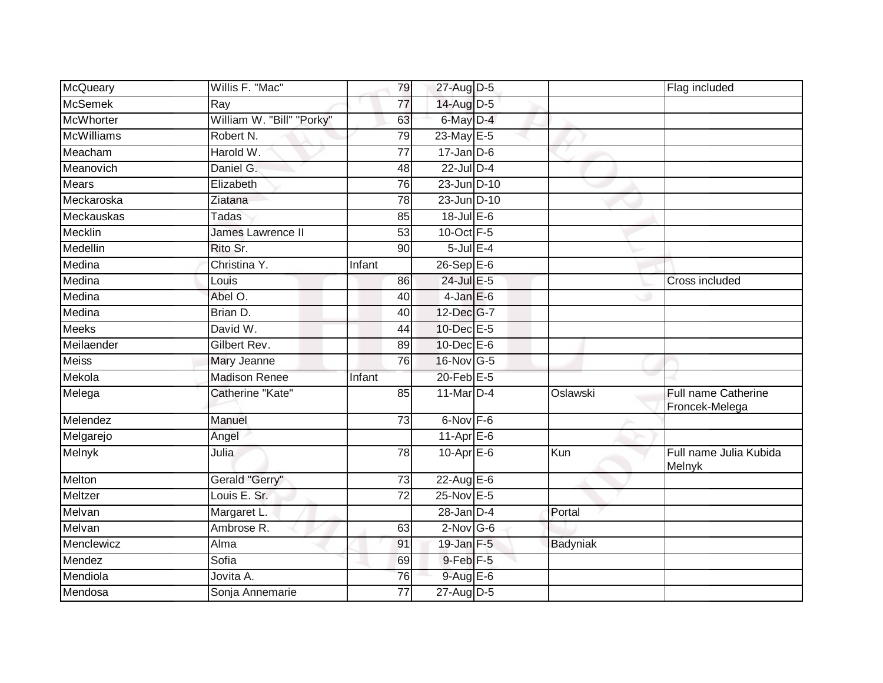| McQueary          | Willis F. "Mac"           | 79              | 27-Aug D-5        |          | Flag included                           |
|-------------------|---------------------------|-----------------|-------------------|----------|-----------------------------------------|
| <b>McSemek</b>    | Ray                       | 77              | 14-Aug D-5        |          |                                         |
| <b>McWhorter</b>  | William W. "Bill" "Porky" | 63              | 6-May D-4         |          |                                         |
| <b>McWilliams</b> | Robert N.                 | 79              | 23-May E-5        |          |                                         |
| Meacham           | Harold W.                 | $\overline{77}$ | $17 - Jan$ $D-6$  |          |                                         |
| Meanovich         | Daniel G.                 | 48              | $22$ -Jul $D-4$   |          |                                         |
| <b>Mears</b>      | Elizabeth                 | 76              | 23-Jun D-10       |          |                                         |
| Meckaroska        | Ziatana                   | 78              | 23-Jun D-10       |          |                                         |
| Meckauskas        | Tadas                     | 85              | $18$ -Jul $E$ -6  |          |                                         |
| <b>Mecklin</b>    | James Lawrence II         | $\overline{53}$ | 10-Oct F-5        |          |                                         |
| Medellin          | Rito Sr.                  | 90              | $5$ -Jul $E-4$    |          |                                         |
| Medina            | Christina Y.              | Infant          | 26-Sep E-6        |          |                                         |
| Medina            | Louis                     | 86              | $24$ -Jul E-5     |          | Cross included                          |
| Medina            | Abel O.                   | 40              | $4$ -Jan $E$ -6   |          |                                         |
| Medina            | Brian D.                  | 40              | 12-Dec G-7        |          |                                         |
| <b>Meeks</b>      | David W.                  | 44              | 10-Dec E-5        |          |                                         |
| Meilaender        | Gilbert Rev.              | 89              | $10$ -Dec $E - 6$ |          |                                         |
| <b>Meiss</b>      | Mary Jeanne               | 76              | $16$ -Nov G-5     |          |                                         |
| Mekola            | <b>Madison Renee</b>      | Infant          | 20-Feb E-5        |          |                                         |
| Melega            | Catherine "Kate"          | 85              | 11-Mar D-4        | Oslawski | Full name Catherine<br>Froncek-Melega   |
| Melendez          | Manuel                    | $\overline{73}$ | 6-Nov F-6         |          |                                         |
| Melgarejo         | Angel                     |                 | $11-Apr \nE-6$    |          |                                         |
| Melnyk            | Julia                     | 78              | $10$ -Apr $E$ -6  | Kun      | Full name Julia Kubida<br><b>Melnyk</b> |
| Melton            | Gerald "Gerry"            | 73              | 22-Aug E-6        |          |                                         |
| Meltzer           | Louis E. Sr.              | $\overline{72}$ | 25-Nov E-5        |          |                                         |
| Melvan            | Margaret L.               |                 | $28$ -Jan $D-4$   | Portal   |                                         |
| Melvan            | Ambrose R.                | 63              | $2$ -Nov G-6      |          |                                         |
| Menclewicz        | Alma                      | 91              | $19$ -Jan $F-5$   | Badyniak |                                         |
| Mendez            | Sofia                     | 69              | $9$ -Feb $F-5$    |          |                                         |
| Mendiola          | Jovita A.                 | 76              | 9-Aug E-6         |          |                                         |
| Mendosa           | Sonja Annemarie           | 77              | $27$ -AugD-5      |          |                                         |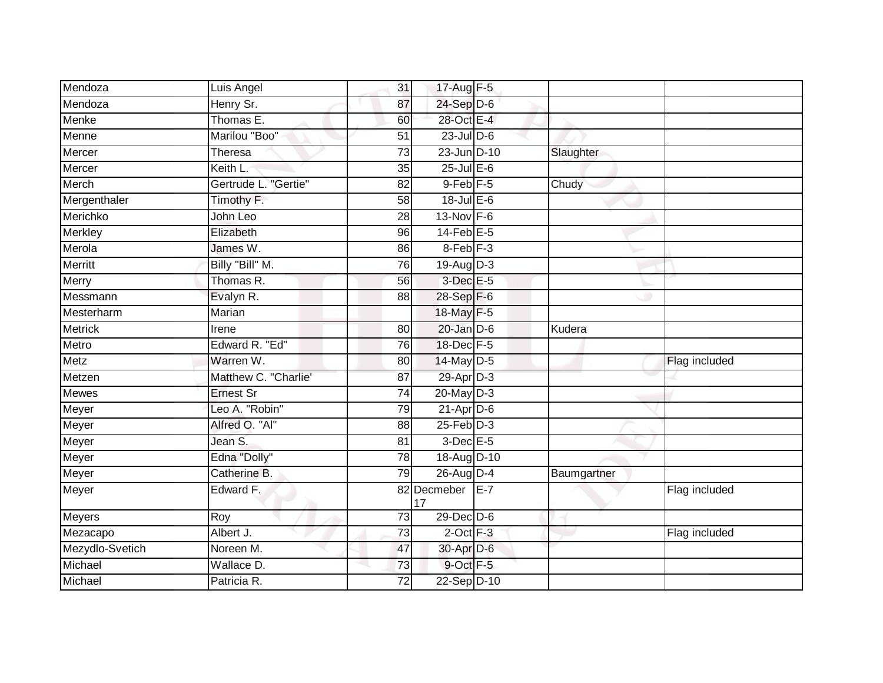| Mendoza         | Luis Angel           | 31              | $17 - \overline{Aug}$ F-5 |       |             |               |
|-----------------|----------------------|-----------------|---------------------------|-------|-------------|---------------|
| Mendoza         | Henry Sr.            | 87              | $24-Sep$ D-6              |       |             |               |
| Menke           | Thomas E.            | 60              | 28-Oct E-4                |       |             |               |
| Menne           | Marilou "Boo"        | 51              | $23$ -Jul $D-6$           |       |             |               |
| Mercer          | Theresa              | $\overline{73}$ | 23-Jun D-10               |       | Slaughter   |               |
| Mercer          | Keith L.             | 35              | $25$ -Jul $E$ -6          |       |             |               |
| Merch           | Gertrude L. "Gertie" | 82              | $9$ -Feb $F - 5$          |       | Chudy       |               |
| Mergenthaler    | Timothy F.           | 58              | $18$ -Jul E-6             |       |             |               |
| Merichko        | John Leo             | 28              | 13-Nov F-6                |       |             |               |
| <b>Merkley</b>  | Elizabeth            | 96              | $14$ -Feb $E-5$           |       |             |               |
| Merola          | James W.             | 86              | 8-Feb <sup>F-3</sup>      |       |             |               |
| Merritt         | Billy "Bill" M.      | 76              | 19-Aug D-3                |       |             |               |
| Merry           | Thomas R.            | 56              | $3$ -Dec $E - 5$          |       |             |               |
| Messmann        | Evalyn R.            | 88              | 28-Sep F-6                |       |             |               |
| Mesterharm      | Marian               |                 | 18-May F-5                |       |             |               |
| <b>Metrick</b>  | Irene                | 80              | $20$ -Jan $D-6$           |       | Kudera      |               |
| Metro           | Edward R. "Ed"       | 76              | 18-Dec F-5                |       |             |               |
| Metz            | Warren W.            | 80              | 14-May D-5                |       |             | Flag included |
| Metzen          | Matthew C. "Charlie' | 87              | 29-Apr D-3                |       |             |               |
| <b>Mewes</b>    | <b>Ernest Sr</b>     | 74              | $20$ -May $D-3$           |       |             |               |
| Meyer           | Leo A. "Robin"       | 79              | $21-Apr D-6$              |       |             |               |
| Meyer           | Alfred O. "Al"       | $\overline{88}$ | $25$ -Feb $D-3$           |       |             |               |
| Meyer           | Jean S.              | 81              | $3$ -Dec $E$ -5           |       |             |               |
| Meyer           | Edna "Dolly"         | 78              | 18-Aug D-10               |       |             |               |
| Meyer           | Catherine B.         | 79              | 26-Aug D-4                |       | Baumgartner |               |
| Meyer           | Edward F.            |                 | 82 Decmeber<br>17         | $E-7$ |             | Flag included |
| Meyers          | Roy                  | 73              | $29$ -Dec $D-6$           |       |             |               |
| Mezacapo        | Albert J.            | 73              | $2$ -Oct $F-3$            |       |             | Flag included |
| Mezydlo-Svetich | Noreen M.            | 47              | 30-Apr D-6                |       |             |               |
| Michael         | Wallace D.           | 73              | 9-Oct F-5                 |       |             |               |
| Michael         | Patricia R.          | 72              | 22-Sep D-10               |       |             |               |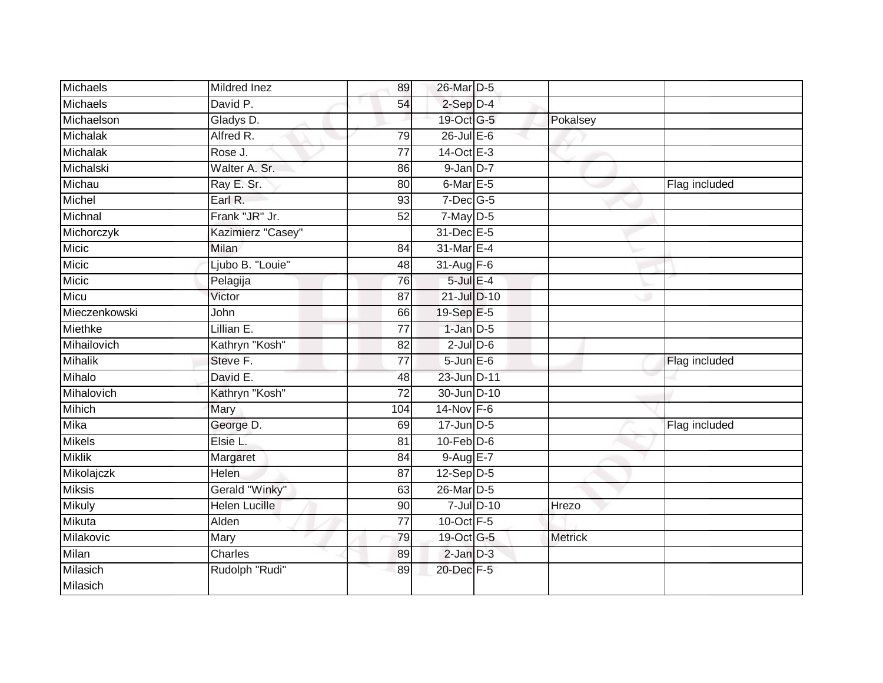| <b>Michaels</b> | Mildred Inez         | 89              | 26-Mar D-5        |                 |                |               |
|-----------------|----------------------|-----------------|-------------------|-----------------|----------------|---------------|
| Michaels        | David P.             | 54              | $2-Sep$ $D-4$     |                 |                |               |
| Michaelson      | Gladys D.            |                 | 19-Oct G-5        |                 | Pokalsey       |               |
| Michalak        | Alfred R.            | 79              | 26-Jul E-6        |                 |                |               |
| Michalak        | Rose J.              | $\overline{77}$ | 14-Oct E-3        |                 |                |               |
| Michalski       | Walter A. Sr.        | 86              | $9$ -Jan $D-7$    |                 |                |               |
| Michau          | Ray E. Sr.           | 80              | 6-Mar $E-5$       |                 |                | Flag included |
| Michel          | Earl R.              | 93              | $7$ -Dec $G$ -5   |                 |                |               |
| Michnal         | Frank "JR" Jr.       | 52              | $7$ -May $D-5$    |                 |                |               |
| Michorczyk      | Kazimierz "Casey"    |                 | 31-Dec E-5        |                 |                |               |
| Micic           | Milan                | 84              | 31-Mar E-4        |                 |                |               |
| Micic           | Ljubo B. "Louie"     | 48              | $31 - Aug$ F-6    |                 |                |               |
| Micic           | Pelagija             | 76              | $5$ -Jul $E-4$    |                 |                |               |
| Micu            | Victor               | 87              | 21-Jul D-10       |                 |                |               |
| Mieczenkowski   | John                 | 66              | 19-Sep E-5        |                 |                |               |
| Miethke         | Lillian $E$ .        | 77              | $1$ -Jan $D-5$    |                 |                |               |
| Mihailovich     | Kathryn "Kosh"       | $\overline{82}$ | $2$ -Jul $D$ -6   |                 |                |               |
| <b>Mihalik</b>  | Steve F.             | 77              | $5 - Jun$ $E - 6$ |                 |                | Flag included |
| Mihalo          | David E.             | 48              | 23-Jun D-11       |                 |                |               |
| Mihalovich      | Kathryn "Kosh"       | $\overline{72}$ | 30-Jun D-10       |                 |                |               |
| <b>Mihich</b>   | Mary                 | 104             | $14$ -Nov F-6     |                 |                |               |
| Mika            | George D.            | 69              | $17$ -Jun $D-5$   |                 |                | Flag included |
| <b>Mikels</b>   | Elsie L.             | 81              | $10$ -Feb $D-6$   |                 |                |               |
| <b>Miklik</b>   | Margaret             | 84              | $9-AugE-7$        |                 |                |               |
| Mikolajczk      | Helen                | 87              | $12-Sep D-5$      |                 |                |               |
| <b>Miksis</b>   | Gerald "Winky"       | 63              | 26-Mar D-5        |                 |                |               |
| <b>Mikuly</b>   | <b>Helen Lucille</b> | 90              |                   | $7$ -Jul $D-10$ | Hrezo          |               |
| Mikuta          | Alden                | $\overline{77}$ | $10$ -Oct $F - 5$ |                 |                |               |
| Milakovic       | Mary                 | 79              | 19-Oct G-5        |                 | <b>Metrick</b> |               |
| Milan           | Charles              | 89              | $2$ -Jan $D-3$    |                 |                |               |
| Milasich        | Rudolph "Rudi"       | 89              | 20-Dec F-5        |                 |                |               |
| Milasich        |                      |                 |                   |                 |                |               |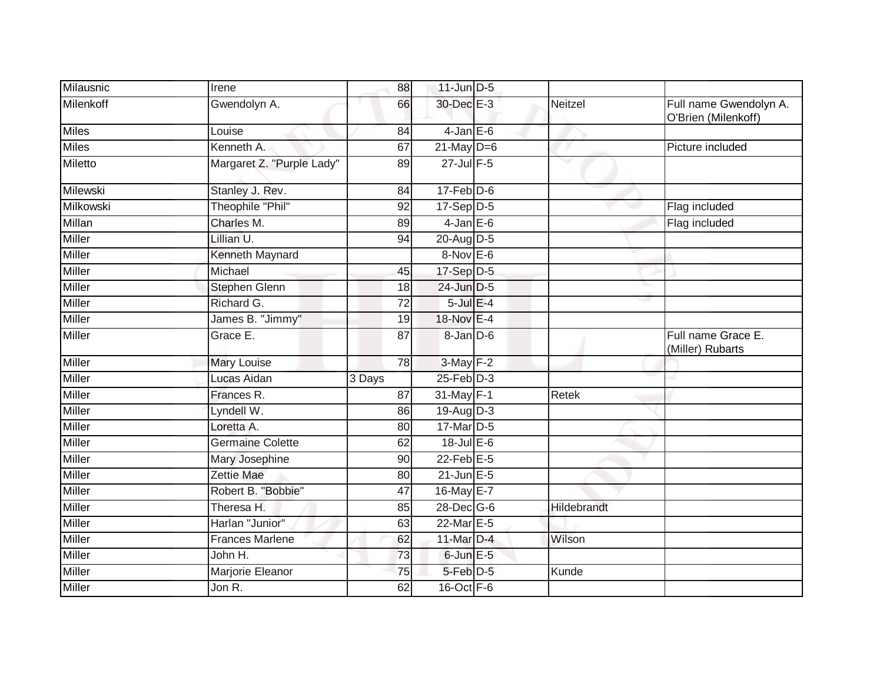| Milausnic     | Irene                     | 88              | $11$ -Jun $D-5$   |             |                                               |
|---------------|---------------------------|-----------------|-------------------|-------------|-----------------------------------------------|
| Milenkoff     | Gwendolyn A.              | 66              | 30-Dec E-3        | Neitzel     | Full name Gwendolyn A.<br>O'Brien (Milenkoff) |
| <b>Miles</b>  | Louise                    | 84              | $4$ -Jan $E$ -6   |             |                                               |
| <b>Miles</b>  | Kenneth A.                | 67              | $21$ -May $D=6$   |             | Picture included                              |
| Miletto       | Margaret Z. "Purple Lady" | 89              | 27-Jul F-5        | v           |                                               |
| Milewski      | Stanley J. Rev.           | 84              | $17$ -Feb $D-6$   |             |                                               |
| Milkowski     | Theophile "Phil"          | 92              | 17-Sep D-5        |             | Flag included                                 |
| <b>Millan</b> | Charles M.                | 89              | $4$ -Jan $E$ -6   |             | Flag included                                 |
| <b>Miller</b> | Lillian U.                | 94              | 20-Aug D-5        |             |                                               |
| Miller        | Kenneth Maynard           |                 | $8-Nov$ E-6       |             |                                               |
| Miller        | Michael                   | 45              | 17-Sep D-5        |             |                                               |
| Miller        | Stephen Glenn             | 18              | 24-Jun D-5        |             |                                               |
| <b>Miller</b> | Richard G.                | 72              | $5$ -Jul $E-4$    |             |                                               |
| Miller        | James B. "Jimmy"          | 19              | 18-Nov E-4        |             |                                               |
| <b>Miller</b> | Grace E.                  | $\overline{87}$ | 8-Jan D-6         |             | Full name Grace E.<br>(Miller) Rubarts        |
| <b>Miller</b> | <b>Mary Louise</b>        | 78              | 3-May F-2         |             |                                               |
| <b>Miller</b> | Lucas Aidan               | 3 Days          | $25$ -Feb $D-3$   |             |                                               |
| <b>Miller</b> | Frances R.                | $\overline{87}$ | 31-May F-1        | Retek       |                                               |
| Miller        | Lyndell W.                | 86              | 19-Aug D-3        |             |                                               |
| Miller        | Loretta A.                | 80              | 17-Mar D-5        |             |                                               |
| Miller        | Germaine Colette          | 62              | 18-Jul E-6        |             |                                               |
| <b>Miller</b> | Mary Josephine            | 90              | $22$ -Feb $E-5$   |             |                                               |
| <b>Miller</b> | Zettie Mae                | 80              | $21$ -Jun $E-5$   |             |                                               |
| Miller        | Robert B. "Bobbie"        | 47              | 16-May E-7        |             |                                               |
| Miller        | Theresa H.                | 85              | 28-Dec G-6        | Hildebrandt |                                               |
| Miller        | Harlan "Junior"           | 63              | $22$ -Mar $E-5$   |             |                                               |
| Miller        | <b>Frances Marlene</b>    | 62              | 11-Mar D-4        | Wilson      |                                               |
| <b>Miller</b> | John H.                   | 73              | $6$ -Jun $E$ -5   |             |                                               |
| <b>Miller</b> | Marjorie Eleanor          | 75              | 5-Feb D-5         | Kunde       |                                               |
| Miller        | Jon $\overline{R}$ .      | 62              | $16$ -Oct $F - 6$ |             |                                               |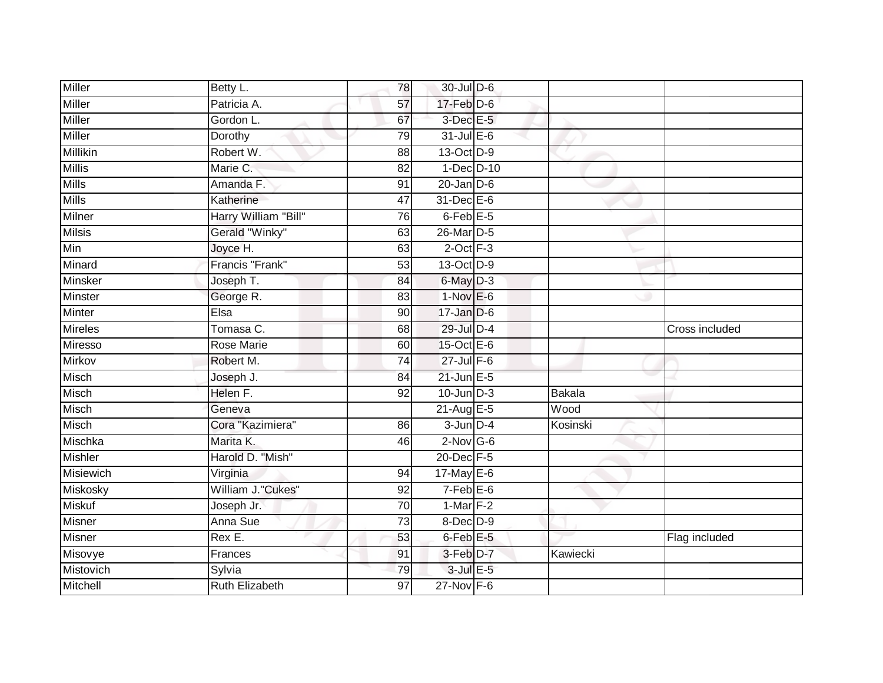| <b>Miller</b>   | Betty L.              | $\overline{78}$ | 30-Jul D-6           |          |                |
|-----------------|-----------------------|-----------------|----------------------|----------|----------------|
| Miller          | Patricia A.           | 57              | $17$ -Feb $D-6$      |          |                |
| <b>Miller</b>   | Gordon L.             | 67              | 3-Dec E-5            |          |                |
| Miller          | Dorothy               | 79              | $31$ -Jul $E-6$      |          |                |
| <b>Millikin</b> | Robert W.             | $\overline{88}$ | 13-Oct D-9           |          |                |
| <b>Millis</b>   | Marie C.              | 82              | $1-Dec$ $D-10$       |          |                |
| <b>Mills</b>    | Amanda F.             | 91              | $20$ -Jan $D-6$      |          |                |
| <b>Mills</b>    | Katherine             | 47              | $31$ -Dec $E-6$      |          |                |
| Milner          | Harry William "Bill"  | 76              | $6$ -Feb $E$ -5      |          |                |
| <b>Milsis</b>   | Gerald "Winky"        | 63              | 26-Mar D-5           |          |                |
| Min             | Joyce H.              | 63              | $2$ -Oct $F-3$       |          |                |
| Minard          | Francis "Frank"       | 53              | 13-Oct D-9           |          |                |
| Minsker         | Joseph T.             | 84              | $6$ -May $D-3$       |          |                |
| <b>Minster</b>  | George R.             | 83              | $1-Nov$ E-6          |          |                |
| Minter          | Elsa                  | 90              | $17 - Jan$ $D-6$     |          |                |
| <b>Mireles</b>  | Tomasa C.             | 68              | 29-Jul D-4           |          | Cross included |
| Miresso         | <b>Rose Marie</b>     | 60              | 15-Oct E-6           |          |                |
| Mirkov          | Robert M.             | $\overline{74}$ | 27-Jul F-6           |          |                |
| Misch           | Joseph J.             | 84              | $21$ -Jun $E-5$      |          |                |
| Misch           | Helen F.              | 92              | $10$ -Jun $D-3$      | Bakala   |                |
| Misch           | Geneva                |                 | 21-Aug E-5           | Wood     |                |
| Misch           | Cora "Kazimiera"      | 86              | $3$ -Jun $D-4$       | Kosinski |                |
| Mischka         | Marita K.             | 46              | $2$ -Nov G-6         |          |                |
| <b>Mishler</b>  | Harold D. "Mish"      |                 | 20-Dec F-5           |          |                |
| Misiewich       | Virginia              | 94              | 17-May E-6           |          |                |
| Miskosky        | William J."Cukes"     | 92              | $7-Feb$ $E-6$        |          |                |
| <b>Miskuf</b>   | Joseph Jr.            | 70              | 1-Mar <sub>F-2</sub> |          |                |
| Misner          | Anna Sue              | 73              | 8-Dec D-9            |          |                |
| Misner          | Rex E.                | 53              | 6-Feb E-5            |          | Flag included  |
| Misovye         | Frances               | 91              | 3-Feb D-7            | Kawiecki |                |
| Mistovich       | Sylvia                | 79              | $3$ -Jul $E$ -5      |          |                |
| Mitchell        | <b>Ruth Elizabeth</b> | $\overline{97}$ | $27$ -Nov F-6        |          |                |
|                 |                       |                 |                      |          |                |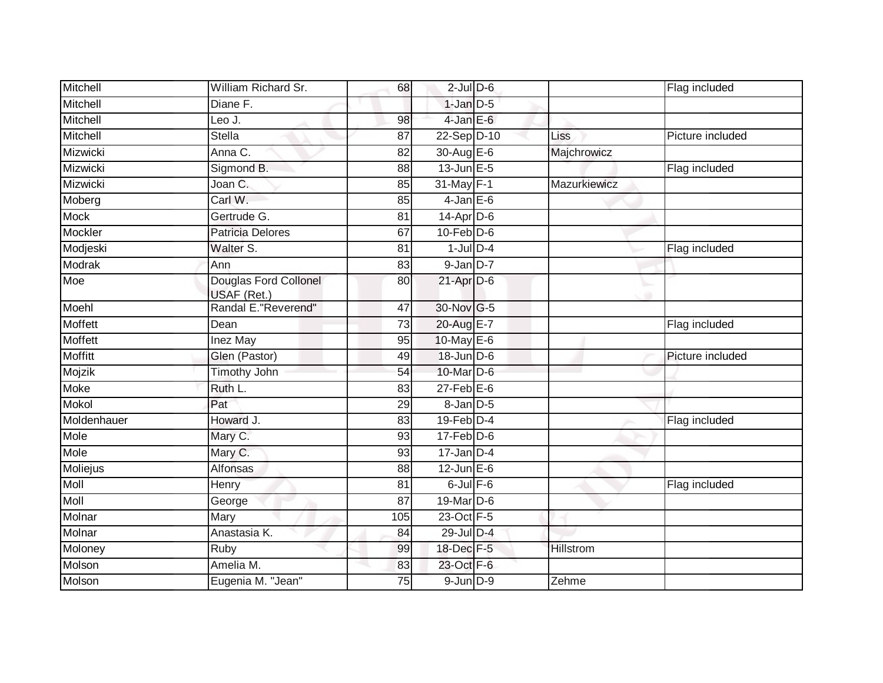| Mitchell       | William Richard Sr.                  | 68              | $2$ -Jul $D$ -6             |                  | Flag included    |
|----------------|--------------------------------------|-----------------|-----------------------------|------------------|------------------|
| Mitchell       | Diane F.                             |                 | $1$ -Jan $D-5$              |                  |                  |
| Mitchell       | Leo J.                               | 98              | $4$ -Jan E-6                |                  |                  |
| Mitchell       | <b>Stella</b>                        | 87              | 22-Sep D-10                 | Liss             | Picture included |
| Mizwicki       | Anna C.                              | $\overline{82}$ | 30-Aug E-6                  | Majchrowicz      |                  |
| Mizwicki       | Sigmond B.                           | 88              | $13$ -Jun $E - 5$           |                  | Flag included    |
| Mizwicki       | Joan C.                              | 85              | 31-May F-1                  | Mazurkiewicz     |                  |
| Moberg         | Carl W.                              | 85              | $4$ -Jan $E$ -6             |                  |                  |
| <b>Mock</b>    | Gertrude G.                          | 81              | $14$ -Apr $D-6$             |                  |                  |
| Mockler        | Patricia Delores                     | 67              | $10$ -Feb $D-6$             |                  |                  |
| Modjeski       | Walter S.                            | 81              | $1$ -Jul $D-4$              |                  | Flag included    |
| Modrak         | Ann                                  | 83              | $9$ -Jan $D-7$              |                  |                  |
| Moe            | Douglas Ford Collonel<br>USAF (Ret.) | 80              | $21$ -Apr $D-6$             |                  |                  |
| Moehl          | Randal E. "Reverend"                 | 47              | 30-Nov G-5                  |                  |                  |
| <b>Moffett</b> | Dean                                 | $\overline{73}$ | 20-Aug E-7                  |                  | Flag included    |
| Moffett        | Inez May                             | 95              | $10$ -May $E-6$             |                  |                  |
| <b>Moffitt</b> | Glen (Pastor)                        | 49              | $18$ -Jun $D-6$             |                  | Picture included |
| Mojzik         | <b>Timothy John</b>                  | 54              | 10-Mar D-6                  |                  |                  |
| Moke           | Ruth L.                              | 83              | $27$ -Feb $E$ -6            |                  |                  |
| Mokol          | Pat                                  | 29              | $8$ -Jan $D$ -5             |                  |                  |
| Moldenhauer    | Howard J.                            | 83              | $19$ -Feb $D-4$             |                  | Flag included    |
| Mole           | Mary C.                              | 93              | $17$ -Feb $\overline{D}$ -6 |                  |                  |
| Mole           | Mary C.                              | 93              | $17$ -Jan D-4               |                  |                  |
| Moliejus       | Alfonsas                             | 88              | $12$ -Jun $E-6$             |                  |                  |
| <b>Moll</b>    | <b>Henry</b>                         | 81              | $6$ -Jul $F-6$              |                  | Flag included    |
| <b>Moll</b>    | George                               | 87              | 19-Mar D-6                  |                  |                  |
| Molnar         | Mary                                 | 105             | 23-Oct F-5                  |                  |                  |
| Molnar         | Anastasia K.                         | 84              | 29-Jul D-4                  |                  |                  |
| Moloney        | Ruby                                 | 99              | 18-Dec F-5                  | <b>Hillstrom</b> |                  |
| Molson         | Amelia M.                            | 83              | 23-Oct F-6                  |                  |                  |
| Molson         | Eugenia M. "Jean"                    | 75              | $9$ -Jun $D-9$              | Zehme            |                  |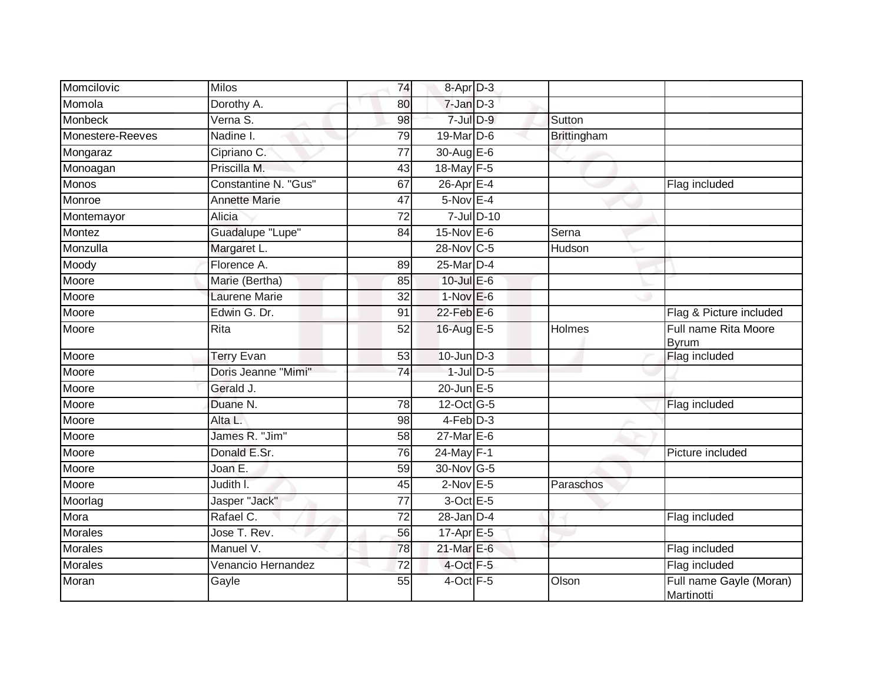| Momcilovic       | <b>Milos</b>         | 74              | 8-Apr D-3         |                    |                                       |
|------------------|----------------------|-----------------|-------------------|--------------------|---------------------------------------|
| Momola           | Dorothy A.           | 80              | $7 - Jan$ $D-3$   |                    |                                       |
| <b>Monbeck</b>   | Verna S.             | 98              | $7$ -Jul $D-9$    | Sutton             |                                       |
| Monestere-Reeves | Nadine I.            | 79              | 19-Mar D-6        | <b>Brittingham</b> |                                       |
| Mongaraz         | Cipriano C.          | $\overline{77}$ | 30-Aug E-6        |                    |                                       |
| Monoagan         | Priscilla M.         | 43              | 18-May F-5        |                    |                                       |
| Monos            | Constantine N. "Gus" | 67              | 26-Apr E-4        |                    | Flag included                         |
| Monroe           | <b>Annette Marie</b> | 47              | $5-Nov$ E-4       |                    |                                       |
| Montemayor       | Alicia               | 72              | $7$ -Jul $D-10$   |                    |                                       |
| Montez           | Guadalupe "Lupe"     | 84              | 15-Nov E-6        | Serna              |                                       |
| Monzulla         | Margaret L.          |                 | 28-Nov C-5        | Hudson             |                                       |
| Moody            | Florence A.          | 89              | 25-Mar D-4        |                    |                                       |
| Moore            | Marie (Bertha)       | 85              | 10-Jul E-6        |                    |                                       |
| Moore            | Laurene Marie        | 32              | $1-Nov$ E-6       |                    |                                       |
| Moore            | Edwin G. Dr.         | 91              | $22$ -Feb $E$ -6  |                    | Flag & Picture included               |
| Moore            | Rita                 | $\overline{52}$ | 16-Aug E-5        | Holmes             | Full name Rita Moore<br><b>Byrum</b>  |
| Moore            | <b>Terry Evan</b>    | 53              | $10$ -Jun $D-3$   |                    | Flag included                         |
| Moore            | Doris Jeanne "Mimi"  | 74              | $1$ -Jul $D$ -5   |                    |                                       |
| Moore            | Gerald J.            |                 | $20$ -Jun $E - 5$ |                    |                                       |
| Moore            | Duane N.             | 78              | 12-Oct G-5        |                    | Flag included                         |
| Moore            | Alta L.              | 98              | $4-Feb$ $D-3$     |                    |                                       |
| Moore            | James R. "Jim"       | 58              | 27-Mar E-6        |                    |                                       |
| Moore            | Donald E.Sr.         | 76              | 24-May F-1        |                    | Picture included                      |
| Moore            | Joan E.              | 59              | 30-Nov G-5        |                    |                                       |
| Moore            | Judith I.            | 45              | $2$ -Nov $E - 5$  | Paraschos          |                                       |
| Moorlag          | Jasper "Jack"        | 77              | 3-Oct E-5         |                    |                                       |
| Mora             | Rafael C.            | $\overline{72}$ | $28 - Jan$ $D-4$  |                    | Flag included                         |
| <b>Morales</b>   | Jose T. Rev.         | 56              | $17-AprE-5$       |                    |                                       |
| <b>Morales</b>   | Manuel V.            | 78              | 21-Mar E-6        |                    | Flag included                         |
| Morales          | Venancio Hernandez   | 72              | 4-Oct F-5         |                    | Flag included                         |
| Moran            | Gayle                | 55              | 4-Oct F-5         | Olson              | Full name Gayle (Moran)<br>Martinotti |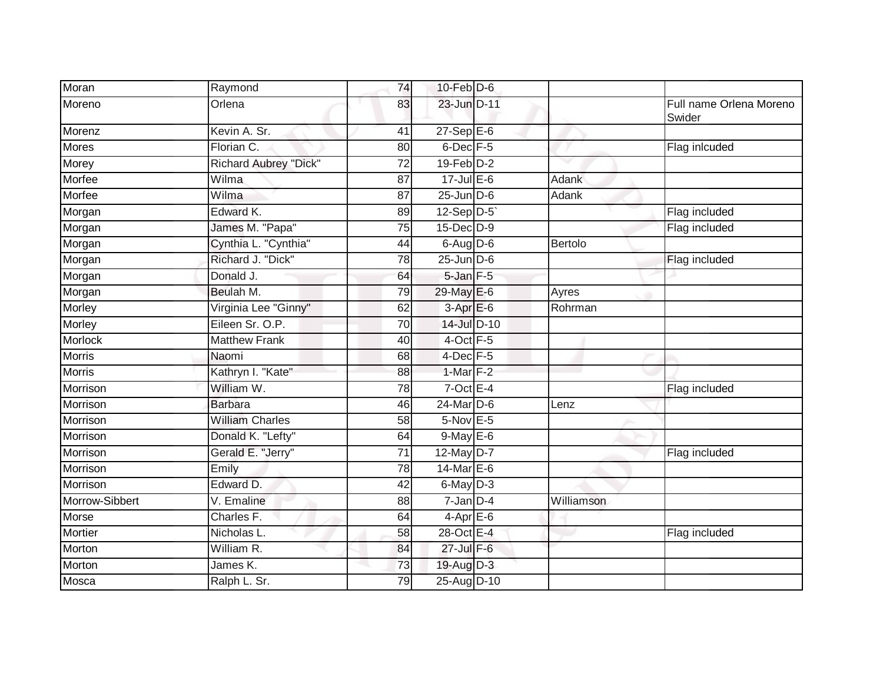| Moran          | Raymond                | 74 | $10$ -Feb $D-6$             |            |                                   |
|----------------|------------------------|----|-----------------------------|------------|-----------------------------------|
| Moreno         | Orlena                 | 83 | 23-Jun D-11                 |            | Full name Orlena Moreno<br>Swider |
| Morenz         | Kevin A. Sr.           | 41 | $27 - SepE-6$               |            |                                   |
| Mores          | Florian C.             | 80 | 6-Dec F-5                   |            | Flag inlcuded                     |
| Morey          | Richard Aubrey "Dick"  | 72 | $19$ -Feb $D-2$             |            |                                   |
| Morfee         | Wilma                  | 87 | $17 -$ Jul E-6              | Adank      |                                   |
| Morfee         | Wilma                  | 87 | $25$ -Jun $D-6$             | Adank      |                                   |
| Morgan         | Edward K.              | 89 | 12-Sep D-5                  |            | Flag included                     |
| Morgan         | James M. "Papa"        | 75 | $15$ -Dec $D-9$             |            | Flag included                     |
| Morgan         | Cynthia L. "Cynthia"   | 44 | $6$ -Aug $D$ -6             | Bertolo    |                                   |
| Morgan         | Richard J. "Dick"      | 78 | $25$ -Jun $\overline{D}$ -6 |            | Flag included                     |
| Morgan         | Donald J.              | 64 | $5$ -Jan $F-5$              |            |                                   |
| Morgan         | Beulah M.              | 79 | 29-May E-6                  | Ayres      |                                   |
| Morley         | Virginia Lee "Ginny"   | 62 | $3-AprE-6$                  | Rohrman    |                                   |
| Morley         | Eileen Sr. O.P.        | 70 | 14-Jul D-10                 |            |                                   |
| Morlock        | <b>Matthew Frank</b>   | 40 | $4$ -Oct $F - 5$            |            |                                   |
| <b>Morris</b>  | Naomi                  | 68 | $4$ -Dec $F-5$              |            |                                   |
| <b>Morris</b>  | Kathryn I. "Kate"      | 88 | 1-Mar $F-2$                 |            |                                   |
| Morrison       | William W.             | 78 | $7$ -Oct E-4                |            | Flag included                     |
| Morrison       | <b>Barbara</b>         | 46 | $24$ -Mar $D-6$             | Lenz       |                                   |
| Morrison       | <b>William Charles</b> | 58 | 5-Nov E-5                   |            |                                   |
| Morrison       | Donald K. "Lefty"      | 64 | $9$ -May $E$ -6             |            |                                   |
| Morrison       | Gerald E. "Jerry"      | 71 | 12-May D-7                  |            | Flag included                     |
| Morrison       | Emily                  | 78 | $14$ -Mar $E$ -6            |            |                                   |
| Morrison       | Edward D.              | 42 | $6$ -May $D-3$              |            |                                   |
| Morrow-Sibbert | V. Emaline             | 88 | 7-Jan D-4                   | Williamson |                                   |
| Morse          | Charles F.             | 64 | $4$ -Apr $E$ -6             |            |                                   |
| Mortier        | Nicholas L.            | 58 | 28-Oct E-4                  |            | Flag included                     |
| Morton         | William R.             | 84 | 27-Jul F-6                  |            |                                   |
| Morton         | James K.               | 73 | 19-Aug D-3                  |            |                                   |
| Mosca          | Ralph L. Sr.           | 79 | 25-Aug D-10                 |            |                                   |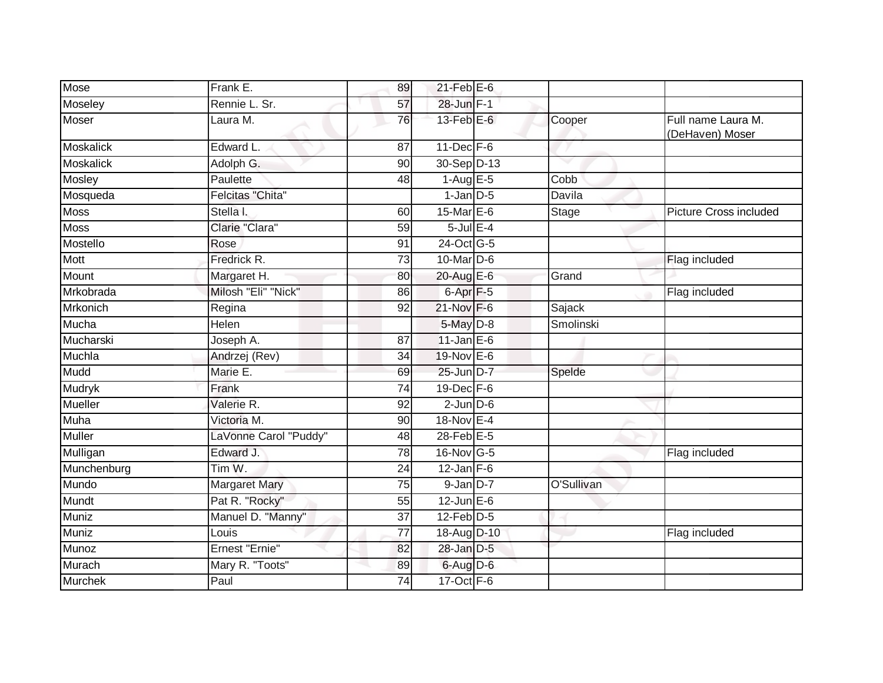| Mose             | Frank E.                | 89              | $21$ -Feb $E$ -6     |            |                                       |
|------------------|-------------------------|-----------------|----------------------|------------|---------------------------------------|
| Moseley          | Rennie L. Sr.           | 57              | 28-Jun F-1           |            |                                       |
| Moser            | Laura M.                | 76              | $13$ -Feb $E$ -6     | Cooper     | Full name Laura M.<br>(DeHaven) Moser |
| <b>Moskalick</b> | Edward L.               | 87              | $11$ -Dec $F-6$      |            |                                       |
| <b>Moskalick</b> | Adolph G.               | 90              | 30-Sep D-13          |            |                                       |
| Mosley           | Paulette                | 48              | $1-AugE-5$           | Cobb       |                                       |
| Mosqueda         | <b>Felcitas "Chita"</b> |                 | $1$ -Jan $D-5$       | Davila     |                                       |
| <b>Moss</b>      | Stella I.               | 60              | 15-Mar $E-6$         | Stage      | <b>Picture Cross included</b>         |
| <b>Moss</b>      | Clarie "Clara"          | 59              | $5$ -Jul $E-4$       |            |                                       |
| Mostello         | Rose                    | 91              | 24-Oct G-5           |            |                                       |
| Mott             | Fredrick R.             | 73              | 10-Mar D-6           |            | Flag included                         |
| Mount            | Margaret H.             | 80              | 20-Aug E-6           | Grand      |                                       |
| Mrkobrada        | Milosh "Eli" "Nick"     | 86              | 6-Apr <sub>F-5</sub> |            | Flag included                         |
| <b>Mrkonich</b>  | Regina                  | 92              | 21-Nov F-6           | Sajack     |                                       |
| Mucha            | Helen                   |                 | 5-May D-8            | Smolinski  |                                       |
| Mucharski        | Joseph A.               | 87              | $11$ -Jan $E-6$      |            |                                       |
| Muchla           | Andrzej (Rev)           | 34              | 19-Nov E-6           |            |                                       |
| Mudd             | Marie E.                | 69              | 25-Jun D-7           | Spelde     |                                       |
| Mudryk           | Frank                   | 74              | $19$ -Dec $F-6$      |            |                                       |
| <b>Mueller</b>   | Valerie R.              | 92              | $2$ -Jun $D-6$       |            |                                       |
| Muha             | Victoria M.             | 90              | 18-Nov E-4           |            |                                       |
| <b>Muller</b>    | LaVonne Carol "Puddy"   | 48              | $28$ -Feb $E-5$      |            |                                       |
| Mulligan         | Edward J.               | 78              | 16-Nov G-5           |            | Flag included                         |
| Munchenburg      | Tim W.                  | 24              | $12$ -Jan F-6        |            |                                       |
| Mundo            | <b>Margaret Mary</b>    | $\overline{75}$ | $9$ -Jan $D-7$       | O'Sullivan |                                       |
| Mundt            | Pat R. "Rocky"          | 55              | $12$ -Jun $E-6$      |            |                                       |
| Muniz            | Manuel D. "Manny"       | 37              | $12$ -Feb $D-5$      |            |                                       |
| Muniz            | Louis                   | 77              | 18-Aug D-10          |            | Flag included                         |
| Munoz            | Ernest "Ernie"          | 82              | 28-Jan D-5           |            |                                       |
| Murach           | Mary R. "Toots"         | 89              | 6-Aug D-6            |            |                                       |
| <b>Murchek</b>   | Paul                    | 74              | 17-Oct F-6           |            |                                       |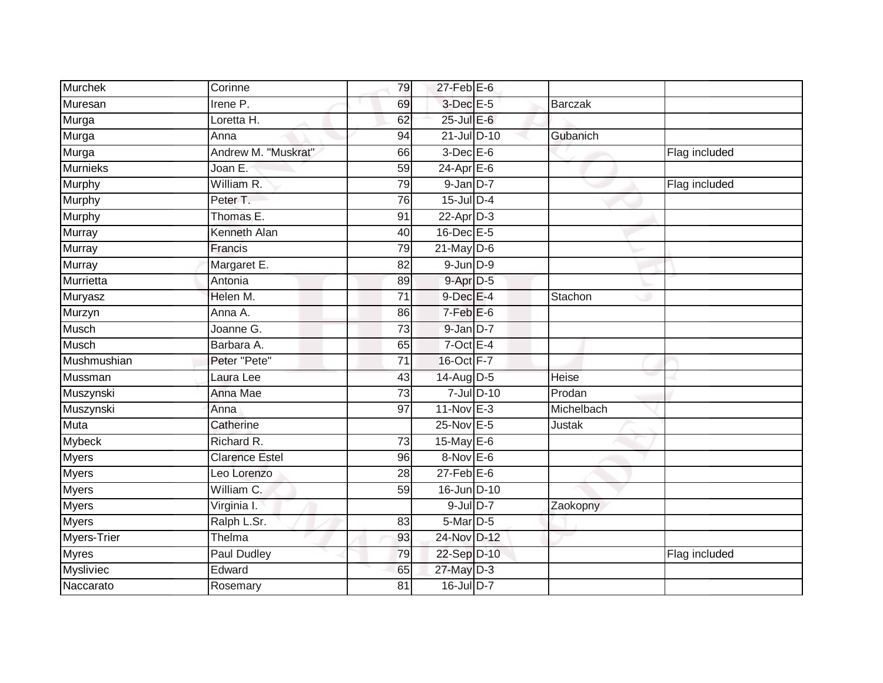| <b>Murchek</b>  | Corinne               | 79 | 27-Feb E-6       |            |            |               |
|-----------------|-----------------------|----|------------------|------------|------------|---------------|
| Muresan         | Irene P.              | 69 | 3-Dec E-5        |            | Barczak    |               |
| Murga           | Loretta H.            | 62 | 25-Jul E-6       |            |            |               |
| Murga           | Anna                  | 94 | $21$ -Jul D-10   |            | Gubanich   |               |
| Murga           | Andrew M. "Muskrat"   | 66 | $3$ -Dec $E$ -6  |            |            | Flag included |
| <b>Murnieks</b> | Joan E.               | 59 | $24$ -Apr $E-6$  |            |            |               |
| Murphy          | William R.            | 79 | $9$ -Jan $D-7$   |            |            | Flag included |
| Murphy          | Peter T.              | 76 | 15-Jul D-4       |            |            |               |
| Murphy          | Thomas E.             | 91 | $22$ -Apr $D-3$  |            |            |               |
| <b>Murray</b>   | Kenneth Alan          | 40 | 16-Dec E-5       |            |            |               |
| Murray          | Francis               | 79 | $21$ -May $D-6$  |            |            |               |
| Murray          | Margaret E.           | 82 | $9-Jun$ $D-9$    |            |            |               |
| Murrietta       | Antonia               | 89 | $9-Apr$ D-5      |            |            |               |
| Muryasz         | Helen M.              | 71 | $9$ -Dec $E-4$   |            | Stachon    |               |
| Murzyn          | Anna A.               | 86 | $7-FebE-6$       |            |            |               |
| <b>Musch</b>    | Joanne G.             | 73 | 9-Jan D-7        |            |            |               |
| <b>Musch</b>    | Barbara A.            | 65 | $7$ -Oct E-4     |            |            |               |
| Mushmushian     | Peter "Pete"          | 71 | 16-Oct F-7       |            |            |               |
| Mussman         | Laura Lee             | 43 | 14-Aug D-5       |            | Heise      |               |
| Muszynski       | Anna Mae              | 73 |                  | 7-Jul D-10 | Prodan     |               |
| Muszynski       | Anna                  | 97 | $11-Nov$ E-3     |            | Michelbach |               |
| <b>Muta</b>     | Catherine             |    | 25-Nov E-5       |            | Justak     |               |
| Mybeck          | Richard R.            | 73 | 15-May E-6       |            |            |               |
| <b>Myers</b>    | <b>Clarence Estel</b> | 96 | $8-Nov$ E-6      |            |            |               |
| Myers           | Leo Lorenzo           | 28 | $27$ -Feb $E$ -6 |            |            |               |
| <b>Myers</b>    | William C.            | 59 | 16-Jun D-10      |            |            |               |
| <b>Myers</b>    | Virginia I.           |    | $9$ -Jul $D-7$   |            | Zaokopny   |               |
| <b>Myers</b>    | Ralph L.Sr.           | 83 | 5-Mar D-5        |            |            |               |
| Myers-Trier     | Thelma                | 93 | 24-Nov D-12      |            |            |               |
| <b>Myres</b>    | <b>Paul Dudley</b>    | 79 | 22-Sep D-10      |            |            | Flag included |
| Mysliviec       | Edward                | 65 | 27-May D-3       |            |            |               |
| Naccarato       | Rosemary              | 81 | 16-Jul D-7       |            |            |               |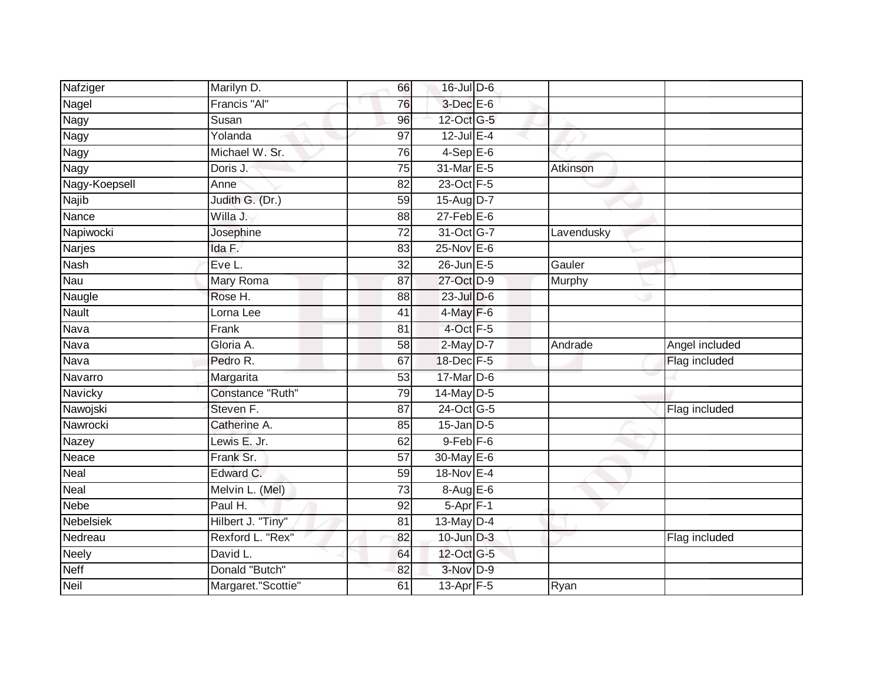| Nafziger       | Marilyn D.         | 66              | 16-Jul D-6        |            |                |
|----------------|--------------------|-----------------|-------------------|------------|----------------|
| Nagel          | Francis "Al"       | 76              | $3$ -Dec $E$ -6   |            |                |
| <b>Nagy</b>    | Susan              | $\overline{96}$ | 12-Oct G-5        |            |                |
| Nagy           | Yolanda            | 97              | 12-Jul E-4        |            |                |
| <b>Nagy</b>    | Michael W. Sr.     | 76              | $4-SepE-6$        |            |                |
| Nagy           | Doris J.           | 75              | 31-Mar E-5        | Atkinson   |                |
| Nagy-Koepsell  | Anne               | 82              | 23-Oct F-5        |            |                |
| Najib          | Judith G. (Dr.)    | 59              | 15-Aug D-7        |            |                |
| Nance          | Willa J.           | 88              | $27$ -Feb $E$ -6  |            |                |
| Napiwocki      | Josephine          | $\overline{72}$ | 31-Oct G-7        | Lavendusky |                |
| Narjes         | Ida F.             | 83              | $25$ -Nov $E-6$   |            |                |
| <b>Nash</b>    | Eve L.             | $\overline{32}$ | $26$ -Jun $E - 5$ | Gauler     |                |
| Nau            | Mary Roma          | 87              | 27-Oct D-9        | Murphy     |                |
| Naugle         | Rose H.            | 88              | 23-Jul D-6        |            |                |
| <b>Nault</b>   | Lorna Lee          | 41              | $4$ -May $F-6$    |            |                |
| Nava           | Frank              | $\overline{81}$ | 4-Oct F-5         |            |                |
| Nava           | Gloria A.          | 58              | $2$ -May $D-7$    | Andrade    | Angel included |
| Nava           | Pedro R.           | 67              | 18-Dec F-5        |            | Flag included  |
| Navarro        | Margarita          | 53              | 17-Mar D-6        |            |                |
| <b>Navicky</b> | Constance "Ruth"   | 79              | $14$ -May D-5     |            |                |
| Nawojski       | Steven F.          | 87              | 24-Oct G-5        |            | Flag included  |
| Nawrocki       | Catherine A.       | 85              | $15$ -Jan $D-5$   |            |                |
| Nazey          | Lewis E. Jr.       | 62              | $9 - Feb$ $F - 6$ |            |                |
| Neace          | Frank Sr.          | 57              | 30-May E-6        |            |                |
| Neal           | Edward C.          | 59              | 18-Nov E-4        |            |                |
| Neal           | Melvin L. (Mel)    | 73              | $8-AugE-6$        |            |                |
| <b>Nebe</b>    | Paul H.            | $\overline{92}$ | $5-Apr$ F-1       |            |                |
| Nebelsiek      | Hilbert J. "Tiny"  | 81              | 13-May D-4        |            |                |
| Nedreau        | Rexford L. "Rex"   | 82              | $10$ -Jun $D-3$   |            | Flag included  |
| Neely          | David L.           | 64              | 12-Oct G-5        |            |                |
| Neff           | Donald "Butch"     | 82              | $3-Nov$ D-9       |            |                |
| <b>Neil</b>    | Margaret."Scottie" | 61              | 13-Apr F-5        | Ryan       |                |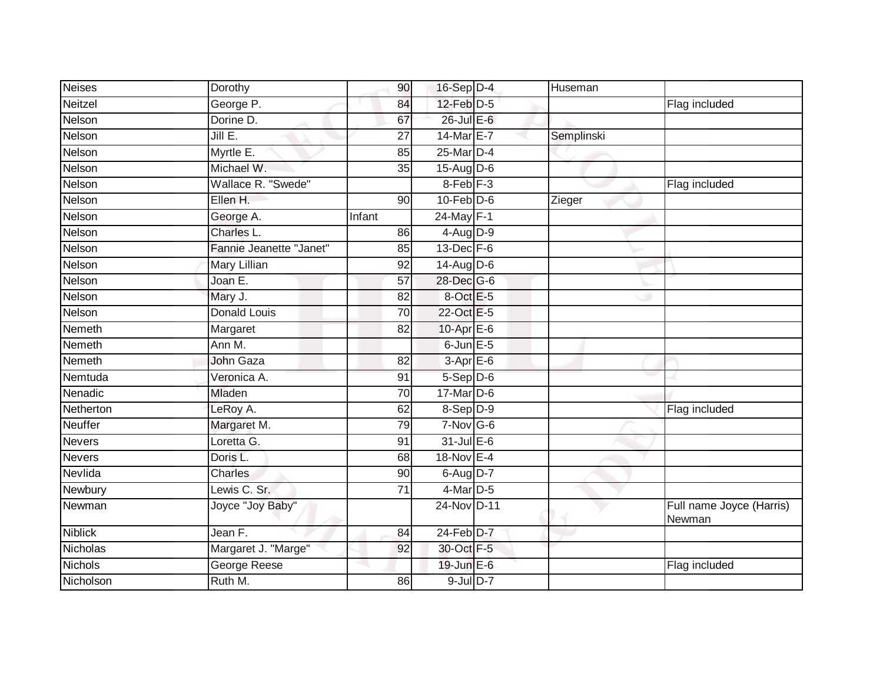| <b>Neises</b>  | Dorothy                 | 90              | 16-Sep D-4      | Huseman    |                                    |
|----------------|-------------------------|-----------------|-----------------|------------|------------------------------------|
| Neitzel        | George P.               | 84              | $12$ -Feb $D-5$ |            | Flag included                      |
| Nelson         | Dorine D.               | 67              | 26-Jul E-6      |            |                                    |
| Nelson         | Jill $E$ .              | $\overline{27}$ | 14-Mar E-7      | Semplinski |                                    |
| Nelson         | Myrtle E.               | 85              | 25-Mar D-4      |            |                                    |
| Nelson         | Michael W.              | 35              | $15$ -Aug $D-6$ |            |                                    |
| Nelson         | Wallace R. "Swede"      |                 | $8$ -Feb $F-3$  |            | Flag included                      |
| Nelson         | Ellen H.                | 90              | $10$ -Feb $D-6$ | Zieger     |                                    |
| Nelson         | George A.               | Infant          | 24-May F-1      |            |                                    |
| Nelson         | <b>Charles L</b>        | 86              | 4-Aug D-9       |            |                                    |
| Nelson         | Fannie Jeanette "Janet" | 85              | $13$ -Dec $F-6$ |            |                                    |
| Nelson         | Mary Lillian            | 92              | $14$ -AugD-6    |            |                                    |
| Nelson         | Joan E.                 | 57              | 28-Dec G-6      |            |                                    |
| Nelson         | Mary J.                 | 82              | 8-Oct E-5       |            |                                    |
| Nelson         | <b>Donald Louis</b>     | $\overline{70}$ | 22-Oct E-5      |            |                                    |
| Nemeth         | Margaret                | 82              | 10-Apr $E-6$    |            |                                    |
| Nemeth         | Ann M.                  |                 | $6$ -Jun $E$ -5 |            |                                    |
| Nemeth         | John Gaza               | 82              | $3-AprE-6$      |            |                                    |
| Nemtuda        | Veronica A.             | 91              | $5-$ Sep $D-6$  |            |                                    |
| Nenadic        | Mladen                  | $\overline{70}$ | $17$ -Mar $D-6$ |            |                                    |
| Netherton      | LeRoy A.                | 62              | $8-Sep D-9$     |            | Flag included                      |
| <b>Neuffer</b> | Margaret M.             | 79              | $7-Nov$ G-6     |            |                                    |
| <b>Nevers</b>  | Loretta G.              | 91              | $31$ -Jul E-6   |            |                                    |
| <b>Nevers</b>  | Doris L.                | 68              | 18-Nov E-4      |            |                                    |
| Nevlida        | <b>Charles</b>          | 90              | $6$ -Aug $D-7$  |            |                                    |
| Newbury        | Lewis C. Sr.            | 71              | 4-Mar D-5       |            |                                    |
| Newman         | Joyce "Joy Baby"        |                 | 24-Nov D-11     |            | Full name Joyce (Harris)<br>Newman |
| <b>Niblick</b> | Jean F.                 | 84              | 24-Feb D-7      |            |                                    |
| Nicholas       | Margaret J. "Marge"     | 92              | 30-Oct F-5      |            |                                    |
| <b>Nichols</b> | George Reese            |                 | 19-Jun E-6      |            | Flag included                      |
| Nicholson      | Ruth M.                 | 86              | 9-Jul D-7       |            |                                    |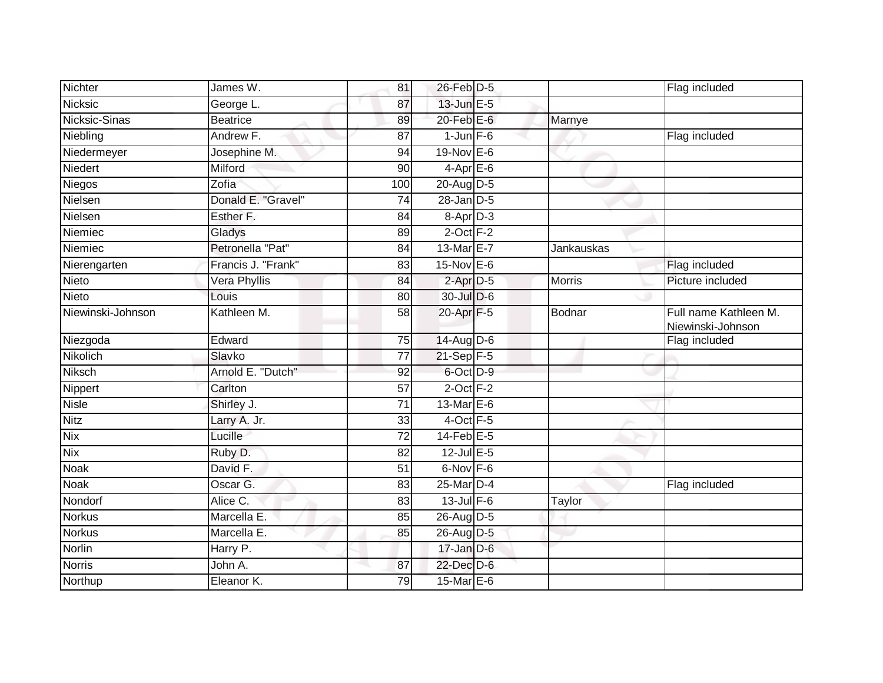| Nichter           | James W.           | 81              | 26-Feb D-5        |               | Flag included                              |
|-------------------|--------------------|-----------------|-------------------|---------------|--------------------------------------------|
| <b>Nicksic</b>    | George L.          | 87              | $13$ -Jun $E - 5$ |               |                                            |
| Nicksic-Sinas     | <b>Beatrice</b>    | 89              | $20$ -Feb $E$ -6  | Marnye        |                                            |
| Niebling          | Andrew F.          | 87              | $1$ -Jun $F - 6$  |               | Flag included                              |
| Niedermeyer       | Josephine M.       | 94              | 19-Nov E-6        |               |                                            |
| Niedert           | Milford            | 90              | $4-AprE-6$        |               |                                            |
| Niegos            | Zofia              | 100             | 20-Aug D-5        |               |                                            |
| Nielsen           | Donald E. "Gravel" | $\overline{74}$ | $28$ -Jan $D-5$   |               |                                            |
| Nielsen           | Esther F.          | 84              | 8-Apr D-3         |               |                                            |
| Niemiec           | Gladys             | 89              | $2$ -Oct $F-2$    |               |                                            |
| Niemiec           | Petronella "Pat"   | 84              | 13-Mar E-7        | Jankauskas    |                                            |
| Nierengarten      | Francis J. "Frank" | 83              | 15-Nov E-6        |               | Flag included                              |
| Nieto             | Vera Phyllis       | 84              | $2$ -Apr $D-5$    | <b>Morris</b> | Picture included                           |
| Nieto             | Louis              | 80              | 30-Jul D-6        |               |                                            |
| Niewinski-Johnson | Kathleen M.        | $\overline{58}$ | 20-Apr F-5        | Bodnar        | Full name Kathleen M.<br>Niewinski-Johnson |
| Niezgoda          | Edward             | 75              | 14-Aug D-6        |               | Flag included                              |
| Nikolich          | Slavko             | 77              | $21-Sep$ F-5      |               |                                            |
| Niksch            | Arnold E. "Dutch"  | 92              | 6-Oct D-9         |               |                                            |
| Nippert           | Carlton            | 57              | $2$ -Oct $F-2$    |               |                                            |
| <b>Nisle</b>      | Shirley J.         | $\overline{71}$ | 13-Mar E-6        |               |                                            |
| <b>Nitz</b>       | Larry A. Jr.       | 33              | 4-Oct F-5         |               |                                            |
| <b>Nix</b>        | Lucille            | 72              | $14$ -Feb $E-5$   |               |                                            |
| <b>Nix</b>        | Ruby D.            | 82              | $12$ -Jul E-5     |               |                                            |
| Noak              | David F.           | 51              | $6$ -Nov $F - 6$  |               |                                            |
| <b>Noak</b>       | Oscar G.           | 83              | 25-Mar D-4        |               | Flag included                              |
| Nondorf           | Alice C.           | 83              | $13$ -Jul $F-6$   | Taylor        |                                            |
| <b>Norkus</b>     | Marcella E.        | 85              | 26-Aug D-5        |               |                                            |
| <b>Norkus</b>     | Marcella E.        | 85              | 26-Aug D-5        |               |                                            |
| Norlin            | Harry P.           |                 | $17 - Jan$ $D-6$  |               |                                            |
| <b>Norris</b>     | John A.            | 87              | 22-Dec D-6        |               |                                            |
| Northup           | Eleanor K.         | 79              | 15-Mar $E-6$      |               |                                            |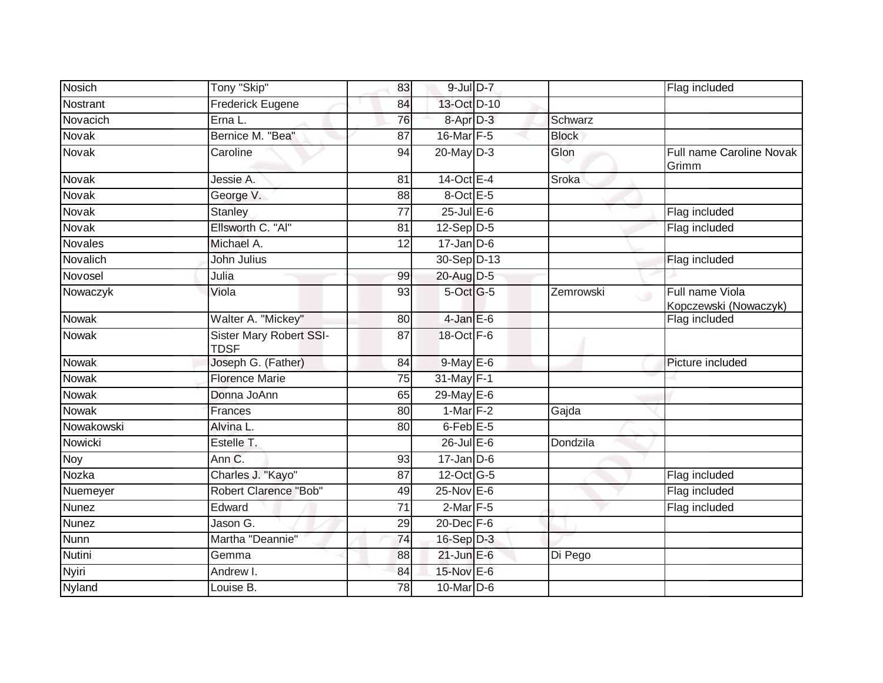| <b>Nosich</b> | Tony "Skip"                                   | 83              | $9$ -Jul $D-7$         |                | Flag included                            |
|---------------|-----------------------------------------------|-----------------|------------------------|----------------|------------------------------------------|
| Nostrant      | <b>Frederick Eugene</b>                       | 84              | 13-Oct D-10            |                |                                          |
| Novacich      | Erna L.                                       | 76              | 8-Apr <sub>D-3</sub>   | Schwarz        |                                          |
| Novak         | Bernice M. "Bea"                              | 87              | 16-Mar F-5             | <b>Block</b>   |                                          |
| Novak         | Caroline                                      | 94              | $20$ -May $D-3$        | Glon           | Full name Caroline Novak<br>Grimm        |
| Novak         | Jessie A.                                     | 81              | $14-Oct$ E-4           | Sroka          |                                          |
| Novak         | George V.                                     | 88              | 8-Oct E-5              |                |                                          |
| Novak         | <b>Stanley</b>                                | $\overline{77}$ | $25$ -Jul $E$ -6       |                | Flag included                            |
| Novak         | Ellsworth C. "Al"                             | 81              | $12-Sep\overline{D-5}$ |                | Flag included                            |
| Novales       | Michael A.                                    | 12              | $17 - Jan$ $D-6$       |                |                                          |
| Novalich      | John Julius                                   |                 | 30-Sep D-13            |                | Flag included                            |
| Novosel       | Julia                                         | 99              | 20-Aug D-5             |                |                                          |
| Nowaczyk      | Viola                                         | 93              | 5-Oct G-5              | Zemrowski<br>ف | Full name Viola<br>Kopczewski (Nowaczyk) |
| Nowak         | Walter A. "Mickey"                            | 80              | $4$ -Jan E-6           |                | Flag included                            |
| <b>Nowak</b>  | <b>Sister Mary Robert SSI-</b><br><b>TDSF</b> | 87              | 18-Oct F-6             |                |                                          |
| Nowak         | Joseph G. (Father)                            | 84              | 9-May E-6              |                | Picture included                         |
| <b>Nowak</b>  | <b>Florence Marie</b>                         | 75              | 31-May F-1             |                |                                          |
| Nowak         | Donna JoAnn                                   | 65              | $29$ -May $E$ -6       |                |                                          |
| <b>Nowak</b>  | Frances                                       | 80              | $1-Mar$ F-2            | Gajda          |                                          |
| Nowakowski    | Alvina L.                                     | 80              | $6$ -Feb $E$ -5        |                |                                          |
| Nowicki       | Estelle T.                                    |                 | $26$ -Jul $E-6$        | Dondzila       |                                          |
| Noy           | Ann C.                                        | 93              | $17 - Jan$ $D-6$       |                |                                          |
| Nozka         | Charles J. "Kayo"                             | $\overline{87}$ | 12-Oct G-5             |                | Flag included                            |
| Nuemeyer      | Robert Clarence "Bob"                         | 49              | $25$ -Nov $E$ -6       |                | Flag included                            |
| Nunez         | Edward                                        | 71              | $2$ -Mar $F-5$         |                | Flag included                            |
| <b>Nunez</b>  | Jason $\overline{G}$ .                        | 29              | $20$ -Dec $F-6$        |                |                                          |
| <b>Nunn</b>   | Martha "Deannie"                              | 74              | $16-Sep$ D-3           |                |                                          |
| Nutini        | Gemma                                         | 88              | $21$ -Jun E-6          | Di Pego        |                                          |
| Nyiri         | Andrew I.                                     | 84              | 15-Nov E-6             |                |                                          |
| Nyland        | Louise B.                                     | $\overline{78}$ | 10-Mar D-6             |                |                                          |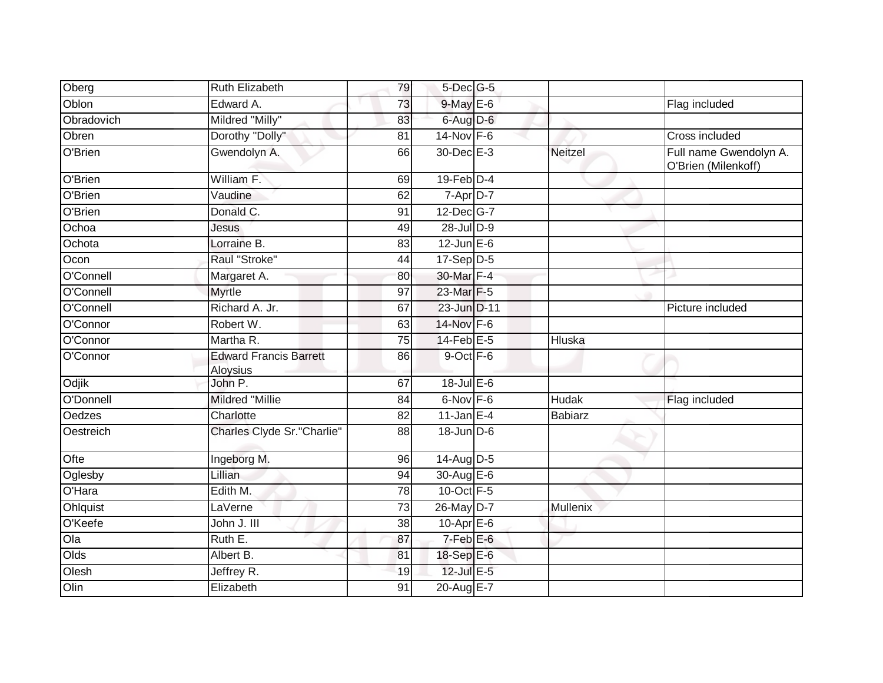| Oberg      | Ruth Elizabeth                            | 79              | $5$ -Dec $G$ -5  |              |                                               |
|------------|-------------------------------------------|-----------------|------------------|--------------|-----------------------------------------------|
| Oblon      | Edward A.                                 | 73              | 9-May E-6        |              | Flag included                                 |
| Obradovich | Mildred "Milly"                           | 83              | 6-Aug D-6        |              |                                               |
| Obren      | Dorothy "Dolly"                           | 81              | $14$ -Nov F-6    |              | Cross included                                |
| O'Brien    | Gwendolyn A.                              | 66              | 30-Dec E-3       | Neitzel      | Full name Gwendolyn A.<br>O'Brien (Milenkoff) |
| O'Brien    | William F.                                | 69              | $19$ -Feb $D-4$  |              |                                               |
| O'Brien    | Vaudine                                   | 62              | 7-Apr D-7        |              |                                               |
| O'Brien    | Donald C.                                 | 91              | 12-Dec G-7       |              |                                               |
| Ochoa      | Jesus                                     | 49              | 28-Jul D-9       |              |                                               |
| Ochota     | Lorraine B.                               | 83              | $12$ -Jun $E-6$  |              |                                               |
| Ocon       | Raul "Stroke"                             | 44              | $17-Sep$ D-5     |              |                                               |
| O'Connell  | Margaret A.                               | 80              | 30-Mar F-4       |              |                                               |
| O'Connell  | <b>Myrtle</b>                             | 97              | 23-Mar F-5       |              |                                               |
| O'Connell  | Richard A. Jr.                            | 67              | 23-Jun D-11      |              | Picture included                              |
| O'Connor   | Robert W.                                 | 63              | 14-Nov F-6       |              |                                               |
| O'Connor   | Martha R.                                 | 75              | $14$ -Feb $E-5$  | Hluska       |                                               |
| O'Connor   | <b>Edward Francis Barrett</b><br>Aloysius | 86              | $9$ -Oct $F - 6$ |              |                                               |
| Odjik      | John P.                                   | 67              | 18-Jul E-6       |              |                                               |
| O'Donnell  | Mildred "Millie                           | 84              | $6-Nov$ $F-6$    | <b>Hudak</b> | Flag included                                 |
| Oedzes     | Charlotte                                 | $\overline{82}$ | 11-Jan $E-4$     | Babiarz      |                                               |
| Oestreich  | Charles Clyde Sr."Charlie"                | 88              | 18-Jun D-6       |              |                                               |
| Ofte       | Ingeborg M.                               | 96              | $14$ -Aug $D-5$  |              |                                               |
| Oglesby    | Lillian                                   | 94              | 30-Aug E-6       |              |                                               |
| O'Hara     | Edith M.                                  | 78              | 10-Oct F-5       |              |                                               |
| Ohlquist   | LaVerne                                   | 73              | 26-May D-7       | Mullenix     |                                               |
| O'Keefe    | John J. III                               | 38              | $10-Apr$ $E-6$   |              |                                               |
| Oa         | Ruth E.                                   | 87              | $7-Feb$ E-6      |              |                                               |
| Olds       | Albert B.                                 | 81              | 18-Sep E-6       |              |                                               |
| Olesh      | Jeffrey R.                                | 19              | 12-Jul E-5       |              |                                               |
| Olin       | Elizabeth                                 | $\overline{91}$ | 20-Aug E-7       |              |                                               |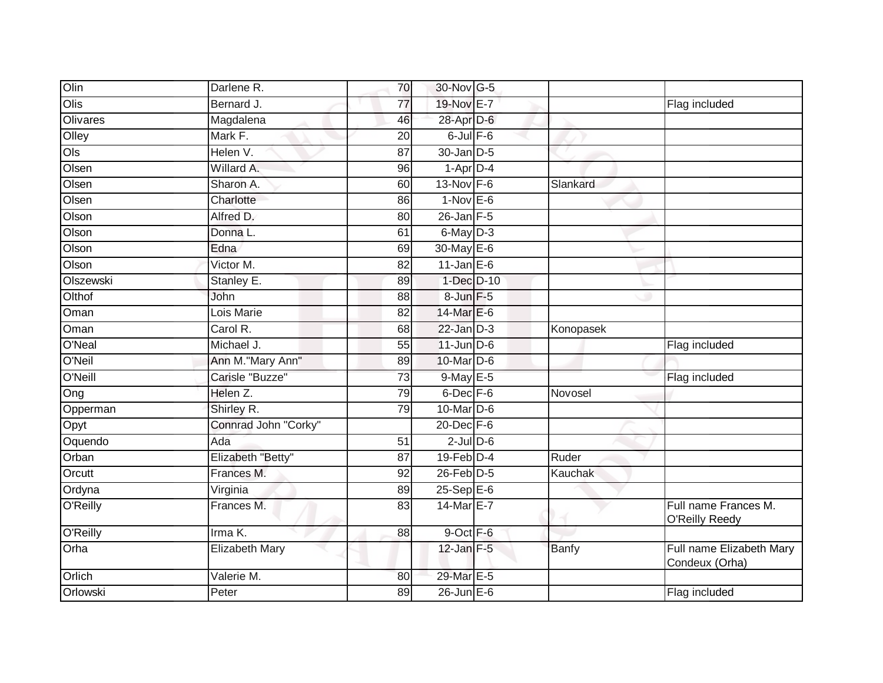| Olin            | Darlene R.            | 70              | 30-Nov G-5            |              |                                            |
|-----------------|-----------------------|-----------------|-----------------------|--------------|--------------------------------------------|
| Olis            | Bernard J.            | 77              | 19-Nov E-7            |              | Flag included                              |
| <b>Olivares</b> | Magdalena             | 46              | 28-Apr D-6            |              |                                            |
| Olley           | Mark F.               | 20              | $6$ -Jul $F-6$        |              |                                            |
| Ols             | Helen V.              | 87              | 30-Jan D-5            |              |                                            |
| Olsen           | Willard A.            | 96              | $1-Apr\overline{D-4}$ |              |                                            |
| Olsen           | Sharon A.             | 60              | $13-Nov$ F-6          | Slankard     |                                            |
| Olsen           | Charlotte             | 86              | $1-Nov$ E-6           |              |                                            |
| Olson           | Alfred D.             | 80              | $26$ -Jan $F-5$       |              |                                            |
| Olson           | Donna L.              | 61              | 6-May D-3             |              |                                            |
| Olson           | Edna                  | 69              | 30-May E-6            |              |                                            |
| Olson           | Victor M.             | 82              | 11-Jan $E-6$          |              |                                            |
| Olszewski       | Stanley E.            | 89              | 1-Dec D-10            |              |                                            |
| Olthof          | John                  | 88              | 8-Jun F-5             |              |                                            |
| Oman            | Lois Marie            | 82              | 14-Mar E-6            |              |                                            |
| Oman            | Carol R.              | 68              | $22$ -Jan $D-3$       | Konopasek    |                                            |
| O'Neal          | Michael J.            | $\overline{55}$ | $11$ -Jun $D-6$       |              | Flag included                              |
| O'Neil          | Ann M."Mary Ann"      | 89              | 10-Mar D-6            |              |                                            |
| O'Neill         | Carisle "Buzze"       | 73              | $9$ -May $E-5$        |              | Flag included                              |
| Ong             | Helen Z.              | 79              | $6$ -Dec $F - 6$      | Novosel      |                                            |
| Opperman        | Shirley R.            | 79              | $10$ -Mar $ D-6$      |              |                                            |
| Opyt            | Connrad John "Corky"  |                 | $20$ -Dec $F-6$       |              |                                            |
| Oquendo         | Ada                   | 51              | $2$ -Jul $D$ -6       |              |                                            |
| Orban           | Elizabeth "Betty"     | 87              | $19$ -Feb $D-4$       | Ruder        |                                            |
| Orcutt          | Frances M.            | 92              | 26-Feb D-5            | Kauchak      |                                            |
| Ordyna          | Virginia              | 89              | 25-Sep E-6            |              |                                            |
| O'Reilly        | Frances M.            | 83              | 14-Mar E-7            |              | Full name Frances M.<br>O'Reilly Reedy     |
| O'Reilly        | Irma K.               | 88              | 9-Oct F-6             |              |                                            |
| Orha            | <b>Elizabeth Mary</b> |                 | $12$ -Jan F-5         | <b>Banfy</b> | Full name Elizabeth Mary<br>Condeux (Orha) |
| Orlich          | Valerie M.            | 80              | 29-Mar E-5            |              |                                            |
| Orlowski        | Peter                 | 89              | $26$ -Jun $E$ -6      |              | Flag included                              |
|                 |                       |                 |                       |              |                                            |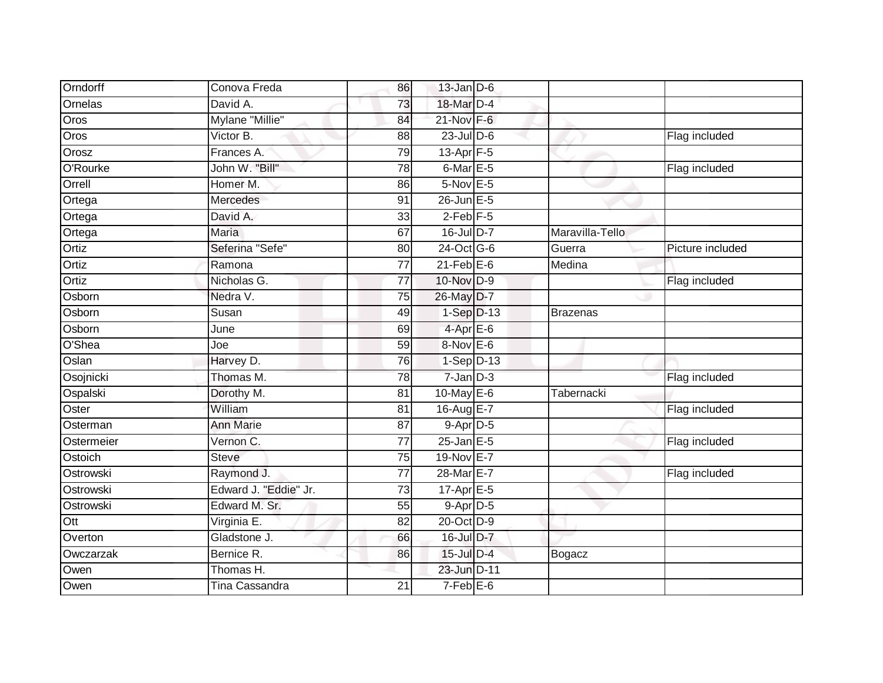| Orndorff         | Conova Freda          | 86              | $13$ -Jan D-6      |                 |                  |
|------------------|-----------------------|-----------------|--------------------|-----------------|------------------|
| Ornelas          | David A.              | $\overline{73}$ | 18-Mar D-4         |                 |                  |
| Oros             | Mylane "Millie"       | 84              | 21-Nov F-6         |                 |                  |
| Oros             | Victor B.             | 88              | $23$ -Jul $D-6$    |                 | Flag included    |
| Orosz            | Frances A.            | 79              | $13-Apr$ F-5       |                 |                  |
| O'Rourke         | John W. "Bill"        | 78              | 6-Mar E-5          |                 | Flag included    |
| Orrell           | Homer M.              | 86              | $5-Nov$ E-5        |                 |                  |
| Ortega           | Mercedes              | 91              | 26-Jun E-5         |                 |                  |
| Ortega           | David A.              | 33              | $2$ -Feb $F-5$     |                 |                  |
| Ortega           | <b>Maria</b>          | 67              | $16 -$ Jul $D - 7$ | Maravilla-Tello |                  |
| Ortiz            | Seferina "Sefe"       | 80              | 24-Oct G-6         | Guerra          | Picture included |
| Ortiz            | Ramona                | 77              | $21$ -Feb $E$ -6   | Medina          |                  |
| Ortiz            | Nicholas G.           | $\overline{77}$ | 10-Nov D-9         |                 | Flag included    |
| Osborn           | Nedra V.              | 75              | 26-May D-7         |                 |                  |
| Osborn           | Susan                 | 49              | $1-Sep$ D-13       | Brazenas        |                  |
| Osborn           | June                  | 69              | $4$ -Apr $E$ -6    |                 |                  |
| O'Shea           | Joe                   | 59              | 8-Nov E-6          |                 |                  |
| Oslan            | Harvey D.             | 76              | $1-Sep$ D-13       |                 |                  |
| Osojnicki        | Thomas M.             | 78              | $7$ -Jan $D-3$     |                 | Flag included    |
| Ospalski         | Dorothy M.            | $\overline{81}$ | 10-May E-6         | Tabernacki      |                  |
| Oster            | William               | 81              | 16-Aug E-7         |                 | Flag included    |
| Osterman         | <b>Ann Marie</b>      | 87              | $9-Apr$ D-5        |                 |                  |
| Ostermeier       | Vernon C.             | 77              | $25$ -Jan $E$ -5   |                 | Flag included    |
| Ostoich          | <b>Steve</b>          | 75              | 19-Nov E-7         |                 |                  |
| Ostrowski        | Raymond J.            | 77              | 28-Mar E-7         |                 | Flag included    |
| Ostrowski        | Edward J. "Eddie" Jr. | 73              | 17-Apr E-5         |                 |                  |
| Ostrowski        | Edward M. Sr.         | 55              | $9-Apr$ D-5        |                 |                  |
| $\overline{Ott}$ | Virginia E.           | 82              | 20-Oct D-9         |                 |                  |
| Overton          | Gladstone J.          | 66              | 16-Jul D-7         |                 |                  |
| Owczarzak        | Bernice R.            | 86              | $15$ -Jul $D-4$    | Bogacz          |                  |
| Owen             | Thomas H.             |                 | 23-Jun D-11        |                 |                  |
| Owen             | <b>Tina Cassandra</b> | 21              | $7-Feb$ $E-6$      |                 |                  |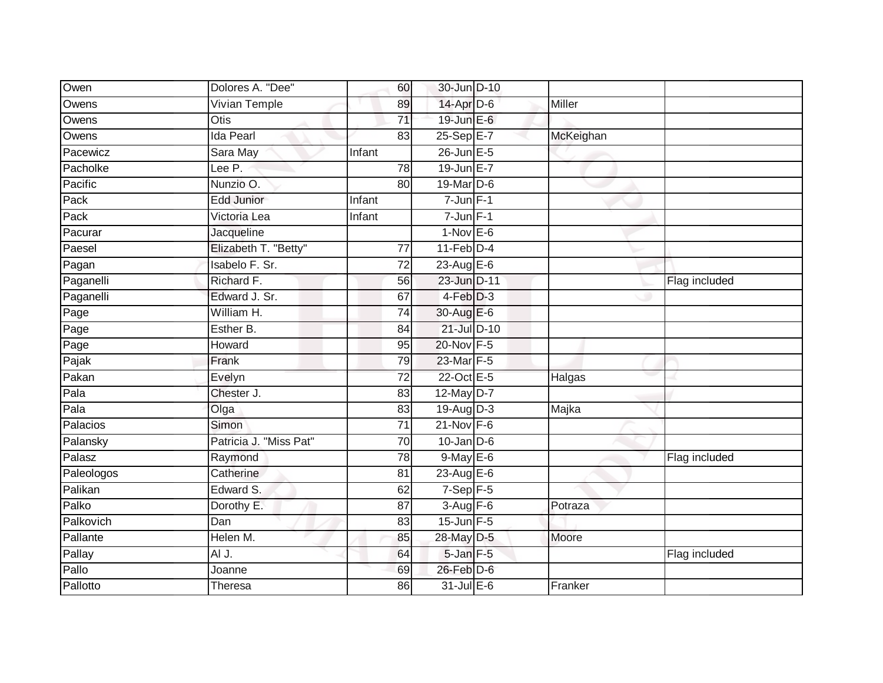| Owen       | Dolores A. "Dee"       | 60              | 30-Jun D-10       |           |               |
|------------|------------------------|-----------------|-------------------|-----------|---------------|
| Owens      | <b>Vivian Temple</b>   | 89              | 14-Apr D-6        | Miller    |               |
| Owens      | <b>Otis</b>            | $\overline{71}$ | 19-Jun E-6        |           |               |
| Owens      | <b>Ida Pearl</b>       | 83              | 25-Sep E-7        | McKeighan |               |
| Pacewicz   | Sara May               | Infant          | $26$ -Jun $E - 5$ |           |               |
| Pacholke   | Lee P.                 | 78              | 19-Jun E-7        |           |               |
| Pacific    | Nunzio O.              | 80              | 19-Mar D-6        |           |               |
| Pack       | <b>Edd Junior</b>      | Infant          | $7$ -Jun $F-1$    |           |               |
| Pack       | Victoria Lea           | Infant          | $7$ -Jun $F-1$    |           |               |
| Pacurar    | Jacqueline             |                 | $1-Nov$ E-6       |           |               |
| Paesel     | Elizabeth T. "Betty"   | 77              | $11$ -Feb $D-4$   |           |               |
| Pagan      | Isabelo F. Sr.         | 72              | $23$ -Aug E-6     |           |               |
| Paganelli  | Richard F.             | 56              | 23-Jun D-11       |           | Flag included |
| Paganelli  | Edward J. Sr.          | 67              | $4-Feb$ $D-3$     |           |               |
| Page       | William H.             | $\overline{74}$ | 30-Aug E-6        |           |               |
| Page       | Esther B.              | 84              | 21-Jul D-10       |           |               |
| Page       | Howard                 | 95              | 20-Nov F-5        |           |               |
| Pajak      | Frank                  | 79              | 23-Mar F-5        |           |               |
| Pakan      | Evelyn                 | 72              | 22-Oct E-5        | Halgas    |               |
| Pala       | Chester J.             | 83              | $12$ -May $D-7$   |           |               |
| Pala       | Olga                   | 83              | $19$ -Aug D-3     | Majka     |               |
| Palacios   | Simon                  | $\overline{71}$ | $21$ -Nov F-6     |           |               |
| Palansky   | Patricia J. "Miss Pat" | 70              | $10$ -Jan $D-6$   |           |               |
| Palasz     | Raymond                | 78              | $9$ -May E-6      |           | Flag included |
| Paleologos | Catherine              | 81              | 23-Aug E-6        |           |               |
| Palikan    | Edward S.              | 62              | $7-Sep$ F-5       |           |               |
| Palko      | Dorothy E.             | 87              | $3-Aug$ F-6       | Potraza   |               |
| Palkovich  | Dan                    | 83              | $15$ -Jun F-5     |           |               |
| Pallante   | Helen M.               | 85              | 28-May D-5        | Moore     |               |
| Pallay     | AI J.                  | 64              | 5-Jan F-5         |           | Flag included |
| Pallo      | Joanne                 | 69              | $26$ -Feb $D-6$   |           |               |
| Pallotto   | Theresa                | 86              | $31$ -Jul $E-6$   | Franker   |               |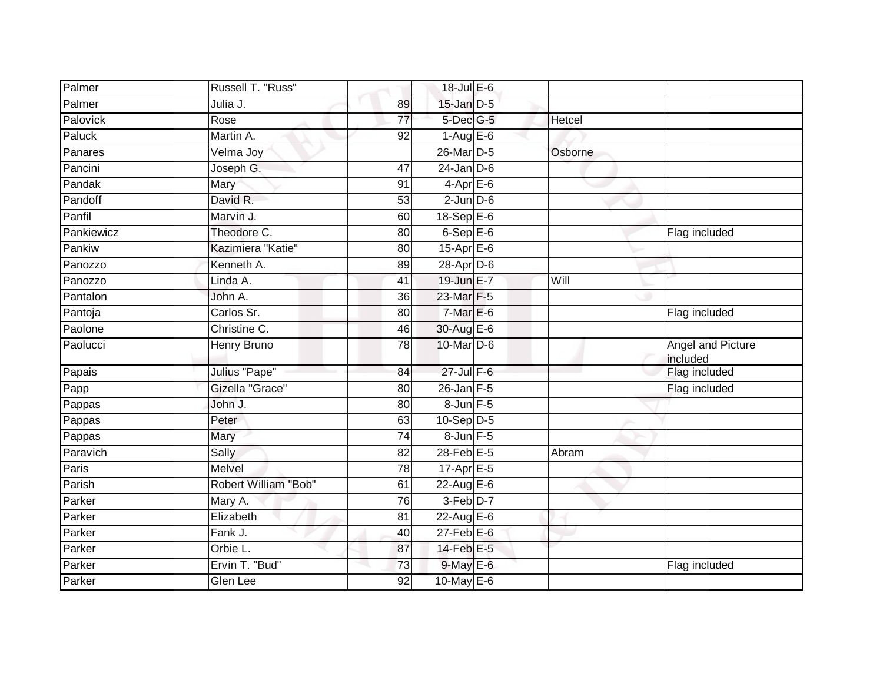| Palmer          | Russell T. "Russ"    |                 | 18-Jul E-6             |         |                               |
|-----------------|----------------------|-----------------|------------------------|---------|-------------------------------|
| Palmer          | Julia J.             | 89              | $15$ -Jan $D-5$        |         |                               |
| <b>Palovick</b> | Rose                 | $\overline{77}$ | 5-Dec G-5              | Hetcel  |                               |
| Paluck          | Martin A.            | 92              | $1-AugE-6$             |         |                               |
| Panares         | Velma Joy            |                 | 26-Mar D-5             | Osborne |                               |
| Pancini         | Joseph G.            | 47              | $24$ -Jan D-6          |         |                               |
| Pandak          | Mary                 | 91              | $4-Apr$ E-6            |         |                               |
| Pandoff         | David R.             | 53              | $2$ -Jun $D-6$         |         |                               |
| Panfil          | Marvin J.            | 60              | $18 - \text{Sep}E - 6$ |         |                               |
| Pankiewicz      | Theodore C.          | 80              | $6-$ Sep $E-6$         |         | Flag included                 |
| Pankiw          | Kazimiera "Katie"    | 80              | 15-Apr E-6             |         |                               |
| Panozzo         | Kenneth A.           | 89              | $28$ -Apr $D$ -6       |         |                               |
| Panozzo         | Linda A.             | 41              | 19-Jun E-7             | Will    |                               |
| Pantalon        | John A.              | 36              | 23-Mar F-5             |         |                               |
| Pantoja         | Carlos Sr.           | 80              | $7$ -Mar $E$ -6        |         | Flag included                 |
| Paolone         | Christine C.         | 46              | 30-Aug E-6             |         |                               |
| Paolucci        | <b>Henry Bruno</b>   | 78              | 10-Mar D-6             |         | Angel and Picture<br>included |
| Papais          | Julius "Pape"        | 84              | $27$ -Jul $F-6$        |         | Flag included                 |
| Papp            | Gizella "Grace"      | 80              | $26$ -Jan $F-5$        |         | Flag included                 |
| Pappas          | John J.              | 80              | 8-Jun F-5              |         |                               |
| Pappas          | Peter                | 63              | $10-Sep$ D-5           |         |                               |
| Pappas          | Mary                 | 74              | $8$ -Jun $F - 5$       |         |                               |
| Paravich        | Sally                | 82              | $28$ -Feb $E-5$        | Abram   |                               |
| Paris           | Melvel               | 78              | $17$ -Apr $E$ -5       |         |                               |
| Parish          | Robert William "Bob" | 61              | $22$ -Aug E-6          |         |                               |
| Parker          | Mary A.              | 76              | 3-Feb D-7              |         |                               |
| Parker          | Elizabeth            | 81              | 22-Aug E-6             |         |                               |
| Parker          | Fank J.              | 40              | $27$ -Feb $E$ -6       |         |                               |
| Parker          | Orbie L.             | 87              | 14-Feb E-5             |         |                               |
| Parker          | Ervin T. "Bud"       | 73              | $9$ -May $E$ -6        |         | Flag included                 |
| Parker          | Glen Lee             | 92              | 10-May $E-6$           |         |                               |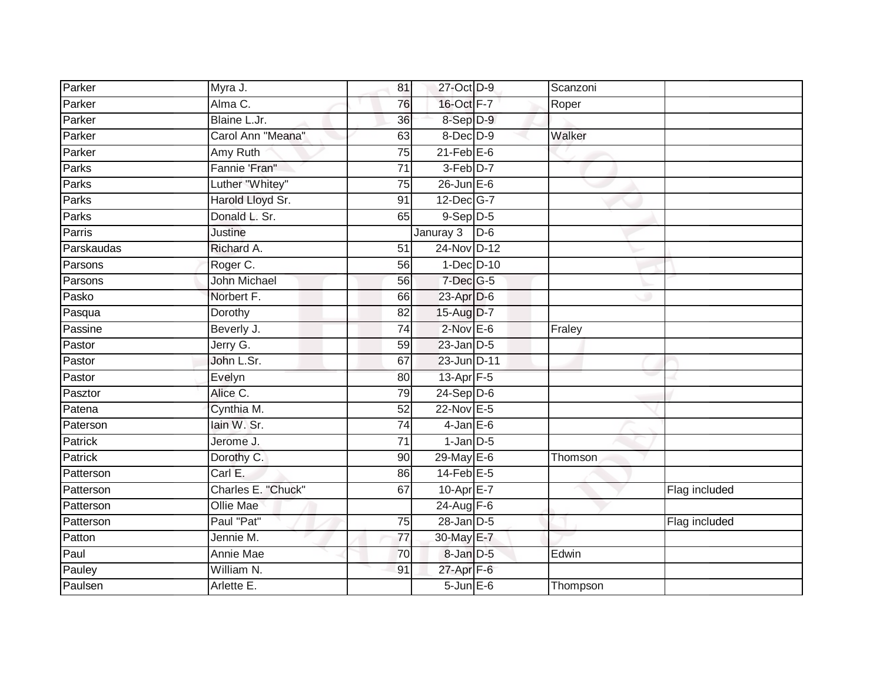| Parker         | Myra J.             | 81              | 27-Oct D-9        |       | Scanzoni |               |
|----------------|---------------------|-----------------|-------------------|-------|----------|---------------|
| Parker         | Alma C.             | 76              | 16-Oct F-7        |       | Roper    |               |
| Parker         | Blaine L.Jr.        | 36              | 8-Sep D-9         |       |          |               |
| Parker         | Carol Ann "Meana"   | 63              | $8$ -Dec $D-9$    |       | Walker   |               |
| Parker         | Amy Ruth            | $\overline{75}$ | $21$ -Feb $E$ -6  |       |          |               |
| Parks          | Fannie 'Fran"       | $\overline{71}$ | 3-Feb D-7         |       |          |               |
| Parks          | Luther "Whitey"     | $\overline{75}$ | $26$ -Jun $E - 6$ |       |          |               |
| Parks          | Harold Lloyd Sr.    | 91              | 12-Dec G-7        |       |          |               |
| Parks          | Donald L. Sr.       | 65              | $9-Sep$ $D-5$     |       |          |               |
| Parris         | <b>Justine</b>      |                 | Januray 3         | $D-6$ |          |               |
| Parskaudas     | Richard A.          | 51              | 24-Nov D-12       |       |          |               |
| Parsons        | Roger C.            | 56              | $1-Dec$ $D-10$    |       |          |               |
| Parsons        | <b>John Michael</b> | 56              | $7$ -Dec $G-5$    |       |          |               |
| Pasko          | Norbert F.          | 66              | 23-Apr D-6        |       |          |               |
| Pasqua         | Dorothy             | $\overline{82}$ | 15-Aug D-7        |       |          |               |
| Passine        | Beverly J.          | 74              | $2$ -Nov $E$ -6   |       | Fraley   |               |
| Pastor         | Jerry G.            | 59              | $23$ -Jan $D-5$   |       |          |               |
| Pastor         | John L.Sr.          | 67              | 23-Jun D-11       |       |          |               |
| Pastor         | Evelyn              | 80              | 13-Apr F-5        |       |          |               |
| Pasztor        | Alice C.            | 79              | $24-Sep$ D-6      |       |          |               |
| Patena         | Cynthia M.          | 52              | 22-Nov E-5        |       |          |               |
| Paterson       | lain W. Sr.         | $\overline{74}$ | $4$ -Jan $E$ -6   |       |          |               |
| Patrick        | Jerome J.           | 71              | $1$ -Jan $D-5$    |       |          |               |
| <b>Patrick</b> | Dorothy C.          | 90              | 29-May E-6        |       | Thomson  |               |
| Patterson      | Carl E.             | 86              | $14$ -Feb $E-5$   |       |          |               |
| Patterson      | Charles E. "Chuck"  | 67              | $10$ -Apr $E-7$   |       |          | Flag included |
| Patterson      | <b>Ollie Mae</b>    |                 | 24-Aug F-6        |       |          |               |
| Patterson      | Paul "Pat"          | 75              | $28$ -Jan $D-5$   |       |          | Flag included |
| Patton         | Jennie M.           | 77              | 30-May E-7        |       |          |               |
| Paul           | Annie Mae           | 70              | 8-Jan D-5         |       | Edwin    |               |
| Pauley         | William N.          | 91              | $27$ -Apr $F-6$   |       |          |               |
| Paulsen        | Arlette E.          |                 | $5 - Jun$ $E-6$   |       | Thompson |               |
|                |                     |                 |                   |       |          |               |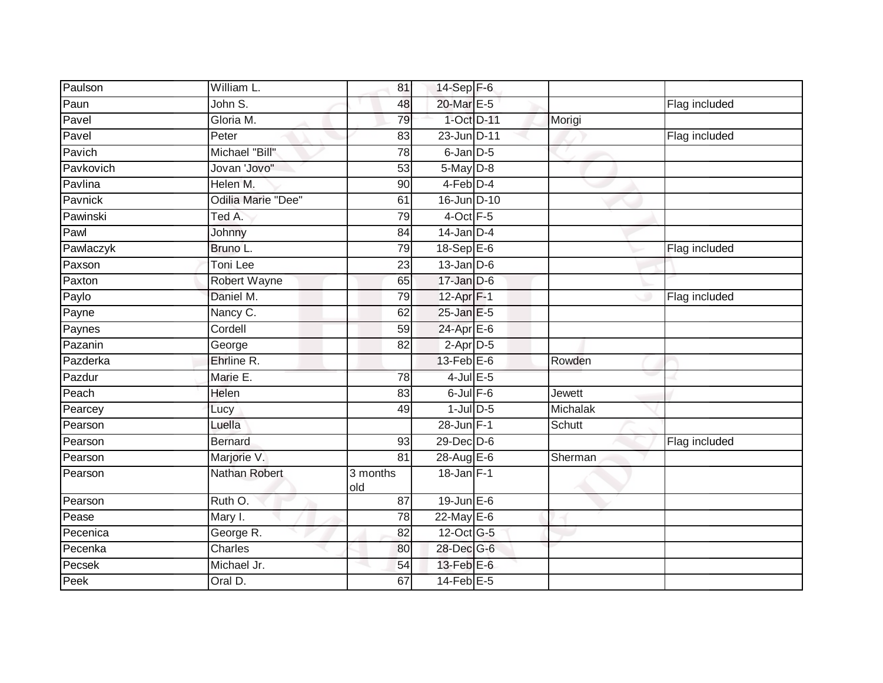| William L.                     | 81              |  |                                                                                                                                                                                                                                                                                                                                                                                                                                                                                                                                      |               |
|--------------------------------|-----------------|--|--------------------------------------------------------------------------------------------------------------------------------------------------------------------------------------------------------------------------------------------------------------------------------------------------------------------------------------------------------------------------------------------------------------------------------------------------------------------------------------------------------------------------------------|---------------|
| John $\overline{\mathsf{S}}$ . | 48              |  |                                                                                                                                                                                                                                                                                                                                                                                                                                                                                                                                      | Flag included |
| Gloria M.                      | 79              |  | Morigi                                                                                                                                                                                                                                                                                                                                                                                                                                                                                                                               |               |
| Peter                          | 83              |  |                                                                                                                                                                                                                                                                                                                                                                                                                                                                                                                                      | Flag included |
| Michael "Bill"                 | $\overline{78}$ |  |                                                                                                                                                                                                                                                                                                                                                                                                                                                                                                                                      |               |
| Jovan 'Jovo"                   | 53              |  |                                                                                                                                                                                                                                                                                                                                                                                                                                                                                                                                      |               |
| Helen M.                       | 90              |  |                                                                                                                                                                                                                                                                                                                                                                                                                                                                                                                                      |               |
| Odilia Marie "Dee"             | 61              |  |                                                                                                                                                                                                                                                                                                                                                                                                                                                                                                                                      |               |
| Ted A.                         | 79              |  |                                                                                                                                                                                                                                                                                                                                                                                                                                                                                                                                      |               |
| Johnny                         | 84              |  |                                                                                                                                                                                                                                                                                                                                                                                                                                                                                                                                      |               |
| Bruno L.                       | 79              |  |                                                                                                                                                                                                                                                                                                                                                                                                                                                                                                                                      | Flag included |
| Toni Lee                       | 23              |  |                                                                                                                                                                                                                                                                                                                                                                                                                                                                                                                                      |               |
| Robert Wayne                   | 65              |  |                                                                                                                                                                                                                                                                                                                                                                                                                                                                                                                                      |               |
| Daniel M.                      | 79              |  |                                                                                                                                                                                                                                                                                                                                                                                                                                                                                                                                      | Flag included |
| Nancy C.                       | 62              |  |                                                                                                                                                                                                                                                                                                                                                                                                                                                                                                                                      |               |
| Cordell                        | 59              |  |                                                                                                                                                                                                                                                                                                                                                                                                                                                                                                                                      |               |
| George                         | $\overline{82}$ |  |                                                                                                                                                                                                                                                                                                                                                                                                                                                                                                                                      |               |
| Ehrline R.                     |                 |  | Rowden                                                                                                                                                                                                                                                                                                                                                                                                                                                                                                                               |               |
| Marie E.                       | 78              |  |                                                                                                                                                                                                                                                                                                                                                                                                                                                                                                                                      |               |
| Helen                          | 83              |  | <b>Jewett</b>                                                                                                                                                                                                                                                                                                                                                                                                                                                                                                                        |               |
| Lucy                           | 49              |  | Michalak                                                                                                                                                                                                                                                                                                                                                                                                                                                                                                                             |               |
| Luella                         |                 |  | Schutt                                                                                                                                                                                                                                                                                                                                                                                                                                                                                                                               |               |
| <b>Bernard</b>                 | 93              |  |                                                                                                                                                                                                                                                                                                                                                                                                                                                                                                                                      | Flag included |
| Marjorie V.                    | 81              |  | Sherman                                                                                                                                                                                                                                                                                                                                                                                                                                                                                                                              |               |
| Nathan Robert                  | 3 months<br>old |  |                                                                                                                                                                                                                                                                                                                                                                                                                                                                                                                                      |               |
| Ruth O.                        | 87              |  |                                                                                                                                                                                                                                                                                                                                                                                                                                                                                                                                      |               |
| Mary I.                        | 78              |  |                                                                                                                                                                                                                                                                                                                                                                                                                                                                                                                                      |               |
| George R.                      | 82              |  |                                                                                                                                                                                                                                                                                                                                                                                                                                                                                                                                      |               |
| <b>Charles</b>                 | 80              |  |                                                                                                                                                                                                                                                                                                                                                                                                                                                                                                                                      |               |
| Michael Jr.                    | 54              |  |                                                                                                                                                                                                                                                                                                                                                                                                                                                                                                                                      |               |
| Oral D.                        | 67              |  |                                                                                                                                                                                                                                                                                                                                                                                                                                                                                                                                      |               |
|                                |                 |  | $14$ -Sep $F-6$<br>20-Mar E-5<br>1-Oct D-11<br>23-Jun D-11<br>$6$ -Jan $D-5$<br>$5-May$ $D-8$<br>4-Feb D-4<br>16-Jun D-10<br>$4$ -Oct $F-5$<br>$14$ -Jan D-4<br>18-Sep $E-6$<br>$13$ -Jan $D-6$<br>$17 - Jan$ $D-6$<br>$12-Apr$ F-1<br>25-Jan E-5<br>$24$ -Apr $E$ -6<br>$2-Apr$ D-5<br>$13$ -Feb $E$ -6<br>$4$ -Jul $E$ -5<br>$6$ -Jul $F$ -6<br>$1$ -Jul $D-5$<br>28-Jun F-1<br>29-Dec D-6<br>28-Aug $E-6$<br>$18$ -Jan F-1<br>$19$ -Jun $E - 6$<br>22-May E-6<br>12-Oct G-5<br>28-Dec G-6<br>$13$ -Feb $E$ -6<br>$14$ -Feb $E$ -5 |               |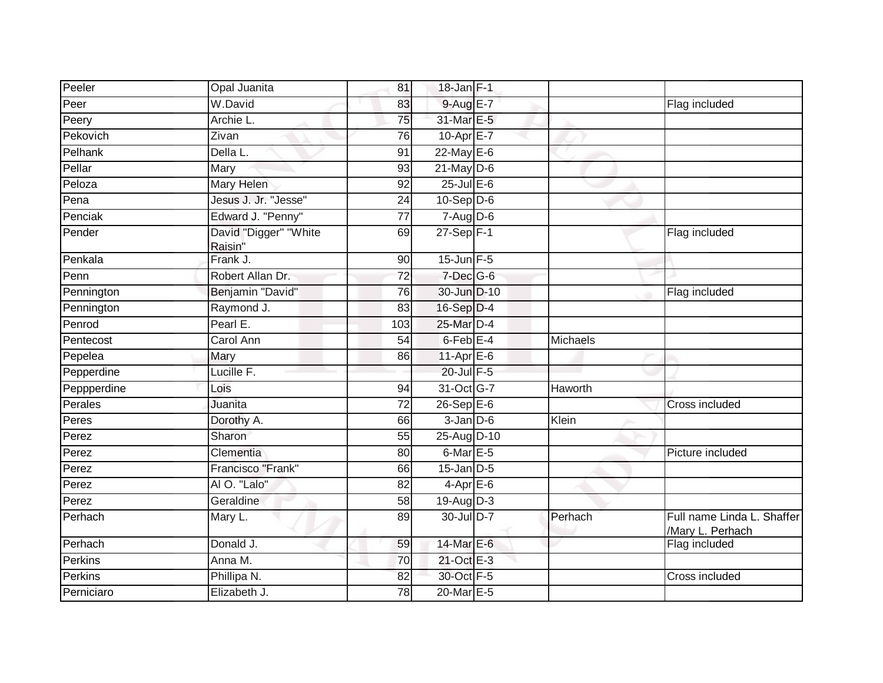| Peeler      | Opal Juanita                     | 81              | 18-Jan F-1       |          |                                                |
|-------------|----------------------------------|-----------------|------------------|----------|------------------------------------------------|
| Peer        | W.David                          | 83              | 9-Aug E-7        |          | Flag included                                  |
| Peery       | Archie L.                        | $\overline{75}$ | 31-Mar E-5       |          |                                                |
| Pekovich    | Zivan                            | 76              | $10-Apr$ $E-7$   |          |                                                |
| Pelhank     | Della L.                         | 91              | $22$ -May $E-6$  |          |                                                |
| Pellar      | Mary                             | 93              | $21$ -May $D-6$  |          |                                                |
| Peloza      | Mary Helen                       | 92              | $25$ -Jul $E$ -6 |          |                                                |
| Pena        | Jesus J. Jr. "Jesse"             | 24              | $10-Sep$ D-6     |          |                                                |
| Penciak     | Edward J. "Penny"                | 77              | $7 - Aug$ $D-6$  |          |                                                |
| Pender      | David "Digger" "White<br>Raisin" | 69              | $27-Sep$ F-1     |          | Flag included                                  |
| Penkala     | Frank J.                         | 90              | $15$ -Jun $F-5$  |          |                                                |
| Penn        | Robert Allan Dr.                 | $\overline{72}$ | 7-Dec G-6        |          |                                                |
| Pennington  | Benjamin "David"                 | 76              | 30-Jun D-10      |          | Flag included                                  |
| Pennington  | Raymond J.                       | 83              | $16-Sep D-4$     |          |                                                |
| Penrod      | Pearl E.                         | 103             | 25-Mar D-4       |          |                                                |
| Pentecost   | Carol Ann                        | 54              | $6$ -Feb $E-4$   | Michaels |                                                |
| Pepelea     | Mary                             | 86              | 11-Apr $E-6$     |          |                                                |
| Pepperdine  | Lucille F.                       |                 | 20-Jul F-5       |          |                                                |
| Peppperdine | Lois                             | 94              | 31-Oct G-7       | Haworth  |                                                |
| Perales     | Juanita                          | $\overline{72}$ | $26-Sep$ $E-6$   |          | <b>Cross included</b>                          |
| Peres       | Dorothy A.                       | 66              | $3$ -Jan $D-6$   | Klein    |                                                |
| Perez       | Sharon                           | 55              | 25-Aug D-10      |          |                                                |
| Perez       | Clementia                        | 80              | $6$ -Mar $E - 5$ |          | Picture included                               |
| Perez       | Francisco "Frank"                | 66              | $15$ -Jan $D-5$  |          |                                                |
| Perez       | AI O. "Lalo"                     | 82              | $4$ -Apr $E$ -6  |          |                                                |
| Perez       | Geraldine                        | 58              | 19-Aug D-3       |          |                                                |
| Perhach     | Mary L.                          | 89              | 30-Jul D-7       | Perhach  | Full name Linda L. Shaffer<br>/Mary L. Perhach |
| Perhach     | Donald J.                        | 59              | 14-Mar E-6       |          | Flag included                                  |
| Perkins     | Anna M.                          | 70              | 21-Oct E-3       |          |                                                |
| Perkins     | Phillipa N.                      | 82              | 30-Oct F-5       |          | Cross included                                 |
| Perniciaro  | Elizabeth J.                     | 78              | 20-Mar E-5       |          |                                                |
|             |                                  |                 |                  |          |                                                |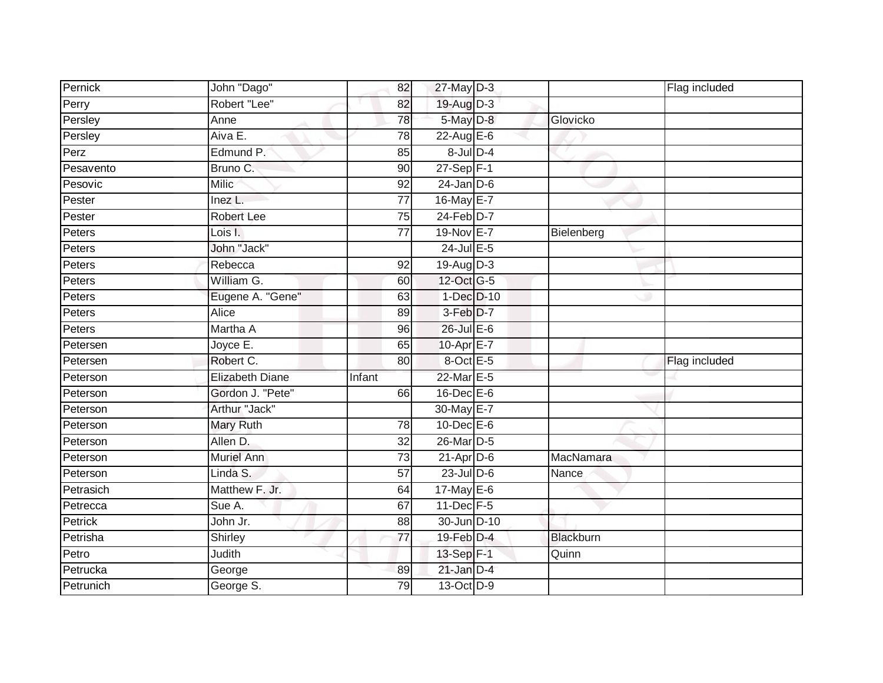| Pernick   | John "Dago"            | 82              | 27-May D-3        |            | Flag included |
|-----------|------------------------|-----------------|-------------------|------------|---------------|
| Perry     | Robert "Lee"           | 82              | 19-Aug D-3        |            |               |
| Persley   | Anne                   | 78              | 5-May D-8         | Glovicko   |               |
| Persley   | Aiva E.                | 78              | 22-Aug E-6        |            |               |
| Perz      | Edmund P.              | 85              | $8$ -Jul $D-4$    |            |               |
| Pesavento | Bruno C.               | 90              | 27-Sep F-1        |            |               |
| Pesovic   | <b>Milic</b>           | 92              | $24$ -Jan D-6     |            |               |
| Pester    | Inez L.                | $\overline{77}$ | 16-May E-7        |            |               |
| Pester    | <b>Robert Lee</b>      | 75              | 24-Feb D-7        |            |               |
| Peters    | Lois I.                | $\overline{77}$ | 19-Nov E-7        | Bielenberg |               |
| Peters    | John "Jack"            |                 | 24-Jul E-5        |            |               |
| Peters    | Rebecca                | 92              | $19-Aug$ D-3      |            |               |
| Peters    | William G.             | 60              | 12-Oct G-5        |            |               |
| Peters    | Eugene A. "Gene"       | 63              | 1-Dec D-10        |            |               |
| Peters    | Alice                  | 89              | $3-Feb$ $D-7$     |            |               |
| Peters    | Martha A               | 96              | 26-Jul E-6        |            |               |
| Petersen  | Joyce E.               | 65              | $10-Apr$ E-7      |            |               |
| Petersen  | Robert C.              | 80              | 8-Oct E-5         |            | Flag included |
| Peterson  | <b>Elizabeth Diane</b> | Infant          | 22-Mar E-5        |            |               |
| Peterson  | Gordon J. "Pete"       | 66              | $16$ -Dec $E$ -6  |            |               |
| Peterson  | Arthur "Jack"          |                 | 30-May E-7        |            |               |
| Peterson  | <b>Mary Ruth</b>       | 78              | $10$ -Dec $E - 6$ |            |               |
| Peterson  | Allen D.               | 32              | 26-Mar D-5        |            |               |
| Peterson  | Muriel Ann             | 73              | $21-Apr$ D-6      | MacNamara  |               |
| Peterson  | Linda S.               | $\overline{57}$ | 23-Jul D-6        | Nance      |               |
| Petrasich | Matthew F. Jr.         | 64              | 17-May E-6        |            |               |
| Petrecca  | Sue A.                 | 67              | $11$ -Dec $F-5$   |            |               |
| Petrick   | John Jr.               | 88              | 30-Jun D-10       |            |               |
| Petrisha  | Shirley                | $\overline{77}$ | 19-Feb D-4        | Blackburn  |               |
| Petro     | Judith                 |                 | 13-Sep F-1        | Quinn      |               |
| Petrucka  | George                 | 89              | $21$ -Jan D-4     |            |               |
| Petrunich | George S.              | 79              | 13-Oct D-9        |            |               |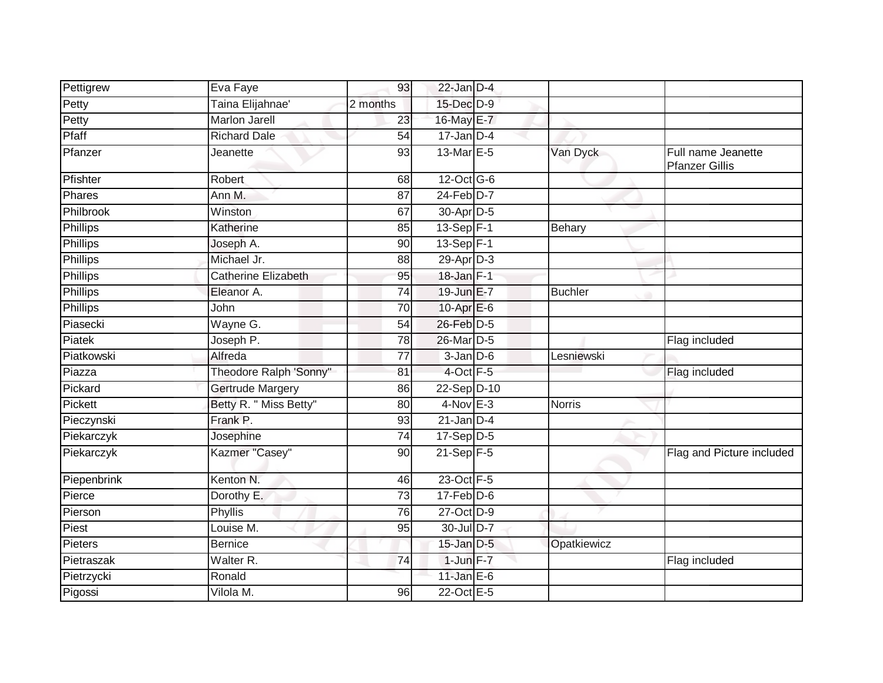| Pettigrew       | Eva Faye               | 93              | $22$ -Jan D-4    |                |                                             |
|-----------------|------------------------|-----------------|------------------|----------------|---------------------------------------------|
| Petty           | Taina Elijahnae'       | 2 months        | 15-Dec D-9       |                |                                             |
| Petty           | <b>Marlon Jarell</b>   | 23              | 16-May E-7       |                |                                             |
| Pfaff           | <b>Richard Dale</b>    | 54              | $17$ -Jan D-4    |                |                                             |
| Pfanzer         | Jeanette               | 93              | 13-Mar E-5       | Van Dyck       | Full name Jeanette<br><b>Pfanzer Gillis</b> |
| Pfishter        | Robert                 | 68              | 12-Oct G-6       |                |                                             |
| Phares          | Ann M.                 | 87              | $24$ -Feb $D-7$  |                |                                             |
| Philbrook       | Winston                | 67              | 30-Apr D-5       |                |                                             |
| Phillips        | Katherine              | 85              | $13-Sep$ F-1     | Behary         |                                             |
| <b>Phillips</b> | Joseph A.              | 90              | $13-Sep$ F-1     |                |                                             |
| Phillips        | Michael Jr.            | 88              | 29-Apr D-3       |                |                                             |
| Phillips        | Catherine Elizabeth    | 95              | $18 - Jan$ F-1   |                |                                             |
| <b>Phillips</b> | Eleanor A.             | $\overline{74}$ | 19-Jun E-7       | <b>Buchler</b> |                                             |
| Phillips        | John                   | 70              | $10-Apr$ $E-6$   |                |                                             |
| Piasecki        | Wayne G.               | 54              | 26-Feb D-5       |                |                                             |
| Piatek          | Joseph P.              | 78              | 26-Mar D-5       |                | Flag included                               |
| Piatkowski      | Alfreda                | 77              | $3$ -Jan $D$ -6  | Lesniewski     |                                             |
| Piazza          | Theodore Ralph 'Sonny" | 81              | $4$ -Oct $F - 5$ |                | Flag included                               |
| Pickard         | Gertrude Margery       | 86              | 22-Sep D-10      |                |                                             |
| Pickett         | Betty R. " Miss Betty" | 80              | $4-Nov$ E-3      | <b>Norris</b>  |                                             |
| Pieczynski      | Frank P.               | 93              | $21$ -Jan D-4    |                |                                             |
| Piekarczyk      | Josephine              | 74              | $17-Sep D-5$     |                |                                             |
| Piekarczyk      | Kazmer "Casey"         | 90              | $21-Sep$ F-5     |                | Flag and Picture included                   |
| Piepenbrink     | Kenton N.              | 46              | 23-Oct F-5       |                |                                             |
| Pierce          | Dorothy E.             | 73              | $17$ -Feb $D-6$  |                |                                             |
| Pierson         | Phyllis                | 76              | 27-Oct D-9       |                |                                             |
| Piest           | Louise M.              | 95              | 30-Jul D-7       |                |                                             |
| <b>Pieters</b>  | <b>Bernice</b>         |                 | $15$ -Jan $D-5$  | Opatkiewicz    |                                             |
| Pietraszak      | Walter <sub>R.</sub>   | 74              | $1$ -Jun $F - 7$ |                | Flag included                               |
| Pietrzycki      | Ronald                 |                 | 11-Jan $E-6$     |                |                                             |
| Pigossi         | Vilola M.              | 96              | 22-Oct E-5       |                |                                             |
|                 |                        |                 |                  |                |                                             |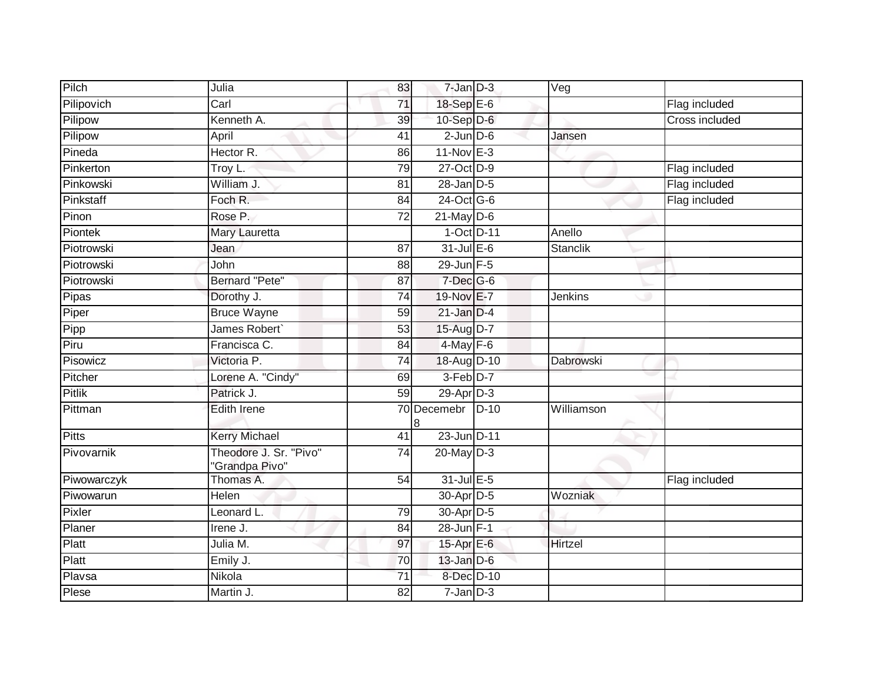|                        |                                                                   |                      |                  |                                                                                                                                                                                                                                                                                                                                                                                                                                                                                                                            | Flag included         |
|------------------------|-------------------------------------------------------------------|----------------------|------------------|----------------------------------------------------------------------------------------------------------------------------------------------------------------------------------------------------------------------------------------------------------------------------------------------------------------------------------------------------------------------------------------------------------------------------------------------------------------------------------------------------------------------------|-----------------------|
|                        |                                                                   |                      |                  |                                                                                                                                                                                                                                                                                                                                                                                                                                                                                                                            | <b>Cross included</b> |
|                        |                                                                   |                      |                  |                                                                                                                                                                                                                                                                                                                                                                                                                                                                                                                            |                       |
| Hector R.              | 86                                                                |                      |                  |                                                                                                                                                                                                                                                                                                                                                                                                                                                                                                                            |                       |
|                        | $\overline{79}$                                                   |                      |                  |                                                                                                                                                                                                                                                                                                                                                                                                                                                                                                                            | Flag included         |
| William J.             | 81                                                                |                      |                  |                                                                                                                                                                                                                                                                                                                                                                                                                                                                                                                            | Flag included         |
| Foch R.                | 84                                                                |                      |                  |                                                                                                                                                                                                                                                                                                                                                                                                                                                                                                                            | Flag included         |
| Rose P.                | 72                                                                |                      |                  |                                                                                                                                                                                                                                                                                                                                                                                                                                                                                                                            |                       |
| <b>Mary Lauretta</b>   |                                                                   |                      |                  | Anello                                                                                                                                                                                                                                                                                                                                                                                                                                                                                                                     |                       |
| Jean                   | 87                                                                |                      |                  | Stanclik                                                                                                                                                                                                                                                                                                                                                                                                                                                                                                                   |                       |
| John                   | 88                                                                |                      |                  |                                                                                                                                                                                                                                                                                                                                                                                                                                                                                                                            |                       |
| Bernard "Pete"         | 87                                                                |                      |                  |                                                                                                                                                                                                                                                                                                                                                                                                                                                                                                                            |                       |
| Dorothy J.             | $\overline{74}$                                                   |                      |                  | <b>Jenkins</b>                                                                                                                                                                                                                                                                                                                                                                                                                                                                                                             |                       |
| <b>Bruce Wayne</b>     | 59                                                                |                      |                  |                                                                                                                                                                                                                                                                                                                                                                                                                                                                                                                            |                       |
| James Robert           | 53                                                                |                      |                  |                                                                                                                                                                                                                                                                                                                                                                                                                                                                                                                            |                       |
| Francisca C.           | $\overline{84}$                                                   |                      |                  |                                                                                                                                                                                                                                                                                                                                                                                                                                                                                                                            |                       |
| Victoria P.            | 74                                                                |                      |                  | Dabrowski                                                                                                                                                                                                                                                                                                                                                                                                                                                                                                                  |                       |
| Lorene A. "Cindy"      | 69                                                                |                      |                  |                                                                                                                                                                                                                                                                                                                                                                                                                                                                                                                            |                       |
| Patrick J.             | 59                                                                |                      |                  |                                                                                                                                                                                                                                                                                                                                                                                                                                                                                                                            |                       |
| <b>Edith Irene</b>     |                                                                   |                      |                  | Williamson                                                                                                                                                                                                                                                                                                                                                                                                                                                                                                                 |                       |
| <b>Kerry Michael</b>   | 41                                                                |                      |                  |                                                                                                                                                                                                                                                                                                                                                                                                                                                                                                                            |                       |
| Theodore J. Sr. "Pivo" | $\overline{74}$                                                   |                      |                  |                                                                                                                                                                                                                                                                                                                                                                                                                                                                                                                            |                       |
| Thomas A.              | 54                                                                |                      |                  |                                                                                                                                                                                                                                                                                                                                                                                                                                                                                                                            | Flag included         |
| Helen                  |                                                                   |                      |                  | Wozniak                                                                                                                                                                                                                                                                                                                                                                                                                                                                                                                    |                       |
| Leonard L.             | 79                                                                |                      |                  |                                                                                                                                                                                                                                                                                                                                                                                                                                                                                                                            |                       |
| Irene J.               | 84                                                                |                      |                  |                                                                                                                                                                                                                                                                                                                                                                                                                                                                                                                            |                       |
| Julia M.               | 97                                                                |                      |                  | Hirtzel                                                                                                                                                                                                                                                                                                                                                                                                                                                                                                                    |                       |
| Emily J.               | 70                                                                |                      |                  |                                                                                                                                                                                                                                                                                                                                                                                                                                                                                                                            |                       |
| Nikola                 | $\overline{71}$                                                   |                      |                  |                                                                                                                                                                                                                                                                                                                                                                                                                                                                                                                            |                       |
| Martin J.              | 82                                                                |                      |                  |                                                                                                                                                                                                                                                                                                                                                                                                                                                                                                                            |                       |
|                        | Julia<br>Carl<br>Kenneth A.<br>April<br>Troy L.<br>"Grandpa Pivo" | 83<br>71<br>39<br>41 | 70 Decemebr<br>8 | $7 - Jan$ $D-3$<br>18-Sep E-6<br>$10-Sep$ D-6<br>$2$ -Jun $D$ -6<br>$11-Nov$ E-3<br>27-Oct D-9<br>$28$ -Jan $D-5$<br>24-Oct G-6<br>$21$ -May $D-6$<br>1-Oct D-11<br>$31$ -Jul $E-6$<br>$29$ -Jun F-5<br>$7$ -Dec $G$ -6<br>19-Nov E-7<br>$21$ -Jan $D-4$<br>15-Aug D-7<br>$4$ -May $F-6$<br>18-Aug D-10<br>$3-Feb$ $D-7$<br>$29$ -Apr $D-3$<br>$D-10$<br>23-Jun D-11<br>20-May D-3<br>31-Jul E-5<br>30-Apr D-5<br>30-Apr D-5<br>$28$ -Jun F-1<br>15-Apr E-6<br>$13$ -Jan $D-6$<br>8-Dec D-10<br>$7 - Jan \overline{D} - 3$ | Veg<br>Jansen         |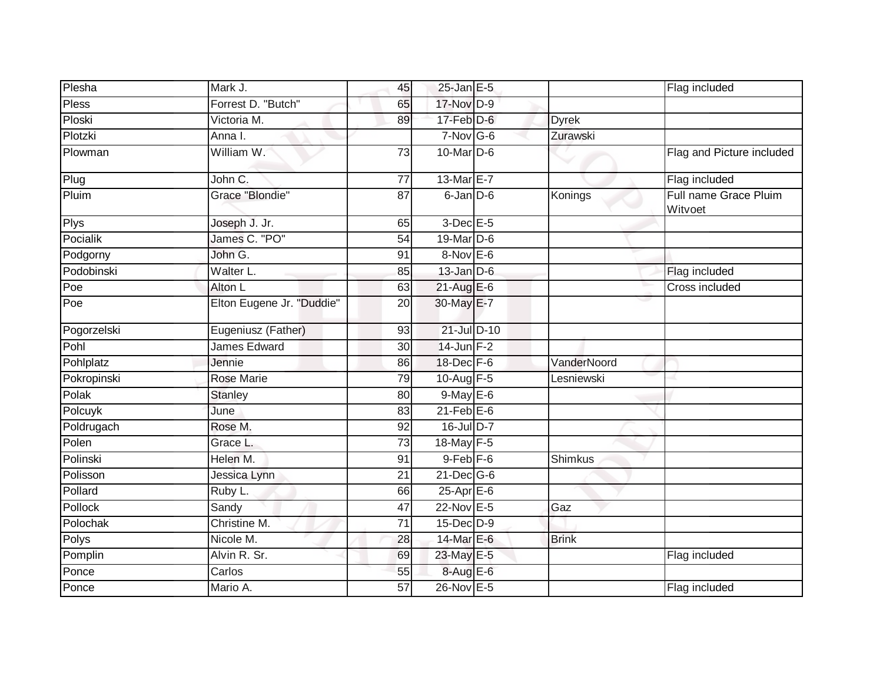| Plesha       | Mark J.                   | 45              | $25$ -Jan E-5     |              | Flag included                    |
|--------------|---------------------------|-----------------|-------------------|--------------|----------------------------------|
| <b>Pless</b> | Forrest D. "Butch"        | 65              | 17-Nov D-9        |              |                                  |
| Ploski       | Victoria M.               | 89              | $17$ -Feb $D-6$   | <b>Dyrek</b> |                                  |
| Plotzki      | Anna I.                   |                 | $7-Nov$ G-6       | Zurawski     |                                  |
| Plowman      | William W.                | 73              | 10-Mar D-6        |              | Flag and Picture included        |
| Plug         | John C.                   | $\overline{77}$ | 13-Mar E-7        |              | Flag included                    |
| Pluim        | Grace "Blondie"           | 87              | $6$ -Jan $D$ -6   | Konings      | Full name Grace Pluim<br>Witvoet |
| Plys         | Joseph J. Jr.             | 65              | $3$ -Dec $E - 5$  |              |                                  |
| Pocialik     | James C. "PO"             | 54              | $19$ -Mar $ D-6$  |              |                                  |
| Podgorny     | John G.                   | 91              | $8-Nov$ E-6       |              |                                  |
| Podobinski   | Walter L.                 | 85              | $13$ -Jan $D-6$   |              | Flag included                    |
| Poe          | Alton L                   | 63              | $21-AugE-6$       |              | Cross included                   |
| Poe          | Elton Eugene Jr. "Duddie" | 20              | 30-May E-7        |              |                                  |
| Pogorzelski  | Eugeniusz (Father)        | 93              | 21-Jul D-10       |              |                                  |
| Pohl         | James Edward              | 30              | $14$ -Jun $F-2$   |              |                                  |
| Pohlplatz    | Jennie                    | 86              | 18-Dec F-6        | VanderNoord  |                                  |
| Pokropinski  | <b>Rose Marie</b>         | 79              | 10-Aug F-5        | Lesniewski   |                                  |
| Polak        | <b>Stanley</b>            | 80              | $9$ -May E-6      |              |                                  |
| Polcuyk      | June                      | 83              | $21$ -Feb $E$ -6  |              |                                  |
| Poldrugach   | Rose M.                   | 92              | $16$ -Jul D-7     |              |                                  |
| Polen        | Grace L.                  | 73              | 18-May F-5        |              |                                  |
| Polinski     | Helen M.                  | 91              | $9 - Feb$ $F - 6$ | Shimkus      |                                  |
| Polisson     | Jessica Lynn              | $\overline{21}$ | 21-Dec G-6        |              |                                  |
| Pollard      | Ruby L.                   | 66              | $25$ -Apr $E$ -6  |              |                                  |
| Pollock      | Sandy                     | 47              | 22-Nov E-5        | Gaz          |                                  |
| Polochak     | Christine M.              | 71              | $15$ -Dec $D-9$   |              |                                  |
| Polys        | Nicole M.                 | 28              | 14-Mar E-6        | <b>Brink</b> |                                  |
| Pomplin      | Alvin R. Sr.              | 69              | 23-May E-5        |              | Flag included                    |
| Ponce        | Carlos                    | 55              | 8-Aug E-6         |              |                                  |
| Ponce        | Mario A.                  | $\overline{57}$ | 26-Nov E-5        |              | Flag included                    |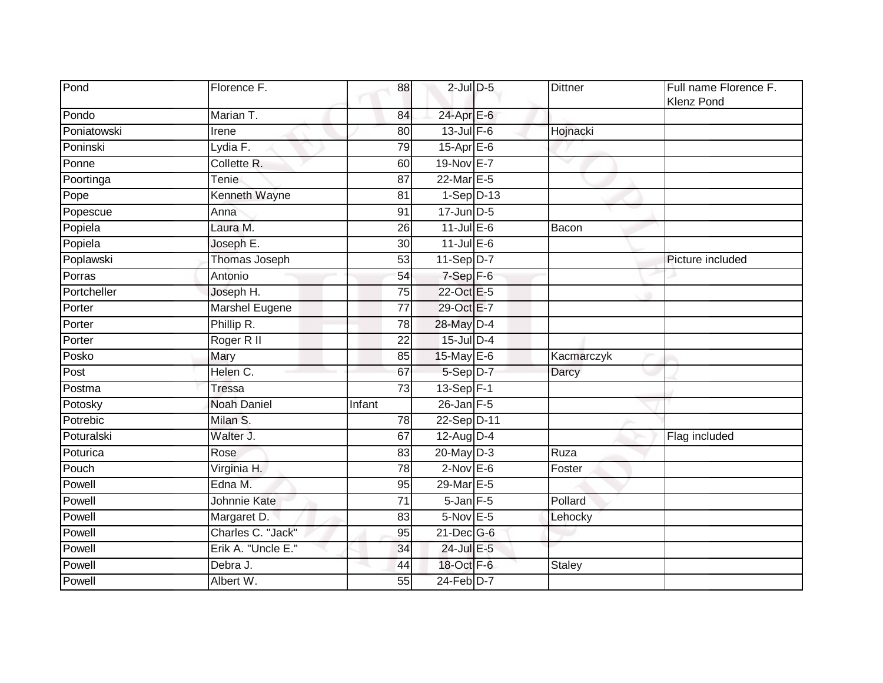| Pond        | Florence F.           | 88              | $2$ -Jul $D$ -5   | <b>Dittner</b> | Full name Florence F.<br><b>Klenz Pond</b> |
|-------------|-----------------------|-----------------|-------------------|----------------|--------------------------------------------|
| Pondo       | Marian T.             | 84              | 24-Apr E-6        |                |                                            |
| Poniatowski | Irene                 | 80              | $13$ -Jul $F-6$   | Hojnacki       |                                            |
| Poninski    | Lydia F.              | 79              | $15$ -Apr $E$ -6  |                |                                            |
| Ponne       | Collette R.           | 60              | 19-Nov E-7        |                |                                            |
| Poortinga   | Tenie                 | 87              | 22-Mar E-5        |                |                                            |
| Pope        | Kenneth Wayne         | 81              | $1-Sep$ D-13      |                |                                            |
| Popescue    | Anna                  | 91              | $17$ -Jun $D-5$   |                |                                            |
| Popiela     | Laura M.              | 26              | $11$ -Jul E-6     | Bacon          |                                            |
| Popiela     | Joseph E.             | 30              | $11$ -Jul $E-6$   |                |                                            |
| Poplawski   | Thomas Joseph         | 53              | $11-Sep$ D-7      |                | Picture included                           |
| Porras      | Antonio               | 54              | $7-Sep$ F-6       |                |                                            |
| Portcheller | Joseph H.             | 75              | 22-Oct E-5        |                |                                            |
| Porter      | <b>Marshel Eugene</b> | 77              | 29-Oct E-7        |                |                                            |
| Porter      | Phillip R.            | $\overline{78}$ | 28-May D-4        |                |                                            |
| Porter      | Roger R II            | 22              | 15-Jul D-4        |                |                                            |
| Posko       | Mary                  | 85              | $15$ -May E-6     | Kacmarczyk     |                                            |
| Post        | Helen C.              | 67              | 5-Sep D-7         | Darcy          |                                            |
| Postma      | <b>Tressa</b>         | $\overline{73}$ | 13-Sep $F-1$      |                |                                            |
| Potosky     | <b>Noah Daniel</b>    | Infant          | $26$ -Jan $F-5$   |                |                                            |
| Potrebic    | Milan S.              | 78              | 22-Sep D-11       |                |                                            |
| Poturalski  | Walter J.             | 67              | $12$ -Aug $D-4$   |                | Flag included                              |
| Poturica    | Rose                  | 83              | 20-May D-3        | Ruza           |                                            |
| Pouch       | Virginia H.           | 78              | $2-Nov$ E-6       | Foster         |                                            |
| Powell      | Edna M.               | 95              | 29-Mar E-5        |                |                                            |
| Powell      | Johnnie Kate          | 71              | $5 - Jan$ $F - 5$ | Pollard        |                                            |
| Powell      | Margaret D.           | 83              | 5-Nov E-5         | Lehocky        |                                            |
| Powell      | Charles C. "Jack"     | 95              | $21$ -Dec $G-6$   |                |                                            |
| Powell      | Erik A. "Uncle E."    | 34              | 24-Jul E-5        |                |                                            |
| Powell      | Debra J.              | 44              | 18-Oct F-6        | Staley         |                                            |
| Powell      | Albert W.             | 55              | 24-Feb D-7        |                |                                            |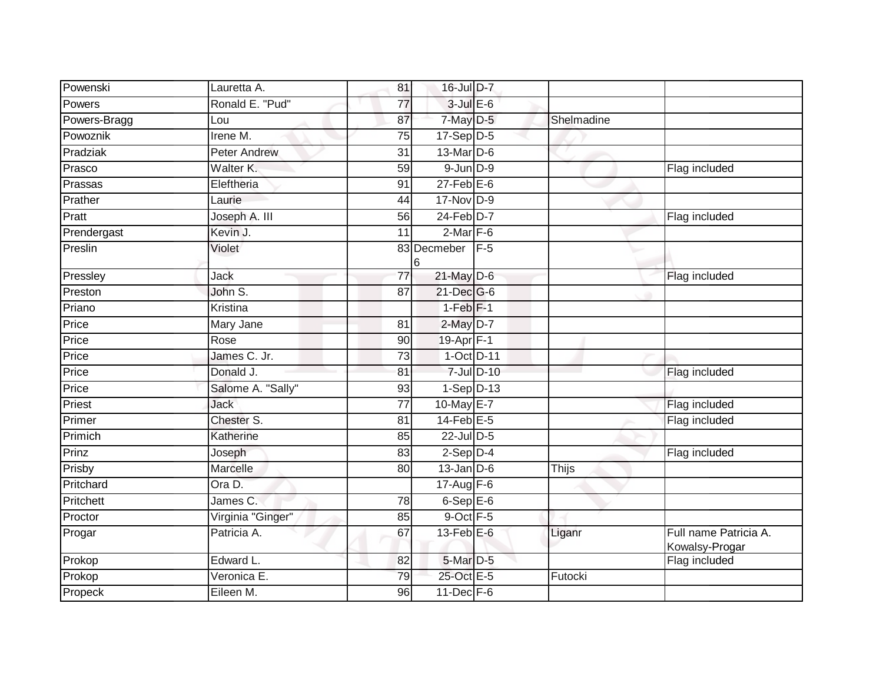| Powenski     | Lauretta A.       | 81              | 16-Jul D-7       |        |            |                                         |
|--------------|-------------------|-----------------|------------------|--------|------------|-----------------------------------------|
| Powers       | Ronald E. "Pud"   | 77              | $3$ -Jul $E$ -6  |        |            |                                         |
| Powers-Bragg | Lou               | 87              | 7-May D-5        |        | Shelmadine |                                         |
| Powoznik     | Irene M.          | 75              | $17-Sep D-5$     |        |            |                                         |
| Pradziak     | Peter Andrew      | 31              | 13-Mar D-6       |        |            |                                         |
| Prasco       | Walter K.         | 59              | $9$ -Jun $D-9$   |        |            | Flag included                           |
| Prassas      | Eleftheria        | 91              | $27$ -Feb $E$ -6 |        |            |                                         |
| Prather      | Laurie            | 44              | 17-Nov D-9       |        |            |                                         |
| Pratt        | Joseph A. III     | 56              | $24$ -Feb $D-7$  |        |            | Flag included                           |
| Prendergast  | Kevin J.          | 11              | $2$ -Mar $F-6$   |        |            |                                         |
| Preslin      | Violet            |                 | 83 Decmeber      | $IF-5$ |            |                                         |
|              |                   | 6               |                  |        |            |                                         |
| Pressley     | Jack              | $\overline{77}$ | $21$ -May D-6    |        |            | Flag included                           |
| Preston      | John S.           | 87              | 21-Dec G-6       |        |            |                                         |
| Priano       | Kristina          |                 | $1-Feb$ $F-1$    |        |            |                                         |
| Price        | Mary Jane         | $\overline{81}$ | $2$ -May $D-7$   |        |            |                                         |
| Price        | Rose              | 90              | 19-Apr F-1       |        |            |                                         |
| Price        | James C. Jr.      | 73              | $1-Oct$ D-11     |        |            |                                         |
| Price        | Donald J.         | 81              | $7$ -Jul $D-10$  |        |            | Flag included                           |
| Price        | Salome A. "Sally" | 93              | $1-Sep D-13$     |        |            |                                         |
| Priest       | <b>Jack</b>       | $\overline{77}$ | 10-May E-7       |        |            | Flag included                           |
| Primer       | Chester S.        | 81              | $14$ -Feb $E-5$  |        |            | Flag included                           |
| Primich      | Katherine         | 85              | 22-Jul D-5       |        |            |                                         |
| Prinz        | Joseph            | 83              | $2-Sep$ $D-4$    |        |            | Flag included                           |
| Prisby       | Marcelle          | 80              | $13$ -Jan $D-6$  |        | Thijs      |                                         |
| Pritchard    | Ora D.            |                 | 17-Aug F-6       |        |            |                                         |
| Pritchett    | James C.          | 78              | $6-$ Sep $E-6$   |        |            |                                         |
| Proctor      | Virginia "Ginger" | 85              | 9-Oct F-5        |        |            |                                         |
| Progar       | Patricia A.       | 67              | 13-Feb $E-6$     |        | Liganr     | Full name Patricia A.<br>Kowalsy-Progar |
| Prokop       | Edward L.         | 82              | 5-Mar D-5        |        |            | Flag included                           |
| Prokop       | Veronica E.       | 79              | 25-Oct E-5       |        | Futocki    |                                         |
| Propeck      | Eileen M.         | 96              | $11$ -Dec $F-6$  |        |            |                                         |
|              |                   |                 |                  |        |            |                                         |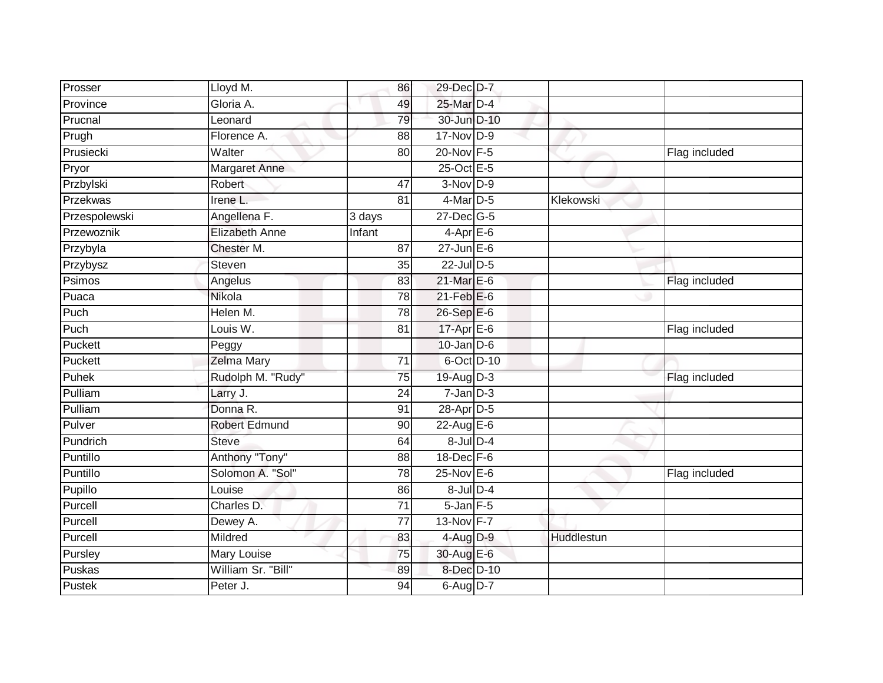| Prosser       | Lloyd M.              | 86              | 29-Dec D-7       |            |               |
|---------------|-----------------------|-----------------|------------------|------------|---------------|
| Province      | Gloria A.             | 49              | 25-Mar D-4       |            |               |
| Prucnal       | Leonard               | 79              | 30-Jun D-10      |            |               |
| Prugh         | Florence A.           | 88              | 17-Nov D-9       |            |               |
| Prusiecki     | Walter                | 80              | 20-Nov F-5       |            | Flag included |
| Pryor         | Margaret Anne         |                 | 25-Oct E-5       |            |               |
| Przbylski     | Robert                | 47              | $3-Nov$ D-9      |            |               |
| Przekwas      | Irene <sub>L</sub>    | 81              | 4-Mar D-5        | Klekowski  |               |
| Przespolewski | Angellena F.          | 3 days          | 27-Dec G-5       |            |               |
| Przewoznik    | <b>Elizabeth Anne</b> | Infant          | $4-Apr$ E-6      |            |               |
| Przybyla      | Chester M.            | 87              | $27$ -Jun $E-6$  |            |               |
| Przybysz      | <b>Steven</b>         | 35              | 22-Jul D-5       |            |               |
| Psimos        | Angelus               | 83              | 21-Mar E-6       |            | Flag included |
| Puaca         | Nikola                | 78              | $21$ -Feb $E$ -6 |            |               |
| Puch          | Helen M.              | 78              | 26-Sep E-6       |            |               |
| Puch          | Louis W.              | 81              | 17-Apr E-6       |            | Flag included |
| Puckett       | Peggy                 |                 | $10$ -Jan $D-6$  |            |               |
| Puckett       | Zelma Mary            | $\overline{71}$ | 6-Oct D-10       |            |               |
| Puhek         | Rudolph M. "Rudy"     | 75              | 19-Aug $D-3$     |            | Flag included |
| Pulliam       | Larry J.              | 24              | $7$ -Jan $D-3$   |            |               |
| Pulliam       | Donna R.              | 91              | 28-Apr D-5       |            |               |
| Pulver        | Robert Edmund         | 90              | 22-Aug E-6       |            |               |
| Pundrich      | <b>Steve</b>          | 64              | $8$ -Jul $D-4$   |            |               |
| Puntillo      | Anthony "Tony"        | 88              | 18-Dec F-6       |            |               |
| Puntillo      | Solomon A. "Sol"      | 78              | 25-Nov E-6       |            | Flag included |
| Pupillo       | Louise                | 86              | $8$ -Jul $D-4$   |            |               |
| Purcell       | Charles D.            | $\overline{71}$ | $5$ -Jan $F$ -5  |            |               |
| Purcell       | Dewey A.              | 77              | 13-Nov F-7       |            |               |
| Purcell       | Mildred               | 83              | 4-Aug D-9        | Huddlestun |               |
| Pursley       | Mary Louise           | 75              | 30-Aug E-6       |            |               |
| Puskas        | William Sr. "Bill"    | 89              | 8-Dec D-10       |            |               |
| Pustek        | Peter J.              | 94              | 6-Aug D-7        |            |               |
|               |                       |                 |                  |            |               |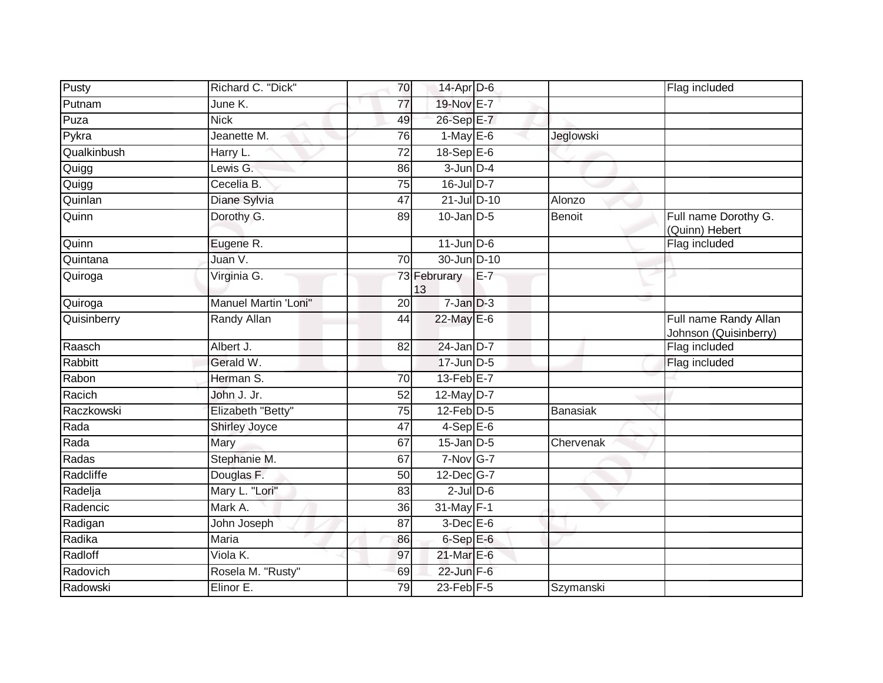| Pusty       | Richard C. "Dick"    | 70              | 14-Apr D-6         |       |                 | Flag included                                  |
|-------------|----------------------|-----------------|--------------------|-------|-----------------|------------------------------------------------|
| Putnam      | June K.              | 77              | 19-Nov E-7         |       |                 |                                                |
| Puza        | <b>Nick</b>          | 49              | 26-Sep E-7         |       |                 |                                                |
| Pykra       | Jeanette M.          | 76              | $1-May$ E-6        |       | Jeglowski       |                                                |
| Qualkinbush | Harry L.             | $\overline{72}$ | 18-Sep E-6         |       |                 |                                                |
| Quigg       | Lewis G.             | 86              | $3$ -Jun $D-4$     |       |                 |                                                |
| Quigg       | Cecelia B.           | 75              | 16-Jul D-7         |       |                 |                                                |
| Quinlan     | Diane Sylvia         | 47              | 21-Jul D-10        |       | Alonzo          |                                                |
| Quinn       | Dorothy G.           | 89              | $10$ -Jan $D-5$    |       | <b>Benoit</b>   | Full name Dorothy G.<br>(Quinn) Hebert         |
| Quinn       | Eugene R.            |                 | $11$ -Jun D-6      |       |                 | Flag included                                  |
| Quintana    | Juan V.              | 70              | 30-Jun D-10        |       |                 |                                                |
| Quiroga     | Virginia G.          |                 | 73 Februrary<br>13 | $E-7$ |                 |                                                |
| Quiroga     | Manuel Martin 'Loni" | $\overline{20}$ | $7$ -Jan $D-3$     |       |                 |                                                |
| Quisinberry | Randy Allan          | 44              | $22$ -May E-6      |       |                 | Full name Randy Allan<br>Johnson (Quisinberry) |
| Raasch      | Albert J.            | 82              | $24$ -Jan $D-7$    |       |                 | Flag included                                  |
| Rabbitt     | Gerald W.            |                 | $17$ -Jun $D-5$    |       |                 | Flag included                                  |
| Rabon       | Herman S.            | 70              | $13$ -Feb $E-7$    |       |                 |                                                |
| Racich      | John J. Jr.          | $\overline{52}$ | $12$ -May $D-7$    |       |                 |                                                |
| Raczkowski  | Elizabeth "Betty"    | $\overline{75}$ | $12$ -Feb $D-5$    |       | <b>Banasiak</b> |                                                |
| Rada        | <b>Shirley Joyce</b> | 47              | $4-SepE-6$         |       |                 |                                                |
| Rada        | Mary                 | 67              | $15$ -Jan $D-5$    |       | Chervenak       |                                                |
| Radas       | Stephanie M.         | 67              | $7-Nov$ G-7        |       |                 |                                                |
| Radcliffe   | Douglas F.           | 50              | 12-Dec G-7         |       |                 |                                                |
| Radelja     | Mary L. "Lori"       | 83              | $2$ -Jul $D$ -6    |       |                 |                                                |
| Radencic    | Mark A.              | 36              | 31-May F-1         |       |                 |                                                |
| Radigan     | John Joseph          | 87              | $3$ -Dec $E$ -6    |       |                 |                                                |
| Radika      | <b>Maria</b>         | 86              | $6-SepE-6$         |       |                 |                                                |
| Radloff     | Viola K.             | 97              | 21-Mar E-6         |       |                 |                                                |
| Radovich    | Rosela M. "Rusty"    | 69              | $22$ -Jun F-6      |       |                 |                                                |
| Radowski    | Elinor E.            | 79              | $23$ -Feb $F-5$    |       | Szymanski       |                                                |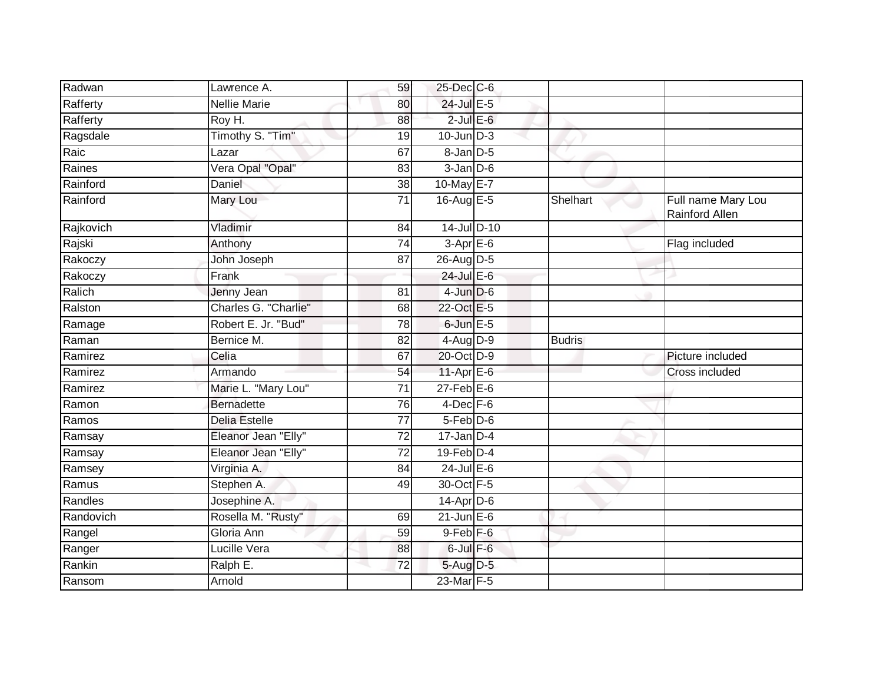| Radwan    | Lawrence A.          | 59 | 25-Dec C-6       |               |                                      |
|-----------|----------------------|----|------------------|---------------|--------------------------------------|
| Rafferty  | <b>Nellie Marie</b>  | 80 | 24-Jul E-5       |               |                                      |
| Rafferty  | Roy H.               | 88 | $2$ -Jul $E$ -6  |               |                                      |
| Ragsdale  | Timothy S. "Tim"     | 19 | $10$ -Jun $D-3$  |               |                                      |
| Raic      | Lazar                | 67 | $8 - Jan$ $D-5$  |               |                                      |
| Raines    | Vera Opal "Opal"     | 83 | $3$ -Jan $D$ -6  |               |                                      |
| Rainford  | Daniel               | 38 | 10-May E-7       |               |                                      |
| Rainford  | Mary Lou             | 71 | 16-Aug $E-5$     | Shelhart      | Full name Mary Lou<br>Rainford Allen |
| Rajkovich | Vladimir             | 84 | 14-Jul D-10      |               |                                      |
| Rajski    | Anthony              | 74 | $3-Apr$ E-6      |               | Flag included                        |
| Rakoczy   | John Joseph          | 87 | 26-Aug D-5       |               |                                      |
| Rakoczy   | Frank                |    | 24-Jul E-6       |               |                                      |
| Ralich    | Jenny Jean           | 81 | $4$ -Jun $D-6$   |               |                                      |
| Ralston   | Charles G. "Charlie" | 68 | 22-Oct E-5       |               |                                      |
| Ramage    | Robert E. Jr. "Bud"  | 78 | $6$ -Jun $E$ -5  |               |                                      |
| Raman     | Bernice M.           | 82 | $4$ -Aug $D-9$   | <b>Budris</b> |                                      |
| Ramirez   | Celia                | 67 | 20-Oct D-9       |               | Picture included                     |
| Ramirez   | Armando              | 54 | $11-AprE-6$      |               | Cross included                       |
| Ramirez   | Marie L. "Mary Lou"  | 71 | $27$ -Feb $E$ -6 |               |                                      |
| Ramon     | <b>Bernadette</b>    | 76 | $4$ -Dec $F-6$   |               |                                      |
| Ramos     | Delia Estelle        | 77 | 5-Feb D-6        |               |                                      |
| Ramsay    | Eleanor Jean "Elly"  | 72 | $17$ -Jan D-4    |               |                                      |
| Ramsay    | Eleanor Jean "Elly"  | 72 | $19$ -Feb $D-4$  |               |                                      |
| Ramsey    | Virginia A.          | 84 | $24$ -Jul E-6    |               |                                      |
| Ramus     | Stephen A.           | 49 | 30-Oct F-5       |               |                                      |
| Randles   | Josephine A.         |    | $14$ -Apr $D-6$  |               |                                      |
| Randovich | Rosella M. "Rusty"   | 69 | $21$ -Jun $E-6$  |               |                                      |
| Rangel    | Gloria Ann           | 59 | $9$ -Feb $F$ -6  |               |                                      |
| Ranger    | Lucille Vera         | 88 | $6$ -Jul $F-6$   |               |                                      |
| Rankin    | Ralph E.             | 72 | 5-Aug D-5        |               |                                      |
| Ransom    | Arnold               |    | 23-Mar F-5       |               |                                      |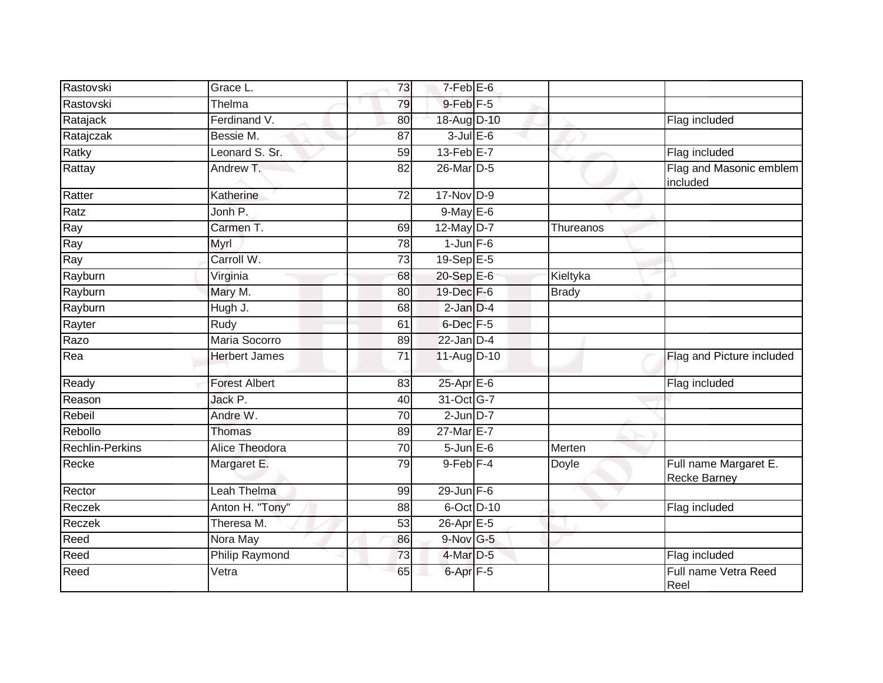| Rastovski              | Grace L.              | 73              | $7-Feb$ $E-6$         |              |                                              |
|------------------------|-----------------------|-----------------|-----------------------|--------------|----------------------------------------------|
| Rastovski              | Thelma                | 79              | $9$ -Feb $F - 5$      |              |                                              |
| Ratajack               | Ferdinand V.          | 80              | 18-Aug D-10           |              | Flag included                                |
| Ratajczak              | Bessie M.             | 87              | $3$ -Jul $E$ -6       |              |                                              |
| Ratky                  | Leonard S. Sr.        | 59              | $13$ -Feb $E$ -7      |              | Flag included                                |
| Rattay                 | Andrew T.             | 82              | 26-Mar D-5            |              | Flag and Masonic emblem<br>included          |
| Ratter                 | Katherine             | 72              | $17$ -Nov $D-9$       |              |                                              |
| Ratz                   | Jonh P.               |                 | $9$ -May $E$ -6       |              |                                              |
| Ray                    | Carmen T.             | 69              | 12-May D-7            | Thureanos    |                                              |
| Ray                    | Myrl                  | 78              | $1$ -Jun $F-6$        |              |                                              |
| Ray                    | Carroll W.            | 73              | 19-Sep E-5            |              |                                              |
| Rayburn                | Virginia              | 68              | 20-Sep E-6            | Kieltyka     |                                              |
| Rayburn                | Mary M.               | 80              | 19-Dec F-6            | <b>Brady</b> |                                              |
| Rayburn                | Hugh J.               | 68              | $2$ -Jan $D-4$        |              |                                              |
| Rayter                 | Rudy                  | 61              | 6-Dec F-5             |              |                                              |
| Razo                   | Maria Socorro         | 89              | $22$ -Jan $D-4$       |              |                                              |
| Rea                    | <b>Herbert James</b>  | 71              | 11-Aug D-10           |              | Flag and Picture included                    |
| Ready                  | <b>Forest Albert</b>  | 83              | $25$ -Apr $E$ -6      |              | Flag included                                |
| Reason                 | Jack P.               | 40              | 31-Oct G-7            |              |                                              |
| Rebeil                 | Andre W.              | $\overline{70}$ | $2$ -Jun $D-7$        |              |                                              |
| Rebollo                | <b>Thomas</b>         | 89              | 27-Mar E-7            |              |                                              |
| <b>Rechlin-Perkins</b> | Alice Theodora        | 70              | $5 - Jun$ $E-6$       | Merten       |                                              |
| Recke                  | Margaret E.           | 79              | $9$ -Feb $ F-4 $      | Doyle        | Full name Margaret E.<br><b>Recke Barney</b> |
| Rector                 | Leah Thelma           | 99              | $29$ -Jun F-6         |              |                                              |
| Reczek                 | Anton H. "Tony"       | 88              | 6-Oct D-10            |              | Flag included                                |
| Reczek                 | Theresa M.            | 53              | 26-Apr <sub>E-5</sub> |              |                                              |
| Reed                   | Nora May              | 86              | $9-Nov$ G-5           |              |                                              |
| Reed                   | <b>Philip Raymond</b> | 73              | 4-Mar D-5             |              | Flag included                                |
| Reed                   | Vetra                 | 65              | 6-Apr <sub>F-5</sub>  |              | Full name Vetra Reed<br>Reel                 |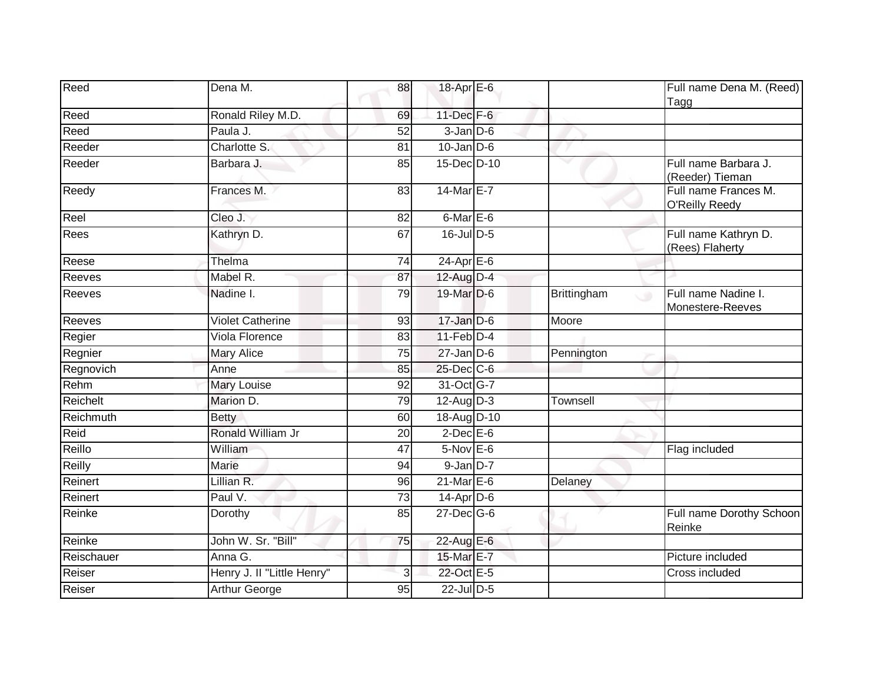| Reed       | Dena M.                    | 88              | 18-Apr E-6                 |              | Full name Dena M. (Reed)<br>Tagg              |
|------------|----------------------------|-----------------|----------------------------|--------------|-----------------------------------------------|
| Reed       | Ronald Riley M.D.          | 69              | 11-Dec F-6                 |              |                                               |
| Reed       | Paula J.                   | 52              | $3 - Jan$ $D-6$            |              |                                               |
| Reeder     | Charlotte S.               | 81              | $10$ -Jan D-6              |              |                                               |
| Reeder     | Barbara J.                 | 85              | 15-Dec D-10                | $\checkmark$ | Full name Barbara J.<br>(Reeder) Tieman       |
| Reedy      | Frances M.                 | $\overline{83}$ | 14-Mar E-7                 |              | Full name Frances M.<br><b>O'Reilly Reedy</b> |
| Reel       | Cleo J.                    | 82              | 6-Mar E-6                  |              |                                               |
| Rees       | Kathryn D.                 | 67              | $16$ -Jul D-5              |              | Full name Kathryn D.<br>(Rees) Flaherty       |
| Reese      | Thelma                     | 74              | $24-Apr \nightharpoonup 6$ |              |                                               |
| Reeves     | Mabel R.                   | 87              | 12-Aug D-4                 |              |                                               |
| Reeves     | Nadine I.                  | 79              | 19-Mar D-6                 | Brittingham  | Full name Nadine I.<br>۰<br>Monestere-Reeves  |
| Reeves     | <b>Violet Catherine</b>    | 93              | 17-Jan D-6                 | Moore        |                                               |
| Regier     | Viola Florence             | 83              | $11-Feb$ D-4               |              |                                               |
| Regnier    | <b>Mary Alice</b>          | $\overline{75}$ | $27$ -Jan $D-6$            | Pennington   |                                               |
| Regnovich  | Anne                       | 85              | 25-Dec C-6                 |              |                                               |
| Rehm       | <b>Mary Louise</b>         | 92              | 31-Oct G-7                 |              |                                               |
| Reichelt   | Marion D.                  | 79              | $12$ -Aug $D-3$            | Townsell     |                                               |
| Reichmuth  | <b>Betty</b>               | 60              | 18-Aug D-10                |              |                                               |
| Reid       | Ronald William Jr          | 20              | $2$ -Dec $E$ -6            |              |                                               |
| Reillo     | William                    | 47              | $5-Nov$ E-6                |              | Flag included                                 |
| Reilly     | <b>Marie</b>               | 94              | $9$ -Jan $D-7$             |              |                                               |
| Reinert    | Lillian R.                 | 96              | $21$ -Mar $E-6$            | Delaney      |                                               |
| Reinert    | Paul V.                    | $\overline{73}$ | $14$ -Apr $D-6$            |              |                                               |
| Reinke     | Dorothy                    | 85              | $27 - Dec$ G-6             |              | Full name Dorothy Schoon<br>Reinke            |
| Reinke     | John W. Sr. "Bill"         | 75              | 22-Aug E-6                 |              |                                               |
| Reischauer | Anna G.                    |                 | 15-Mar E-7                 |              | Picture included                              |
| Reiser     | Henry J. II "Little Henry" | 3               | 22-Oct E-5                 |              | Cross included                                |
| Reiser     | Arthur George              | 95              | $22$ -Jul $D-5$            |              |                                               |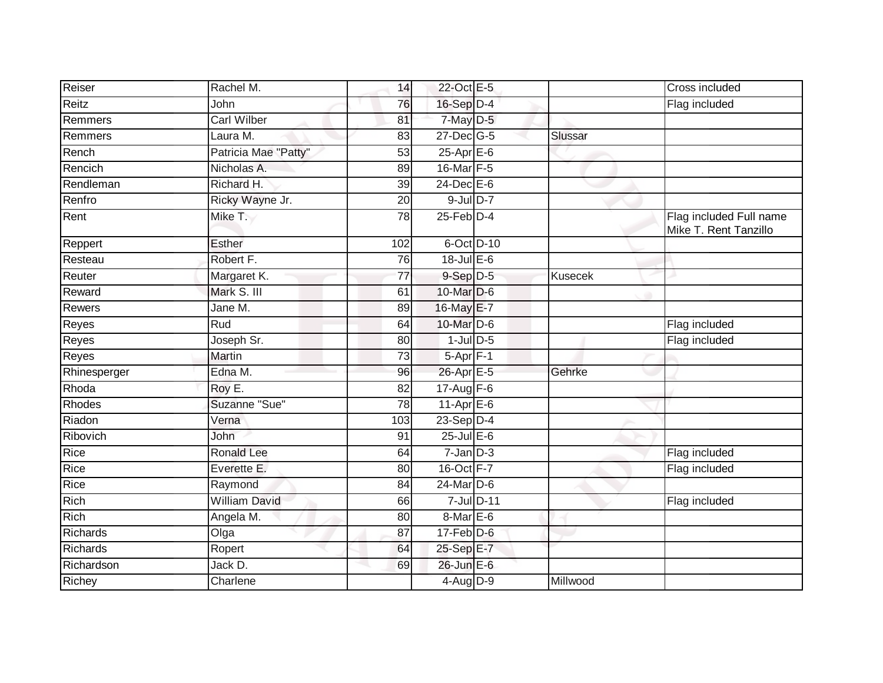| Reiser        | Rachel M.            | 14              | 22-Oct E-5        |            |          | Cross included                                   |
|---------------|----------------------|-----------------|-------------------|------------|----------|--------------------------------------------------|
| Reitz         | John                 | 76              | 16-Sep D-4        |            |          | Flag included                                    |
| Remmers       | <b>Carl Wilber</b>   | 81              | $7$ -May $D-5$    |            |          |                                                  |
| Remmers       | Laura M.             | 83              | 27-Dec G-5        |            | Slussar  |                                                  |
| Rench         | Patricia Mae "Patty" | $\overline{53}$ | $25$ -Apr $E$ -6  |            |          |                                                  |
| Rencich       | Nicholas A.          | 89              | 16-Mar F-5        |            |          |                                                  |
| Rendleman     | Richard H.           | 39              | 24-Dec E-6        |            |          |                                                  |
| Renfro        | Ricky Wayne Jr.      | 20              | $9$ -Jul $D-7$    |            |          |                                                  |
| Rent          | Mike T.              | 78              | $25$ -Feb $D-4$   |            |          | Flag included Full name<br>Mike T. Rent Tanzillo |
| Reppert       | Esther               | 102             | 6-Oct D-10        |            |          |                                                  |
| Resteau       | Robert F.            | 76              | $18$ -Jul $E$ -6  |            |          |                                                  |
| Reuter        | Margaret K.          | 77              | $9-Sep D-5$       |            | Kusecek  |                                                  |
| Reward        | Mark S. III          | 61              | 10-Mar D-6        |            |          |                                                  |
| <b>Rewers</b> | Jane M.              | 89              | 16-May E-7        |            |          |                                                  |
| Reyes         | <b>Rud</b>           | 64              | 10-Mar D-6        |            |          | Flag included                                    |
| Reyes         | Joseph Sr.           | 80              | $1$ -Jul $D-5$    |            |          | Flag included                                    |
| Reyes         | Martin               | 73              | $5-Apr$ F-1       |            |          |                                                  |
| Rhinesperger  | Edna M.              | 96              | 26-Apr E-5        |            | Gehrke   |                                                  |
| Rhoda         | Roy E.               | 82              | 17-Aug F-6        |            |          |                                                  |
| Rhodes        | Suzanne "Sue"        | $\overline{78}$ | $11-Apr \nE-6$    |            |          |                                                  |
| Riadon        | Verna                | 103             | 23-Sep D-4        |            |          |                                                  |
| Ribovich      | John                 | 91              | $25$ -Jul $E$ -6  |            |          |                                                  |
| Rice          | <b>Ronald Lee</b>    | 64              | $7 - Jan$ $D-3$   |            |          | Flag included                                    |
| Rice          | Everette E.          | 80              | 16-Oct F-7        |            |          | Flag included                                    |
| Rice          | Raymond              | 84              | 24-Mar D-6        |            |          |                                                  |
| <b>Rich</b>   | <b>William David</b> | 66              |                   | 7-Jul D-11 |          | Flag included                                    |
| Rich          | Angela M.            | 80              | $8$ -Mar $E$ -6   |            |          |                                                  |
| Richards      | Olga                 | 87              | $17$ -Feb $D-6$   |            |          |                                                  |
| Richards      | Ropert               | 64              | 25-Sep E-7        |            |          |                                                  |
| Richardson    | Jack D.              | 69              | $26$ -Jun $E - 6$ |            |          |                                                  |
| Richey        | Charlene             |                 | 4-Aug D-9         |            | Millwood |                                                  |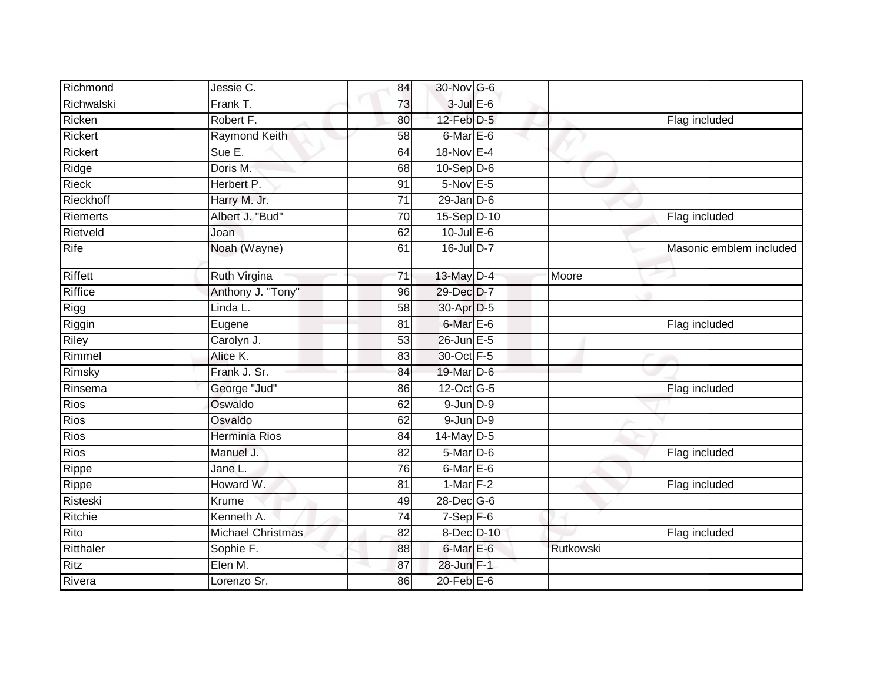| Richmond       | Jessie C.                | 84              | 30-Nov G-6               |           |                         |
|----------------|--------------------------|-----------------|--------------------------|-----------|-------------------------|
| Richwalski     | Frank T.                 | 73              | $3$ -Jul $E$ -6          |           |                         |
| Ricken         | Robert F.                | 80              | 12-Feb D-5               |           | Flag included           |
| <b>Rickert</b> | Raymond Keith            | 58              | $6$ -Mar $E$ -6          |           |                         |
| <b>Rickert</b> | Sue E.                   | 64              | 18-Nov E-4               |           |                         |
| Ridge          | Doris M.                 | 68              | $10-Sep$ D-6             |           |                         |
| Rieck          | Herbert P.               | 91              | $5$ -Nov $E - 5$         |           |                         |
| Rieckhoff      | Harry M. Jr.             | 71              | $29$ -Jan $D-6$          |           |                         |
| Riemerts       | Albert J. "Bud"          | 70              | 15-Sep D-10              |           | Flag included           |
| Rietveld       | Joan                     | 62              | $10$ -Jul $E-6$          |           |                         |
| Rife           | Noah (Wayne)             | 61              | 16-Jul D-7               |           | Masonic emblem included |
| Riffett        | Ruth Virgina             | $\overline{71}$ | 13-May D-4               | Moore     |                         |
| <b>Riffice</b> | Anthony J. "Tony"        | 96              | 29-Dec D-7               |           |                         |
| Rigg           | Linda L.                 | 58              | 30-Apr D-5               |           |                         |
| Riggin         | Eugene                   | 81              | 6-Mar E-6                |           | Flag included           |
| Riley          | Carolyn J.               | 53              | 26-Jun E-5               |           |                         |
| Rimmel         | Alice K.                 | 83              | 30-Oct F-5               |           |                         |
| Rimsky         | Frank J. Sr.             | 84              | 19-Mar D-6               |           |                         |
| Rinsema        | George "Jud"             | 86              | $12$ -Oct $ G-5 $        |           | Flag included           |
| <b>Rios</b>    | Oswaldo                  | 62              | $9$ -Jun $D-9$           |           |                         |
| Rios           | Osvaldo                  | 62              | $9$ -Jun $D-9$           |           |                         |
| Rios           | Herminia Rios            | 84              | $14$ -May D-5            |           |                         |
| Rios           | Manuel J.                | 82              | 5-Mar D-6                |           | Flag included           |
| Rippe          | Jane L.                  | 76              | 6-Mar E-6                |           |                         |
| Rippe          | Howard W.                | 81              | 1-Mar $F-2$              |           | Flag included           |
| Risteski       | Krume                    | 49              | 28-Dec G-6               |           |                         |
| Ritchie        | Kenneth A.               | 74              | $7-Sep$ $\overline{F-6}$ |           |                         |
| Rito           | <b>Michael Christmas</b> | 82              | 8-Dec D-10               |           | Flag included           |
| Ritthaler      | Sophie F.                | 88              | 6-Mar E-6                | Rutkowski |                         |
| Ritz           | Elen M.                  | 87              | 28-Jun F-1               |           |                         |
| Rivera         | Lorenzo Sr.              | 86              | $20$ -Feb $E$ -6         |           |                         |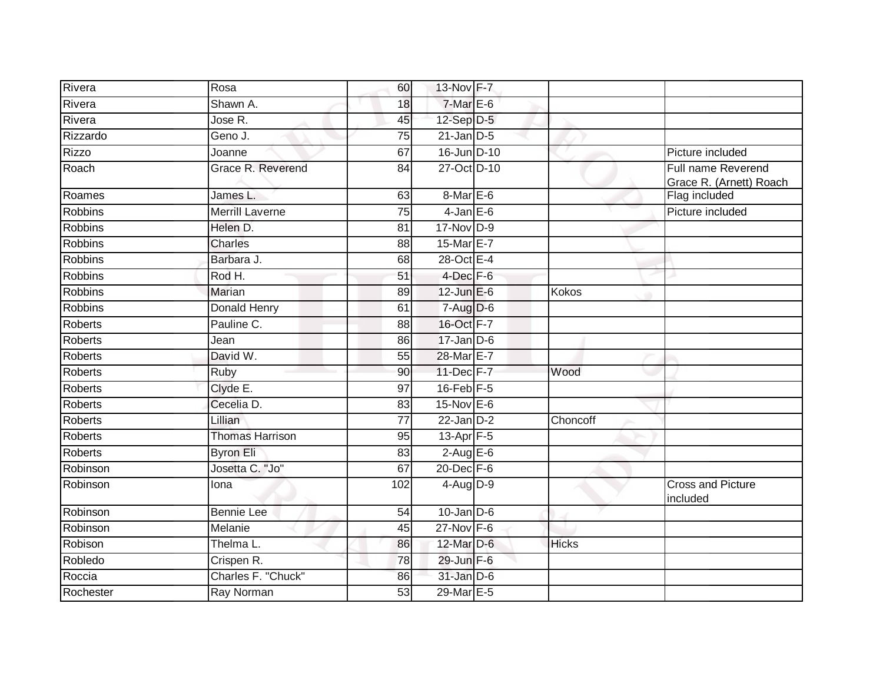| Rivera         | Rosa                   | 60              | 13-Nov F-7       |              |                                               |
|----------------|------------------------|-----------------|------------------|--------------|-----------------------------------------------|
| Rivera         | Shawn A.               | 18              | $7-MarE-6$       |              |                                               |
| Rivera         | Jose R.                | 45              | $12-Sep$ D-5     |              |                                               |
| Rizzardo       | Geno J.                | 75              | $21$ -Jan $D-5$  |              |                                               |
| <b>Rizzo</b>   | Joanne                 | 67              | 16-Jun D-10      |              | Picture included                              |
| Roach          | Grace R. Reverend      | 84              | 27-Oct D-10      |              | Full name Reverend<br>Grace R. (Arnett) Roach |
| Roames         | James L.               | 63              | 8-Mar E-6        |              | Flag included                                 |
| <b>Robbins</b> | Merrill Laverne        | 75              | $4$ -Jan $E$ -6  |              | Picture included                              |
| Robbins        | Helen D.               | 81              | 17-Nov D-9       |              |                                               |
| <b>Robbins</b> | <b>Charles</b>         | 88              | 15-Mar E-7       |              |                                               |
| <b>Robbins</b> | Barbara J.             | 68              | 28-Oct E-4       |              |                                               |
| <b>Robbins</b> | Rod H.                 | 51              | $4$ -Dec $F-6$   |              |                                               |
| <b>Robbins</b> | Marian                 | 89              | $12$ -Jun $E-6$  | <b>Kokos</b> |                                               |
| <b>Robbins</b> | Donald Henry           | 61              | $7-Aug$ D-6      |              |                                               |
| <b>Roberts</b> | Pauline C.             | $\overline{88}$ | 16-Oct F-7       |              |                                               |
| <b>Roberts</b> | Jean                   | 86              | $17$ -Jan D-6    |              |                                               |
| <b>Roberts</b> | David W.               | 55              | 28-Mar E-7       |              |                                               |
| <b>Roberts</b> | Ruby                   | 90              | 11-Dec F-7       | Wood         |                                               |
| <b>Roberts</b> | Clyde E.               | 97              | 16-Feb F-5       |              |                                               |
| <b>Roberts</b> | Cecelia D.             | $\overline{83}$ | $15$ -Nov $E$ -6 |              |                                               |
| <b>Roberts</b> | Lillian                | $\overline{77}$ | $22$ -Jan $D-2$  | Choncoff     |                                               |
| Roberts        | <b>Thomas Harrison</b> | 95              | 13-Apr $F-5$     |              |                                               |
| <b>Roberts</b> | Byron Eli              | 83              | $2-Aug$ E-6      |              |                                               |
| Robinson       | Josetta C. "Jo"        | 67              | 20-Dec F-6       |              |                                               |
| Robinson       | Iona                   | 102             | $4-Aug$ $D-9$    |              | <b>Cross and Picture</b><br>included          |
| Robinson       | <b>Bennie Lee</b>      | 54              | $10$ -Jan $D-6$  |              |                                               |
| Robinson       | Melanie                | 45              | $27$ -Nov F-6    |              |                                               |
| Robison        | Thelma L.              | 86              | 12-Mar D-6       | <b>Hicks</b> |                                               |
| Robledo        | Crispen <sub>R.</sub>  | 78              | 29-Jun F-6       |              |                                               |
| Roccia         | Charles F. "Chuck"     | 86              | $31$ -Jan $D-6$  |              |                                               |
| Rochester      | Ray Norman             | 53              | 29-Mar E-5       |              |                                               |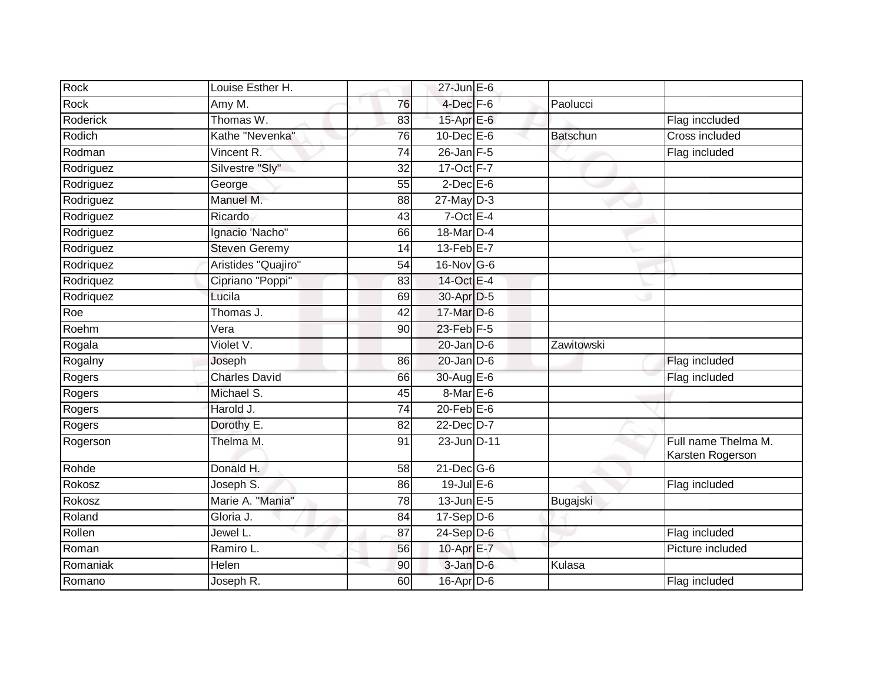| Rock            | Louise Esther H.     |                 | $27$ -Jun $E-6$   |                 |                                         |
|-----------------|----------------------|-----------------|-------------------|-----------------|-----------------------------------------|
| Rock            | Amy M.               | 76              | $4$ -Dec $F-6$    | Paolucci        |                                         |
| <b>Roderick</b> | Thomas W.            | 83              | 15-Apr E-6        |                 | Flag inccluded                          |
| Rodich          | Kathe "Nevenka"      | 76              | $10$ -Dec $E$ -6  | <b>Batschun</b> | Cross included                          |
| Rodman          | Vincent R.           | $\overline{74}$ | $26$ -Jan $F-5$   |                 | Flag included                           |
| Rodriguez       | Silvestre "Sly"      | 32              | 17-Oct F-7        |                 |                                         |
| Rodriguez       | George               | 55              | $2$ -Dec $E$ -6   |                 |                                         |
| Rodriguez       | Manuel M.            | 88              | $27$ -May $D-3$   |                 |                                         |
| Rodriguez       | Ricardo              | 43              | $7$ -Oct E-4      |                 |                                         |
| Rodriguez       | Ignacio 'Nacho"      | 66              | 18-Mar D-4        |                 |                                         |
| Rodriguez       | <b>Steven Geremy</b> | 14              | 13-Feb E-7        |                 |                                         |
| Rodriquez       | Aristides "Quajiro"  | 54              | $16$ -Nov G-6     |                 |                                         |
| Rodriquez       | Cipriano "Poppi"     | 83              | 14-Oct E-4        |                 |                                         |
| Rodriquez       | Lucila               | 69              | 30-Apr D-5        |                 |                                         |
| Roe             | Thomas J.            | 42              | 17-Mar D-6        |                 |                                         |
| Roehm           | Vera                 | 90              | 23-Feb F-5        |                 |                                         |
| Rogala          | Violet V.            |                 | $20$ -Jan $D-6$   | Zawitowski      |                                         |
| Rogalny         | Joseph               | 86              | $20$ -Jan $D-6$   |                 | Flag included                           |
| Rogers          | <b>Charles David</b> | 66              | 30-Aug E-6        |                 | Flag included                           |
| Rogers          | Michael S.           | 45              | 8-Mar E-6         |                 |                                         |
| Rogers          | Harold J.            | 74              | $20$ -Feb $E-6$   |                 |                                         |
| Rogers          | Dorothy E.           | 82              | 22-Dec D-7        |                 |                                         |
| Rogerson        | Thelma M.            | 91              | 23-Jun D-11       |                 | Full name Thelma M.<br>Karsten Rogerson |
| Rohde           | Donald H.            | 58              | $21$ -Dec $G-6$   |                 |                                         |
| Rokosz          | Joseph S.            | 86              | $19$ -Jul $E$ -6  |                 | Flag included                           |
| Rokosz          | Marie A. "Mania"     | 78              | $13$ -Jun $E - 5$ | Bugajski        |                                         |
| Roland          | Gloria J.            | $\overline{84}$ | $17-Sep$ D-6      |                 |                                         |
| Rollen          | Jewel L.             | 87              | $24-Sep$ D-6      |                 | Flag included                           |
| Roman           | Ramiro L.            | 56              | 10-Apr E-7        |                 | Picture included                        |
| Romaniak        | Helen                | 90              | $3$ -Jan $D$ -6   | Kulasa          |                                         |
| Romano          | Joseph R.            | 60              | $16$ -Apr $D$ -6  |                 | Flag included                           |
|                 |                      |                 |                   |                 |                                         |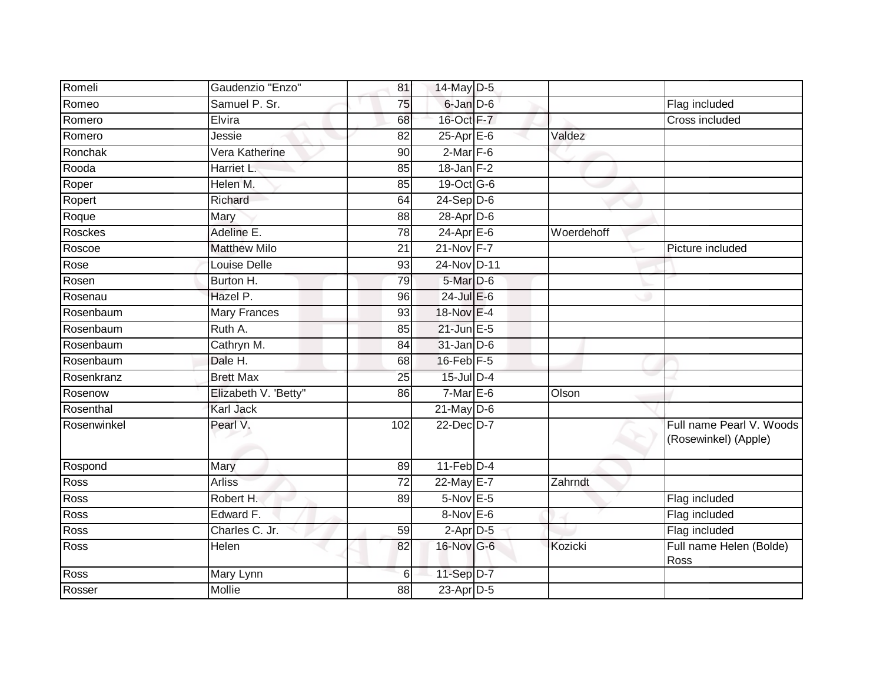| Romeli      | Gaudenzio "Enzo"     | 81              | 14-May D-5              |            |                                                  |
|-------------|----------------------|-----------------|-------------------------|------------|--------------------------------------------------|
| Romeo       | Samuel P. Sr.        | 75              | 6-Jan D-6               |            | Flag included                                    |
| Romero      | Elvira               | 68              | 16-Oct F-7              |            | <b>Cross included</b>                            |
| Romero      | Jessie               | 82              | $25-Apr \n\mathsf{E-6}$ | Valdez     |                                                  |
| Ronchak     | Vera Katherine       | 90              | $2$ -Mar $F-6$          |            |                                                  |
| Rooda       | Harriet L.           | 85              | $18$ -Jan $F-2$         |            |                                                  |
| Roper       | Helen M.             | 85              | 19-Oct G-6              |            |                                                  |
| Ropert      | Richard              | 64              | $24-Sep D-6$            |            |                                                  |
| Roque       | Mary                 | 88              | $28$ -Apr $D$ -6        |            |                                                  |
| Rosckes     | Adeline E.           | 78              | $24-Apr \nE-6$          | Woerdehoff |                                                  |
| Roscoe      | <b>Matthew Milo</b>  | 21              | $21-Nov$ F-7            |            | Picture included                                 |
| Rose        | Louise Delle         | 93              | 24-Nov D-11             |            |                                                  |
| Rosen       | Burton H.            | 79              | $5-Mar$ D-6             |            |                                                  |
| Rosenau     | Hazel P.             | 96              | $24$ -Jul $E-6$         |            |                                                  |
| Rosenbaum   | Mary Frances         | 93              | 18-Nov E-4              |            |                                                  |
| Rosenbaum   | Ruth A.              | 85              | $21$ -Jun $E-5$         |            |                                                  |
| Rosenbaum   | Cathryn M.           | $\overline{84}$ | $31$ -Jan D-6           |            |                                                  |
| Rosenbaum   | Dale H.              | 68              | $16$ -Feb $F-5$         |            |                                                  |
| Rosenkranz  | <b>Brett Max</b>     | 25              | 15-Jul D-4              |            |                                                  |
| Rosenow     | Elizabeth V. 'Betty" | 86              | $7$ -Mar $E$ -6         | Olson      |                                                  |
| Rosenthal   | <b>Karl Jack</b>     |                 | $21$ -May D-6           |            |                                                  |
| Rosenwinkel | Pearl V.             | 102             | 22-Dec D-7              |            | Full name Pearl V. Woods<br>(Rosewinkel) (Apple) |
| Rospond     | Mary                 | 89              | $11-Feb$ D-4            |            |                                                  |
| Ross        | Arliss               | $\overline{72}$ | 22-May E-7              | Zahrndt    |                                                  |
| Ross        | Robert H.            | 89              | $5-Nov$ E-5             |            | Flag included                                    |
| Ross        | Edward F.            |                 | $8-Nov$ E-6             |            | Flag included                                    |
| Ross        | Charles C. Jr.       | 59              | $2$ -Apr $D-5$          |            | Flag included                                    |
| Ross        | Helen                | 82              | 16-Nov G-6              | Kozicki    | Full name Helen (Bolde)<br>Ross                  |
| Ross        | Mary Lynn            | 6               | 11-Sep D-7              |            |                                                  |
| Rosser      | Mollie               | 88              | 23-Apr D-5              |            |                                                  |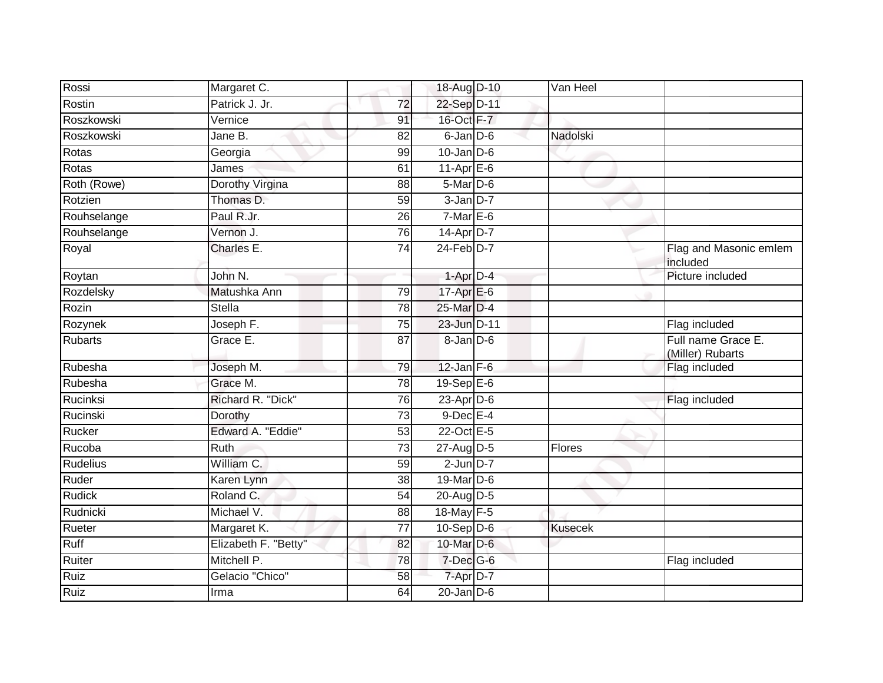| Rossi           | Margaret C.          |                 | 18-Aug D-10          | Van Heel       |                                        |
|-----------------|----------------------|-----------------|----------------------|----------------|----------------------------------------|
| Rostin          | Patrick J. Jr.       | 72              | 22-Sep D-11          |                |                                        |
| Roszkowski      | Vernice              | 91              | 16-Oct F-7           |                |                                        |
| Roszkowski      | Jane B.              | 82              | $6$ -Jan $D$ -6      | Nadolski       |                                        |
| Rotas           | Georgia              | 99              | $10 - Jan$ $D-6$     |                |                                        |
| Rotas           | James                | 61              | 11-Apr $E-6$         |                |                                        |
| Roth (Rowe)     | Dorothy Virgina      | 88              | 5-Mar D-6            |                |                                        |
| Rotzien         | Thomas D.            | 59              | $3$ -Jan $D-7$       |                |                                        |
| Rouhselange     | Paul R.Jr.           | 26              | $7-MarE-6$           |                |                                        |
| Rouhselange     | Vernon J.            | 76              | 14-Apr D-7           |                |                                        |
| Royal           | Charles E.           | $\overline{74}$ | $24$ -Feb $D-7$      |                | Flag and Masonic emlem<br>included     |
| Roytan          | John $N$ .           |                 | $1-AprD-4$           |                | Picture included                       |
| Rozdelsky       | Matushka Ann         | 79              | 17-Apr E-6           |                |                                        |
| Rozin           | <b>Stella</b>        | $\overline{78}$ | 25-Mar D-4           |                |                                        |
| Rozynek         | Joseph F.            | 75              | 23-Jun D-11          |                | Flag included                          |
| <b>Rubarts</b>  | Grace E.             | 87              | $8 - Jan$ $D-6$      |                | Full name Grace E.<br>(Miller) Rubarts |
| Rubesha         | Joseph M.            | 79              | $12$ -Jan $F-6$      |                | Flag included                          |
| Rubesha         | Grace M.             | 78              | $19-Sep$ $E-6$       |                |                                        |
| Rucinksi        | Richard R. "Dick"    | 76              | 23-Apr D-6           |                | Flag included                          |
| Rucinski        | Dorothy              | $\overline{73}$ | $9$ -Dec $E-4$       |                |                                        |
| Rucker          | Edward A. "Eddie"    | 53              | 22-Oct E-5           |                |                                        |
| Rucoba          | <b>Ruth</b>          | $\overline{73}$ | 27-Aug D-5           | Flores         |                                        |
| <b>Rudelius</b> | William C.           | 59              | $2$ -Jun $D-7$       |                |                                        |
| Ruder           | Karen Lynn           | 38              | 19-Mar D-6           |                |                                        |
| <b>Rudick</b>   | Roland C.            | $\overline{54}$ | 20-Aug D-5           |                |                                        |
| Rudnicki        | Michael V.           | 88              | 18-May F-5           |                |                                        |
| Rueter          | Margaret K.          | $\overline{77}$ | $10-Sep$ D-6         | <b>Kusecek</b> |                                        |
| Ruff            | Elizabeth F. "Betty" | 82              | 10-Mar D-6           |                |                                        |
| Ruiter          | Mitchell P.          | 78              | 7-Dec <sup>G-6</sup> |                | Flag included                          |
| <b>Ruiz</b>     | Gelacio "Chico"      | 58              | 7-Apr D-7            |                |                                        |
| Ruiz            | Irma                 | 64              | $20$ -Jan $D-6$      |                |                                        |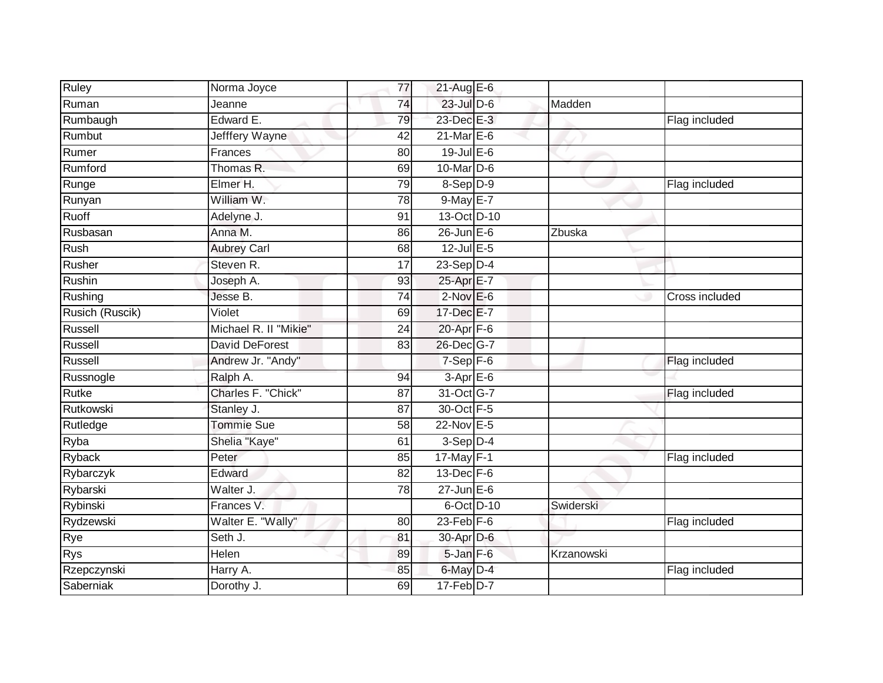| <b>Ruley</b>    | Norma Joyce           | 77              | $21$ -Aug E-6    |            |                |
|-----------------|-----------------------|-----------------|------------------|------------|----------------|
| Ruman           | Jeanne                | 74              | $23$ -Jul $D-6$  | Madden     |                |
| Rumbaugh        | Edward E.             | 79              | 23-Dec E-3       |            | Flag included  |
| Rumbut          | Jefffery Wayne        | 42              | $21$ -Mar $E$ -6 |            |                |
| Rumer           | Frances               | 80              | $19$ -Jul E-6    |            |                |
| Rumford         | Thomas R.             | 69              | 10-Mar D-6       |            |                |
| Runge           | Elmer H.              | 79              | $8-Sep D-9$      |            | Flag included  |
| Runyan          | William W.            | 78              | $9$ -May E-7     |            |                |
| Ruoff           | Adelyne J.            | 91              | 13-Oct D-10      |            |                |
| Rusbasan        | Anna M.               | 86              | $26$ -Jun $E-6$  | Zbuska     |                |
| Rush            | <b>Aubrey Carl</b>    | 68              | $12$ -Jul E-5    |            |                |
| Rusher          | Steven R.             | 17              | $23-Sep$ D-4     |            |                |
| Rushin          | Joseph A.             | 93              | 25-Apr E-7       |            |                |
| Rushing         | Jesse B.              | 74              | $2$ -Nov $E-6$   |            | Cross included |
| Rusich (Ruscik) | Violet                | 69              | 17-Dec E-7       |            |                |
| Russell         | Michael R. II "Mikie" | 24              | 20-Apr F-6       |            |                |
| Russell         | <b>David DeForest</b> | $\overline{83}$ | 26-Dec G-7       |            |                |
| Russell         | Andrew Jr. "Andy"     |                 | $7-Sep$ F-6      |            | Flag included  |
| Russnogle       | Ralph A.              | 94              | 3-Apr E-6        |            |                |
| <b>Rutke</b>    | Charles F. "Chick"    | 87              | 31-Oct G-7       |            | Flag included  |
| Rutkowski       | Stanley J.            | 87              | 30-Oct F-5       |            |                |
| Rutledge        | <b>Tommie Sue</b>     | 58              | 22-Nov E-5       |            |                |
| Ryba            | Shelia "Kaye"         | 61              | $3-Sep$ D-4      |            |                |
| Ryback          | Peter                 | 85              | $17$ -May F-1    |            | Flag included  |
| Rybarczyk       | Edward                | 82              | $13$ -Dec $F-6$  |            |                |
| Rybarski        | Walter J.             | 78              | $27$ -Jun $E-6$  |            |                |
| Rybinski        | Frances V.            |                 | 6-Oct D-10       | Swiderski  |                |
| Rydzewski       | Walter E. "Wally"     | 80              | 23-Feb $F-6$     |            | Flag included  |
| Rye             | Seth J.               | 81              | 30-Apr D-6       |            |                |
| <b>Rys</b>      | Helen                 | 89              | 5-Jan F-6        | Krzanowski |                |
| Rzepczynski     | Harry A.              | 85              | 6-May D-4        |            | Flag included  |
| Saberniak       | Dorothy J.            | 69              | $17$ -Feb $D-7$  |            |                |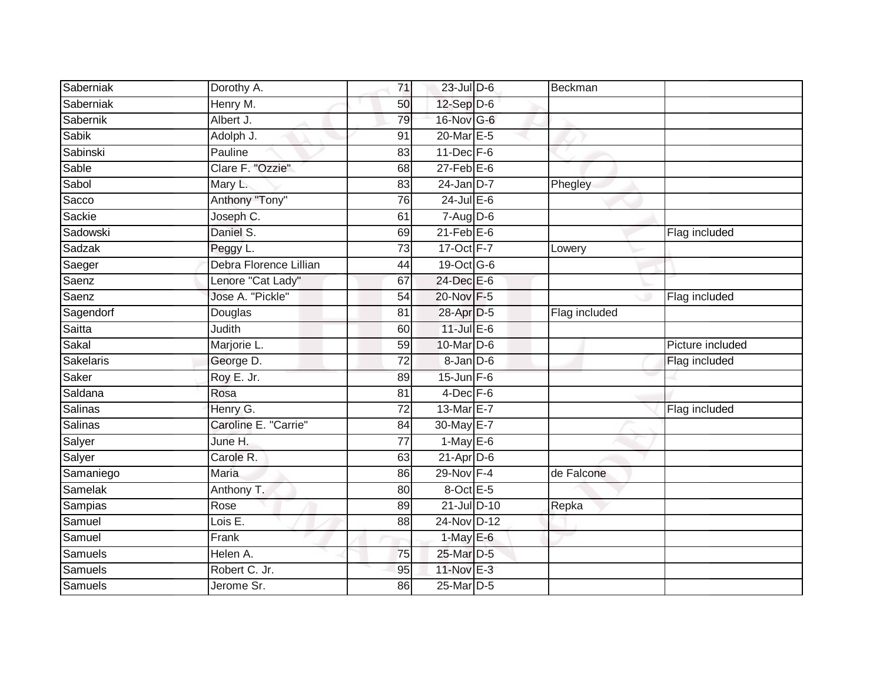| Saberniak | Dorothy A.             | 71 | $23$ -Jul $D-6$  | Beckman       |                  |
|-----------|------------------------|----|------------------|---------------|------------------|
| Saberniak | Henry M.               | 50 | $12$ -Sep $D-6$  |               |                  |
| Sabernik  | Albert J.              | 79 | 16-Nov G-6       |               |                  |
| Sabik     | Adolph J.              | 91 | 20-Mar E-5       |               |                  |
| Sabinski  | Pauline                | 83 | $11$ -Dec $F-6$  |               |                  |
| Sable     | Clare F. "Ozzie"       | 68 | $27$ -Feb $E$ -6 |               |                  |
| Sabol     | Mary L.                | 83 | $24$ -Jan D-7    | Phegley       |                  |
| Sacco     | Anthony "Tony"         | 76 | $24$ -Jul E-6    |               |                  |
| Sackie    | Joseph C.              | 61 | $7 - Aug$ $D-6$  |               |                  |
| Sadowski  | Daniel S.              | 69 | $21$ -Feb $E$ -6 |               | Flag included    |
| Sadzak    | Peggy L.               | 73 | 17-Oct F-7       | Lowery        |                  |
| Saeger    | Debra Florence Lillian | 44 | 19-Oct G-6       |               |                  |
| Saenz     | Lenore "Cat Lady"      | 67 | 24-Dec E-6       |               |                  |
| Saenz     | Jose A. "Pickle"       | 54 | 20-Nov F-5       |               | Flag included    |
| Sagendorf | Douglas                | 81 | 28-Apr D-5       | Flag included |                  |
| Saitta    | Judith                 | 60 | $11$ -Jul $E$ -6 |               |                  |
| Sakal     | Marjorie L.            | 59 | 10-Mar $D-6$     |               | Picture included |
| Sakelaris | George D.              | 72 | $8$ -Jan $D$ -6  |               | Flag included    |
| Saker     | Roy E. Jr.             | 89 | $15$ -Jun $F-6$  |               |                  |
| Saldana   | Rosa                   | 81 | $4$ -Dec $F-6$   |               |                  |
| Salinas   | Henry G.               | 72 | 13-Mar E-7       |               | Flag included    |
| Salinas   | Caroline E. "Carrie"   | 84 | 30-May E-7       |               |                  |
| Salyer    | June H.                | 77 | $1-May$ E-6      |               |                  |
| Salyer    | Carole R.              | 63 | $21$ -Apr $D-6$  |               |                  |
| Samaniego | Maria                  | 86 | 29-Nov F-4       | de Falcone    |                  |
| Samelak   | Anthony T.             | 80 | 8-Oct E-5        |               |                  |
| Sampias   | Rose                   | 89 | 21-Jul D-10      | Repka         |                  |
| Samuel    | Lois E.                | 88 | 24-Nov D-12      |               |                  |
| Samuel    | Frank                  |    | $1$ -May $E$ -6  |               |                  |
| Samuels   | Helen A.               | 75 | 25-Mar D-5       |               |                  |
| Samuels   | Robert C. Jr.          | 95 | 11-Nov E-3       |               |                  |
| Samuels   | Jerome Sr.             | 86 | 25-Mar D-5       |               |                  |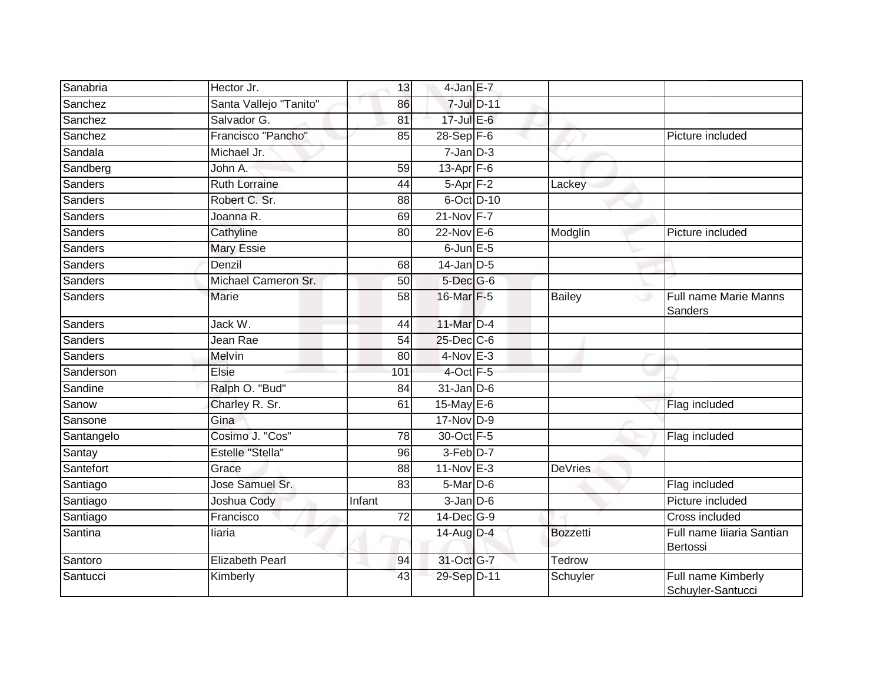| Sanabria       | Hector Jr.             | 13     | 4-Jan E-7        |                 |                                         |
|----------------|------------------------|--------|------------------|-----------------|-----------------------------------------|
| Sanchez        | Santa Vallejo "Tanito" | 86     | 7-Jul D-11       |                 |                                         |
| Sanchez        | Salvador G.            | 81     | $17$ -Jul $E-6$  |                 |                                         |
| Sanchez        | Francisco "Pancho"     | 85     | 28-Sep F-6       |                 | Picture included                        |
| Sandala        | Michael Jr.            |        | $7 - Jan$ $D-3$  |                 |                                         |
| Sandberg       | John A.                | 59     | $13-Apr$ F-6     |                 |                                         |
| <b>Sanders</b> | <b>Ruth Lorraine</b>   | 44     | $5-Apr$ $F-2$    | Lackey          |                                         |
| <b>Sanders</b> | Robert C. Sr.          | 88     | $6$ -Oct $D$ -10 |                 |                                         |
| <b>Sanders</b> | Joanna R.              | 69     | 21-Nov F-7       |                 |                                         |
| <b>Sanders</b> | Cathyline              | 80     | $22$ -Nov $E-6$  | Modglin         | Picture included                        |
| <b>Sanders</b> | Mary Essie             |        | 6-Jun $E-5$      |                 |                                         |
| <b>Sanders</b> | Denzil                 | 68     | $14$ -Jan D-5    |                 |                                         |
| <b>Sanders</b> | Michael Cameron Sr.    | 50     | 5-Dec G-6        |                 |                                         |
| <b>Sanders</b> | Marie                  | 58     | 16-Mar F-5       | <b>Bailey</b>   | Full name Marie Manns<br>ى<br>Sanders   |
| <b>Sanders</b> | Jack W.                | 44     | 11-Mar D-4       |                 |                                         |
| <b>Sanders</b> | Jean Rae               | 54     | $25$ -Dec $C$ -6 |                 |                                         |
| <b>Sanders</b> | Melvin                 | 80     | $4-Nov$ E-3      |                 |                                         |
| Sanderson      | Elsie                  | 101    | $4$ -Oct $F - 5$ |                 |                                         |
| Sandine        | Ralph O. "Bud"         | 84     | $31$ -Jan D-6    |                 |                                         |
| Sanow          | Charley R. Sr.         | 61     | 15-May $E-6$     |                 | Flag included                           |
| Sansone        | Gina                   |        | 17-Nov D-9       |                 |                                         |
| Santangelo     | Cosimo J. "Cos"        | 78     | 30-Oct F-5       |                 | Flag included                           |
| Santay         | Estelle "Stella"       | 96     | $3-Feb$ D-7      |                 |                                         |
| Santefort      | Grace                  | 88     | 11-Nov E-3       | <b>DeVries</b>  |                                         |
| Santiago       | Jose Samuel Sr.        | 83     | $5$ -Mar $D$ -6  |                 | Flag included                           |
| Santiago       | Joshua Cody            | Infant | $3$ -Jan $D$ -6  |                 | Picture included                        |
| Santiago       | Francisco              | 72     | 14-Dec G-9       |                 | Cross included                          |
| Santina        | liaria                 |        | 14-Aug D-4       | <b>Bozzetti</b> | Full name liiaria Santian<br>Bertossi   |
| Santoro        | <b>Elizabeth Pearl</b> | 94     | 31-Oct G-7       | Tedrow          |                                         |
| Santucci       | Kimberly               | 43     | 29-Sep D-11      | Schuyler        | Full name Kimberly<br>Schuyler-Santucci |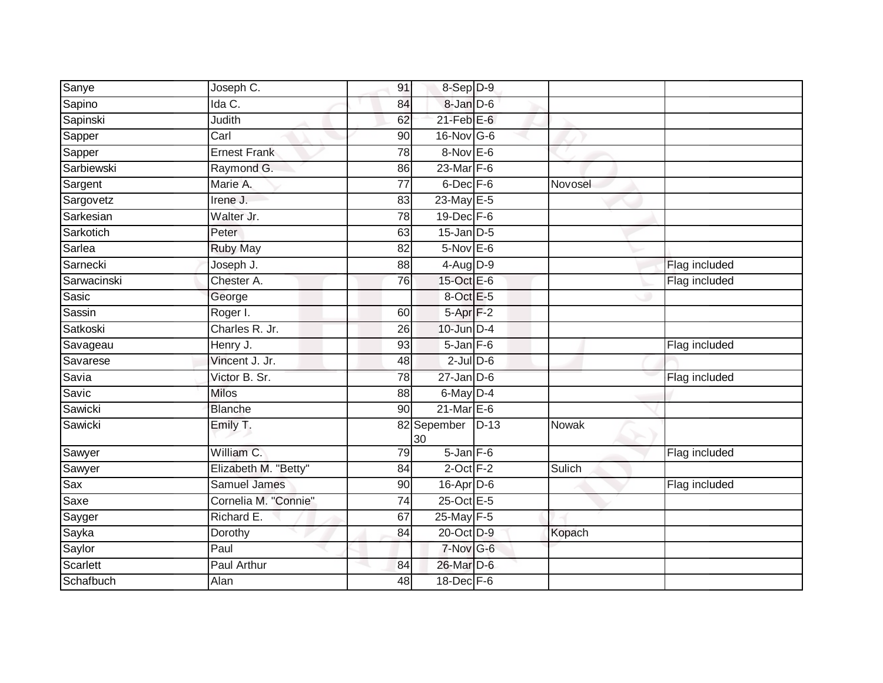| Sanye           | Joseph C.            | 91 | 8-Sep D-9         |        |         |               |
|-----------------|----------------------|----|-------------------|--------|---------|---------------|
| Sapino          | Ida C.               | 84 | 8-Jan D-6         |        |         |               |
| Sapinski        | Judith               | 62 | $21$ -Feb $E$ -6  |        |         |               |
| Sapper          | Carl                 | 90 | $16$ -Nov G-6     |        |         |               |
| Sapper          | <b>Ernest Frank</b>  | 78 | $8-Nov$ E-6       |        |         |               |
| Sarbiewski      | Raymond G.           | 86 | 23-Mar F-6        |        |         |               |
| Sargent         | Marie A.             | 77 | $6$ -Dec $F - 6$  |        | Novosel |               |
| Sargovetz       | Irene J.             | 83 | 23-May E-5        |        |         |               |
| Sarkesian       | Walter Jr.           | 78 | $19$ -Dec $F-6$   |        |         |               |
| Sarkotich       | Peter                | 63 | $15$ -Jan $D-5$   |        |         |               |
| Sarlea          | <b>Ruby May</b>      | 82 | 5-Nov E-6         |        |         |               |
| Sarnecki        | Joseph J.            | 88 | $4$ -Aug $D-9$    |        |         | Flag included |
| Sarwacinski     | Chester A.           | 76 | 15-Oct $E-6$      |        |         | Flag included |
| Sasic           | George               |    | 8-Oct E-5         |        |         |               |
| Sassin          | Roger I.             | 60 | $5 - Apr$ $F-2$   |        |         |               |
| Satkoski        | Charles R. Jr.       | 26 | $10$ -Jun $D-4$   |        |         |               |
| Savageau        | Henry J.             | 93 | $5 - Jan$ $F - 6$ |        |         | Flag included |
| Savarese        | Vincent J. Jr.       | 48 | $2$ -Jul $D$ -6   |        |         |               |
| Savia           | Victor B. Sr.        | 78 | $27$ -Jan D-6     |        |         | Flag included |
| Savic           | <b>Milos</b>         | 88 | 6-May D-4         |        |         |               |
| Sawicki         | <b>Blanche</b>       | 90 | $21$ -Mar $E$ -6  |        |         |               |
| Sawicki         | Emily T.             |    | 82 Sepember<br>30 | $D-13$ | Nowak   |               |
| Sawyer          | William C.           | 79 | $5 - Jan$ $F-6$   |        |         | Flag included |
| Sawyer          | Elizabeth M. "Betty" | 84 | $2$ -Oct $F-2$    |        | Sulich  |               |
| Sax             | <b>Samuel James</b>  | 90 | $16$ -Apr $D-6$   |        |         | Flag included |
| Saxe            | Cornelia M. "Connie" | 74 | 25-Oct E-5        |        |         |               |
| Sayger          | Richard E.           | 67 | 25-May F-5        |        |         |               |
| Sayka           | Dorothy              | 84 | 20-Oct D-9        |        | Kopach  |               |
| Saylor          | Paul                 |    | $7-Nov$ G-6       |        |         |               |
| <b>Scarlett</b> | Paul Arthur          | 84 | 26-Mar D-6        |        |         |               |
| Schafbuch       | Alan                 | 48 | 18-Dec F-6        |        |         |               |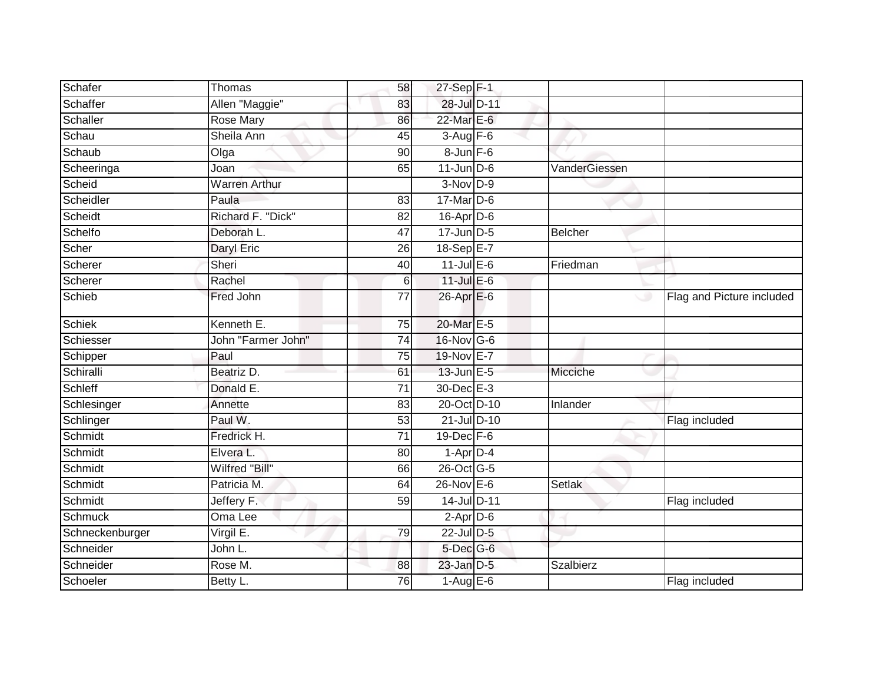| Schafer         | Thomas               | 58              | 27-Sep F-1        |                |                           |
|-----------------|----------------------|-----------------|-------------------|----------------|---------------------------|
| Schaffer        | Allen "Maggie"       | 83              | 28-Jul D-11       |                |                           |
| Schaller        | <b>Rose Mary</b>     | 86              | 22-Mar E-6        |                |                           |
| Schau           | Sheila Ann           | 45              | $3-Aug$ F-6       |                |                           |
| Schaub          | Olga                 | 90              | $8 - Jun$ $F-6$   |                |                           |
| Scheeringa      | Joan                 | 65              | $11$ -Jun D-6     | VanderGiessen  |                           |
| Scheid          | <b>Warren Arthur</b> |                 | $3-Nov$ D-9       |                |                           |
| Scheidler       | Paula                | 83              | 17-Mar D-6        |                |                           |
| Scheidt         | Richard F. "Dick"    | 82              | $16$ -Apr $D$ -6  |                |                           |
| Schelfo         | Deborah L.           | 47              | 17-Jun D-5        | <b>Belcher</b> |                           |
| Scher           | Daryl Eric           | 26              | 18-Sep E-7        |                |                           |
| Scherer         | Sheri                | 40              | $11$ -Jul $E-6$   | Friedman       |                           |
| Scherer         | Rachel               | $6\phantom{.}6$ | $11$ -Jul $E-6$   |                |                           |
| Schieb          | Fred John            | 77              | $26$ -Apr $E$ -6  | ◡              | Flag and Picture included |
| <b>Schiek</b>   | Kenneth E.           | $\overline{75}$ | 20-Mar E-5        |                |                           |
| Schiesser       | John "Farmer John"   | 74              | $16$ -Nov G-6     |                |                           |
| Schipper        | Paul                 | 75              | 19-Nov E-7        |                |                           |
| Schiralli       | Beatriz D.           | 61              | 13-Jun E-5        | Micciche       |                           |
| Schleff         | Donald E.            | 71              | 30-Dec E-3        |                |                           |
| Schlesinger     | Annette              | 83              | 20-Oct D-10       | Inlander       |                           |
| Schlinger       | Paul W.              | 53              | 21-Jul D-10       |                | Flag included             |
| Schmidt         | Fredrick H.          | 71              | $19$ -Dec $F-6$   |                |                           |
| Schmidt         | Elvera L.            | 80              | $1-Apr$ D-4       |                |                           |
| Schmidt         | Wilfred "Bill"       | 66              | 26-Oct G-5        |                |                           |
| Schmidt         | Patricia M.          | 64              | $26$ -Nov $E - 6$ | Setlak         |                           |
| Schmidt         | Jeffery F.           | 59              | 14-Jul D-11       |                | Flag included             |
| <b>Schmuck</b>  | Oma Lee              |                 | $2-Apr$ D-6       |                |                           |
| Schneckenburger | Virgil E.            | 79              | 22-Jul D-5        |                |                           |
| Schneider       | John L.              |                 | $5$ -Dec $G$ -6   |                |                           |
| Schneider       | Rose M.              | 88              | $23$ -Jan $D-5$   | Szalbierz      |                           |
| Schoeler        | Betty L.             | 76              | $1-AugE-6$        |                | Flag included             |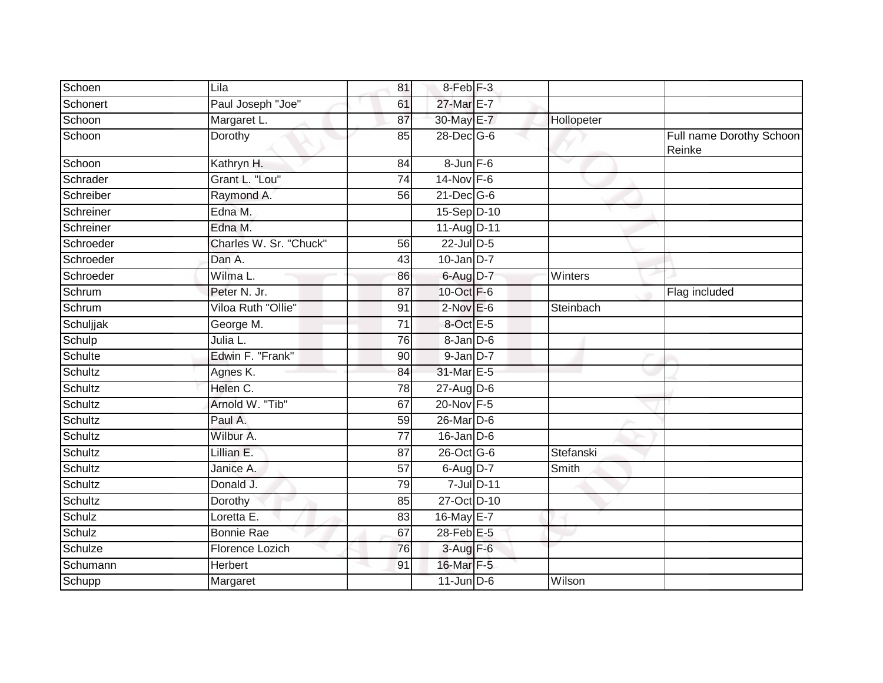| Schoen    | Lila                   | 81              | 8-Feb <sup>F-3</sup> |            |                                    |
|-----------|------------------------|-----------------|----------------------|------------|------------------------------------|
| Schonert  | Paul Joseph "Joe"      | 61              | 27-Mar E-7           |            |                                    |
| Schoon    | Margaret L.            | 87              | 30-May E-7           | Hollopeter |                                    |
| Schoon    | Dorothy                | 85              | 28-Dec G-6           |            | Full name Dorothy Schoon<br>Reinke |
| Schoon    | Kathryn H.             | 84              | $8$ -Jun $F-6$       |            |                                    |
| Schrader  | Grant L. "Lou"         | $\overline{74}$ | $14$ -Nov F-6        |            |                                    |
| Schreiber | Raymond A.             | 56              | $21$ -Dec $G-6$      |            |                                    |
| Schreiner | Edna M.                |                 | 15-Sep D-10          |            |                                    |
| Schreiner | Edna M.                |                 | 11-Aug D-11          |            |                                    |
| Schroeder | Charles W. Sr. "Chuck" | 56              | 22-Jul D-5           |            |                                    |
| Schroeder | Dan A.                 | 43              | $10$ -Jan D-7        |            |                                    |
| Schroeder | Wilma L.               | 86              | 6-Aug D-7            | Winters    |                                    |
| Schrum    | Peter N. Jr.           | $\overline{87}$ | 10-Oct F-6           |            | Flag included                      |
| Schrum    | Viloa Ruth "Ollie"     | 91              | $2$ -Nov $E - 6$     | Steinbach  |                                    |
| Schuljjak | George M.              | $\overline{71}$ | 8-Oct E-5            |            |                                    |
| Schulp    | Julia L.               | $\overline{76}$ | 8-Jan D-6            |            |                                    |
| Schulte   | Edwin F. "Frank"       | 90              | $9$ -Jan $D-7$       |            |                                    |
| Schultz   | Agnes K.               | 84              | 31-Mar E-5           |            |                                    |
| Schultz   | Helen C.               | 78              | $27$ -Aug $D-6$      |            |                                    |
| Schultz   | Arnold W. "Tib"        | 67              | 20-Nov F-5           |            |                                    |
| Schultz   | Paul A.                | 59              | 26-Mar D-6           |            |                                    |
| Schultz   | Wilbur A.              | $\overline{77}$ | $16$ -Jan D-6        |            |                                    |
| Schultz   | Lillian E.             | 87              | 26-Oct G-6           | Stefanski  |                                    |
| Schultz   | Janice A.              | 57              | 6-Aug D-7            | Smith      |                                    |
| Schultz   | Donald J.              | 79              | 7-Jul D-11           |            |                                    |
| Schultz   | Dorothy                | 85              | 27-Oct D-10          |            |                                    |
| Schulz    | Loretta E.             | 83              | 16-May E-7           |            |                                    |
| Schulz    | <b>Bonnie Rae</b>      | 67              | 28-Feb E-5           |            |                                    |
| Schulze   | Florence Lozich        | 76              | $3-Aug$ F-6          |            |                                    |
| Schumann  | Herbert                | 91              | 16-Mar F-5           |            |                                    |
| Schupp    | Margaret               |                 | $11$ -Jun $D-6$      | Wilson     |                                    |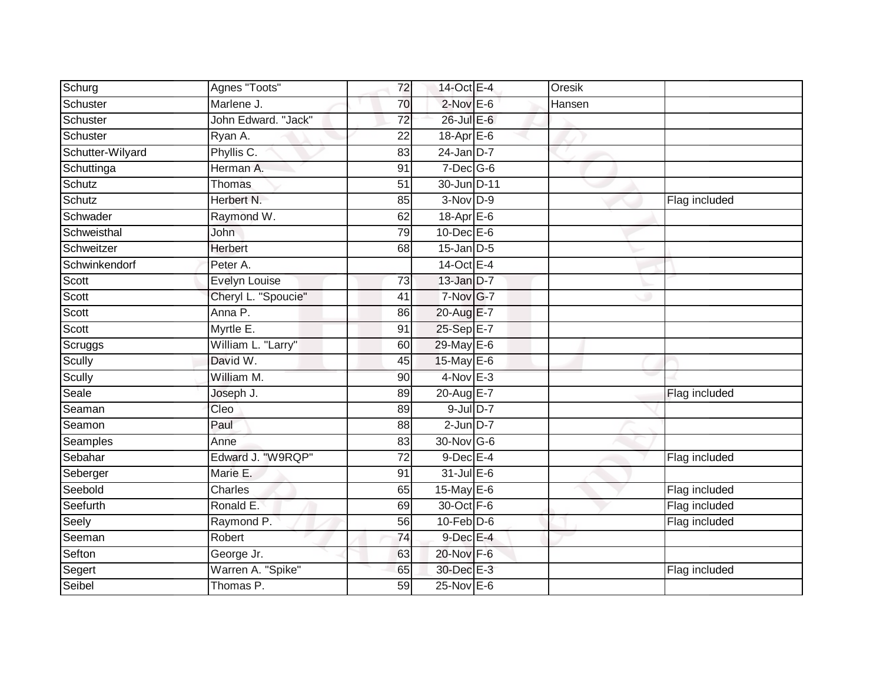| Schurg           | Agnes "Toots"       | 72              | 14-Oct E-4        | Oresik |               |
|------------------|---------------------|-----------------|-------------------|--------|---------------|
| Schuster         | Marlene J.          | 70              | $2$ -Nov $E$ -6   | Hansen |               |
| Schuster         | John Edward. "Jack" | $\overline{72}$ | $26$ -Jul $E-6$   |        |               |
| Schuster         | Ryan A.             | 22              | $18-Apr$ $E-6$    |        |               |
| Schutter-Wilyard | Phyllis C.          | 83              | $24$ -Jan D-7     |        |               |
| Schuttinga       | Herman A.           | 91              | $7$ -Dec $G$ -6   |        |               |
| Schutz           | Thomas              | 51              | 30-Jun D-11       |        |               |
| Schutz           | Herbert N.          | 85              | $3-Nov$ D-9       |        | Flag included |
| Schwader         | Raymond W.          | 62              | 18-Apr E-6        |        |               |
| Schweisthal      | <b>John</b>         | 79              | $10$ -Dec $E - 6$ |        |               |
| Schweitzer       | Herbert             | 68              | $15$ -Jan $D-5$   |        |               |
| Schwinkendorf    | Peter A.            |                 | 14-Oct E-4        |        |               |
| Scott            | Evelyn Louise       | 73              | 13-Jan D-7        |        |               |
| Scott            | Cheryl L. "Spoucie" | 41              | 7-Nov G-7         |        |               |
| Scott            | Anna P.             | 86              | 20-Aug E-7        |        |               |
| Scott            | Myrtle E.           | 91              | 25-Sep E-7        |        |               |
| Scruggs          | William L. "Larry"  | 60              | 29-May E-6        |        |               |
| Scully           | David W.            | 45              | 15-May E-6        |        |               |
| Scully           | William M.          | 90              | 4-Nov E-3         |        |               |
| Seale            | Joseph J.           | 89              | 20-Aug E-7        |        | Flag included |
| Seaman           | Cleo                | 89              | $9$ -Jul $D-7$    |        |               |
| Seamon           | Paul                | 88              | $2-Jun$ $D-7$     |        |               |
| Seamples         | Anne                | 83              | 30-Nov G-6        |        |               |
| Sebahar          | Edward J. "W9RQP"   | $\overline{72}$ | $9$ -Dec $E-4$    |        | Flag included |
| Seberger         | Marie E.            | 91              | $31$ -Jul E-6     |        |               |
| Seebold          | Charles             | 65              | 15-May E-6        |        | Flag included |
| Seefurth         | Ronald E.           | 69              | 30-Oct F-6        |        | Flag included |
| Seely            | Raymond P.          | 56              | $10$ -Feb $D$ -6  |        | Flag included |
| Seeman           | Robert              | 74              | 9-Dec E-4         |        |               |
| Sefton           | George Jr.          | 63              | 20-Nov F-6        |        |               |
| Segert           | Warren A. "Spike"   | 65              | 30-Dec E-3        |        | Flag included |
| Seibel           | Thomas P.           | 59              | $25$ -Nov E-6     |        |               |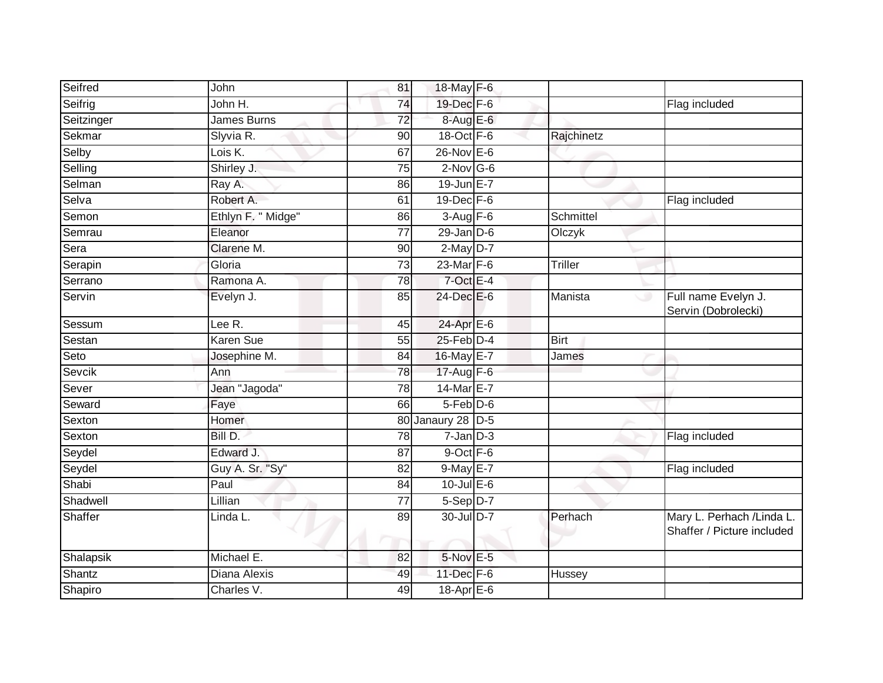| Seifred    | John               | 81      | 18-May F-6        |                |                                                          |
|------------|--------------------|---------|-------------------|----------------|----------------------------------------------------------|
| Seifrig    | John H.            | 74      | 19-Dec F-6        |                | Flag included                                            |
| Seitzinger | James Burns        | 72      | 8-Aug E-6         |                |                                                          |
| Sekmar     | Slyvia R.          | 90      | 18-Oct $F-6$      | Rajchinetz     |                                                          |
| Selby      | Lois K.            | 67      | $26$ -Nov $E-6$   |                |                                                          |
| Selling    | Shirley J.         | 75      | $2$ -Nov G-6      |                |                                                          |
| Selman     | Ray A.             | 86      | $19$ -Jun $E - 7$ |                |                                                          |
| Selva      | Robert A.          | 61      | 19-Dec F-6        |                | Flag included                                            |
| Semon      | Ethlyn F. " Midge" | 86      | $3-Aug$ F-6       | Schmittel      |                                                          |
| Semrau     | Eleanor            | 77      | $29$ -Jan $D-6$   | Olczyk         |                                                          |
| Sera       | Clarene M.         | 90      | $2$ -May $D-7$    |                |                                                          |
| Serapin    | Gloria             | 73      | 23-Mar F-6        | <b>Triller</b> |                                                          |
| Serrano    | Ramona A.          | 78      | $7$ -Oct E-4      |                |                                                          |
| Servin     | Evelyn J.          | 85      | 24-Dec E-6        | Manista<br>ري  | Full name Evelyn J.<br>Servin (Dobrolecki)               |
| Sessum     | Lee R.             | 45      | 24-Apr E-6        |                |                                                          |
| Sestan     | <b>Karen Sue</b>   | 55      | $25$ -Feb $D-4$   | <b>Birt</b>    |                                                          |
| Seto       | Josephine M.       | 84      | 16-May E-7        | James          |                                                          |
| Sevcik     | Ann                | 78      | $17$ -Aug $F-6$   |                |                                                          |
| Sever      | Jean "Jagoda"      | 78      | 14-Mar E-7        |                |                                                          |
| Seward     | Faye               | 66      | $5-Feb$ $D-6$     |                |                                                          |
| Sexton     | Homer              |         | 80 Janaury 28 D-5 |                |                                                          |
| Sexton     | Bill D.            | 78      | $7 - Jan$ $D-3$   |                | Flag included                                            |
| Seydel     | Edward J.          | 87      | 9-Oct F-6         |                |                                                          |
| Seydel     | Guy A. Sr. "Sy"    | 82      | 9-May E-7         |                | Flag included                                            |
| Shabi      | Paul               | 84      | $10$ -Jul $E$ -6  |                |                                                          |
| Shadwell   | Lillian            | 77      | 5-Sep D-7         |                |                                                          |
| Shaffer    | Linda L.           | 89<br>m | 30-Jul D-7        | Perhach        | Mary L. Perhach / Linda L.<br>Shaffer / Picture included |
| Shalapsik  | Michael E.         | 82      | 5-Nov E-5         |                |                                                          |
| Shantz     | Diana Alexis       | 49      | 11-Dec F-6        | Hussey         |                                                          |
| Shapiro    | Charles V.         | 49      | 18-Apr $E-6$      |                |                                                          |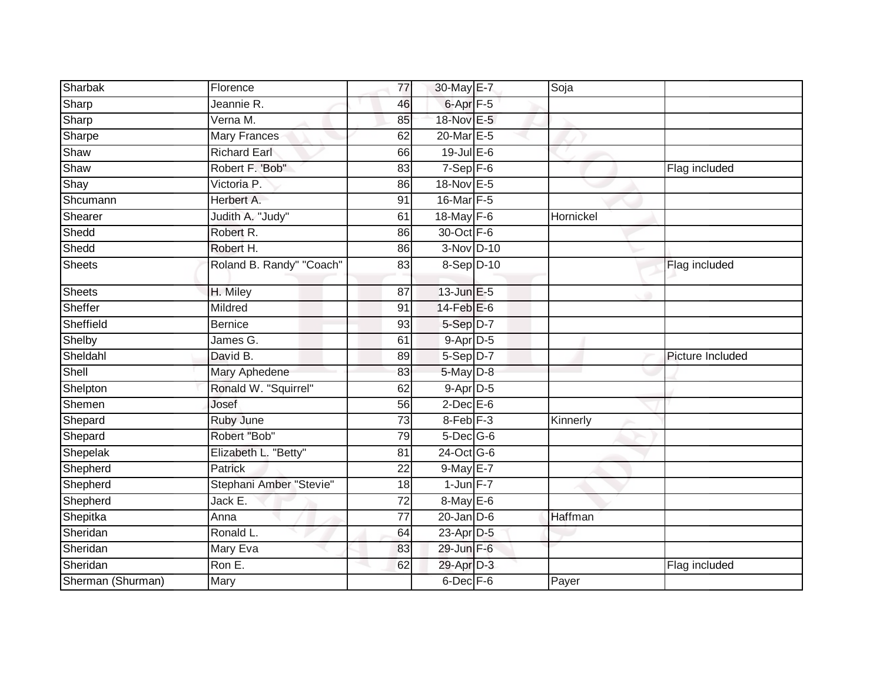| Sharbak           | Florence                 | 77 | 30-May E-7           | Soja      |                  |
|-------------------|--------------------------|----|----------------------|-----------|------------------|
| Sharp             | Jeannie R.               | 46 | $6$ -Apr $F-5$       |           |                  |
| Sharp             | Verna M.                 | 85 | 18-Nov E-5           |           |                  |
| Sharpe            | Mary Frances             | 62 | 20-Mar E-5           |           |                  |
| Shaw              | <b>Richard Earl</b>      | 66 | $19$ -Jul E-6        |           |                  |
| Shaw              | Robert F. 'Bob"          | 83 | $7-Sep$ $F-6$        |           | Flag included    |
| Shay              | Victoria P.              | 86 | 18-Nov E-5           |           |                  |
| Shcumann          | Herbert A.               | 91 | 16-Mar F-5           |           |                  |
| Shearer           | Judith A. "Judy"         | 61 | 18-May F-6           | Hornickel |                  |
| Shedd             | Robert R.                | 86 | 30-Oct F-6           |           |                  |
| Shedd             | Robert H.                | 86 | $3-Nov$ D-10         |           |                  |
| <b>Sheets</b>     | Roland B. Randy" "Coach" | 83 | 8-Sep D-10           |           | Flag included    |
| <b>Sheets</b>     | H. Miley                 | 87 | 13-Jun E-5           |           |                  |
| Sheffer           | Mildred                  | 91 | $14$ -Feb $E$ -6     |           |                  |
| Sheffield         | <b>Bernice</b>           | 93 | 5-Sep D-7            |           |                  |
| Shelby            | James G.                 | 61 | $9-Apr$ D-5          |           |                  |
| Sheldahl          | David B.                 | 89 | 5-Sep D-7            |           | Picture Included |
| Shell             | Mary Aphedene            | 83 | $5$ -May $D-8$       |           |                  |
| Shelpton          | Ronald W. "Squirrel"     | 62 | $9-Apr$ D-5          |           |                  |
| Shemen            | Josef                    | 56 | $2$ -Dec E-6         |           |                  |
| Shepard           | Ruby June                | 73 | 8-Feb <sup>F-3</sup> | Kinnerly  |                  |
| Shepard           | Robert "Bob"             | 79 | $5$ -Dec $G$ -6      |           |                  |
| Shepelak          | Elizabeth L. "Betty"     | 81 | 24-Oct G-6           |           |                  |
| Shepherd          | <b>Patrick</b>           | 22 | 9-May E-7            |           |                  |
| Shepherd          | Stephani Amber "Stevie"  | 18 | $1$ -Jun $F - 7$     |           |                  |
| Shepherd          | Jack E.                  | 72 | $8$ -May $E$ -6      |           |                  |
| Shepitka          | Anna                     | 77 | $20$ -Jan $D-6$      | Haffman   |                  |
| Sheridan          | Ronald L.                | 64 | 23-Apr D-5           |           |                  |
| Sheridan          | Mary Eva                 | 83 | 29-Jun F-6           |           |                  |
| Sheridan          | Ron E.                   | 62 | 29-Apr D-3           |           | Flag included    |
| Sherman (Shurman) | Mary                     |    | 6-Dec F-6            | Payer     |                  |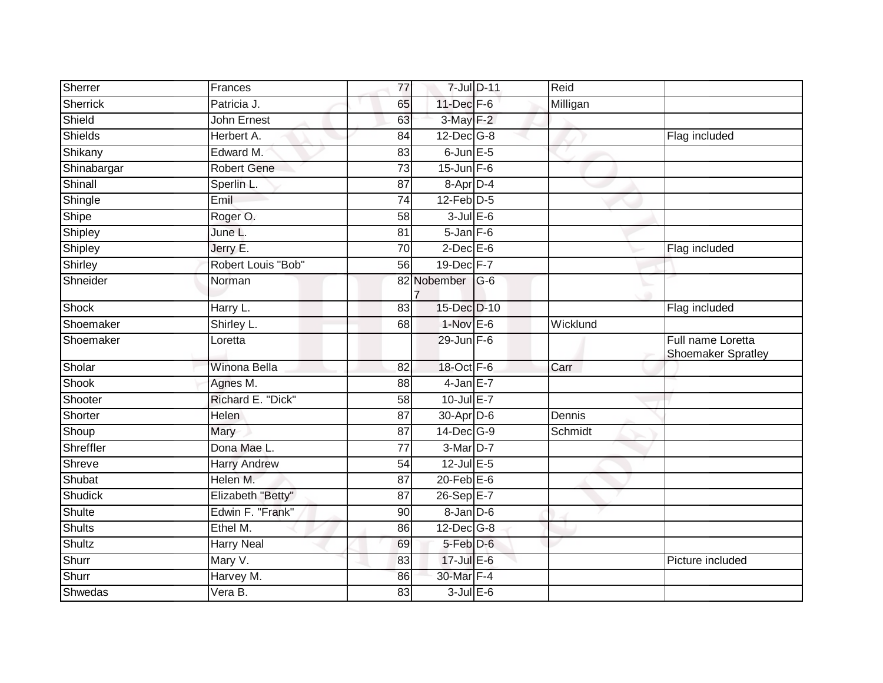| Sherrer       | Frances             | 77              | 7-Jul D-11        | Reid     |                                                |
|---------------|---------------------|-----------------|-------------------|----------|------------------------------------------------|
| Sherrick      | Patricia J.         | 65              | 11-Dec F-6        | Milligan |                                                |
| Shield        | <b>John Ernest</b>  | 63              | 3-May F-2         |          |                                                |
| Shields       | Herbert A.          | 84              | $12$ -Dec $ G-8$  |          | Flag included                                  |
| Shikany       | Edward M.           | $\overline{83}$ | $6$ -Jun $E$ -5   |          |                                                |
| Shinabargar   | <b>Robert Gene</b>  | 73              | $15$ -Jun F-6     |          |                                                |
| Shinall       | Sperlin L.          | 87              | 8-Apr D-4         |          |                                                |
| Shingle       | Emil                | 74              | $12$ -Feb $D-5$   |          |                                                |
| Shipe         | Roger O.            | 58              | $3$ -Jul $E$ -6   |          |                                                |
| Shipley       | June L.             | 81              | $5 - Jan$ $F-6$   |          |                                                |
| Shipley       | Jerry E.            | $\overline{70}$ | $2$ -Dec $E$ -6   |          | Flag included                                  |
| Shirley       | Robert Louis "Bob"  | 56              | 19-Dec F-7        |          |                                                |
| Shneider      | Norman              |                 | 82 Nobember G-6   |          |                                                |
| <b>Shock</b>  | Harry L.            | 83              | 15-Dec D-10       |          | Flag included                                  |
| Shoemaker     | Shirley L.          | 68              | $1-Nov$ E-6       | Wicklund |                                                |
| Shoemaker     | Loretta             |                 | $29$ -Jun F-6     |          | Full name Loretta<br><b>Shoemaker Spratley</b> |
| Sholar        | Winona Bella        | 82              | 18-Oct F-6        | Carr     |                                                |
| Shook         | Agnes M.            | 88              | $4$ -Jan $E-7$    |          |                                                |
| Shooter       | Richard E. "Dick"   | 58              | 10-Jul E-7        |          |                                                |
| Shorter       | Helen               | $\overline{87}$ | 30-Apr D-6        | Dennis   |                                                |
| Shoup         | Mary                | 87              | $14$ -Dec $ G-9 $ | Schmidt  |                                                |
| Shreffler     | Dona Mae L.         | $\overline{77}$ | $3-Mar$ D-7       |          |                                                |
| Shreve        | <b>Harry Andrew</b> | 54              | 12-Jul E-5        |          |                                                |
| Shubat        | Helen M.            | 87              | $20$ -Feb $E-6$   |          |                                                |
| Shudick       | Elizabeth "Betty"   | $\overline{87}$ | 26-Sep E-7        |          |                                                |
| Shulte        | Edwin F. "Frank"    | 90              | 8-Jan D-6         |          |                                                |
| <b>Shults</b> | Ethel M.            | 86              | 12-Dec G-8        |          |                                                |
| <b>Shultz</b> | <b>Harry Neal</b>   | 69              | 5-Feb D-6         |          |                                                |
| Shurr         | Mary V.             | 83              | 17-Jul E-6        |          | Picture included                               |
| Shurr         | Harvey M.           | 86              | 30-Mar F-4        |          |                                                |
| Shwedas       | Vera B.             | 83              | $3$ -Jul $E$ -6   |          |                                                |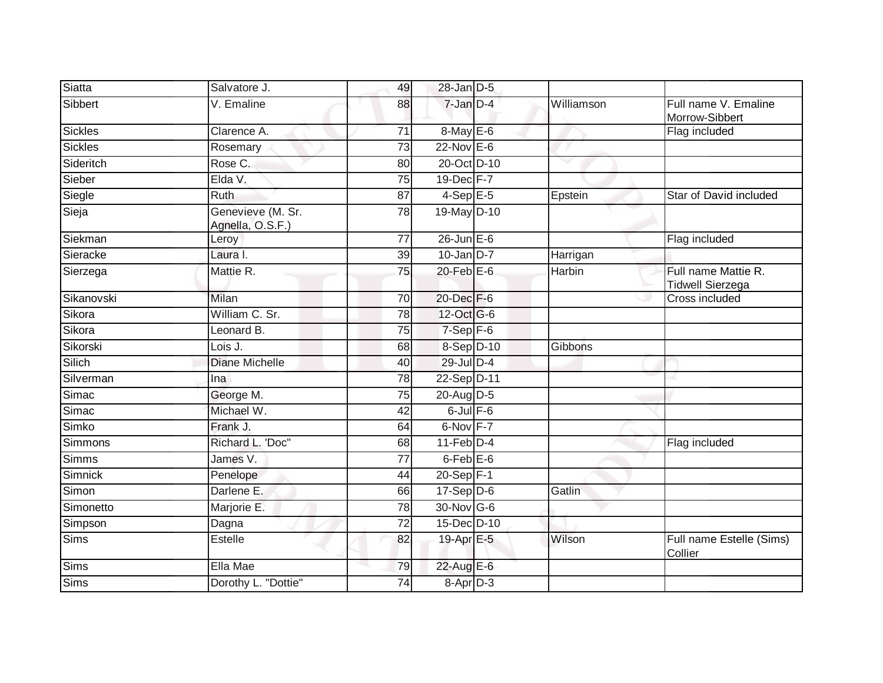| Siatta         | Salvatore J.                          | 49              | 28-Jan D-5        |            |                                                |
|----------------|---------------------------------------|-----------------|-------------------|------------|------------------------------------------------|
| Sibbert        | V. Emaline                            | 88              | 7-Jan D-4         | Williamson | Full name V. Emaline<br>Morrow-Sibbert         |
| <b>Sickles</b> | Clarence A.                           | $\overline{71}$ | 8-May E-6         |            | Flag included                                  |
| <b>Sickles</b> | Rosemary                              | 73              | 22-Nov E-6        |            |                                                |
| Sideritch      | Rose C.                               | 80              | 20-Oct D-10       |            |                                                |
| Sieber         | Elda V.                               | 75              | $19$ -Dec $F - 7$ |            |                                                |
| Siegle         | <b>Ruth</b>                           | 87              | $4-Sep$ E-5       | Epstein    | Star of David included                         |
| Sieja          | Genevieve (M. Sr.<br>Agnella, O.S.F.) | 78              | 19-May D-10       |            |                                                |
| Siekman        | Leroy                                 | 77              | $26$ -Jun $E-6$   |            | Flag included                                  |
| Sieracke       | Laura I.                              | 39              | $10$ -Jan D-7     | Harrigan   |                                                |
| Sierzega       | Mattie R.                             | 75              | $20$ -Feb $E$ -6  | Harbin     | Full name Mattie R.<br><b>Tidwell Sierzega</b> |
| Sikanovski     | Milan                                 | 70              | $20$ -Dec $F-6$   |            | Cross included                                 |
| Sikora         | William C. Sr.                        | 78              | 12-Oct G-6        |            |                                                |
| Sikora         | Leonard B.                            | 75              | $7-Sep$ $F-6$     |            |                                                |
| Sikorski       | Lois J.                               | 68              | 8-Sep D-10        | Gibbons    |                                                |
| Silich         | <b>Diane Michelle</b>                 | 40              | 29-Jul D-4        |            |                                                |
| Silverman      | Ina                                   | 78              | 22-Sep D-11       |            |                                                |
| Simac          | George M.                             | $\overline{75}$ | 20-Aug D-5        |            |                                                |
| Simac          | Michael W.                            | 42              | $6$ -Jul $F$ -6   |            |                                                |
| Simko          | Frank J.                              | 64              | 6-Nov F-7         |            |                                                |
| Simmons        | Richard L. 'Doc"                      | 68              | $11$ -Feb $D-4$   |            | Flag included                                  |
| Simms          | James V.                              | 77              | $6$ -Feb $E$ -6   |            |                                                |
| Simnick        | Penelope                              | 44              | $20 - Sep$ F-1    |            |                                                |
| Simon          | Darlene E.                            | 66              | $17-Sep$ D-6      | Gatlin     |                                                |
| Simonetto      | Marjorie E.                           | 78              | 30-Nov G-6        |            |                                                |
| Simpson        | Dagna                                 | 72              | 15-Dec D-10       |            |                                                |
| <b>Sims</b>    | <b>Estelle</b>                        | 82              | 19-Apr E-5        | Wilson     | Full name Estelle (Sims)<br>Collier            |
| <b>Sims</b>    | Ella Mae                              | 79              | 22-Aug E-6        |            |                                                |
| Sims           | Dorothy L. "Dottie"                   | 74              | 8-Apr D-3         |            |                                                |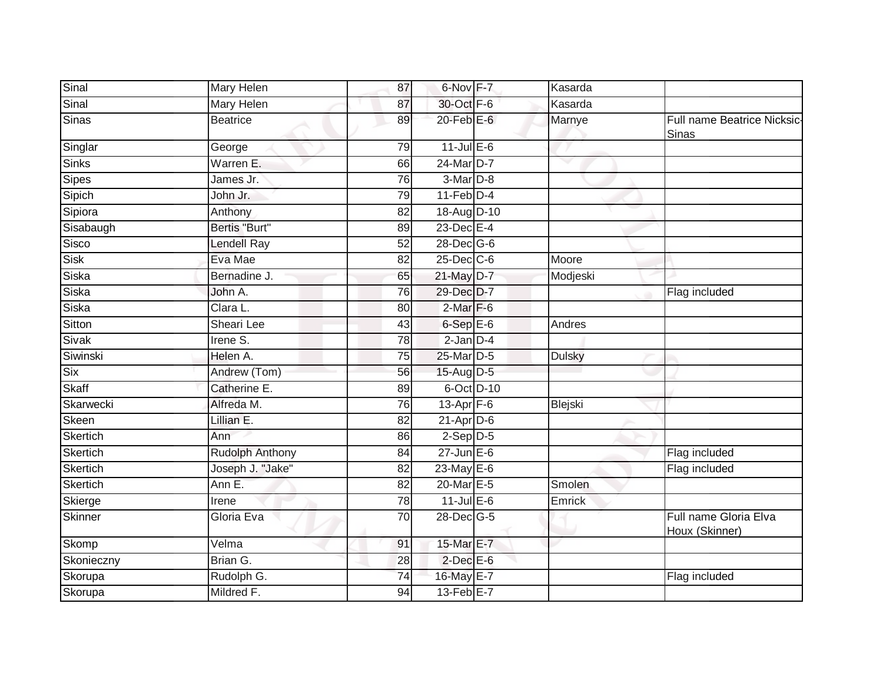| Sinal           | Mary Helen        | 87              | 6-Nov F-7        | Kasarda       |                                             |
|-----------------|-------------------|-----------------|------------------|---------------|---------------------------------------------|
| Sinal           | <b>Mary Helen</b> | 87              | 30-Oct F-6       | Kasarda       |                                             |
| Sinas           | <b>Beatrice</b>   | 89              | $20$ -Feb $E$ -6 | Marnye        | Full name Beatrice Nicksic-<br><b>Sinas</b> |
| Singlar         | George            | 79              | $11$ -Jul E-6    |               |                                             |
| <b>Sinks</b>    | Warren E.         | 66              | 24-Mar D-7       |               |                                             |
| Sipes           | James Jr.         | 76              | 3-Mar D-8        |               |                                             |
| Sipich          | John Jr.          | 79              | $11-Feb$ D-4     |               |                                             |
| Sipiora         | Anthony           | $\overline{82}$ | 18-Aug D-10      |               |                                             |
| Sisabaugh       | Bertis "Burt"     | 89              | $23$ -Dec $E-4$  |               |                                             |
| Sisco           | Lendell Ray       | 52              | 28-Dec G-6       |               |                                             |
| Sisk            | Eva Mae           | 82              | $25$ -Dec $C$ -6 | Moore         |                                             |
| <b>Siska</b>    | Bernadine J.      | 65              | 21-May D-7       | Modjeski      |                                             |
| <b>Siska</b>    | John A.           | $\overline{76}$ | 29-Dec D-7       |               | Flag included                               |
| Siska           | Clara L.          | 80              | $2-Mar$ F-6      |               |                                             |
| <b>Sitton</b>   | <b>Sheari Lee</b> | 43              | $6-SepE-6$       | Andres        |                                             |
| Sivak           | Irene S.          | 78              | $2$ -Jan $D-4$   |               |                                             |
| Siwinski        | Helen A.          | 75              | 25-Mar D-5       | <b>Dulsky</b> |                                             |
| Six             | Andrew (Tom)      | 56              | 15-Aug D-5       |               |                                             |
| Skaff           | Catherine E.      | 89              | 6-Oct D-10       |               |                                             |
| Skarwecki       | Alfreda M.        | $\overline{76}$ | 13-Apr F-6       | Blejski       |                                             |
| Skeen           | Lillian E.        | 82              | $21-AprD-6$      |               |                                             |
| Skertich        | Ann               | 86              | $2-Sep$ $D-5$    |               |                                             |
| Skertich        | Rudolph Anthony   | 84              | $27$ -Jun $E-6$  |               | Flag included                               |
| Skertich        | Joseph J. "Jake"  | 82              | 23-May E-6       |               | Flag included                               |
| <b>Skertich</b> | Ann E.            | 82              | 20-Mar E-5       | Smolen        |                                             |
| Skierge         | Irene             | 78              | $11$ -Jul $E-6$  | Emrick        |                                             |
| Skinner         | Gloria Eva        | $\overline{70}$ | 28-Dec G-5       |               | Full name Gloria Elva<br>Houx (Skinner)     |
| Skomp           | Velma             | 91              | 15-Mar E-7       |               |                                             |
| Skonieczny      | Brian G.          | 28              | $2$ -Dec $E$ -6  |               |                                             |
| Skorupa         | Rudolph G.        | $\overline{74}$ | 16-May E-7       |               | Flag included                               |
| Skorupa         | Mildred F.        | 94              | 13-Feb E-7       |               |                                             |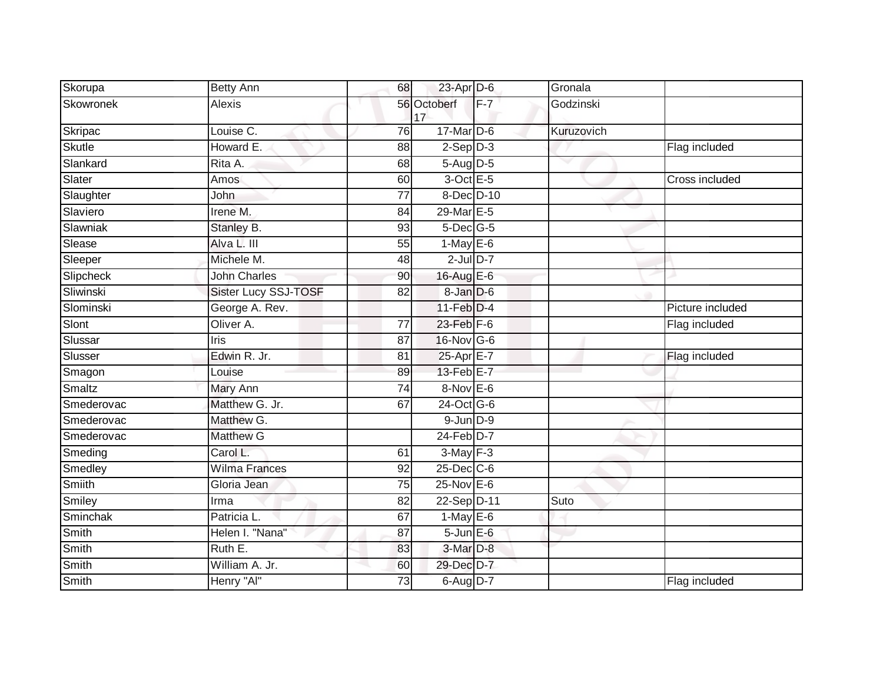| Skorupa       | <b>Betty Ann</b>     | 68              | 23-Apr D-6        |       | Gronala    |                  |
|---------------|----------------------|-----------------|-------------------|-------|------------|------------------|
| Skowronek     | Alexis               |                 | 56 Octoberf<br>17 | $F-7$ | Godzinski  |                  |
| Skripac       | Louise C.            | 76              | $17$ -Mar $D-6$   |       | Kuruzovich |                  |
| <b>Skutle</b> | Howard E.            | 88              | $2-Sep$ $D-3$     |       |            | Flag included    |
| Slankard      | Rita A.              | 68              | $5-Aug$ $D-5$     |       |            |                  |
| Slater        | Amos                 | 60              | 3-Oct E-5         |       |            | Cross included   |
| Slaughter     | John                 | 77              | 8-Dec D-10        |       |            |                  |
| Slaviero      | Irene M.             | 84              | 29-Mar E-5        |       |            |                  |
| Slawniak      | Stanley B.           | 93              | $5$ -Dec $G$ -5   |       |            |                  |
| Slease        | Alva L. III          | 55              | $1-May$ E-6       |       |            |                  |
| Sleeper       | Michele M.           | 48              | $2$ -Jul $D-7$    |       |            |                  |
| Slipcheck     | <b>John Charles</b>  | 90              | 16-Aug E-6        |       |            |                  |
| Sliwinski     | Sister Lucy SSJ-TOSF | $\overline{82}$ | 8-Jan D-6         |       |            |                  |
| Slominski     | George A. Rev.       |                 | $11$ -Feb $D-4$   |       |            | Picture included |
| Slont         | Oliver A.            | $\overline{77}$ | 23-Feb F-6        |       |            | Flag included    |
| Slussar       | Iris                 | 87              | 16-Nov G-6        |       |            |                  |
| Slusser       | Edwin R. Jr.         | 81              | 25-Apr E-7        |       |            | Flag included    |
| Smagon        | Louise               | 89              | 13-Feb E-7        |       |            |                  |
| Smaltz        | Mary Ann             | 74              | $8-Nov$ E-6       |       |            |                  |
| Smederovac    | Matthew G. Jr.       | 67              | 24-Oct G-6        |       |            |                  |
| Smederovac    | Matthew G.           |                 | $9$ -Jun $D-9$    |       |            |                  |
| Smederovac    | <b>Matthew G</b>     |                 | $24$ -Feb $D-7$   |       |            |                  |
| Smeding       | Carol L.             | 61              | $3-May$ F-3       |       |            |                  |
| Smedley       | <b>Wilma Frances</b> | 92              | 25-Dec C-6        |       |            |                  |
| <b>Smiith</b> | Gloria Jean          | $\overline{75}$ | $25$ -Nov $E-6$   |       |            |                  |
| Smiley        | Irma                 | 82              | 22-Sep D-11       |       | Suto       |                  |
| Sminchak      | Patricia L.          | 67              | $1-May$ E-6       |       |            |                  |
| Smith         | Helen I. "Nana"      | 87              | $5$ -Jun $E$ -6   |       |            |                  |
| Smith         | Ruth E.              | 83              | 3-Mar D-8         |       |            |                  |
| Smith         | William A. Jr.       | 60              | 29-Dec D-7        |       |            |                  |
| Smith         | Henry "Al"           | 73              | 6-Aug D-7         |       |            | Flag included    |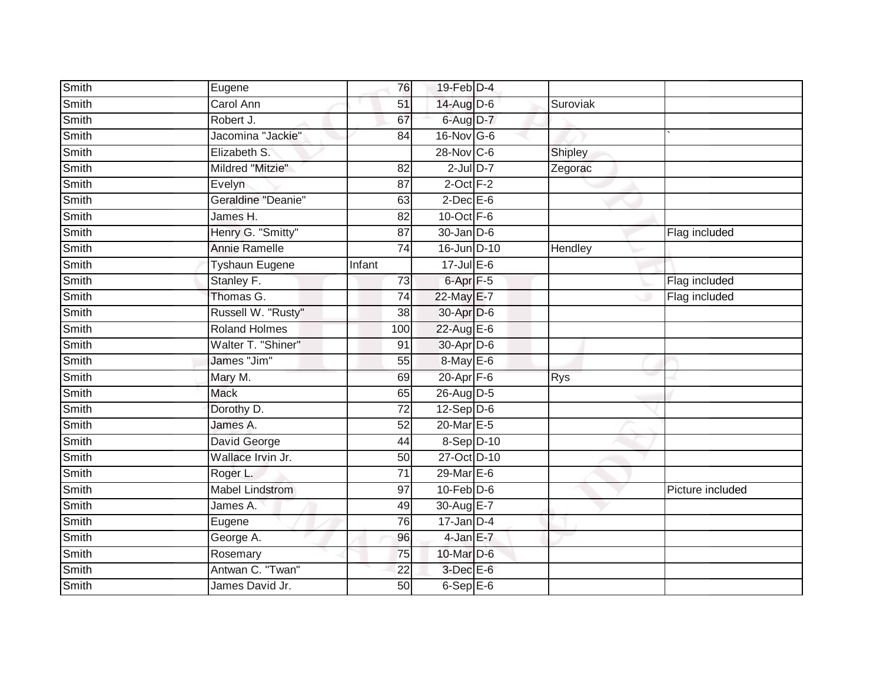| <b>Smith</b> | Eugene                 |        | 76              | 19-Feb D-4        |            |                  |
|--------------|------------------------|--------|-----------------|-------------------|------------|------------------|
| Smith        | Carol Ann              |        | 51              | 14-Aug D-6        | Suroviak   |                  |
| Smith        | Robert J.              |        | 67              | 6-Aug D-7         |            |                  |
| Smith        | Jacomina "Jackie"      |        | 84              | 16-Nov G-6        |            |                  |
| Smith        | Elizabeth S.           |        |                 | 28-Nov C-6        | Shipley    |                  |
| Smith        | Mildred "Mitzie"       |        | 82              | $2$ -Jul $D-7$    | Zegorac    |                  |
| Smith        | Evelyn                 |        | 87              | $2$ -Oct $F-2$    |            |                  |
| Smith        | Geraldine "Deanie"     |        | 63              | $2$ -Dec $E$ -6   |            |                  |
| Smith        | James H.               |        | 82              | 10-Oct $F-6$      |            |                  |
| Smith        | Henry G. "Smitty"      |        | $\overline{87}$ | $30 - Jan$ $D-6$  |            | Flag included    |
| Smith        | <b>Annie Ramelle</b>   |        | 74              | 16-Jun D-10       | Hendley    |                  |
| Smith        | Tyshaun Eugene         | Infant |                 | 17-Jul E-6        |            |                  |
| Smith        | Stanley F.             |        | 73              | $6 - Apr$ $F - 5$ |            | Flag included    |
| Smith        | Thomas G.              |        | 74              | 22-May E-7        |            | Flag included    |
| <b>Smith</b> | Russell W. "Rusty"     |        | $\overline{38}$ | 30-Apr D-6        |            |                  |
| <b>Smith</b> | <b>Roland Holmes</b>   |        | 100             | 22-Aug E-6        |            |                  |
| Smith        | Walter T. "Shiner"     |        | 91              | 30-Apr D-6        |            |                  |
| Smith        | James "Jim"            |        | 55              | 8-May E-6         |            |                  |
| Smith        | Mary M.                |        | 69              | 20-Apr F-6        | <b>Rys</b> |                  |
| Smith        | <b>Mack</b>            |        | 65              | 26-Aug D-5        |            |                  |
| Smith        | Dorothy D.             |        | 72              | $12-Sep$ $D-6$    |            |                  |
| Smith        | James A.               |        | 52              | 20-Mar E-5        |            |                  |
| Smith        | David George           |        | 44              | 8-Sep D-10        |            |                  |
| Smith        | Wallace Irvin Jr.      |        | 50              | 27-Oct D-10       |            |                  |
| Smith        | Roger L.               |        | 71              | 29-Mar E-6        |            |                  |
| Smith        | <b>Mabel Lindstrom</b> |        | 97              | $10$ -Feb $D-6$   |            | Picture included |
| Smith        | James A.               |        | 49              | 30-Aug E-7        |            |                  |
| Smith        | Eugene                 |        | 76              | $17$ -Jan D-4     |            |                  |
| Smith        | George A.              |        | 96              | $4$ -Jan E-7      |            |                  |
| Smith        | Rosemary               |        | 75              | 10-Mar D-6        |            |                  |
| Smith        | Antwan C. "Twan"       |        | 22              | $3$ -Dec $E$ -6   |            |                  |
| Smith        | James David Jr.        |        | 50              | $6-SepE-6$        |            |                  |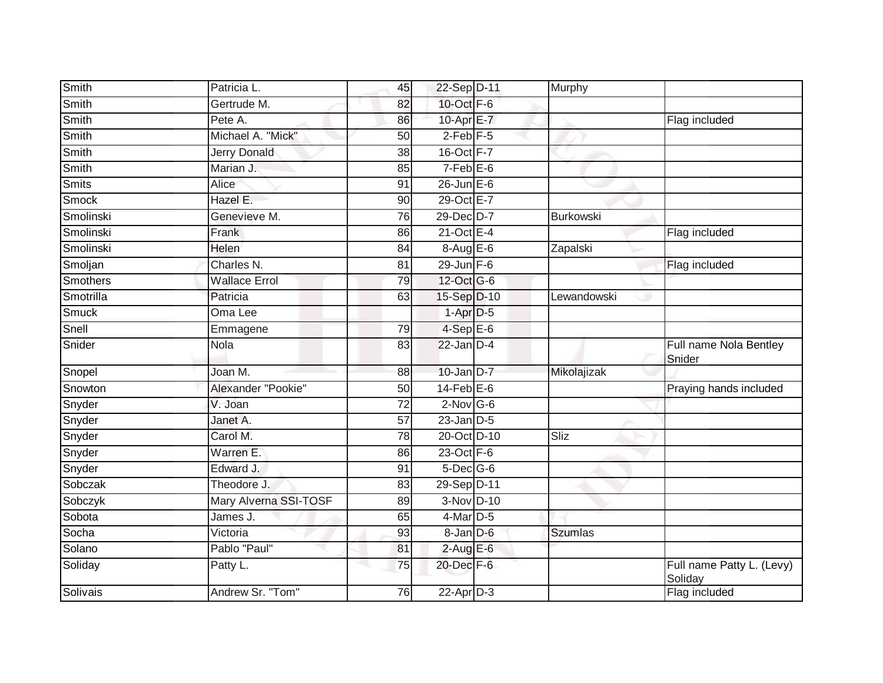| Smith        | Patricia L.           | 45              | 22-Sep D-11      | Murphy         |                                      |
|--------------|-----------------------|-----------------|------------------|----------------|--------------------------------------|
| Smith        | Gertrude M.           | 82              | 10-Oct F-6       |                |                                      |
| Smith        | Pete A.               | 86              | 10-Apr E-7       |                | Flag included                        |
| Smith        | Michael A. "Mick"     | 50              | $2$ -Feb $F-5$   |                |                                      |
| <b>Smith</b> | <b>Jerry Donald</b>   | $\overline{38}$ | 16-Oct F-7       |                |                                      |
| Smith        | Marian J.             | 85              | $7-Feb$ E-6      |                |                                      |
| <b>Smits</b> | Alice                 | 91              | $26$ -Jun $E-6$  |                |                                      |
| Smock        | Hazel E.              | 90              | 29-Oct E-7       |                |                                      |
| Smolinski    | Genevieve M.          | 76              | 29-Dec D-7       | Burkowski      |                                      |
| Smolinski    | Frank                 | 86              | $21$ -Oct $E-4$  |                | Flag included                        |
| Smolinski    | <b>Helen</b>          | 84              | $8-AugE-6$       | Zapalski       |                                      |
| Smoljan      | Charles N.            | 81              | $29$ -Jun F-6    |                | Flag included                        |
| Smothers     | <b>Wallace Errol</b>  | 79              | 12-Oct G-6       |                |                                      |
| Smotrilla    | Patricia              | 63              | 15-Sep D-10      | Lewandowski    |                                      |
| <b>Smuck</b> | Oma Lee               |                 | $1-Apr$ D-5      |                |                                      |
| Snell        | Emmagene              | 79              | $4-SepE-6$       |                |                                      |
| Snider       | <b>Nola</b>           | 83              | $22$ -Jan $D-4$  |                | Full name Nola Bentley<br>Snider     |
| Snopel       | Joan M.               | 88              | $10$ -Jan $D-7$  | Mikolajizak    |                                      |
| Snowton      | Alexander "Pookie"    | 50              | $14$ -Feb $E$ -6 |                | Praying hands included               |
| Snyder       | V. Joan               | $\overline{72}$ | $2$ -Nov G-6     |                |                                      |
| Snyder       | Janet A.              | 57              | $23$ -Jan $D-5$  |                |                                      |
| Snyder       | Carol M.              | 78              | 20-Oct D-10      | Sliz           |                                      |
| Snyder       | Warren E.             | 86              | $23$ -Oct $F-6$  |                |                                      |
| Snyder       | Edward J.             | 91              | $5$ -Dec $G$ -6  |                |                                      |
| Sobczak      | Theodore J.           | 83              | 29-Sep D-11      |                |                                      |
| Sobczyk      | Mary Alverna SSI-TOSF | 89              | 3-Nov D-10       |                |                                      |
| Sobota       | James J.              | 65              | $4$ -Mar $D-5$   |                |                                      |
| Socha        | Victoria              | 93              | 8-Jan D-6        | <b>Szumlas</b> |                                      |
| Solano       | Pablo "Paul"          | 81              | $2$ -Aug E-6     |                |                                      |
| Soliday      | Patty L.              | 75              | 20-Dec F-6       |                | Full name Patty L. (Levy)<br>Soliday |
| Solivais     | Andrew Sr. "Tom"      | 76              | 22-Apr D-3       |                | Flag included                        |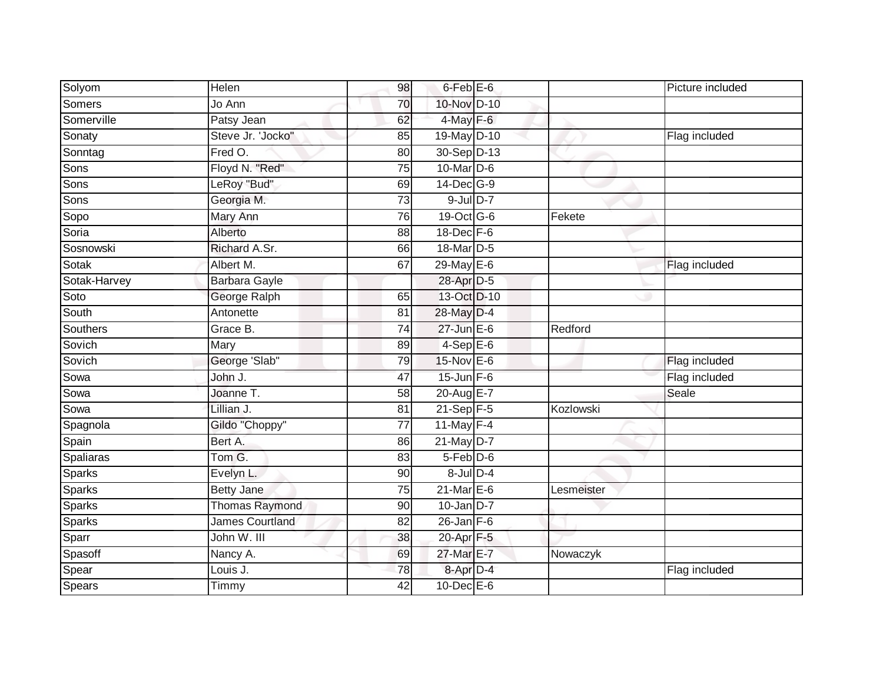| Solyom        | Helen                  | 98              | 6-Feb <sup>E-6</sup>  |            | Picture included |
|---------------|------------------------|-----------------|-----------------------|------------|------------------|
| <b>Somers</b> | Jo Ann                 | 70              | 10-Nov D-10           |            |                  |
| Somerville    | Patsy Jean             | 62              | $4$ -May $F-6$        |            |                  |
| Sonaty        | Steve Jr. 'Jocko"      | 85              | 19-May D-10           |            | Flag included    |
| Sonntag       | Fred O.                | 80              | 30-Sep D-13           |            |                  |
| Sons          | Floyd N. "Red"         | 75              | $10$ -Mar $D-6$       |            |                  |
| Sons          | LeRoy "Bud"            | 69              | 14-Dec G-9            |            |                  |
| Sons          | Georgia M.             | $\overline{73}$ | $9$ -Jul $D-7$        |            |                  |
| Sopo          | Mary Ann               | 76              | 19-Oct G-6            | Fekete     |                  |
| Soria         | Alberto                | $\overline{88}$ | 18-Dec F-6            |            |                  |
| Sosnowski     | Richard A.Sr.          | 66              | 18-Mar <sub>D-5</sub> |            |                  |
| Sotak         | Albert M.              | 67              | 29-May E-6            |            | Flag included    |
| Sotak-Harvey  | Barbara Gayle          |                 | 28-Apr D-5            |            |                  |
| Soto          | George Ralph           | 65              | 13-Oct D-10           |            |                  |
| South         | Antonette              | $\overline{81}$ | 28-May D-4            |            |                  |
| Southers      | Grace B.               | 74              | $27$ -Jun $E-6$       | Redford    |                  |
| Sovich        | Mary                   | 89              | $4-SepE-6$            |            |                  |
| Sovich        | George 'Slab"          | 79              | $15$ -Nov $E$ -6      |            | Flag included    |
| Sowa          | John J.                | 47              | $15$ -Jun $F-6$       |            | Flag included    |
| Sowa          | Joanne T.              | 58              | 20-Aug E-7            |            | Seale            |
| Sowa          | Lillian J.             | 81              | $21-Sep$ F-5          | Kozlowski  |                  |
| Spagnola      | Gildo "Choppy"         | $\overline{77}$ | 11-May $F-4$          |            |                  |
| Spain         | Bert A.                | 86              | $21$ -May D-7         |            |                  |
| Spaliaras     | Tom G.                 | 83              | $5-Feb$ D-6           |            |                  |
| <b>Sparks</b> | Evelyn L.              | 90              | $8$ -Jul $D-4$        |            |                  |
| <b>Sparks</b> | <b>Betty Jane</b>      | 75              | $21$ -Mar $E-6$       | Lesmeister |                  |
| <b>Sparks</b> | <b>Thomas Raymond</b>  | 90              | $10$ -Jan $D-7$       |            |                  |
| <b>Sparks</b> | <b>James Courtland</b> | 82              | $26$ -Jan $F-6$       |            |                  |
| Sparr         | John W. III            | 38              | $20 - Apr$ F-5        |            |                  |
| Spasoff       | Nancy A.               | 69              | 27-Mar E-7            | Nowaczyk   |                  |
| Spear         | Louis J.               | 78              | 8-Apr D-4             |            | Flag included    |
| Spears        | Timmy                  | 42              | 10-Dec E-6            |            |                  |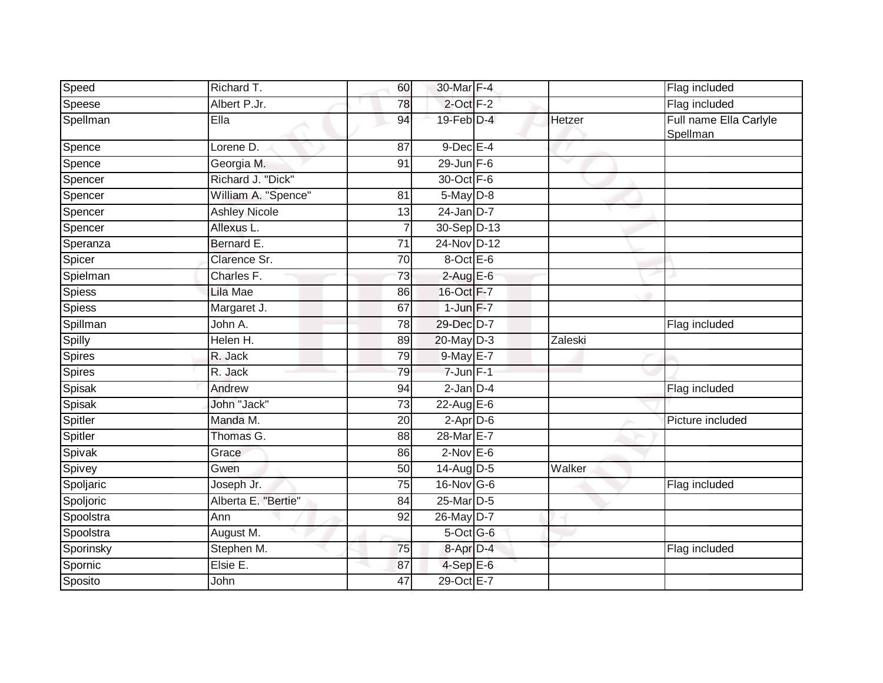| Speed     | Richard T.              | 60              | 30-Mar F-4           |         | Flag included                      |
|-----------|-------------------------|-----------------|----------------------|---------|------------------------------------|
| Speese    | Albert P.Jr.            | 78              | $2$ -Oct $F-2$       |         | Flag included                      |
| Spellman  | Ella                    | 94              | 19-Feb D-4           | Hetzer  | Full name Ella Carlyle<br>Spellman |
| Spence    | Lorene $\overline{D}$ . | 87              | $9$ -Dec E-4         |         |                                    |
| Spence    | Georgia M.              | 91              | $29$ -Jun F-6        |         |                                    |
| Spencer   | Richard J. "Dick"       |                 | 30-Oct F-6           |         |                                    |
| Spencer   | William A. "Spence"     | 81              | $5$ -May $D-8$       |         |                                    |
| Spencer   | <b>Ashley Nicole</b>    | $\overline{13}$ | $24$ -Jan D-7        |         |                                    |
| Spencer   | Allexus L.              |                 | 30-Sep D-13          |         |                                    |
| Speranza  | Bernard E.              | 71              | 24-Nov D-12          |         |                                    |
| Spicer    | Clarence Sr.            | 70              | 8-Oct E-6            |         |                                    |
| Spielman  | Charles <sub>F.</sub>   | 73              | $2$ -Aug E-6         |         |                                    |
| Spiess    | Lila Mae                | 86              | 16-Oct F-7           |         |                                    |
| Spiess    | Margaret J.             | 67              | $1$ -Jun $F-7$       |         |                                    |
| Spillman  | John A.                 | 78              | 29-Dec D-7           |         | Flag included                      |
| Spilly    | Helen H.                | 89              | 20-May D-3           | Zaleski |                                    |
| Spires    | R. Jack                 | 79              | 9-May E-7            |         |                                    |
| Spires    | R. Jack                 | 79              | $7 - Jun$ $F-1$      |         |                                    |
| Spisak    | Andrew                  | 94              | $2$ -Jan $D-4$       |         | Flag included                      |
| Spisak    | John "Jack"             | 73              | $22$ -Aug E-6        |         |                                    |
| Spitler   | Manda M.                | 20              | $2-Apr$ D-6          |         | Picture included                   |
| Spitler   | Thomas G.               | 88              | 28-Mar E-7           |         |                                    |
| Spivak    | Grace                   | 86              | $2$ -Nov $E$ -6      |         |                                    |
| Spivey    | Gwen                    | 50              | 14-Aug D-5           | Walker  |                                    |
| Spoljaric | Joseph Jr.              | $\overline{75}$ | 16-Nov G-6           |         | Flag included                      |
| Spoljoric | Alberta E. "Bertie"     | 84              | 25-Mar D-5           |         |                                    |
| Spoolstra | Ann                     | 92              | 26-May D-7           |         |                                    |
| Spoolstra | August M.               |                 | $5$ -Oct G-6         |         |                                    |
| Sporinsky | Stephen M.              | 75              | 8-Apr <sub>D-4</sub> |         | Flag included                      |
| Spornic   | Elsie E.                | 87              | $4-SepE-6$           |         |                                    |
| Sposito   | John                    | 47              | 29-Oct E-7           |         |                                    |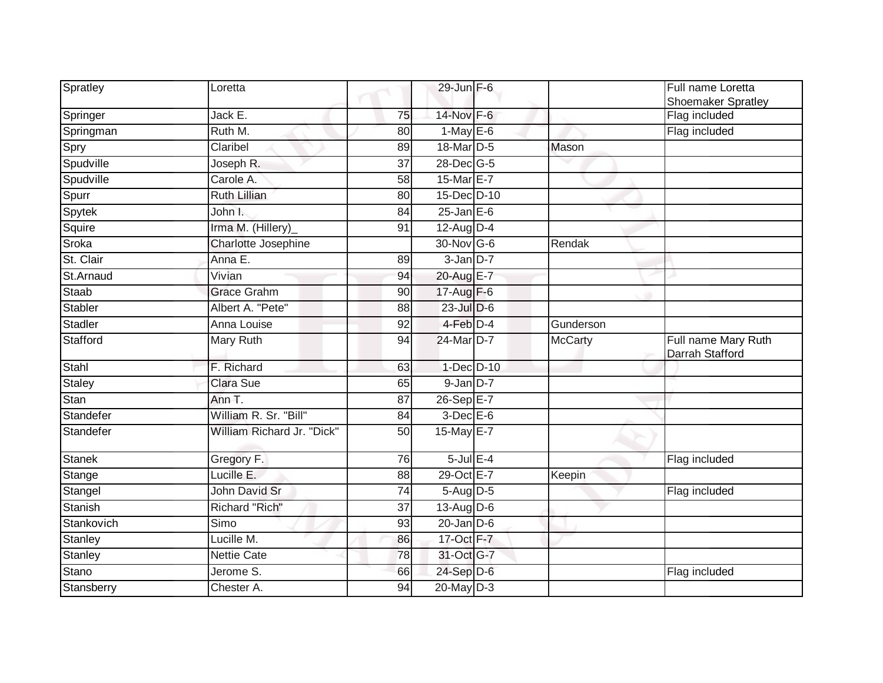| Spratley       | Loretta                    |                 | 29-Jun F-6              |                | Full name Loretta<br><b>Shoemaker Spratley</b> |
|----------------|----------------------------|-----------------|-------------------------|----------------|------------------------------------------------|
| Springer       | Jack E.                    | 75              | 14-Nov F-6              |                | Flag included                                  |
| Springman      | Ruth M.                    | 80              | $1-May E-6$             |                | Flag included                                  |
| Spry           | Claribel                   | 89              | 18-Mar D-5              | Mason          |                                                |
| Spudville      | Joseph R.                  | 37              | 28-Dec G-5              |                |                                                |
| Spudville      | Carole A.                  | 58              | 15-Mar E-7              |                |                                                |
| Spurr          | Ruth Lillian               | 80              | 15-Dec D-10             |                |                                                |
| Spytek         | John I.                    | 84              | $25$ -Jan E-6           |                |                                                |
| Squire         | Irma M. (Hillery)_         | 91              | $12-Au\overline{g}D-4$  |                |                                                |
| Sroka          | Charlotte Josephine        |                 | 30-Nov G-6              | Rendak         |                                                |
| St. Clair      | Anna E.                    | 89              | $3$ -Jan $D-7$          |                |                                                |
| St.Arnaud      | Vivian                     | 94              | 20-Aug E-7              |                |                                                |
| Staab          | <b>Grace Grahm</b>         | $\overline{90}$ | 17-Aug F-6              |                |                                                |
| Stabler        | Albert A. "Pete"           | 88              | 23-Jul D-6              |                |                                                |
| Stadler        | Anna Louise                | $\overline{92}$ | $4$ -Feb $D-4$          | Gunderson      |                                                |
| Stafford       | Mary Ruth                  | 94              | 24-Mar D-7              | <b>McCarty</b> | Full name Mary Ruth<br>Darrah Stafford         |
| Stahl          | F. Richard                 | 63              | 1-Dec D-10              |                |                                                |
| <b>Staley</b>  | <b>Clara Sue</b>           | 65              | $9$ -Jan $D-7$          |                |                                                |
| Stan           | Ann T.                     | 87              | $26-SepE-7$             |                |                                                |
| Standefer      | William R. Sr. "Bill"      | 84              | $3$ -Dec $E - 6$        |                |                                                |
| Standefer      | William Richard Jr. "Dick" | 50              | 15-May E-7              |                |                                                |
| <b>Stanek</b>  | Gregory F.                 | 76              | $5$ -Jul $E-4$          |                | Flag included                                  |
| Stange         | Lucille E.                 | $\overline{88}$ | 29-Oct E-7              | Keepin         |                                                |
| Stangel        | <b>John David Sr</b>       | 74              | $5 - Aug$ $D-5$         |                | Flag included                                  |
| Stanish        | Richard "Rich"             | 37              | $13-\overline{Aug}$ D-6 |                |                                                |
| Stankovich     | Simo                       | 93              | $20$ -Jan $D-6$         |                |                                                |
| Stanley        | Lucille M.                 | 86              | 17-Oct F-7              |                |                                                |
| <b>Stanley</b> | <b>Nettie Cate</b>         | 78              | 31-Oct G-7              |                |                                                |
| Stano          | Jerome S.                  | 66              | 24-Sep D-6              |                | Flag included                                  |
| Stansberry     | Chester A.                 | 94              | $20$ -May $D-3$         |                |                                                |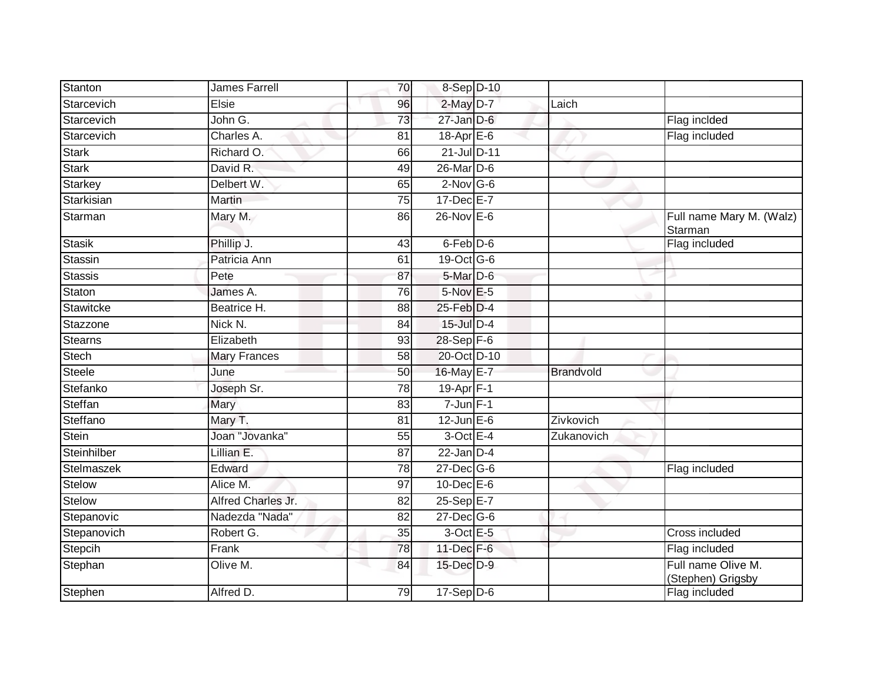| Stanton          | James Farrell       | 70              | 8-Sep D-10         |            |                                         |
|------------------|---------------------|-----------------|--------------------|------------|-----------------------------------------|
| Starcevich       | Elsie               | 96              | $2$ -May $D-7$     | Laich      |                                         |
| Starcevich       | John G.             | 73              | $27 - Jan$ $D-6$   |            | Flag incided                            |
| Starcevich       | Charles A.          | 81              | $18$ -Apr $E$ -6   |            | Flag included                           |
| <b>Stark</b>     | Richard O.          | 66              | 21-Jul D-11        |            |                                         |
| <b>Stark</b>     | David R.            | 49              | $26$ -Mar $D-6$    |            |                                         |
| Starkey          | Delbert W.          | 65              | $2$ -Nov G-6       |            |                                         |
| Starkisian       | Martin              | 75              | $17 - Dec$ $E - 7$ |            |                                         |
| Starman          | Mary M.             | 86              | 26-Nov E-6         |            | Full name Mary M. (Walz)<br>Starman     |
| <b>Stasik</b>    | Phillip J.          | 43              | 6-Feb D-6          |            | Flag included                           |
| Stassin          | Patricia Ann        | 61              | 19-Oct G-6         |            |                                         |
| <b>Stassis</b>   | Pete                | 87              | 5-Mar D-6          |            |                                         |
| Staton           | James A.            | 76              | $5-Nov$ E-5        |            |                                         |
| <b>Stawitcke</b> | Beatrice H.         | 88              | 25-Feb D-4         |            |                                         |
| Stazzone         | Nick N.             | 84              | 15-Jul D-4         |            |                                         |
| <b>Stearns</b>   | Elizabeth           | 93              | $28-Sep$ F-6       |            |                                         |
| Stech            | <b>Mary Frances</b> | 58              | 20-Oct D-10        |            |                                         |
| <b>Steele</b>    | June                | 50              | 16-May E-7         | Brandvold  |                                         |
| Stefanko         | Joseph Sr.          | 78              | 19-Apr $F-1$       |            |                                         |
| Steffan          | Mary                | 83              | $7 - Jun$ $F-1$    |            |                                         |
| Steffano         | Mary T.             | 81              | $12$ -Jun $E-6$    | Zivkovich  |                                         |
| <b>Stein</b>     | Joan "Jovanka"      | 55              | 3-Oct E-4          | Zukanovich |                                         |
| Steinhilber      | Lillian E.          | 87              | $22$ -Jan $D-4$    |            |                                         |
| Stelmaszek       | Edward              | 78              | $27 - Dec$ G-6     |            | Flag included                           |
| Stelow           | Alice M.            | 97              | $10$ -Dec $E$ -6   |            |                                         |
| Stelow           | Alfred Charles Jr.  | 82              | 25-Sep E-7         |            |                                         |
| Stepanovic       | Nadezda "Nada"      | $\overline{82}$ | 27-Dec G-6         |            |                                         |
| Stepanovich      | Robert G.           | 35              | 3-Oct E-5          |            | Cross included                          |
| Stepcih          | Frank               | 78              | 11-Dec F-6         |            | Flag included                           |
| Stephan          | Olive M.            | 84              | 15-Dec D-9         |            | Full name Olive M.<br>(Stephen) Grigsby |
| Stephen          | Alfred D.           | 79              | $17-Sep$ D-6       |            | Flag included                           |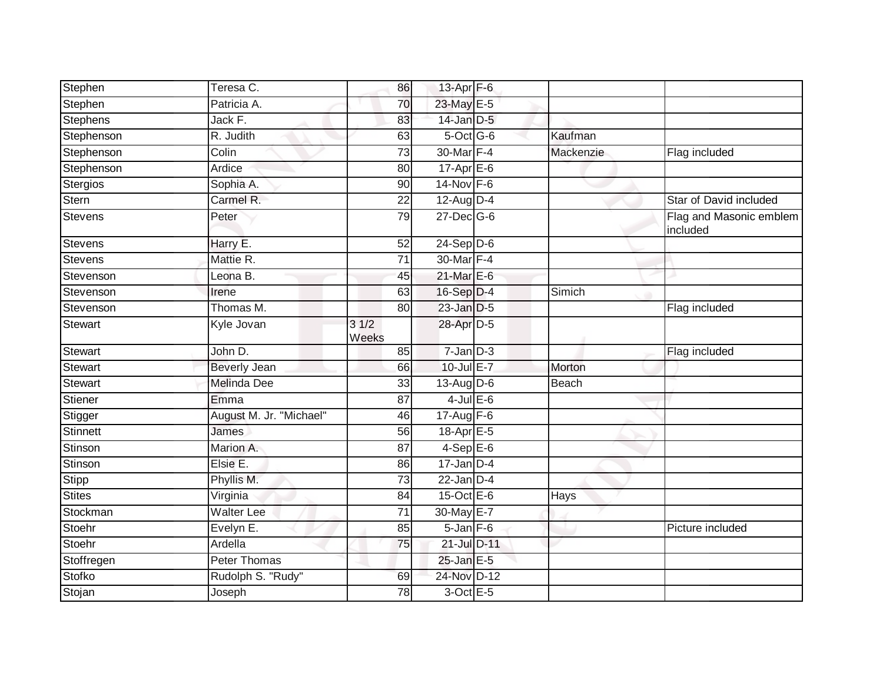| Patricia A.<br>23-May E-5<br>70<br>Jack F.<br>14-Jan D-5<br>83<br>Stephenson<br>R. Judith<br>$5$ -Oct G-6<br>Kaufman<br>63<br>$\overline{73}$<br>30-Mar F-4<br>Colin<br>Mackenzie<br>Flag included<br>$17-Apr \nightharpoonup 6$<br>Ardice<br>80<br>$14$ -Nov $F-6$<br>Sophia A.<br>90<br>Carmel R.<br>22<br>$12$ -Aug $D-4$<br>Star of David included<br><b>Stevens</b><br>79<br>$27$ -Dec $G$ -6<br>Peter<br>included<br>$24-Sep D-6$<br>Harry E.<br>52<br>30-Mar F-4<br>Mattie R.<br>71<br>$21$ -Mar $E-6$<br>Leona B.<br>45<br>16-Sep D-4<br>Stevenson<br>63<br>Simich<br>Irene<br>23-Jan D-5<br>Thomas M.<br>Flag included<br>80<br>Kyle Jovan<br>31/2<br>28-Apr D-5<br>Weeks<br>$7 - Jan$ $D-3$<br>John D.<br>85<br>Flag included<br>$10$ -Jul $E - 7$<br>Beverly Jean<br>66<br>Morton<br><b>Melinda Dee</b><br>$13-Aug$ D-6<br>33<br>Beach<br>$4$ -Jul $E$ -6<br>Emma<br>87<br>Stigger<br>$17-Aug$ F-6<br>August M. Jr. "Michael"<br>46<br>56<br>18-Apr $E-5$<br><b>Stinnett</b><br><b>James</b><br>87<br>$4-SepE-6$<br>Marion A.<br>$17$ -Jan D-4<br>Elsie E.<br>86<br>Stipp<br>$22$ -Jan $D-4$<br>73<br>Phyllis M.<br><b>Stites</b><br>$15$ -Oct $E$ -6<br>Virginia<br>84<br>Hays<br>Stockman<br>30-May E-7<br><b>Walter Lee</b><br>$\overline{71}$<br>Stoehr<br>$5 - Jan$ $F-6$<br>Evelyn E.<br>85<br>Picture included<br>Stoehr<br>Ardella<br>21-Jul D-11<br>75<br>Peter Thomas<br>$25$ -Jan $E-5$<br>24-Nov D-12<br>Rudolph S. "Rudy"<br>69<br>78<br>3-Oct E-5<br>Joseph | Stephen        | Teresa C. | 86 | 13-Apr F-6 |  |                         |
|--------------------------------------------------------------------------------------------------------------------------------------------------------------------------------------------------------------------------------------------------------------------------------------------------------------------------------------------------------------------------------------------------------------------------------------------------------------------------------------------------------------------------------------------------------------------------------------------------------------------------------------------------------------------------------------------------------------------------------------------------------------------------------------------------------------------------------------------------------------------------------------------------------------------------------------------------------------------------------------------------------------------------------------------------------------------------------------------------------------------------------------------------------------------------------------------------------------------------------------------------------------------------------------------------------------------------------------------------------------------------------------------------------------------------------------------------------------------------------------|----------------|-----------|----|------------|--|-------------------------|
|                                                                                                                                                                                                                                                                                                                                                                                                                                                                                                                                                                                                                                                                                                                                                                                                                                                                                                                                                                                                                                                                                                                                                                                                                                                                                                                                                                                                                                                                                      | Stephen        |           |    |            |  |                         |
|                                                                                                                                                                                                                                                                                                                                                                                                                                                                                                                                                                                                                                                                                                                                                                                                                                                                                                                                                                                                                                                                                                                                                                                                                                                                                                                                                                                                                                                                                      | Stephens       |           |    |            |  |                         |
|                                                                                                                                                                                                                                                                                                                                                                                                                                                                                                                                                                                                                                                                                                                                                                                                                                                                                                                                                                                                                                                                                                                                                                                                                                                                                                                                                                                                                                                                                      |                |           |    |            |  |                         |
|                                                                                                                                                                                                                                                                                                                                                                                                                                                                                                                                                                                                                                                                                                                                                                                                                                                                                                                                                                                                                                                                                                                                                                                                                                                                                                                                                                                                                                                                                      | Stephenson     |           |    |            |  |                         |
|                                                                                                                                                                                                                                                                                                                                                                                                                                                                                                                                                                                                                                                                                                                                                                                                                                                                                                                                                                                                                                                                                                                                                                                                                                                                                                                                                                                                                                                                                      | Stephenson     |           |    |            |  |                         |
|                                                                                                                                                                                                                                                                                                                                                                                                                                                                                                                                                                                                                                                                                                                                                                                                                                                                                                                                                                                                                                                                                                                                                                                                                                                                                                                                                                                                                                                                                      | Stergios       |           |    |            |  |                         |
|                                                                                                                                                                                                                                                                                                                                                                                                                                                                                                                                                                                                                                                                                                                                                                                                                                                                                                                                                                                                                                                                                                                                                                                                                                                                                                                                                                                                                                                                                      | Stern          |           |    |            |  |                         |
|                                                                                                                                                                                                                                                                                                                                                                                                                                                                                                                                                                                                                                                                                                                                                                                                                                                                                                                                                                                                                                                                                                                                                                                                                                                                                                                                                                                                                                                                                      |                |           |    |            |  | Flag and Masonic emblem |
|                                                                                                                                                                                                                                                                                                                                                                                                                                                                                                                                                                                                                                                                                                                                                                                                                                                                                                                                                                                                                                                                                                                                                                                                                                                                                                                                                                                                                                                                                      | <b>Stevens</b> |           |    |            |  |                         |
|                                                                                                                                                                                                                                                                                                                                                                                                                                                                                                                                                                                                                                                                                                                                                                                                                                                                                                                                                                                                                                                                                                                                                                                                                                                                                                                                                                                                                                                                                      | <b>Stevens</b> |           |    |            |  |                         |
|                                                                                                                                                                                                                                                                                                                                                                                                                                                                                                                                                                                                                                                                                                                                                                                                                                                                                                                                                                                                                                                                                                                                                                                                                                                                                                                                                                                                                                                                                      | Stevenson      |           |    |            |  |                         |
|                                                                                                                                                                                                                                                                                                                                                                                                                                                                                                                                                                                                                                                                                                                                                                                                                                                                                                                                                                                                                                                                                                                                                                                                                                                                                                                                                                                                                                                                                      |                |           |    |            |  |                         |
|                                                                                                                                                                                                                                                                                                                                                                                                                                                                                                                                                                                                                                                                                                                                                                                                                                                                                                                                                                                                                                                                                                                                                                                                                                                                                                                                                                                                                                                                                      | Stevenson      |           |    |            |  |                         |
|                                                                                                                                                                                                                                                                                                                                                                                                                                                                                                                                                                                                                                                                                                                                                                                                                                                                                                                                                                                                                                                                                                                                                                                                                                                                                                                                                                                                                                                                                      | <b>Stewart</b> |           |    |            |  |                         |
|                                                                                                                                                                                                                                                                                                                                                                                                                                                                                                                                                                                                                                                                                                                                                                                                                                                                                                                                                                                                                                                                                                                                                                                                                                                                                                                                                                                                                                                                                      | Stewart        |           |    |            |  |                         |
|                                                                                                                                                                                                                                                                                                                                                                                                                                                                                                                                                                                                                                                                                                                                                                                                                                                                                                                                                                                                                                                                                                                                                                                                                                                                                                                                                                                                                                                                                      | Stewart        |           |    |            |  |                         |
|                                                                                                                                                                                                                                                                                                                                                                                                                                                                                                                                                                                                                                                                                                                                                                                                                                                                                                                                                                                                                                                                                                                                                                                                                                                                                                                                                                                                                                                                                      | Stewart        |           |    |            |  |                         |
|                                                                                                                                                                                                                                                                                                                                                                                                                                                                                                                                                                                                                                                                                                                                                                                                                                                                                                                                                                                                                                                                                                                                                                                                                                                                                                                                                                                                                                                                                      | Stiener        |           |    |            |  |                         |
|                                                                                                                                                                                                                                                                                                                                                                                                                                                                                                                                                                                                                                                                                                                                                                                                                                                                                                                                                                                                                                                                                                                                                                                                                                                                                                                                                                                                                                                                                      |                |           |    |            |  |                         |
|                                                                                                                                                                                                                                                                                                                                                                                                                                                                                                                                                                                                                                                                                                                                                                                                                                                                                                                                                                                                                                                                                                                                                                                                                                                                                                                                                                                                                                                                                      |                |           |    |            |  |                         |
|                                                                                                                                                                                                                                                                                                                                                                                                                                                                                                                                                                                                                                                                                                                                                                                                                                                                                                                                                                                                                                                                                                                                                                                                                                                                                                                                                                                                                                                                                      | Stinson        |           |    |            |  |                         |
|                                                                                                                                                                                                                                                                                                                                                                                                                                                                                                                                                                                                                                                                                                                                                                                                                                                                                                                                                                                                                                                                                                                                                                                                                                                                                                                                                                                                                                                                                      | Stinson        |           |    |            |  |                         |
|                                                                                                                                                                                                                                                                                                                                                                                                                                                                                                                                                                                                                                                                                                                                                                                                                                                                                                                                                                                                                                                                                                                                                                                                                                                                                                                                                                                                                                                                                      |                |           |    |            |  |                         |
|                                                                                                                                                                                                                                                                                                                                                                                                                                                                                                                                                                                                                                                                                                                                                                                                                                                                                                                                                                                                                                                                                                                                                                                                                                                                                                                                                                                                                                                                                      |                |           |    |            |  |                         |
|                                                                                                                                                                                                                                                                                                                                                                                                                                                                                                                                                                                                                                                                                                                                                                                                                                                                                                                                                                                                                                                                                                                                                                                                                                                                                                                                                                                                                                                                                      |                |           |    |            |  |                         |
|                                                                                                                                                                                                                                                                                                                                                                                                                                                                                                                                                                                                                                                                                                                                                                                                                                                                                                                                                                                                                                                                                                                                                                                                                                                                                                                                                                                                                                                                                      |                |           |    |            |  |                         |
|                                                                                                                                                                                                                                                                                                                                                                                                                                                                                                                                                                                                                                                                                                                                                                                                                                                                                                                                                                                                                                                                                                                                                                                                                                                                                                                                                                                                                                                                                      |                |           |    |            |  |                         |
|                                                                                                                                                                                                                                                                                                                                                                                                                                                                                                                                                                                                                                                                                                                                                                                                                                                                                                                                                                                                                                                                                                                                                                                                                                                                                                                                                                                                                                                                                      | Stoffregen     |           |    |            |  |                         |
|                                                                                                                                                                                                                                                                                                                                                                                                                                                                                                                                                                                                                                                                                                                                                                                                                                                                                                                                                                                                                                                                                                                                                                                                                                                                                                                                                                                                                                                                                      | Stofko         |           |    |            |  |                         |
|                                                                                                                                                                                                                                                                                                                                                                                                                                                                                                                                                                                                                                                                                                                                                                                                                                                                                                                                                                                                                                                                                                                                                                                                                                                                                                                                                                                                                                                                                      | Stojan         |           |    |            |  |                         |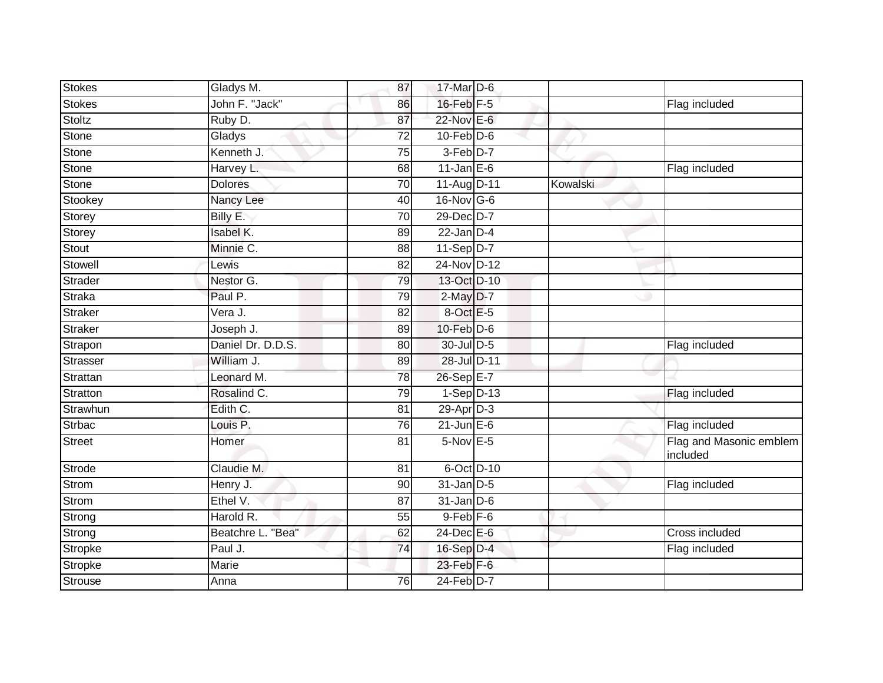| <b>Stokes</b> | Gladys M.         | 87 | 17-Mar D-6      |          |                                     |
|---------------|-------------------|----|-----------------|----------|-------------------------------------|
| Stokes        | John F. "Jack"    | 86 | 16-Feb F-5      |          | Flag included                       |
| Stoltz        | Ruby D.           | 87 | 22-Nov E-6      |          |                                     |
| <b>Stone</b>  | Gladys            | 72 | $10$ -Feb $D-6$ |          |                                     |
| <b>Stone</b>  | Kenneth J.        | 75 | $3-Feb$ D-7     |          |                                     |
| Stone         | Harvey L.         | 68 | $11$ -Jan E-6   |          | Flag included                       |
| Stone         | <b>Dolores</b>    | 70 | 11-Aug D-11     | Kowalski |                                     |
| Stookey       | Nancy Lee         | 40 | 16-Nov G-6      |          |                                     |
| Storey        | Billy E.          | 70 | 29-Dec D-7      |          |                                     |
| Storey        | Isabel K.         | 89 | $22$ -Jan $D-4$ |          |                                     |
| Stout         | Minnie C.         | 88 | $11-Sep D-7$    |          |                                     |
| Stowell       | Lewis             | 82 | 24-Nov D-12     |          |                                     |
| Strader       | Nestor G.         | 79 | 13-Oct D-10     |          |                                     |
| Straka        | Paul P.           | 79 | $2$ -May $D-7$  |          |                                     |
| Straker       | Vera J.           | 82 | 8-Oct E-5       |          |                                     |
| Straker       | Joseph J.         | 89 | $10$ -Feb $D-6$ |          |                                     |
| Strapon       | Daniel Dr. D.D.S. | 80 | 30-Jul D-5      |          | Flag included                       |
| Strasser      | William J.        | 89 | 28-Jul D-11     |          |                                     |
| Strattan      | Leonard M.        | 78 | 26-Sep E-7      |          |                                     |
| Stratton      | Rosalind C.       | 79 | $1-Sep$ D-13    |          | Flag included                       |
| Strawhun      | Edith C.          | 81 | $29$ -Apr $D-3$ |          |                                     |
| <b>Strbac</b> | Louis P.          | 76 | $21$ -Jun $E-6$ |          | Flag included                       |
| <b>Street</b> | Homer             | 81 | $5-Nov$ E-5     |          | Flag and Masonic emblem<br>included |
| Strode        | Claudie M.        | 81 | 6-Oct D-10      |          |                                     |
| <b>Strom</b>  | Henry J.          | 90 | $31$ -Jan $D-5$ |          | Flag included                       |
| Strom         | Ethel V.          | 87 | $31$ -Jan $D-6$ |          |                                     |
| Strong        | Harold R.         | 55 | $9$ -Feb $F$ -6 |          |                                     |
| Strong        | Beatchre L. "Bea" | 62 | 24-Dec E-6      |          | Cross included                      |
| Stropke       | Paul J.           | 74 | 16-Sep D-4      |          | Flag included                       |
| Stropke       | Marie             |    | 23-Feb F-6      |          |                                     |
| Strouse       | Anna              | 76 | 24-Feb D-7      |          |                                     |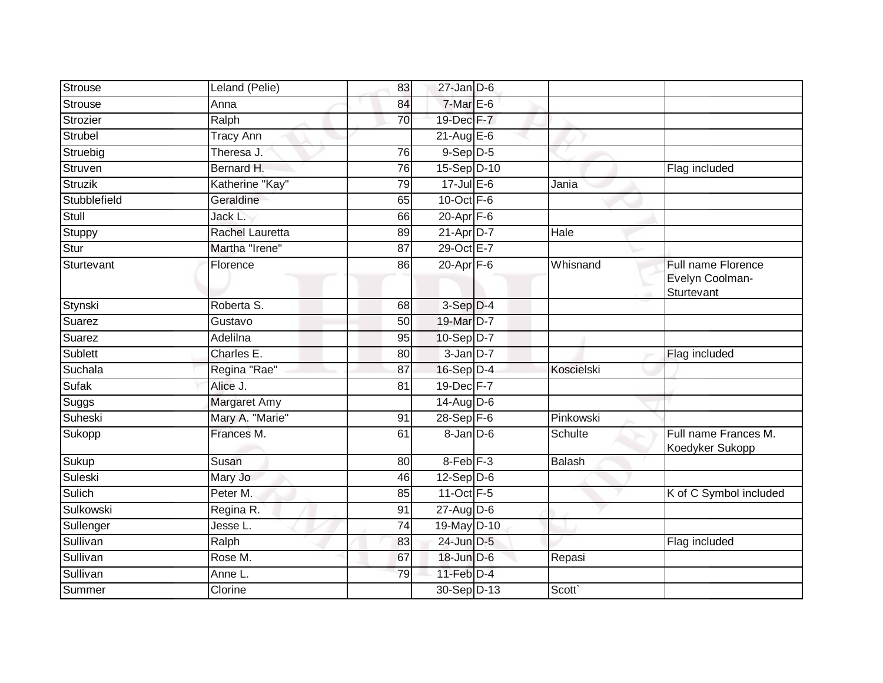| Strouse      | Leland (Pelie)         | 83              | $27$ -Jan D-6        |               |                                                     |
|--------------|------------------------|-----------------|----------------------|---------------|-----------------------------------------------------|
| Strouse      | Anna                   | 84              | $7-MarE-6$           |               |                                                     |
| Strozier     | Ralph                  | 70              | 19-Dec F-7           |               |                                                     |
| Strubel      | <b>Tracy Ann</b>       |                 | $21$ -Aug $E-6$      |               |                                                     |
| Struebig     | Theresa J.             | 76              | $9-$ Sep $D-5$       |               |                                                     |
| Struven      | Bernard H.             | 76              | 15-Sep D-10          |               | Flag included                                       |
| Struzik      | Katherine "Kay"        | 79              | $17 -$ Jul $E - 6$   | Jania         |                                                     |
| Stubblefield | Geraldine              | 65              | $10$ -Oct $F - 6$    |               |                                                     |
| Stull        | Jack L.                | 66              | $20 - Apr$ F-6       |               |                                                     |
| Stuppy       | <b>Rachel Lauretta</b> | 89              | $21-AprD-7$          | Hale          |                                                     |
| Stur         | Martha "Irene"         | 87              | 29-Oct E-7           |               |                                                     |
| Sturtevant   | Florence               | 86              | $20$ -Apr $F-6$      | Whisnand      | Full name Florence<br>Evelyn Coolman-<br>Sturtevant |
| Stynski      | Roberta S.             | 68              | $3-Sep$ $D-4$        |               |                                                     |
| Suarez       | Gustavo                | 50              | 19-Mar D-7           |               |                                                     |
| Suarez       | Adelilna               | 95              | $10-Sep D-7$         |               |                                                     |
| Sublett      | Charles E.             | 80              | $3$ -Jan $D-7$       |               | Flag included                                       |
| Suchala      | Regina "Rae"           | 87              | 16-Sep D-4           | Koscielski    |                                                     |
| Sufak        | Alice J.               | 81              | 19-Dec F-7           |               |                                                     |
| Suggs        | Margaret Amy           |                 | $14$ -Aug $D-6$      |               |                                                     |
| Suheski      | Mary A. "Marie"        | 91              | 28-Sep F-6           | Pinkowski     |                                                     |
| Sukopp       | Frances M.             | 61              | $8 - Jan$ $D-6$      | Schulte       | Full name Frances M.<br>Koedyker Sukopp             |
| Sukup        | Susan                  | 80              | 8-Feb <sup>F-3</sup> | <b>Balash</b> |                                                     |
| Suleski      | Mary Jo                | 46              | $12-Sep D-6$         |               |                                                     |
| Sulich       | Peter M.               | 85              | 11-Oct F-5           |               | K of C Symbol included                              |
| Sulkowski    | Regina R.              | 91              | $27$ -Aug $D-6$      |               |                                                     |
| Sullenger    | Jesse L.               | $\overline{74}$ | 19-May D-10          |               |                                                     |
| Sullivan     | Ralph                  | 83              | 24-Jun D-5           |               | Flag included                                       |
| Sullivan     | Rose M.                | 67              | 18-Jun D-6           | Repasi        |                                                     |
| Sullivan     | Anne L.                | 79              | $11-Feb$ D-4         |               |                                                     |
| Summer       | Clorine                |                 | 30-Sep D-13          | Scott`        |                                                     |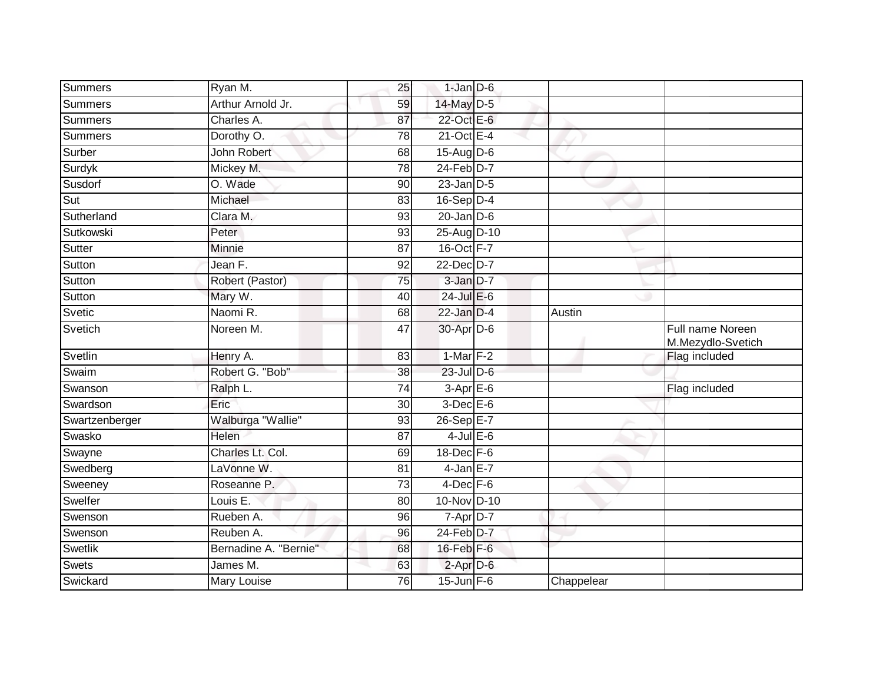| Summers        | Ryan M.               | 25              | $1$ -Jan $D-6$    |            |                                       |
|----------------|-----------------------|-----------------|-------------------|------------|---------------------------------------|
| Summers        | Arthur Arnold Jr.     | 59              | 14-May D-5        |            |                                       |
| Summers        | Charles A.            | 87              | 22-Oct E-6        |            |                                       |
| Summers        | Dorothy O.            | 78              | $21$ -Oct $E - 4$ |            |                                       |
| Surber         | <b>John Robert</b>    | 68              | $15-Aug$ D-6      |            |                                       |
| Surdyk         | Mickey M.             | 78              | $24$ -Feb $D-7$   |            |                                       |
| Susdorf        | O. Wade               | 90              | $23$ -Jan $D-5$   |            |                                       |
| Sut            | Michael               | 83              | $16-Sep$ D-4      |            |                                       |
| Sutherland     | Clara M.              | 93              | $20$ -Jan $D-6$   |            |                                       |
| Sutkowski      | Peter                 | 93              | 25-Aug D-10       |            |                                       |
| Sutter         | Minnie                | 87              | 16-Oct F-7        |            |                                       |
| Sutton         | Jean F.               | 92              | 22-Dec D-7        |            |                                       |
| Sutton         | Robert (Pastor)       | 75              | 3-Jan D-7         |            |                                       |
| Sutton         | Mary W.               | 40              | $24$ -Jul E-6     |            |                                       |
| Svetic         | Naomi R.              | 68              | $22$ -Jan $D-4$   | Austin     |                                       |
| Svetich        | Noreen M.             | 47              | 30-Apr D-6        |            | Full name Noreen<br>M.Mezydlo-Svetich |
| Svetlin        | Henry A.              | 83              | $1-Mar$ F-2       |            | Flag included                         |
| Swaim          | Robert G. "Bob"       | 38              | 23-Jul D-6        |            |                                       |
| Swanson        | Ralph L.              | $\overline{74}$ | $3-Apr$ E-6       |            | Flag included                         |
| Swardson       | Eric                  | 30              | $3$ -Dec $E$ -6   |            |                                       |
| Swartzenberger | Walburga "Wallie"     | 93              | 26-Sep E-7        |            |                                       |
| Swasko         | Helen                 | 87              | $4$ -Jul $E$ -6   |            |                                       |
| Swayne         | Charles Lt. Col.      | 69              | 18-Dec F-6        |            |                                       |
| Swedberg       | LaVonne W.            | 81              | $4$ -Jan $E-7$    |            |                                       |
| Sweeney        | Roseanne P.           | $\overline{73}$ | $4$ -Dec $F-6$    |            |                                       |
| Swelfer        | Louis E.              | 80              | 10-Nov D-10       |            |                                       |
| Swenson        | Rueben A.             | 96              | $7 - Apr$ $D-7$   |            |                                       |
| Swenson        | Reuben A.             | 96              | 24-Feb D-7        |            |                                       |
| Swetlik        | Bernadine A. "Bernie" | 68              | 16-Feb F-6        |            |                                       |
| Swets          | James M.              | 63              | $2$ -Apr $D-6$    |            |                                       |
| Swickard       | Mary Louise           | 76              | $15$ -Jun F-6     | Chappelear |                                       |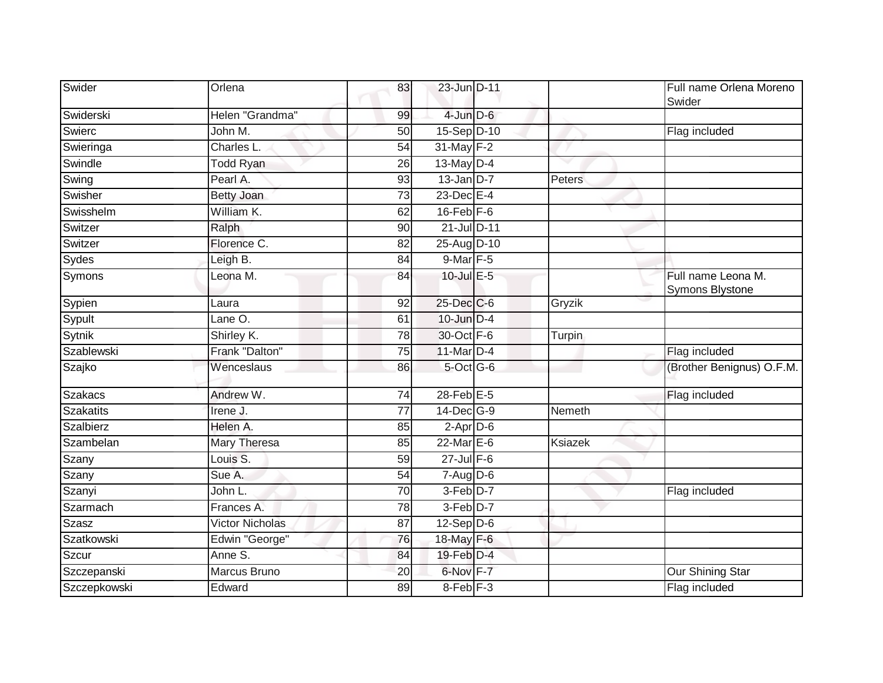| Swider           | Orlena                 | 83              | 23-Jun D-11          |         | Full name Orlena Moreno<br>Swider     |
|------------------|------------------------|-----------------|----------------------|---------|---------------------------------------|
| Swiderski        | Helen "Grandma"        | 99              | 4-Jun D-6            |         |                                       |
| Swierc           | John M.                | 50              | 15-Sep D-10          |         | Flag included                         |
| Swieringa        | Charles L.             | 54              | 31-May F-2           |         |                                       |
| Swindle          | <b>Todd Ryan</b>       | 26              | 13-May D-4           |         |                                       |
| Swing            | Pearl A.               | 93              | $13$ -Jan D-7        | Peters  |                                       |
| Swisher          | <b>Betty Joan</b>      | 73              | $23$ -Dec $E-4$      |         |                                       |
| Swisshelm        | William K.             | 62              | $16$ -Feb $F-6$      |         |                                       |
| Switzer          | Ralph                  | 90              | 21-Jul D-11          |         |                                       |
| Switzer          | Florence C.            | 82              | 25-Aug D-10          |         |                                       |
| Sydes            | Leigh B.               | 84              | 9-Mar F-5            |         |                                       |
| Symons           | Leona M.               | 84              | 10-Jul E-5           |         | Full name Leona M.<br>Symons Blystone |
| Sypien           | Laura                  | 92              | 25-Dec C-6           | Gryzik  |                                       |
| Sypult           | Lane O.                | 61              | $10$ -Jun $D-4$      |         |                                       |
| Sytnik           | Shirley K.             | 78              | 30-Oct F-6           | Turpin  |                                       |
| Szablewski       | Frank "Dalton"         | 75              | 11-Mar D-4           |         | Flag included                         |
| Szajko           | Wenceslaus             | 86              | 5-Oct G-6            |         | (Brother Benignus) O.F.M.             |
| <b>Szakacs</b>   | Andrew W.              | $\overline{74}$ | $28$ -Feb $E-5$      |         | Flag included                         |
| <b>Szakatits</b> | Irene J.               | 77              | 14-Dec G-9           | Nemeth  |                                       |
| Szalbierz        | Helen A.               | 85              | $2$ -Apr $D-6$       |         |                                       |
| Szambelan        | <b>Mary Theresa</b>    | 85              | 22-Mar E-6           | Ksiazek |                                       |
| Szany            | Louis S.               | 59              | $27$ -Jul $F-6$      |         |                                       |
| Szany            | Sue A.                 | 54              | $7 - Aug$ $D-6$      |         |                                       |
| Szanyi           | John L.                | 70              | 3-Feb D-7            |         | Flag included                         |
| Szarmach         | Frances A.             | 78              | 3-Feb D-7            |         |                                       |
| <b>Szasz</b>     | <b>Victor Nicholas</b> | 87              | $12-Sep D-6$         |         |                                       |
| Szatkowski       | Edwin "George"         | 76              | 18-May F-6           |         |                                       |
| Szcur            | Anne S.                | 84              | 19-Feb D-4           |         |                                       |
| Szczepanski      | <b>Marcus Bruno</b>    | 20              | 6-Nov F-7            |         | <b>Our Shining Star</b>               |
| Szczepkowski     | Edward                 | 89              | 8-Feb <sup>F-3</sup> |         | Flag included                         |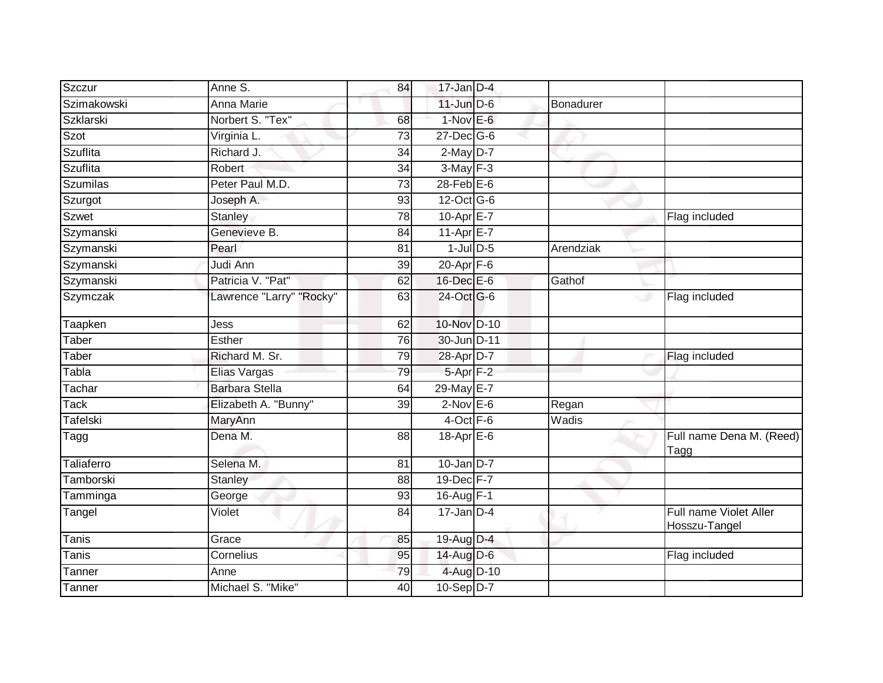| Szczur             | Anne S.                  | 84              | $17$ -Jan D-4    |           |                                         |
|--------------------|--------------------------|-----------------|------------------|-----------|-----------------------------------------|
| Szimakowski        | <b>Anna Marie</b>        |                 | $11$ -Jun $D-6$  | Bonadurer |                                         |
| <b>Szklarski</b>   | Norbert S. "Tex"         | 68              | $1-Nov$ E-6      |           |                                         |
| Szot               | Virginia L.              | 73              | $27$ -Dec $G$ -6 |           |                                         |
| <b>Szuflita</b>    | Richard J.               | 34              | $2$ -May $D-7$   |           |                                         |
| Szuflita           | Robert                   | 34              | $3-May$ F-3      |           |                                         |
| <b>Szumilas</b>    | Peter Paul M.D.          | 73              | $28$ -Feb $E$ -6 |           |                                         |
| Szurgot            | Joseph A.                | 93              | 12-Oct G-6       |           |                                         |
| <b>Szwet</b>       | <b>Stanley</b>           | 78              | 10-Apr E-7       |           | Flag included                           |
| Szymanski          | Genevieve B.             | 84              | 11-Apr E-7       |           |                                         |
| Szymanski          | Pearl                    | 81              | $1$ -Jul $D$ -5  | Arendziak |                                         |
| Szymanski          | Judi Ann                 | 39              | $20 - Apr$ F-6   |           |                                         |
| Szymanski          | Patricia V. "Pat"        | 62              | $16$ -Dec $E$ -6 | Gathof    |                                         |
| Szymczak           | Lawrence "Larry" "Rocky" | 63              | 24-Oct G-6       |           | Flag included<br>پ                      |
| Taapken            | Jess                     | 62              | 10-Nov D-10      |           |                                         |
| Taber              | Esther                   | 76              | 30-Jun D-11      |           |                                         |
| Taber              | Richard M. Sr.           | 79              | 28-Apr D-7       |           | Flag included                           |
| Tabla              | Elias Vargas             | 79              | $5-Apr$ F-2      |           |                                         |
| Tachar             | <b>Barbara Stella</b>    | 64              | 29-May E-7       |           |                                         |
| Tack               | Elizabeth A. "Bunny"     | $\overline{39}$ | $2-Nov$ E-6      | Regan     |                                         |
| Tafelski           | MaryAnn                  |                 | 4-Oct F-6        | Wadis     |                                         |
| Tagg               | Dena M.                  | 88              | 18-Apr E-6       |           | Full name Dena M. (Reed)<br>Tagg        |
| Taliaferro         | Selena M.                | 81              | $10$ -Jan $D-7$  |           |                                         |
| Tamborski          | <b>Stanley</b>           | 88              | 19-Dec F-7       |           |                                         |
| Tamminga           | George                   | 93              | 16-Aug F-1       |           |                                         |
| Tangel             | Violet                   | 84              | $17$ -Jan $D-4$  |           | Full name Violet Aller<br>Hosszu-Tangel |
| <b>Tanis</b>       | Grace                    | 85              | 19-Aug D-4       |           |                                         |
| Tanis <sup>®</sup> | Cornelius                | 95              | 14-Aug D-6       |           | Flag included                           |
| Tanner             | Anne                     | 79              | 4-Aug D-10       |           |                                         |
| Tanner             | Michael S. "Mike"        | $\overline{40}$ | $10-Sep$ D-7     |           |                                         |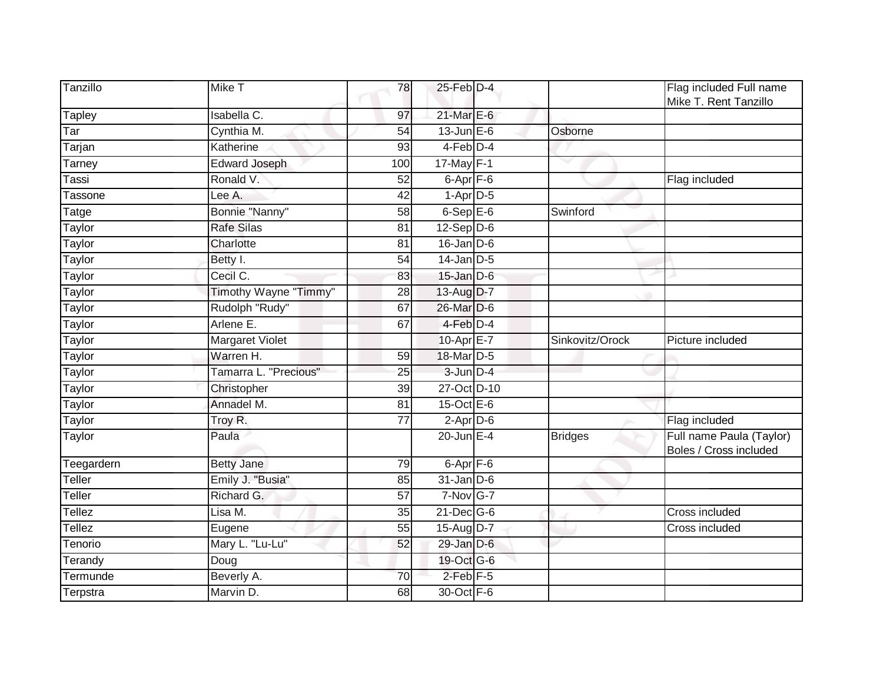| Tanzillo                  | Mike T                | 78              | $25$ -Feb $D-4$        |                 | Flag included Full name<br>Mike T. Rent Tanzillo   |
|---------------------------|-----------------------|-----------------|------------------------|-----------------|----------------------------------------------------|
| <b>Tapley</b>             | Isabella C.           | 97              | 21-Mar E-6             |                 |                                                    |
| $\overline{\mathsf{Tar}}$ | Cynthia M.            | 54              | $13$ -Jun $E-6$        | Osborne         |                                                    |
| Tarjan                    | Katherine             | 93              | 4-Feb D-4              |                 |                                                    |
| Tarney                    | <b>Edward Joseph</b>  | 100             | $17$ -May $F-1$        | ▽               |                                                    |
| Tassi                     | Ronald V.             | 52              | $6$ -Apr $F$ -6        |                 | Flag included                                      |
| Tassone                   | Lee A.                | 42              | $1-Apr$ D-5            |                 |                                                    |
| Tatge                     | Bonnie "Nanny"        | 58              | $6-$ Sep $E-6$         | Swinford        |                                                    |
| Taylor                    | <b>Rafe Silas</b>     | 81              | $12-Sep\overline{D-6}$ |                 |                                                    |
| Taylor                    | Charlotte             | 81              | $16$ -Jan $D-6$        |                 |                                                    |
| Taylor                    | Betty I.              | 54              | $14$ -Jan D-5          |                 |                                                    |
| Taylor                    | Cecil C.              | 83              | $15$ -Jan $D-6$        |                 |                                                    |
| Taylor                    | Timothy Wayne "Timmy" | 28              | 13-Aug D-7             |                 |                                                    |
| <b>Taylor</b>             | Rudolph "Rudy"        | 67              | 26-Mar D-6             |                 |                                                    |
| Taylor                    | Arlene E.             | 67              | 4-Feb D-4              |                 |                                                    |
| Taylor                    | Margaret Violet       |                 | 10-Apr E-7             | Sinkovitz/Orock | Picture included                                   |
| Taylor                    | Warren H.             | 59              | 18-Mar D-5             |                 |                                                    |
| Taylor                    | Tamarra L. "Precious" | 25              | $3 - Jun$ $D-4$        |                 |                                                    |
| Taylor                    | Christopher           | 39              | 27-Oct D-10            |                 |                                                    |
| Taylor                    | Annadel M.            | $\overline{81}$ | 15-Oct $E-6$           |                 |                                                    |
| Taylor                    | Troy R.               | $\overline{77}$ | $2-Apr\overline{D-6}$  |                 | Flag included                                      |
| Taylor                    | Paula                 |                 | $20$ -Jun $E-4$        | <b>Bridges</b>  | Full name Paula (Taylor)<br>Boles / Cross included |
| Teegardern                | <b>Betty Jane</b>     | 79              | $6-Apr$ $F-6$          |                 |                                                    |
| Teller                    | Emily J. "Busia"      | 85              | $31$ -Jan $D-6$        |                 |                                                    |
| Teller                    | Richard G.            | 57              | $7-Nov$ G-7            |                 |                                                    |
| Tellez                    | Lisa M.               | 35              | $21$ -Dec $G-6$        |                 | Cross included                                     |
| Tellez                    | Eugene                | 55              | $15-AugD-7$            |                 | Cross included                                     |
| Tenorio                   | Mary L. "Lu-Lu"       | 52              | 29-Jan D-6             |                 |                                                    |
| Terandy                   | Doug                  |                 | 19-Oct G-6             |                 |                                                    |
| Termunde                  | Beverly A.            | 70              | $2$ -Feb $F-5$         |                 |                                                    |
| Terpstra                  | Marvin D.             | 68              | 30-Oct F-6             |                 |                                                    |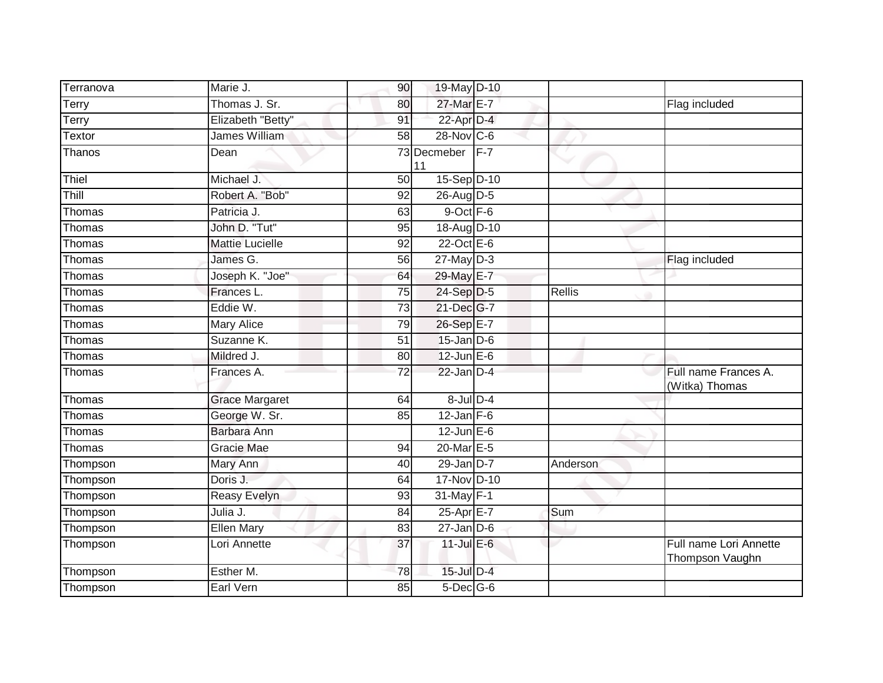| Terranova | Marie J.               | 90              | 19-May D-10             |       |               |                                           |
|-----------|------------------------|-----------------|-------------------------|-------|---------------|-------------------------------------------|
| Terry     | Thomas J. Sr.          | 80              | 27-Mar E-7              |       |               | Flag included                             |
| Terry     | Elizabeth "Betty"      | 91              | 22-Apr D-4              |       |               |                                           |
| Textor    | James William          | 58              | $28-Nov$ <sub>C-6</sub> |       |               |                                           |
| Thanos    | Dean                   |                 | 73 Decmeber<br>11       | $F-7$ |               |                                           |
| Thiel     | Michael J.             | $\overline{50}$ | 15-Sep D-10             |       |               |                                           |
| Thill     | Robert A. "Bob"        | 92              | 26-Aug D-5              |       |               |                                           |
| Thomas    | Patricia J.            | 63              | 9-Oct F-6               |       |               |                                           |
| Thomas    | John D. "Tut"          | 95              | 18-Aug D-10             |       |               |                                           |
| Thomas    | <b>Mattie Lucielle</b> | 92              | $22$ -Oct $E-6$         |       |               |                                           |
| Thomas    | James G.               | 56              | $27$ -May $D-3$         |       |               | Flag included                             |
| Thomas    | Joseph K. "Joe"        | 64              | 29-May E-7              |       |               |                                           |
| Thomas    | Frances L.             | $\overline{75}$ | 24-Sep D-5              |       | <b>Rellis</b> |                                           |
| Thomas    | Eddie W.               | 73              | 21-Dec G-7              |       |               |                                           |
| Thomas    | <b>Mary Alice</b>      | 79              | 26-Sep E-7              |       |               |                                           |
| Thomas    | Suzanne K.             | 51              | $15$ -Jan $D-6$         |       |               |                                           |
| Thomas    | Mildred J.             | 80              | 12-Jun E-6              |       |               |                                           |
| Thomas    | Frances A.             | 72              | $22$ -Jan $D-4$         |       |               | Full name Frances A.<br>(Witka) Thomas    |
| Thomas    | <b>Grace Margaret</b>  | 64              | $8$ -Jul $D-4$          |       |               |                                           |
| Thomas    | George W. Sr.          | 85              | $12$ -Jan $F-6$         |       |               |                                           |
| Thomas    | Barbara Ann            |                 | $12$ -Jun $E-6$         |       |               |                                           |
| Thomas    | Gracie Mae             | 94              | 20-Mar E-5              |       |               |                                           |
| Thompson  | Mary Ann               | 40              | $29$ -Jan $D-7$         |       | Anderson      |                                           |
| Thompson  | Doris J.               | 64              | 17-Nov D-10             |       |               |                                           |
| Thompson  | Reasy Evelyn           | $\overline{93}$ | 31-May F-1              |       |               |                                           |
| Thompson  | Julia J.               | 84              | 25-Apr E-7              |       | Sum           |                                           |
| Thompson  | <b>Ellen Mary</b>      | 83              | $27$ -Jan D-6           |       |               |                                           |
| Thompson  | Lori Annette           | 37              | $11$ -Jul E-6           |       |               | Full name Lori Annette<br>Thompson Vaughn |
| Thompson  | Esther M.              | 78              | 15-Jul D-4              |       |               |                                           |
| Thompson  | Earl Vern              | 85              | $5$ -Dec $G$ -6         |       |               |                                           |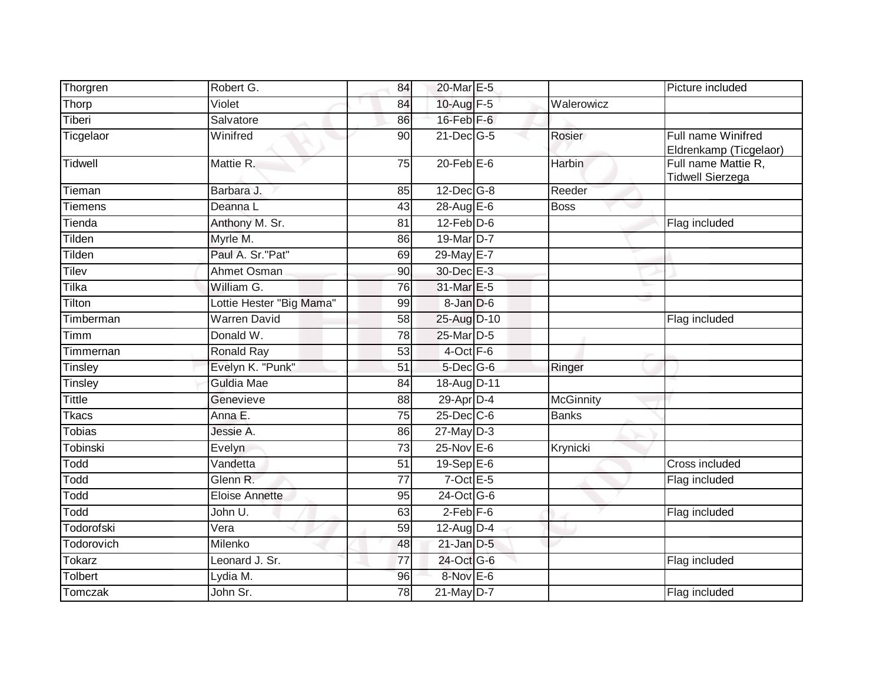| Thorgren       | Robert G.                | 84 | 20-Mar E-5        |                  | Picture included                               |
|----------------|--------------------------|----|-------------------|------------------|------------------------------------------------|
| Thorp          | Violet                   | 84 | 10-Aug F-5        | Walerowicz       |                                                |
| Tiberi         | Salvatore                | 86 | $16$ -Feb $F-6$   |                  |                                                |
| Ticgelaor      | Winifred                 | 90 | $21$ -Dec $ G-5 $ | Rosier           | Full name Winifred<br>Eldrenkamp (Ticgelaor)   |
| Tidwell        | Mattie R.                | 75 | $20$ -Feb $E-6$   | Harbin           | Full name Mattie R,<br><b>Tidwell Sierzega</b> |
| Tieman         | Barbara J.               | 85 | $12$ -Dec $G-8$   | Reeder           |                                                |
| <b>Tiemens</b> | Deanna L                 | 43 | 28-Aug E-6        | <b>Boss</b>      |                                                |
| Tienda         | Anthony M. Sr.           | 81 | $12$ -Feb $D-6$   |                  | Flag included                                  |
| Tilden         | Myrle M.                 | 86 | 19-Mar D-7        |                  |                                                |
| Tilden         | Paul A. Sr."Pat"         | 69 | 29-May E-7        |                  |                                                |
| Tilev          | Ahmet Osman              | 90 | 30-Dec E-3        |                  |                                                |
| <b>Tilka</b>   | William G.               | 76 | 31-Mar E-5        |                  |                                                |
| Tilton         | Lottie Hester "Big Mama" | 99 | 8-Jan D-6         |                  |                                                |
| Timberman      | <b>Warren David</b>      | 58 | 25-Aug D-10       |                  | Flag included                                  |
| Timm           | Donald W.                | 78 | 25-Mar D-5        |                  |                                                |
| Timmernan      | Ronald Ray               | 53 | $4$ -Oct $F-6$    |                  |                                                |
| <b>Tinsley</b> | Evelyn K. "Punk"         | 51 | $5$ -Dec $G$ -6   | Ringer           |                                                |
| Tinsley        | Guldia Mae               | 84 | 18-Aug D-11       |                  |                                                |
| Tittle         | Genevieve                | 88 | 29-Apr D-4        | <b>McGinnity</b> |                                                |
| <b>Tkacs</b>   | Anna E.                  | 75 | 25-Dec C-6        | <b>Banks</b>     |                                                |
| Tobias         | Jessie A.                | 86 | $27$ -May $D-3$   |                  |                                                |
| Tobinski       | Evelyn                   | 73 | 25-Nov E-6        | Krynicki         |                                                |
| Todd           | Vandetta                 | 51 | 19-Sep E-6        |                  | Cross included                                 |
| Todd           | Glenn R.                 | 77 | $7$ -Oct $E$ -5   |                  | Flag included                                  |
| Todd           | <b>Eloise Annette</b>    | 95 | 24-Oct G-6        |                  |                                                |
| Todd           | John U.                  | 63 | $2-Feb$ $F-6$     |                  | Flag included                                  |
| Todorofski     | Vera                     | 59 | 12-Aug D-4        |                  |                                                |
| Todorovich     | Milenko                  | 48 | $21$ -Jan $D-5$   |                  |                                                |
| <b>Tokarz</b>  | Leonard J. Sr.           | 77 | 24-Oct G-6        |                  | Flag included                                  |
| Tolbert        | Lydia M.                 | 96 | 8-Nov E-6         |                  |                                                |
| Tomczak        | John Sr.                 | 78 | $21$ -May D-7     |                  | Flag included                                  |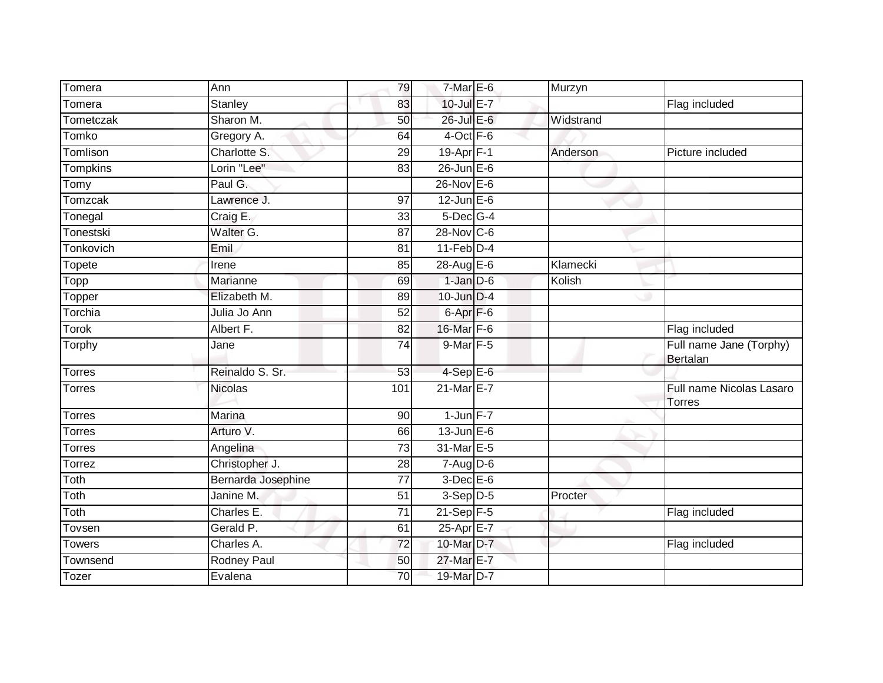| Tomera        | Ann                | 79              | $7-MarE-6$        | Murzyn    |                                                  |
|---------------|--------------------|-----------------|-------------------|-----------|--------------------------------------------------|
| Tomera        | <b>Stanley</b>     | 83              | $10$ -Jul $E - 7$ |           | Flag included                                    |
| Tometczak     | Sharon M.          | 50              | 26-Jul E-6        | Widstrand |                                                  |
| Tomko         | Gregory A.         | 64              | 4-Oct F-6         |           |                                                  |
| Tomlison      | Charlotte S.       | $\overline{29}$ | 19-Apr F-1        | Anderson  | Picture included                                 |
| Tompkins      | Lorin "Lee"        | 83              | $26$ -Jun $E$ -6  |           |                                                  |
| Tomy          | Paul G.            |                 | $26$ -Nov $E-6$   |           |                                                  |
| Tomzcak       | Lawrence J.        | 97              | $12$ -Jun $E-6$   |           |                                                  |
| Tonegal       | Craig E.           | 33              | $5$ -Dec $G-4$    |           |                                                  |
| Tonestski     | Walter G.          | $\overline{87}$ | 28-Nov C-6        |           |                                                  |
| Tonkovich     | Emil               | 81              | $11$ -Feb $D-4$   |           |                                                  |
| Topete        | Irene              | 85              | 28-Aug E-6        | Klamecki  |                                                  |
| Topp          | Marianne           | 69              | $1$ -Jan $D-6$    | Kolish    |                                                  |
| Topper        | Elizabeth M.       | 89              | 10-Jun D-4        |           |                                                  |
| Torchia       | Julia Jo Ann       | 52              | $6 -$ Apr $F - 6$ |           |                                                  |
| <b>Torok</b>  | Albert F.          | 82              | 16-Mar F-6        |           | Flag included                                    |
| Torphy        | Jane               | 74              | 9-Mar F-5         |           | Full name Jane (Torphy)<br>Bertalan              |
| Torres        | Reinaldo S. Sr.    | 53              | $4-Sep$ E-6       |           |                                                  |
| <b>Torres</b> | <b>Nicolas</b>     | 101             | $21$ -Mar $E - 7$ |           | <b>Full name Nicolas Lasaro</b><br><b>Torres</b> |
| <b>Torres</b> | Marina             | 90              | $1$ -Jun $F-7$    |           |                                                  |
| <b>Torres</b> | Arturo V.          | 66              | $13$ -Jun $E - 6$ |           |                                                  |
| <b>Torres</b> | Angelina           | 73              | 31-Mar E-5        |           |                                                  |
| Torrez        | Christopher J.     | 28              | $7-Aug$ $D-6$     |           |                                                  |
| Toth          | Bernarda Josephine | $\overline{77}$ | $3$ -Dec $E$ -6   |           |                                                  |
| Toth          | Janine M.          | 51              | $3-Sep$ $D-5$     | Procter   |                                                  |
| Toth          | Charles E.         | 71              | $21$ -Sep $F-5$   |           | Flag included                                    |
| Tovsen        | Gerald P.          | 61              | 25-Apr E-7        |           |                                                  |
| <b>Towers</b> | Charles A.         | $\overline{72}$ | 10-Mar D-7        |           | Flag included                                    |
| Townsend      | Rodney Paul        | 50              | 27-Mar E-7        |           |                                                  |
| Tozer         | Evalena            | $\overline{70}$ | 19-Mar D-7        |           |                                                  |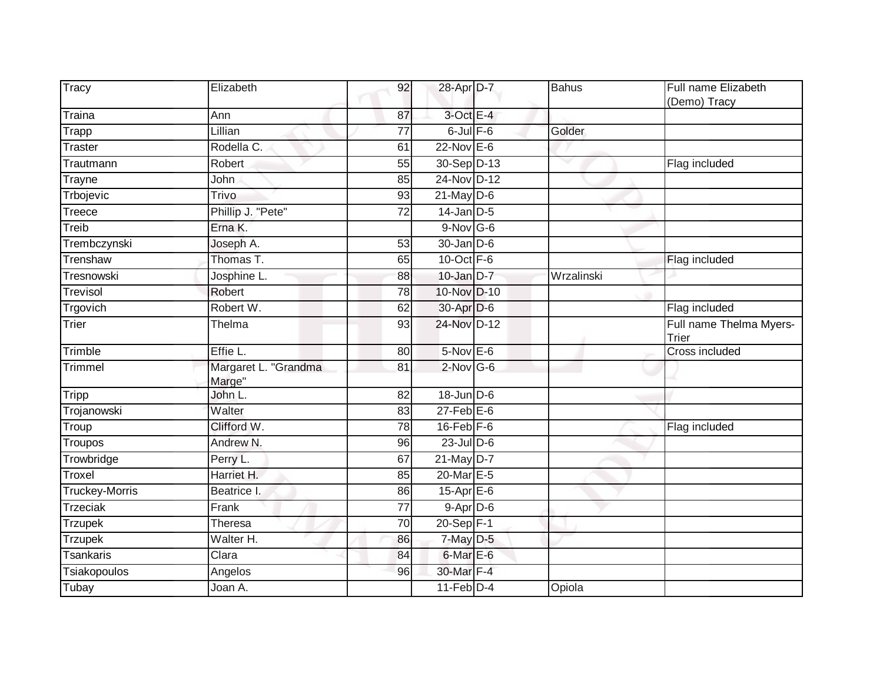| <b>Tracy</b>          | Elizabeth                      | 92              | 28-Apr D-7       | Bahus      | Full name Elizabeth<br>(Demo) Tracy |
|-----------------------|--------------------------------|-----------------|------------------|------------|-------------------------------------|
| Traina                | Ann                            | 87              | $3$ -Oct E-4     |            |                                     |
| <b>Trapp</b>          | Lillian                        | 77              | $6$ -Jul $F$ -6  | Golder     |                                     |
| <b>Traster</b>        | Rodella C.                     | 61              | $22$ -Nov $E-6$  |            |                                     |
| Trautmann             | Robert                         | 55              | 30-Sep D-13      | w          | Flag included                       |
| Trayne                | John                           | 85              | 24-Nov D-12      |            |                                     |
| Trbojevic             | Trivo                          | 93              | $21$ -May $D-6$  |            |                                     |
| Treece                | Phillip J. "Pete"              | 72              | $14$ -Jan $D-5$  |            |                                     |
| Treib                 | Erna K.                        |                 | $9-Nov$ G-6      |            |                                     |
| Trembczynski          | Joseph A.                      | 53              | $30 - Jan$ $D-6$ |            |                                     |
| Trenshaw              | Thomas T.                      | 65              | 10-Oct $F-6$     |            | Flag included                       |
| Tresnowski            | Josphine L.                    | 88              | $10$ -Jan $D-7$  | Wrzalinski |                                     |
| Trevisol              | <b>Robert</b>                  | $\overline{78}$ | 10-Nov D-10      |            |                                     |
| Trgovich              | Robert W.                      | 62              | 30-Apr D-6       |            | Flag included                       |
| Trier                 | Thelma                         | 93              | 24-Nov D-12      |            | Full name Thelma Myers-<br>Trier    |
| Trimble               | Effie L.                       | 80              | $5-Nov$ E-6      |            | <b>Cross included</b>               |
| <b>Trimmel</b>        | Margaret L. "Grandma<br>Marge" | 81              | $2$ -Nov G-6     |            |                                     |
| <b>Tripp</b>          | John L.                        | $\overline{82}$ | $18$ -Jun $D-6$  |            |                                     |
| Trojanowski           | Walter                         | 83              | $27$ -Feb $E$ -6 |            |                                     |
| Troup                 | Clifford W.                    | 78              | $16$ -Feb $F$ -6 |            | Flag included                       |
| Troupos               | Andrew N.                      | 96              | $23$ -Jul $D-6$  |            |                                     |
| Trowbridge            | Perry L.                       | 67              | 21-May D-7       |            |                                     |
| Troxel                | Harriet H.                     | 85              | 20-Mar E-5       |            |                                     |
| <b>Truckey-Morris</b> | Beatrice I.                    | 86              | 15-Apr E-6       |            |                                     |
| <b>Trzeciak</b>       | Frank                          | $\overline{77}$ | $9 - Apr$ $D-6$  |            |                                     |
| <b>Trzupek</b>        | Theresa                        | 70              | $20-Sep$ F-1     |            |                                     |
| <b>Trzupek</b>        | Walter H.                      | 86              | $7$ -May $D-5$   |            |                                     |
| <b>Tsankaris</b>      | Clara                          | 84              | 6-Mar E-6        |            |                                     |
| Tsiakopoulos          | Angelos                        | 96              | 30-Mar F-4       |            |                                     |
| Tubay                 | Joan A.                        |                 | $11$ -Feb $D-4$  | Opiola     |                                     |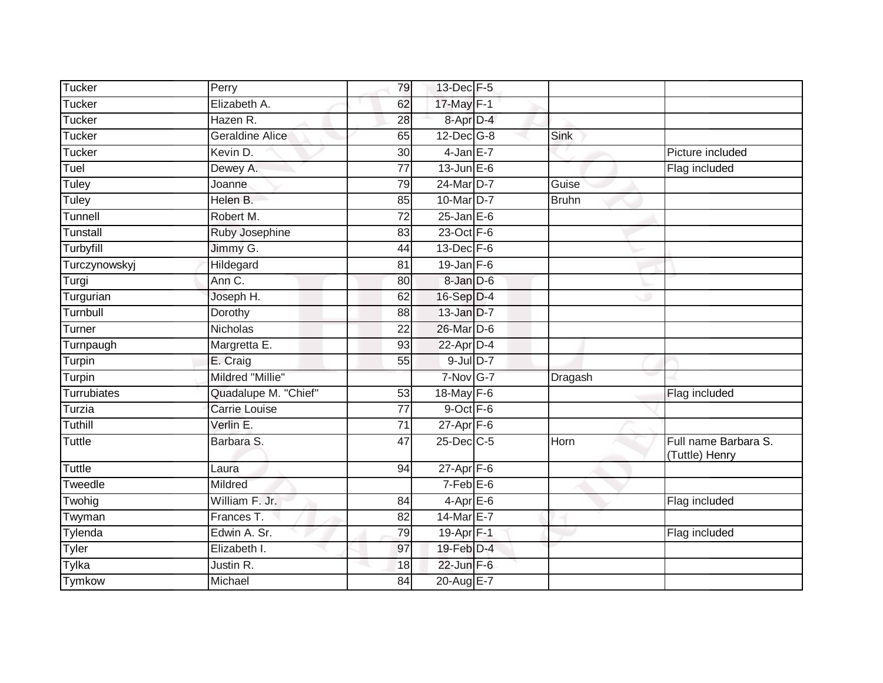| <b>Tucker</b>      | Perry                  | 79              | 13-Dec F-5                |              |                                        |
|--------------------|------------------------|-----------------|---------------------------|--------------|----------------------------------------|
| Tucker             | Elizabeth A.           | 62              | 17-May F-1                |              |                                        |
| Tucker             | Hazen R.               | 28              | 8-Apr D-4                 |              |                                        |
| Tucker             | <b>Geraldine Alice</b> | 65              | $12$ -Dec $G-8$           | <b>Sink</b>  |                                        |
| Tucker             | Kevin D.               | 30              | $4$ -Jan E-7              |              | Picture included                       |
| Tuel               | Dewey A.               | $\overline{77}$ | $13$ -Jun $E-6$           |              | Flag included                          |
| Tuley              | Joanne                 | 79              | 24-Mar D-7                | Guise        |                                        |
| Tuley              | Helen B.               | 85              | 10-Mar D-7                | <b>Bruhn</b> |                                        |
| Tunnell            | Robert M.              | 72              | $25$ -Jan $E$ -6          |              |                                        |
| <b>Tunstall</b>    | Ruby Josephine         | $\overline{83}$ | $23$ -Oct $F-6$           |              |                                        |
| Turbyfill          | Jimmy G.               | 44              | $13$ -Dec $F-6$           |              |                                        |
| Turczynowskyj      | Hildegard              | 81              | $19$ -Jan $F-6$           |              |                                        |
| Turgi              | Ann C.                 | 80              | $8 - Jan$ $D-6$           |              |                                        |
| Turgurian          | Joseph H.              | 62              | 16-Sep D-4                |              |                                        |
| Turnbull           | Dorothy                | 88              | $13$ -Jan $D-7$           |              |                                        |
| Turner             | <b>Nicholas</b>        | 22              | 26-Mar D-6                |              |                                        |
| Turnpaugh          | Margretta E.           | 93              | $22$ -Apr $D-4$           |              |                                        |
| Turpin             | E. Craig               | 55              | $9$ -Jul $D-7$            |              |                                        |
| Turpin             | Mildred "Millie"       |                 | 7-Nov G-7                 | Dragash      |                                        |
| <b>Turrubiates</b> | Quadalupe M. "Chief"   | $\overline{53}$ | 18-May F-6                |              | Flag included                          |
| Turzia             | <b>Carrie Louise</b>   | 77              | $9$ -Oct $F - 6$          |              |                                        |
| Tuthill            | Verlin E.              | $\overline{71}$ | $27$ -Apr $F-6$           |              |                                        |
| <b>Tuttle</b>      | Barbara S.             | 47              | 25-Dec C-5                | Horn         | Full name Barbara S.<br>(Tuttle) Henry |
| <b>Tuttle</b>      | Laura                  | 94              | $27 - \overline{Apr}$ F-6 |              |                                        |
| Tweedle            | Mildred                |                 | $7-Feb$ $E-6$             |              |                                        |
| Twohig             | William F. Jr.         | 84              | $4$ -Apr $E$ -6           |              | Flag included                          |
| Twyman             | Frances T.             | 82              | 14-Mar E-7                |              |                                        |
| Tylenda            | Edwin A. Sr.           | 79              | 19-Apr F-1                |              | Flag included                          |
| Tyler              | Elizabeth I.           | 97              | 19-Feb D-4                |              |                                        |
| Tylka              | Justin R.              | 18              | $22$ -Jun $F-6$           |              |                                        |
| <b>Tymkow</b>      | Michael                | 84              | 20-Aug E-7                |              |                                        |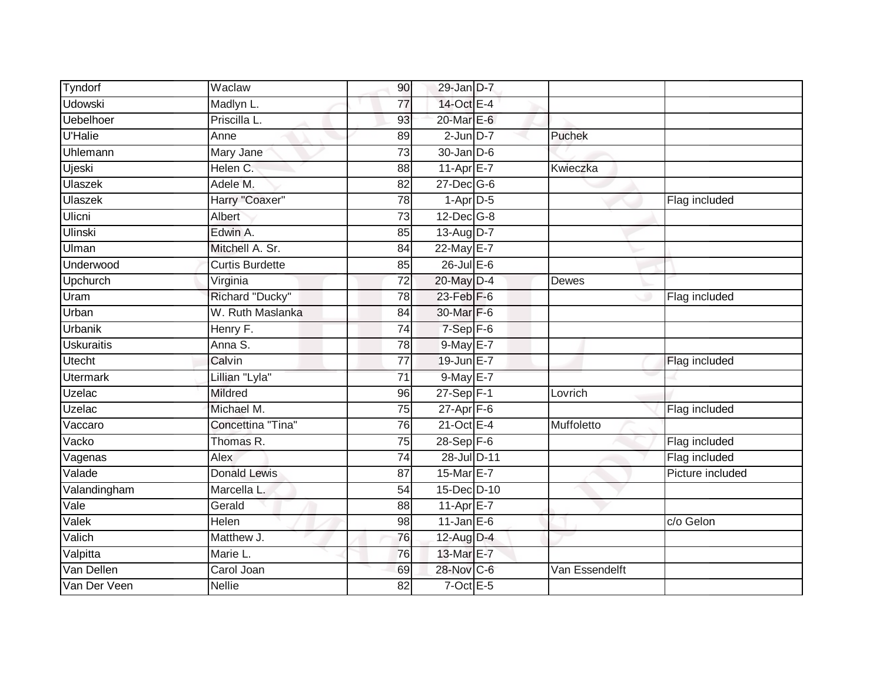| Tyndorf           | Waclaw                 | 90              | 29-Jan D-7       |                |                  |
|-------------------|------------------------|-----------------|------------------|----------------|------------------|
| <b>Udowski</b>    | Madlyn L.              | $\overline{77}$ | 14-Oct E-4       |                |                  |
| <b>Uebelhoer</b>  | Priscilla L.           | 93              | 20-Mar E-6       |                |                  |
| <b>U'Halie</b>    | Anne                   | 89              | $2$ -Jun $D-7$   | Puchek         |                  |
| Uhlemann          | Mary Jane              | 73              | 30-Jan D-6       |                |                  |
| Ujeski            | Helen C.               | 88              | 11-Apr E-7       | Kwieczka       |                  |
| Ulaszek           | Adele M.               | 82              | $27 - Dec$ G-6   |                |                  |
| Ulaszek           | Harry "Coaxer"         | 78              | $1-Apr$ D-5      |                | Flag included    |
| Ulicni            | Albert                 | $\overline{73}$ | $12$ -Dec $G-8$  |                |                  |
| <b>Ulinski</b>    | Edwin A.               | 85              | 13-Aug D-7       |                |                  |
| Ulman             | Mitchell A. Sr.        | 84              | $22$ -May E-7    |                |                  |
| Underwood         | <b>Curtis Burdette</b> | 85              | $26$ -Jul $E-6$  |                |                  |
| Upchurch          | Virginia               | $\overline{72}$ | 20-May D-4       | <b>Dewes</b>   |                  |
| Uram              | Richard "Ducky"        | 78              | 23-Feb F-6       |                | Flag included    |
| Urban             | W. Ruth Maslanka       | $\overline{84}$ | 30-Mar F-6       |                |                  |
| <b>Urbanik</b>    | Henry F.               | 74              | $7-Sep$ F-6      |                |                  |
| <b>Uskuraitis</b> | Anna S.                | 78              | 9-May E-7        |                |                  |
| <b>Utecht</b>     | Calvin                 | 77              | 19-Jun E-7       |                | Flag included    |
| <b>Utermark</b>   | Lillian "Lyla"         | 71              | 9-May E-7        |                |                  |
| Uzelac            | <b>Mildred</b>         | 96              | $27-Sep$ F-1     | Lovrich        |                  |
| Uzelac            | Michael M.             | 75              | $27$ -Apr $F$ -6 |                | Flag included    |
| Vaccaro           | Concettina "Tina"      | 76              | 21-Oct E-4       | Muffoletto     |                  |
| Vacko             | Thomas R.              | 75              | $28-Sep$ F-6     |                | Flag included    |
| Vagenas           | Alex                   | $\overline{74}$ | 28-Jul D-11      |                | Flag included    |
| Valade            | <b>Donald Lewis</b>    | 87              | 15-Mar E-7       |                | Picture included |
| Valandingham      | Marcella L.            | 54              | 15-Dec D-10      |                |                  |
| Vale              | Gerald                 | 88              | $11-Apr$ $E-7$   |                |                  |
| Valek             | <b>Helen</b>           | 98              | $11$ -Jan $E-6$  |                | c/o Gelon        |
| Valich            | Matthew J.             | 76              | 12-Aug D-4       |                |                  |
| Valpitta          | Marie L.               | 76              | 13-Mar E-7       |                |                  |
| Van Dellen        | Carol Joan             | 69              | 28-Nov C-6       | Van Essendelft |                  |
| Van Der Veen      | <b>Nellie</b>          | 82              | $7$ -Oct $E - 5$ |                |                  |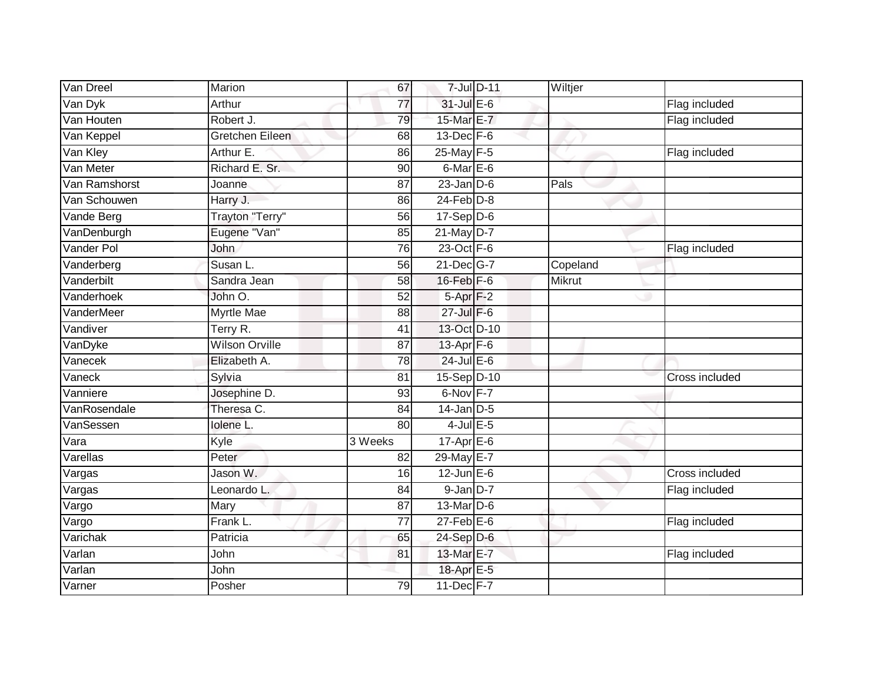| Van Dreel         | Marion                | 67              |                      | 7-Jul D-11 | Wiltjer  |                |
|-------------------|-----------------------|-----------------|----------------------|------------|----------|----------------|
| Van Dyk           | Arthur                | 77              | $31$ -Jul $E-6$      |            |          | Flag included  |
| Van Houten        | Robert J.             | 79              | 15-Mar E-7           |            |          | Flag included  |
| Van Keppel        | Gretchen Eileen       | 68              | $13$ -Dec $F-6$      |            |          |                |
| Van Kley          | Arthur E.             | 86              | 25-May F-5           |            |          | Flag included  |
| Van Meter         | Richard E. Sr.        | 90              | $6$ -Mar $E$ -6      |            |          |                |
| Van Ramshorst     | Joanne                | 87              | $23$ -Jan $D-6$      |            | Pals     |                |
| Van Schouwen      | Harry J.              | 86              | $24$ -Feb $D-8$      |            |          |                |
| Vande Berg        | Trayton "Terry"       | 56              | $17-Sep$ D-6         |            |          |                |
| VanDenburgh       | Eugene "Van"          | 85              | $21$ -May D-7        |            |          |                |
| Vander Pol        | John                  | 76              | 23-Oct F-6           |            |          | Flag included  |
| Vanderberg        | Susan L.              | 56              | 21-Dec G-7           |            | Copeland |                |
| Vanderbilt        | Sandra Jean           | 58              | $16$ -Feb $F-6$      |            | Mikrut   |                |
| Vanderhoek        | John O.               | 52              | 5-Apr <sub>F-2</sub> |            |          |                |
| <b>VanderMeer</b> | <b>Myrtle Mae</b>     | 88              | 27-Jul F-6           |            |          |                |
| Vandiver          | Terry R.              | 41              | 13-Oct D-10          |            |          |                |
| VanDyke           | <b>Wilson Orville</b> | $\overline{87}$ | 13-Apr F-6           |            |          |                |
| Vanecek           | Elizabeth A.          | 78              | $24$ -Jul $E-6$      |            |          |                |
| Vaneck            | Sylvia                | 81              | 15-Sep D-10          |            |          | Cross included |
| Vanniere          | Josephine D.          | 93              | 6-Nov F-7            |            |          |                |
| VanRosendale      | Theresa C.            | 84              | $14$ -Jan D-5        |            |          |                |
| VanSessen         | Iolene L.             | 80              | $4$ -Jul $E$ -5      |            |          |                |
| Vara              | Kyle                  | 3 Weeks         | $17-Apr$ $E-6$       |            |          |                |
| Varellas          | Peter                 | 82              | 29-May E-7           |            |          |                |
| Vargas            | Jason W.              | 16              | $12$ -Jun $E-6$      |            |          | Cross included |
| Vargas            | Leonardo L.           | 84              | $9$ -Jan $D-7$       |            |          | Flag included  |
| Vargo             | Mary                  | 87              | 13-Mar D-6           |            |          |                |
| Vargo             | Frank L.              | $\overline{77}$ | $27$ -Feb $E$ -6     |            |          | Flag included  |
| Varichak          | Patricia              | 65              | 24-Sep D-6           |            |          |                |
| Varlan            | John                  | 81              | 13-Mar E-7           |            |          | Flag included  |
| Varlan            | John                  |                 | 18-Apr E-5           |            |          |                |
| Varner            | Posher                | 79              | 11-Dec F-7           |            |          |                |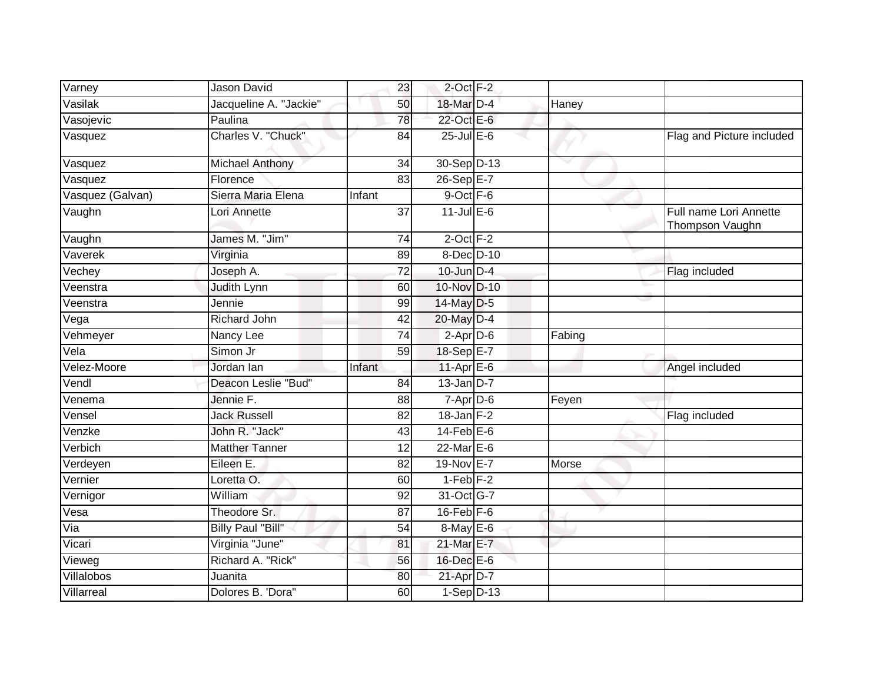| Varney                  | <b>Jason David</b>       | 23              | $2$ -Oct $F-2$   |        |                                           |
|-------------------------|--------------------------|-----------------|------------------|--------|-------------------------------------------|
| Vasilak                 | Jacqueline A. "Jackie"   | 50              | 18-Mar D-4       | Haney  |                                           |
| Vasojevic               | Paulina                  | 78              | 22-Oct E-6       |        |                                           |
| Vasquez                 | Charles V. "Chuck"       | 84              | $25$ -Jul $E$ -6 |        | Flag and Picture included                 |
| Vasquez                 | <b>Michael Anthony</b>   | 34              | 30-Sep D-13      |        |                                           |
| Vasquez                 | Florence                 | 83              | 26-Sep E-7       |        |                                           |
| Vasquez (Galvan)        | Sierra Maria Elena       | Infant          | 9-Oct F-6        |        |                                           |
| Vaughn                  | Lori Annette             | $\overline{37}$ | $11$ -Jul E-6    |        | Full name Lori Annette<br>Thompson Vaughn |
| Vaughn                  | James M. "Jim"           | 74              | $2$ -Oct $F-2$   |        |                                           |
| Vaverek                 | Virginia                 | 89              | 8-Dec D-10       |        |                                           |
| Vechey                  | Joseph A.                | 72              | $10$ -Jun $D-4$  |        | Flag included                             |
| Veenstra                | Judith Lynn              | 60              | 10-Nov D-10      |        |                                           |
| Veenstra                | Jennie                   | 99              | 14-May D-5       |        |                                           |
| Vega                    | <b>Richard John</b>      | 42              | 20-May D-4       |        |                                           |
| Vehmeyer                | Nancy Lee                | 74              | $2$ -Apr $D-6$   | Fabing |                                           |
| Vela                    | Simon Jr                 | 59              | 18-Sep E-7       |        |                                           |
| Velez-Moore             | Jordan lan               | Infant          | 11-Apr $E-6$     |        | Angel included                            |
| Vendl                   | Deacon Leslie "Bud"      | 84              | $13$ -Jan D-7    |        |                                           |
| Venema                  | Jennie F.                | 88              | $7 - Apr$ $D-6$  | Feyen  |                                           |
| Vensel                  | <b>Jack Russell</b>      | 82              | $18$ -Jan $F-2$  |        | Flag included                             |
| Venzke                  | John R. "Jack"           | 43              | $14$ -Feb $E$ -6 |        |                                           |
| Verbich                 | <b>Matther Tanner</b>    | 12              | 22-Mar E-6       |        |                                           |
| Verdeyen                | Eileen E.                | 82              | 19-Nov E-7       | Morse  |                                           |
| Vernier                 | Loretta O.               | 60              | $1-Feb$ $F-2$    |        |                                           |
| Vernigor                | William                  | 92              | 31-Oct G-7       |        |                                           |
| Vesa                    | Theodore Sr.             | 87              | $16$ -Feb $F-6$  |        |                                           |
| $\overline{\text{Via}}$ | <b>Billy Paul "Bill"</b> | 54              | 8-May E-6        |        |                                           |
| Vicari                  | Virginia "June"          | 81              | 21-Mar E-7       |        |                                           |
| Vieweg                  | Richard A. "Rick"        | 56              | 16-Dec E-6       |        |                                           |
| Villalobos              | Juanita                  | 80              | $21$ -Apr $D-7$  |        |                                           |
| Villarreal              | Dolores B. 'Dora"        | 60              | $1-Sep$ D-13     |        |                                           |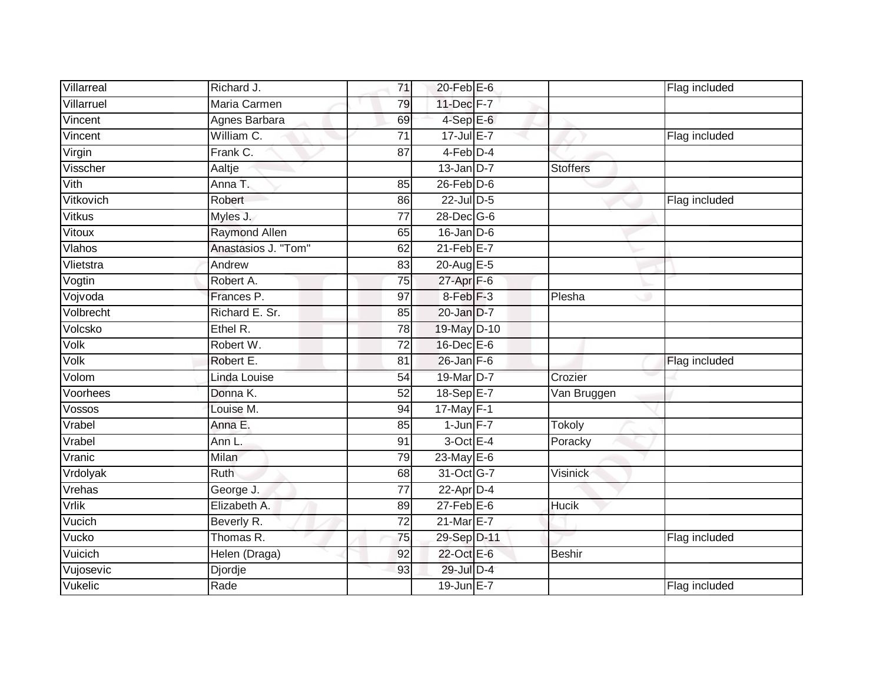| Villarreal | Richard J.           | 71              | $20$ -Feb $E$ -6     |                 | Flag included |
|------------|----------------------|-----------------|----------------------|-----------------|---------------|
| Villarruel | Maria Carmen         | 79              | 11-Dec F-7           |                 |               |
| Vincent    | Agnes Barbara        | 69              | $4-SepE-6$           |                 |               |
| Vincent    | William C.           | 71              | $17 -$ Jul E-7       |                 | Flag included |
| Virgin     | Frank C.             | $\overline{87}$ | 4-Feb <sup>D-4</sup> |                 |               |
| Visscher   | Aaltje               |                 | $13$ -Jan D-7        | <b>Stoffers</b> |               |
| Vith       | Anna T.              | 85              | $26$ -Feb $ D-6$     |                 |               |
| Vitkovich  | Robert               | 86              | 22-Jul D-5           |                 | Flag included |
| Vitkus     | Myles J.             | 77              | 28-Dec G-6           |                 |               |
| Vitoux     | <b>Raymond Allen</b> | 65              | $16$ -Jan D-6        |                 |               |
| Vlahos     | Anastasios J. "Tom"  | 62              | $21$ -Feb $E-7$      |                 |               |
| Vlietstra  | Andrew               | 83              | 20-Aug E-5           |                 |               |
| Vogtin     | Robert A.            | 75              | 27-Apr F-6           |                 |               |
| Vojvoda    | Frances P.           | 97              | $8-Feb$ $F-3$        | Plesha          |               |
| Volbrecht  | Richard E. Sr.       | 85              | 20-Jan D-7           |                 |               |
| Volcsko    | Ethel R.             | 78              | 19-May D-10          |                 |               |
| Volk       | Robert W.            | 72              | $16$ -Dec $E$ -6     |                 |               |
| Volk       | Robert E.            | 81              | $26$ -Jan $F-6$      |                 | Flag included |
| Volom      | Linda Louise         | 54              | 19-Mar D-7           | Crozier         |               |
| Voorhees   | Donna K.             | 52              | 18-Sep E-7           | Van Bruggen     |               |
| Vossos     | Louise M.            | 94              | $17$ -May F-1        |                 |               |
| Vrabel     | Anna E.              | 85              | $1$ -Jun $F-7$       | Tokoly          |               |
| Vrabel     | Ann L.               | 91              | $3$ -Oct E-4         | Poracky         |               |
| Vranic     | Milan                | 79              | 23-May E-6           |                 |               |
| Vrdolyak   | Ruth                 | 68              | 31-Oct G-7           | Visinick        |               |
| Vrehas     | George J.            | 77              | $22$ -Apr $D-4$      |                 |               |
| Vrlik      | Elizabeth A.         | 89              | $27$ -Feb $E$ -6     | Hucik           |               |
| Vucich     | Beverly R.           | 72              | 21-Mar E-7           |                 |               |
| Vucko      | Thomas R.            | 75              | 29-Sep D-11          |                 | Flag included |
| Vuicich    | Helen (Draga)        | 92              | 22-Oct E-6           | <b>Beshir</b>   |               |
| Vujosevic  | Djordje              | 93              | 29-Jul D-4           |                 |               |
| Vukelic    | Rade                 |                 | 19-Jun E-7           |                 | Flag included |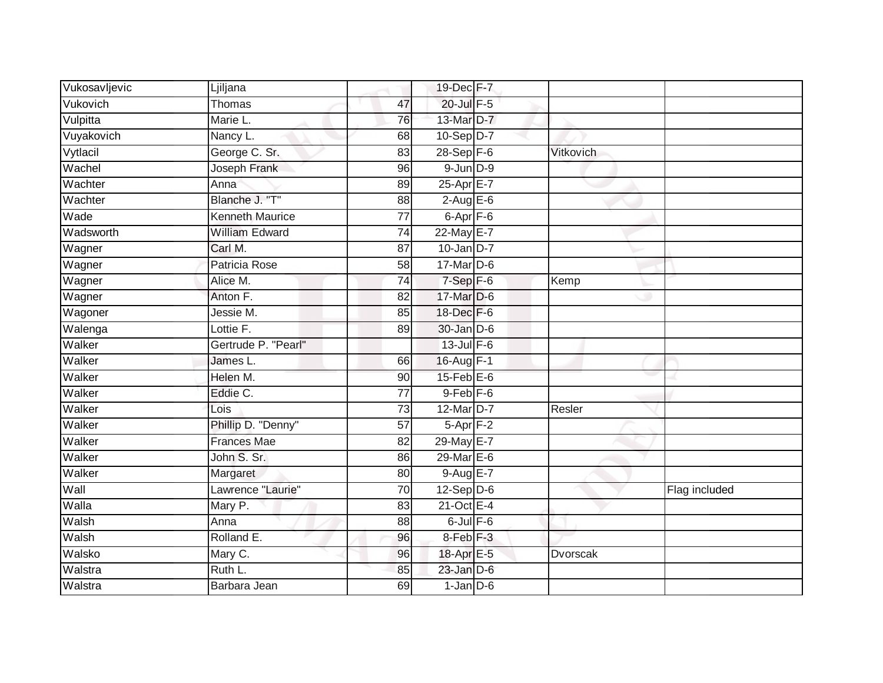| Vukosavljevic | Ljiljana               |                 | 19-Dec F-7           |                 |               |
|---------------|------------------------|-----------------|----------------------|-----------------|---------------|
| Vukovich      | Thomas                 | 47              | $20$ -Jul $F-5$      |                 |               |
| Vulpitta      | Marie L.               | 76              | 13-Mar D-7           |                 |               |
| Vuyakovich    | Nancy L.               | 68              | $10-Sep D-7$         |                 |               |
| Vytlacil      | George C. Sr.          | 83              | $28-Sep$ F-6         | Vitkovich       |               |
| Wachel        | Joseph Frank           | 96              | $9$ -Jun $D-9$       |                 |               |
| Wachter       | Anna                   | 89              | 25-Apr E-7           |                 |               |
| Wachter       | Blanche J. "T"         | 88              | $2$ -Aug E-6         |                 |               |
| Wade          | <b>Kenneth Maurice</b> | $\overline{77}$ | 6-Apr <sub>F-6</sub> |                 |               |
| Wadsworth     | <b>William Edward</b>  | 74              | 22-May E-7           |                 |               |
| Wagner        | Carl M.                | 87              | $10$ -Jan D-7        |                 |               |
| Wagner        | Patricia Rose          | 58              | 17-Mar D-6           |                 |               |
| Wagner        | Alice M.               | 74              | $7-Sep$ F-6          | Kemp            |               |
| Wagner        | Anton F.               | 82              | 17-Mar D-6           |                 |               |
| Wagoner       | Jessie M.              | 85              | 18-Dec F-6           |                 |               |
| Walenga       | Lottie F.              | 89              | $30$ -Jan $D-6$      |                 |               |
| Walker        | Gertrude P. "Pearl"    |                 | $13$ -Jul $F-6$      |                 |               |
| Walker        | James L.               | 66              | 16-Aug F-1           |                 |               |
| Walker        | Helen M.               | 90              | $15$ -Feb $E$ -6     |                 |               |
| Walker        | Eddie C.               | 77              | $9$ -Feb $F$ -6      |                 |               |
| Walker        | Lois                   | $\overline{73}$ | 12-Mar D-7           | Resler          |               |
| Walker        | Phillip D. "Denny"     | $\overline{57}$ | $5-$ Apr $F-2$       |                 |               |
| Walker        | <b>Frances Mae</b>     | 82              | 29-May E-7           |                 |               |
| Walker        | John S. Sr.            | 86              | $29$ -Mar $E-6$      |                 |               |
| Walker        | Margaret               | 80              | $9-AugE-7$           |                 |               |
| Wall          | Lawrence "Laurie"      | 70              | $12-Sep$ D-6         |                 | Flag included |
| Walla         | Mary P.                | 83              | $21$ -Oct $E-4$      |                 |               |
| Walsh         | Anna                   | 88              | $6$ -Jul $F-6$       |                 |               |
| Walsh         | Rolland E.             | 96              | $8$ -Feb $F-3$       |                 |               |
| Walsko        | Mary C.                | 96              | 18-Apr E-5           | <b>Dvorscak</b> |               |
| Walstra       | Ruth L.                | 85              | $23$ -Jan $D-6$      |                 |               |
| Walstra       | Barbara Jean           | 69              | $1$ -Jan $D-6$       |                 |               |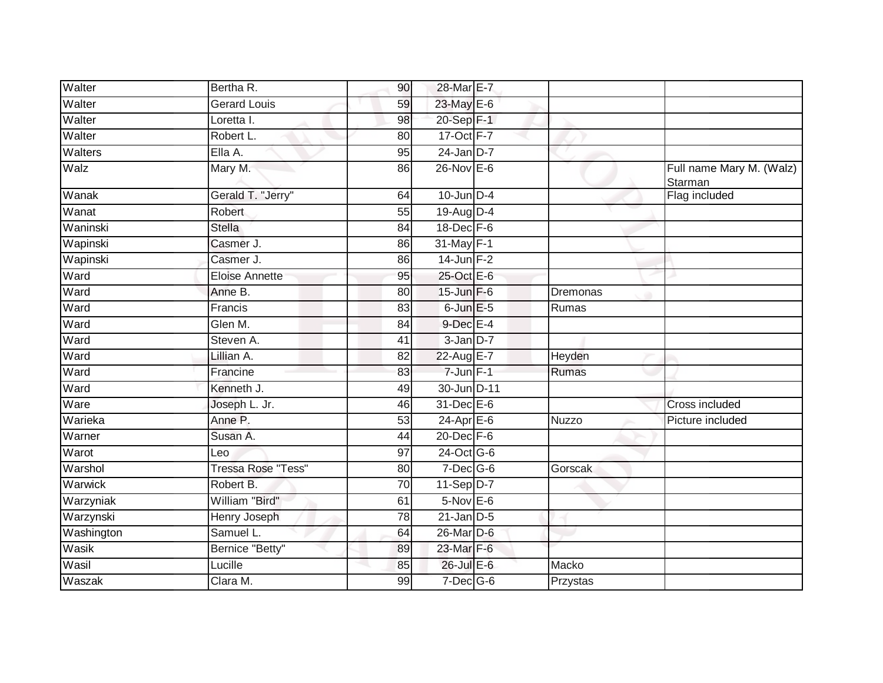| Walter     | Bertha R.                 | 90              | 28-Mar E-7        |          |                                     |
|------------|---------------------------|-----------------|-------------------|----------|-------------------------------------|
| Walter     | <b>Gerard Louis</b>       | 59              | 23-May E-6        |          |                                     |
| Walter     | Loretta I.                | 98              | 20-Sep F-1        |          |                                     |
| Walter     | Robert L.                 | 80              | 17-Oct F-7        |          |                                     |
| Walters    | Ella A.                   | 95              | $24$ -Jan D-7     |          |                                     |
| Walz       | Mary M.                   | 86              | $26$ -Nov $E - 6$ |          | Full name Mary M. (Walz)<br>Starman |
| Wanak      | Gerald T. "Jerry"         | 64              | $10$ -Jun $D-4$   |          | Flag included                       |
| Wanat      | Robert                    | 55              | 19-Aug D-4        |          |                                     |
| Waninski   | <b>Stella</b>             | 84              | $18$ -Dec $F-6$   |          |                                     |
| Wapinski   | Casmer J.                 | 86              | 31-May F-1        |          |                                     |
| Wapinski   | Casmer J.                 | 86              | $14$ -Jun $F-2$   |          |                                     |
| Ward       | Eloise Annette            | 95              | 25-Oct E-6        |          |                                     |
| Ward       | Anne B.                   | 80              | $15$ -Jun $F-6$   | Dremonas |                                     |
| Ward       | Francis                   | 83              | $6$ -Jun $E$ -5   | Rumas    |                                     |
| Ward       | Glen M.                   | 84              | 9-Dec E-4         |          |                                     |
| Ward       | Steven A.                 | 41              | 3-Jan D-7         |          |                                     |
| Ward       | Lillian A.                | 82              | 22-Aug E-7        | Heyden   |                                     |
| Ward       | Francine                  | 83              | $7 - Jun$ $F-1$   | Rumas    |                                     |
| Ward       | Kenneth J.                | 49              | 30-Jun D-11       |          |                                     |
| Ware       | Joseph L. Jr.             | 46              | 31-Dec E-6        |          | <b>Cross included</b>               |
| Warieka    | Anne P.                   | 53              | $24$ -Apr $E$ -6  | Nuzzo    | Picture included                    |
| Warner     | Susan A.                  | 44              | $20$ -Dec $F-6$   |          |                                     |
| Warot      | Leo                       | 97              | 24-Oct G-6        |          |                                     |
| Warshol    | <b>Tressa Rose "Tess"</b> | 80              | $7$ -Dec $G$ -6   | Gorscak  |                                     |
| Warwick    | Robert B.                 | 70              | $11-Sep$ D-7      |          |                                     |
| Warzyniak  | William "Bird"            | 61              | $5-Nov$ $E-6$     |          |                                     |
| Warzynski  | <b>Henry Joseph</b>       | $\overline{78}$ | $21$ -Jan $D-5$   |          |                                     |
| Washington | Samuel L.                 | 64              | 26-Mar D-6        |          |                                     |
| Wasik      | Bernice "Betty"           | 89              | 23-Mar F-6        |          |                                     |
| Wasil      | Lucille                   | 85              | $26$ -Jul $E-6$   | Macko    |                                     |
| Waszak     | Clara M.                  | 99              | $7$ -Dec $G$ -6   | Przystas |                                     |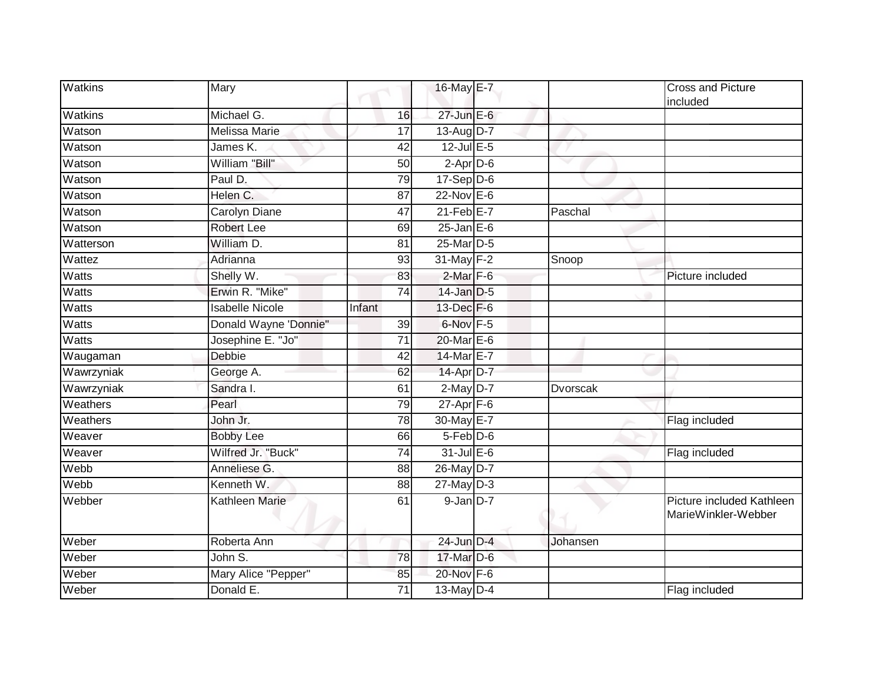| Watkins        | Mary                   |                 | 16-May E-7            |          | <b>Cross and Picture</b><br>included             |
|----------------|------------------------|-----------------|-----------------------|----------|--------------------------------------------------|
| <b>Watkins</b> | Michael G.             | 16              | $27$ -Jun $E-6$       |          |                                                  |
| Watson         | <b>Melissa Marie</b>   | 17              | 13-Aug D-7            |          |                                                  |
| Watson         | James K.               | 42              | $12$ -Jul E-5         |          |                                                  |
| Watson         | William "Bill"         | 50              | $2-Apr\overline{D-6}$ | w        |                                                  |
| Watson         | Paul D.                | 79              | $17-Sep$ D-6          |          |                                                  |
| Watson         | Helen C.               | 87              | 22-Nov E-6            |          |                                                  |
| Watson         | Carolyn Diane          | 47              | $21$ -Feb $E-7$       | Paschal  |                                                  |
| Watson         | <b>Robert Lee</b>      | 69              | $25$ -Jan $E$ -6      |          |                                                  |
| Watterson      | William D.             | 81              | 25-Mar D-5            |          |                                                  |
| Wattez         | Adrianna               | 93              | 31-May F-2            | Snoop    |                                                  |
| <b>Watts</b>   | Shelly W.              | 83              | $2$ -Mar $F-6$        |          | Picture included                                 |
| <b>Watts</b>   | Erwin R. "Mike"        | $\overline{74}$ | $14$ -Jan $D-5$       |          |                                                  |
| <b>Watts</b>   | <b>Isabelle Nicole</b> | Infant          | 13-Dec F-6            |          |                                                  |
| <b>Watts</b>   | Donald Wayne 'Donnie"  | 39              | 6-Nov F-5             |          |                                                  |
| Watts          | Josephine E. "Jo"      | 71              | 20-Mar E-6            |          |                                                  |
| Waugaman       | <b>Debbie</b>          | 42              | 14-Mar E-7            |          |                                                  |
| Wawrzyniak     | George A.              | 62              | 14-Apr D-7            |          |                                                  |
| Wawrzyniak     | Sandra I.              | 61              | $2$ -May $D-7$        | Dvorscak |                                                  |
| Weathers       | Pearl                  | 79              | $27$ -Apr $F-6$       |          |                                                  |
| Weathers       | John Jr.               | 78              | 30-May E-7            |          | Flag included                                    |
| Weaver         | <b>Bobby Lee</b>       | 66              | 5-Feb D-6             |          |                                                  |
| Weaver         | Wilfred Jr. "Buck"     | 74              | $31$ -Jul $E-6$       |          | Flag included                                    |
| Webb           | Anneliese G.           | 88              | 26-May D-7            |          |                                                  |
| Webb           | Kenneth W.             | 88              | $27$ -May $D-3$       |          |                                                  |
| Webber         | <b>Kathleen Marie</b>  | 61              | $9$ -Jan $D-7$        |          | Picture included Kathleen<br>MarieWinkler-Webber |
| Weber          | Roberta Ann            |                 | 24-Jun D-4            | Johansen |                                                  |
| Weber          | John $\overline{S}$ .  | 78              | 17-Mar D-6            |          |                                                  |
| Weber          | Mary Alice "Pepper"    | 85              | 20-Nov F-6            |          |                                                  |
| Weber          | Donald E.              | 71              | $13$ -May $D-4$       |          | Flag included                                    |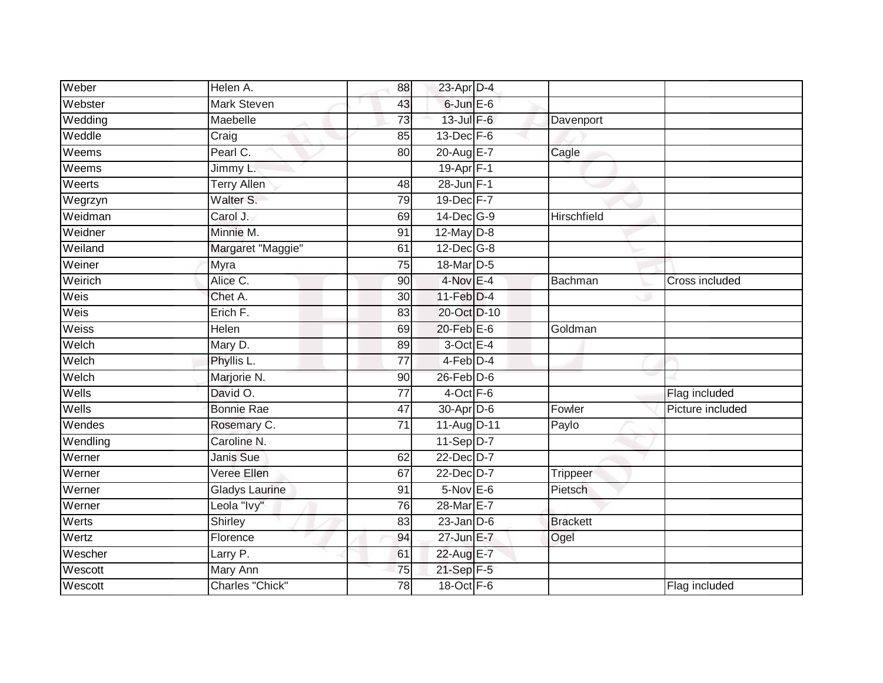| Weber    | Helen A.              | 88              | $23$ -Apr $D-4$       |                 |                  |
|----------|-----------------------|-----------------|-----------------------|-----------------|------------------|
| Webster  | <b>Mark Steven</b>    | 43              | $6$ -Jun $E$ -6       |                 |                  |
| Wedding  | Maebelle              | 73              | $13$ -Jul $F-6$       | Davenport       |                  |
| Weddle   | Craig                 | 85              | $13$ -Dec $F-6$       |                 |                  |
| Weems    | Pearl C.              | 80              | 20-Aug E-7            | Cagle           |                  |
| Weems    | Jimmy L.              |                 | $19-Apr$ F-1          |                 |                  |
| Weerts   | <b>Terry Allen</b>    | 48              | 28-Jun F-1            |                 |                  |
| Wegrzyn  | Walter S.             | 79              | 19-Dec F-7            |                 |                  |
| Weidman  | Carol J.              | 69              | 14-Dec G-9            | Hirschfield     |                  |
| Weidner  | Minnie M.             | 91              | $12$ -May $D-8$       |                 |                  |
| Weiland  | Margaret "Maggie"     | 61              | 12-Dec G-8            |                 |                  |
| Weiner   | Myra                  | $\overline{75}$ | 18-Mar D-5            |                 |                  |
| Weirich  | Alice C.              | 90              | $4$ -Nov $E-4$        | Bachman         | Cross included   |
| Weis     | Chet A.               | 30              | $11$ -Feb $D-4$       |                 |                  |
| Weis     | Erich F.              | 83              | 20-Oct D-10           |                 |                  |
| Weiss    | Helen                 | 69              | $20$ -Feb $E$ -6      | Goldman         |                  |
| Welch    | Mary D.               | 89              | $3$ -Oct $E-4$        |                 |                  |
| Welch    | Phyllis L.            | 77              | $4-Feb$ D-4           |                 |                  |
| Welch    | Marjorie N.           | 90              | $26$ -Feb $D-6$       |                 |                  |
| Wells    | David O.              | $\overline{77}$ | $4$ -Oct $F-6$        |                 | Flag included    |
| Wells    | <b>Bonnie Rae</b>     | 47              | 30-Apr <sub>D-6</sub> | Fowler          | Picture included |
| Wendes   | Rosemary C.           | $\overline{71}$ | 11-Aug D-11           | Paylo           |                  |
| Wendling | Caroline N.           |                 | 11-Sep D-7            |                 |                  |
| Werner   | Janis Sue             | 62              | 22-Dec D-7            |                 |                  |
| Werner   | Veree Ellen           | 67              | 22-Dec D-7            | <b>Trippeer</b> |                  |
| Werner   | <b>Gladys Laurine</b> | 91              | $5-Nov$ E-6           | Pietsch         |                  |
| Werner   | Leola "Ivy"           | 76              | 28-Mar E-7            |                 |                  |
| Werts    | Shirley               | 83              | $23$ -Jan $D-6$       | <b>Brackett</b> |                  |
| Wertz    | Florence              | 94              | 27-Jun E-7            | Ogel            |                  |
| Wescher  | Larry P.              | 61              | 22-Aug E-7            |                 |                  |
| Wescott  | Mary Ann              | 75              | 21-Sep F-5            |                 |                  |
| Wescott  | Charles "Chick"       | $\overline{78}$ | 18-Oct F-6            |                 | Flag included    |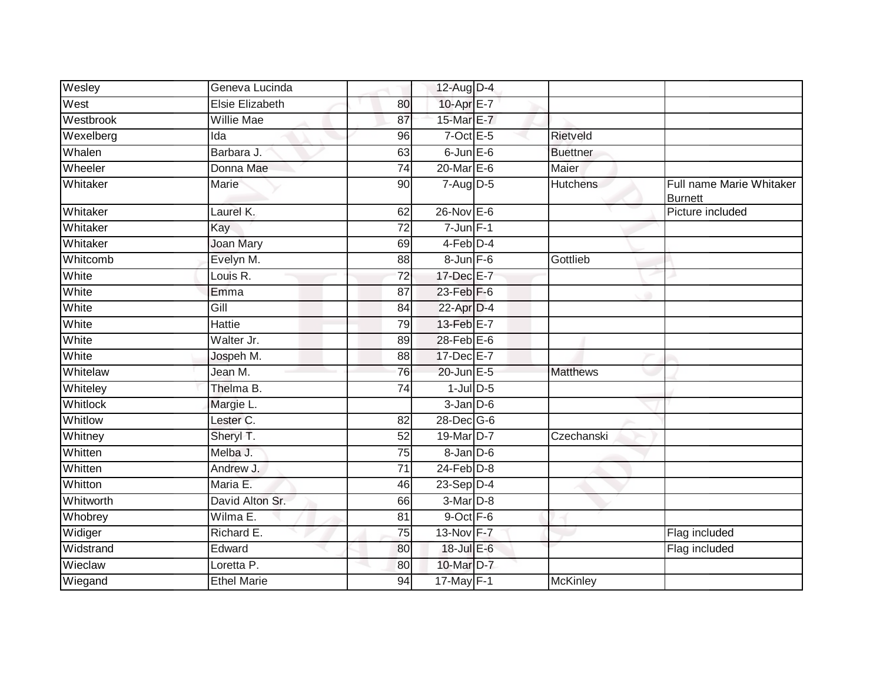| Wesley          | Geneva Lucinda         |                 | 12-Aug D-4      |                 |                                            |
|-----------------|------------------------|-----------------|-----------------|-----------------|--------------------------------------------|
| West            | <b>Elsie Elizabeth</b> | 80              | 10-Apr E-7      |                 |                                            |
| Westbrook       | <b>Willie Mae</b>      | 87              | 15-Mar E-7      |                 |                                            |
| Wexelberg       | Ida                    | 96              | $7$ -Oct E-5    | Rietveld        |                                            |
| Whalen          | Barbara J.             | 63              | $6$ -Jun $E$ -6 | <b>Buettner</b> |                                            |
| Wheeler         | Donna Mae              | 74              | $20$ -Mar $E-6$ | Maier           |                                            |
| Whitaker        | Marie                  | 90              | $7 - Aug   D-5$ | <b>Hutchens</b> | Full name Marie Whitaker<br><b>Burnett</b> |
| Whitaker        | Laurel K.              | 62              | $26$ -Nov $E-6$ |                 | Picture included                           |
| Whitaker        | Kay                    | 72              | $7 - Jun$ $F-1$ |                 |                                            |
| Whitaker        | <b>Joan Mary</b>       | 69              | 4-Feb D-4       |                 |                                            |
| Whitcomb        | Evelyn M.              | 88              | $8 - Jun$ $F-6$ | Gottlieb        |                                            |
| White           | Louis R.               | 72              | 17-Dec E-7      |                 |                                            |
| White           | Emma                   | 87              | 23-Feb F-6      |                 |                                            |
| White           | Gill                   | 84              | 22-Apr D-4      |                 |                                            |
| White           | <b>Hattie</b>          | 79              | 13-Feb E-7      |                 |                                            |
| White           | Walter Jr.             | 89              | 28-Feb E-6      |                 |                                            |
| White           | Jospeh M.              | 88              | 17-Dec E-7      |                 |                                            |
| Whitelaw        | Jean M.                | 76              | 20-Jun E-5      | <b>Matthews</b> |                                            |
| Whiteley        | Thelma B.              | 74              | $1$ -Jul $D-5$  |                 |                                            |
| <b>Whitlock</b> | Margie L.              |                 | $3$ -Jan $D-6$  |                 |                                            |
| Whitlow         | Lester <sub>C.</sub>   | 82              | 28-Dec G-6      |                 |                                            |
| Whitney         | Sheryl T.              | 52              | 19-Mar D-7      | Czechanski      |                                            |
| Whitten         | Melba J.               | 75              | $8$ -Jan $D$ -6 |                 |                                            |
| Whitten         | Andrew J.              | 71              | $24$ -Feb $D-8$ |                 |                                            |
| Whitton         | Maria E.               | 46              | $23-Sep$ D-4    |                 |                                            |
| Whitworth       | David Alton Sr.        | 66              | 3-Mar D-8       |                 |                                            |
| Whobrey         | Wilma E.               | $\overline{81}$ | 9-Oct F-6       |                 |                                            |
| Widiger         | Richard E.             | $\overline{75}$ | 13-Nov F-7      |                 | Flag included                              |
| Widstrand       | Edward                 | 80              | 18-Jul E-6      |                 | Flag included                              |
| Wieclaw         | Loretta P.             | 80              | 10-Mar D-7      |                 |                                            |
| Wiegand         | <b>Ethel Marie</b>     | 94              | $17$ -May F-1   | <b>McKinley</b> |                                            |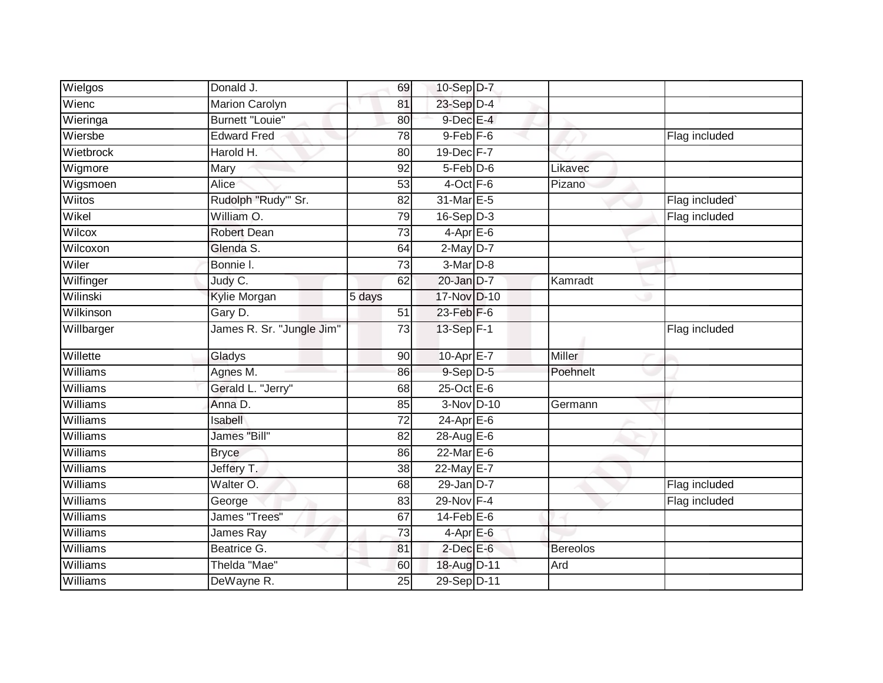| Wielgos         | Donald J.                 | 69              | 10-Sep D-7       |                 |               |
|-----------------|---------------------------|-----------------|------------------|-----------------|---------------|
| Wienc           | <b>Marion Carolyn</b>     | 81              | 23-Sep D-4       |                 |               |
| Wieringa        | <b>Burnett "Louie"</b>    | 80              | $9$ -Dec $E-4$   |                 |               |
| Wiersbe         | <b>Edward Fred</b>        | 78              | $9$ -Feb $F$ -6  |                 | Flag included |
| Wietbrock       | Harold H.                 | 80              | 19-Dec F-7       |                 |               |
| Wigmore         | Mary                      | 92              | $5$ -Feb $D$ -6  | Likavec         |               |
| Wigsmoen        | Alice                     | 53              | $4$ -Oct $F-6$   | Pizano          |               |
| Wiitos          | Rudolph "Rudy"' Sr.       | 82              | 31-Mar E-5       |                 | Flag included |
| Wikel           | William O.                | 79              | $16-Sep$ D-3     |                 | Flag included |
| Wilcox          | <b>Robert Dean</b>        | $\overline{73}$ | $4-AprE-6$       |                 |               |
| Wilcoxon        | Glenda S.                 | 64              | $2$ -May $D-7$   |                 |               |
| Wiler           | Bonnie I.                 | 73              | $3-Mar$ D-8      |                 |               |
| Wilfinger       | Judy C.                   | 62              | $20$ -Jan $D-7$  | Kamradt         |               |
| Wilinski        | <b>Kylie Morgan</b>       | 5 days          | 17-Nov D-10      |                 |               |
| Wilkinson       | Gary D.                   | 51              | 23-Feb F-6       |                 |               |
| Willbarger      | James R. Sr. "Jungle Jim" | 73              | 13-Sep F-1       |                 | Flag included |
| Willette        | Gladys                    | 90              | 10-Apr $E-7$     | Miller          |               |
| <b>Williams</b> | Agnes M.                  | 86              | $9-$ Sep $D-5$   | Poehnelt        |               |
| Williams        | Gerald L. "Jerry"         | 68              | $25$ -Oct $E$ -6 |                 |               |
| <b>Williams</b> | Anna D.                   | 85              | 3-Nov D-10       | Germann         |               |
| Williams        | Isabell                   | 72              | $24-AprEE-6$     |                 |               |
| Williams        | James "Bill"              | 82              | 28-Aug E-6       |                 |               |
| <b>Williams</b> | <b>Bryce</b>              | 86              | $22$ -Mar $E-6$  |                 |               |
| Williams        | Jeffery T.                | 38              | 22-May E-7       |                 |               |
| <b>Williams</b> | Walter O.                 | 68              | $29$ -Jan $D-7$  |                 | Flag included |
| <b>Williams</b> | George                    | 83              | 29-Nov F-4       |                 | Flag included |
| <b>Williams</b> | James "Trees"             | 67              | $14$ -Feb $E$ -6 |                 |               |
| Williams        | James Ray                 | 73              | 4-Apr E-6        |                 |               |
| <b>Williams</b> | Beatrice G.               | 81              | $2$ -Dec $E$ -6  | <b>Bereolos</b> |               |
| Williams        | Thelda "Mae"              | 60              | 18-Aug D-11      | Ard             |               |
| Williams        | DeWayne R.                | 25              | 29-Sep D-11      |                 |               |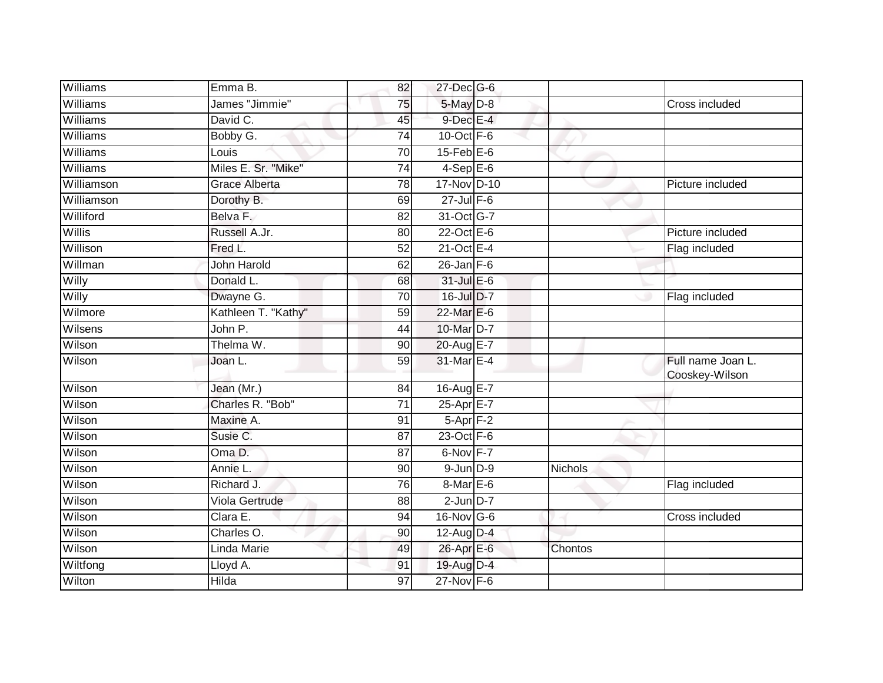| Williams      | Emma B.              | 82              | 27-Dec G-6        |         |                                     |
|---------------|----------------------|-----------------|-------------------|---------|-------------------------------------|
| Williams      | James "Jimmie"       | 75              | $5$ -May $D-8$    |         | Cross included                      |
| Williams      | David C.             | 45              | $9$ -Dec E-4      |         |                                     |
| Williams      | Bobby G.             | 74              | $10$ -Oct $F - 6$ |         |                                     |
| Williams      | Louis                | 70              | $15$ -Feb $E$ -6  |         |                                     |
| Williams      | Miles E. Sr. "Mike"  | 74              | $4-Sep$ E-6       |         |                                     |
| Williamson    | <b>Grace Alberta</b> | 78              | 17-Nov D-10       |         | Picture included                    |
| Williamson    | Dorothy B.           | 69              | $27$ -Jul $F-6$   |         |                                     |
| Williford     | Belva F.             | 82              | 31-Oct G-7        |         |                                     |
| <b>Willis</b> | Russell A.Jr.        | 80              | $22$ -Oct $E-6$   |         | Picture included                    |
| Willison      | Fred L.              | 52              | $21$ -Oct $E - 4$ |         | Flag included                       |
| Willman       | <b>John Harold</b>   | 62              | $26$ -Jan F-6     |         |                                     |
| Willy         | Donald L.            | 68              | 31-Jul E-6        |         |                                     |
| Willy         | Dwayne G.            | 70              | 16-Jul D-7        |         | Flag included                       |
| Wilmore       | Kathleen T. "Kathy"  | 59              | 22-Mar E-6        |         |                                     |
| Wilsens       | John P.              | 44              | 10-Mar D-7        |         |                                     |
| Wilson        | Thelma W.            | 90              | 20-Aug E-7        |         |                                     |
| Wilson        | Joan L.              | 59              | 31-Mar E-4        |         | Full name Joan L.<br>Cooskey-Wilson |
| Wilson        | Jean (Mr.)           | 84              | 16-Aug E-7        |         |                                     |
| Wilson        | Charles R. "Bob"     | $\overline{71}$ | 25-Apr E-7        |         |                                     |
| Wilson        | Maxine A.            | 91              | $5-Apr$ F-2       |         |                                     |
| Wilson        | Susie C.             | 87              | 23-Oct F-6        |         |                                     |
| Wilson        | Oma D.               | 87              | 6-Nov F-7         |         |                                     |
| Wilson        | Annie L.             | 90              | $9$ -Jun $D-9$    | Nichols |                                     |
| Wilson        | Richard J.           | 76              | 8-Mar E-6         |         | Flag included                       |
| Wilson        | Viola Gertrude       | 88              | $2$ -Jun $D-7$    |         |                                     |
| Wilson        | Clara E.             | 94              | 16-Nov G-6        |         | Cross included                      |
| Wilson        | Charles O.           | 90              | 12-Aug $D-4$      |         |                                     |
| Wilson        | Linda Marie          | 49              | 26-Apr E-6        | Chontos |                                     |
| Wiltfong      | Lloyd A.             | 91              | 19-Aug D-4        |         |                                     |
| Wilton        | Hilda                | 97              | 27-Nov F-6        |         |                                     |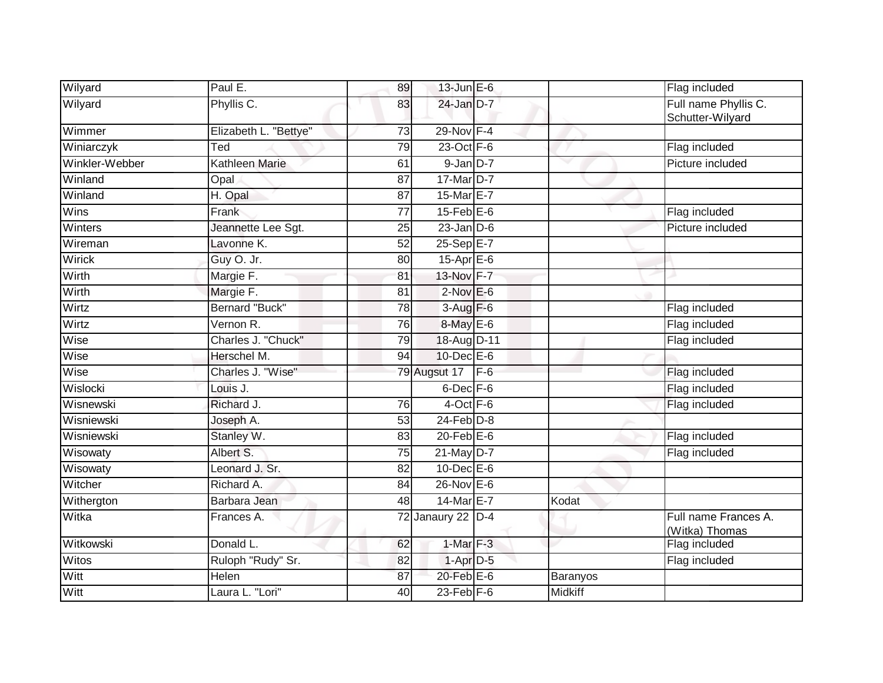| Wilyard        | Paul E.               | 89              | $13$ -Jun $E - 6$     |       |          | Flag included                            |
|----------------|-----------------------|-----------------|-----------------------|-------|----------|------------------------------------------|
| Wilyard        | Phyllis C.            | 83              | 24-Jan D-7            |       |          | Full name Phyllis C.<br>Schutter-Wilyard |
| Wimmer         | Elizabeth L. "Bettye" | $\overline{73}$ | 29-Nov F-4            |       |          |                                          |
| Winiarczyk     | Ted                   | 79              | 23-Oct F-6            |       |          | Flag included                            |
| Winkler-Webber | Kathleen Marie        | 61              | $9$ -Jan $D-7$        |       |          | Picture included                         |
| Winland        | Opal                  | 87              | 17-Mar D-7            |       |          |                                          |
| Winland        | $H.$ Opal             | 87              | 15-Mar E-7            |       |          |                                          |
| Wins           | Frank                 | $\overline{77}$ | $15$ -Feb $E$ -6      |       |          | Flag included                            |
| Winters        | Jeannette Lee Sgt.    | 25              | $23$ -Jan $D-6$       |       |          | Picture included                         |
| Wireman        | Lavonne K.            | 52              | 25-Sep E-7            |       |          |                                          |
| <b>Wirick</b>  | Guy O. Jr.            | 80              | 15-Apr E-6            |       |          |                                          |
| Wirth          | Margie F.             | 81              | 13-Nov F-7            |       |          |                                          |
| Wirth          | Margie F.             | $\overline{81}$ | $2$ -Nov $E-6$        |       |          |                                          |
| Wirtz          | <b>Bernard "Buck"</b> | $\overline{78}$ | 3-Aug F-6             |       |          | Flag included                            |
| Wirtz          | Vernon R.             | 76              | 8-May E-6             |       |          | Flag included                            |
| Wise           | Charles J. "Chuck"    | 79              | 18-Aug D-11           |       |          | Flag included                            |
| Wise           | Herschel M.           | 94              | 10-Dec E-6            |       |          |                                          |
| Wise           | Charles J. "Wise"     |                 | 79 Augsut 17          | $F-6$ |          | Flag included                            |
| Wislocki       | Louis J.              |                 | $6$ -Dec $F-6$        |       |          | Flag included                            |
| Wisnewski      | Richard J.            | 76              | 4-Oct F-6             |       |          | Flag included                            |
| Wisniewski     | Joseph A.             | $\overline{53}$ | $24$ -Feb $D-8$       |       |          |                                          |
| Wisniewski     | Stanley W.            | 83              | $20$ -Feb $E$ -6      |       |          | Flag included                            |
| Wisowaty       | Albert S.             | 75              | $21$ -May D-7         |       |          | Flag included                            |
| Wisowaty       | Leonard J. Sr.        | 82              | $10$ -Dec $E$ -6      |       |          |                                          |
| Witcher        | Richard A.            | 84              | $26$ -Nov $E-6$       |       |          |                                          |
| Withergton     | Barbara Jean          | 48              | 14-Mar <sub>E-7</sub> |       | Kodat    |                                          |
| Witka          | Frances A.            |                 | 72 Janaury 22 D-4     |       |          | Full name Frances A.<br>(Witka) Thomas   |
| Witkowski      | Donald L.             | 62              | 1-Mar F-3             |       |          | Flag included                            |
| Witos          | Ruloph "Rudy" Sr.     | 82              | $1-Apr$ D-5           |       |          | Flag included                            |
| Witt           | Helen                 | 87              | $20$ -Feb $E-6$       |       | Baranyos |                                          |
| Witt           | Laura L. "Lori"       | 40              | $23$ -Feb $F-6$       |       | Midkiff  |                                          |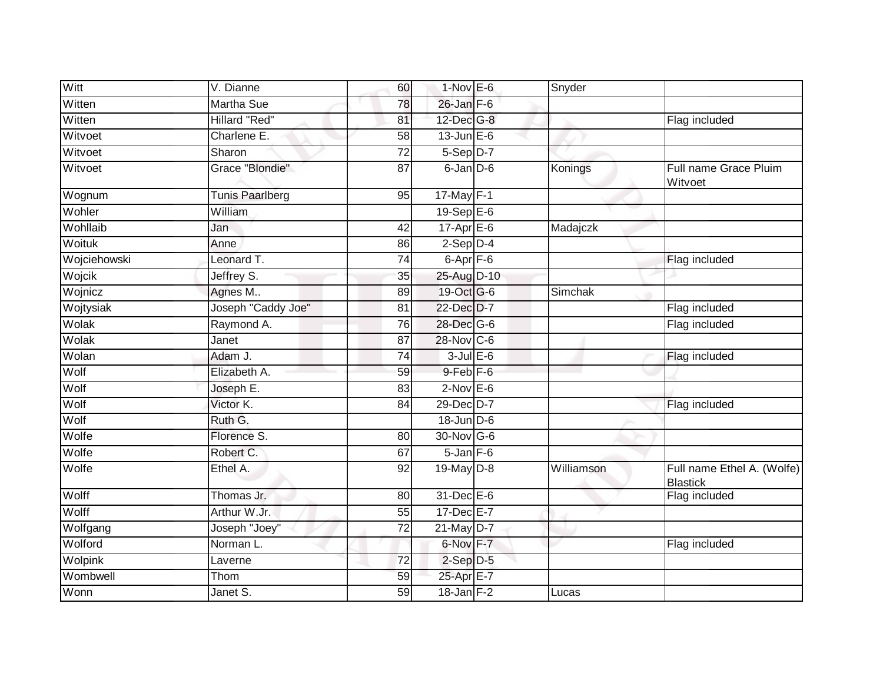| Witt         | V. Dianne              | 60              | $1-Nov$ E-6          | Snyder         |                                               |
|--------------|------------------------|-----------------|----------------------|----------------|-----------------------------------------------|
| Witten       | <b>Martha Sue</b>      | 78              | $26$ -Jan $F-6$      |                |                                               |
| Witten       | <b>Hillard "Red"</b>   | 81              | 12-Dec G-8           |                | Flag included                                 |
| Witvoet      | Charlene E.            | 58              | $13$ -Jun $E - 6$    |                |                                               |
| Witvoet      | Sharon                 | $\overline{72}$ | $5-Sep$ D-7          |                |                                               |
| Witvoet      | Grace "Blondie"        | 87              | $6$ -Jan $D$ -6      | Konings        | Full name Grace Pluim<br>Witvoet              |
| Wognum       | <b>Tunis Paarlberg</b> | 95              | 17-May F-1           |                |                                               |
| Wohler       | William                |                 | $19-Sep$ $E-6$       |                |                                               |
| Wohllaib     | Jan                    | 42              | $17$ -Apr $E$ -6     | Madajczk       |                                               |
| Woituk       | Anne                   | 86              | $2-Sep$ $D-4$        |                |                                               |
| Wojciehowski | Leonard T.             | 74              | $6 - Apr$ $F - 6$    |                | Flag included                                 |
| Wojcik       | Jeffrey S.             | 35              | 25-Aug D-10          |                |                                               |
| Wojnicz      | Agnes M                | 89              | 19-Oct G-6           | <b>Simchak</b> |                                               |
| Wojtysiak    | Joseph "Caddy Joe"     | 81              | 22-Dec D-7           |                | Flag included                                 |
| Wolak        | Raymond A.             | 76              | 28-Dec G-6           |                | Flag included                                 |
| Wolak        | Janet                  | 87              | 28-Nov C-6           |                |                                               |
| Wolan        | Adam J.                | 74              | $3$ -Jul $E$ -6      |                | Flag included                                 |
| Wolf         | Elizabeth A.           | 59              | 9-Feb <sup>F-6</sup> |                |                                               |
| Wolf         | Joseph E.              | 83              | $2$ -Nov $E$ -6      |                |                                               |
| Wolf         | Victor K.              | 84              | 29-Dec D-7           |                | Flag included                                 |
| Wolf         | Ruth G.                |                 | $18$ -Jun $D-6$      |                |                                               |
| Wolfe        | Florence S.            | 80              | 30-Nov G-6           |                |                                               |
| Wolfe        | Robert C.              | 67              | $5$ -Jan $F$ -6      |                |                                               |
| Wolfe        | Ethel A.               | 92              | 19-May D-8           | Williamson     | Full name Ethel A. (Wolfe)<br><b>Blastick</b> |
| Wolff        | Thomas Jr.             | 80              | 31-Dec E-6           |                | Flag included                                 |
| Wolff        | Arthur W.Jr.           | 55              | 17-Dec E-7           |                |                                               |
| Wolfgang     | Joseph "Joey"          | 72              | 21-May D-7           |                |                                               |
| Wolford      | Norman L.              |                 | 6-Nov F-7            |                | Flag included                                 |
| Wolpink      | Laverne                | 72              | $2-Sep$ D-5          |                |                                               |
| Wombwell     | Thom                   | 59              | 25-Apr E-7           |                |                                               |
| Wonn         | Janet S.               | 59              | $18$ -Jan $F-2$      | Lucas          |                                               |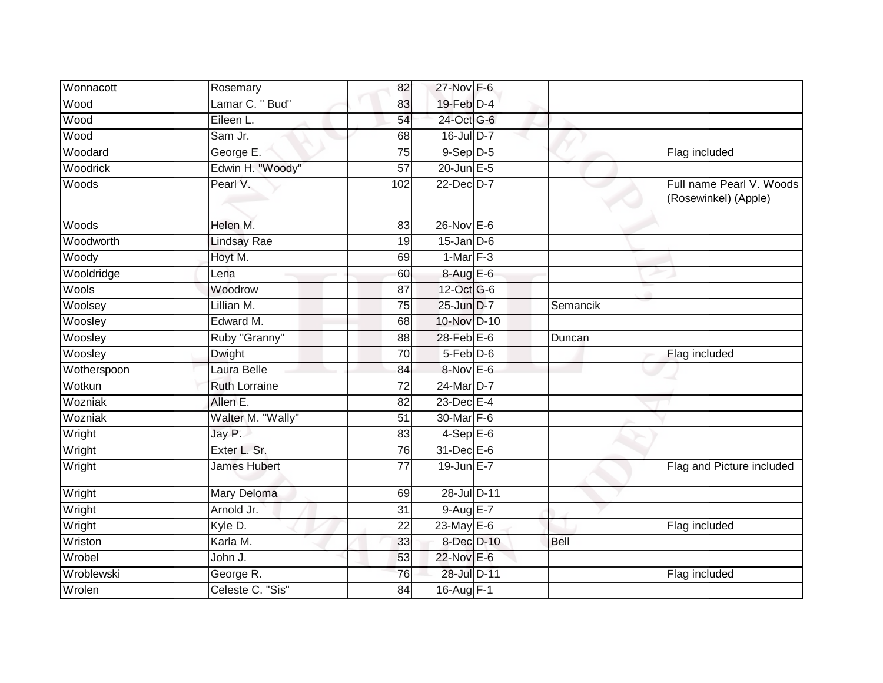| Wonnacott   | Rosemary             | 82              | 27-Nov F-6        |             |                                                  |
|-------------|----------------------|-----------------|-------------------|-------------|--------------------------------------------------|
| Wood        | Lamar C. " Bud"      | 83              | $19$ -Feb $D-4$   |             |                                                  |
| Wood        | Eileen L.            | 54              | 24-Oct G-6        |             |                                                  |
| Wood        | Sam Jr.              | 68              | $16$ -Jul D-7     |             |                                                  |
| Woodard     | George E.            | 75              | $9-$ Sep $D-5$    |             | Flag included                                    |
| Woodrick    | Edwin H. "Woody"     | 57              | $20$ -Jun $E - 5$ |             |                                                  |
| Woods       | Pearl V.             | 102             | 22-Dec D-7        |             | Full name Pearl V. Woods<br>(Rosewinkel) (Apple) |
| Woods       | Helen M.             | 83              | $26$ -Nov $E-6$   |             |                                                  |
| Woodworth   | Lindsay Rae          | 19              | $15$ -Jan $D-6$   |             |                                                  |
| Woody       | Hoyt M.              | 69              | $1-Mar$ F-3       |             |                                                  |
| Wooldridge  | Lena                 | 60              | $8-AugE-6$        |             |                                                  |
| Wools       | Woodrow              | 87              | 12-Oct G-6        |             |                                                  |
| Woolsey     | Lillian M.           | 75              | 25-Jun D-7        | Semancik    |                                                  |
| Woosley     | Edward M.            | 68              | 10-Nov D-10       |             |                                                  |
| Woosley     | Ruby "Granny"        | 88              | 28-Feb E-6        | Duncan      |                                                  |
| Woosley     | <b>Dwight</b>        | 70              | $5-Feb$ D-6       |             | Flag included                                    |
| Wotherspoon | Laura Belle          | 84              | 8-Nov E-6         |             |                                                  |
| Wotkun      | <b>Ruth Lorraine</b> | 72              | 24-Mar D-7        |             |                                                  |
| Wozniak     | Allen E.             | 82              | $23$ -Dec $E-4$   |             |                                                  |
| Wozniak     | Walter M. "Wally"    | 51              | 30-Mar F-6        |             |                                                  |
| Wright      | Jay P.               | $\overline{83}$ | $4-Sep$ E-6       |             |                                                  |
| Wright      | Exter L. Sr.         | 76              | $31$ -Dec $E$ -6  |             |                                                  |
| Wright      | James Hubert         | $\overline{77}$ | 19-Jun E-7        |             | Flag and Picture included                        |
| Wright      | Mary Deloma          | 69              | 28-Jul D-11       |             |                                                  |
| Wright      | Arnold Jr.           | 31              | $9-AugE-7$        |             |                                                  |
| Wright      | Kyle D.              | $\overline{22}$ | $23$ -May $E-6$   |             | Flag included                                    |
| Wriston     | Karla M.             | 33              | 8-Dec D-10        | <b>Bell</b> |                                                  |
| Wrobel      | John J.              | 53              | 22-Nov E-6        |             |                                                  |
| Wroblewski  | George R.            | 76              | 28-Jul D-11       |             | Flag included                                    |
| Wrolen      | Celeste C. "Sis"     | 84              | 16-Aug F-1        |             |                                                  |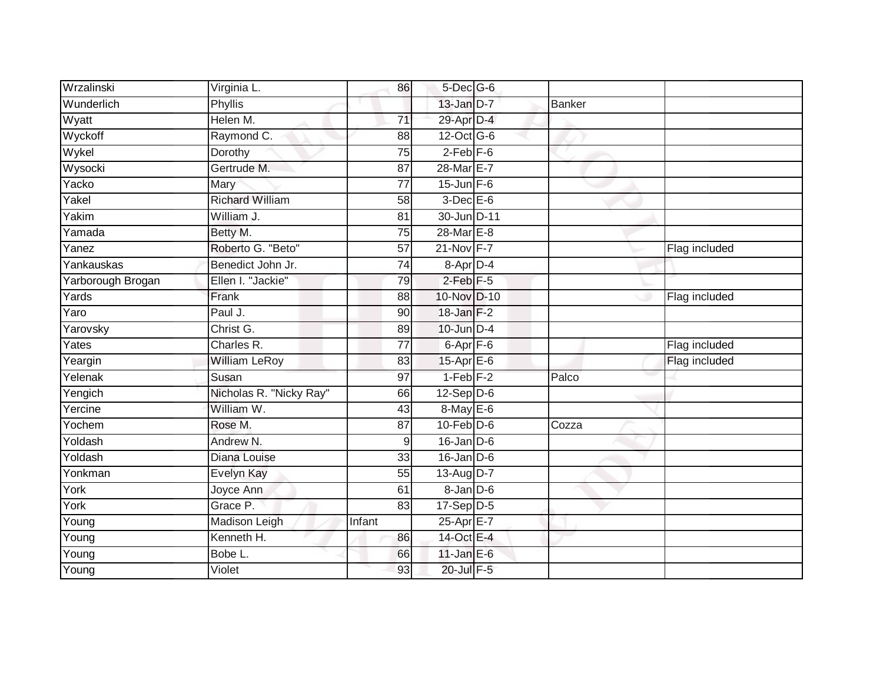| Wrzalinski        | Virginia L.             | 86              | 5-Dec G-6            |               |               |
|-------------------|-------------------------|-----------------|----------------------|---------------|---------------|
| Wunderlich        | <b>Phyllis</b>          |                 | $13$ -Jan $D-7$      | <b>Banker</b> |               |
| Wyatt             | Helen M.                | 71              | 29-Apr D-4           |               |               |
| Wyckoff           | Raymond C.              | 88              | 12-Oct G-6           |               |               |
| Wykel             | Dorothy                 | $\overline{75}$ | $2$ -Feb $F-6$       |               |               |
| Wysocki           | Gertrude M.             | 87              | 28-Mar E-7           |               |               |
| Yacko             | Mary                    | 77              | $15$ -Jun $F-6$      |               |               |
| Yakel             | <b>Richard William</b>  | 58              | $3-Dec$ $E-6$        |               |               |
| Yakim             | William J.              | 81              | 30-Jun D-11          |               |               |
| Yamada            | Betty M.                | 75              | 28-Mar E-8           |               |               |
| Yanez             | Roberto G. "Beto"       | 57              | 21-Nov F-7           |               | Flag included |
| Yankauskas        | Benedict John Jr.       | 74              | 8-Apr D-4            |               |               |
| Yarborough Brogan | Ellen I. "Jackie"       | 79              | $2$ -Feb $F-5$       |               |               |
| Yards             | Frank                   | 88              | 10-Nov D-10          |               | Flag included |
| Yaro              | Paul J.                 | 90              | $18$ -Jan $F-2$      |               |               |
| Yarovsky          | Christ G.               | 89              | $10$ -Jun $D-4$      |               |               |
| Yates             | Charles R.              | 77              | 6-Apr <sub>F-6</sub> |               | Flag included |
| Yeargin           | <b>William LeRoy</b>    | 83              | $15$ -Apr $E$ -6     |               | Flag included |
| Yelenak           | Susan                   | 97              | $1-Feb$ $F-2$        | Palco         |               |
| Yengich           | Nicholas R. "Nicky Ray" | 66              | $12 - Sep/D-6$       |               |               |
| Yercine           | William W.              | 43              | 8-May E-6            |               |               |
| Yochem            | Rose M.                 | 87              | $10$ -Feb $D-6$      | Cozza         |               |
| Yoldash           | Andrew N.               | 9               | $16$ -Jan $ D-6 $    |               |               |
| Yoldash           | Diana Louise            | 33              | $16$ -Jan $D-6$      |               |               |
| Yonkman           | Evelyn Kay              | 55              | 13-Aug $D-7$         |               |               |
| York              | Joyce Ann               | 61              | $8 - Jan$ $D-6$      |               |               |
| York              | Grace P.                | 83              | $17-Sep$ D-5         |               |               |
| Young             | Madison Leigh           | Infant          | 25-Apr E-7           |               |               |
| Young             | Kenneth H.              | 86              | 14-Oct E-4           |               |               |
| Young             | Bobe L.                 | 66              | $11$ -Jan $E$ -6     |               |               |
| Young             | Violet                  | 93              | 20-Jul F-5           |               |               |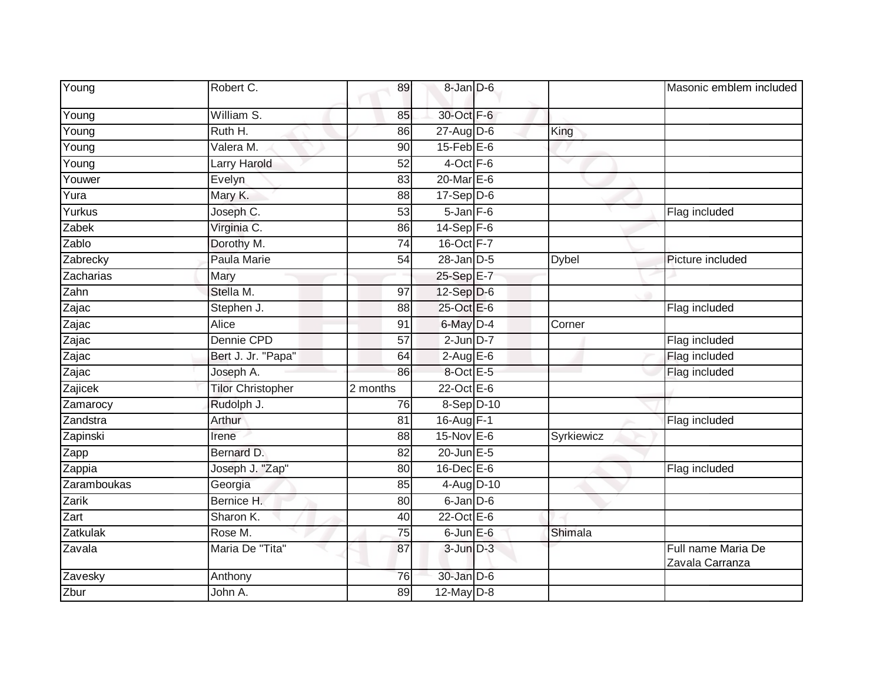| Young       | Robert C.                | 89              | 8-Jan D-6        |              | Masonic emblem included               |
|-------------|--------------------------|-----------------|------------------|--------------|---------------------------------------|
| Young       | William S.               | 85              | 30-Oct F-6       |              |                                       |
| Young       | Ruth H.                  | 86              | $27 - Aug$ $D-6$ | King         |                                       |
| Young       | Valera M.                | 90              | $15$ -Feb $E$ -6 |              |                                       |
| Young       | Larry Harold             | 52              | $4$ -Oct $F-6$   | ▽            |                                       |
| Youwer      | Evelyn                   | 83              | 20-Mar E-6       |              |                                       |
| Yura        | Mary K.                  | 88              | $17-Sep$ D-6     |              |                                       |
| Yurkus      | Joseph C.                | $\overline{53}$ | $5 - Jan$ $F-6$  |              | Flag included                         |
| Zabek       | Virginia C.              | 86              | $14-Sep$ F-6     |              |                                       |
| Zablo       | Dorothy M.               | 74              | 16-Oct F-7       |              |                                       |
| Zabrecky    | Paula Marie              | 54              | $28 - Jan$ $D-5$ | <b>Dybel</b> | Picture included                      |
| Zacharias   | Mary                     |                 | 25-Sep E-7       |              |                                       |
| Zahn        | Stella M.                | $\overline{97}$ | $12-Sep$ D-6     |              |                                       |
| Zajac       | Stephen J.               | 88              | 25-Oct E-6       |              | Flag included                         |
| Zajac       | <b>Alice</b>             | 91              | 6-May D-4        | Corner       |                                       |
| Zajac       | Dennie CPD               | 57              | $2$ -Jun $D-7$   |              | Flag included                         |
| Zajac       | Bert J. Jr. "Papa"       | 64              | $2$ -Aug E-6     |              | Flag included                         |
| Zajac       | Joseph A.                | 86              | 8-Oct E-5        |              | Flag included                         |
| Zajicek     | <b>Tilor Christopher</b> | 2 months        | $22$ -Oct $E-6$  |              |                                       |
| Zamarocy    | Rudolph J.               | 76              | 8-Sep D-10       |              |                                       |
| Zandstra    | Arthur                   | 81              | 16-Aug F-1       |              | Flag included                         |
| Zapinski    | Irene                    | 88              | 15-Nov E-6       | Syrkiewicz   |                                       |
| Zapp        | Bernard D.               | 82              | 20-Jun E-5       |              |                                       |
| Zappia      | Joseph J. "Zap"          | 80              | $16$ -Dec $E$ -6 |              | Flag included                         |
| Zaramboukas | Georgia                  | 85              | 4-Aug D-10       |              |                                       |
| Zarik       | Bernice H.               | 80              | $6$ -Jan $D$ -6  |              |                                       |
| Zart        | Sharon K.                | $\overline{40}$ | 22-Oct E-6       |              |                                       |
| Zatkulak    | Rose M.                  | 75              | $6$ -Jun $E$ -6  | Shimala      |                                       |
| Zavala      | Maria De "Tita"          | 87              | $3$ -Jun $D-3$   |              | Full name Maria De<br>Zavala Carranza |
| Zavesky     | Anthony                  | 76              | $30 - Jan$ $D-6$ |              |                                       |
| Zbur        | John A.                  | 89              | $12$ -May $D-8$  |              |                                       |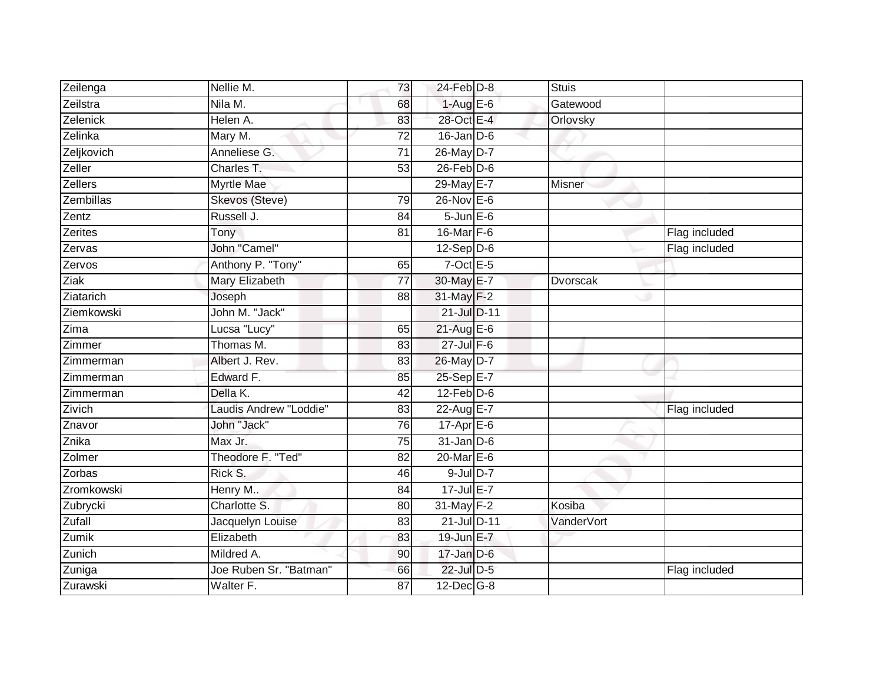| Zeilenga      | Nellie M.              | 73              | $24$ -Feb $D-8$   | <b>Stuis</b> |               |
|---------------|------------------------|-----------------|-------------------|--------------|---------------|
| Zeilstra      | Nila M.                | 68              | $1-AugE-6$        | Gatewood     |               |
| Zelenick      | Helen A.               | 83              | 28-Oct E-4        | Orlovsky     |               |
| Zelinka       | Mary M.                | 72              | $16$ -Jan D-6     |              |               |
| Zeljkovich    | Anneliese G.           | $\overline{71}$ | 26-May D-7        |              |               |
| Zeller        | Charles T.             | 53              | $26$ -Feb $D-6$   |              |               |
| Zellers       | <b>Myrtle Mae</b>      |                 | 29-May E-7        | Misner       |               |
| Zembillas     | Skevos (Steve)         | 79              | $26$ -Nov $E - 6$ |              |               |
| Zentz         | Russell J.             | 84              | $5 - Jun$ $E-6$   |              |               |
| Zerites       | Tony                   | $\overline{81}$ | 16-Mar F-6        |              | Flag included |
| Zervas        | John "Camel"           |                 | $12-Sep D-6$      |              | Flag included |
| Zervos        | Anthony P. "Tony"      | 65              | $7$ -Oct E-5      |              |               |
| Ziak          | Mary Elizabeth         | 77              | 30-May E-7        | Dvorscak     |               |
| Ziatarich     | Joseph                 | 88              | 31-May F-2        |              |               |
| Ziemkowski    | John M. "Jack"         |                 | 21-Jul D-11       |              |               |
| Zima          | Lucsa "Lucy"           | 65              | $21$ -Aug E-6     |              |               |
| Zimmer        | Thomas M.              | 83              | $27$ -Jul $F-6$   |              |               |
| Zimmerman     | Albert J. Rev.         | 83              | 26-May D-7        |              |               |
| Zimmerman     | Edward F.              | 85              | 25-Sep E-7        |              |               |
| Zimmerman     | Della K.               | $\overline{42}$ | $12$ -Feb $D-6$   |              |               |
| Zivich        | Laudis Andrew "Loddie" | 83              | 22-Aug E-7        |              | Flag included |
| Znavor        | John "Jack"            | 76              | $17$ -Apr $E$ -6  |              |               |
| Znika         | Max Jr.                | 75              | $31$ -Jan D-6     |              |               |
| Zolmer        | Theodore F. "Ted"      | 82              | $20$ -Mar $E-6$   |              |               |
| Zorbas        | Rick S.                | 46              | $9$ -Jul $D-7$    |              |               |
| Zromkowski    | Henry M                | 84              | 17-Jul E-7        |              |               |
| Zubrycki      | Charlotte S.           | 80              | $31$ -May $F-2$   | Kosiba       |               |
| <b>Zufall</b> | Jacquelyn Louise       | 83              | 21-Jul D-11       | VanderVort   |               |
| Zumik         | Elizabeth              | 83              | 19-Jun E-7        |              |               |
| Zunich        | Mildred A.             | 90              | $17$ -Jan $D-6$   |              |               |
| Zuniga        | Joe Ruben Sr. "Batman" | 66              | 22-Jul D-5        |              | Flag included |
| Zurawski      | Walter F.              | 87              | $12$ -Dec $G-8$   |              |               |